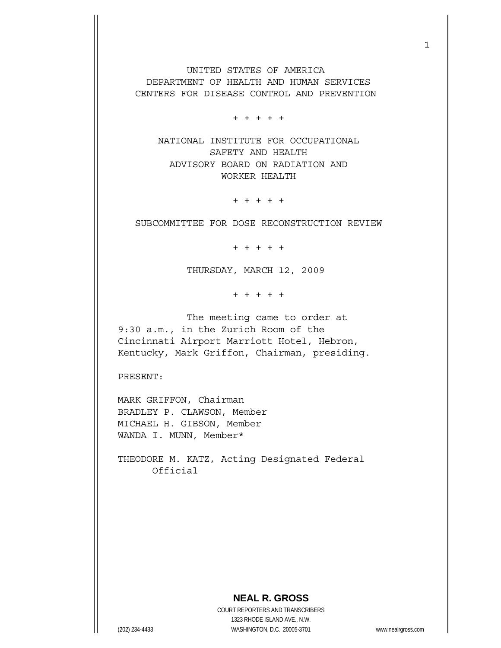UNITED STATES OF AMERICA DEPARTMENT OF HEALTH AND HUMAN SERVICES CENTERS FOR DISEASE CONTROL AND PREVENTION

+ + + + +

 NATIONAL INSTITUTE FOR OCCUPATIONAL SAFETY AND HEALTH ADVISORY BOARD ON RADIATION AND WORKER HEALTH

+ + + + +

SUBCOMMITTEE FOR DOSE RECONSTRUCTION REVIEW

+ + + + +

THURSDAY, MARCH 12, 2009

+ + + + +

 The meeting came to order at 9:30 a.m., in the Zurich Room of the Cincinnati Airport Marriott Hotel, Hebron, Kentucky, Mark Griffon, Chairman, presiding.

PRESENT:

MARK GRIFFON, Chairman BRADLEY P. CLAWSON, Member MICHAEL H. GIBSON, Member WANDA I. MUNN, Member\*

THEODORE M. KATZ, Acting Designated Federal Official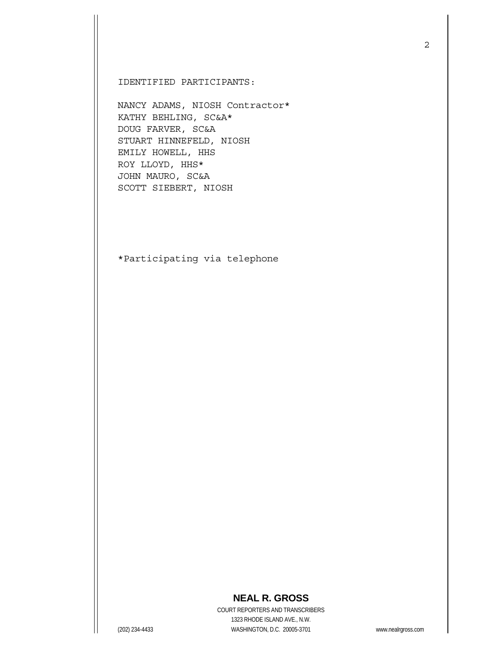IDENTIFIED PARTICIPANTS:

NANCY ADAMS, NIOSH Contractor\* KATHY BEHLING, SC&A\* DOUG FARVER, SC&A STUART HINNEFELD, NIOSH EMILY HOWELL, HHS ROY LLOYD, HHS\* JOHN MAURO, SC&A SCOTT SIEBERT, NIOSH

\*Participating via telephone

## **NEAL R. GROSS**

COURT REPORTERS AND TRANSCRIBERS 1323 RHODE ISLAND AVE., N.W. (202) 234-4433 WASHINGTON, D.C. 20005-3701 www.nealrgross.com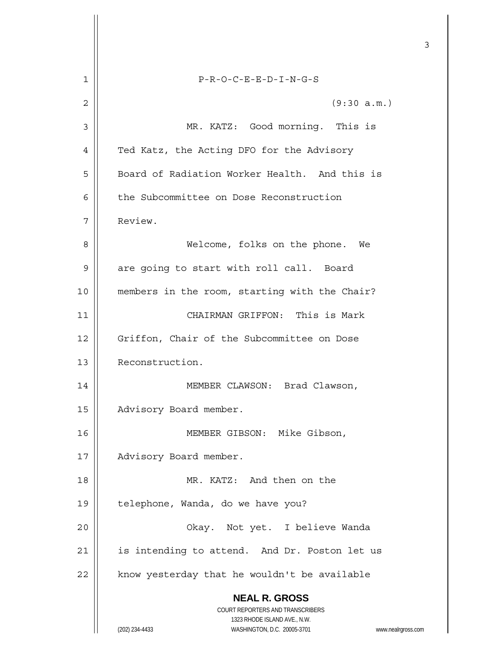|    |                                                                                                     | 3 |
|----|-----------------------------------------------------------------------------------------------------|---|
|    |                                                                                                     |   |
| 1  | $P-R-O-C-E-E-D-I-N-G-S$                                                                             |   |
| 2  | (9:30 a.m.)                                                                                         |   |
| 3  | MR. KATZ: Good morning. This is                                                                     |   |
| 4  | Ted Katz, the Acting DFO for the Advisory                                                           |   |
| 5  | Board of Radiation Worker Health. And this is                                                       |   |
| 6  | the Subcommittee on Dose Reconstruction                                                             |   |
| 7  | Review.                                                                                             |   |
| 8  | Welcome, folks on the phone. We                                                                     |   |
| 9  | are going to start with roll call. Board                                                            |   |
| 10 | members in the room, starting with the Chair?                                                       |   |
| 11 | CHAIRMAN GRIFFON: This is Mark                                                                      |   |
| 12 | Griffon, Chair of the Subcommittee on Dose                                                          |   |
| 13 | Reconstruction.                                                                                     |   |
| 14 | MEMBER CLAWSON:<br>Brad Clawson,                                                                    |   |
| 15 | Advisory Board member.                                                                              |   |
| 16 | MEMBER GIBSON: Mike Gibson,                                                                         |   |
| 17 | Advisory Board member.                                                                              |   |
| 18 | MR. KATZ: And then on the                                                                           |   |
| 19 | telephone, Wanda, do we have you?                                                                   |   |
| 20 | Okay. Not yet. I believe Wanda                                                                      |   |
| 21 | is intending to attend. And Dr. Poston let us                                                       |   |
| 22 | know yesterday that he wouldn't be available                                                        |   |
|    | <b>NEAL R. GROSS</b><br>COURT REPORTERS AND TRANSCRIBERS                                            |   |
|    | 1323 RHODE ISLAND AVE., N.W.<br>WASHINGTON, D.C. 20005-3701<br>(202) 234-4433<br>www.nealrgross.com |   |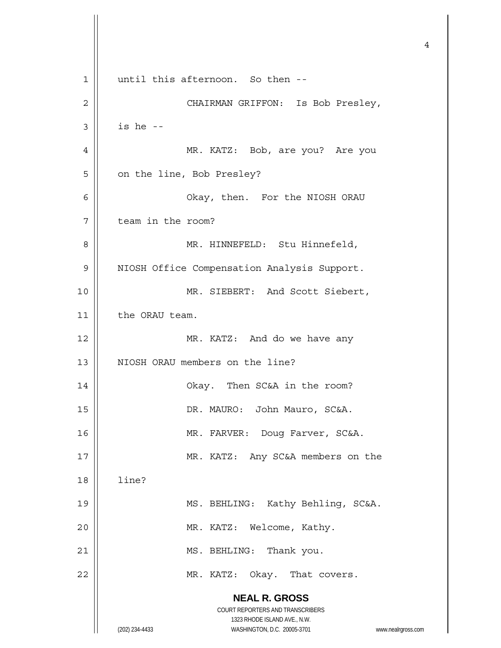**NEAL R. GROSS** COURT REPORTERS AND TRANSCRIBERS 1323 RHODE ISLAND AVE., N.W. (202) 234-4433 WASHINGTON, D.C. 20005-3701 www.nealrgross.com 4 1 2 3 4 5 6 7 8 9 10 11 12 13 14 15 16 17 18 19 20 21 22 until this afternoon. So then -- CHAIRMAN GRIFFON: Is Bob Presley, is he -- MR. KATZ: Bob, are you? Are you on the line, Bob Presley? Okay, then. For the NIOSH ORAU team in the room? MR. HINNEFELD: Stu Hinnefeld, NIOSH Office Compensation Analysis Support. MR. SIEBERT: And Scott Siebert, the ORAU team. MR. KATZ: And do we have any NIOSH ORAU members on the line? Okay. Then SC&A in the room? DR. MAURO: John Mauro, SC&A. MR. FARVER: Doug Farver, SC&A. MR. KATZ: Any SC&A members on the line? MS. BEHLING: Kathy Behling, SC&A. MR. KATZ: Welcome, Kathy. MS. BEHLING: Thank you. MR. KATZ: Okay. That covers.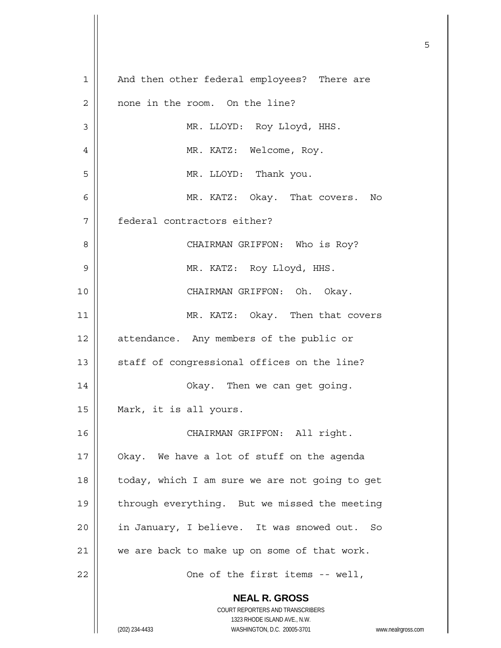| $\mathbf{1}$   | And then other federal employees? There are                                                         |
|----------------|-----------------------------------------------------------------------------------------------------|
| $\overline{2}$ | none in the room. On the line?                                                                      |
| 3              | MR. LLOYD: Roy Lloyd, HHS.                                                                          |
| $\overline{4}$ | MR. KATZ: Welcome, Roy.                                                                             |
| 5              | MR. LLOYD: Thank you.                                                                               |
| 6              | MR. KATZ: Okay. That covers. No                                                                     |
| 7              | federal contractors either?                                                                         |
| 8              | CHAIRMAN GRIFFON: Who is Roy?                                                                       |
| 9              | MR. KATZ: Roy Lloyd, HHS.                                                                           |
| 10             | CHAIRMAN GRIFFON: Oh. Okay.                                                                         |
| 11             | MR. KATZ: Okay. Then that covers                                                                    |
| 12             | attendance. Any members of the public or                                                            |
| 13             | staff of congressional offices on the line?                                                         |
| 14             | Okay. Then we can get going.                                                                        |
| 15             | Mark, it is all yours.                                                                              |
| 16             | CHAIRMAN GRIFFON: All right.                                                                        |
| 17             | Okay. We have a lot of stuff on the agenda                                                          |
| 18             | today, which I am sure we are not going to get                                                      |
| 19             | through everything. But we missed the meeting                                                       |
| 20             | in January, I believe. It was snowed out. So                                                        |
| 21             | we are back to make up on some of that work.                                                        |
| 22             | One of the first items -- well,                                                                     |
|                | <b>NEAL R. GROSS</b>                                                                                |
|                | COURT REPORTERS AND TRANSCRIBERS                                                                    |
|                | 1323 RHODE ISLAND AVE., N.W.<br>WASHINGTON, D.C. 20005-3701<br>(202) 234-4433<br>www.nealrgross.com |
|                |                                                                                                     |

 $\mathsf{I}$ 

 $\sim$  5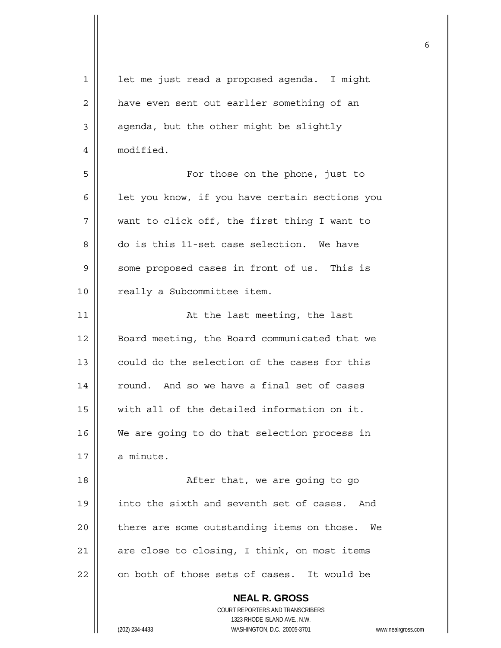| 1  | let me just read a proposed agenda. I might                         |
|----|---------------------------------------------------------------------|
| 2  | have even sent out earlier something of an                          |
| 3  | agenda, but the other might be slightly                             |
| 4  | modified.                                                           |
| 5  | For those on the phone, just to                                     |
| 6  | let you know, if you have certain sections you                      |
| 7  | want to click off, the first thing I want to                        |
| 8  | do is this 11-set case selection. We have                           |
| 9  | some proposed cases in front of us. This is                         |
| 10 | really a Subcommittee item.                                         |
| 11 | At the last meeting, the last                                       |
| 12 | Board meeting, the Board communicated that we                       |
| 13 | could do the selection of the cases for this                        |
| 14 | round. And so we have a final set of cases                          |
| 15 | with all of the detailed information on it.                         |
| 16 | We are going to do that selection process in                        |
| 17 | a minute.                                                           |
| 18 | After that, we are going to go                                      |
| 19 | into the sixth and seventh set of cases.<br>And                     |
| 20 | there are some outstanding items on those.<br>We                    |
| 21 | are close to closing, I think, on most items                        |
| 22 | on both of those sets of cases. It would be                         |
|    | <b>NEAL R. GROSS</b>                                                |
|    | COURT REPORTERS AND TRANSCRIBERS                                    |
|    | 1323 RHODE ISLAND AVE., N.W.                                        |
|    | (202) 234-4433<br>WASHINGTON, D.C. 20005-3701<br>www.nealrgross.com |

 $\sim$  6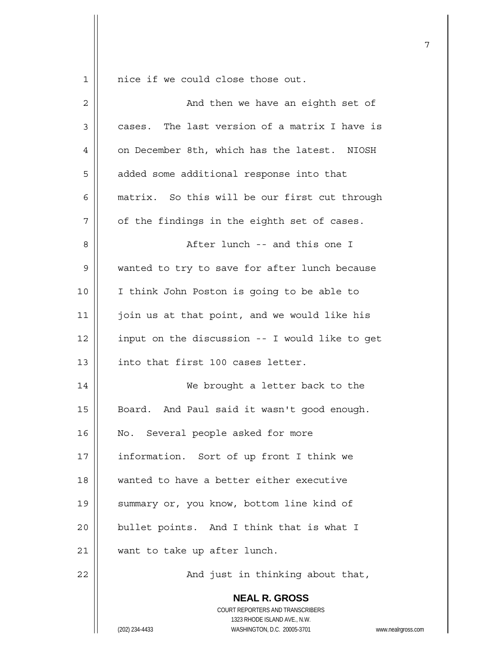nice if we could close those out.

1

| $\overline{c}$ | And then we have an eighth set of                                                                                                                              |
|----------------|----------------------------------------------------------------------------------------------------------------------------------------------------------------|
| 3              | cases. The last version of a matrix I have is                                                                                                                  |
| $\overline{4}$ | on December 8th, which has the latest. NIOSH                                                                                                                   |
| 5              | added some additional response into that                                                                                                                       |
| 6              | matrix. So this will be our first cut through                                                                                                                  |
| 7              | of the findings in the eighth set of cases.                                                                                                                    |
| 8              | After lunch -- and this one I                                                                                                                                  |
| $\mathsf 9$    | wanted to try to save for after lunch because                                                                                                                  |
| 10             | I think John Poston is going to be able to                                                                                                                     |
| 11             | join us at that point, and we would like his                                                                                                                   |
| 12             | input on the discussion -- I would like to get                                                                                                                 |
| 13             | into that first 100 cases letter.                                                                                                                              |
| 14             | We brought a letter back to the                                                                                                                                |
| 15             | Board. And Paul said it wasn't good enough.                                                                                                                    |
| 16             | No. Several people asked for more                                                                                                                              |
| 17             | information. Sort of up front I think we                                                                                                                       |
| 18             | wanted to have a better either executive                                                                                                                       |
| 19             | summary or, you know, bottom line kind of                                                                                                                      |
| 20             | bullet points. And I think that is what I                                                                                                                      |
| 21             | want to take up after lunch.                                                                                                                                   |
| 22             | And just in thinking about that,                                                                                                                               |
|                | <b>NEAL R. GROSS</b><br><b>COURT REPORTERS AND TRANSCRIBERS</b><br>1323 RHODE ISLAND AVE., N.W.<br>WASHINGTON, D.C. 20005-3701<br>(202) 234-4433<br><b>WWW</b> |

(202) 234-4433 WASHINGTON, D.C. 20005-3701 www.nealrgross.com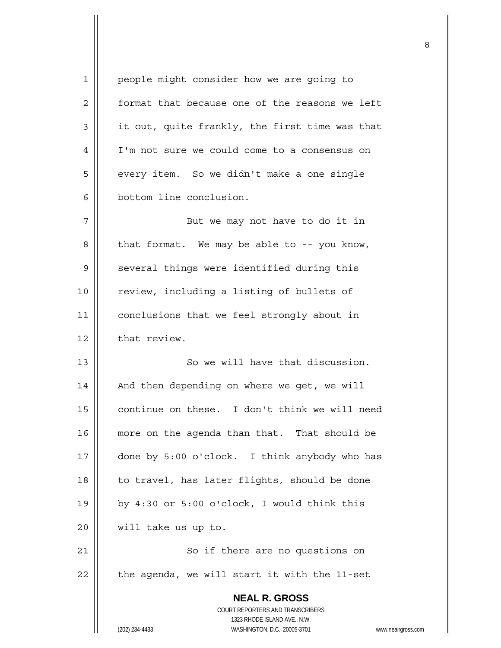| $\mathbf 1$ | people might consider how we are going to                           |
|-------------|---------------------------------------------------------------------|
| 2           | format that because one of the reasons we left                      |
| 3           | it out, quite frankly, the first time was that                      |
| 4           | I'm not sure we could come to a consensus on                        |
| 5           | every item. So we didn't make a one single                          |
| 6           | bottom line conclusion.                                             |
| 7           | But we may not have to do it in                                     |
| 8           | that format. We may be able to -- you know,                         |
| 9           | several things were identified during this                          |
| 10          | review, including a listing of bullets of                           |
| 11          | conclusions that we feel strongly about in                          |
| 12          | that review.                                                        |
| 13          | So we will have that discussion.                                    |
| 14          | And then depending on where we get, we will                         |
| 15          | continue on these. I don't think we will need                       |
| 16          | more on the agenda than that. That should be                        |
| 17          | done by 5:00 o'clock. I think anybody who has                       |
| 18          | to travel, has later flights, should be done                        |
| 19          | by 4:30 or 5:00 o'clock, I would think this                         |
| 20          | will take us up to.                                                 |
| 21          | So if there are no questions on                                     |
| 22          | the agenda, we will start it with the 11-set                        |
|             | <b>NEAL R. GROSS</b>                                                |
|             | COURT REPORTERS AND TRANSCRIBERS                                    |
|             | 1323 RHODE ISLAND AVE., N.W.                                        |
|             | (202) 234-4433<br>WASHINGTON, D.C. 20005-3701<br>www.nealrgross.com |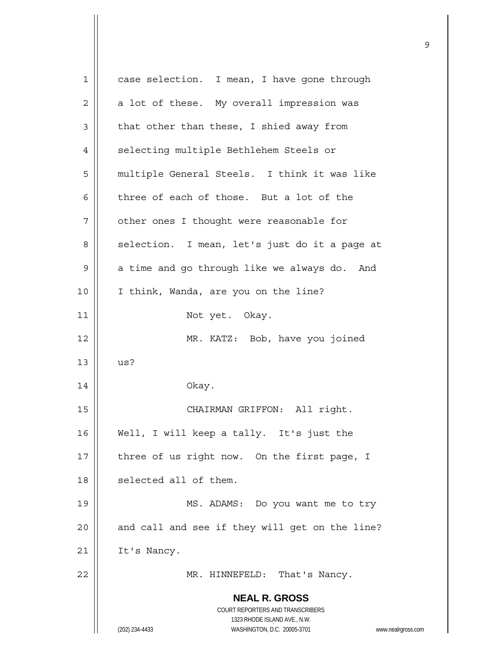| $\mathbf 1$ | case selection. I mean, I have gone through                         |
|-------------|---------------------------------------------------------------------|
| 2           | a lot of these. My overall impression was                           |
| 3           | that other than these, I shied away from                            |
| 4           | selecting multiple Bethlehem Steels or                              |
| 5           | multiple General Steels. I think it was like                        |
| 6           | three of each of those. But a lot of the                            |
| 7           | other ones I thought were reasonable for                            |
| 8           | selection. I mean, let's just do it a page at                       |
| 9           | a time and go through like we always do. And                        |
| 10          | I think, Wanda, are you on the line?                                |
| 11          | Not yet. Okay.                                                      |
| 12          | MR. KATZ: Bob, have you joined                                      |
| 13          | us?                                                                 |
| 14          | Okay.                                                               |
| 15          | CHAIRMAN GRIFFON: All right.                                        |
| 16          | Well, I will keep a tally. It's just the                            |
| 17          | three of us right now. On the first page, I                         |
| 18          | selected all of them.                                               |
| 19          | MS. ADAMS: Do you want me to try                                    |
| 20          | and call and see if they will get on the line?                      |
| 21          | It's Nancy.                                                         |
| 22          | MR. HINNEFELD: That's Nancy.                                        |
|             | <b>NEAL R. GROSS</b>                                                |
|             | COURT REPORTERS AND TRANSCRIBERS                                    |
|             | 1323 RHODE ISLAND AVE., N.W.                                        |
|             | (202) 234-4433<br>WASHINGTON, D.C. 20005-3701<br>www.nealrgross.com |

 $\mathbf{I}$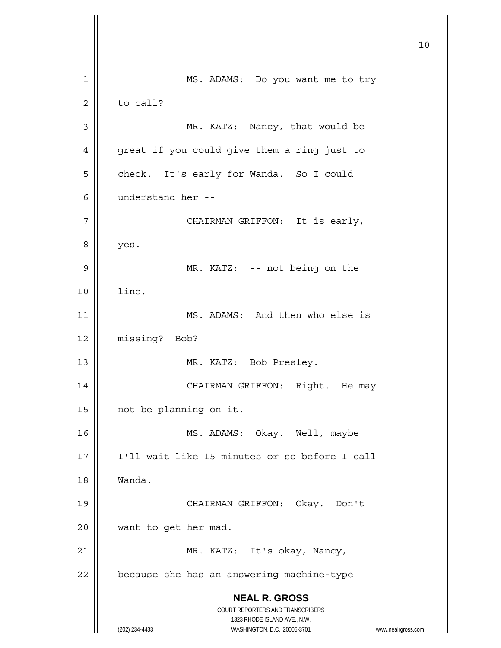**NEAL R. GROSS** COURT REPORTERS AND TRANSCRIBERS 1323 RHODE ISLAND AVE., N.W. (202) 234-4433 WASHINGTON, D.C. 20005-3701 www.nealrgross.com 10 1 2 3 4 5 6 7 8 9 10 11 12 13 14 15 16 17 18 19 20 21 22 MS. ADAMS: Do you want me to try to call? MR. KATZ: Nancy, that would be great if you could give them a ring just to check. It's early for Wanda. So I could understand her -- CHAIRMAN GRIFFON: It is early, yes. MR. KATZ: -- not being on the line. MS. ADAMS: And then who else is missing? Bob? MR. KATZ: Bob Presley. CHAIRMAN GRIFFON: Right. He may not be planning on it. MS. ADAMS: Okay. Well, maybe I'll wait like 15 minutes or so before I call Wanda. CHAIRMAN GRIFFON: Okay. Don't want to get her mad. MR. KATZ: It's okay, Nancy, because she has an answering machine-type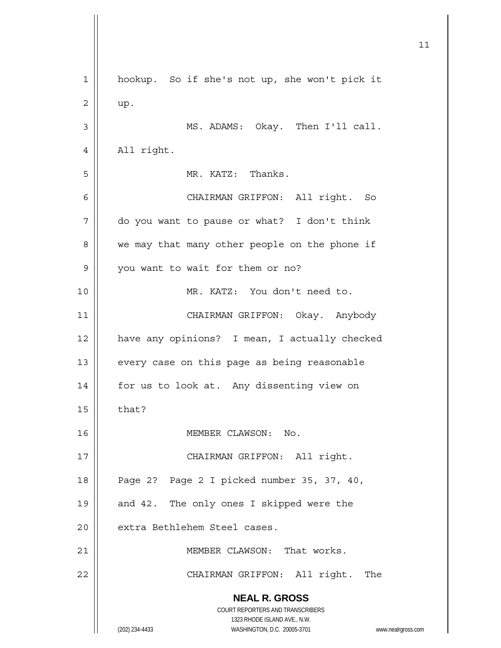|              | 11                                                                  |
|--------------|---------------------------------------------------------------------|
| $\mathbf{1}$ | hookup. So if she's not up, she won't pick it                       |
| 2            | up.                                                                 |
| 3            | MS. ADAMS: Okay. Then I'll call.                                    |
| 4            | All right.                                                          |
| 5            | MR. KATZ: Thanks.                                                   |
| 6            | CHAIRMAN GRIFFON: All right. So                                     |
| 7            | do you want to pause or what? I don't think                         |
| 8            | we may that many other people on the phone if                       |
| 9            | you want to wait for them or no?                                    |
| 10           | MR. KATZ: You don't need to.                                        |
| 11           | CHAIRMAN GRIFFON: Okay. Anybody                                     |
| 12           | have any opinions? I mean, I actually checked                       |
| 13           | every case on this page as being reasonable                         |
| 14           | for us to look at. Any dissenting view on                           |
| 15           | that?                                                               |
| 16           | MEMBER CLAWSON: No.                                                 |
| 17           | CHAIRMAN GRIFFON: All right.                                        |
| 18           | Page 2? Page 2 I picked number 35, 37, 40,                          |
| 19           | and 42. The only ones I skipped were the                            |
| 20           | extra Bethlehem Steel cases.                                        |
| 21           | MEMBER CLAWSON: That works.                                         |
| 22           | CHAIRMAN GRIFFON: All right.<br>The                                 |
|              | <b>NEAL R. GROSS</b>                                                |
|              | COURT REPORTERS AND TRANSCRIBERS<br>1323 RHODE ISLAND AVE., N.W.    |
|              | (202) 234-4433<br>WASHINGTON, D.C. 20005-3701<br>www.nealrgross.com |

 $\overline{\phantom{a}}$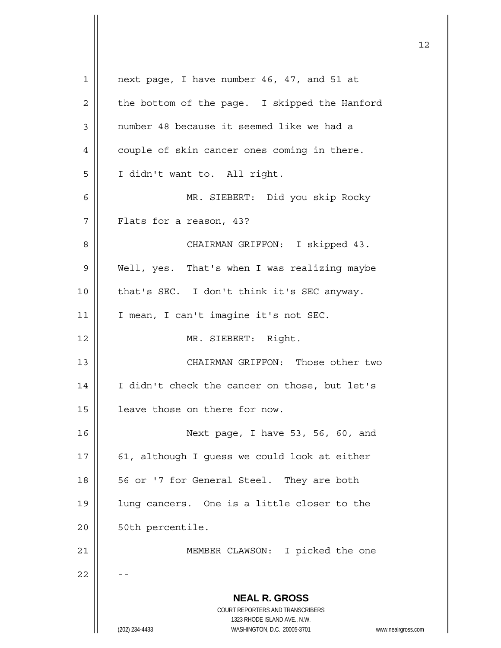| 1  | next page, I have number 46, 47, and 51 at                                                                                                                      |
|----|-----------------------------------------------------------------------------------------------------------------------------------------------------------------|
| 2  | the bottom of the page. I skipped the Hanford                                                                                                                   |
| 3  | number 48 because it seemed like we had a                                                                                                                       |
| 4  | couple of skin cancer ones coming in there.                                                                                                                     |
| 5  | I didn't want to. All right.                                                                                                                                    |
| 6  | MR. SIEBERT: Did you skip Rocky                                                                                                                                 |
| 7  | Flats for a reason, 43?                                                                                                                                         |
| 8  | CHAIRMAN GRIFFON: I skipped 43.                                                                                                                                 |
| 9  | Well, yes. That's when I was realizing maybe                                                                                                                    |
| 10 | that's SEC. I don't think it's SEC anyway.                                                                                                                      |
| 11 | I mean, I can't imagine it's not SEC.                                                                                                                           |
| 12 | MR. SIEBERT: Right.                                                                                                                                             |
| 13 | CHAIRMAN GRIFFON: Those other two                                                                                                                               |
| 14 | I didn't check the cancer on those, but let's                                                                                                                   |
| 15 | leave those on there for now.                                                                                                                                   |
| 16 | Next page, I have 53, 56, 60, and                                                                                                                               |
| 17 | 61, although I guess we could look at either                                                                                                                    |
| 18 | 56 or '7 for General Steel. They are both                                                                                                                       |
| 19 | lung cancers. One is a little closer to the                                                                                                                     |
| 20 | 50th percentile.                                                                                                                                                |
| 21 | MEMBER CLAWSON: I picked the one                                                                                                                                |
| 22 |                                                                                                                                                                 |
|    | <b>NEAL R. GROSS</b><br>COURT REPORTERS AND TRANSCRIBERS<br>1323 RHODE ISLAND AVE., N.W.<br>(202) 234-4433<br>WASHINGTON, D.C. 20005-3701<br>www.nealrgross.com |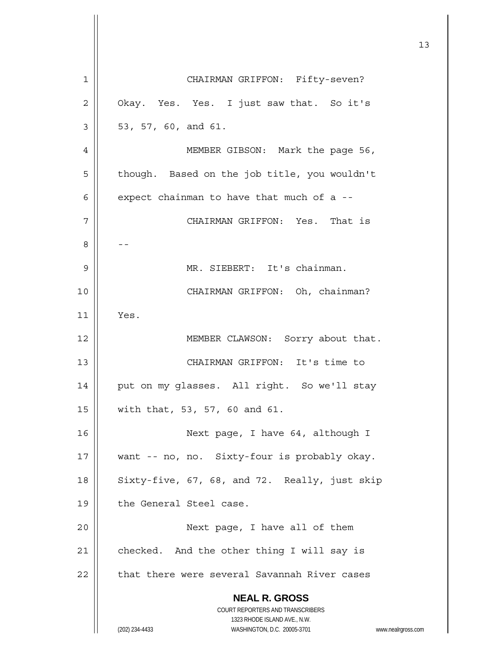|    |                                                                     | 13 |
|----|---------------------------------------------------------------------|----|
| 1  | CHAIRMAN GRIFFON: Fifty-seven?                                      |    |
| 2  | Okay. Yes. Yes. I just saw that. So it's                            |    |
| 3  | 53, 57, 60, and 61.                                                 |    |
| 4  | MEMBER GIBSON: Mark the page 56,                                    |    |
| 5  | though. Based on the job title, you wouldn't                        |    |
| 6  | expect chainman to have that much of a --                           |    |
| 7  | CHAIRMAN GRIFFON: Yes. That is                                      |    |
| 8  |                                                                     |    |
| 9  | MR. SIEBERT: It's chainman.                                         |    |
| 10 | CHAIRMAN GRIFFON: Oh, chainman?                                     |    |
| 11 | Yes.                                                                |    |
| 12 | MEMBER CLAWSON: Sorry about that.                                   |    |
| 13 | CHAIRMAN GRIFFON: It's time to                                      |    |
| 14 | put on my glasses. All right. So we'll stay                         |    |
| 15 | with that, 53, 57, 60 and 61.                                       |    |
| 16 | Next page, I have 64, although I                                    |    |
| 17 | want -- no, no. Sixty-four is probably okay.                        |    |
| 18 | Sixty-five, 67, 68, and 72. Really, just skip                       |    |
| 19 | the General Steel case.                                             |    |
| 20 | Next page, I have all of them                                       |    |
| 21 | checked. And the other thing I will say is                          |    |
| 22 | that there were several Savannah River cases                        |    |
|    | <b>NEAL R. GROSS</b><br>COURT REPORTERS AND TRANSCRIBERS            |    |
|    | 1323 RHODE ISLAND AVE., N.W.                                        |    |
|    | (202) 234-4433<br>WASHINGTON, D.C. 20005-3701<br>www.nealrgross.com |    |

 $\mathsf{I}$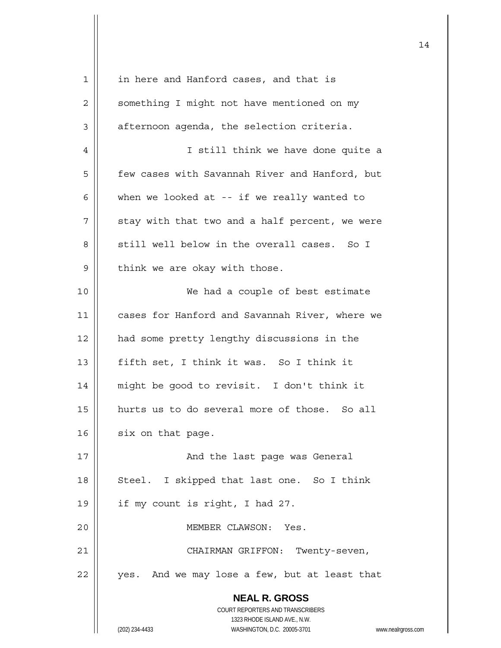| $\mathbf 1$  | in here and Hanford cases, and that is                                                              |
|--------------|-----------------------------------------------------------------------------------------------------|
| $\mathbf{2}$ | something I might not have mentioned on my                                                          |
| 3            | afternoon agenda, the selection criteria.                                                           |
| 4            | I still think we have done quite a                                                                  |
| 5            | few cases with Savannah River and Hanford, but                                                      |
| 6            | when we looked at -- if we really wanted to                                                         |
| 7            | stay with that two and a half percent, we were                                                      |
| 8            | still well below in the overall cases. So I                                                         |
| $\mathsf 9$  | think we are okay with those.                                                                       |
| 10           | We had a couple of best estimate                                                                    |
| 11           | cases for Hanford and Savannah River, where we                                                      |
| 12           | had some pretty lengthy discussions in the                                                          |
| 13           | fifth set, I think it was. So I think it                                                            |
| 14           | might be good to revisit. I don't think it                                                          |
| 15           | hurts us to do several more of those. So all                                                        |
| 16           | six on that page.                                                                                   |
| 17           | And the last page was General                                                                       |
| 18           | Steel. I skipped that last one. So I think                                                          |
| 19           | if my count is right, I had 27.                                                                     |
| 20           | MEMBER CLAWSON: Yes.                                                                                |
| 21           | CHAIRMAN GRIFFON: Twenty-seven,                                                                     |
| 22           | yes. And we may lose a few, but at least that                                                       |
|              | <b>NEAL R. GROSS</b>                                                                                |
|              | COURT REPORTERS AND TRANSCRIBERS                                                                    |
|              | 1323 RHODE ISLAND AVE., N.W.<br>(202) 234-4433<br>WASHINGTON, D.C. 20005-3701<br>www.nealrgross.com |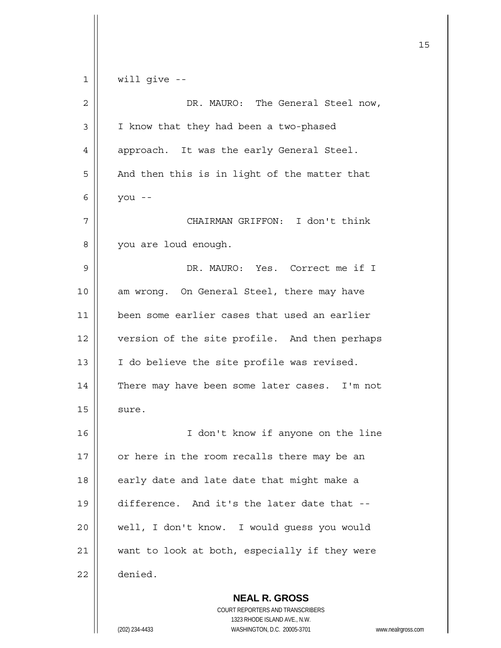|              |                                               | 15 |
|--------------|-----------------------------------------------|----|
| $\mathbf{1}$ | will give $-$                                 |    |
| 2            | DR. MAURO: The General Steel now,             |    |
| 3            | I know that they had been a two-phased        |    |
| 4            | approach. It was the early General Steel.     |    |
| 5            | And then this is in light of the matter that  |    |
| 6            | you --                                        |    |
| 7            | CHAIRMAN GRIFFON: I don't think               |    |
| 8            | you are loud enough.                          |    |
| 9            | DR. MAURO: Yes. Correct me if I               |    |
| 10           | am wrong. On General Steel, there may have    |    |
| 11           | been some earlier cases that used an earlier  |    |
| 12           | version of the site profile. And then perhaps |    |
| 13           | I do believe the site profile was revised.    |    |
| 14           | There may have been some later cases. I'm not |    |
| 15           | sure.                                         |    |
| 16           | I don't know if anyone on the line            |    |
| 17           | or here in the room recalls there may be an   |    |
| 18           | early date and late date that might make a    |    |
| 19           | difference. And it's the later date that --   |    |
| 20           | well, I don't know. I would guess you would   |    |
| 21           | want to look at both, especially if they were |    |
| 22           | denied.                                       |    |
|              | <b>NEAL R. GROSS</b>                          |    |

COURT REPORTERS AND TRANSCRIBERS 1323 RHODE ISLAND AVE., N.W. (202) 234-4433 WASHINGTON, D.C. 20005-3701 www.nealrgross.com

 $\mathsf{II}$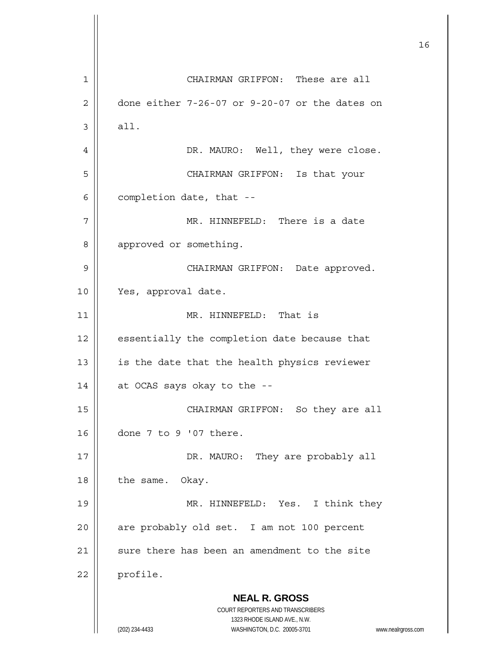**NEAL R. GROSS** COURT REPORTERS AND TRANSCRIBERS 1323 RHODE ISLAND AVE., N.W. (202) 234-4433 WASHINGTON, D.C. 20005-3701 www.nealrgross.com 16 1 2 3 4 5 6 7 8 9 10 11 12 13 14 15 16 17 18 19 20 21 22 CHAIRMAN GRIFFON: These are all done either 7-26-07 or 9-20-07 or the dates on all. DR. MAURO: Well, they were close. CHAIRMAN GRIFFON: Is that your completion date, that -- MR. HINNEFELD: There is a date approved or something. CHAIRMAN GRIFFON: Date approved. Yes, approval date. MR. HINNEFELD: That is essentially the completion date because that is the date that the health physics reviewer at OCAS says okay to the -- CHAIRMAN GRIFFON: So they are all done 7 to 9 '07 there. DR. MAURO: They are probably all the same. Okay. MR. HINNEFELD: Yes. I think they are probably old set. I am not 100 percent sure there has been an amendment to the site profile.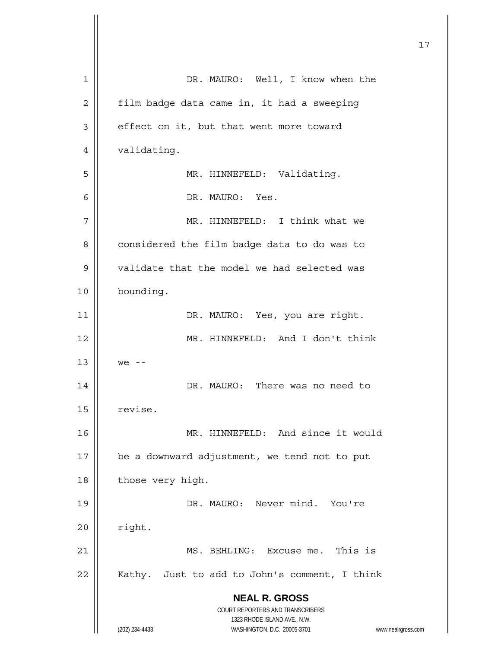| 1  | DR. MAURO: Well, I know when the                                        |
|----|-------------------------------------------------------------------------|
| 2  | film badge data came in, it had a sweeping                              |
| 3  | effect on it, but that went more toward                                 |
| 4  | validating.                                                             |
| 5  | MR. HINNEFELD: Validating.                                              |
| 6  | DR. MAURO: Yes.                                                         |
| 7  | MR. HINNEFELD: I think what we                                          |
| 8  | considered the film badge data to do was to                             |
| 9  | validate that the model we had selected was                             |
| 10 | bounding.                                                               |
| 11 | DR. MAURO: Yes, you are right.                                          |
| 12 | MR. HINNEFELD: And I don't think                                        |
| 13 | $we - -$                                                                |
| 14 | DR. MAURO: There was no need to                                         |
| 15 | revise.                                                                 |
| 16 | MR. HINNEFELD: And since it would                                       |
| 17 | be a downward adjustment, we tend not to put                            |
| 18 | those very high.                                                        |
| 19 | DR. MAURO: Never mind. You're                                           |
| 20 | right.                                                                  |
| 21 | MS. BEHLING: Excuse me. This is                                         |
| 22 | Kathy. Just to add to John's comment, I think                           |
|    | <b>NEAL R. GROSS</b>                                                    |
|    | <b>COURT REPORTERS AND TRANSCRIBERS</b><br>1323 RHODE ISLAND AVE., N.W. |
|    | WASHINGTON, D.C. 20005-3701<br>(202) 234-4433<br>www.nealrgross.com     |
|    |                                                                         |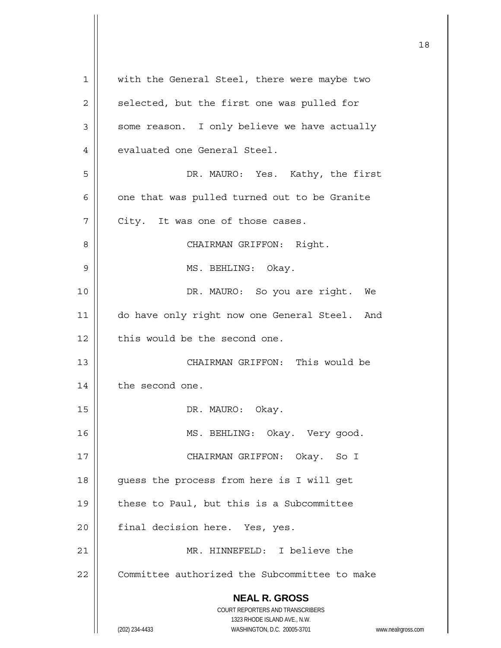**NEAL R. GROSS** COURT REPORTERS AND TRANSCRIBERS 1323 RHODE ISLAND AVE., N.W. (202) 234-4433 WASHINGTON, D.C. 20005-3701 www.nealrgross.com 1 2 3 4 5 6 7 8 9 10 11 12 13 14 15 16 17 18 19 20 21 22 with the General Steel, there were maybe two selected, but the first one was pulled for some reason. I only believe we have actually evaluated one General Steel. DR. MAURO: Yes. Kathy, the first one that was pulled turned out to be Granite City. It was one of those cases. CHAIRMAN GRIFFON: Right. MS. BEHLING: Okay. DR. MAURO: So you are right. We do have only right now one General Steel. And this would be the second one. CHAIRMAN GRIFFON: This would be the second one. DR. MAURO: Okay. MS. BEHLING: Okay. Very good. CHAIRMAN GRIFFON: Okay. So I guess the process from here is I will get these to Paul, but this is a Subcommittee final decision here. Yes, yes. MR. HINNEFELD: I believe the Committee authorized the Subcommittee to make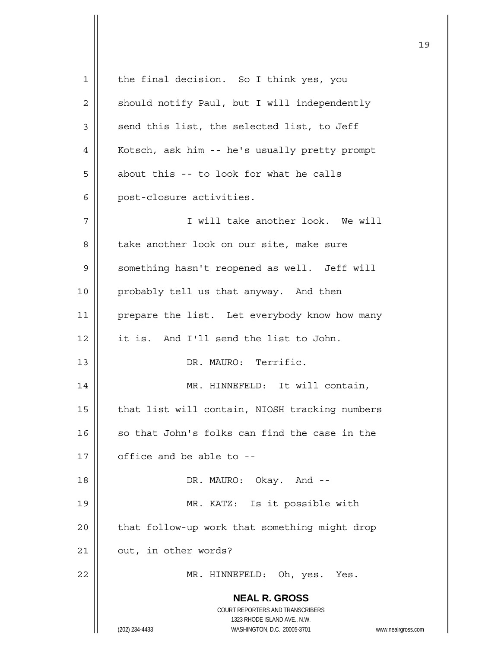| 1              | the final decision. So I think yes, you                             |
|----------------|---------------------------------------------------------------------|
| $\mathbf{2}$   | should notify Paul, but I will independently                        |
| $\mathfrak{Z}$ | send this list, the selected list, to Jeff                          |
| 4              | Kotsch, ask him -- he's usually pretty prompt                       |
| 5              | about this -- to look for what he calls                             |
| 6              | post-closure activities.                                            |
| 7              | I will take another look. We will                                   |
| 8              | take another look on our site, make sure                            |
| 9              | something hasn't reopened as well. Jeff will                        |
|                |                                                                     |
| 10             | probably tell us that anyway. And then                              |
| 11             | prepare the list. Let everybody know how many                       |
| 12             | it is. And I'll send the list to John.                              |
| 13             | DR. MAURO: Terrific.                                                |
| 14             | MR. HINNEFELD: It will contain,                                     |
| 15             | that list will contain, NIOSH tracking numbers                      |
| 16             | so that John's folks can find the case in the                       |
| 17             | office and be able to --                                            |
| 18             | DR. MAURO: Okay. And --                                             |
| 19             | MR. KATZ: Is it possible with                                       |
| 20             | that follow-up work that something might drop                       |
| 21             | out, in other words?                                                |
| 22             | MR. HINNEFELD: Oh, yes. Yes.                                        |
|                | <b>NEAL R. GROSS</b><br>COURT REPORTERS AND TRANSCRIBERS            |
|                | 1323 RHODE ISLAND AVE., N.W.                                        |
|                | (202) 234-4433<br>WASHINGTON, D.C. 20005-3701<br>www.nealrgross.com |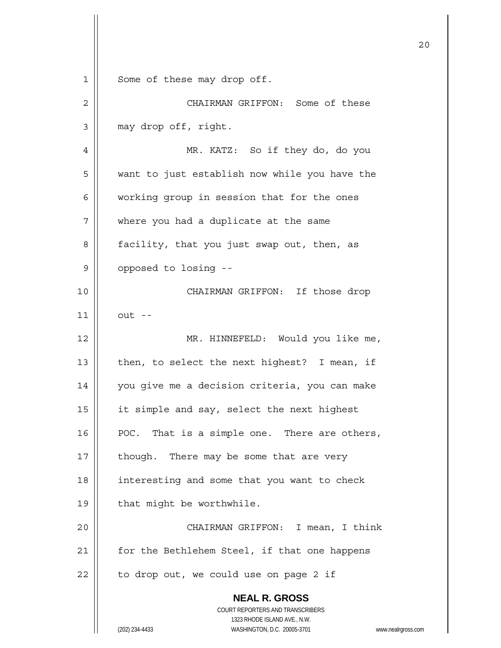|    |                                                                     | 20 |
|----|---------------------------------------------------------------------|----|
| 1  | Some of these may drop off.                                         |    |
| 2  | CHAIRMAN GRIFFON: Some of these                                     |    |
| 3  | may drop off, right.                                                |    |
| 4  | MR. KATZ: So if they do, do you                                     |    |
| 5  | want to just establish now while you have the                       |    |
| 6  | working group in session that for the ones                          |    |
| 7  | where you had a duplicate at the same                               |    |
| 8  | facility, that you just swap out, then, as                          |    |
| 9  | opposed to losing --                                                |    |
| 10 | CHAIRMAN GRIFFON: If those drop                                     |    |
| 11 | $out - -$                                                           |    |
| 12 | MR. HINNEFELD: Would you like me,                                   |    |
| 13 | then, to select the next highest? I mean, if                        |    |
| 14 | you give me a decision criteria, you can make                       |    |
| 15 | it simple and say, select the next highest                          |    |
| 16 | POC. That is a simple one. There are others,                        |    |
| 17 | though. There may be some that are very                             |    |
| 18 | interesting and some that you want to check                         |    |
| 19 | that might be worthwhile.                                           |    |
| 20 | CHAIRMAN GRIFFON: I mean, I think                                   |    |
| 21 | for the Bethlehem Steel, if that one happens                        |    |
| 22 | to drop out, we could use on page 2 if                              |    |
|    | <b>NEAL R. GROSS</b><br>COURT REPORTERS AND TRANSCRIBERS            |    |
|    | 1323 RHODE ISLAND AVE., N.W.                                        |    |
|    | (202) 234-4433<br>WASHINGTON, D.C. 20005-3701<br>www.nealrgross.com |    |

 $\mathbf{\mathbf{\mathsf{I}}}\mathbf{\mathsf{I}}$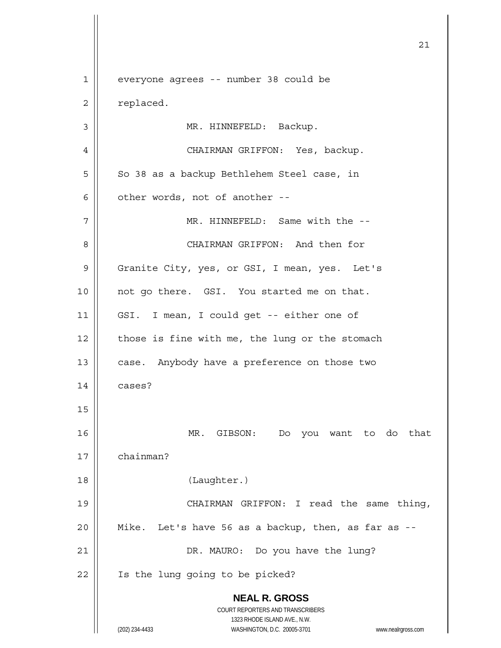**NEAL R. GROSS** COURT REPORTERS AND TRANSCRIBERS 1323 RHODE ISLAND AVE., N.W. (202) 234-4433 WASHINGTON, D.C. 20005-3701 www.nealrgross.com 21 1 2 3 4 5 6 7 8 9 10 11 12 13 14 15 16 17 18 19 20 21 22 everyone agrees -- number 38 could be replaced. MR. HINNEFELD: Backup. CHAIRMAN GRIFFON: Yes, backup. So 38 as a backup Bethlehem Steel case, in other words, not of another -- MR. HINNEFELD: Same with the -- CHAIRMAN GRIFFON: And then for Granite City, yes, or GSI, I mean, yes. Let's not go there. GSI. You started me on that. GSI. I mean, I could get -- either one of those is fine with me, the lung or the stomach case. Anybody have a preference on those two cases? MR. GIBSON: Do you want to do that chainman? (Laughter.) CHAIRMAN GRIFFON: I read the same thing, Mike. Let's have 56 as a backup, then, as far as -- DR. MAURO: Do you have the lung? Is the lung going to be picked?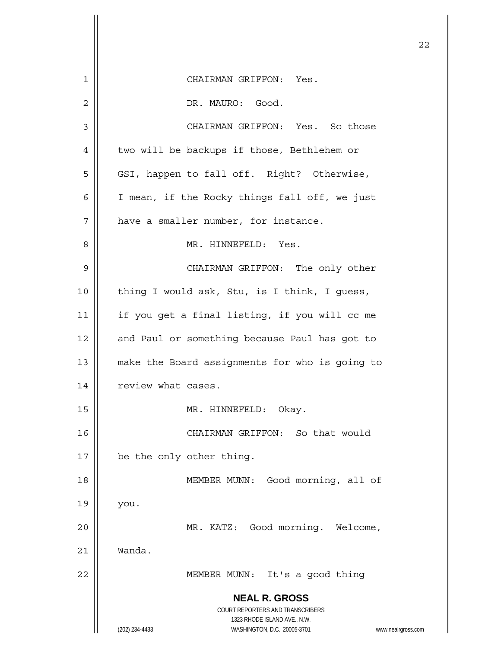|    |                                                                                                     | 22 |
|----|-----------------------------------------------------------------------------------------------------|----|
| 1  | CHAIRMAN GRIFFON: Yes.                                                                              |    |
| 2  | DR. MAURO: Good.                                                                                    |    |
| 3  | CHAIRMAN GRIFFON: Yes. So those                                                                     |    |
| 4  | two will be backups if those, Bethlehem or                                                          |    |
| 5  | GSI, happen to fall off. Right? Otherwise,                                                          |    |
| 6  | I mean, if the Rocky things fall off, we just                                                       |    |
| 7  | have a smaller number, for instance.                                                                |    |
| 8  | MR. HINNEFELD: Yes.                                                                                 |    |
| 9  | CHAIRMAN GRIFFON: The only other                                                                    |    |
| 10 | thing I would ask, Stu, is I think, I guess,                                                        |    |
| 11 | if you get a final listing, if you will cc me                                                       |    |
| 12 | and Paul or something because Paul has got to                                                       |    |
| 13 | make the Board assignments for who is going to                                                      |    |
| 14 | review what cases.                                                                                  |    |
| 15 | MR. HINNEFELD:<br>Okay.                                                                             |    |
| 16 | CHAIRMAN GRIFFON: So that would                                                                     |    |
| 17 | be the only other thing.                                                                            |    |
| 18 | MEMBER MUNN: Good morning, all of                                                                   |    |
| 19 | you.                                                                                                |    |
| 20 | MR. KATZ: Good morning. Welcome,                                                                    |    |
| 21 | Wanda.                                                                                              |    |
| 22 | MEMBER MUNN: It's a good thing                                                                      |    |
|    | <b>NEAL R. GROSS</b>                                                                                |    |
|    | COURT REPORTERS AND TRANSCRIBERS                                                                    |    |
|    | 1323 RHODE ISLAND AVE., N.W.<br>(202) 234-4433<br>WASHINGTON, D.C. 20005-3701<br>www.nealrgross.com |    |

 $\mathop{\textstyle\prod}%$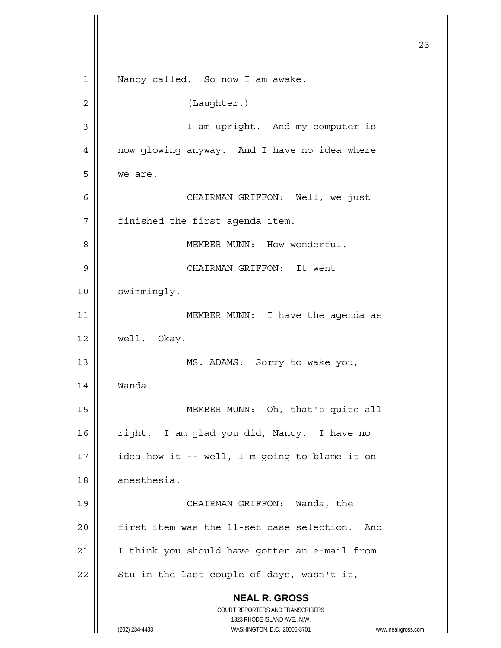**NEAL R. GROSS** COURT REPORTERS AND TRANSCRIBERS 1323 RHODE ISLAND AVE., N.W. (202) 234-4433 WASHINGTON, D.C. 20005-3701 www.nealrgross.com 23 1 2 3 4 5 6 7 8 9 10 11 12 13 14 15 16 17 18 19 20 21 22 Nancy called. So now I am awake. (Laughter.) I am upright. And my computer is now glowing anyway. And I have no idea where we are. CHAIRMAN GRIFFON: Well, we just finished the first agenda item. MEMBER MUNN: How wonderful. CHAIRMAN GRIFFON: It went swimmingly. MEMBER MUNN: I have the agenda as well. Okay. MS. ADAMS: Sorry to wake you, Wanda. MEMBER MUNN: Oh, that's quite all right. I am glad you did, Nancy. I have no idea how it -- well, I'm going to blame it on anesthesia. CHAIRMAN GRIFFON: Wanda, the first item was the 11-set case selection. And I think you should have gotten an e-mail from Stu in the last couple of days, wasn't it,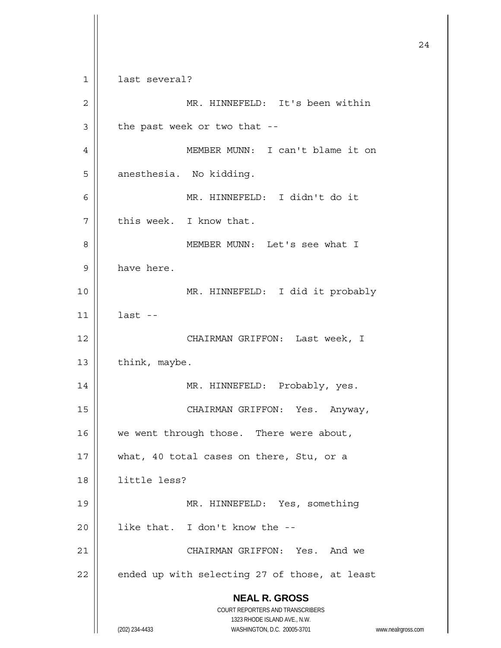```
NEAL R. GROSS
                          COURT REPORTERS AND TRANSCRIBERS 
                            1323 RHODE ISLAND AVE., N.W. 
       (202) 234-4433 WASHINGTON, D.C. 20005-3701 www.nealrgross.com 
         24
 1 
 2 
 3 
 4 
 5 
 6 
 7 
 8 
 9 
10 
11 
12 
13 
14 
15 
16 
17 
18 
19 
20 
21 
22 
       last several? 
                     MR. HINNEFELD: It's been within 
       the past week or two that -- 
                     MEMBER MUNN: I can't blame it on 
       anesthesia. No kidding. 
                     MR. HINNEFELD: I didn't do it 
       this week. I know that. 
                     MEMBER MUNN: Let's see what I 
       have here. 
                     MR. HINNEFELD: I did it probably 
       last -- 
                     CHAIRMAN GRIFFON: Last week, I 
       think, maybe. 
                     MR. HINNEFELD: Probably, yes. 
                     CHAIRMAN GRIFFON: Yes. Anyway, 
       we went through those. There were about, 
       what, 40 total cases on there, Stu, or a 
       little less? 
                     MR. HINNEFELD: Yes, something 
       like that. I don't know the -- 
                     CHAIRMAN GRIFFON: Yes. And we 
       ended up with selecting 27 of those, at least
```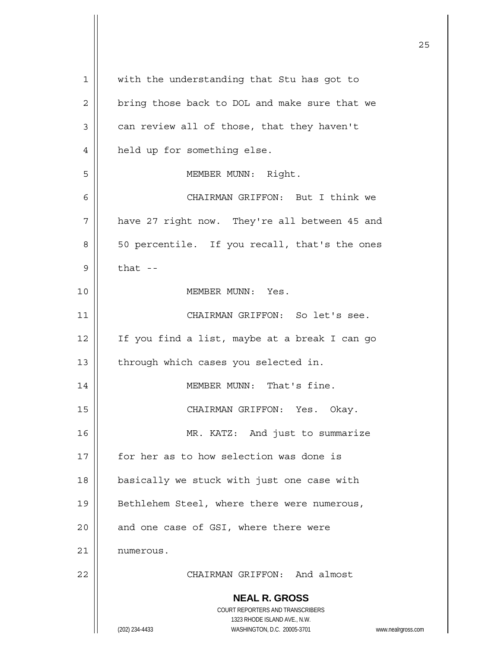| 1            | with the understanding that Stu has got to                          |
|--------------|---------------------------------------------------------------------|
| $\mathbf{2}$ | bring those back to DOL and make sure that we                       |
| 3            | can review all of those, that they haven't                          |
| 4            | held up for something else.                                         |
| 5            | MEMBER MUNN: Right.                                                 |
| 6            | CHAIRMAN GRIFFON: But I think we                                    |
| 7            | have 27 right now. They're all between 45 and                       |
| 8            | 50 percentile. If you recall, that's the ones                       |
| 9            | that $-$                                                            |
| 10           | MEMBER MUNN: Yes.                                                   |
| 11           | CHAIRMAN GRIFFON: So let's see.                                     |
| 12           | If you find a list, maybe at a break I can go                       |
| 13           | through which cases you selected in.                                |
| 14           | MEMBER MUNN: That's fine.                                           |
| 15           | CHAIRMAN GRIFFON: Yes. Okay.                                        |
| 16           | MR. KATZ: And just to summarize                                     |
| 17           | for her as to how selection was done is                             |
| 18           | basically we stuck with just one case with                          |
| 19           | Bethlehem Steel, where there were numerous,                         |
| 20           | and one case of GSI, where there were                               |
| 21           | numerous.                                                           |
| 22           | CHAIRMAN GRIFFON: And almost                                        |
|              | <b>NEAL R. GROSS</b>                                                |
|              | COURT REPORTERS AND TRANSCRIBERS                                    |
|              | 1323 RHODE ISLAND AVE., N.W.                                        |
|              | (202) 234-4433<br>WASHINGTON, D.C. 20005-3701<br>www.nealrgross.com |

<u>25</u>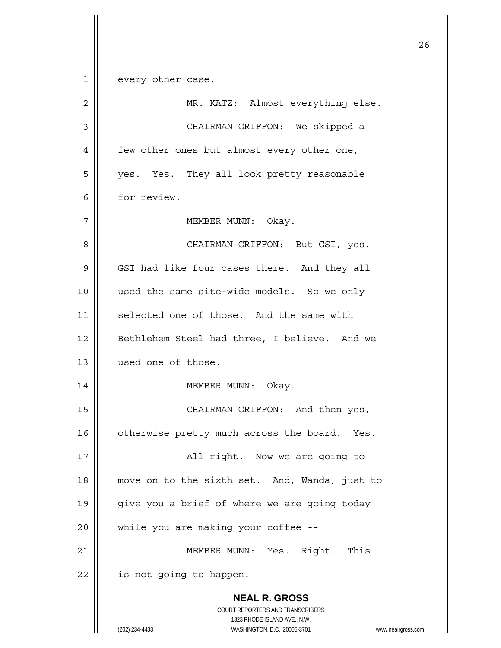1 every other case.

| $\overline{2}$ | MR. KATZ: Almost everything else.                                                        |
|----------------|------------------------------------------------------------------------------------------|
| $\mathsf 3$    | CHAIRMAN GRIFFON: We skipped a                                                           |
| $\overline{4}$ | few other ones but almost every other one,                                               |
| 5              | yes. Yes. They all look pretty reasonable                                                |
| 6              | for review.                                                                              |
| 7              | MEMBER MUNN: Okay.                                                                       |
| 8              | CHAIRMAN GRIFFON: But GSI, yes.                                                          |
| 9              | GSI had like four cases there. And they all                                              |
| 10             | used the same site-wide models. So we only                                               |
| 11             | selected one of those. And the same with                                                 |
| 12             | Bethlehem Steel had three, I believe. And we                                             |
| 13             | used one of those.                                                                       |
| 14             | MEMBER MUNN: Okay.                                                                       |
| 15             | CHAIRMAN GRIFFON: And then yes,                                                          |
| 16             | otherwise pretty much across the board. Yes.                                             |
| 17             | All right. Now we are going to                                                           |
| 18             | move on to the sixth set. And, Wanda, just to                                            |
| 19             | give you a brief of where we are going today                                             |
| 20             | while you are making your coffee --                                                      |
| 21             | MEMBER MUNN: Yes. Right.<br>This                                                         |
| 22             | is not going to happen.                                                                  |
|                | <b>NEAL R. GROSS</b><br>COURT REPORTERS AND TRANSCRIBERS<br>1323 RHODE ISLAND AVE., N.W. |
|                | (202) 234-4433<br>WASHINGTON, D.C. 20005-3701<br>www.nealrgross.com                      |

<u>26</u>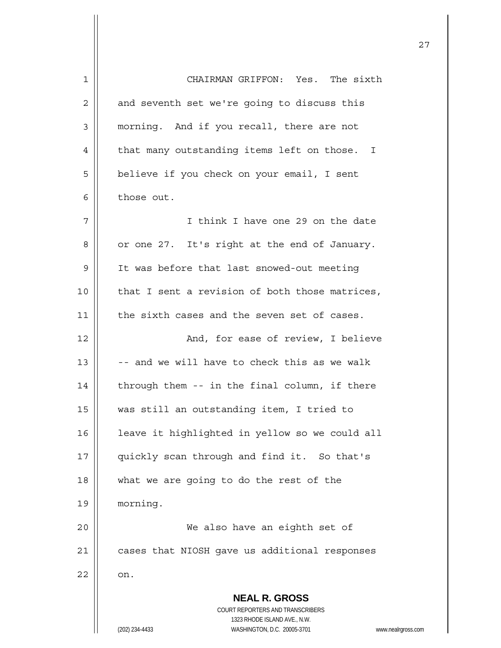| $\mathbf 1$  | CHAIRMAN GRIFFON: Yes. The sixth                                                         |
|--------------|------------------------------------------------------------------------------------------|
| $\mathbf{2}$ | and seventh set we're going to discuss this                                              |
| 3            | morning. And if you recall, there are not                                                |
| 4            | that many outstanding items left on those. I                                             |
| 5            | believe if you check on your email, I sent                                               |
| 6            | those out.                                                                               |
| 7            | I think I have one 29 on the date                                                        |
| 8            | or one 27. It's right at the end of January.                                             |
| 9            | It was before that last snowed-out meeting                                               |
| 10           | that I sent a revision of both those matrices,                                           |
| 11           | the sixth cases and the seven set of cases.                                              |
| 12           | And, for ease of review, I believe                                                       |
| 13           | -- and we will have to check this as we walk                                             |
| 14           | through them -- in the final column, if there                                            |
| 15           | was still an outstanding item, I tried to                                                |
| 16           | leave it highlighted in yellow so we could all                                           |
| 17           | quickly scan through and find it. So that's                                              |
| 18           | what we are going to do the rest of the                                                  |
| 19           | morning.                                                                                 |
| 20           | We also have an eighth set of                                                            |
| 21           | cases that NIOSH gave us additional responses                                            |
| 22           | on.                                                                                      |
|              | <b>NEAL R. GROSS</b><br>COURT REPORTERS AND TRANSCRIBERS<br>1323 RHODE ISLAND AVE., N.W. |
|              | (202) 234-4433<br>WASHINGTON, D.C. 20005-3701<br>www.nealrgross.com                      |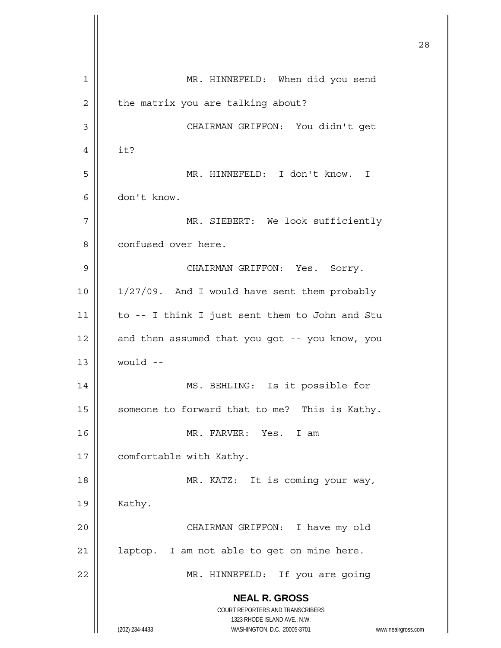**NEAL R. GROSS** COURT REPORTERS AND TRANSCRIBERS 1323 RHODE ISLAND AVE., N.W. (202) 234-4433 WASHINGTON, D.C. 20005-3701 www.nealrgross.com 28 1 2 3 4 5 6 7 8 9 10 11 12 13 14 15 16 17 18 19 20 21 22 MR. HINNEFELD: When did you send the matrix you are talking about? CHAIRMAN GRIFFON: You didn't get it? MR. HINNEFELD: I don't know. I don't know. MR. SIEBERT: We look sufficiently confused over here. CHAIRMAN GRIFFON: Yes. Sorry. 1/27/09. And I would have sent them probably to -- I think I just sent them to John and Stu and then assumed that you got -- you know, you would -- MS. BEHLING: Is it possible for someone to forward that to me? This is Kathy. MR. FARVER: Yes. I am comfortable with Kathy. MR. KATZ: It is coming your way, Kathy. CHAIRMAN GRIFFON: I have my old laptop. I am not able to get on mine here. MR. HINNEFELD: If you are going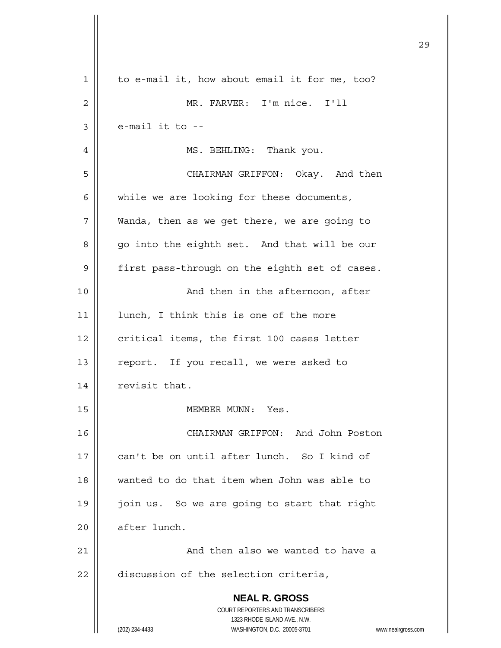|             | 29                                                                  |
|-------------|---------------------------------------------------------------------|
| $\mathbf 1$ | to e-mail it, how about email it for me, too?                       |
| 2           | MR. FARVER: I'm nice. I'll                                          |
| 3           | $e$ -mail it to $-$                                                 |
| 4           | MS. BEHLING: Thank you.                                             |
| 5           | CHAIRMAN GRIFFON: Okay. And then                                    |
| 6           | while we are looking for these documents,                           |
| 7           | Wanda, then as we get there, we are going to                        |
| 8           | go into the eighth set. And that will be our                        |
| 9           | first pass-through on the eighth set of cases.                      |
| 10          | And then in the afternoon, after                                    |
| 11          | lunch, I think this is one of the more                              |
| 12          | critical items, the first 100 cases letter                          |
| 13          | report. If you recall, we were asked to                             |
| 14          | revisit that.                                                       |
| 15          | MEMBER MUNN:<br>Yes.                                                |
| 16          | CHAIRMAN GRIFFON: And John Poston                                   |
| 17          | can't be on until after lunch. So I kind of                         |
| 18          | wanted to do that item when John was able to                        |
| 19          | join us. So we are going to start that right                        |
| 20          | after lunch.                                                        |
| 21          | And then also we wanted to have a                                   |
| 22          | discussion of the selection criteria,                               |
|             | <b>NEAL R. GROSS</b><br>COURT REPORTERS AND TRANSCRIBERS            |
|             | 1323 RHODE ISLAND AVE., N.W.                                        |
|             | (202) 234-4433<br>WASHINGTON, D.C. 20005-3701<br>www.nealrgross.com |

 $\overline{\phantom{a}}$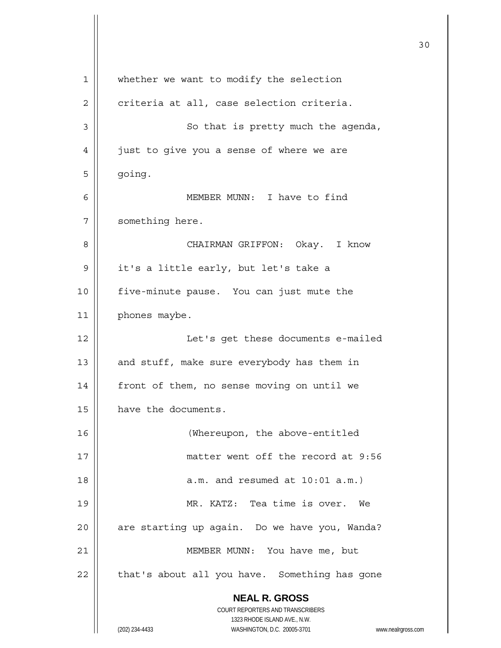|    | 30                                                                  |
|----|---------------------------------------------------------------------|
| 1  | whether we want to modify the selection                             |
| 2  | criteria at all, case selection criteria.                           |
| 3  | So that is pretty much the agenda,                                  |
| 4  | just to give you a sense of where we are                            |
| 5  | going.                                                              |
| 6  | MEMBER MUNN: I have to find                                         |
| 7  | something here.                                                     |
| 8  | CHAIRMAN GRIFFON: Okay. I know                                      |
| 9  | it's a little early, but let's take a                               |
| 10 | five-minute pause. You can just mute the                            |
| 11 | phones maybe.                                                       |
| 12 | Let's get these documents e-mailed                                  |
| 13 | and stuff, make sure everybody has them in                          |
| 14 | front of them, no sense moving on until we                          |
| 15 | have the documents.                                                 |
| 16 | (Whereupon, the above-entitled                                      |
| 17 | matter went off the record at 9:56                                  |
| 18 | a.m. and resumed at 10:01 a.m.)                                     |
| 19 | MR. KATZ: Tea time is over.<br>We                                   |
| 20 | are starting up again. Do we have you, Wanda?                       |
| 21 | MEMBER MUNN: You have me, but                                       |
| 22 | that's about all you have. Something has gone                       |
|    | <b>NEAL R. GROSS</b>                                                |
|    | COURT REPORTERS AND TRANSCRIBERS<br>1323 RHODE ISLAND AVE., N.W.    |
|    | (202) 234-4433<br>WASHINGTON, D.C. 20005-3701<br>www.nealrgross.com |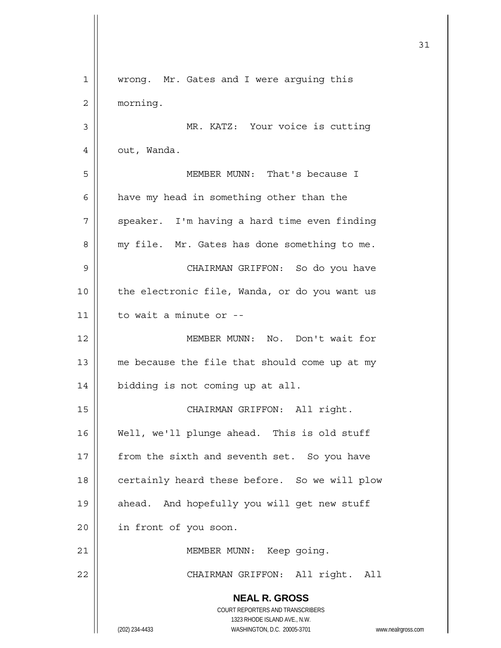|             | 31                                                                  |
|-------------|---------------------------------------------------------------------|
| $\mathbf 1$ | wrong. Mr. Gates and I were arguing this                            |
| 2           | morning.                                                            |
| 3           | MR. KATZ: Your voice is cutting                                     |
| 4           | out, Wanda.                                                         |
| 5           | MEMBER MUNN: That's because I                                       |
| 6           | have my head in something other than the                            |
| 7           | speaker. I'm having a hard time even finding                        |
| 8           | my file. Mr. Gates has done something to me.                        |
| 9           | CHAIRMAN GRIFFON: So do you have                                    |
| 10          | the electronic file, Wanda, or do you want us                       |
| 11          | to wait a minute or --                                              |
| 12          | MEMBER MUNN: No. Don't wait for                                     |
| 13          | me because the file that should come up at my                       |
| 14          | bidding is not coming up at all.                                    |
| 15          | CHAIRMAN GRIFFON: All right.                                        |
| 16          | Well, we'll plunge ahead. This is old stuff                         |
| 17          | from the sixth and seventh set. So you have                         |
| 18          | certainly heard these before. So we will plow                       |
| 19          | ahead. And hopefully you will get new stuff                         |
| 20          | in front of you soon.                                               |
| 21          | MEMBER MUNN: Keep going.                                            |
| 22          | CHAIRMAN GRIFFON: All right. All                                    |
|             | <b>NEAL R. GROSS</b>                                                |
|             | COURT REPORTERS AND TRANSCRIBERS<br>1323 RHODE ISLAND AVE., N.W.    |
|             | (202) 234-4433<br>WASHINGTON, D.C. 20005-3701<br>www.nealrgross.com |

 $\parallel$ 

ealrgross.com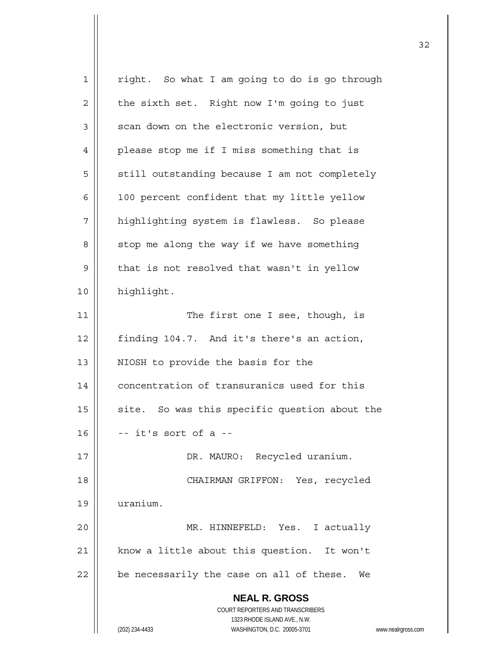| $\mathbf{1}$ | right. So what I am going to do is go through                       |
|--------------|---------------------------------------------------------------------|
| 2            | the sixth set. Right now I'm going to just                          |
| 3            | scan down on the electronic version, but                            |
| 4            | please stop me if I miss something that is                          |
| 5            | still outstanding because I am not completely                       |
| 6            | 100 percent confident that my little yellow                         |
| 7            | highlighting system is flawless. So please                          |
| 8            | stop me along the way if we have something                          |
| 9            | that is not resolved that wasn't in yellow                          |
| 10           | highlight.                                                          |
| 11           | The first one I see, though, is                                     |
| 12           | finding 104.7. And it's there's an action,                          |
| 13           | NIOSH to provide the basis for the                                  |
| 14           | concentration of transuranics used for this                         |
| 15           | site. So was this specific question about the                       |
| 16           | -- it's sort of a --                                                |
| 17           | DR. MAURO: Recycled uranium.                                        |
| 18           | CHAIRMAN GRIFFON: Yes, recycled                                     |
| 19           | uranium.                                                            |
| 20           | MR. HINNEFELD: Yes. I actually                                      |
| 21           | know a little about this question. It won't                         |
| 22           | be necessarily the case on all of these. We                         |
|              | <b>NEAL R. GROSS</b>                                                |
|              | <b>COURT REPORTERS AND TRANSCRIBERS</b>                             |
|              | 1323 RHODE ISLAND AVE., N.W.                                        |
|              | (202) 234-4433<br>WASHINGTON, D.C. 20005-3701<br>www.nealrgross.com |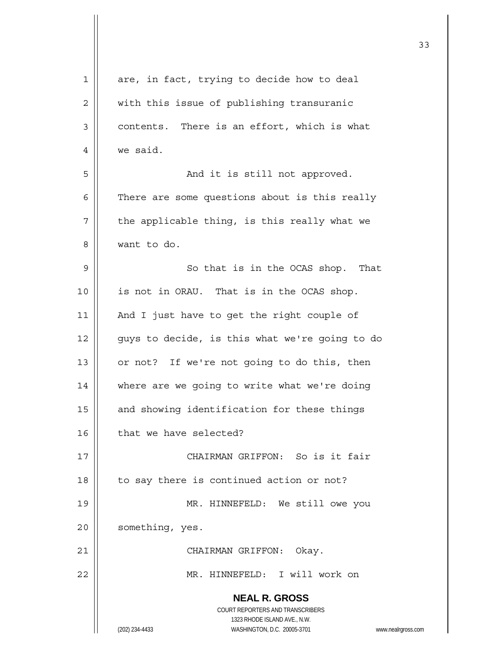|             |                                                                     | 33 |
|-------------|---------------------------------------------------------------------|----|
| $\mathbf 1$ | are, in fact, trying to decide how to deal                          |    |
| 2           | with this issue of publishing transuranic                           |    |
| 3           | contents. There is an effort, which is what                         |    |
| 4           | we said.                                                            |    |
| 5           | And it is still not approved.                                       |    |
| 6           | There are some questions about is this really                       |    |
| 7           | the applicable thing, is this really what we                        |    |
| 8           | want to do.                                                         |    |
| 9           | So that is in the OCAS shop. That                                   |    |
| 10          | is not in ORAU. That is in the OCAS shop.                           |    |
| 11          | And I just have to get the right couple of                          |    |
| 12          | guys to decide, is this what we're going to do                      |    |
| 13          | or not? If we're not going to do this, then                         |    |
| 14          | where are we going to write what we're doing                        |    |
| 15          | and showing identification for these things                         |    |
| 16          | that we have selected?                                              |    |
| 17          | CHAIRMAN GRIFFON: So is it fair                                     |    |
| 18          | to say there is continued action or not?                            |    |
| 19          | MR. HINNEFELD: We still owe you                                     |    |
| 20          | something, yes.                                                     |    |
| 21          | CHAIRMAN GRIFFON: Okay.                                             |    |
| 22          | MR. HINNEFELD: I will work on                                       |    |
|             | <b>NEAL R. GROSS</b>                                                |    |
|             | COURT REPORTERS AND TRANSCRIBERS<br>1323 RHODE ISLAND AVE., N.W.    |    |
|             | (202) 234-4433<br>WASHINGTON, D.C. 20005-3701<br>www.nealrgross.com |    |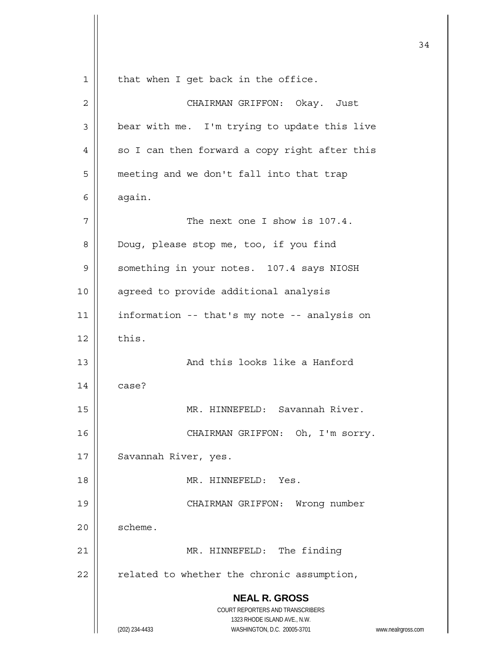|             |                                                                                                     | 34 |
|-------------|-----------------------------------------------------------------------------------------------------|----|
| $\mathbf 1$ | that when I get back in the office.                                                                 |    |
| 2           | CHAIRMAN GRIFFON: Okay. Just                                                                        |    |
| 3           | bear with me. I'm trying to update this live                                                        |    |
| 4           | so I can then forward a copy right after this                                                       |    |
| 5           | meeting and we don't fall into that trap                                                            |    |
| 6           | again.                                                                                              |    |
| 7           | The next one I show is 107.4.                                                                       |    |
| 8           | Doug, please stop me, too, if you find                                                              |    |
| 9           | something in your notes. 107.4 says NIOSH                                                           |    |
| 10          | agreed to provide additional analysis                                                               |    |
| 11          | information -- that's my note -- analysis on                                                        |    |
| 12          | this.                                                                                               |    |
| 13          | And this looks like a Hanford                                                                       |    |
| 14          | case?                                                                                               |    |
| 15          | Savannah River.<br>MR. HINNEFELD:                                                                   |    |
| 16          | CHAIRMAN GRIFFON: Oh, I'm sorry.                                                                    |    |
| 17          | Savannah River, yes.                                                                                |    |
| 18          | MR. HINNEFELD: Yes.                                                                                 |    |
| 19          | Wrong number<br>CHAIRMAN GRIFFON:                                                                   |    |
| 20          | scheme.                                                                                             |    |
| 21          | MR. HINNEFELD: The finding                                                                          |    |
| 22          | related to whether the chronic assumption,                                                          |    |
|             | <b>NEAL R. GROSS</b><br>COURT REPORTERS AND TRANSCRIBERS                                            |    |
|             | 1323 RHODE ISLAND AVE., N.W.<br>(202) 234-4433<br>WASHINGTON, D.C. 20005-3701<br>www.nealrgross.com |    |

 $\mathop{\textstyle\prod}$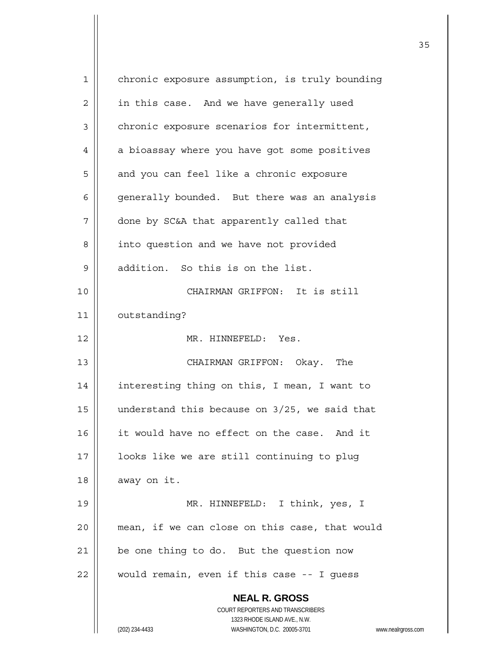| 1              | chronic exposure assumption, is truly bounding                      |
|----------------|---------------------------------------------------------------------|
| 2              | in this case. And we have generally used                            |
| $\mathfrak{Z}$ | chronic exposure scenarios for intermittent,                        |
| 4              | a bioassay where you have got some positives                        |
| 5              | and you can feel like a chronic exposure                            |
| 6              | generally bounded. But there was an analysis                        |
| 7              | done by SC&A that apparently called that                            |
| 8              | into question and we have not provided                              |
| 9              | addition. So this is on the list.                                   |
| 10             | CHAIRMAN GRIFFON: It is still                                       |
| 11             | outstanding?                                                        |
| 12             | MR. HINNEFELD: Yes.                                                 |
| 13             | CHAIRMAN GRIFFON: Okay. The                                         |
| 14             | interesting thing on this, I mean, I want to                        |
| 15             | understand this because on 3/25, we said that                       |
| 16             | it would have no effect on the case. And it                         |
| 17             | looks like we are still continuing to plug                          |
| 18             | away on it.                                                         |
| 19             | MR. HINNEFELD: I think, yes, I                                      |
| 20             | mean, if we can close on this case, that would                      |
| 21             | be one thing to do. But the question now                            |
| 22             | would remain, even if this case -- I guess                          |
|                | <b>NEAL R. GROSS</b>                                                |
|                | COURT REPORTERS AND TRANSCRIBERS                                    |
|                | 1323 RHODE ISLAND AVE., N.W.                                        |
|                | (202) 234-4433<br>WASHINGTON, D.C. 20005-3701<br>www.nealrgross.com |

<u>35</u>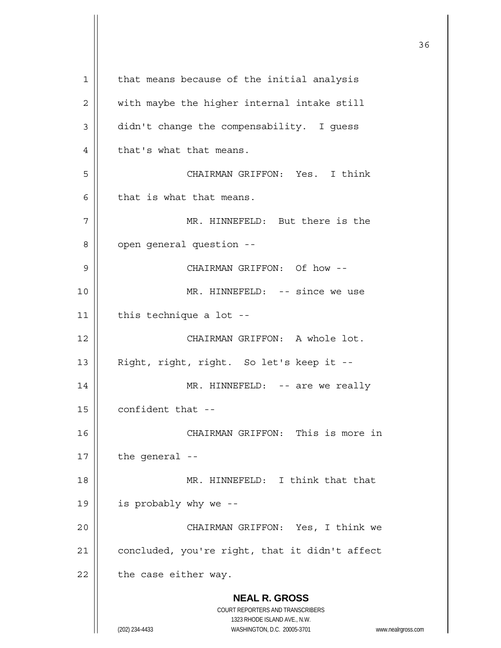| 1  | that means because of the initial analysis                                                          |
|----|-----------------------------------------------------------------------------------------------------|
| 2  | with maybe the higher internal intake still                                                         |
| 3  | didn't change the compensability. I guess                                                           |
| 4  | that's what that means.                                                                             |
| 5  | CHAIRMAN GRIFFON: Yes. I think                                                                      |
| 6  | that is what that means.                                                                            |
| 7  | MR. HINNEFELD: But there is the                                                                     |
| 8  | open general question --                                                                            |
| 9  | CHAIRMAN GRIFFON: Of how --                                                                         |
| 10 | MR. HINNEFELD: -- since we use                                                                      |
| 11 | this technique a lot --                                                                             |
| 12 | CHAIRMAN GRIFFON: A whole lot.                                                                      |
| 13 | Right, right, right. So let's keep it --                                                            |
| 14 | MR. HINNEFELD: -- are we really                                                                     |
| 15 | confident that --                                                                                   |
| 16 | CHAIRMAN GRIFFON: This is more in                                                                   |
| 17 | the general --                                                                                      |
| 18 | MR. HINNEFELD: I think that that                                                                    |
| 19 | is probably why we --                                                                               |
| 20 | CHAIRMAN GRIFFON: Yes, I think we                                                                   |
| 21 | concluded, you're right, that it didn't affect                                                      |
| 22 | the case either way.                                                                                |
|    | <b>NEAL R. GROSS</b>                                                                                |
|    | COURT REPORTERS AND TRANSCRIBERS                                                                    |
|    | 1323 RHODE ISLAND AVE., N.W.<br>(202) 234-4433<br>WASHINGTON, D.C. 20005-3701<br>www.nealrgross.com |
|    |                                                                                                     |

<u>36 and 2012</u>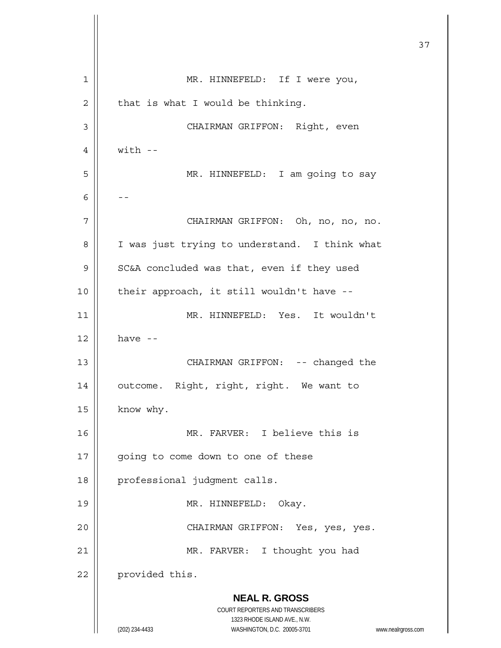**NEAL R. GROSS** COURT REPORTERS AND TRANSCRIBERS 1323 RHODE ISLAND AVE., N.W. (202) 234-4433 WASHINGTON, D.C. 20005-3701 www.nealrgross.com 37 1 2 3 4 5 6 7 8 9 10 11 12 13 14 15 16 17 18 19 20 21 22 MR. HINNEFELD: If I were you, that is what I would be thinking. CHAIRMAN GRIFFON: Right, even with -- MR. HINNEFELD: I am going to say -- CHAIRMAN GRIFFON: Oh, no, no, no. I was just trying to understand. I think what SC&A concluded was that, even if they used their approach, it still wouldn't have -- MR. HINNEFELD: Yes. It wouldn't have -- CHAIRMAN GRIFFON: -- changed the outcome. Right, right, right. We want to know why. MR. FARVER: I believe this is going to come down to one of these professional judgment calls. MR. HINNEFELD: Okay. CHAIRMAN GRIFFON: Yes, yes, yes. MR. FARVER: I thought you had provided this.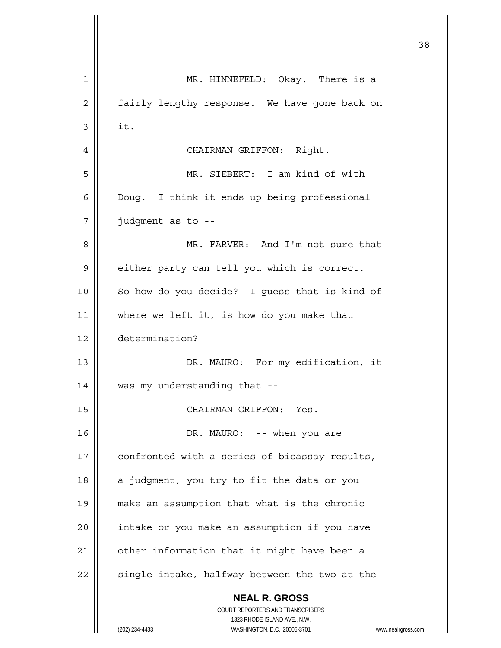|    | 38                                                                  |
|----|---------------------------------------------------------------------|
| 1  | MR. HINNEFELD: Okay. There is a                                     |
| 2  | fairly lengthy response. We have gone back on                       |
| 3  | it.                                                                 |
| 4  | CHAIRMAN GRIFFON: Right.                                            |
| 5  | MR. SIEBERT: I am kind of with                                      |
| 6  | Doug. I think it ends up being professional                         |
| 7  | judgment as to --                                                   |
| 8  | MR. FARVER: And I'm not sure that                                   |
| 9  | either party can tell you which is correct.                         |
| 10 | So how do you decide? I guess that is kind of                       |
| 11 | where we left it, is how do you make that                           |
| 12 | determination?                                                      |
| 13 | DR. MAURO: For my edification, it                                   |
| 14 | was my understanding that --                                        |
| 15 | CHAIRMAN GRIFFON: Yes.                                              |
| 16 | DR. MAURO: -- when you are                                          |
| 17 | confronted with a series of bioassay results,                       |
| 18 | a judgment, you try to fit the data or you                          |
| 19 | make an assumption that what is the chronic                         |
| 20 | intake or you make an assumption if you have                        |
| 21 | other information that it might have been a                         |
| 22 | single intake, halfway between the two at the                       |
|    | <b>NEAL R. GROSS</b><br>COURT REPORTERS AND TRANSCRIBERS            |
|    | 1323 RHODE ISLAND AVE., N.W.                                        |
|    | (202) 234-4433<br>WASHINGTON, D.C. 20005-3701<br>www.nealrgross.com |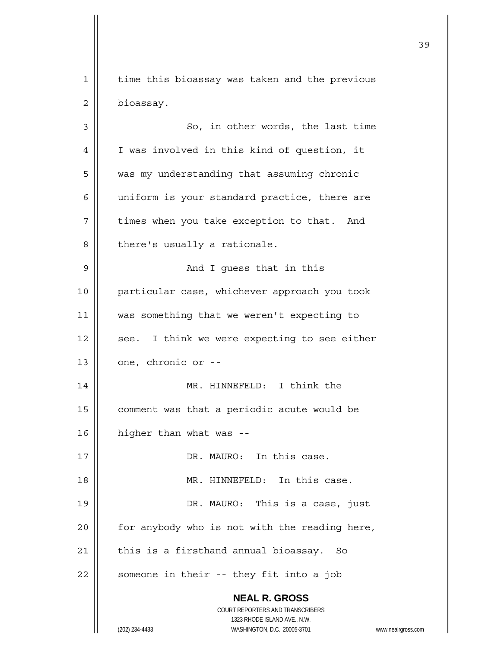**NEAL R. GROSS** COURT REPORTERS AND TRANSCRIBERS 1323 RHODE ISLAND AVE., N.W. (202) 234-4433 WASHINGTON, D.C. 20005-3701 www.nealrgross.com 1 2 3 4 5 6 7 8 9 10 11 12 13 14 15 16 17 18 19 20 21 22 time this bioassay was taken and the previous bioassay. So, in other words, the last time I was involved in this kind of question, it was my understanding that assuming chronic uniform is your standard practice, there are times when you take exception to that. And there's usually a rationale. And I guess that in this particular case, whichever approach you took was something that we weren't expecting to see. I think we were expecting to see either one, chronic or -- MR. HINNEFELD: I think the comment was that a periodic acute would be higher than what was -- DR. MAURO: In this case. MR. HINNEFELD: In this case. DR. MAURO: This is a case, just for anybody who is not with the reading here, this is a firsthand annual bioassay. So someone in their -- they fit into a job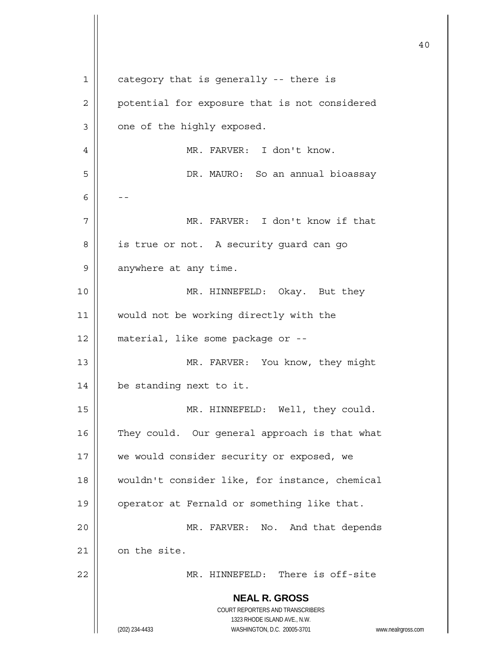**NEAL R. GROSS** COURT REPORTERS AND TRANSCRIBERS 1323 RHODE ISLAND AVE., N.W. (202) 234-4433 WASHINGTON, D.C. 20005-3701 www.nealrgross.com 1 2 3 4 5 6 7 8 9 10 11 12 13 14 15 16 17 18 19 20 21 22 category that is generally -- there is potential for exposure that is not considered one of the highly exposed. MR. FARVER: I don't know. DR. MAURO: So an annual bioassay -- MR. FARVER: I don't know if that is true or not. A security guard can go anywhere at any time. MR. HINNEFELD: Okay. But they would not be working directly with the material, like some package or -- MR. FARVER: You know, they might be standing next to it. MR. HINNEFELD: Well, they could. They could. Our general approach is that what we would consider security or exposed, we wouldn't consider like, for instance, chemical operator at Fernald or something like that. MR. FARVER: No. And that depends on the site. MR. HINNEFELD: There is off-site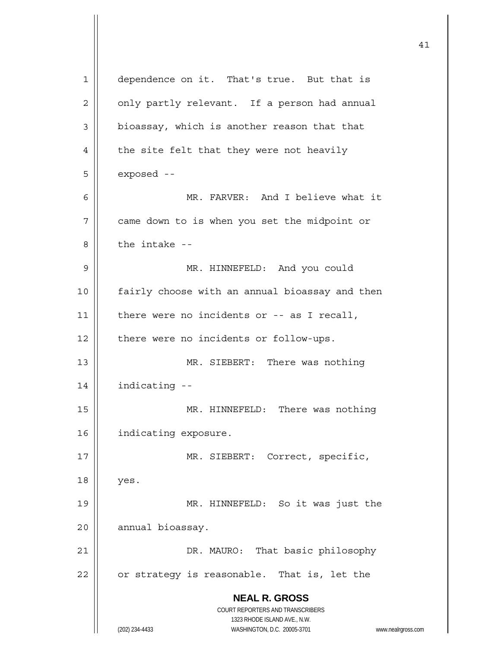| $\mathbf 1$ | dependence on it. That's true. But that is                                                          |
|-------------|-----------------------------------------------------------------------------------------------------|
| 2           | only partly relevant. If a person had annual                                                        |
| 3           | bioassay, which is another reason that that                                                         |
| 4           | the site felt that they were not heavily                                                            |
| 5           | exposed --                                                                                          |
| 6           | MR. FARVER: And I believe what it                                                                   |
| 7           | came down to is when you set the midpoint or                                                        |
| 8           | the intake --                                                                                       |
| 9           | MR. HINNEFELD: And you could                                                                        |
| 10          | fairly choose with an annual bioassay and then                                                      |
| 11          | there were no incidents or -- as I recall,                                                          |
| 12          | there were no incidents or follow-ups.                                                              |
| 13          | MR. SIEBERT: There was nothing                                                                      |
| 14          | indicating --                                                                                       |
| 15          | MR. HINNEFELD: There was nothing                                                                    |
| 16          | indicating exposure.                                                                                |
| 17          | MR. SIEBERT: Correct, specific,                                                                     |
| 18          | yes.                                                                                                |
| 19          | MR. HINNEFELD: So it was just the                                                                   |
| 20          | annual bioassay.                                                                                    |
| 21          | DR. MAURO: That basic philosophy                                                                    |
| 22          | or strategy is reasonable. That is, let the                                                         |
|             | <b>NEAL R. GROSS</b>                                                                                |
|             | COURT REPORTERS AND TRANSCRIBERS                                                                    |
|             | 1323 RHODE ISLAND AVE., N.W.<br>WASHINGTON, D.C. 20005-3701<br>(202) 234-4433<br>www.nealrgross.com |
|             |                                                                                                     |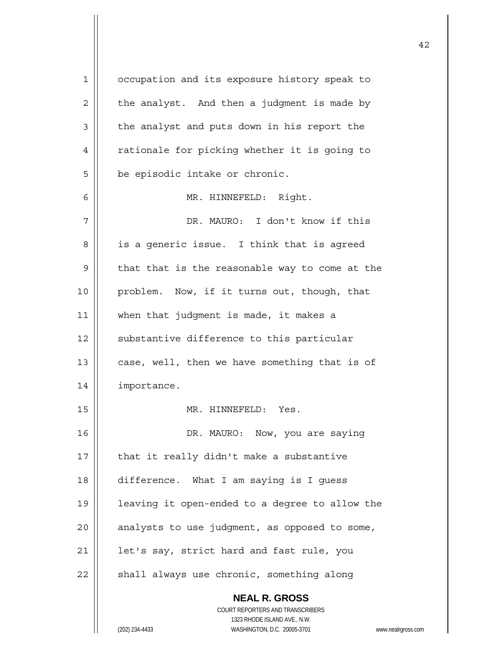**NEAL R. GROSS** COURT REPORTERS AND TRANSCRIBERS 1323 RHODE ISLAND AVE., N.W. 1 2 3 4 5 6 7 8 9 10 11 12 13 14 15 16 17 18 19 20 21 22 occupation and its exposure history speak to the analyst. And then a judgment is made by the analyst and puts down in his report the rationale for picking whether it is going to be episodic intake or chronic. MR. HINNEFELD: Right. DR. MAURO: I don't know if this is a generic issue. I think that is agreed that that is the reasonable way to come at the problem. Now, if it turns out, though, that when that judgment is made, it makes a substantive difference to this particular case, well, then we have something that is of importance. MR. HINNEFELD: Yes. DR. MAURO: Now, you are saying that it really didn't make a substantive difference. What I am saying is I guess leaving it open-ended to a degree to allow the analysts to use judgment, as opposed to some, let's say, strict hard and fast rule, you shall always use chronic, something along

42

(202) 234-4433 WASHINGTON, D.C. 20005-3701 www.nealrgross.com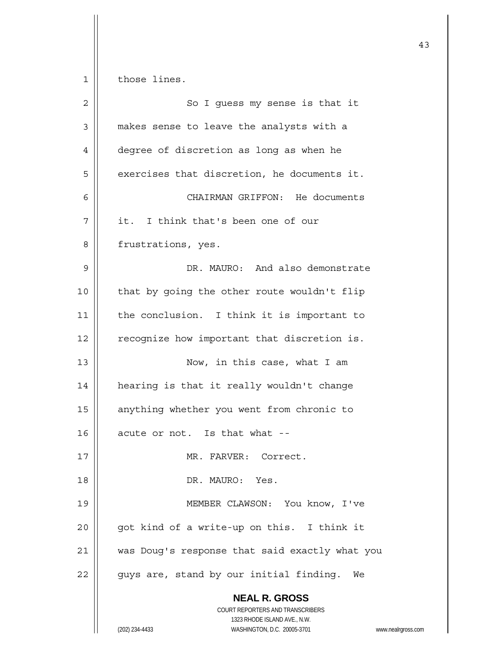1 those lines.

| 2  | So I guess my sense is that it                                                                                                                                  |
|----|-----------------------------------------------------------------------------------------------------------------------------------------------------------------|
| 3  | makes sense to leave the analysts with a                                                                                                                        |
| 4  | degree of discretion as long as when he                                                                                                                         |
| 5  | exercises that discretion, he documents it.                                                                                                                     |
| 6  | CHAIRMAN GRIFFON: He documents                                                                                                                                  |
| 7  | it. I think that's been one of our                                                                                                                              |
| 8  | frustrations, yes.                                                                                                                                              |
| 9  | DR. MAURO: And also demonstrate                                                                                                                                 |
| 10 | that by going the other route wouldn't flip                                                                                                                     |
| 11 | the conclusion. I think it is important to                                                                                                                      |
| 12 | recognize how important that discretion is.                                                                                                                     |
| 13 | Now, in this case, what I am                                                                                                                                    |
| 14 | hearing is that it really wouldn't change                                                                                                                       |
| 15 | anything whether you went from chronic to                                                                                                                       |
| 16 | acute or not. Is that what --                                                                                                                                   |
| 17 | MR.<br>FARVER: Correct                                                                                                                                          |
| 18 | DR. MAURO: Yes.                                                                                                                                                 |
| 19 | MEMBER CLAWSON: You know, I've                                                                                                                                  |
| 20 | got kind of a write-up on this. I think it                                                                                                                      |
| 21 | was Doug's response that said exactly what you                                                                                                                  |
| 22 | guys are, stand by our initial finding.<br>We                                                                                                                   |
|    | <b>NEAL R. GROSS</b><br>COURT REPORTERS AND TRANSCRIBERS<br>1323 RHODE ISLAND AVE., N.W.<br>(202) 234-4433<br>WASHINGTON, D.C. 20005-3701<br>www.nealrgross.com |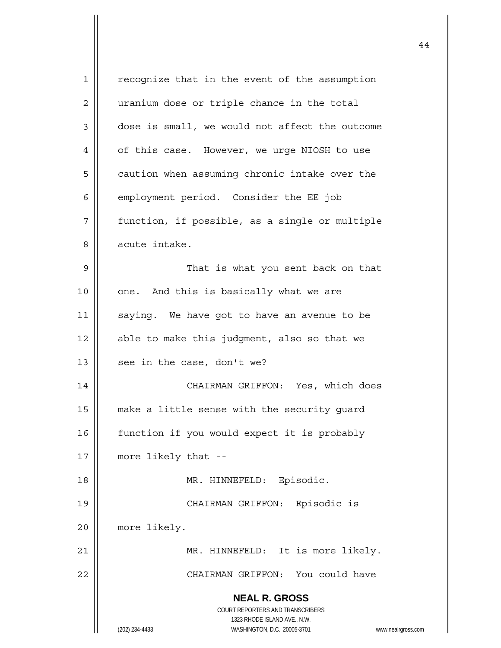| $\mathbf 1$ | recognize that in the event of the assumption                       |
|-------------|---------------------------------------------------------------------|
| 2           | uranium dose or triple chance in the total                          |
| 3           | dose is small, we would not affect the outcome                      |
| 4           | of this case. However, we urge NIOSH to use                         |
| 5           | caution when assuming chronic intake over the                       |
| 6           | employment period. Consider the EE job                              |
| 7           | function, if possible, as a single or multiple                      |
| 8           | acute intake.                                                       |
| $\mathsf 9$ | That is what you sent back on that                                  |
| 10          | one. And this is basically what we are                              |
| 11          | saying. We have got to have an avenue to be                         |
| 12          | able to make this judgment, also so that we                         |
| 13          | see in the case, don't we?                                          |
| 14          | CHAIRMAN GRIFFON: Yes, which does                                   |
| 15          | make a little sense with the security guard                         |
| 16          | function if you would expect it is probably                         |
| 17          | more likely that --                                                 |
| 18          | MR. HINNEFELD: Episodic.                                            |
| 19          | CHAIRMAN GRIFFON: Episodic is                                       |
| 20          | more likely.                                                        |
| 21          | MR. HINNEFELD: It is more likely.                                   |
| 22          | CHAIRMAN GRIFFON: You could have                                    |
|             | <b>NEAL R. GROSS</b>                                                |
|             | COURT REPORTERS AND TRANSCRIBERS                                    |
|             | 1323 RHODE ISLAND AVE., N.W.                                        |
|             | (202) 234-4433<br>WASHINGTON, D.C. 20005-3701<br>www.nealrgross.com |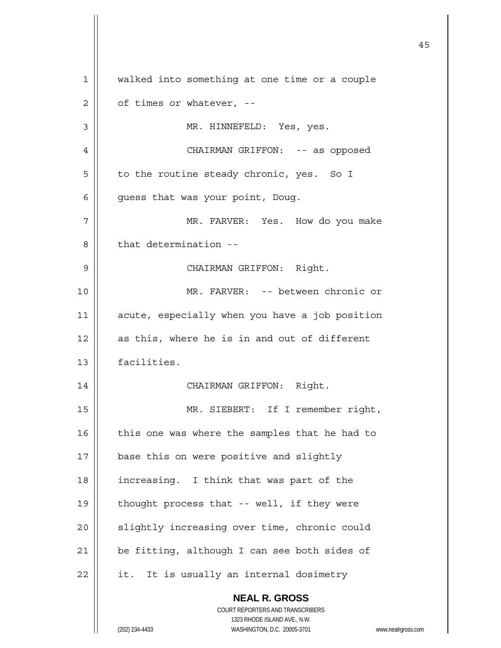**NEAL R. GROSS** COURT REPORTERS AND TRANSCRIBERS 1323 RHODE ISLAND AVE., N.W. (202) 234-4433 WASHINGTON, D.C. 20005-3701 www.nealrgross.com 45 1 2 3 4 5 6 7 8 9 10 11 12 13 14 15 16 17 18 19 20 21 22 walked into something at one time or a couple of times or whatever, -- MR. HINNEFELD: Yes, yes. CHAIRMAN GRIFFON: -- as opposed to the routine steady chronic, yes. So I guess that was your point, Doug. MR. FARVER: Yes. How do you make that determination -- CHAIRMAN GRIFFON: Right. MR. FARVER: -- between chronic or acute, especially when you have a job position as this, where he is in and out of different facilities. CHAIRMAN GRIFFON: Right. MR. SIEBERT: If I remember right, this one was where the samples that he had to base this on were positive and slightly increasing. I think that was part of the thought process that -- well, if they were slightly increasing over time, chronic could be fitting, although I can see both sides of it. It is usually an internal dosimetry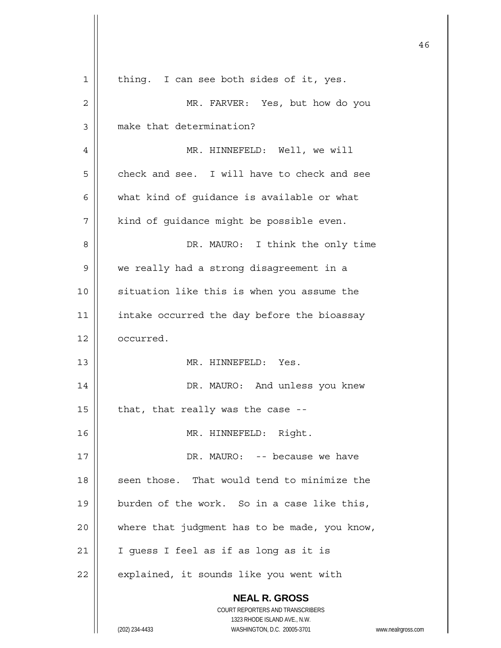|    |                                                                                                     | 46 |
|----|-----------------------------------------------------------------------------------------------------|----|
| 1  | thing. I can see both sides of it, yes.                                                             |    |
| 2  | MR. FARVER: Yes, but how do you                                                                     |    |
| 3  | make that determination?                                                                            |    |
| 4  | MR. HINNEFELD: Well, we will                                                                        |    |
| 5  | check and see. I will have to check and see                                                         |    |
| 6  | what kind of guidance is available or what                                                          |    |
| 7  | kind of guidance might be possible even.                                                            |    |
| 8  | DR. MAURO: I think the only time                                                                    |    |
| 9  | we really had a strong disagreement in a                                                            |    |
| 10 | situation like this is when you assume the                                                          |    |
| 11 | intake occurred the day before the bioassay                                                         |    |
| 12 | occurred.                                                                                           |    |
| 13 | MR. HINNEFELD: Yes.                                                                                 |    |
| 14 | DR. MAURO: And unless you knew                                                                      |    |
| 15 | that, that really was the case --                                                                   |    |
| 16 | MR. HINNEFELD: Right.                                                                               |    |
| 17 | DR. MAURO: -- because we have                                                                       |    |
| 18 | seen those. That would tend to minimize the                                                         |    |
| 19 | burden of the work. So in a case like this,                                                         |    |
| 20 | where that judgment has to be made, you know,                                                       |    |
| 21 | I guess I feel as if as long as it is                                                               |    |
| 22 | explained, it sounds like you went with                                                             |    |
|    | <b>NEAL R. GROSS</b><br>COURT REPORTERS AND TRANSCRIBERS                                            |    |
|    | 1323 RHODE ISLAND AVE., N.W.<br>(202) 234-4433<br>WASHINGTON, D.C. 20005-3701<br>www.nealrgross.com |    |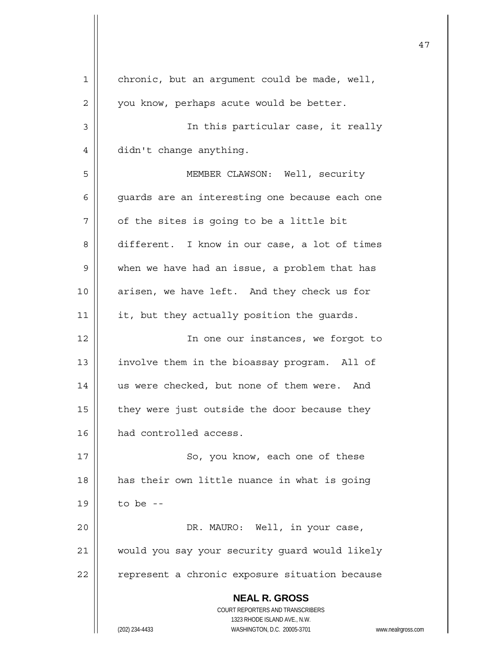| $\mathbf 1$ | chronic, but an argument could be made, well,                           |
|-------------|-------------------------------------------------------------------------|
| 2           | you know, perhaps acute would be better.                                |
| 3           | In this particular case, it really                                      |
| 4           | didn't change anything.                                                 |
| 5           | MEMBER CLAWSON: Well, security                                          |
| 6           | guards are an interesting one because each one                          |
| 7           | of the sites is going to be a little bit                                |
| 8           | different. I know in our case, a lot of times                           |
| 9           | when we have had an issue, a problem that has                           |
| 10          | arisen, we have left. And they check us for                             |
| 11          | it, but they actually position the quards.                              |
| 12          | In one our instances, we forgot to                                      |
| 13          | involve them in the bioassay program. All of                            |
| 14          | us were checked, but none of them were. And                             |
| 15          | they were just outside the door because they                            |
| 16          | had controlled access.                                                  |
| 17          | So, you know, each one of these                                         |
| 18          | has their own little nuance in what is going                            |
| 19          | to be $-$                                                               |
| 20          | DR. MAURO: Well, in your case,                                          |
| 21          | would you say your security guard would likely                          |
| 22          | represent a chronic exposure situation because                          |
|             | <b>NEAL R. GROSS</b>                                                    |
|             | <b>COURT REPORTERS AND TRANSCRIBERS</b><br>1323 RHODE ISLAND AVE., N.W. |
|             | (202) 234-4433<br>WASHINGTON, D.C. 20005-3701<br>www.nealrgross.com     |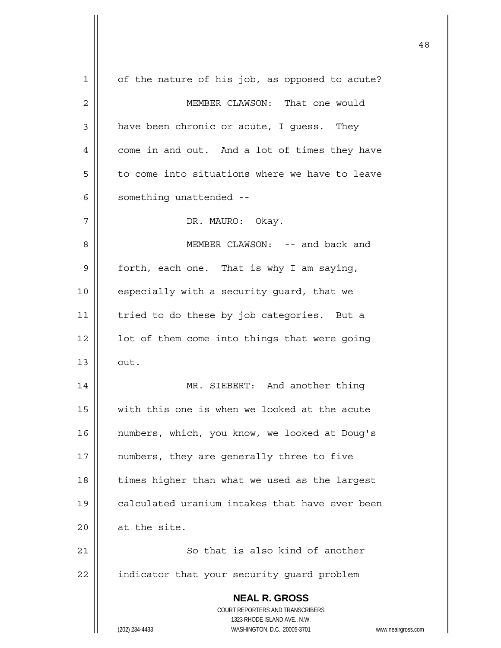| $1\,$          | of the nature of his job, as opposed to acute?                      |
|----------------|---------------------------------------------------------------------|
| 2              | MEMBER CLAWSON: That one would                                      |
| 3              | have been chronic or acute, I guess. They                           |
| $\overline{4}$ | come in and out. And a lot of times they have                       |
| 5              | to come into situations where we have to leave                      |
| 6              | something unattended --                                             |
| 7              | DR. MAURO: Okay.                                                    |
| 8              | MEMBER CLAWSON: -- and back and                                     |
| 9              | forth, each one. That is why I am saying,                           |
| 10             | especially with a security quard, that we                           |
| 11             | tried to do these by job categories. But a                          |
| 12             | lot of them come into things that were going                        |
| 13             | out.                                                                |
| 14             | MR. SIEBERT: And another thing                                      |
| 15             | with this one is when we looked at the acute                        |
| 16             | numbers, which, you know, we looked at Douq's                       |
| 17             | numbers, they are generally three to five                           |
| 18             | times higher than what we used as the largest                       |
| 19             | calculated uranium intakes that have ever been                      |
| 20             | at the site.                                                        |
| 21             | So that is also kind of another                                     |
| 22             | indicator that your security guard problem                          |
|                | <b>NEAL R. GROSS</b>                                                |
|                | COURT REPORTERS AND TRANSCRIBERS                                    |
|                | 1323 RHODE ISLAND AVE., N.W.                                        |
|                | (202) 234-4433<br>WASHINGTON, D.C. 20005-3701<br>www.nealrgross.com |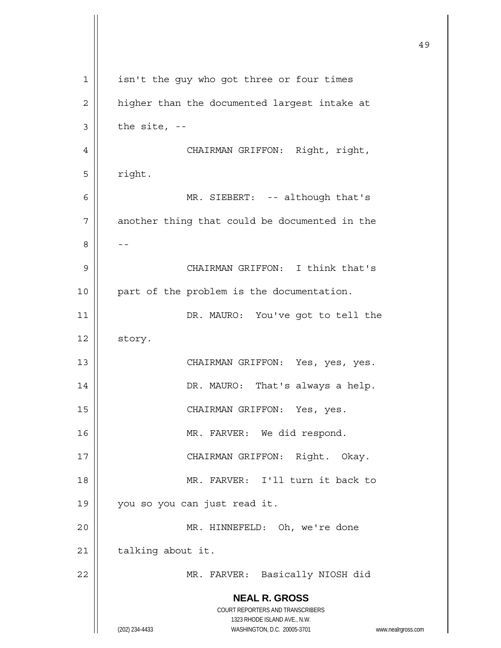|    |                                                                                                     | 49 |
|----|-----------------------------------------------------------------------------------------------------|----|
| 1  | isn't the guy who got three or four times                                                           |    |
| 2  | higher than the documented largest intake at                                                        |    |
| 3  | the site, $-$                                                                                       |    |
| 4  | CHAIRMAN GRIFFON: Right, right,                                                                     |    |
| 5  | right.                                                                                              |    |
| 6  | MR. SIEBERT: -- although that's                                                                     |    |
| 7  | another thing that could be documented in the                                                       |    |
| 8  |                                                                                                     |    |
| 9  | CHAIRMAN GRIFFON: I think that's                                                                    |    |
| 10 | part of the problem is the documentation.                                                           |    |
| 11 | DR. MAURO: You've got to tell the                                                                   |    |
| 12 | story.                                                                                              |    |
| 13 | CHAIRMAN GRIFFON: Yes, yes, yes.                                                                    |    |
| 14 | DR. MAURO: That's always a help.                                                                    |    |
| 15 | CHAIRMAN GRIFFON: Yes, yes.                                                                         |    |
| 16 | MR. FARVER: We did respond.                                                                         |    |
| 17 | CHAIRMAN GRIFFON: Right. Okay.                                                                      |    |
| 18 | MR. FARVER: I'll turn it back to                                                                    |    |
| 19 | you so you can just read it.                                                                        |    |
| 20 | MR. HINNEFELD: Oh, we're done                                                                       |    |
| 21 | talking about it.                                                                                   |    |
| 22 | MR. FARVER: Basically NIOSH did                                                                     |    |
|    | <b>NEAL R. GROSS</b><br>COURT REPORTERS AND TRANSCRIBERS                                            |    |
|    | 1323 RHODE ISLAND AVE., N.W.<br>(202) 234-4433<br>WASHINGTON, D.C. 20005-3701<br>www.nealrgross.com |    |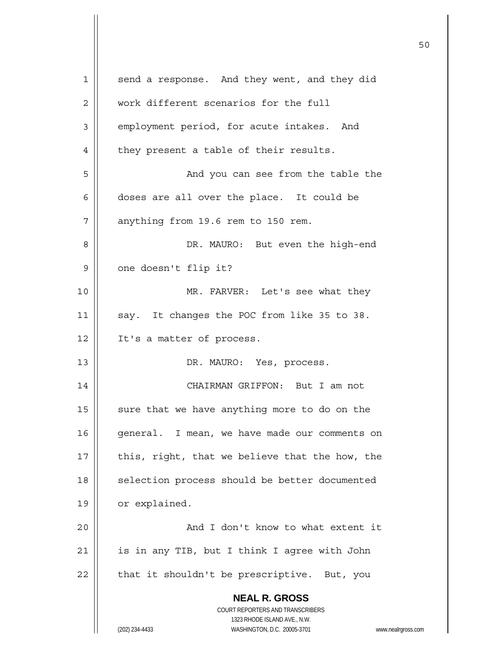| $\mathbf 1$    | send a response. And they went, and they did                                                        |
|----------------|-----------------------------------------------------------------------------------------------------|
| $\overline{2}$ | work different scenarios for the full                                                               |
| 3              | employment period, for acute intakes. And                                                           |
| 4              | they present a table of their results.                                                              |
| 5              | And you can see from the table the                                                                  |
| 6              | doses are all over the place. It could be                                                           |
| 7              | anything from 19.6 rem to 150 rem.                                                                  |
| 8              | DR. MAURO: But even the high-end                                                                    |
| 9              | one doesn't flip it?                                                                                |
| 10             | MR. FARVER: Let's see what they                                                                     |
| 11             | say. It changes the POC from like 35 to 38.                                                         |
| 12             | It's a matter of process.                                                                           |
| 13             | DR. MAURO: Yes, process.                                                                            |
| 14             | CHAIRMAN GRIFFON: But I am not                                                                      |
| 15             | sure that we have anything more to do on the                                                        |
| 16             | general. I mean, we have made our comments on                                                       |
| 17             | this, right, that we believe that the how, the                                                      |
| 18             | selection process should be better documented                                                       |
| 19             | or explained.                                                                                       |
| 20             | And I don't know to what extent it                                                                  |
| 21             | is in any TIB, but I think I agree with John                                                        |
| 22             | that it shouldn't be prescriptive. But, you                                                         |
|                | <b>NEAL R. GROSS</b>                                                                                |
|                | COURT REPORTERS AND TRANSCRIBERS                                                                    |
|                | 1323 RHODE ISLAND AVE., N.W.<br>(202) 234-4433<br>WASHINGTON, D.C. 20005-3701<br>www.nealrgross.com |
|                |                                                                                                     |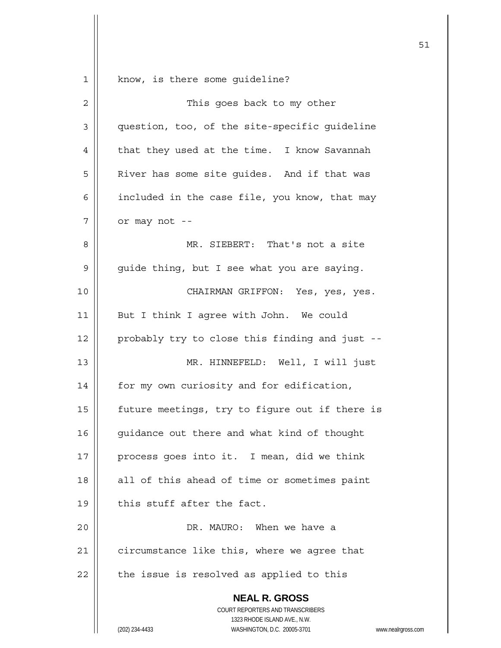|             | 51                                                                                       |  |
|-------------|------------------------------------------------------------------------------------------|--|
| $\mathbf 1$ | know, is there some guideline?                                                           |  |
| 2           | This goes back to my other                                                               |  |
| 3           | question, too, of the site-specific guideline                                            |  |
| 4           | that they used at the time. I know Savannah                                              |  |
| 5           | River has some site guides. And if that was                                              |  |
| 6           | included in the case file, you know, that may                                            |  |
| 7           | or may not --                                                                            |  |
| 8           | MR. SIEBERT: That's not a site                                                           |  |
| 9           | guide thing, but I see what you are saying.                                              |  |
| 10          | CHAIRMAN GRIFFON: Yes, yes, yes.                                                         |  |
| 11          | But I think I agree with John. We could                                                  |  |
| 12          | probably try to close this finding and just --                                           |  |
| 13          | MR. HINNEFELD: Well, I will just                                                         |  |
| 14          | for my own curiosity and for edification,                                                |  |
| 15          | future meetings, try to figure out if there is                                           |  |
| 16          | guidance out there and what kind of thought                                              |  |
| 17          | process goes into it. I mean, did we think                                               |  |
| 18          | all of this ahead of time or sometimes paint                                             |  |
| 19          | this stuff after the fact.                                                               |  |
| 20          | DR. MAURO: When we have a                                                                |  |
| 21          | circumstance like this, where we agree that                                              |  |
| 22          | the issue is resolved as applied to this                                                 |  |
|             | <b>NEAL R. GROSS</b><br>COURT REPORTERS AND TRANSCRIBERS<br>1323 RHODE ISLAND AVE., N.W. |  |
|             | (202) 234-4433<br>WASHINGTON, D.C. 20005-3701<br>www.nealrgross.com                      |  |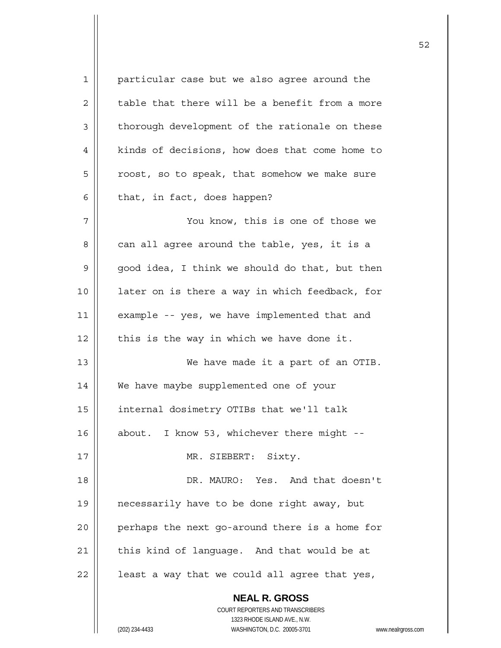| $\mathbf 1$    | particular case but we also agree around the             |
|----------------|----------------------------------------------------------|
| 2              | table that there will be a benefit from a more           |
| 3              | thorough development of the rationale on these           |
| $\overline{4}$ | kinds of decisions, how does that come home to           |
| 5              | roost, so to speak, that somehow we make sure            |
| 6              | that, in fact, does happen?                              |
| 7              | You know, this is one of those we                        |
| 8              | can all agree around the table, yes, it is a             |
| 9              | good idea, I think we should do that, but then           |
| 10             | later on is there a way in which feedback, for           |
| 11             | example -- yes, we have implemented that and             |
| 12             | this is the way in which we have done it.                |
| 13             | We have made it a part of an OTIB.                       |
| 14             | We have maybe supplemented one of your                   |
| 15             | internal dosimetry OTIBs that we'll talk                 |
| 16             | about. I know 53, whichever there might                  |
| 17             | MR. SIEBERT: Sixty.                                      |
| 18             | DR. MAURO: Yes. And that doesn't                         |
| 19             | necessarily have to be done right away, but              |
| 20             | perhaps the next go-around there is a home for           |
| 21             | this kind of language. And that would be at              |
| 22             | least a way that we could all agree that yes,            |
|                | <b>NEAL R. GROSS</b><br>COURT REPORTERS AND TRANSCRIBERS |
|                | 1323 RHODE ISLAND AVE., N.W.                             |
|                | (202) 234-4433<br>WASHINGTON, D.C. 20005-3701<br>www.ne  |

(202) 234-4433 WASHINGTON, D.C. 20005-3701 www.nealrgross.com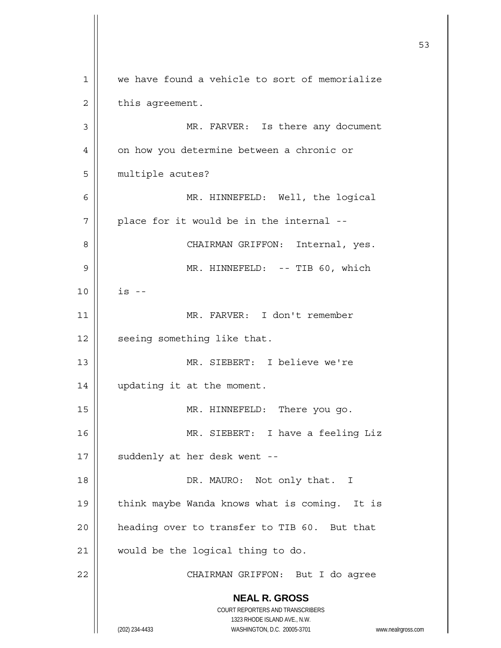**NEAL R. GROSS** COURT REPORTERS AND TRANSCRIBERS 1323 RHODE ISLAND AVE., N.W. (202) 234-4433 WASHINGTON, D.C. 20005-3701 www.nealrgross.com  $\sim$  53 1 2 3 4 5 6 7 8 9 10 11 12 13 14 15 16 17 18 19 20 21 22 we have found a vehicle to sort of memorialize this agreement. MR. FARVER: Is there any document on how you determine between a chronic or multiple acutes? MR. HINNEFELD: Well, the logical place for it would be in the internal -- CHAIRMAN GRIFFON: Internal, yes. MR. HINNEFELD: -- TIB 60, which is -- MR. FARVER: I don't remember seeing something like that. MR. SIEBERT: I believe we're updating it at the moment. MR. HINNEFELD: There you go. MR. SIEBERT: I have a feeling Liz suddenly at her desk went -- DR. MAURO: Not only that. I think maybe Wanda knows what is coming. It is heading over to transfer to TIB 60. But that would be the logical thing to do. CHAIRMAN GRIFFON: But I do agree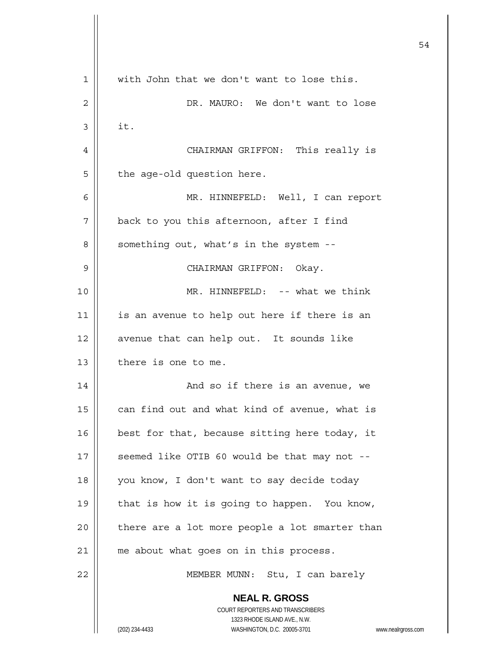|    | 54                                                                  |
|----|---------------------------------------------------------------------|
| 1  | with John that we don't want to lose this.                          |
| 2  | DR. MAURO: We don't want to lose                                    |
| 3  | it.                                                                 |
| 4  | CHAIRMAN GRIFFON: This really is                                    |
| 5  | the age-old question here.                                          |
| 6  | MR. HINNEFELD: Well, I can report                                   |
| 7  | back to you this afternoon, after I find                            |
| 8  | something out, what's in the system --                              |
| 9  | CHAIRMAN GRIFFON: Okay.                                             |
| 10 | MR. HINNEFELD: -- what we think                                     |
| 11 | is an avenue to help out here if there is an                        |
| 12 | avenue that can help out. It sounds like                            |
| 13 | there is one to me.                                                 |
| 14 | And so if there is an avenue, we                                    |
| 15 | can find out and what kind of avenue, what is                       |
| 16 | best for that, because sitting here today, it                       |
| 17 | seemed like OTIB 60 would be that may not --                        |
| 18 | you know, I don't want to say decide today                          |
| 19 | that is how it is going to happen. You know,                        |
| 20 | there are a lot more people a lot smarter than                      |
| 21 | me about what goes on in this process.                              |
| 22 | MEMBER MUNN: Stu, I can barely                                      |
|    | <b>NEAL R. GROSS</b><br>COURT REPORTERS AND TRANSCRIBERS            |
|    | 1323 RHODE ISLAND AVE., N.W.                                        |
|    | (202) 234-4433<br>WASHINGTON, D.C. 20005-3701<br>www.nealrgross.com |

 $\overline{\phantom{a}}$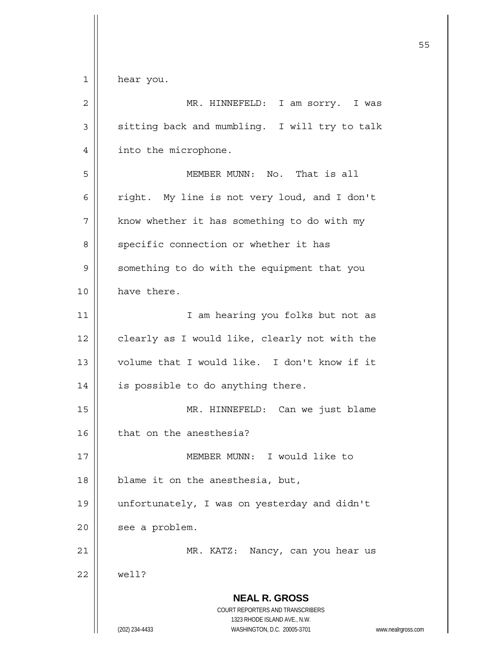1 hear you.

| $\overline{c}$ | MR. HINNEFELD: I am sorry. I was                                                         |
|----------------|------------------------------------------------------------------------------------------|
| 3              | sitting back and mumbling. I will try to talk                                            |
| 4              | into the microphone.                                                                     |
| 5              | MEMBER MUNN: No. That is all                                                             |
| 6              | right. My line is not very loud, and I don't                                             |
| 7              | know whether it has something to do with my                                              |
| 8              | specific connection or whether it has                                                    |
| 9              | something to do with the equipment that you                                              |
|                |                                                                                          |
| 10             | have there.                                                                              |
| 11             | I am hearing you folks but not as                                                        |
| 12             | clearly as I would like, clearly not with the                                            |
| 13             | volume that I would like. I don't know if it                                             |
| 14             | is possible to do anything there.                                                        |
| 15             | MR. HINNEFELD: Can we just blame                                                         |
| 16             | that on the anesthesia?                                                                  |
| 17             | MEMBER MUNN: I would like to                                                             |
| 18             | blame it on the anesthesia, but,                                                         |
| 19             | unfortunately, I was on yesterday and didn't                                             |
| 20             | see a problem.                                                                           |
| 21             | MR. KATZ: Nancy, can you hear us                                                         |
| 22             | well?                                                                                    |
|                | <b>NEAL R. GROSS</b><br>COURT REPORTERS AND TRANSCRIBERS<br>1323 RHODE ISLAND AVE., N.W. |
|                | (202) 234-4433<br>WASHINGTON, D.C. 20005-3701<br>www.ne                                  |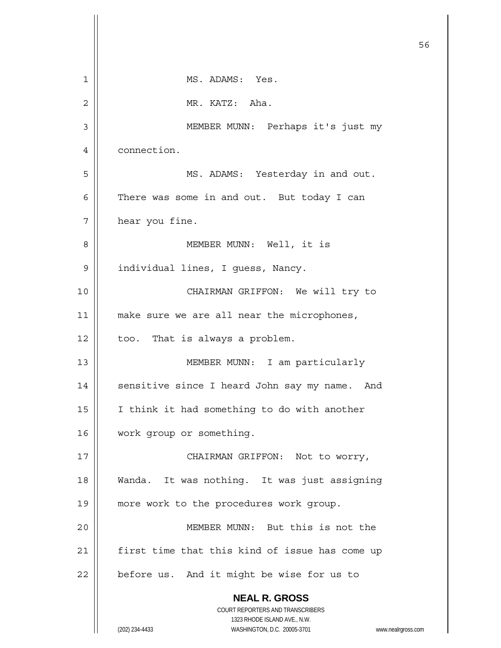|    |                                                                     | 56 |
|----|---------------------------------------------------------------------|----|
| 1  | MS. ADAMS: Yes.                                                     |    |
| 2  | MR. KATZ: Aha.                                                      |    |
| 3  | MEMBER MUNN: Perhaps it's just my                                   |    |
| 4  | connection.                                                         |    |
| 5  | MS. ADAMS: Yesterday in and out.                                    |    |
| 6  | There was some in and out. But today I can                          |    |
| 7  | hear you fine.                                                      |    |
| 8  | MEMBER MUNN: Well, it is                                            |    |
| 9  | individual lines, I guess, Nancy.                                   |    |
| 10 | CHAIRMAN GRIFFON: We will try to                                    |    |
| 11 | make sure we are all near the microphones,                          |    |
| 12 | too. That is always a problem.                                      |    |
| 13 | MEMBER MUNN: I am particularly                                      |    |
| 14 | sensitive since I heard John say my name. And                       |    |
| 15 | I think it had something to do with another                         |    |
| 16 | work group or something.                                            |    |
| 17 | CHAIRMAN GRIFFON: Not to worry,                                     |    |
| 18 | Wanda. It was nothing. It was just assigning                        |    |
| 19 | more work to the procedures work group.                             |    |
| 20 | MEMBER MUNN: But this is not the                                    |    |
| 21 | first time that this kind of issue has come up                      |    |
| 22 | before us. And it might be wise for us to                           |    |
|    | <b>NEAL R. GROSS</b><br>COURT REPORTERS AND TRANSCRIBERS            |    |
|    | 1323 RHODE ISLAND AVE., N.W.                                        |    |
|    | (202) 234-4433<br>WASHINGTON, D.C. 20005-3701<br>www.nealrgross.com |    |

 $\mathsf{I}$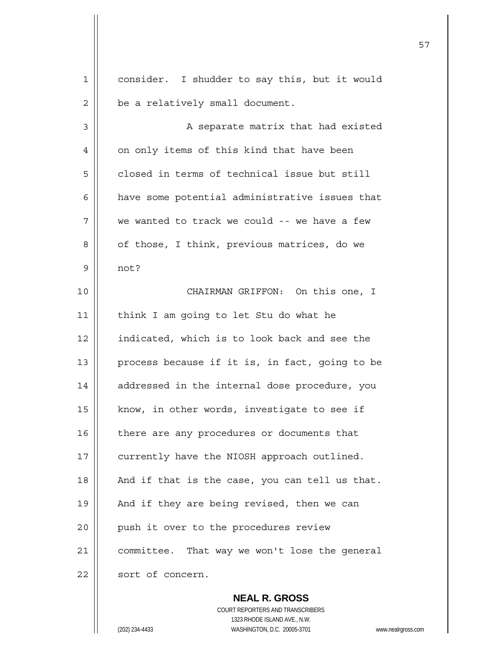| 1  | consider. I shudder to say this, but it would  |
|----|------------------------------------------------|
| 2  | be a relatively small document.                |
| 3  | A separate matrix that had existed             |
| 4  | on only items of this kind that have been      |
| 5  | closed in terms of technical issue but still   |
| 6  | have some potential administrative issues that |
| 7  | we wanted to track we could -- we have a few   |
| 8  | of those, I think, previous matrices, do we    |
| 9  | not?                                           |
| 10 | CHAIRMAN GRIFFON: On this one, I               |
| 11 | think I am going to let Stu do what he         |
| 12 | indicated, which is to look back and see the   |
| 13 | process because if it is, in fact, going to be |
| 14 | addressed in the internal dose procedure, you  |
| 15 | know, in other words, investigate to see if    |
| 16 | there are any procedures or documents that     |
| 17 | currently have the NIOSH approach outlined.    |
| 18 | And if that is the case, you can tell us that. |
| 19 | And if they are being revised, then we can     |
| 20 | push it over to the procedures review          |
| 21 | committee. That way we won't lose the general  |
| 22 | sort of concern.                               |
|    | <b>NEAL R. GROSS</b>                           |

COURT REPORTERS AND TRANSCRIBERS 1323 RHODE ISLAND AVE., N.W. (202) 234-4433 WASHINGTON, D.C. 20005-3701 www.nealrgross.com

 $\mathsf{II}$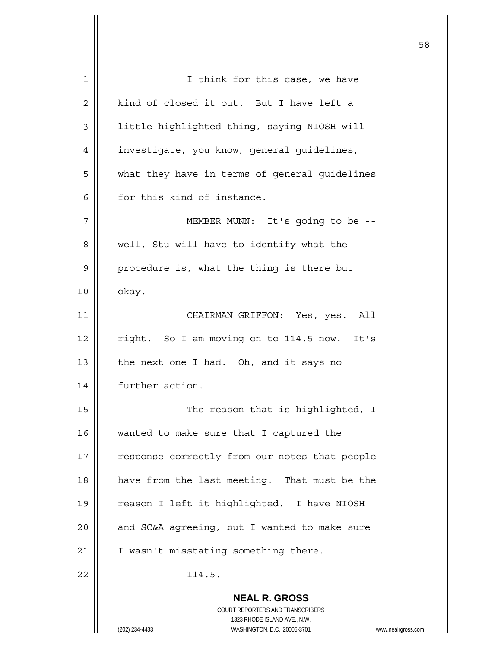| $\mathbf 1$    | I think for this case, we have                                                                    |
|----------------|---------------------------------------------------------------------------------------------------|
| $\overline{2}$ | kind of closed it out. But I have left a                                                          |
| 3              | little highlighted thing, saying NIOSH will                                                       |
| 4              | investigate, you know, general quidelines,                                                        |
| 5              | what they have in terms of general guidelines                                                     |
| 6              | for this kind of instance.                                                                        |
| 7              | MEMBER MUNN: It's going to be --                                                                  |
| 8              | well, Stu will have to identify what the                                                          |
| 9              | procedure is, what the thing is there but                                                         |
| 10             | okay.                                                                                             |
| 11             | CHAIRMAN GRIFFON: Yes, yes. All                                                                   |
| 12             | right. So I am moving on to 114.5 now. It's                                                       |
| 13             | the next one I had. Oh, and it says no                                                            |
| 14             | further action.                                                                                   |
| 15             | The reason that is highlighted, I                                                                 |
| 16             | wanted to make sure that I captured the                                                           |
| 17             | response correctly from our notes that people                                                     |
| 18             | have from the last meeting. That must be the                                                      |
| 19             | reason I left it highlighted. I have NIOSH                                                        |
| 20             | and SC&A agreeing, but I wanted to make sure                                                      |
| 21             | I wasn't misstating something there.                                                              |
| 22             | 114.5.                                                                                            |
|                | <b>NEAL R. GROSS</b><br>COURT REPORTERS AND TRANSCRIBERS<br>1323 RHODE ISLAND AVE., N.W.<br>www.r |
|                | (202) 234-4433<br>WASHINGTON, D.C. 20005-3701                                                     |

(202) 234-4433 WASHINGTON, D.C. 20005-3701 www.nealrgross.com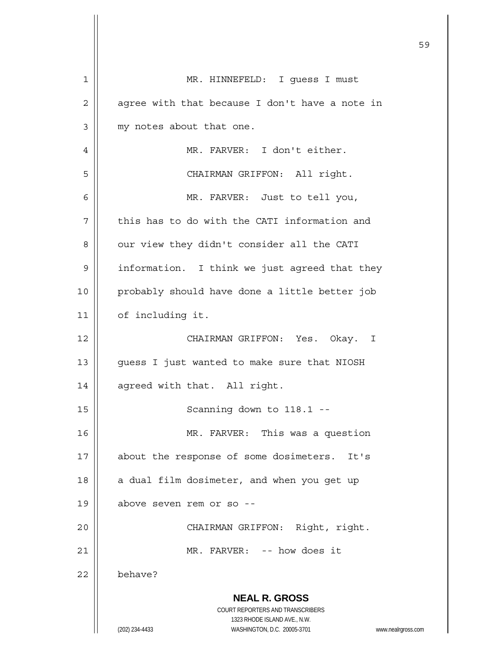| 1  | MR. HINNEFELD: I guess I must                                       |
|----|---------------------------------------------------------------------|
| 2  | agree with that because I don't have a note in                      |
| 3  | my notes about that one.                                            |
| 4  | MR. FARVER: I don't either.                                         |
| 5  | CHAIRMAN GRIFFON: All right.                                        |
| 6  | MR. FARVER: Just to tell you,                                       |
| 7  | this has to do with the CATI information and                        |
| 8  | our view they didn't consider all the CATI                          |
| 9  | information. I think we just agreed that they                       |
| 10 | probably should have done a little better job                       |
| 11 | of including it.                                                    |
| 12 | CHAIRMAN GRIFFON: Yes. Okay. I                                      |
| 13 | guess I just wanted to make sure that NIOSH                         |
| 14 | agreed with that. All right.                                        |
| 15 | Scanning down to 118.1 --                                           |
| 16 | MR. FARVER: This was a question                                     |
| 17 | about the response of some dosimeters. It's                         |
| 18 | a dual film dosimeter, and when you get up                          |
| 19 | above seven rem or so --                                            |
| 20 | CHAIRMAN GRIFFON: Right, right.                                     |
| 21 | MR. FARVER: -- how does it                                          |
| 22 | behave?                                                             |
|    | <b>NEAL R. GROSS</b>                                                |
|    | COURT REPORTERS AND TRANSCRIBERS                                    |
|    | 1323 RHODE ISLAND AVE., N.W.                                        |
|    | (202) 234-4433<br>WASHINGTON, D.C. 20005-3701<br>www.nealrgross.com |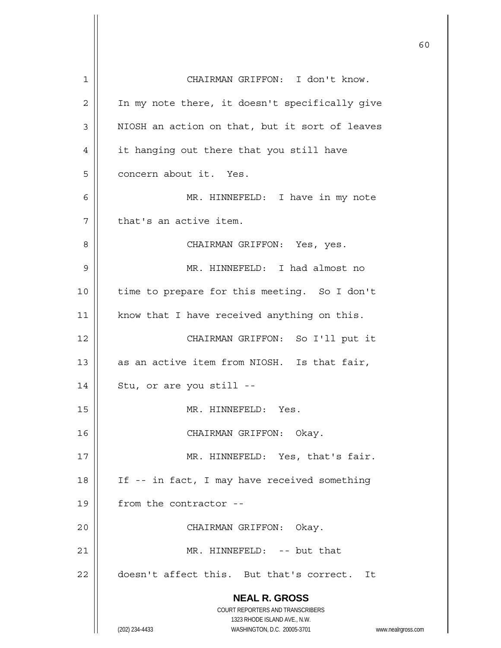| 1  | CHAIRMAN GRIFFON: I don't know.                                     |
|----|---------------------------------------------------------------------|
| 2  | In my note there, it doesn't specifically give                      |
| 3  | NIOSH an action on that, but it sort of leaves                      |
| 4  | it hanging out there that you still have                            |
| 5  | concern about it. Yes.                                              |
| 6  | MR. HINNEFELD: I have in my note                                    |
| 7  | that's an active item.                                              |
| 8  | CHAIRMAN GRIFFON: Yes, yes.                                         |
| 9  | MR. HINNEFELD: I had almost no                                      |
| 10 | time to prepare for this meeting. So I don't                        |
| 11 | know that I have received anything on this.                         |
| 12 | CHAIRMAN GRIFFON: So I'll put it                                    |
| 13 | as an active item from NIOSH. Is that fair,                         |
| 14 | Stu, or are you still --                                            |
| 15 | MR. HINNEFELD: Yes.                                                 |
| 16 | CHAIRMAN GRIFFON: Okay.                                             |
| 17 | MR. HINNEFELD: Yes, that's fair.                                    |
| 18 | If -- in fact, I may have received something                        |
| 19 | from the contractor --                                              |
| 20 | CHAIRMAN GRIFFON:<br>Okay.                                          |
| 21 | MR. HINNEFELD: -- but that                                          |
| 22 | doesn't affect this. But that's correct.<br>It                      |
|    | <b>NEAL R. GROSS</b><br>COURT REPORTERS AND TRANSCRIBERS            |
|    | 1323 RHODE ISLAND AVE., N.W.                                        |
|    | (202) 234-4433<br>WASHINGTON, D.C. 20005-3701<br>www.nealrgross.com |
|    |                                                                     |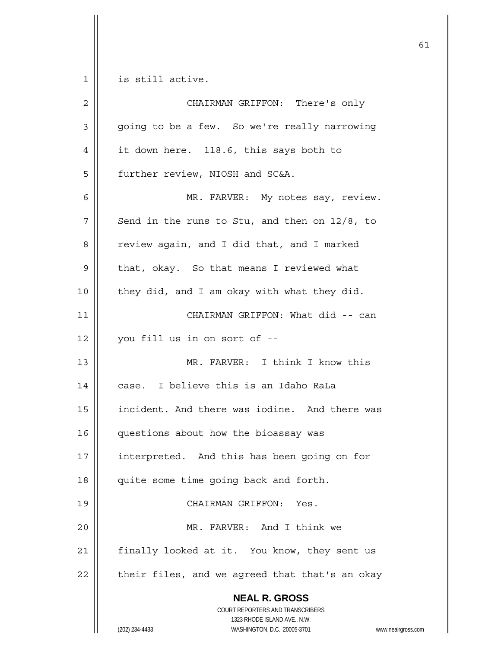1 is still active.

| $\overline{2}$ | CHAIRMAN GRIFFON: There's only                                                                                                                                         |
|----------------|------------------------------------------------------------------------------------------------------------------------------------------------------------------------|
| 3              | going to be a few. So we're really narrowing                                                                                                                           |
| 4              | it down here. 118.6, this says both to                                                                                                                                 |
| 5              | further review, NIOSH and SC&A.                                                                                                                                        |
| 6              | MR. FARVER: My notes say, review.                                                                                                                                      |
| 7              | Send in the runs to Stu, and then on 12/8, to                                                                                                                          |
| 8              | review again, and I did that, and I marked                                                                                                                             |
| 9              | that, okay. So that means I reviewed what                                                                                                                              |
| 10             | they did, and I am okay with what they did.                                                                                                                            |
| 11             | CHAIRMAN GRIFFON: What did -- can                                                                                                                                      |
| 12             | you fill us in on sort of --                                                                                                                                           |
| 13             | MR. FARVER: I think I know this                                                                                                                                        |
| 14             | case. I believe this is an Idaho RaLa                                                                                                                                  |
| 15             | incident. And there was iodine. And there was                                                                                                                          |
| 16             | questions about how the bioassay was                                                                                                                                   |
| 17             | interpreted. And this has been going on for                                                                                                                            |
| 18             | quite some time going back and forth.                                                                                                                                  |
| 19             | CHAIRMAN GRIFFON: Yes.                                                                                                                                                 |
| 20             | MR. FARVER: And I think we                                                                                                                                             |
| 21             | finally looked at it. You know, they sent us                                                                                                                           |
| 22             | their files, and we agreed that that's an okay                                                                                                                         |
|                | <b>NEAL R. GROSS</b><br><b>COURT REPORTERS AND TRANSCRIBERS</b><br>1323 RHODE ISLAND AVE., N.W.<br>WASHINGTON, D.C. 20005-3701<br>(202) 234-4433<br>www.nealrgross.com |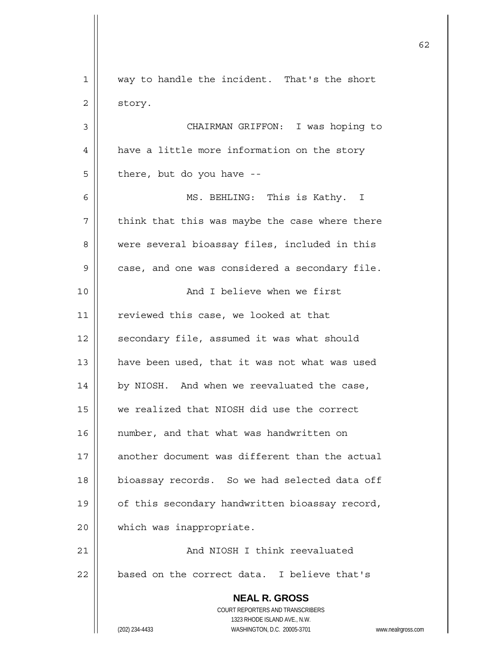| $\mathbf{1}$   | way to handle the incident. That's the short                                                        |
|----------------|-----------------------------------------------------------------------------------------------------|
| $\overline{c}$ | story.                                                                                              |
| 3              | CHAIRMAN GRIFFON: I was hoping to                                                                   |
| 4              | have a little more information on the story                                                         |
| 5              | there, but do you have --                                                                           |
| 6              | MS. BEHLING: This is Kathy. I                                                                       |
| 7              | think that this was maybe the case where there                                                      |
| 8              | were several bioassay files, included in this                                                       |
| 9              | case, and one was considered a secondary file.                                                      |
| 10             | And I believe when we first                                                                         |
| 11             | reviewed this case, we looked at that                                                               |
| 12             | secondary file, assumed it was what should                                                          |
| 13             | have been used, that it was not what was used                                                       |
| 14             | by NIOSH. And when we reevaluated the case,                                                         |
| 15             | we realized that NIOSH did use the correct                                                          |
| 16             | number, and that what was handwritten on                                                            |
| 17             | another document was different than the actual                                                      |
| 18             | bioassay records. So we had selected data off                                                       |
| 19             | of this secondary handwritten bioassay record,                                                      |
| 20             | which was inappropriate.                                                                            |
| 21             | And NIOSH I think reevaluated                                                                       |
| 22             | based on the correct data. I believe that's                                                         |
|                | <b>NEAL R. GROSS</b>                                                                                |
|                | COURT REPORTERS AND TRANSCRIBERS                                                                    |
|                | 1323 RHODE ISLAND AVE., N.W.<br>WASHINGTON, D.C. 20005-3701<br>(202) 234-4433<br>www.nealrgross.com |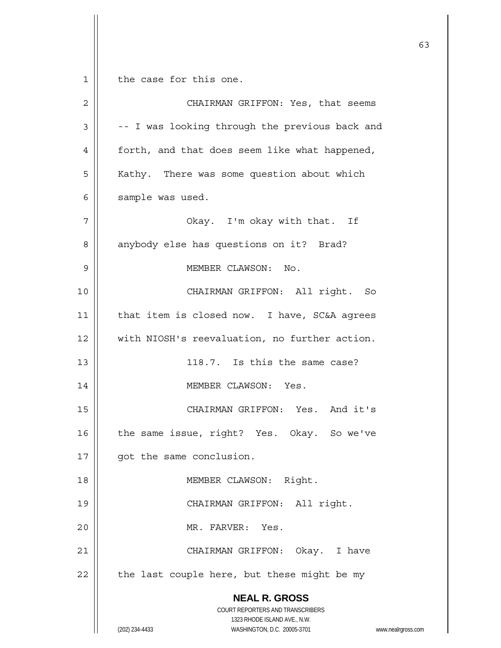|             | 63                                                                  |
|-------------|---------------------------------------------------------------------|
| $\mathbf 1$ | the case for this one.                                              |
| 2           | CHAIRMAN GRIFFON: Yes, that seems                                   |
| 3           | -- I was looking through the previous back and                      |
| 4           | forth, and that does seem like what happened,                       |
| 5           | Kathy. There was some question about which                          |
| 6           | sample was used.                                                    |
| 7           | Okay. I'm okay with that. If                                        |
| 8           | anybody else has questions on it? Brad?                             |
| 9           | MEMBER CLAWSON:<br>No.                                              |
| 10          | CHAIRMAN GRIFFON: All right. So                                     |
| 11          | that item is closed now. I have, SC&A agrees                        |
| 12          | with NIOSH's reevaluation, no further action.                       |
| 13          | 118.7. Is this the same case?                                       |
| 14          | MEMBER CLAWSON:<br>Yes.                                             |
| 15          | And it's<br>CHAIRMAN GRIFFON: Yes.                                  |
| 16          | the same issue, right? Yes. Okay. So we've                          |
| 17          | got the same conclusion.                                            |
| 18          | MEMBER CLAWSON: Right.                                              |
| 19          | CHAIRMAN GRIFFON: All right.                                        |
| 20          | MR. FARVER: Yes.                                                    |
| 21          | CHAIRMAN GRIFFON: Okay. I have                                      |
| 22          | the last couple here, but these might be my                         |
|             | <b>NEAL R. GROSS</b>                                                |
|             | COURT REPORTERS AND TRANSCRIBERS<br>1323 RHODE ISLAND AVE., N.W.    |
|             | (202) 234-4433<br>WASHINGTON, D.C. 20005-3701<br>www.nealrgross.com |

 $\mathsf{I}$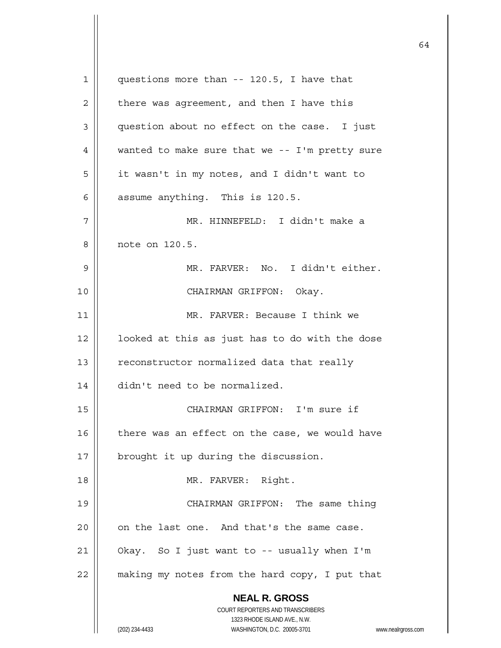**NEAL R. GROSS** COURT REPORTERS AND TRANSCRIBERS 1323 RHODE ISLAND AVE., N.W. (202) 234-4433 WASHINGTON, D.C. 20005-3701 www.nealrgross.com 1 2 3 4 5 6 7 8 9 10 11 12 13 14 15 16 17 18 19 20 21 22 questions more than -- 120.5, I have that there was agreement, and then I have this question about no effect on the case. I just wanted to make sure that we -- I'm pretty sure it wasn't in my notes, and I didn't want to assume anything. This is 120.5. MR. HINNEFELD: I didn't make a note on 120.5. MR. FARVER: No. I didn't either. CHAIRMAN GRIFFON: Okay. MR. FARVER: Because I think we looked at this as just has to do with the dose reconstructor normalized data that really didn't need to be normalized. CHAIRMAN GRIFFON: I'm sure if there was an effect on the case, we would have brought it up during the discussion. MR. FARVER: Right. CHAIRMAN GRIFFON: The same thing on the last one. And that's the same case. Okay. So I just want to -- usually when I'm making my notes from the hard copy, I put that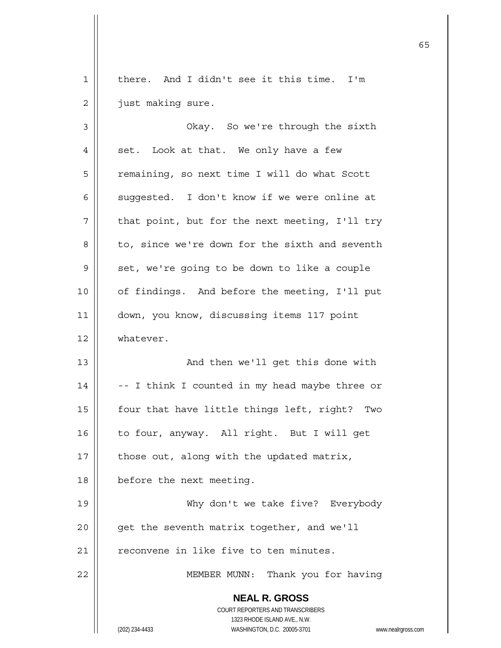1 2 there. And I didn't see it this time. I'm just making sure.

| Okay. So we're through the sixth                                                                                                                                |
|-----------------------------------------------------------------------------------------------------------------------------------------------------------------|
| set. Look at that. We only have a few                                                                                                                           |
| remaining, so next time I will do what Scott                                                                                                                    |
| suggested. I don't know if we were online at                                                                                                                    |
| that point, but for the next meeting, I'll try                                                                                                                  |
| to, since we're down for the sixth and seventh                                                                                                                  |
| set, we're going to be down to like a couple                                                                                                                    |
| of findings. And before the meeting, I'll put                                                                                                                   |
| down, you know, discussing items 117 point                                                                                                                      |
| whatever.                                                                                                                                                       |
| And then we'll get this done with                                                                                                                               |
| -- I think I counted in my head maybe three or                                                                                                                  |
| four that have little things left, right?<br>Two                                                                                                                |
| to four, anyway. All right. But I will get                                                                                                                      |
| those out, along with the updated matrix,                                                                                                                       |
| before the next meeting.                                                                                                                                        |
| Why don't we take five? Everybody                                                                                                                               |
| get the seventh matrix together, and we'll                                                                                                                      |
| reconvene in like five to ten minutes.                                                                                                                          |
| MEMBER MUNN: Thank you for having                                                                                                                               |
| <b>NEAL R. GROSS</b><br>COURT REPORTERS AND TRANSCRIBERS<br>1323 RHODE ISLAND AVE., N.W.<br>(202) 234-4433<br>WASHINGTON, D.C. 20005-3701<br>www.nealrgross.com |
|                                                                                                                                                                 |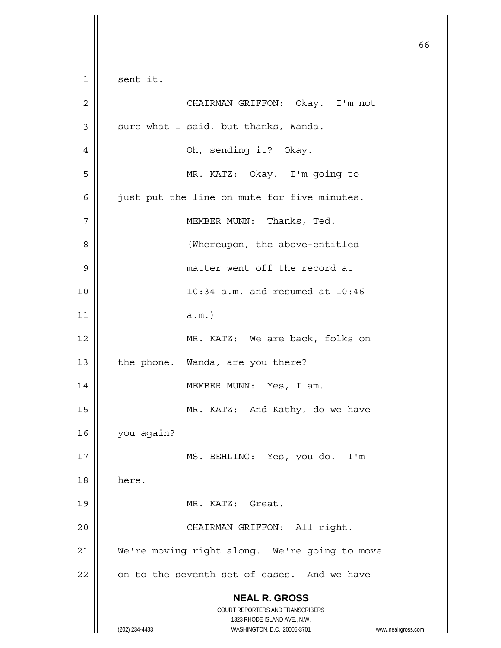**NEAL R. GROSS** COURT REPORTERS AND TRANSCRIBERS 1323 RHODE ISLAND AVE., N.W. (202) 234-4433 WASHINGTON, D.C. 20005-3701 www.nealrgross.com  $\sim$  66 1 2 3 4 5 6 7 8 9 10 11 12 13 14 15 16 17 18 19 20 21 22 sent it. CHAIRMAN GRIFFON: Okay. I'm not sure what I said, but thanks, Wanda. Oh, sending it? Okay. MR. KATZ: Okay. I'm going to just put the line on mute for five minutes. MEMBER MUNN: Thanks, Ted. (Whereupon, the above-entitled matter went off the record at 10:34 a.m. and resumed at 10:46 a.m.) MR. KATZ: We are back, folks on the phone. Wanda, are you there? MEMBER MUNN: Yes, I am. MR. KATZ: And Kathy, do we have you again? MS. BEHLING: Yes, you do. I'm here. MR. KATZ: Great. CHAIRMAN GRIFFON: All right. We're moving right along. We're going to move on to the seventh set of cases. And we have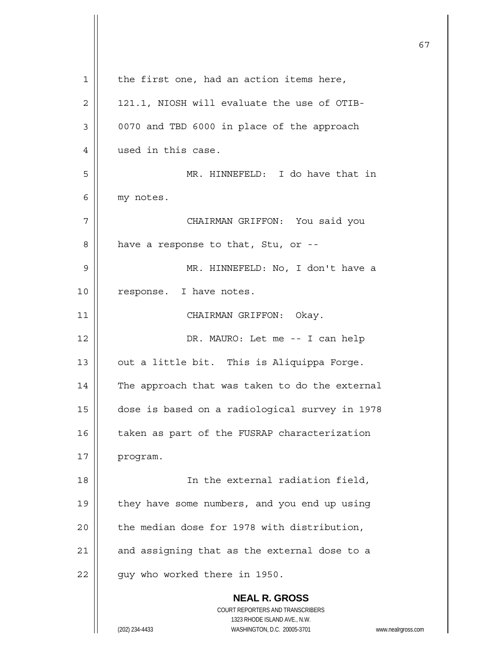|             |                                                                     | 67 |
|-------------|---------------------------------------------------------------------|----|
| $\mathbf 1$ | the first one, had an action items here,                            |    |
| 2           | 121.1, NIOSH will evaluate the use of OTIB-                         |    |
| 3           | 0070 and TBD 6000 in place of the approach                          |    |
| 4           | used in this case.                                                  |    |
| 5           | MR. HINNEFELD: I do have that in                                    |    |
| 6           | my notes.                                                           |    |
| 7           | CHAIRMAN GRIFFON: You said you                                      |    |
| 8           | have a response to that, Stu, or --                                 |    |
| 9           | MR. HINNEFELD: No, I don't have a                                   |    |
| 10          | response. I have notes.                                             |    |
| 11          | CHAIRMAN GRIFFON: Okay.                                             |    |
| 12          | DR. MAURO: Let me -- I can help                                     |    |
| 13          | out a little bit. This is Aliquippa Forge.                          |    |
| 14          | The approach that was taken to do the external                      |    |
| 15          | dose is based on a radiological survey in 1978                      |    |
| 16          | taken as part of the FUSRAP characterization                        |    |
| 17          | program.                                                            |    |
| 18          | In the external radiation field,                                    |    |
| 19          | they have some numbers, and you end up using                        |    |
| 20          | the median dose for 1978 with distribution,                         |    |
| 21          | and assigning that as the external dose to a                        |    |
| 22          | guy who worked there in 1950.                                       |    |
|             | <b>NEAL R. GROSS</b><br>COURT REPORTERS AND TRANSCRIBERS            |    |
|             | 1323 RHODE ISLAND AVE., N.W.                                        |    |
|             | (202) 234-4433<br>WASHINGTON, D.C. 20005-3701<br>www.nealrgross.com |    |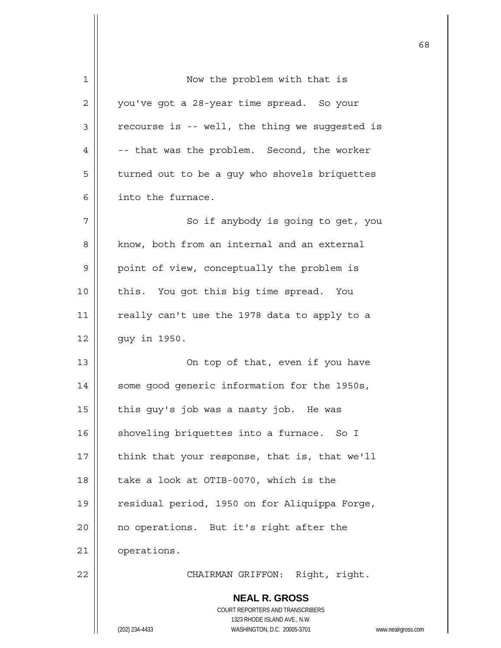| $\mathbf 1$    | Now the problem with that is                            |
|----------------|---------------------------------------------------------|
| $\overline{2}$ | you've got a 28-year time spread. So your               |
| 3              | recourse is -- well, the thing we suggested is          |
| 4              | -- that was the problem. Second, the worker             |
| 5              | turned out to be a guy who shovels briquettes           |
| 6              | into the furnace.                                       |
| 7              | So if anybody is going to get, you                      |
|                |                                                         |
| 8              | know, both from an internal and an external             |
| $\mathsf 9$    | point of view, conceptually the problem is              |
| 10             | this. You got this big time spread. You                 |
| 11             | really can't use the 1978 data to apply to a            |
| 12             | guy in 1950.                                            |
| 13             | On top of that, even if you have                        |
| 14             | some good generic information for the 1950s,            |
| 15             | this guy's job was a nasty job. He was                  |
| 16             | shoveling briquettes into a furnace. So I               |
| 17             | think that your response, that is, that we'll           |
| 18             | take a look at OTIB-0070, which is the                  |
| 19             | residual period, 1950 on for Aliquippa Forge,           |
| 20             | no operations. But it's right after the                 |
| 21             | operations.                                             |
| 22             | CHAIRMAN GRIFFON: Right, right.                         |
|                | <b>NEAL R. GROSS</b>                                    |
|                | COURT REPORTERS AND TRANSCRIBERS                        |
|                | 1323 RHODE ISLAND AVE., N.W.                            |
|                | WASHINGTON, D.C. 20005-3701<br>(202) 234-4433<br>www.ne |

(202) 234-4433 WASHINGTON, D.C. 20005-3701 www.nealrgross.com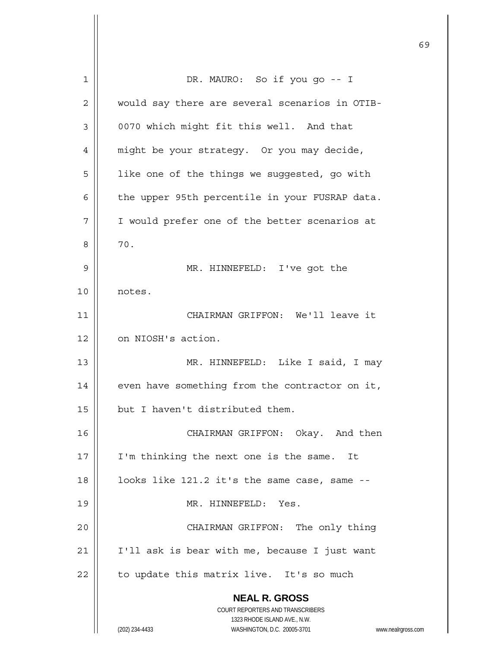| 1  | DR. MAURO: So if you go -- I                                        |
|----|---------------------------------------------------------------------|
| 2  | would say there are several scenarios in OTIB-                      |
| 3  | 0070 which might fit this well. And that                            |
| 4  | might be your strategy. Or you may decide,                          |
| 5  | like one of the things we suggested, go with                        |
| 6  | the upper 95th percentile in your FUSRAP data.                      |
| 7  | I would prefer one of the better scenarios at                       |
| 8  | 70.                                                                 |
| 9  | MR. HINNEFELD: I've got the                                         |
| 10 | notes.                                                              |
| 11 | CHAIRMAN GRIFFON: We'll leave it                                    |
| 12 | on NIOSH's action.                                                  |
| 13 | MR. HINNEFELD: Like I said, I may                                   |
| 14 | even have something from the contractor on it,                      |
| 15 | but I haven't distributed them.                                     |
| 16 | CHAIRMAN GRIFFON: Okay. And then                                    |
| 17 | I'm thinking the next one is the same. It                           |
| 18 | looks like 121.2 it's the same case, same --                        |
| 19 | MR. HINNEFELD: Yes.                                                 |
| 20 | CHAIRMAN GRIFFON: The only thing                                    |
| 21 | I'll ask is bear with me, because I just want                       |
| 22 | to update this matrix live. It's so much                            |
|    | <b>NEAL R. GROSS</b>                                                |
|    | COURT REPORTERS AND TRANSCRIBERS                                    |
|    | 1323 RHODE ISLAND AVE., N.W.                                        |
|    | (202) 234-4433<br>WASHINGTON, D.C. 20005-3701<br>www.nealrgross.com |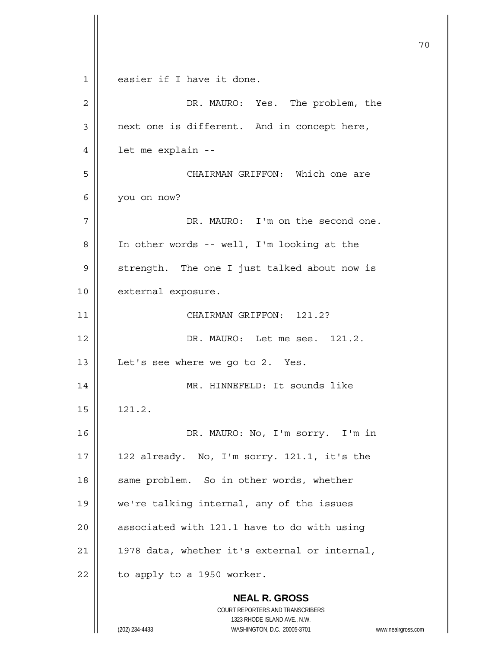```
NEAL R. GROSS
                         COURT REPORTERS AND TRANSCRIBERS 
                            1323 RHODE ISLAND AVE., N.W. 
         70
 1 
 2 
 3 
 4 
 5 
 6 
 7 
 8 
 9 
10 
11 
12 
13 
14 
15 
16 
17 
18 
19 
20 
21 
22 
       easier if I have it done. 
                     DR. MAURO: Yes. The problem, the 
       next one is different. And in concept here, 
       let me explain -- 
                     CHAIRMAN GRIFFON: Which one are 
       you on now? 
                     DR. MAURO: I'm on the second one. 
       In other words -- well, I'm looking at the 
       strength. The one I just talked about now is 
       external exposure. 
                     CHAIRMAN GRIFFON: 121.2? 
                    DR. MAURO: Let me see. 121.2.
       Let's see where we go to 2. Yes. 
                     MR. HINNEFELD: It sounds like 
       121.2. 
                     DR. MAURO: No, I'm sorry. I'm in 
       122 already. No, I'm sorry. 121.1, it's the 
       same problem. So in other words, whether 
       we're talking internal, any of the issues 
       associated with 121.1 have to do with using 
       1978 data, whether it's external or internal, 
       to apply to a 1950 worker.
```
(202) 234-4433 WASHINGTON, D.C. 20005-3701 www.nealrgross.com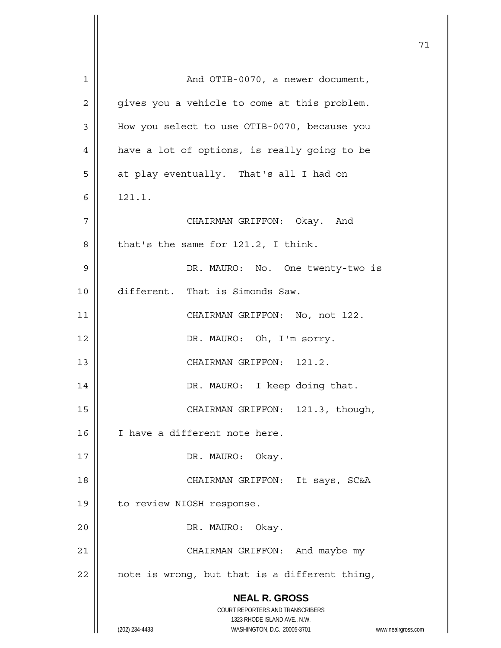**NEAL R. GROSS** COURT REPORTERS AND TRANSCRIBERS 1323 RHODE ISLAND AVE., N.W. (202) 234-4433 WASHINGTON, D.C. 20005-3701 www.nealrgross.com 1 2 3 4 5 6 7 8 9 10 11 12 13 14 15 16 17 18 19 20 21 22 And OTIB-0070, a newer document, gives you a vehicle to come at this problem. How you select to use OTIB-0070, because you have a lot of options, is really going to be at play eventually. That's all I had on 121.1. CHAIRMAN GRIFFON: Okay. And that's the same for 121.2, I think. DR. MAURO: No. One twenty-two is different. That is Simonds Saw. CHAIRMAN GRIFFON: No, not 122. DR. MAURO: Oh, I'm sorry. CHAIRMAN GRIFFON: 121.2. DR. MAURO: I keep doing that. CHAIRMAN GRIFFON: 121.3, though, I have a different note here. DR. MAURO: Okay. CHAIRMAN GRIFFON: It says, SC&A to review NIOSH response. DR. MAURO: Okay. CHAIRMAN GRIFFON: And maybe my note is wrong, but that is a different thing,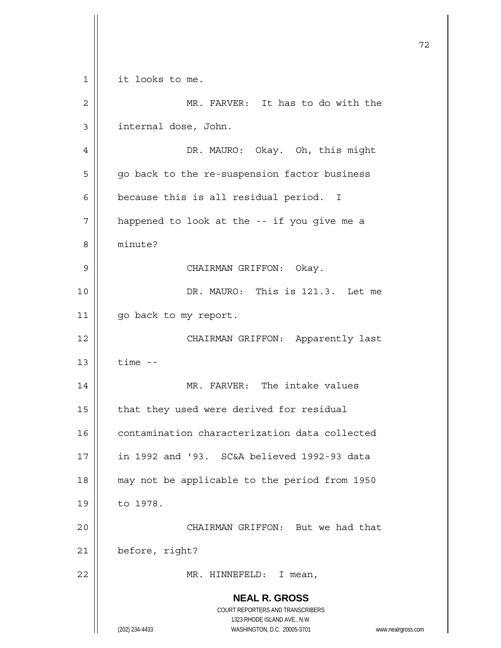**NEAL R. GROSS** COURT REPORTERS AND TRANSCRIBERS 1323 RHODE ISLAND AVE., N.W. (202) 234-4433 WASHINGTON, D.C. 20005-3701 www.nealrgross.com 72 1 2 3 4 5 6 7 8 9 10 11 12 13 14 15 16 17 18 19 20 21 22 it looks to me. MR. FARVER: It has to do with the internal dose, John. DR. MAURO: Okay. Oh, this might go back to the re-suspension factor business because this is all residual period. I happened to look at the -- if you give me a minute? CHAIRMAN GRIFFON: Okay. DR. MAURO: This is 121.3. Let me go back to my report. CHAIRMAN GRIFFON: Apparently last time -- MR. FARVER: The intake values that they used were derived for residual contamination characterization data collected in 1992 and '93. SC&A believed 1992-93 data may not be applicable to the period from 1950 to 1978. CHAIRMAN GRIFFON: But we had that before, right? MR. HINNEFELD: I mean,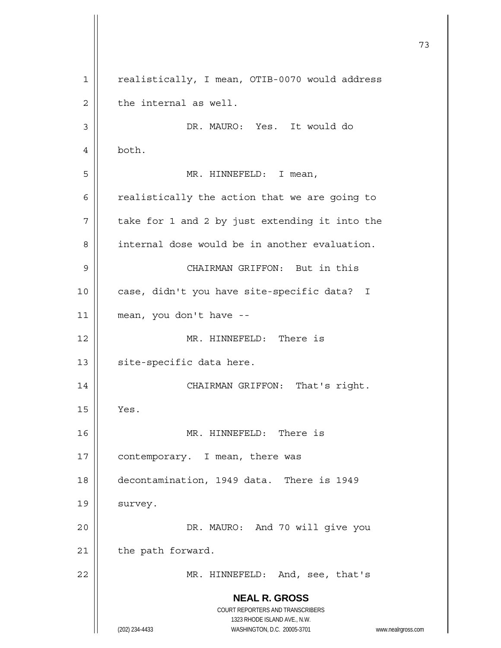**NEAL R. GROSS** COURT REPORTERS AND TRANSCRIBERS 1323 RHODE ISLAND AVE., N.W. (202) 234-4433 WASHINGTON, D.C. 20005-3701 www.nealrgross.com 73 1 2 3 4 5 6 7 8 9 10 11 12 13 14 15 16 17 18 19 20 21 22 realistically, I mean, OTIB-0070 would address the internal as well. DR. MAURO: Yes. It would do both. MR. HINNEFELD: I mean, realistically the action that we are going to take for 1 and 2 by just extending it into the internal dose would be in another evaluation. CHAIRMAN GRIFFON: But in this case, didn't you have site-specific data? I mean, you don't have -- MR. HINNEFELD: There is site-specific data here. CHAIRMAN GRIFFON: That's right. Yes. MR. HINNEFELD: There is contemporary. I mean, there was decontamination, 1949 data. There is 1949 survey. DR. MAURO: And 70 will give you the path forward. MR. HINNEFELD: And, see, that's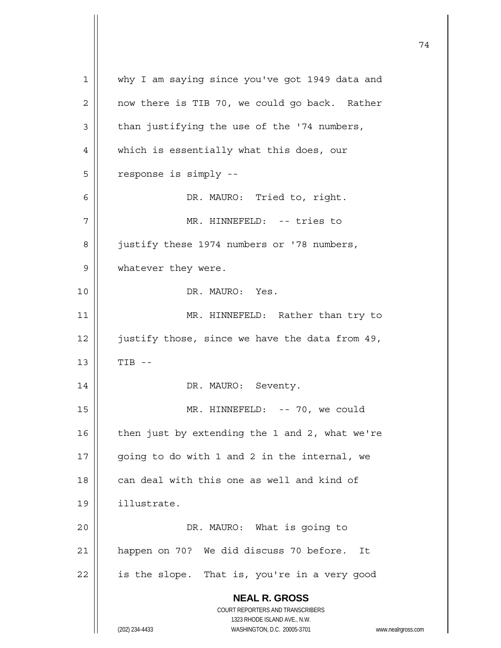| 1  | why I am saying since you've got 1949 data and                          |
|----|-------------------------------------------------------------------------|
| 2  | now there is TIB 70, we could go back. Rather                           |
| 3  | than justifying the use of the '74 numbers,                             |
| 4  | which is essentially what this does, our                                |
| 5  | response is simply --                                                   |
| 6  | DR. MAURO: Tried to, right.                                             |
| 7  | MR. HINNEFELD: -- tries to                                              |
| 8  | justify these 1974 numbers or '78 numbers,                              |
| 9  | whatever they were.                                                     |
| 10 | DR. MAURO: Yes.                                                         |
| 11 | MR. HINNEFELD: Rather than try to                                       |
| 12 | justify those, since we have the data from 49,                          |
| 13 | $TIB$ --                                                                |
| 14 | DR. MAURO: Seventy.                                                     |
| 15 | MR. HINNEFELD: -- 70, we could                                          |
| 16 | then just by extending the 1 and 2, what we're                          |
| 17 | going to do with 1 and 2 in the internal, we                            |
| 18 | can deal with this one as well and kind of                              |
| 19 | illustrate.                                                             |
| 20 | DR. MAURO: What is going to                                             |
| 21 | happen on 70? We did discuss 70 before.<br>It                           |
| 22 | is the slope. That is, you're in a very good                            |
|    | <b>NEAL R. GROSS</b>                                                    |
|    | <b>COURT REPORTERS AND TRANSCRIBERS</b><br>1323 RHODE ISLAND AVE., N.W. |
|    | (202) 234-4433<br>WASHINGTON, D.C. 20005-3701<br>www.nealrgross.com     |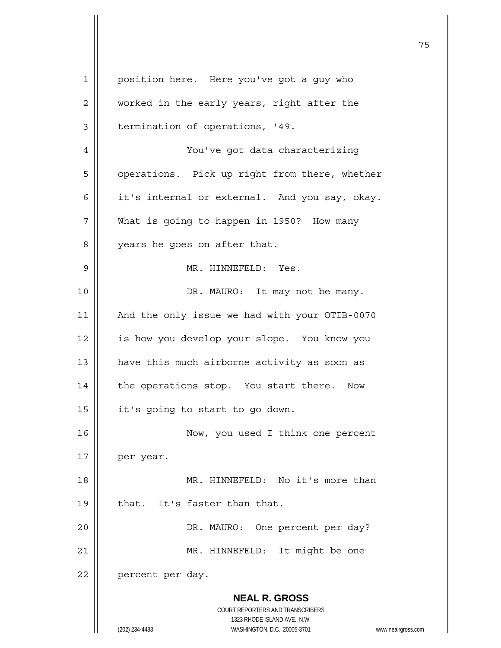| 1  | position here. Here you've got a guy who                                                            |
|----|-----------------------------------------------------------------------------------------------------|
| 2  | worked in the early years, right after the                                                          |
| 3  | termination of operations, '49.                                                                     |
| 4  | You've got data characterizing                                                                      |
| 5  | operations. Pick up right from there, whether                                                       |
| 6  | it's internal or external. And you say, okay.                                                       |
| 7  | What is going to happen in 1950? How many                                                           |
| 8  | years he goes on after that.                                                                        |
| 9  | MR. HINNEFELD: Yes.                                                                                 |
| 10 | DR. MAURO: It may not be many.                                                                      |
| 11 | And the only issue we had with your OTIB-0070                                                       |
| 12 | is how you develop your slope. You know you                                                         |
| 13 | have this much airborne activity as soon as                                                         |
| 14 | the operations stop. You start there. Now                                                           |
| 15 | it's going to start to go down.                                                                     |
| 16 | Now, you used I think one percent                                                                   |
| 17 | per year.                                                                                           |
| 18 | MR. HINNEFELD: No it's more than                                                                    |
| 19 | that. It's faster than that.                                                                        |
| 20 | DR. MAURO: One percent per day?                                                                     |
| 21 | MR. HINNEFELD: It might be one                                                                      |
| 22 | percent per day.                                                                                    |
|    | <b>NEAL R. GROSS</b>                                                                                |
|    | <b>COURT REPORTERS AND TRANSCRIBERS</b>                                                             |
|    | 1323 RHODE ISLAND AVE., N.W.<br>WASHINGTON, D.C. 20005-3701<br>(202) 234-4433<br>www.nealrgross.com |
|    |                                                                                                     |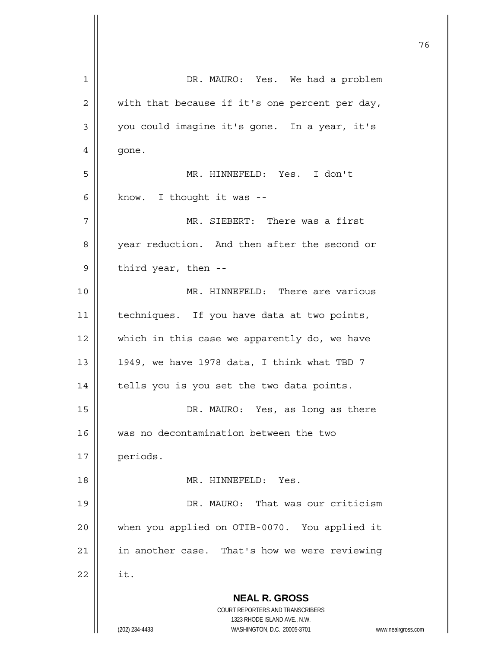|    |                                                                     | 76 |
|----|---------------------------------------------------------------------|----|
| 1  | DR. MAURO: Yes. We had a problem                                    |    |
| 2  | with that because if it's one percent per day,                      |    |
| 3  | you could imagine it's gone. In a year, it's                        |    |
| 4  | gone.                                                               |    |
| 5  | MR. HINNEFELD: Yes. I don't                                         |    |
| 6  | know. I thought it was --                                           |    |
| 7  | MR. SIEBERT: There was a first                                      |    |
| 8  | year reduction. And then after the second or                        |    |
| 9  | third year, then --                                                 |    |
| 10 | MR. HINNEFELD: There are various                                    |    |
| 11 | techniques. If you have data at two points,                         |    |
| 12 | which in this case we apparently do, we have                        |    |
| 13 | 1949, we have 1978 data, I think what TBD 7                         |    |
| 14 | tells you is you set the two data points.                           |    |
| 15 | DR. MAURO: Yes, as long as there                                    |    |
| 16 | was no decontamination between the two                              |    |
| 17 | periods.                                                            |    |
| 18 | MR. HINNEFELD: Yes.                                                 |    |
| 19 | DR. MAURO: That was our criticism                                   |    |
| 20 | when you applied on OTIB-0070. You applied it                       |    |
| 21 | in another case. That's how we were reviewing                       |    |
| 22 | it.                                                                 |    |
|    | <b>NEAL R. GROSS</b><br>COURT REPORTERS AND TRANSCRIBERS            |    |
|    | 1323 RHODE ISLAND AVE., N.W.                                        |    |
|    | (202) 234-4433<br>WASHINGTON, D.C. 20005-3701<br>www.nealrgross.com |    |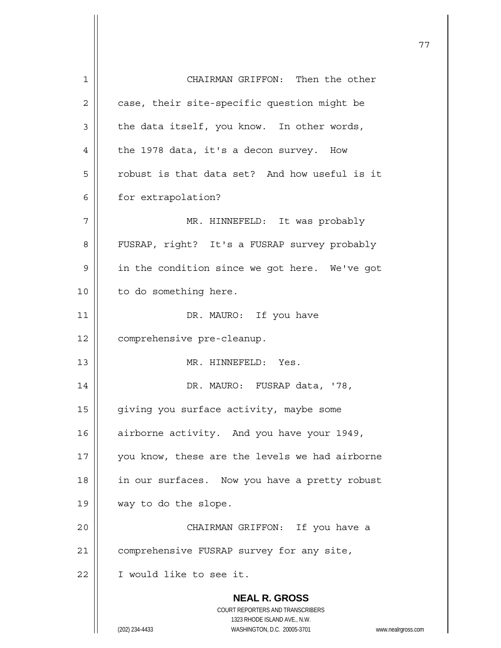**NEAL R. GROSS** COURT REPORTERS AND TRANSCRIBERS 1323 RHODE ISLAND AVE., N.W. (202) 234-4433 WASHINGTON, D.C. 20005-3701 www.nealrgross.com 1 2 3 4 5 6 7 8 9 10 11 12 13 14 15 16 17 18 19 20 21 22 CHAIRMAN GRIFFON: Then the other case, their site-specific question might be the data itself, you know. In other words, the 1978 data, it's a decon survey. How robust is that data set? And how useful is it for extrapolation? MR. HINNEFELD: It was probably FUSRAP, right? It's a FUSRAP survey probably in the condition since we got here. We've got to do something here. DR. MAURO: If you have comprehensive pre-cleanup. MR. HINNEFELD: Yes. DR. MAURO: FUSRAP data, '78, giving you surface activity, maybe some airborne activity. And you have your 1949, you know, these are the levels we had airborne in our surfaces. Now you have a pretty robust way to do the slope. CHAIRMAN GRIFFON: If you have a comprehensive FUSRAP survey for any site, I would like to see it.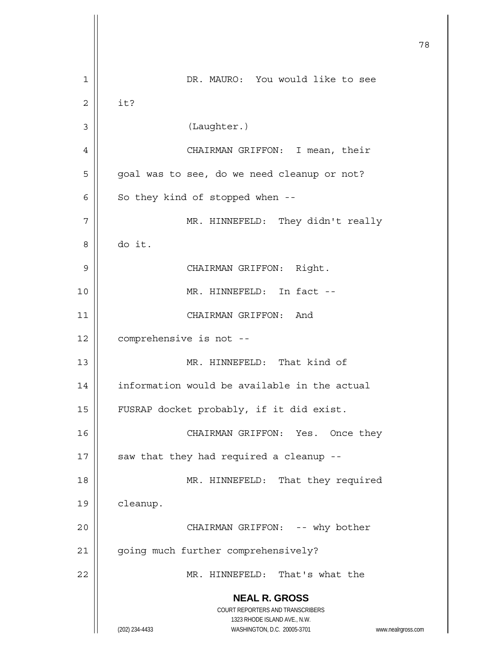**NEAL R. GROSS** COURT REPORTERS AND TRANSCRIBERS 1323 RHODE ISLAND AVE., N.W. (202) 234-4433 WASHINGTON, D.C. 20005-3701 www.nealrgross.com 78 1 2 3 4 5 6 7 8 9 10 11 12 13 14 15 16 17 18 19 20 21 22 DR. MAURO: You would like to see it? (Laughter.) CHAIRMAN GRIFFON: I mean, their goal was to see, do we need cleanup or not? So they kind of stopped when -- MR. HINNEFELD: They didn't really do it. CHAIRMAN GRIFFON: Right. MR. HINNEFELD: In fact -- CHAIRMAN GRIFFON: And comprehensive is not -- MR. HINNEFELD: That kind of information would be available in the actual FUSRAP docket probably, if it did exist. CHAIRMAN GRIFFON: Yes. Once they saw that they had required a cleanup -- MR. HINNEFELD: That they required cleanup. CHAIRMAN GRIFFON: -- why bother going much further comprehensively? MR. HINNEFELD: That's what the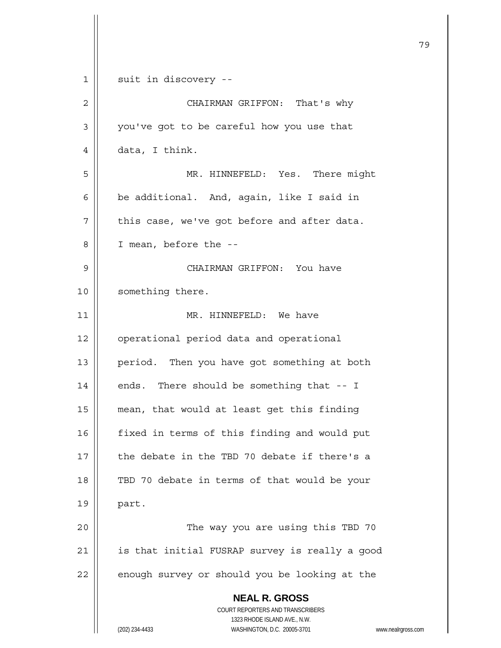|    |                                                                     | 79 |
|----|---------------------------------------------------------------------|----|
| 1  | suit in discovery --                                                |    |
| 2  | CHAIRMAN GRIFFON: That's why                                        |    |
| 3  | you've got to be careful how you use that                           |    |
|    |                                                                     |    |
| 4  | data, I think.                                                      |    |
| 5  | MR. HINNEFELD: Yes.<br>There might                                  |    |
| 6  | be additional. And, again, like I said in                           |    |
| 7  | this case, we've got before and after data.                         |    |
| 8  | I mean, before the --                                               |    |
| 9  | CHAIRMAN GRIFFON: You have                                          |    |
| 10 | something there.                                                    |    |
| 11 | MR. HINNEFELD: We have                                              |    |
| 12 | operational period data and operational                             |    |
| 13 | period. Then you have got something at both                         |    |
| 14 | ends. There should be something that -- I                           |    |
| 15 | mean, that would at least get this finding                          |    |
| 16 | fixed in terms of this finding and would put                        |    |
| 17 | the debate in the TBD 70 debate if there's a                        |    |
| 18 | TBD 70 debate in terms of that would be your                        |    |
| 19 | part.                                                               |    |
| 20 | The way you are using this TBD 70                                   |    |
| 21 | is that initial FUSRAP survey is really a good                      |    |
| 22 | enough survey or should you be looking at the                       |    |
|    | <b>NEAL R. GROSS</b>                                                |    |
|    | COURT REPORTERS AND TRANSCRIBERS<br>1323 RHODE ISLAND AVE., N.W.    |    |
|    | (202) 234-4433<br>WASHINGTON, D.C. 20005-3701<br>www.nealrgross.com |    |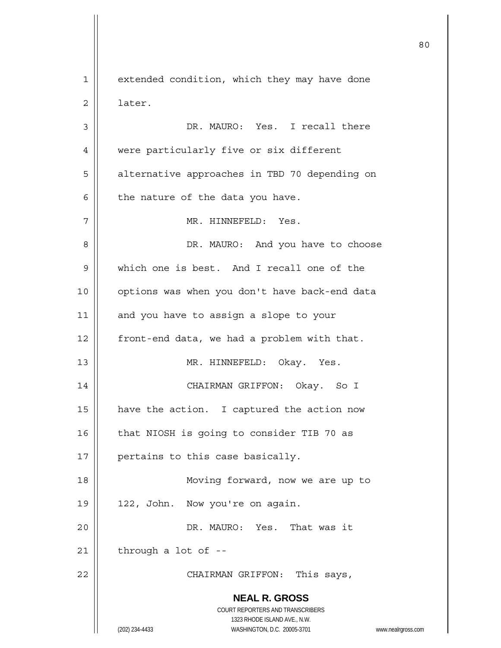**NEAL R. GROSS** COURT REPORTERS AND TRANSCRIBERS 1323 RHODE ISLAND AVE., N.W. (202) 234-4433 WASHINGTON, D.C. 20005-3701 www.nealrgross.com 1 2 3 4 5 6 7 8 9 10 11 12 13 14 15 16 17 18 19 20 21 22 extended condition, which they may have done later. DR. MAURO: Yes. I recall there were particularly five or six different alternative approaches in TBD 70 depending on the nature of the data you have. MR. HINNEFELD: Yes. DR. MAURO: And you have to choose which one is best. And I recall one of the options was when you don't have back-end data and you have to assign a slope to your front-end data, we had a problem with that. MR. HINNEFELD: Okay. Yes. CHAIRMAN GRIFFON: Okay. So I have the action. I captured the action now that NIOSH is going to consider TIB 70 as pertains to this case basically. Moving forward, now we are up to 122, John. Now you're on again. DR. MAURO: Yes. That was it through a lot of -- CHAIRMAN GRIFFON: This says,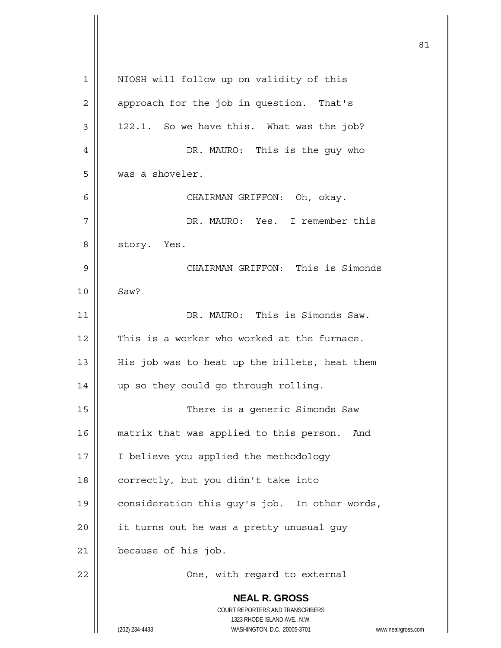|             | 81                                                                  |
|-------------|---------------------------------------------------------------------|
| $\mathbf 1$ | NIOSH will follow up on validity of this                            |
| 2           | approach for the job in question. That's                            |
| 3           | 122.1. So we have this. What was the job?                           |
| 4           | DR. MAURO: This is the guy who                                      |
| 5           | was a shoveler.                                                     |
| 6           | CHAIRMAN GRIFFON: Oh, okay.                                         |
| 7           | DR. MAURO: Yes. I remember this                                     |
| 8           | story. Yes.                                                         |
| 9           | CHAIRMAN GRIFFON: This is Simonds                                   |
| 10          | Saw?                                                                |
| 11          | DR. MAURO: This is Simonds Saw.                                     |
| 12          | This is a worker who worked at the furnace.                         |
| 13          | His job was to heat up the billets, heat them                       |
| 14          | up so they could go through rolling.                                |
| 15          | There is a generic Simonds Saw                                      |
| 16          | matrix that was applied to this person. And                         |
| 17          | I believe you applied the methodology                               |
| 18          | correctly, but you didn't take into                                 |
| 19          | consideration this guy's job. In other words,                       |
| 20          | it turns out he was a pretty unusual guy                            |
| 21          | because of his job.                                                 |
| 22          | One, with regard to external                                        |
|             | <b>NEAL R. GROSS</b><br>COURT REPORTERS AND TRANSCRIBERS            |
|             | 1323 RHODE ISLAND AVE., N.W.                                        |
|             | (202) 234-4433<br>WASHINGTON, D.C. 20005-3701<br>www.nealrgross.com |

 $\mathsf{I}$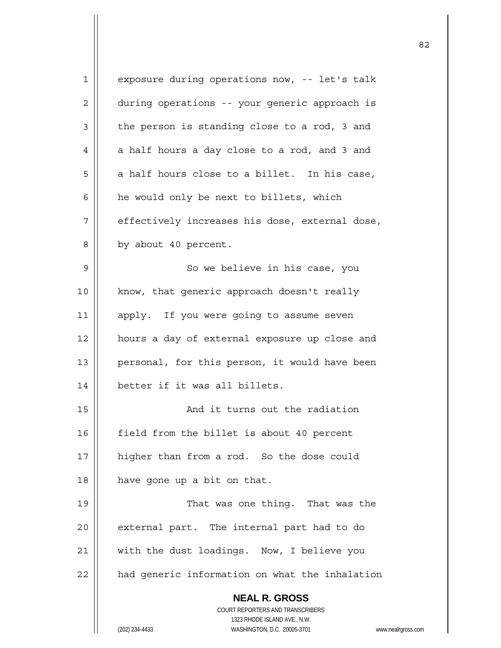| 1  | exposure during operations now, -- let's talk                       |
|----|---------------------------------------------------------------------|
| 2  | during operations -- your generic approach is                       |
| 3  | the person is standing close to a rod, 3 and                        |
| 4  | a half hours a day close to a rod, and 3 and                        |
| 5  | a half hours close to a billet. In his case,                        |
| 6  | he would only be next to billets, which                             |
| 7  | effectively increases his dose, external dose,                      |
| 8  | by about 40 percent.                                                |
| 9  | So we believe in his case, you                                      |
| 10 | know, that generic approach doesn't really                          |
| 11 | apply. If you were going to assume seven                            |
| 12 | hours a day of external exposure up close and                       |
| 13 | personal, for this person, it would have been                       |
| 14 | better if it was all billets.                                       |
| 15 | And it turns out the radiation                                      |
| 16 | field from the billet is about 40 percent                           |
| 17 | higher than from a rod. So the dose could                           |
| 18 | have gone up a bit on that.                                         |
| 19 | That was one thing. That was the                                    |
| 20 | external part. The internal part had to do                          |
| 21 | with the dust loadings. Now, I believe you                          |
| 22 | had generic information on what the inhalation                      |
|    | <b>NEAL R. GROSS</b>                                                |
|    | COURT REPORTERS AND TRANSCRIBERS                                    |
|    | 1323 RHODE ISLAND AVE., N.W.                                        |
|    | (202) 234-4433<br>WASHINGTON, D.C. 20005-3701<br>www.nealrgross.com |

<u>82</u>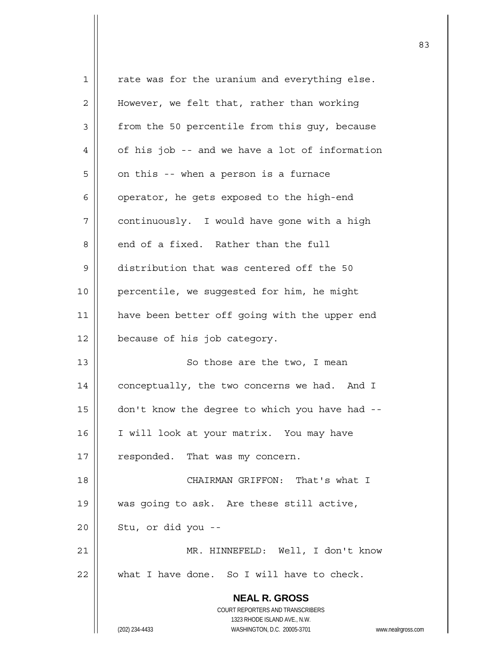| $\mathbf 1$ | rate was for the uranium and everything else.     |
|-------------|---------------------------------------------------|
| 2           | However, we felt that, rather than working        |
| 3           | from the 50 percentile from this guy, because     |
| 4           | of his job -- and we have a lot of information    |
| 5           | on this -- when a person is a furnace             |
| 6           | operator, he gets exposed to the high-end         |
| 7           | continuously. I would have gone with a high       |
| 8           | end of a fixed. Rather than the full              |
| 9           | distribution that was centered off the 50         |
| 10          | percentile, we suggested for him, he might        |
| 11          | have been better off going with the upper end     |
| 12          | because of his job category.                      |
| 13          | So those are the two, I mean                      |
| 14          | conceptually, the two concerns we had. And I      |
| 15          | don't know the degree to which you have had --    |
| 16          | I will look at your matrix. You may have          |
| 17          | responded. That was my concern.                   |
| 18          | CHAIRMAN GRIFFON: That's what I                   |
| 19          | was going to ask. Are these still active,         |
| 20          | Stu, or did you --                                |
| 21          | MR. HINNEFELD: Well, I don't know                 |
| 22          | what I have done. So I will have to check.        |
|             | <b>NEAL R. GROSS</b>                              |
|             | COURT REPORTERS AND TRANSCRIBERS                  |
|             | 1323 RHODE ISLAND AVE., N.W.<br>(202) 234-4433    |
|             | WASHINGTON, D.C. 20005-3701<br>www.nealrgross.com |

<u>83</u>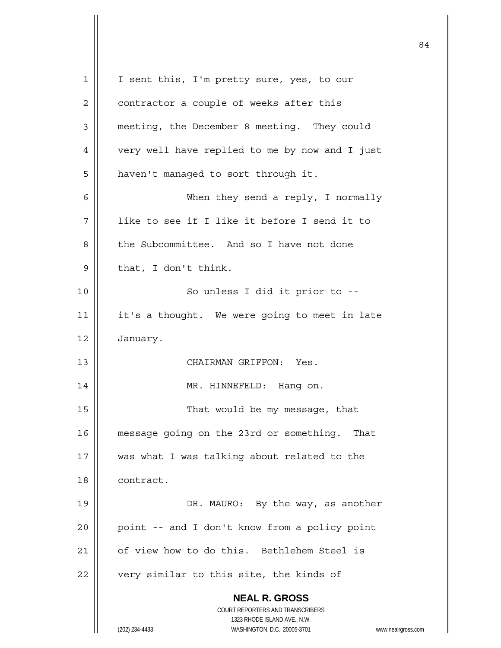| 1  | I sent this, I'm pretty sure, yes, to our                                                                                                                              |
|----|------------------------------------------------------------------------------------------------------------------------------------------------------------------------|
| 2  | contractor a couple of weeks after this                                                                                                                                |
| 3  | meeting, the December 8 meeting. They could                                                                                                                            |
| 4  | very well have replied to me by now and I just                                                                                                                         |
| 5  | haven't managed to sort through it.                                                                                                                                    |
| 6  | When they send a reply, I normally                                                                                                                                     |
| 7  | like to see if I like it before I send it to                                                                                                                           |
| 8  | the Subcommittee. And so I have not done                                                                                                                               |
| 9  | that, I don't think.                                                                                                                                                   |
| 10 | So unless I did it prior to --                                                                                                                                         |
| 11 | it's a thought. We were going to meet in late                                                                                                                          |
| 12 | January.                                                                                                                                                               |
| 13 | CHAIRMAN GRIFFON: Yes.                                                                                                                                                 |
| 14 | MR. HINNEFELD: Hang on.                                                                                                                                                |
| 15 | That would be my message, that                                                                                                                                         |
| 16 | message going on the 23rd or something. That                                                                                                                           |
| 17 | was what I was talking about related to the                                                                                                                            |
| 18 | contract.                                                                                                                                                              |
| 19 | DR. MAURO: By the way, as another                                                                                                                                      |
| 20 | point -- and I don't know from a policy point                                                                                                                          |
| 21 | of view how to do this. Bethlehem Steel is                                                                                                                             |
| 22 | very similar to this site, the kinds of                                                                                                                                |
|    | <b>NEAL R. GROSS</b><br><b>COURT REPORTERS AND TRANSCRIBERS</b><br>1323 RHODE ISLAND AVE., N.W.<br>(202) 234-4433<br>WASHINGTON, D.C. 20005-3701<br>www.nealrgross.com |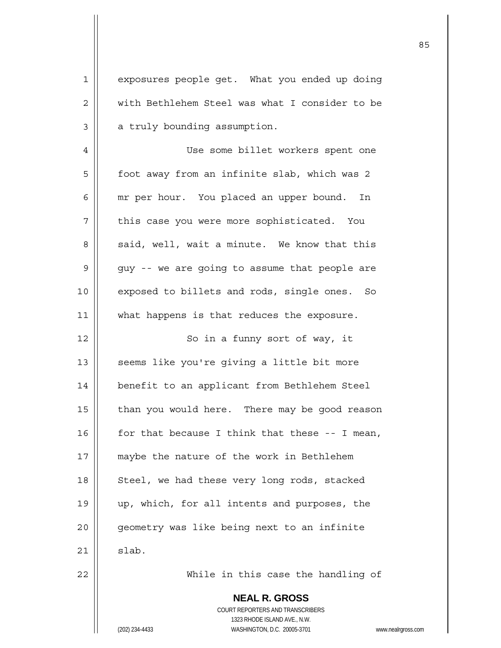| $\mathbf 1$    | exposures people get. What you ended up doing                                                       |
|----------------|-----------------------------------------------------------------------------------------------------|
| $\mathbf{2}$   | with Bethlehem Steel was what I consider to be                                                      |
| $\mathfrak{Z}$ | a truly bounding assumption.                                                                        |
| $\overline{4}$ | Use some billet workers spent one                                                                   |
| 5              | foot away from an infinite slab, which was 2                                                        |
| 6              | mr per hour. You placed an upper bound. In                                                          |
| 7              | this case you were more sophisticated. You                                                          |
| 8              | said, well, wait a minute. We know that this                                                        |
| 9              | guy -- we are going to assume that people are                                                       |
| 10             | exposed to billets and rods, single ones. So                                                        |
| 11             | what happens is that reduces the exposure.                                                          |
| 12             | So in a funny sort of way, it                                                                       |
| 13             | seems like you're giving a little bit more                                                          |
| 14             | benefit to an applicant from Bethlehem Steel                                                        |
| 15             | than you would here. There may be good reason                                                       |
| 16             | for that because I think that these $-$ I mean,                                                     |
| 17             | maybe the nature of the work in Bethlehem                                                           |
| 18             | Steel, we had these very long rods, stacked                                                         |
| 19             | up, which, for all intents and purposes, the                                                        |
| 20             | geometry was like being next to an infinite                                                         |
| 21             | slab.                                                                                               |
| 22             | While in this case the handling of                                                                  |
|                | <b>NEAL R. GROSS</b><br>COURT REPORTERS AND TRANSCRIBERS                                            |
|                | 1323 RHODE ISLAND AVE., N.W.<br>(202) 234-4433<br>WASHINGTON, D.C. 20005-3701<br>www.nealrgross.com |

<u>85 and 2001 and 2001 and 2001 and 2001 and 2001 and 2001 and 2001 and 2001 and 2001 and 2001 and 2001 and 200</u>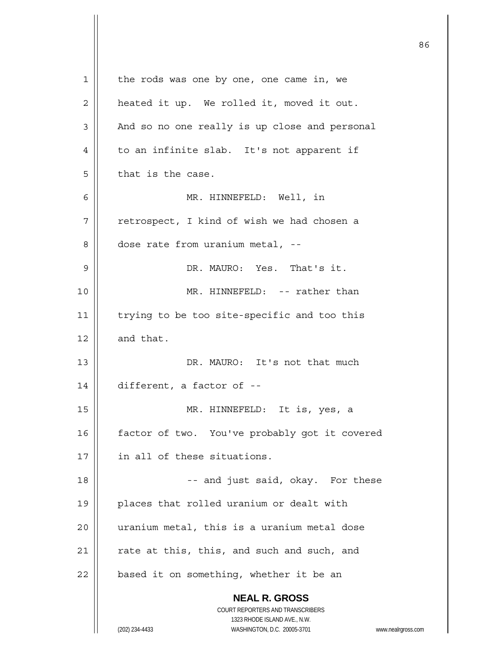| 1  | the rods was one by one, one came in, we                            |
|----|---------------------------------------------------------------------|
| 2  | heated it up. We rolled it, moved it out.                           |
| 3  | And so no one really is up close and personal                       |
| 4  | to an infinite slab. It's not apparent if                           |
| 5  | that is the case.                                                   |
| 6  | MR. HINNEFELD: Well, in                                             |
| 7  | retrospect, I kind of wish we had chosen a                          |
| 8  | dose rate from uranium metal, --                                    |
| 9  | DR. MAURO: Yes. That's it.                                          |
| 10 | MR. HINNEFELD: -- rather than                                       |
| 11 | trying to be too site-specific and too this                         |
| 12 | and that.                                                           |
| 13 | DR. MAURO: It's not that much                                       |
| 14 | different, a factor of --                                           |
| 15 | MR. HINNEFELD: It is, yes, a                                        |
| 16 | factor of two. You've probably got it covered                       |
| 17 | in all of these situations.                                         |
| 18 | -- and just said, okay. For these                                   |
| 19 | places that rolled uranium or dealt with                            |
| 20 | uranium metal, this is a uranium metal dose                         |
| 21 | rate at this, this, and such and such, and                          |
| 22 | based it on something, whether it be an                             |
|    | <b>NEAL R. GROSS</b>                                                |
|    | COURT REPORTERS AND TRANSCRIBERS                                    |
|    | 1323 RHODE ISLAND AVE., N.W.                                        |
|    | (202) 234-4433<br>WASHINGTON, D.C. 20005-3701<br>www.nealrgross.com |

<u>86 and 2001 and 2002 and 2003 and 2003 and 2003 and 2003 and 2003 and 2003 and 2003 and 2003 and 2003 and 200</u>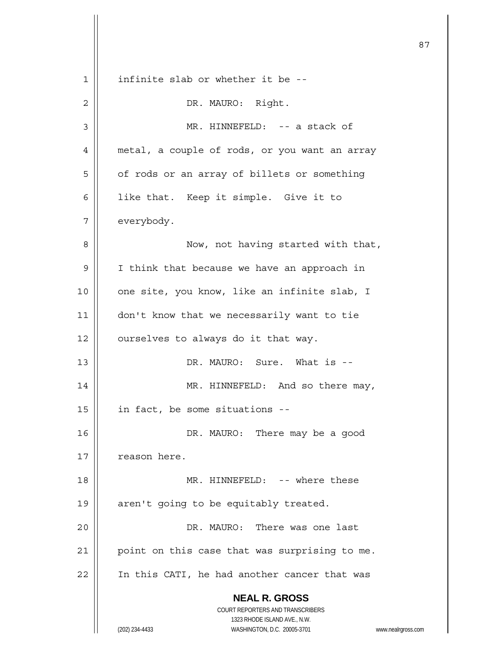|             | 87                                                                                       |
|-------------|------------------------------------------------------------------------------------------|
| $\mathbf 1$ | infinite slab or whether it be --                                                        |
| 2           | DR. MAURO: Right.                                                                        |
| 3           | MR. HINNEFELD: -- a stack of                                                             |
| 4           | metal, a couple of rods, or you want an array                                            |
| 5           | of rods or an array of billets or something                                              |
| 6           | like that. Keep it simple. Give it to                                                    |
| 7           | everybody.                                                                               |
| 8           | Now, not having started with that,                                                       |
| 9           | I think that because we have an approach in                                              |
| 10          | one site, you know, like an infinite slab, I                                             |
| 11          | don't know that we necessarily want to tie                                               |
| 12          | ourselves to always do it that way.                                                      |
| 13          | DR. MAURO: Sure. What is --                                                              |
| 14          | MR. HINNEFELD: And so there may,                                                         |
| 15          | in fact, be some situations --                                                           |
| 16          | DR. MAURO: There may be a good                                                           |
| 17          | reason here.                                                                             |
| 18          | MR. HINNEFELD: -- where these                                                            |
| 19          | aren't going to be equitably treated.                                                    |
| 20          | DR. MAURO: There was one last                                                            |
| 21          | point on this case that was surprising to me.                                            |
| 22          | In this CATI, he had another cancer that was                                             |
|             | <b>NEAL R. GROSS</b><br>COURT REPORTERS AND TRANSCRIBERS<br>1323 RHODE ISLAND AVE., N.W. |
|             | (202) 234-4433<br>WASHINGTON, D.C. 20005-3701<br>www.nealrgross.com                      |

 $\overline{\phantom{a}}$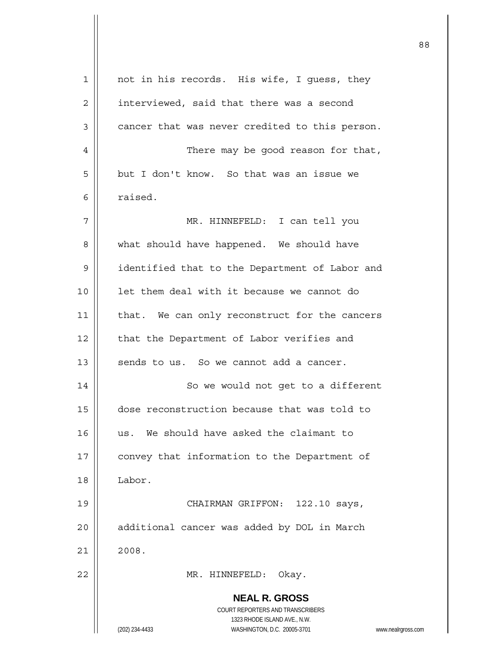| 1  | not in his records. His wife, I guess, they                         |
|----|---------------------------------------------------------------------|
| 2  | interviewed, said that there was a second                           |
| 3  | cancer that was never credited to this person.                      |
| 4  | There may be good reason for that,                                  |
| 5  | but I don't know. So that was an issue we                           |
| 6  | raised.                                                             |
| 7  | MR. HINNEFELD: I can tell you                                       |
| 8  | what should have happened. We should have                           |
| 9  | identified that to the Department of Labor and                      |
| 10 | let them deal with it because we cannot do                          |
| 11 | that. We can only reconstruct for the cancers                       |
| 12 | that the Department of Labor verifies and                           |
| 13 | sends to us. So we cannot add a cancer.                             |
| 14 | So we would not get to a different                                  |
| 15 | dose reconstruction because that was told to                        |
| 16 | us. We should have asked the claimant to                            |
| 17 | convey that information to the Department of                        |
| 18 | Labor.                                                              |
| 19 | CHAIRMAN GRIFFON: 122.10 says,                                      |
| 20 | additional cancer was added by DOL in March                         |
| 21 | 2008.                                                               |
| 22 | MR. HINNEFELD:<br>Okay.                                             |
|    |                                                                     |
|    | <b>NEAL R. GROSS</b><br>COURT REPORTERS AND TRANSCRIBERS            |
|    | 1323 RHODE ISLAND AVE., N.W.                                        |
|    | (202) 234-4433<br>WASHINGTON, D.C. 20005-3701<br>www.nealrgross.com |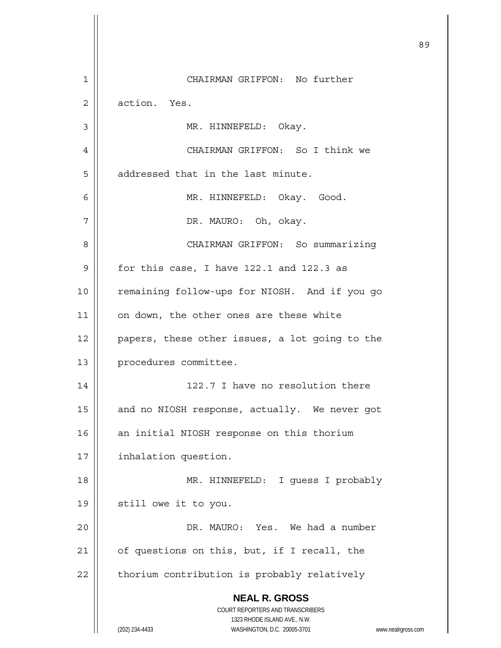**NEAL R. GROSS** COURT REPORTERS AND TRANSCRIBERS 1323 RHODE ISLAND AVE., N.W. (202) 234-4433 WASHINGTON, D.C. 20005-3701 www.nealrgross.com <u>89 and 2001 and 2002 and 2003 and 2003 and 2004 and 2004 and 2004 and 2004 and 2004 and 2004 and 2004 and 200</u> 1 2 3 4 5 6 7 8 9 10 11 12 13 14 15 16 17 18 19 20 21 22 CHAIRMAN GRIFFON: No further action. Yes. MR. HINNEFELD: Okay. CHAIRMAN GRIFFON: So I think we addressed that in the last minute. MR. HINNEFELD: Okay. Good. DR. MAURO: Oh, okay. CHAIRMAN GRIFFON: So summarizing for this case, I have 122.1 and 122.3 as remaining follow-ups for NIOSH. And if you go on down, the other ones are these white papers, these other issues, a lot going to the procedures committee. 122.7 I have no resolution there and no NIOSH response, actually. We never got an initial NIOSH response on this thorium inhalation question. MR. HINNEFELD: I guess I probably still owe it to you. DR. MAURO: Yes. We had a number of questions on this, but, if I recall, the thorium contribution is probably relatively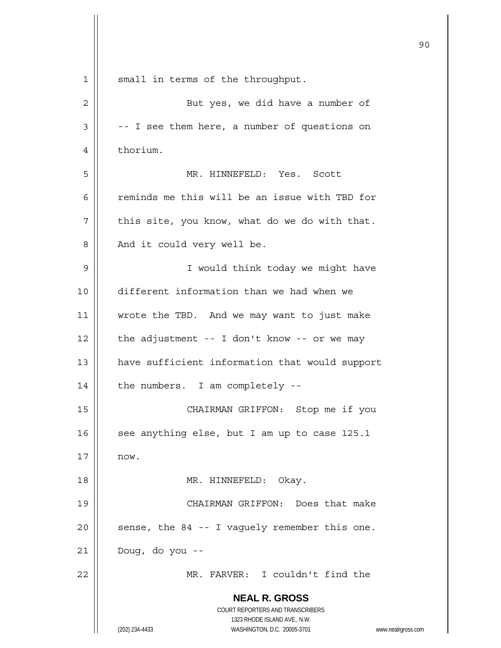|             |                                                                     | 90 |
|-------------|---------------------------------------------------------------------|----|
| $\mathbf 1$ | small in terms of the throughput.                                   |    |
| 2           | But yes, we did have a number of                                    |    |
| 3           | -- I see them here, a number of questions on                        |    |
| 4           | thorium.                                                            |    |
| 5           | MR. HINNEFELD: Yes. Scott                                           |    |
| 6           | reminds me this will be an issue with TBD for                       |    |
| 7           | this site, you know, what do we do with that.                       |    |
| 8           | And it could very well be.                                          |    |
| 9           | I would think today we might have                                   |    |
| 10          | different information than we had when we                           |    |
| 11          | wrote the TBD. And we may want to just make                         |    |
| 12          | the adjustment -- I don't know -- or we may                         |    |
| 13          | have sufficient information that would support                      |    |
| 14          | the numbers. I am completely --                                     |    |
| 15          | CHAIRMAN GRIFFON: Stop me if you                                    |    |
| 16          | see anything else, but I am up to case 125.1                        |    |
| 17          | now.                                                                |    |
| 18          | MR. HINNEFELD: Okay.                                                |    |
| 19          | CHAIRMAN GRIFFON: Does that make                                    |    |
| 20          | sense, the 84 -- I vaguely remember this one.                       |    |
| 21          | Doug, do you --                                                     |    |
| 22          | MR. FARVER: I couldn't find the                                     |    |
|             | <b>NEAL R. GROSS</b><br>COURT REPORTERS AND TRANSCRIBERS            |    |
|             | 1323 RHODE ISLAND AVE., N.W.                                        |    |
|             | (202) 234-4433<br>WASHINGTON, D.C. 20005-3701<br>www.nealrgross.com |    |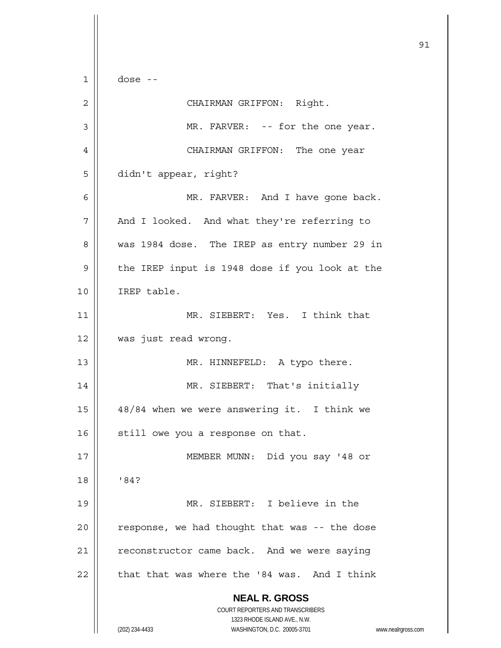**NEAL R. GROSS** COURT REPORTERS AND TRANSCRIBERS 1323 RHODE ISLAND AVE., N.W. (202) 234-4433 WASHINGTON, D.C. 20005-3701 www.nealrgross.com 91 1 2 3 4 5 6 7 8 9 10 11 12 13 14 15 16 17 18 19 20 21 22 dose -- CHAIRMAN GRIFFON: Right. MR. FARVER: -- for the one year. CHAIRMAN GRIFFON: The one year didn't appear, right? MR. FARVER: And I have gone back. And I looked. And what they're referring to was 1984 dose. The IREP as entry number 29 in the IREP input is 1948 dose if you look at the IREP table. MR. SIEBERT: Yes. I think that was just read wrong. MR. HINNEFELD: A typo there. MR. SIEBERT: That's initially 48/84 when we were answering it. I think we still owe you a response on that. MEMBER MUNN: Did you say '48 or '84? MR. SIEBERT: I believe in the response, we had thought that was -- the dose reconstructor came back. And we were saying that that was where the '84 was. And I think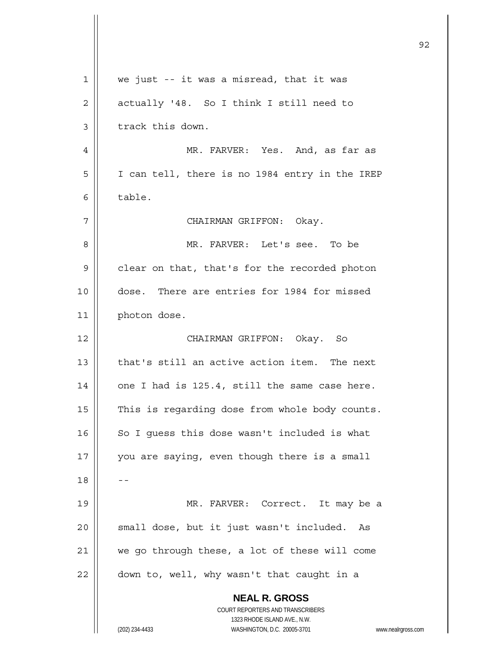|    |                                                                                                     | 92 |
|----|-----------------------------------------------------------------------------------------------------|----|
| 1  | we just -- it was a misread, that it was                                                            |    |
| 2  | actually '48. So I think I still need to                                                            |    |
| 3  | track this down.                                                                                    |    |
| 4  | MR. FARVER: Yes. And, as far as                                                                     |    |
| 5  | I can tell, there is no 1984 entry in the IREP                                                      |    |
| 6  | table.                                                                                              |    |
| 7  | CHAIRMAN GRIFFON: Okay.                                                                             |    |
| 8  | MR. FARVER: Let's see. To be                                                                        |    |
| 9  | clear on that, that's for the recorded photon                                                       |    |
| 10 | dose. There are entries for 1984 for missed                                                         |    |
| 11 | photon dose.                                                                                        |    |
| 12 | CHAIRMAN GRIFFON: Okay. So                                                                          |    |
| 13 | that's still an active action item. The next                                                        |    |
| 14 | one I had is 125.4, still the same case here.                                                       |    |
| 15 | This is regarding dose from whole body counts.                                                      |    |
| 16 | So I guess this dose wasn't included is what                                                        |    |
| 17 | you are saying, even though there is a small                                                        |    |
| 18 |                                                                                                     |    |
| 19 | MR. FARVER: Correct. It may be a                                                                    |    |
| 20 | small dose, but it just wasn't included.<br>As                                                      |    |
| 21 | we go through these, a lot of these will come                                                       |    |
| 22 | down to, well, why wasn't that caught in a                                                          |    |
|    | <b>NEAL R. GROSS</b><br>COURT REPORTERS AND TRANSCRIBERS                                            |    |
|    | 1323 RHODE ISLAND AVE., N.W.<br>(202) 234-4433<br>WASHINGTON, D.C. 20005-3701<br>www.nealrgross.com |    |
|    |                                                                                                     |    |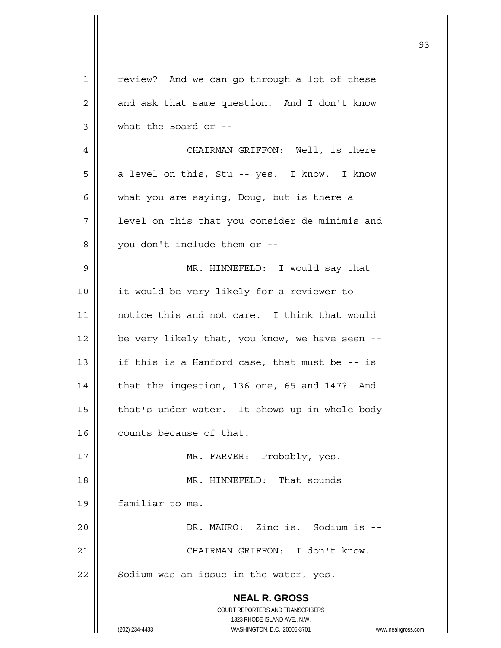| $\mathbf 1$ | review? And we can go through a lot of these                        |
|-------------|---------------------------------------------------------------------|
| 2           | and ask that same question. And I don't know                        |
| 3           | what the Board or --                                                |
| 4           | CHAIRMAN GRIFFON: Well, is there                                    |
| 5           | a level on this, Stu -- yes. I know. I know                         |
| 6           | what you are saying, Doug, but is there a                           |
| 7           | level on this that you consider de minimis and                      |
| 8           | you don't include them or --                                        |
| 9           | MR. HINNEFELD: I would say that                                     |
| 10          | it would be very likely for a reviewer to                           |
| 11          | notice this and not care. I think that would                        |
| 12          | be very likely that, you know, we have seen --                      |
| 13          | if this is a Hanford case, that must be -- is                       |
| 14          | that the ingestion, 136 one, 65 and 147? And                        |
| 15          | that's under water. It shows up in whole body                       |
| 16          | counts because of that.                                             |
| 17          | MR. FARVER: Probably, yes.                                          |
| 18          | MR. HINNEFELD: That sounds                                          |
| 19          | familiar to me.                                                     |
| 20          | DR. MAURO: Zinc is. Sodium is --                                    |
| 21          | CHAIRMAN GRIFFON: I don't know.                                     |
| 22          | Sodium was an issue in the water, yes.                              |
|             | <b>NEAL R. GROSS</b>                                                |
|             | COURT REPORTERS AND TRANSCRIBERS<br>1323 RHODE ISLAND AVE., N.W.    |
|             | (202) 234-4433<br>WASHINGTON, D.C. 20005-3701<br>www.nealrgross.com |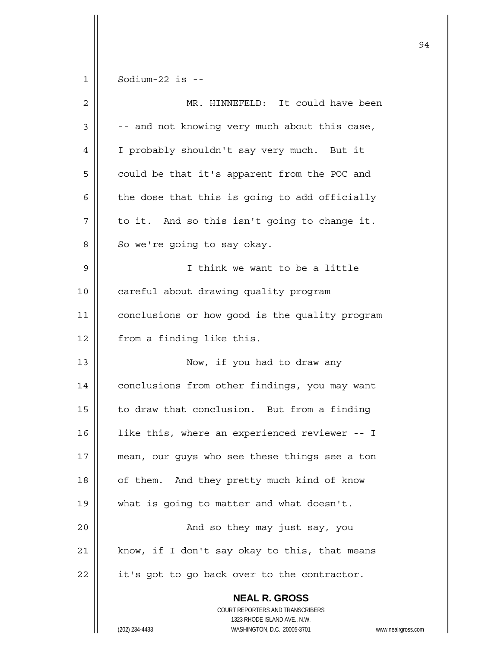$1$ Sodium-22 is --

| $\mathbf 2$    | MR. HINNEFELD: It could have been              |
|----------------|------------------------------------------------|
| 3              | -- and not knowing very much about this case,  |
| $\overline{4}$ | I probably shouldn't say very much. But it     |
| 5              | could be that it's apparent from the POC and   |
| 6              | the dose that this is going to add officially  |
| 7              | to it. And so this isn't going to change it.   |
| 8              | So we're going to say okay.                    |
| $\mathsf 9$    | I think we want to be a little                 |
| 10             | careful about drawing quality program          |
| 11             | conclusions or how good is the quality program |
| 12             | from a finding like this.                      |
| 13             | Now, if you had to draw any                    |
| 14             | conclusions from other findings, you may want  |
| 15             | to draw that conclusion. But from a finding    |
| 16             | like this, where an experienced reviewer -- I  |
| 17             | mean, our guys who see these things see a ton  |
| 18             | of them. And they pretty much kind of know     |
| 19             | what is going to matter and what doesn't.      |
| 20             | And so they may just say, you                  |
| 21             | know, if I don't say okay to this, that means  |
| 22             | it's got to go back over to the contractor.    |
|                | <b>NEAL R. GROSS</b>                           |

COURT REPORTERS AND TRANSCRIBERS 1323 RHODE ISLAND AVE., N.W. (202) 234-4433 WASHINGTON, D.C. 20005-3701 www.nealrgross.com

 $\prod$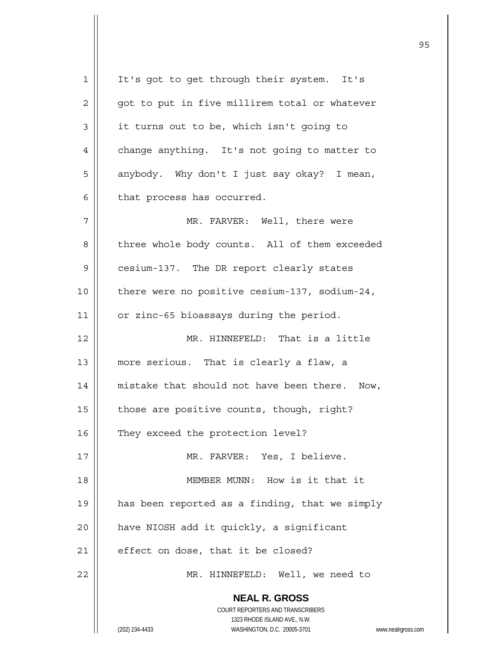| 1  | It's got to get through their system. It's                          |
|----|---------------------------------------------------------------------|
| 2  | got to put in five millirem total or whatever                       |
| 3  | it turns out to be, which isn't going to                            |
| 4  | change anything. It's not going to matter to                        |
| 5  | anybody. Why don't I just say okay? I mean,                         |
| 6  | that process has occurred.                                          |
| 7  | MR. FARVER: Well, there were                                        |
| 8  | three whole body counts. All of them exceeded                       |
| 9  | cesium-137. The DR report clearly states                            |
| 10 | there were no positive cesium-137, sodium-24,                       |
| 11 | or zinc-65 bioassays during the period.                             |
| 12 | MR. HINNEFELD: That is a little                                     |
| 13 | more serious. That is clearly a flaw, a                             |
| 14 | mistake that should not have been there. Now,                       |
| 15 | those are positive counts, though, right?                           |
| 16 | They exceed the protection level?                                   |
| 17 | MR. FARVER: Yes, I believe.                                         |
| 18 | MEMBER MUNN: How is it that it                                      |
| 19 | has been reported as a finding, that we simply                      |
| 20 | have NIOSH add it quickly, a significant                            |
| 21 | effect on dose, that it be closed?                                  |
| 22 | MR. HINNEFELD: Well, we need to                                     |
|    | <b>NEAL R. GROSS</b>                                                |
|    | COURT REPORTERS AND TRANSCRIBERS                                    |
|    | 1323 RHODE ISLAND AVE., N.W.                                        |
|    | (202) 234-4433<br>WASHINGTON, D.C. 20005-3701<br>www.nealrgross.com |

<u>95 and 2001 and 2001 and 2001 and 2001 and 2001 and 2001 and 2001 and 2001 and 2001 and 2001 and 2001 and 200</u>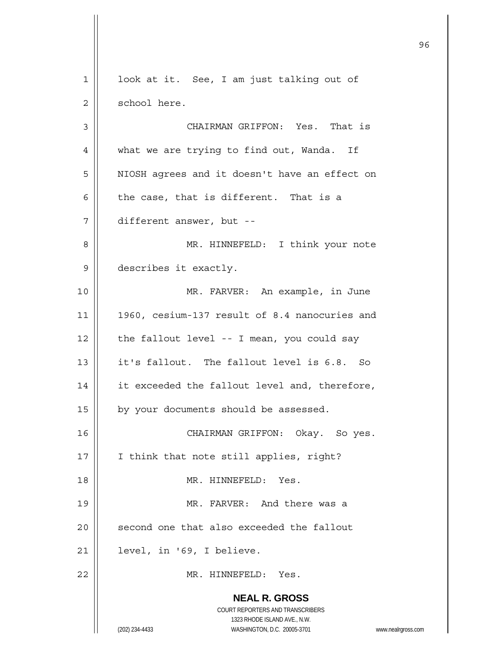**NEAL R. GROSS** COURT REPORTERS AND TRANSCRIBERS 1323 RHODE ISLAND AVE., N.W. (202) 234-4433 WASHINGTON, D.C. 20005-3701 www.nealrgross.com 1 2 3 4 5 6 7 8 9 10 11 12 13 14 15 16 17 18 19 20 21 22 look at it. See, I am just talking out of school here. CHAIRMAN GRIFFON: Yes. That is what we are trying to find out, Wanda. If NIOSH agrees and it doesn't have an effect on the case, that is different. That is a different answer, but -- MR. HINNEFELD: I think your note describes it exactly. MR. FARVER: An example, in June 1960, cesium-137 result of 8.4 nanocuries and the fallout level -- I mean, you could say it's fallout. The fallout level is 6.8. So it exceeded the fallout level and, therefore, by your documents should be assessed. CHAIRMAN GRIFFON: Okay. So yes. I think that note still applies, right? MR. HINNEFELD: Yes. MR. FARVER: And there was a second one that also exceeded the fallout level, in '69, I believe. MR. HINNEFELD: Yes.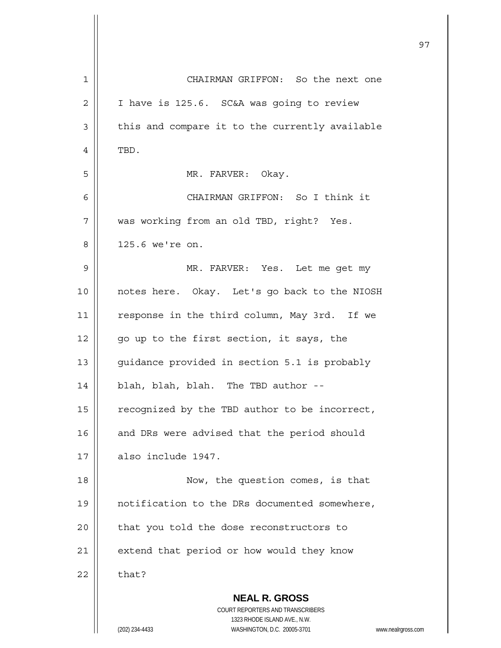|    |                                                                     | 97 |
|----|---------------------------------------------------------------------|----|
| 1  | CHAIRMAN GRIFFON: So the next one                                   |    |
| 2  | I have is 125.6. SC&A was going to review                           |    |
| 3  | this and compare it to the currently available                      |    |
| 4  | TBD.                                                                |    |
| 5  | MR. FARVER: Okay.                                                   |    |
| 6  | CHAIRMAN GRIFFON: So I think it                                     |    |
| 7  | was working from an old TBD, right? Yes.                            |    |
| 8  | 125.6 we're on.                                                     |    |
| 9  | MR. FARVER: Yes. Let me get my                                      |    |
| 10 | notes here. Okay. Let's go back to the NIOSH                        |    |
| 11 | response in the third column, May 3rd. If we                        |    |
| 12 | go up to the first section, it says, the                            |    |
| 13 | guidance provided in section 5.1 is probably                        |    |
| 14 | blah, blah, blah. The TBD author --                                 |    |
| 15 | recognized by the TBD author to be incorrect,                       |    |
| 16 | and DRs were advised that the period should                         |    |
| 17 | also include 1947.                                                  |    |
| 18 | Now, the question comes, is that                                    |    |
| 19 | notification to the DRs documented somewhere,                       |    |
| 20 | that you told the dose reconstructors to                            |    |
| 21 | extend that period or how would they know                           |    |
| 22 | that?                                                               |    |
|    | <b>NEAL R. GROSS</b>                                                |    |
|    | COURT REPORTERS AND TRANSCRIBERS<br>1323 RHODE ISLAND AVE., N.W.    |    |
|    | (202) 234-4433<br>WASHINGTON, D.C. 20005-3701<br>www.nealrgross.com |    |

 $\mathbf{\mathcal{H}}$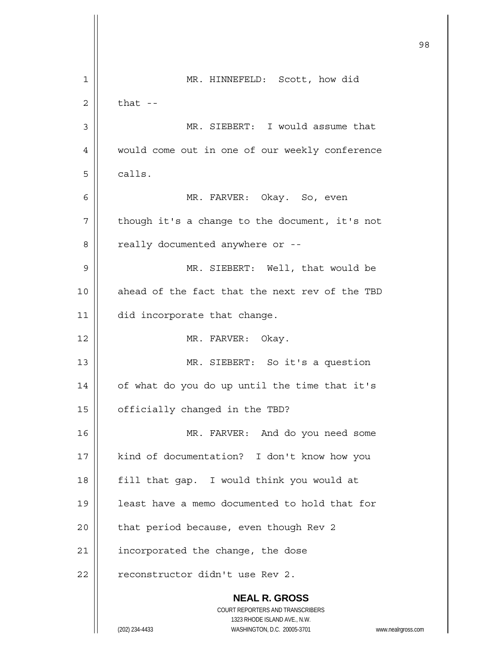|    |                                                                     | 98 |
|----|---------------------------------------------------------------------|----|
| 1  | MR. HINNEFELD: Scott, how did                                       |    |
| 2  | that $-$                                                            |    |
| 3  | MR. SIEBERT: I would assume that                                    |    |
| 4  | would come out in one of our weekly conference                      |    |
| 5  | calls.                                                              |    |
| 6  | MR. FARVER: Okay. So, even                                          |    |
| 7  | though it's a change to the document, it's not                      |    |
| 8  | really documented anywhere or --                                    |    |
| 9  | MR. SIEBERT: Well, that would be                                    |    |
| 10 | ahead of the fact that the next rev of the TBD                      |    |
| 11 | did incorporate that change.                                        |    |
| 12 | MR. FARVER: Okay.                                                   |    |
| 13 | MR. SIEBERT: So it's a question                                     |    |
| 14 | of what do you do up until the time that it's                       |    |
| 15 | officially changed in the TBD?                                      |    |
| 16 | MR. FARVER: And do you need some                                    |    |
| 17 | kind of documentation? I don't know how you                         |    |
| 18 | fill that gap. I would think you would at                           |    |
| 19 | least have a memo documented to hold that for                       |    |
| 20 | that period because, even though Rev 2                              |    |
| 21 | incorporated the change, the dose                                   |    |
| 22 | reconstructor didn't use Rev 2.                                     |    |
|    | <b>NEAL R. GROSS</b><br>COURT REPORTERS AND TRANSCRIBERS            |    |
|    | 1323 RHODE ISLAND AVE., N.W.                                        |    |
|    | (202) 234-4433<br>WASHINGTON, D.C. 20005-3701<br>www.nealrgross.com |    |

 $\mathsf{I}$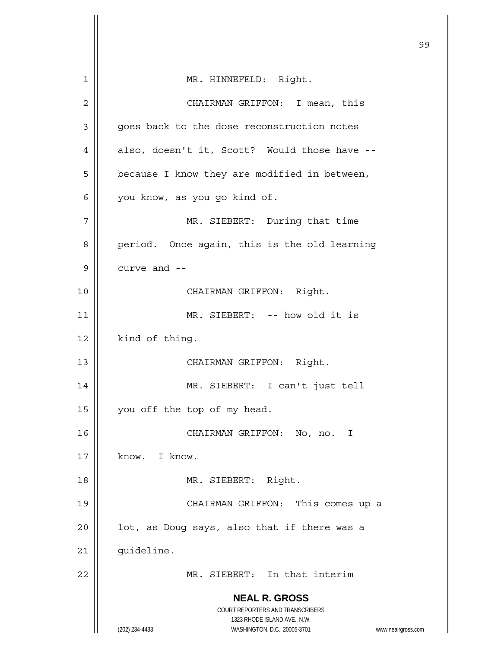|    |                                                                                                                                                                 | 99 |
|----|-----------------------------------------------------------------------------------------------------------------------------------------------------------------|----|
| 1  | MR. HINNEFELD: Right.                                                                                                                                           |    |
| 2  | CHAIRMAN GRIFFON: I mean, this                                                                                                                                  |    |
| 3  | goes back to the dose reconstruction notes                                                                                                                      |    |
| 4  | also, doesn't it, Scott? Would those have --                                                                                                                    |    |
| 5  | because I know they are modified in between,                                                                                                                    |    |
| 6  | you know, as you go kind of.                                                                                                                                    |    |
| 7  | MR. SIEBERT: During that time                                                                                                                                   |    |
| 8  | period. Once again, this is the old learning                                                                                                                    |    |
| 9  | curve and --                                                                                                                                                    |    |
| 10 | CHAIRMAN GRIFFON: Right.                                                                                                                                        |    |
| 11 | MR. SIEBERT: -- how old it is                                                                                                                                   |    |
| 12 | kind of thing.                                                                                                                                                  |    |
| 13 | CHAIRMAN GRIFFON: Right.                                                                                                                                        |    |
| 14 | MR. SIEBERT: I can't just tell                                                                                                                                  |    |
| 15 | you off the top of my head.                                                                                                                                     |    |
| 16 | CHAIRMAN GRIFFON: No, no. I                                                                                                                                     |    |
| 17 | know. I know.                                                                                                                                                   |    |
| 18 | MR. SIEBERT: Right.                                                                                                                                             |    |
| 19 | CHAIRMAN GRIFFON: This comes up a                                                                                                                               |    |
| 20 | lot, as Doug says, also that if there was a                                                                                                                     |    |
| 21 | guideline.                                                                                                                                                      |    |
| 22 | MR. SIEBERT: In that interim                                                                                                                                    |    |
|    | <b>NEAL R. GROSS</b><br>COURT REPORTERS AND TRANSCRIBERS<br>1323 RHODE ISLAND AVE., N.W.<br>(202) 234-4433<br>WASHINGTON, D.C. 20005-3701<br>www.nealrgross.com |    |

 $\mathsf{I}$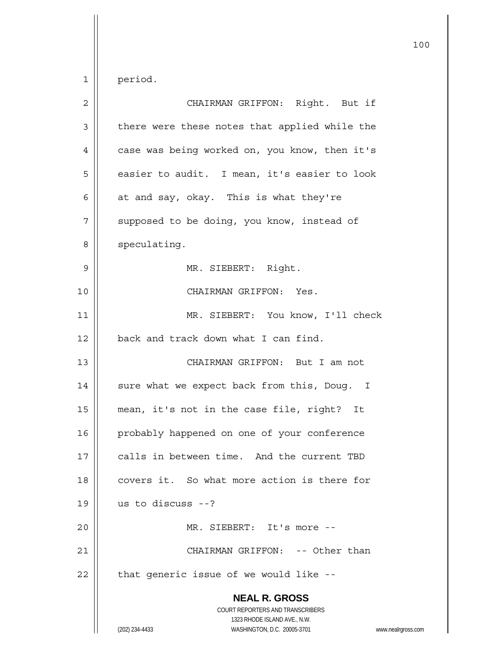1 period.

| $\overline{c}$ | CHAIRMAN GRIFFON: Right. But if                                                                                                                                 |
|----------------|-----------------------------------------------------------------------------------------------------------------------------------------------------------------|
| 3              | there were these notes that applied while the                                                                                                                   |
| 4              | case was being worked on, you know, then it's                                                                                                                   |
| 5              | easier to audit. I mean, it's easier to look                                                                                                                    |
| 6              | at and say, okay. This is what they're                                                                                                                          |
| 7              | supposed to be doing, you know, instead of                                                                                                                      |
| 8              | speculating.                                                                                                                                                    |
| 9              | MR. SIEBERT: Right.                                                                                                                                             |
| 10             | CHAIRMAN GRIFFON: Yes.                                                                                                                                          |
| 11             | MR. SIEBERT: You know, I'll check                                                                                                                               |
| 12             | back and track down what I can find.                                                                                                                            |
| 13             | CHAIRMAN GRIFFON: But I am not                                                                                                                                  |
| 14             | sure what we expect back from this, Doug. I                                                                                                                     |
| 15             | mean, it's not in the case file, right? It                                                                                                                      |
| 16             | probably happened on one of your conference                                                                                                                     |
| 17             | calls in between time. And the current TBD                                                                                                                      |
| 18             | covers it. So what more action is there for                                                                                                                     |
| 19             | us to discuss --?                                                                                                                                               |
| 20             | MR. SIEBERT: It's more --                                                                                                                                       |
| 21             | CHAIRMAN GRIFFON: -- Other than                                                                                                                                 |
| 22             | that generic issue of we would like --                                                                                                                          |
|                | <b>NEAL R. GROSS</b><br>COURT REPORTERS AND TRANSCRIBERS<br>1323 RHODE ISLAND AVE., N.W.<br>(202) 234-4433<br>WASHINGTON, D.C. 20005-3701<br>www.nealrgross.com |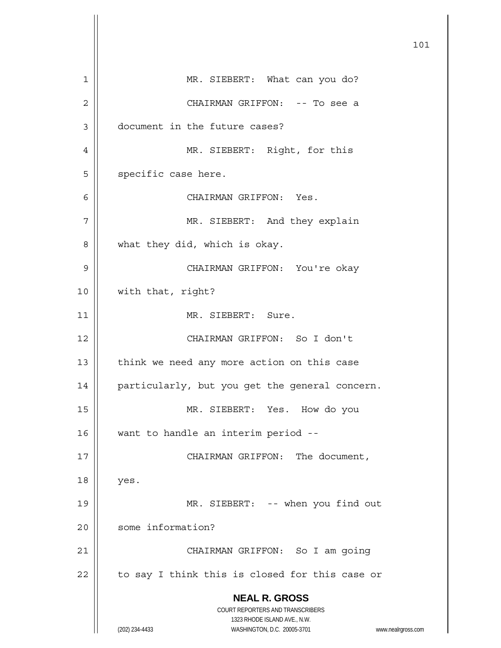**NEAL R. GROSS** COURT REPORTERS AND TRANSCRIBERS 1323 RHODE ISLAND AVE., N.W. (202) 234-4433 WASHINGTON, D.C. 20005-3701 www.nealrgross.com 101 1 2 3 4 5 6 7 8 9 10 11 12 13 14 15 16 17 18 19 20 21 22 MR. SIEBERT: What can you do? CHAIRMAN GRIFFON: -- To see a document in the future cases? MR. SIEBERT: Right, for this specific case here. CHAIRMAN GRIFFON: Yes. MR. SIEBERT: And they explain what they did, which is okay. CHAIRMAN GRIFFON: You're okay with that, right? MR. SIEBERT: Sure. CHAIRMAN GRIFFON: So I don't think we need any more action on this case particularly, but you get the general concern. MR. SIEBERT: Yes. How do you want to handle an interim period -- CHAIRMAN GRIFFON: The document, yes. MR. SIEBERT: -- when you find out some information? CHAIRMAN GRIFFON: So I am going to say I think this is closed for this case or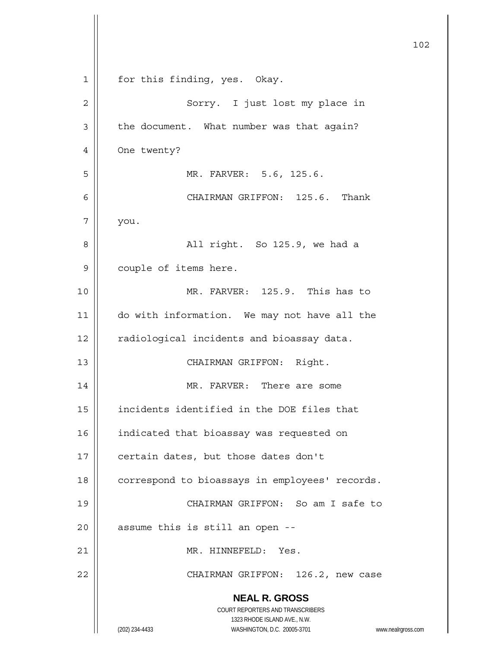|             |                                                                     | 102 |
|-------------|---------------------------------------------------------------------|-----|
| $\mathbf 1$ | for this finding, yes. Okay.                                        |     |
| 2           | Sorry. I just lost my place in                                      |     |
| 3           | the document. What number was that again?                           |     |
| 4           | One twenty?                                                         |     |
| 5           | MR. FARVER: 5.6, 125.6.                                             |     |
| 6           | CHAIRMAN GRIFFON: 125.6. Thank                                      |     |
| 7           | you.                                                                |     |
| 8           | All right. So 125.9, we had a                                       |     |
| 9           | couple of items here.                                               |     |
| 10          | MR. FARVER: 125.9. This has to                                      |     |
| 11          | do with information. We may not have all the                        |     |
| 12          | radiological incidents and bioassay data.                           |     |
| 13          | CHAIRMAN GRIFFON: Right.                                            |     |
| 14          | MR. FARVER: There are some                                          |     |
| 15          | incidents identified in the DOE files that                          |     |
| 16          | indicated that bioassay was requested on                            |     |
| 17          | certain dates, but those dates don't                                |     |
| 18          | correspond to bioassays in employees' records.                      |     |
| 19          | CHAIRMAN GRIFFON: So am I safe to                                   |     |
| 20          | assume this is still an open --                                     |     |
| 21          | MR. HINNEFELD: Yes.                                                 |     |
| 22          | CHAIRMAN GRIFFON: 126.2, new case                                   |     |
|             | <b>NEAL R. GROSS</b>                                                |     |
|             | COURT REPORTERS AND TRANSCRIBERS<br>1323 RHODE ISLAND AVE., N.W.    |     |
|             | (202) 234-4433<br>WASHINGTON, D.C. 20005-3701<br>www.nealrgross.com |     |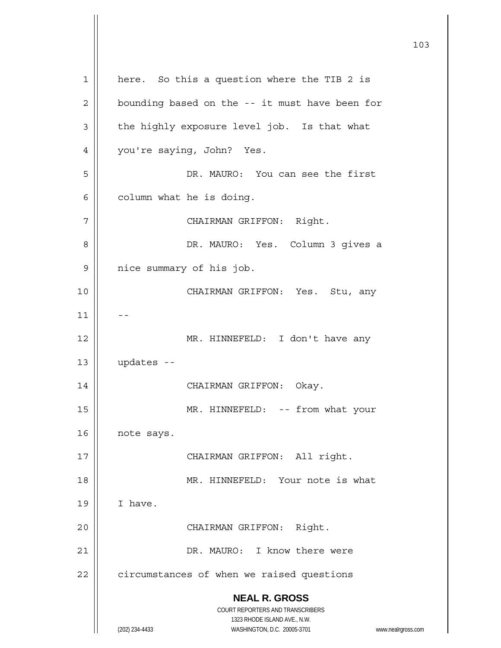**NEAL R. GROSS** COURT REPORTERS AND TRANSCRIBERS 1323 RHODE ISLAND AVE., N.W. (202) 234-4433 WASHINGTON, D.C. 20005-3701 www.nealrgross.com 1 2 3 4 5 6 7 8 9 10 11 12 13 14 15 16 17 18 19 20 21 22 here. So this a question where the TIB 2 is bounding based on the -- it must have been for the highly exposure level job. Is that what you're saying, John? Yes. DR. MAURO: You can see the first column what he is doing. CHAIRMAN GRIFFON: Right. DR. MAURO: Yes. Column 3 gives a nice summary of his job. CHAIRMAN GRIFFON: Yes. Stu, any -- MR. HINNEFELD: I don't have any updates -- CHAIRMAN GRIFFON: Okay. MR. HINNEFELD: -- from what your note says. CHAIRMAN GRIFFON: All right. MR. HINNEFELD: Your note is what I have. CHAIRMAN GRIFFON: Right. DR. MAURO: I know there were circumstances of when we raised questions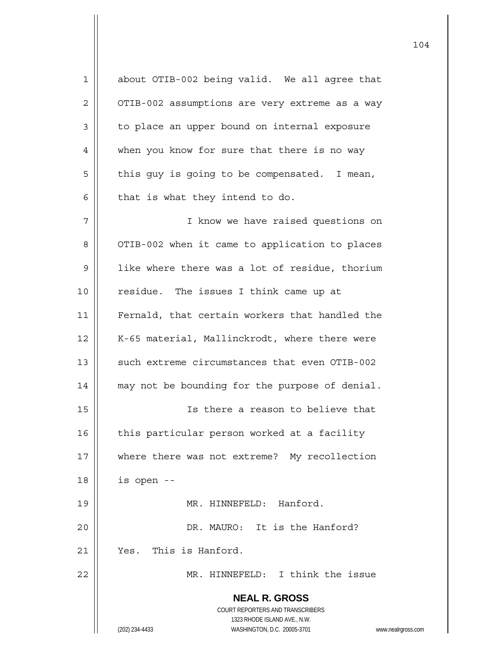**NEAL R. GROSS** COURT REPORTERS AND TRANSCRIBERS 1323 RHODE ISLAND AVE., N.W. (202) 234-4433 WASHINGTON, D.C. 20005-3701 www.nealrgross.com 1 2 3 4 5 6 7 8 9 10 11 12 13 14 15 16 17 18 19 20 21 22 about OTIB-002 being valid. We all agree that OTIB-002 assumptions are very extreme as a way to place an upper bound on internal exposure when you know for sure that there is no way this guy is going to be compensated. I mean, that is what they intend to do. I know we have raised questions on OTIB-002 when it came to application to places like where there was a lot of residue, thorium residue. The issues I think came up at Fernald, that certain workers that handled the K-65 material, Mallinckrodt, where there were such extreme circumstances that even OTIB-002 may not be bounding for the purpose of denial. Is there a reason to believe that this particular person worked at a facility where there was not extreme? My recollection is open -- MR. HINNEFELD: Hanford. DR. MAURO: It is the Hanford? Yes. This is Hanford. MR. HINNEFELD: I think the issue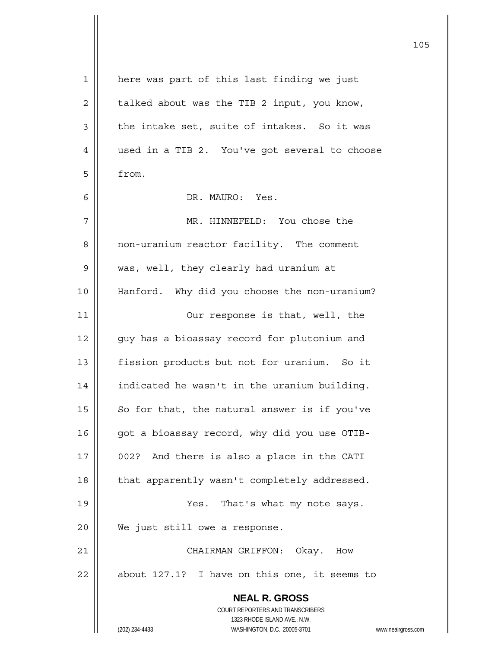| 1              | here was part of this last finding we just                                                          |
|----------------|-----------------------------------------------------------------------------------------------------|
| $\overline{c}$ | talked about was the TIB 2 input, you know,                                                         |
| 3              | the intake set, suite of intakes. So it was                                                         |
| 4              | used in a TIB 2. You've got several to choose                                                       |
| 5              | from.                                                                                               |
| 6              | DR. MAURO: Yes.                                                                                     |
| 7              | MR. HINNEFELD: You chose the                                                                        |
| 8              | non-uranium reactor facility. The comment                                                           |
| $\mathsf 9$    | was, well, they clearly had uranium at                                                              |
| 10             | Hanford. Why did you choose the non-uranium?                                                        |
| 11             | Our response is that, well, the                                                                     |
| 12             | guy has a bioassay record for plutonium and                                                         |
| 13             | fission products but not for uranium. So it                                                         |
| 14             | indicated he wasn't in the uranium building.                                                        |
| 15             | So for that, the natural answer is if you've                                                        |
| 16             | got a bioassay record, why did you use OTIB-                                                        |
| 17             | 002? And there is also a place in the CATI                                                          |
| 18             | that apparently wasn't completely addressed.                                                        |
| 19             | Yes. That's what my note says.                                                                      |
| 20             | We just still owe a response.                                                                       |
| 21             | CHAIRMAN GRIFFON: Okay. How                                                                         |
| 22             | about 127.1? I have on this one, it seems to                                                        |
|                | <b>NEAL R. GROSS</b>                                                                                |
|                | COURT REPORTERS AND TRANSCRIBERS                                                                    |
|                | 1323 RHODE ISLAND AVE., N.W.<br>WASHINGTON, D.C. 20005-3701<br>(202) 234-4433<br>www.nealrgross.com |
|                |                                                                                                     |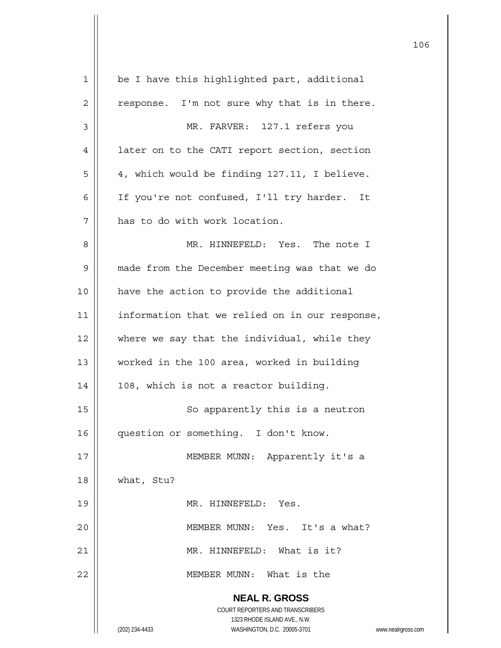| be I have this highlighted part, additional                                                         |
|-----------------------------------------------------------------------------------------------------|
| response. I'm not sure why that is in there.                                                        |
| MR. FARVER: 127.1 refers you                                                                        |
| later on to the CATI report section, section                                                        |
| 4, which would be finding 127.11, I believe.                                                        |
| If you're not confused, I'll try harder. It                                                         |
| has to do with work location.                                                                       |
| MR. HINNEFELD: Yes. The note I                                                                      |
| made from the December meeting was that we do                                                       |
| have the action to provide the additional                                                           |
| information that we relied on in our response,                                                      |
| where we say that the individual, while they                                                        |
| worked in the 100 area, worked in building                                                          |
| 108, which is not a reactor building.                                                               |
| So apparently this is a neutron                                                                     |
| question or something. I don't know.                                                                |
| MEMBER MUNN: Apparently it's a                                                                      |
| what, Stu?                                                                                          |
| MR. HINNEFELD: Yes.                                                                                 |
| MEMBER MUNN: Yes. It's a what?                                                                      |
| MR. HINNEFELD: What is it?                                                                          |
| MEMBER MUNN: What is the                                                                            |
| <b>NEAL R. GROSS</b>                                                                                |
| <b>COURT REPORTERS AND TRANSCRIBERS</b>                                                             |
| 1323 RHODE ISLAND AVE., N.W.<br>(202) 234-4433<br>WASHINGTON, D.C. 20005-3701<br>www.nealrgross.com |
|                                                                                                     |

 $\mathsf{I}$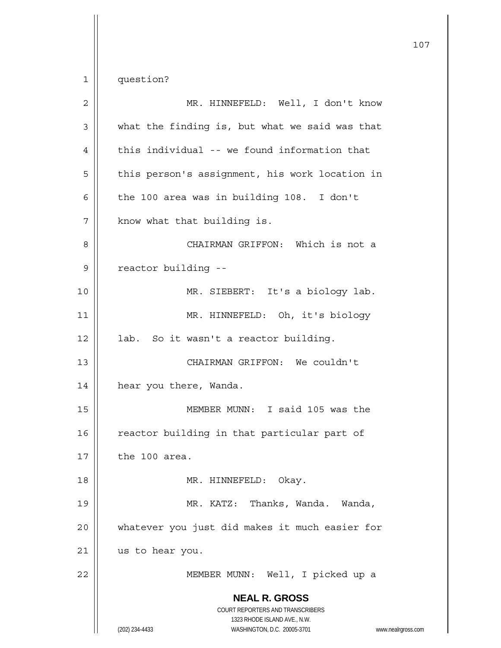1 question?

| 2  | MR. HINNEFELD: Well, I don't know                                                                                                                               |
|----|-----------------------------------------------------------------------------------------------------------------------------------------------------------------|
| 3  | what the finding is, but what we said was that                                                                                                                  |
| 4  | this individual -- we found information that                                                                                                                    |
| 5  | this person's assignment, his work location in                                                                                                                  |
| 6  | the 100 area was in building 108. I don't                                                                                                                       |
| 7  | know what that building is.                                                                                                                                     |
| 8  | CHAIRMAN GRIFFON: Which is not a                                                                                                                                |
| 9  | reactor building --                                                                                                                                             |
| 10 | MR. SIEBERT: It's a biology lab.                                                                                                                                |
| 11 | MR. HINNEFELD: Oh, it's biology                                                                                                                                 |
| 12 | lab. So it wasn't a reactor building.                                                                                                                           |
| 13 | CHAIRMAN GRIFFON: We couldn't                                                                                                                                   |
| 14 | hear you there, Wanda.                                                                                                                                          |
| 15 | MEMBER MUNN: I said 105 was the                                                                                                                                 |
| 16 | reactor building in that particular part of                                                                                                                     |
| 17 | the 100 area                                                                                                                                                    |
| 18 | MR. HINNEFELD:<br>Okay.                                                                                                                                         |
| 19 | MR. KATZ: Thanks, Wanda. Wanda,                                                                                                                                 |
| 20 | whatever you just did makes it much easier for                                                                                                                  |
| 21 | us to hear you.                                                                                                                                                 |
| 22 | MEMBER MUNN: Well, I picked up a                                                                                                                                |
|    | <b>NEAL R. GROSS</b><br>COURT REPORTERS AND TRANSCRIBERS<br>1323 RHODE ISLAND AVE., N.W.<br>(202) 234-4433<br>WASHINGTON, D.C. 20005-3701<br>www.nealrgross.com |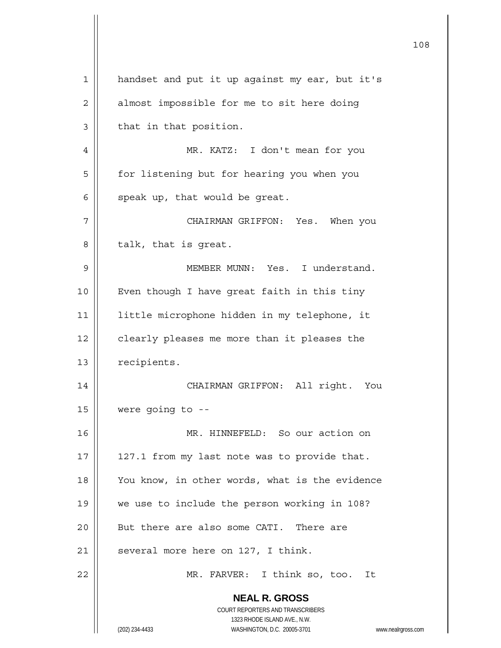|    | 108                                                                 |
|----|---------------------------------------------------------------------|
| 1  | handset and put it up against my ear, but it's                      |
| 2  | almost impossible for me to sit here doing                          |
| 3  | that in that position.                                              |
| 4  | MR. KATZ: I don't mean for you                                      |
| 5  | for listening but for hearing you when you                          |
| 6  | speak up, that would be great.                                      |
| 7  | CHAIRMAN GRIFFON: Yes. When you                                     |
| 8  | talk, that is great.                                                |
| 9  | MEMBER MUNN: Yes. I understand.                                     |
| 10 | Even though I have great faith in this tiny                         |
| 11 | little microphone hidden in my telephone, it                        |
| 12 | clearly pleases me more than it pleases the                         |
| 13 | recipients.                                                         |
| 14 | CHAIRMAN GRIFFON: All right.<br>You                                 |
| 15 | were going to --                                                    |
| 16 | MR. HINNEFELD: So our action on                                     |
| 17 | 127.1 from my last note was to provide that.                        |
| 18 | You know, in other words, what is the evidence                      |
| 19 | we use to include the person working in 108?                        |
| 20 | But there are also some CATI. There are                             |
| 21 | several more here on 127, I think.                                  |
| 22 | MR. FARVER: I think so, too. It                                     |
|    | <b>NEAL R. GROSS</b>                                                |
|    | COURT REPORTERS AND TRANSCRIBERS<br>1323 RHODE ISLAND AVE., N.W.    |
|    | (202) 234-4433<br>WASHINGTON, D.C. 20005-3701<br>www.nealrgross.com |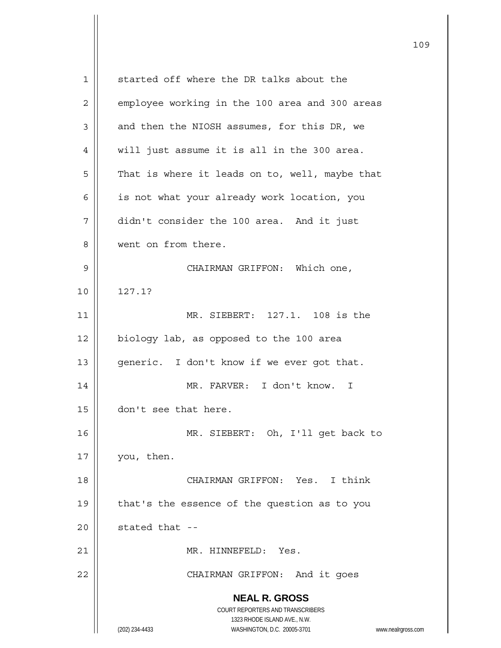| 1  | started off where the DR talks about the                            |
|----|---------------------------------------------------------------------|
| 2  | employee working in the 100 area and 300 areas                      |
| 3  | and then the NIOSH assumes, for this DR, we                         |
| 4  | will just assume it is all in the 300 area.                         |
| 5  | That is where it leads on to, well, maybe that                      |
| 6  | is not what your already work location, you                         |
| 7  | didn't consider the 100 area. And it just                           |
| 8  | went on from there.                                                 |
| 9  | CHAIRMAN GRIFFON: Which one,                                        |
| 10 | 127.1?                                                              |
| 11 | MR. SIEBERT: 127.1. 108 is the                                      |
| 12 | biology lab, as opposed to the 100 area                             |
| 13 | generic. I don't know if we ever got that.                          |
| 14 | MR. FARVER: I don't know. I                                         |
| 15 | don't see that here.                                                |
| 16 | MR. SIEBERT: Oh, I'll get back to                                   |
| 17 | you, then.                                                          |
| 18 | CHAIRMAN GRIFFON: Yes. I think                                      |
| 19 | that's the essence of the question as to you                        |
| 20 | stated that --                                                      |
| 21 | MR. HINNEFELD: Yes.                                                 |
| 22 | CHAIRMAN GRIFFON: And it goes                                       |
|    | <b>NEAL R. GROSS</b><br>COURT REPORTERS AND TRANSCRIBERS            |
|    | 1323 RHODE ISLAND AVE., N.W.                                        |
|    | (202) 234-4433<br>WASHINGTON, D.C. 20005-3701<br>www.nealrgross.com |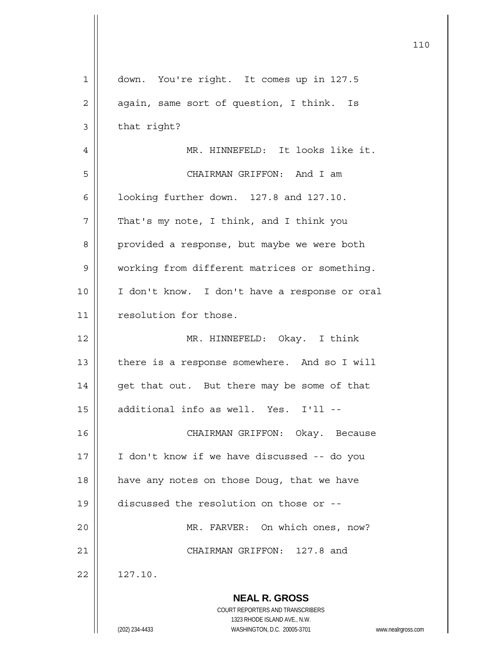|             | 110                                                                                                                                                             |
|-------------|-----------------------------------------------------------------------------------------------------------------------------------------------------------------|
| $\mathbf 1$ | down. You're right. It comes up in 127.5                                                                                                                        |
| 2           | again, same sort of question, I think. Is                                                                                                                       |
| 3           | that right?                                                                                                                                                     |
| 4           | MR. HINNEFELD: It looks like it.                                                                                                                                |
| 5           | CHAIRMAN GRIFFON: And I am                                                                                                                                      |
| 6           | looking further down. 127.8 and 127.10.                                                                                                                         |
| 7           | That's my note, I think, and I think you                                                                                                                        |
| 8           | provided a response, but maybe we were both                                                                                                                     |
| 9           | working from different matrices or something.                                                                                                                   |
| 10          | I don't know. I don't have a response or oral                                                                                                                   |
| 11          | resolution for those.                                                                                                                                           |
| 12          | MR. HINNEFELD: Okay. I think                                                                                                                                    |
| 13          | there is a response somewhere. And so I will                                                                                                                    |
| 14          | get that out. But there may be some of that                                                                                                                     |
| 15          | additional info as well. Yes. I'll --                                                                                                                           |
| 16          | CHAIRMAN GRIFFON: Okay. Because                                                                                                                                 |
| 17          | I don't know if we have discussed -- do you                                                                                                                     |
| 18          | have any notes on those Doug, that we have                                                                                                                      |
| 19          | discussed the resolution on those or --                                                                                                                         |
| 20          | MR. FARVER: On which ones, now?                                                                                                                                 |
| 21          | CHAIRMAN GRIFFON: 127.8 and                                                                                                                                     |
| 22          | 127.10.                                                                                                                                                         |
|             | <b>NEAL R. GROSS</b><br>COURT REPORTERS AND TRANSCRIBERS<br>1323 RHODE ISLAND AVE., N.W.<br>(202) 234-4433<br>WASHINGTON, D.C. 20005-3701<br>www.nealrgross.com |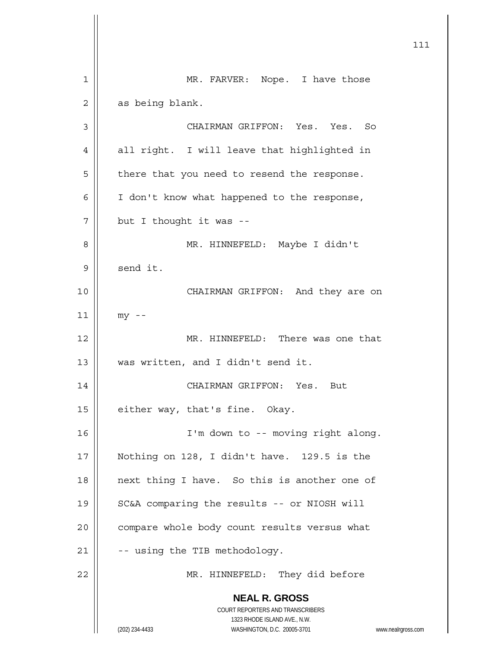**NEAL R. GROSS** COURT REPORTERS AND TRANSCRIBERS 1323 RHODE ISLAND AVE., N.W. (202) 234-4433 WASHINGTON, D.C. 20005-3701 www.nealrgross.com 111 1 2 3 4 5 6 7 8 9 10 11 12 13 14 15 16 17 18 19 20 21 22 MR. FARVER: Nope. I have those as being blank. CHAIRMAN GRIFFON: Yes. Yes. So all right. I will leave that highlighted in there that you need to resend the response. I don't know what happened to the response, but I thought it was -- MR. HINNEFELD: Maybe I didn't send it. CHAIRMAN GRIFFON: And they are on  $my - -$  MR. HINNEFELD: There was one that was written, and I didn't send it. CHAIRMAN GRIFFON: Yes. But either way, that's fine. Okay. I'm down to -- moving right along. Nothing on 128, I didn't have. 129.5 is the next thing I have. So this is another one of SC&A comparing the results -- or NIOSH will compare whole body count results versus what -- using the TIB methodology. MR. HINNEFELD: They did before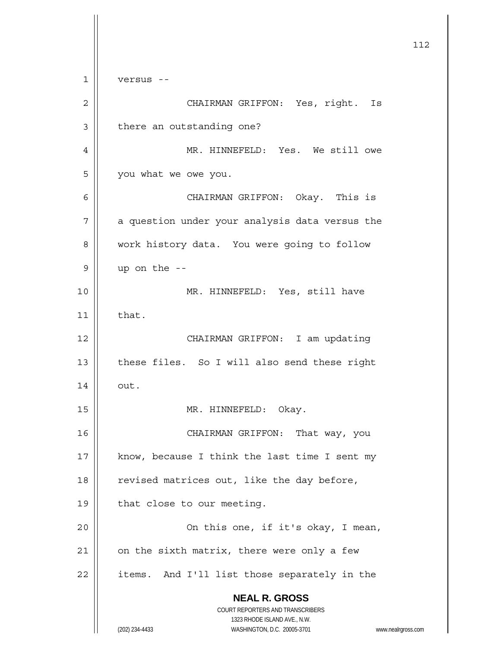**NEAL R. GROSS** COURT REPORTERS AND TRANSCRIBERS 1323 RHODE ISLAND AVE., N.W. (202) 234-4433 WASHINGTON, D.C. 20005-3701 www.nealrgross.com 112 1 2 3 4 5 6 7 8 9 10 11 12 13 14 15 16 17 18 19 20 21 22 versus -- CHAIRMAN GRIFFON: Yes, right. Is there an outstanding one? MR. HINNEFELD: Yes. We still owe you what we owe you. CHAIRMAN GRIFFON: Okay. This is a question under your analysis data versus the work history data. You were going to follow up on the -- MR. HINNEFELD: Yes, still have that. CHAIRMAN GRIFFON: I am updating these files. So I will also send these right out. MR. HINNEFELD: Okay. CHAIRMAN GRIFFON: That way, you know, because I think the last time I sent my revised matrices out, like the day before, that close to our meeting. On this one, if it's okay, I mean, on the sixth matrix, there were only a few items. And I'll list those separately in the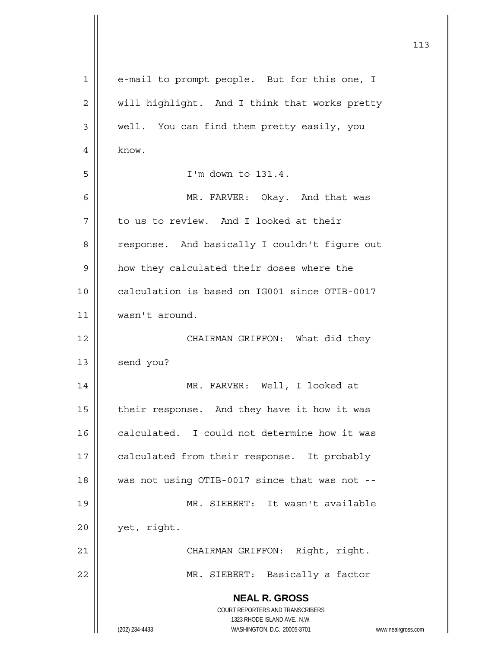|             | 113                                                                 |
|-------------|---------------------------------------------------------------------|
| $\mathbf 1$ | e-mail to prompt people. But for this one, I                        |
| 2           | will highlight. And I think that works pretty                       |
| 3           | well. You can find them pretty easily, you                          |
| 4           | know.                                                               |
| 5           | I'm down to 131.4.                                                  |
| 6           | MR. FARVER: Okay. And that was                                      |
| 7           | to us to review. And I looked at their                              |
| 8           | response. And basically I couldn't figure out                       |
| 9           | how they calculated their doses where the                           |
| 10          | calculation is based on IG001 since OTIB-0017                       |
| 11          | wasn't around.                                                      |
| 12          | CHAIRMAN GRIFFON: What did they                                     |
| 13          | send you?                                                           |
| 14          | MR. FARVER: Well, I looked at                                       |
| 15          | their response. And they have it how it was                         |
| 16          | calculated. I could not determine how it was                        |
| 17          | calculated from their response. It probably                         |
| 18          | was not using OTIB-0017 since that was not --                       |
| 19          | MR. SIEBERT: It wasn't available                                    |
| 20          | yet, right.                                                         |
| 21          | CHAIRMAN GRIFFON: Right, right.                                     |
| 22          | MR. SIEBERT: Basically a factor                                     |
|             | <b>NEAL R. GROSS</b>                                                |
|             | COURT REPORTERS AND TRANSCRIBERS<br>1323 RHODE ISLAND AVE., N.W.    |
|             | (202) 234-4433<br>WASHINGTON, D.C. 20005-3701<br>www.nealrgross.com |

 $\mathsf{I}$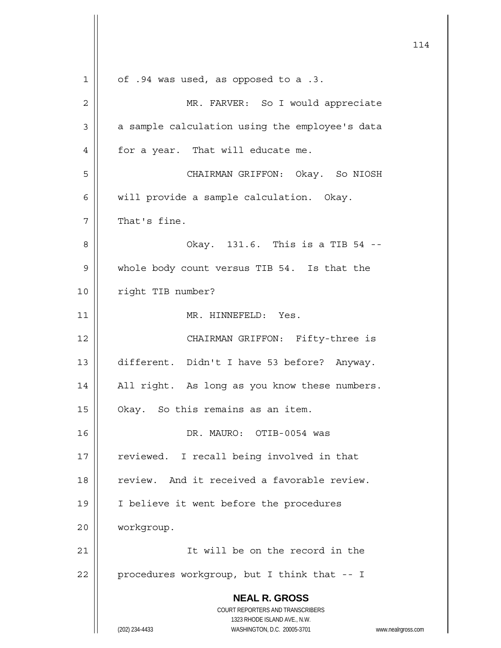**NEAL R. GROSS** COURT REPORTERS AND TRANSCRIBERS 1323 RHODE ISLAND AVE., N.W. (202) 234-4433 WASHINGTON, D.C. 20005-3701 www.nealrgross.com 114 1 2 3 4 5 6 7 8 9 10 11 12 13 14 15 16 17 18 19 20 21 22 of .94 was used, as opposed to a .3. MR. FARVER: So I would appreciate a sample calculation using the employee's data for a year. That will educate me. CHAIRMAN GRIFFON: Okay. So NIOSH will provide a sample calculation. Okay. That's fine. Okay. 131.6. This is a TIB 54 - whole body count versus TIB 54. Is that the right TIB number? MR. HINNEFELD: Yes. CHAIRMAN GRIFFON: Fifty-three is different. Didn't I have 53 before? Anyway. All right. As long as you know these numbers. Okay. So this remains as an item. DR. MAURO: OTIB-0054 was reviewed. I recall being involved in that review. And it received a favorable review. I believe it went before the procedures workgroup. It will be on the record in the procedures workgroup, but I think that -- I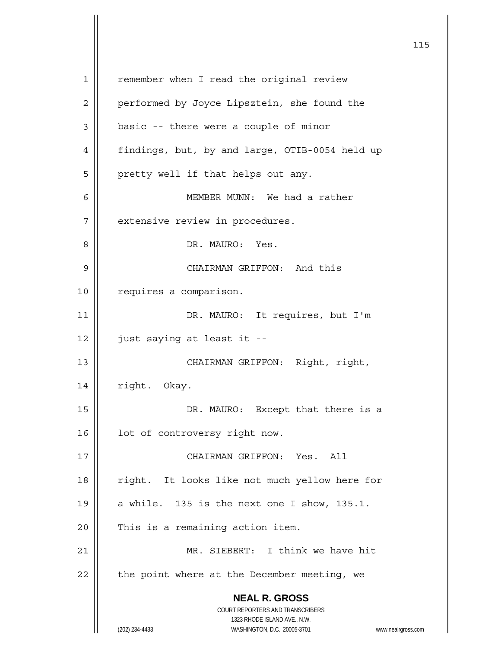| $\mathbf{1}$ | remember when I read the original review                                                            |
|--------------|-----------------------------------------------------------------------------------------------------|
| 2            | performed by Joyce Lipsztein, she found the                                                         |
| 3            | basic -- there were a couple of minor                                                               |
| 4            | findings, but, by and large, OTIB-0054 held up                                                      |
| 5            | pretty well if that helps out any.                                                                  |
| 6            | MEMBER MUNN: We had a rather                                                                        |
| 7            | extensive review in procedures.                                                                     |
| 8            | DR. MAURO: Yes.                                                                                     |
| 9            | CHAIRMAN GRIFFON: And this                                                                          |
| 10           | requires a comparison.                                                                              |
| 11           | DR. MAURO: It requires, but I'm                                                                     |
| 12           | just saying at least it --                                                                          |
| 13           | CHAIRMAN GRIFFON: Right, right,                                                                     |
| 14           | right. Okay.                                                                                        |
| 15           | DR. MAURO: Except that there is a                                                                   |
| 16           | lot of controversy right now.                                                                       |
| 17           | CHAIRMAN GRIFFON: Yes. All                                                                          |
| 18           | right. It looks like not much yellow here for                                                       |
| 19           | a while. 135 is the next one I show, 135.1.                                                         |
| 20           | This is a remaining action item.                                                                    |
| 21           | MR. SIEBERT: I think we have hit                                                                    |
| 22           | the point where at the December meeting, we                                                         |
|              | <b>NEAL R. GROSS</b>                                                                                |
|              | COURT REPORTERS AND TRANSCRIBERS                                                                    |
|              | 1323 RHODE ISLAND AVE., N.W.<br>(202) 234-4433<br>WASHINGTON, D.C. 20005-3701<br>www.nealrgross.com |
|              |                                                                                                     |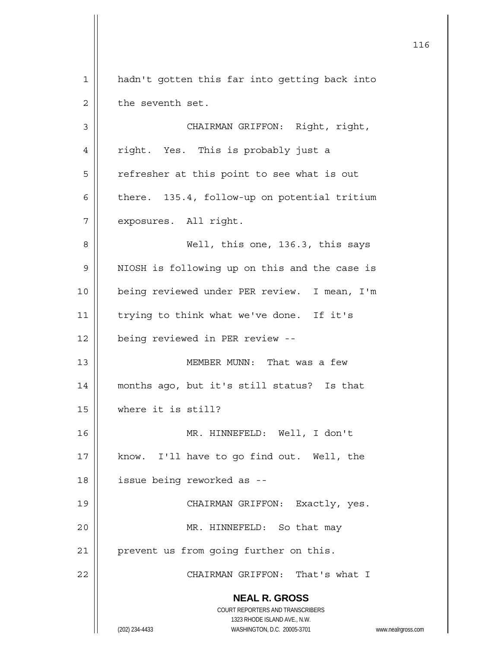**NEAL R. GROSS** COURT REPORTERS AND TRANSCRIBERS 1323 RHODE ISLAND AVE., N.W. (202) 234-4433 WASHINGTON, D.C. 20005-3701 www.nealrgross.com 116 1 2 3 4 5 6 7 8 9 10 11 12 13 14 15 16 17 18 19 20 21 22 hadn't gotten this far into getting back into the seventh set. CHAIRMAN GRIFFON: Right, right, right. Yes. This is probably just a refresher at this point to see what is out there. 135.4, follow-up on potential tritium exposures. All right. Well, this one, 136.3, this says NIOSH is following up on this and the case is being reviewed under PER review. I mean, I'm trying to think what we've done. If it's being reviewed in PER review -- MEMBER MUNN: That was a few months ago, but it's still status? Is that where it is still? MR. HINNEFELD: Well, I don't know. I'll have to go find out. Well, the issue being reworked as -- CHAIRMAN GRIFFON: Exactly, yes. MR. HINNEFELD: So that may prevent us from going further on this. CHAIRMAN GRIFFON: That's what I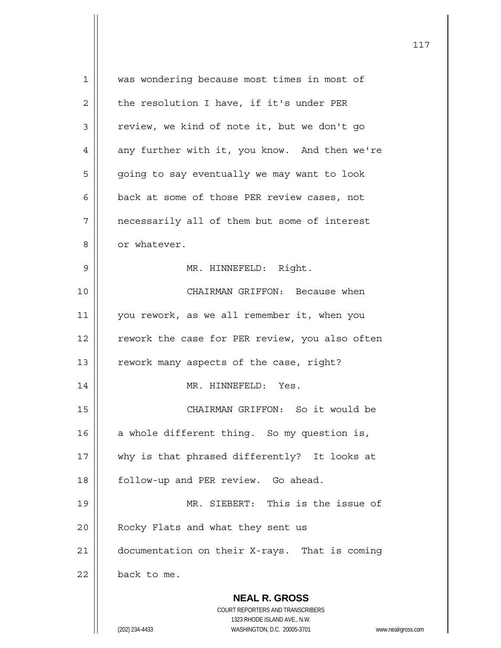| 1              | was wondering because most times in most of                                              |
|----------------|------------------------------------------------------------------------------------------|
| 2              | the resolution I have, if it's under PER                                                 |
| $\mathfrak{Z}$ | review, we kind of note it, but we don't go                                              |
| 4              | any further with it, you know. And then we're                                            |
| 5              | going to say eventually we may want to look                                              |
| 6              | back at some of those PER review cases, not                                              |
| 7              | necessarily all of them but some of interest                                             |
| 8              | or whatever.                                                                             |
| 9              | MR. HINNEFELD: Right.                                                                    |
| 10             | CHAIRMAN GRIFFON: Because when                                                           |
| 11             | you rework, as we all remember it, when you                                              |
| 12             | rework the case for PER review, you also often                                           |
| 13             | rework many aspects of the case, right?                                                  |
| 14             | MR. HINNEFELD: Yes.                                                                      |
| 15             | CHAIRMAN GRIFFON: So it would be                                                         |
| 16             | a whole different thing. So my question is,                                              |
| 17             | why is that phrased differently? It looks at                                             |
| 18             | follow-up and PER review. Go ahead.                                                      |
| 19             | MR. SIEBERT: This is the issue of                                                        |
| 20             | Rocky Flats and what they sent us                                                        |
| 21             | documentation on their X-rays. That is coming                                            |
| 22             | back to me.                                                                              |
|                | <b>NEAL R. GROSS</b><br>COURT REPORTERS AND TRANSCRIBERS<br>1323 RHODE ISLAND AVE., N.W. |
|                | (202) 234-4433<br>WASHINGTON, D.C. 20005-3701<br>www.nealrgross.com                      |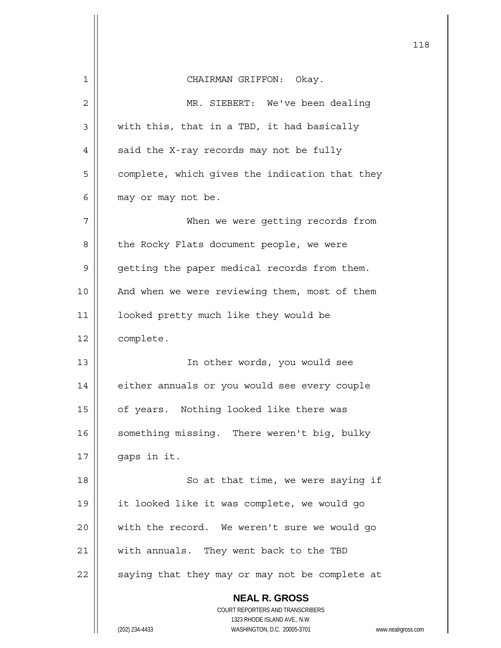| CHAIRMAN GRIFFON: Okay.                        |                                                                                                 |
|------------------------------------------------|-------------------------------------------------------------------------------------------------|
| MR. SIEBERT: We've been dealing                |                                                                                                 |
| with this, that in a TBD, it had basically     |                                                                                                 |
| said the X-ray records may not be fully        |                                                                                                 |
| complete, which gives the indication that they |                                                                                                 |
| may or may not be.                             |                                                                                                 |
| When we were getting records from              |                                                                                                 |
| the Rocky Flats document people, we were       |                                                                                                 |
| getting the paper medical records from them.   |                                                                                                 |
| And when we were reviewing them, most of them  |                                                                                                 |
| looked pretty much like they would be          |                                                                                                 |
| complete.                                      |                                                                                                 |
| In other words, you would see                  |                                                                                                 |
| either annuals or you would see every couple   |                                                                                                 |
| of years. Nothing looked like there was        |                                                                                                 |
| something missing. There weren't big, bulky    |                                                                                                 |
| gaps in it.                                    |                                                                                                 |
| So at that time, we were saying if             |                                                                                                 |
| it looked like it was complete, we would go    |                                                                                                 |
| with the record. We weren't sure we would go   |                                                                                                 |
| with annuals. They went back to the TBD        |                                                                                                 |
| saying that they may or may not be complete at |                                                                                                 |
| <b>NEAL R. GROSS</b>                           |                                                                                                 |
|                                                |                                                                                                 |
| (202) 234-4433                                 | www.nealrgross.com                                                                              |
|                                                | COURT REPORTERS AND TRANSCRIBERS<br>1323 RHODE ISLAND AVE., N.W.<br>WASHINGTON, D.C. 20005-3701 |

 $\mathsf{I}$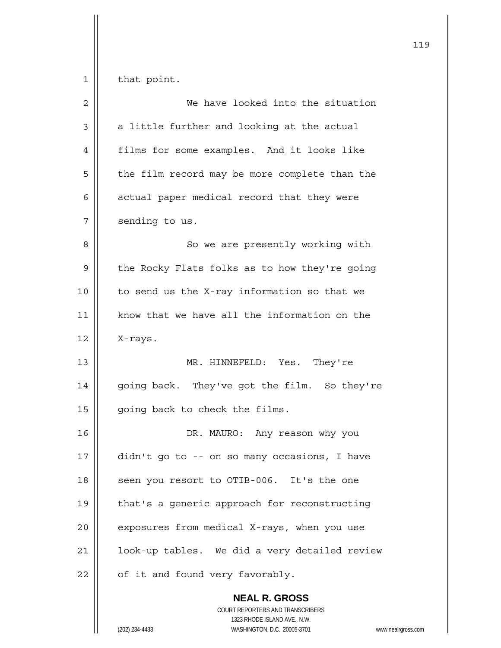1 that point.

| $\overline{c}$ | We have looked into the situation             |
|----------------|-----------------------------------------------|
| 3              | a little further and looking at the actual    |
| $\overline{4}$ | films for some examples. And it looks like    |
| 5              | the film record may be more complete than the |
| 6              | actual paper medical record that they were    |
| 7              | sending to us.                                |
| 8              | So we are presently working with              |
| $\mathsf 9$    | the Rocky Flats folks as to how they're going |
| 10             | to send us the X-ray information so that we   |
| 11             | know that we have all the information on the  |
| 12             | X-rays.                                       |
| 13             | MR. HINNEFELD: Yes. They're                   |
| 14             | going back. They've got the film. So they're  |
| 15             | going back to check the films.                |
| 16             | DR. MAURO: Any reason why you                 |
| 17             | didn't go to -- on so many occasions, I have  |
| 18             | seen you resort to OTIB-006. It's the one     |
| 19             | that's a generic approach for reconstructing  |
| 20             | exposures from medical X-rays, when you use   |
| 21             | look-up tables. We did a very detailed review |
| 22             | of it and found very favorably.               |
|                |                                               |

COURT REPORTERS AND TRANSCRIBERS 1323 RHODE ISLAND AVE., N.W. (202) 234-4433 WASHINGTON, D.C. 20005-3701 www.nealrgross.com

 $\prod$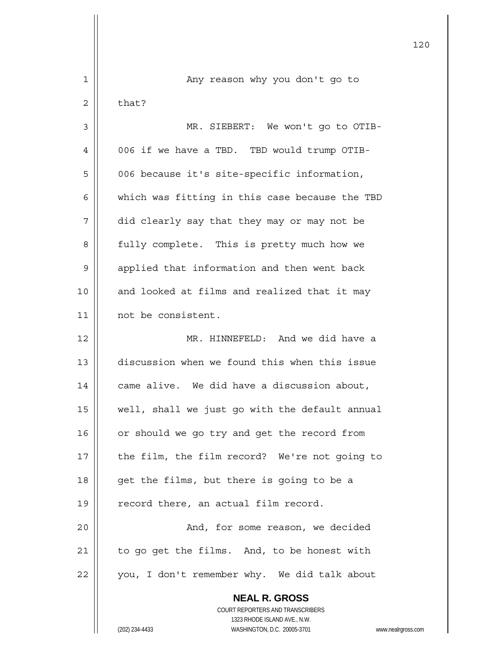|    |                                                                     | 120 |
|----|---------------------------------------------------------------------|-----|
| 1  | Any reason why you don't go to                                      |     |
| 2  | that?                                                               |     |
| 3  | MR. SIEBERT: We won't go to OTIB-                                   |     |
| 4  | 006 if we have a TBD. TBD would trump OTIB-                         |     |
| 5  | 006 because it's site-specific information,                         |     |
| 6  | which was fitting in this case because the TBD                      |     |
| 7  | did clearly say that they may or may not be                         |     |
| 8  | fully complete. This is pretty much how we                          |     |
| 9  | applied that information and then went back                         |     |
| 10 | and looked at films and realized that it may                        |     |
| 11 | not be consistent.                                                  |     |
| 12 | MR. HINNEFELD: And we did have a                                    |     |
| 13 | discussion when we found this when this issue                       |     |
| 14 | came alive. We did have a discussion about,                         |     |
| 15 | well, shall we just go with the default annual                      |     |
| 16 | or should we go try and get the record from                         |     |
| 17 | the film, the film record? We're not going to                       |     |
| 18 | get the films, but there is going to be a                           |     |
| 19 | record there, an actual film record.                                |     |
| 20 | And, for some reason, we decided                                    |     |
| 21 | to go get the films. And, to be honest with                         |     |
| 22 | you, I don't remember why. We did talk about                        |     |
|    | <b>NEAL R. GROSS</b>                                                |     |
|    | COURT REPORTERS AND TRANSCRIBERS<br>1323 RHODE ISLAND AVE., N.W.    |     |
|    | (202) 234-4433<br>WASHINGTON, D.C. 20005-3701<br>www.nealrgross.com |     |

 $\overline{\phantom{a}}$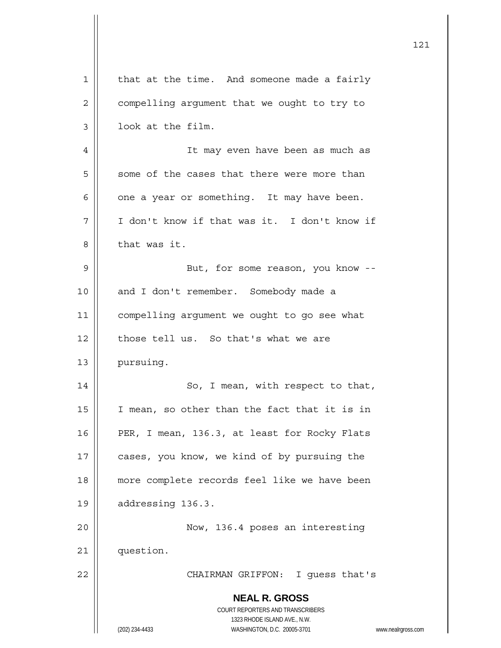|             |                                                                                                     | 121 |
|-------------|-----------------------------------------------------------------------------------------------------|-----|
| $\mathbf 1$ | that at the time. And someone made a fairly                                                         |     |
| 2           | compelling argument that we ought to try to                                                         |     |
| 3           | look at the film.                                                                                   |     |
| 4           | It may even have been as much as                                                                    |     |
| 5           | some of the cases that there were more than                                                         |     |
| 6           | one a year or something. It may have been.                                                          |     |
| 7           | I don't know if that was it. I don't know if                                                        |     |
| 8           | that was it.                                                                                        |     |
| 9           | But, for some reason, you know --                                                                   |     |
| 10          | and I don't remember. Somebody made a                                                               |     |
| 11          | compelling argument we ought to go see what                                                         |     |
| 12          | those tell us. So that's what we are                                                                |     |
| 13          | pursuing.                                                                                           |     |
| 14          | So, I mean, with respect to that,                                                                   |     |
| 15          | I mean, so other than the fact that it is in                                                        |     |
| 16          | PER, I mean, 136.3, at least for Rocky Flats                                                        |     |
| 17          | cases, you know, we kind of by pursuing the                                                         |     |
| 18          | more complete records feel like we have been                                                        |     |
| 19          | addressing 136.3.                                                                                   |     |
| 20          | Now, 136.4 poses an interesting                                                                     |     |
| 21          | question.                                                                                           |     |
| 22          | CHAIRMAN GRIFFON: I guess that's                                                                    |     |
|             | <b>NEAL R. GROSS</b><br>COURT REPORTERS AND TRANSCRIBERS                                            |     |
|             | 1323 RHODE ISLAND AVE., N.W.<br>(202) 234-4433<br>WASHINGTON, D.C. 20005-3701<br>www.nealrgross.com |     |

 $\mathsf{I}$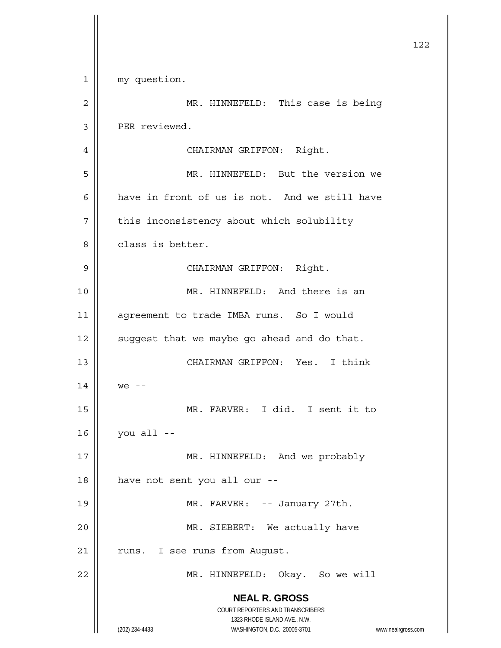**NEAL R. GROSS** COURT REPORTERS AND TRANSCRIBERS 1323 RHODE ISLAND AVE., N.W. (202) 234-4433 WASHINGTON, D.C. 20005-3701 www.nealrgross.com 122 1 2 3 4 5 6 7 8 9 10 11 12 13 14 15 16 17 18 19 20 21 22 my question. MR. HINNEFELD: This case is being PER reviewed. CHAIRMAN GRIFFON: Right. MR. HINNEFELD: But the version we have in front of us is not. And we still have this inconsistency about which solubility class is better. CHAIRMAN GRIFFON: Right. MR. HINNEFELD: And there is an agreement to trade IMBA runs. So I would suggest that we maybe go ahead and do that. CHAIRMAN GRIFFON: Yes. I think  $we$  -- MR. FARVER: I did. I sent it to you all -- MR. HINNEFELD: And we probably have not sent you all our -- MR. FARVER: -- January 27th. MR. SIEBERT: We actually have runs. I see runs from August. MR. HINNEFELD: Okay. So we will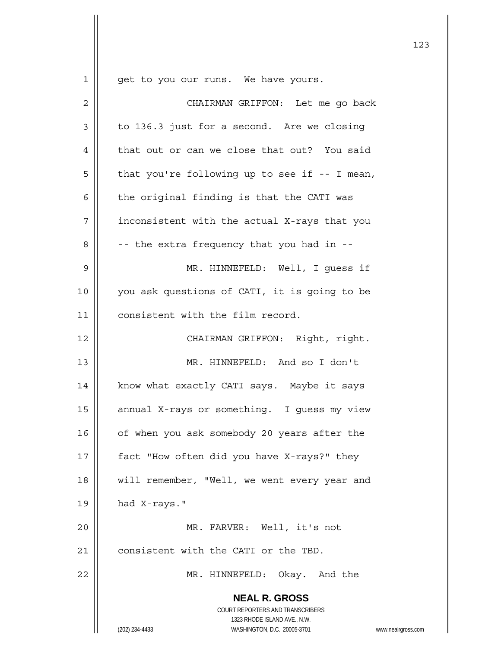| 1              | get to you our runs. We have yours.                                                                 |
|----------------|-----------------------------------------------------------------------------------------------------|
| 2              | CHAIRMAN GRIFFON: Let me go back                                                                    |
| $\mathfrak{Z}$ | to 136.3 just for a second. Are we closing                                                          |
| 4              | that out or can we close that out? You said                                                         |
| 5              | that you're following up to see if -- I mean,                                                       |
| 6              | the original finding is that the CATI was                                                           |
| 7              | inconsistent with the actual X-rays that you                                                        |
| 8              | -- the extra frequency that you had in --                                                           |
| 9              | MR. HINNEFELD: Well, I quess if                                                                     |
| 10             | you ask questions of CATI, it is going to be                                                        |
| 11             | consistent with the film record.                                                                    |
| 12             | CHAIRMAN GRIFFON: Right, right.                                                                     |
| 13             | MR. HINNEFELD: And so I don't                                                                       |
| 14             | know what exactly CATI says. Maybe it says                                                          |
| 15             | annual X-rays or something. I quess my view                                                         |
| 16             | of when you ask somebody 20 years after the                                                         |
| 17             | fact "How often did you have X-rays?" they                                                          |
| 18             | will remember, "Well, we went every year and                                                        |
| 19             | had X-rays."                                                                                        |
| 20             | MR. FARVER: Well, it's not                                                                          |
| 21             | consistent with the CATI or the TBD.                                                                |
| 22             | MR. HINNEFELD: Okay. And the                                                                        |
|                | <b>NEAL R. GROSS</b><br>COURT REPORTERS AND TRANSCRIBERS                                            |
|                | 1323 RHODE ISLAND AVE., N.W.<br>(202) 234-4433<br>WASHINGTON, D.C. 20005-3701<br>www.nealrgross.com |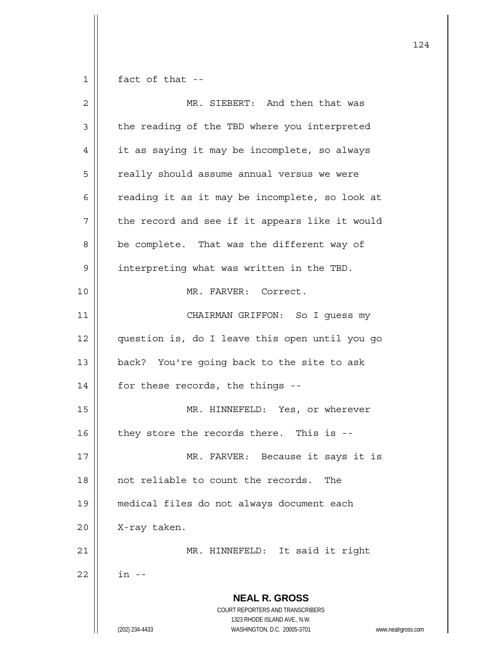1 fact of that --

| $\overline{c}$ | MR. SIEBERT: And then that was                                                                                                                                  |
|----------------|-----------------------------------------------------------------------------------------------------------------------------------------------------------------|
| 3              | the reading of the TBD where you interpreted                                                                                                                    |
| 4              | it as saying it may be incomplete, so always                                                                                                                    |
| 5              | really should assume annual versus we were                                                                                                                      |
|                |                                                                                                                                                                 |
| 6              | reading it as it may be incomplete, so look at                                                                                                                  |
| 7              | the record and see if it appears like it would                                                                                                                  |
| 8              | be complete. That was the different way of                                                                                                                      |
| 9              | interpreting what was written in the TBD.                                                                                                                       |
| 10             | MR. FARVER: Correct.                                                                                                                                            |
| 11             | CHAIRMAN GRIFFON: So I guess my                                                                                                                                 |
| 12             | question is, do I leave this open until you go                                                                                                                  |
| 13             | back? You're going back to the site to ask                                                                                                                      |
| 14             | for these records, the things --                                                                                                                                |
| 15             | MR. HINNEFELD: Yes, or wherever                                                                                                                                 |
| 16             | they store the records there. This is --                                                                                                                        |
| 17             | MR. FARVER: Because it says it is                                                                                                                               |
| 18             | not reliable to count the records.<br>The                                                                                                                       |
| 19             | medical files do not always document each                                                                                                                       |
| 20             | X-ray taken.                                                                                                                                                    |
| 21             | MR. HINNEFELD: It said it right                                                                                                                                 |
| 22             | in --                                                                                                                                                           |
|                | <b>NEAL R. GROSS</b><br>COURT REPORTERS AND TRANSCRIBERS<br>1323 RHODE ISLAND AVE., N.W.<br>(202) 234-4433<br>WASHINGTON, D.C. 20005-3701<br>www.nealrgross.com |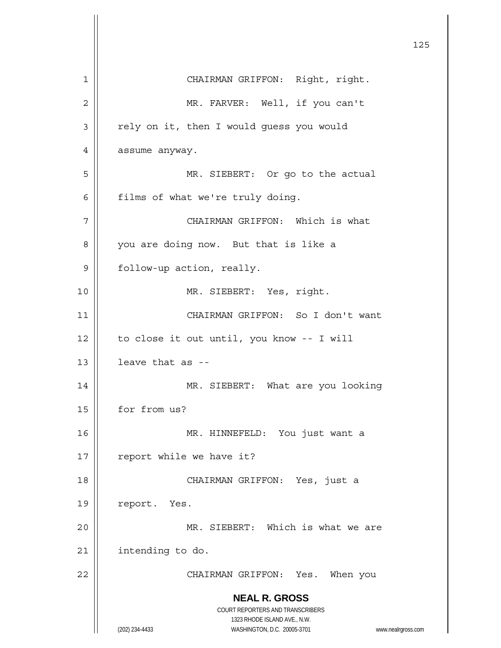**NEAL R. GROSS** COURT REPORTERS AND TRANSCRIBERS 1323 RHODE ISLAND AVE., N.W. (202) 234-4433 WASHINGTON, D.C. 20005-3701 www.nealrgross.com 125 1 2 3 4 5 6 7 8 9 10 11 12 13 14 15 16 17 18 19 20 21 22 CHAIRMAN GRIFFON: Right, right. MR. FARVER: Well, if you can't rely on it, then I would guess you would assume anyway. MR. SIEBERT: Or go to the actual films of what we're truly doing. CHAIRMAN GRIFFON: Which is what you are doing now. But that is like a follow-up action, really. MR. SIEBERT: Yes, right. CHAIRMAN GRIFFON: So I don't want to close it out until, you know -- I will leave that as -- MR. SIEBERT: What are you looking for from us? MR. HINNEFELD: You just want a report while we have it? CHAIRMAN GRIFFON: Yes, just a report. Yes. MR. SIEBERT: Which is what we are intending to do. CHAIRMAN GRIFFON: Yes. When you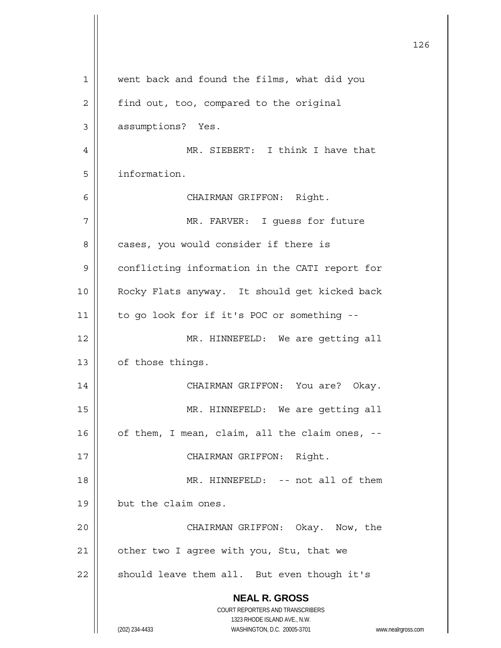|    |                                                                     | 126 |
|----|---------------------------------------------------------------------|-----|
| 1  | went back and found the films, what did you                         |     |
| 2  | find out, too, compared to the original                             |     |
| 3  | assumptions? Yes.                                                   |     |
| 4  | MR. SIEBERT: I think I have that                                    |     |
| 5  | information.                                                        |     |
| 6  | CHAIRMAN GRIFFON: Right.                                            |     |
| 7  | MR. FARVER: I guess for future                                      |     |
| 8  | cases, you would consider if there is                               |     |
| 9  | conflicting information in the CATI report for                      |     |
| 10 | Rocky Flats anyway. It should get kicked back                       |     |
| 11 | to go look for if it's POC or something --                          |     |
| 12 | MR. HINNEFELD: We are getting all                                   |     |
| 13 | of those things.                                                    |     |
| 14 | CHAIRMAN GRIFFON: You are? Okay.                                    |     |
| 15 | MR. HINNEFELD: We are getting all                                   |     |
| 16 | of them, I mean, claim, all the claim ones, --                      |     |
| 17 | CHAIRMAN GRIFFON: Right.                                            |     |
| 18 | MR. HINNEFELD: -- not all of them                                   |     |
| 19 | but the claim ones.                                                 |     |
| 20 | CHAIRMAN GRIFFON: Okay. Now, the                                    |     |
| 21 | other two I agree with you, Stu, that we                            |     |
| 22 | should leave them all. But even though it's                         |     |
|    | <b>NEAL R. GROSS</b><br>COURT REPORTERS AND TRANSCRIBERS            |     |
|    | 1323 RHODE ISLAND AVE., N.W.                                        |     |
|    | (202) 234-4433<br>WASHINGTON, D.C. 20005-3701<br>www.nealrgross.com |     |

 $\mathsf{I}$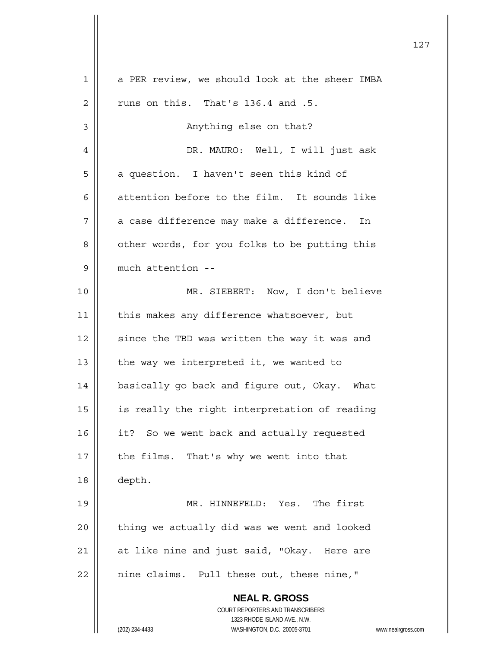| $\mathbf 1$ | a PER review, we should look at the sheer IMBA                                           |
|-------------|------------------------------------------------------------------------------------------|
| 2           | runs on this. That's 136.4 and .5.                                                       |
| 3           | Anything else on that?                                                                   |
| 4           | DR. MAURO: Well, I will just ask                                                         |
| 5           | a question. I haven't seen this kind of                                                  |
| 6           | attention before to the film. It sounds like                                             |
| 7           | a case difference may make a difference. In                                              |
| 8           | other words, for you folks to be putting this                                            |
| 9           | much attention --                                                                        |
| 10          | MR. SIEBERT: Now, I don't believe                                                        |
| 11          | this makes any difference whatsoever, but                                                |
| 12          | since the TBD was written the way it was and                                             |
| 13          | the way we interpreted it, we wanted to                                                  |
| 14          | basically go back and figure out, Okay. What                                             |
| 15          | is really the right interpretation of reading                                            |
| 16          | it? So we went back and actually requested                                               |
| 17          | the films. That's why we went into that                                                  |
| 18          | depth.                                                                                   |
| 19          | MR. HINNEFELD: Yes. The first                                                            |
| 20          | thing we actually did was we went and looked                                             |
| 21          | at like nine and just said, "Okay. Here are                                              |
| 22          | nine claims. Pull these out, these nine,"                                                |
|             | <b>NEAL R. GROSS</b><br>COURT REPORTERS AND TRANSCRIBERS<br>1323 RHODE ISLAND AVE., N.W. |
|             | (202) 234-4433<br>WASHINGTON, D.C. 20005-3701<br>www.nealrgross.com                      |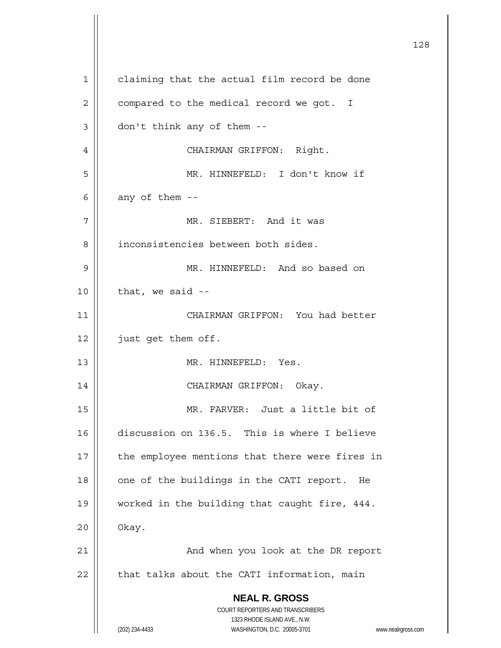**NEAL R. GROSS** COURT REPORTERS AND TRANSCRIBERS 1323 RHODE ISLAND AVE., N.W. (202) 234-4433 WASHINGTON, D.C. 20005-3701 www.nealrgross.com 128 1 2 3 4 5 6 7 8 9 10 11 12 13 14 15 16 17 18 19 20 21 22 claiming that the actual film record be done compared to the medical record we got. I don't think any of them -- CHAIRMAN GRIFFON: Right. MR. HINNEFELD: I don't know if any of them -- MR. SIEBERT: And it was inconsistencies between both sides. MR. HINNEFELD: And so based on that, we said -- CHAIRMAN GRIFFON: You had better just get them off. MR. HINNEFELD: Yes. CHAIRMAN GRIFFON: Okay. MR. FARVER: Just a little bit of discussion on 136.5. This is where I believe the employee mentions that there were fires in one of the buildings in the CATI report. He worked in the building that caught fire, 444. Okay. And when you look at the DR report that talks about the CATI information, main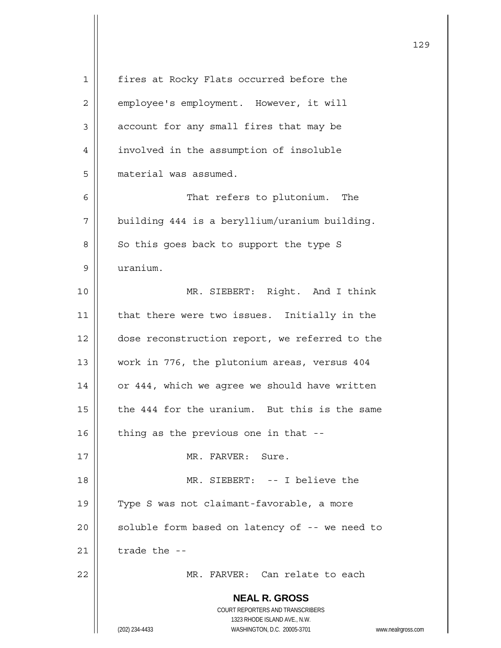| $\mathbf{1}$   | fires at Rocky Flats occurred before the                                                 |
|----------------|------------------------------------------------------------------------------------------|
| $\overline{2}$ | employee's employment. However, it will                                                  |
| 3              | account for any small fires that may be                                                  |
| 4              | involved in the assumption of insoluble                                                  |
| 5              | material was assumed.                                                                    |
| 6              | That refers to plutonium. The                                                            |
| 7              | building 444 is a beryllium/uranium building.                                            |
| 8              | So this goes back to support the type S                                                  |
| 9              | uranium.                                                                                 |
| 10             | MR. SIEBERT: Right. And I think                                                          |
| 11             | that there were two issues. Initially in the                                             |
| 12             | dose reconstruction report, we referred to the                                           |
| 13             | work in 776, the plutonium areas, versus 404                                             |
| 14             | or 444, which we agree we should have written                                            |
| 15             | the 444 for the uranium. But this is the same                                            |
| 16             | thing as the previous one in that --                                                     |
| 17             | MR. FARVER: Sure.                                                                        |
| 18             | MR. SIEBERT: -- I believe the                                                            |
| 19             | Type S was not claimant-favorable, a more                                                |
| 20             | soluble form based on latency of -- we need to                                           |
| 21             | trade the --                                                                             |
| 22             | MR. FARVER: Can relate to each                                                           |
|                | <b>NEAL R. GROSS</b><br>COURT REPORTERS AND TRANSCRIBERS<br>1323 RHODE ISLAND AVE., N.W. |
|                | (202) 234-4433<br>WASHINGTON, D.C. 20005-3701<br>www.nealrgross.com                      |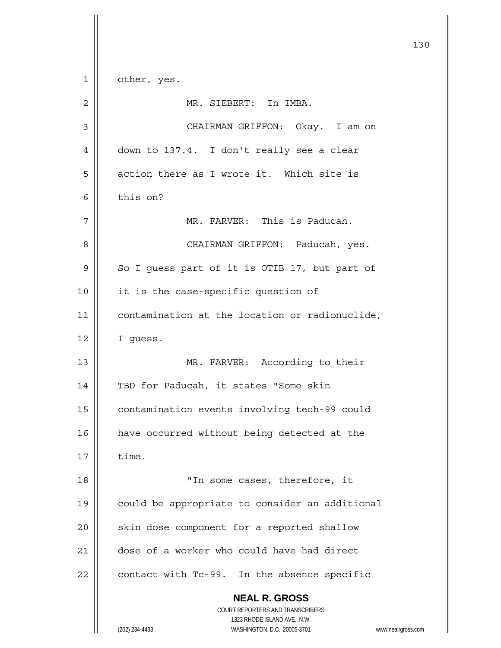**NEAL R. GROSS** COURT REPORTERS AND TRANSCRIBERS 130 1 2 3 4 5 6 7 8 9 10 11 12 13 14 15 16 17 18 19 20 21 22 other, yes. MR. SIEBERT: In IMBA. CHAIRMAN GRIFFON: Okay. I am on down to 137.4. I don't really see a clear action there as I wrote it. Which site is this on? MR. FARVER: This is Paducah. CHAIRMAN GRIFFON: Paducah, yes. So I guess part of it is OTIB 17, but part of it is the case-specific question of contamination at the location or radionuclide, I guess. MR. FARVER: According to their TBD for Paducah, it states "Some skin contamination events involving tech-99 could have occurred without being detected at the time. "In some cases, therefore, it could be appropriate to consider an additional skin dose component for a reported shallow dose of a worker who could have had direct contact with Tc-99. In the absence specific

1323 RHODE ISLAND AVE., N.W.

(202) 234-4433 WASHINGTON, D.C. 20005-3701 www.nealrgross.com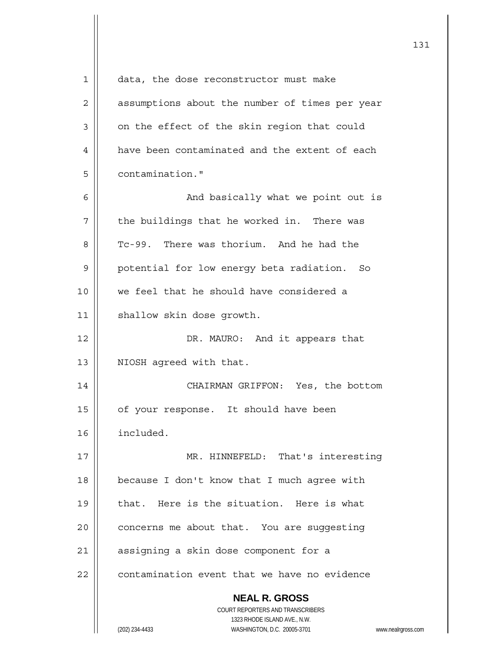| 1  | data, the dose reconstructor must make                                                   |
|----|------------------------------------------------------------------------------------------|
| 2  | assumptions about the number of times per year                                           |
| 3  | on the effect of the skin region that could                                              |
| 4  | have been contaminated and the extent of each                                            |
| 5  | contamination."                                                                          |
| 6  | And basically what we point out is                                                       |
| 7  | the buildings that he worked in. There was                                               |
| 8  | Tc-99. There was thorium. And he had the                                                 |
| 9  | potential for low energy beta radiation. So                                              |
| 10 | we feel that he should have considered a                                                 |
| 11 | shallow skin dose growth.                                                                |
| 12 | DR. MAURO: And it appears that                                                           |
| 13 | NIOSH agreed with that.                                                                  |
| 14 | CHAIRMAN GRIFFON: Yes, the bottom                                                        |
| 15 | of your response. It should have been                                                    |
| 16 | included.                                                                                |
| 17 | MR. HINNEFELD: That's interesting                                                        |
| 18 | because I don't know that I much agree with                                              |
| 19 | that. Here is the situation. Here is what                                                |
| 20 | concerns me about that. You are suggesting                                               |
| 21 | assigning a skin dose component for a                                                    |
| 22 | contamination event that we have no evidence                                             |
|    | <b>NEAL R. GROSS</b><br>COURT REPORTERS AND TRANSCRIBERS<br>1323 RHODE ISLAND AVE., N.W. |
|    | (202) 234-4433<br>WASHINGTON, D.C. 20005-3701<br>www.nealrgross.com                      |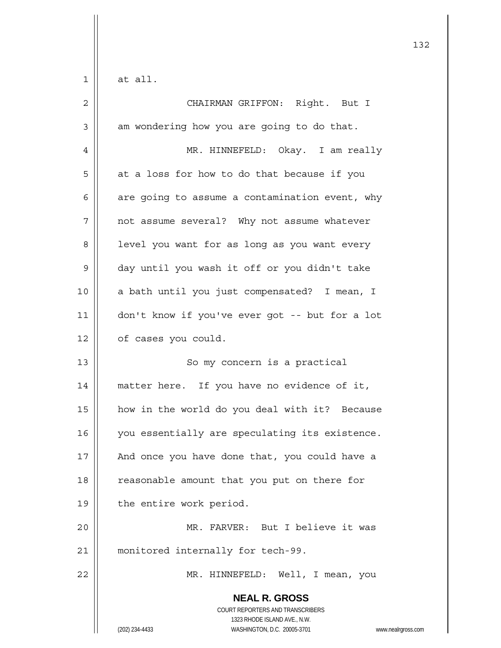at all.

| 2  | CHAIRMAN GRIFFON: Right. But I                                                                                                                                  |
|----|-----------------------------------------------------------------------------------------------------------------------------------------------------------------|
| 3  | am wondering how you are going to do that.                                                                                                                      |
| 4  |                                                                                                                                                                 |
|    | MR. HINNEFELD: Okay. I am really                                                                                                                                |
| 5  | at a loss for how to do that because if you                                                                                                                     |
| 6  | are going to assume a contamination event, why                                                                                                                  |
| 7  | not assume several? Why not assume whatever                                                                                                                     |
| 8  | level you want for as long as you want every                                                                                                                    |
| 9  | day until you wash it off or you didn't take                                                                                                                    |
| 10 | a bath until you just compensated? I mean, I                                                                                                                    |
| 11 | don't know if you've ever got -- but for a lot                                                                                                                  |
| 12 | of cases you could.                                                                                                                                             |
| 13 | So my concern is a practical                                                                                                                                    |
| 14 | matter here. If you have no evidence of it,                                                                                                                     |
| 15 | how in the world do you deal with it? Because                                                                                                                   |
| 16 | you essentially are speculating its existence.                                                                                                                  |
| 17 | And once you have done that, you could have a                                                                                                                   |
| 18 | reasonable amount that you put on there for                                                                                                                     |
| 19 | the entire work period.                                                                                                                                         |
| 20 | MR. FARVER: But I believe it was                                                                                                                                |
| 21 | monitored internally for tech-99.                                                                                                                               |
| 22 | MR. HINNEFELD: Well, I mean, you                                                                                                                                |
|    | <b>NEAL R. GROSS</b><br>COURT REPORTERS AND TRANSCRIBERS<br>1323 RHODE ISLAND AVE., N.W.<br>(202) 234-4433<br>WASHINGTON, D.C. 20005-3701<br>www.nealrgross.com |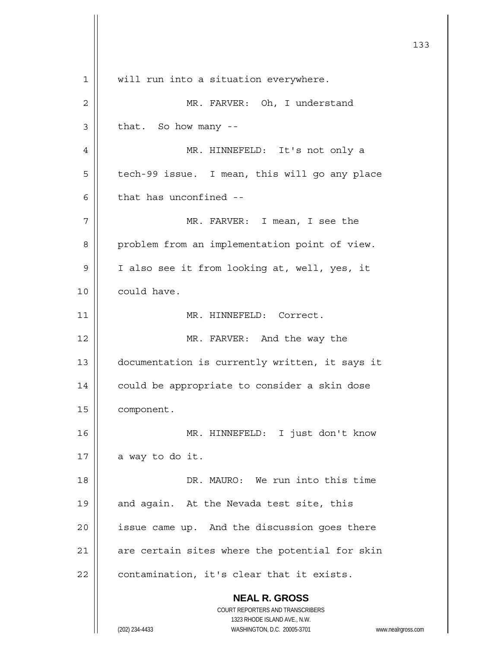**NEAL R. GROSS** COURT REPORTERS AND TRANSCRIBERS 1323 RHODE ISLAND AVE., N.W. (202) 234-4433 WASHINGTON, D.C. 20005-3701 www.nealrgross.com 133 1 2 3 4 5 6 7 8 9 10 11 12 13 14 15 16 17 18 19 20 21 22 will run into a situation everywhere. MR. FARVER: Oh, I understand that. So how many -- MR. HINNEFELD: It's not only a tech-99 issue. I mean, this will go any place that has unconfined -- MR. FARVER: I mean, I see the problem from an implementation point of view. I also see it from looking at, well, yes, it could have. MR. HINNEFELD: Correct. MR. FARVER: And the way the documentation is currently written, it says it could be appropriate to consider a skin dose component. MR. HINNEFELD: I just don't know a way to do it. DR. MAURO: We run into this time and again. At the Nevada test site, this issue came up. And the discussion goes there are certain sites where the potential for skin contamination, it's clear that it exists.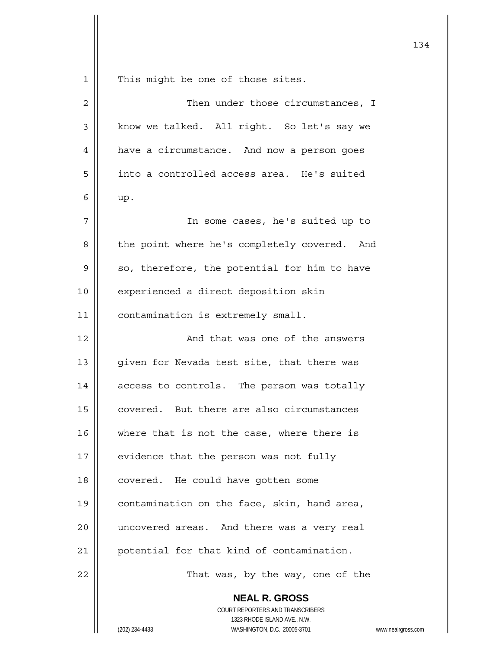| $\mathbf 1$  | This might be one of those sites.                                                                   |
|--------------|-----------------------------------------------------------------------------------------------------|
| $\mathbf{2}$ | Then under those circumstances, I                                                                   |
| 3            | know we talked. All right. So let's say we                                                          |
| 4            | have a circumstance. And now a person goes                                                          |
| 5            | into a controlled access area. He's suited                                                          |
| 6            | up.                                                                                                 |
| 7            | In some cases, he's suited up to                                                                    |
| 8            | the point where he's completely covered. And                                                        |
| 9            | so, therefore, the potential for him to have                                                        |
| 10           | experienced a direct deposition skin                                                                |
| 11           | contamination is extremely small.                                                                   |
| 12           | And that was one of the answers                                                                     |
| 13           | given for Nevada test site, that there was                                                          |
| 14           | access to controls. The person was totally                                                          |
| 15           | covered. But there are also circumstances                                                           |
| 16           | where that is not the case, where there is                                                          |
| 17           | evidence that the person was not fully                                                              |
| 18           | covered. He could have gotten some                                                                  |
| 19           | contamination on the face, skin, hand area,                                                         |
| 20           | uncovered areas. And there was a very real                                                          |
| 21           | potential for that kind of contamination.                                                           |
| 22           | That was, by the way, one of the                                                                    |
|              | <b>NEAL R. GROSS</b><br><b>COURT REPORTERS AND TRANSCRIBERS</b>                                     |
|              | 1323 RHODE ISLAND AVE., N.W.<br>(202) 234-4433<br>WASHINGTON, D.C. 20005-3701<br>www.nealrgross.com |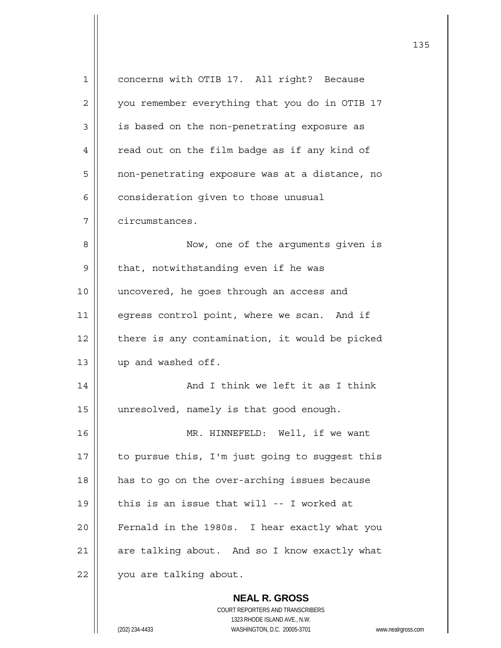| 1  | concerns with OTIB 17. All right? Because      |
|----|------------------------------------------------|
| 2  | you remember everything that you do in OTIB 17 |
| 3  | is based on the non-penetrating exposure as    |
| 4  | read out on the film badge as if any kind of   |
| 5  | non-penetrating exposure was at a distance, no |
| 6  | consideration given to those unusual           |
| 7  | circumstances.                                 |
| 8  | Now, one of the arguments given is             |
| 9  | that, notwithstanding even if he was           |
| 10 | uncovered, he goes through an access and       |
| 11 | egress control point, where we scan. And if    |
| 12 | there is any contamination, it would be picked |
| 13 | up and washed off.                             |
| 14 | And I think we left it as I think              |
| 15 | unresolved, namely is that good enough.        |
| 16 | MR. HINNEFELD: Well, if we want                |
| 17 | to pursue this, I'm just going to suggest this |
| 18 | has to go on the over-arching issues because   |
| 19 | this is an issue that will -- I worked at      |
| 20 | Fernald in the 1980s. I hear exactly what you  |
| 21 | are talking about. And so I know exactly what  |
| 22 | you are talking about.                         |
|    |                                                |

COURT REPORTERS AND TRANSCRIBERS 1323 RHODE ISLAND AVE., N.W. (202) 234-4433 WASHINGTON, D.C. 20005-3701 www.nealrgross.com

**NEAL R. GROSS**

 $\mathbf{I}$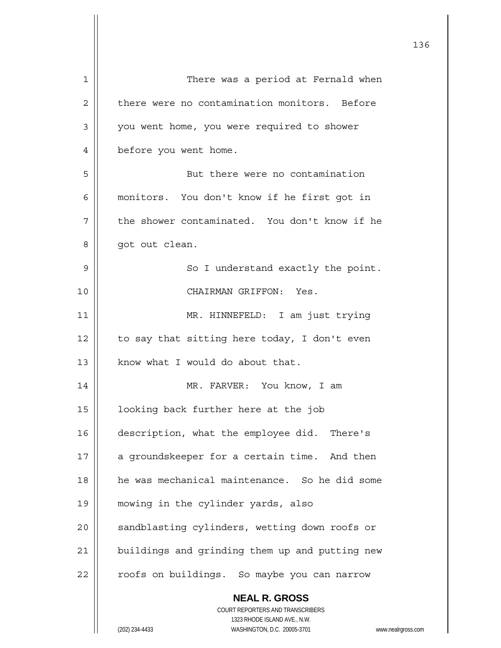| There was a period at Fernald when<br>there were no contamination monitors. Before<br>But there were no contamination<br>monitors. You don't know if he first got in<br>the shower contaminated. You don't know if he |
|-----------------------------------------------------------------------------------------------------------------------------------------------------------------------------------------------------------------------|
|                                                                                                                                                                                                                       |
|                                                                                                                                                                                                                       |
|                                                                                                                                                                                                                       |
|                                                                                                                                                                                                                       |
|                                                                                                                                                                                                                       |
|                                                                                                                                                                                                                       |
|                                                                                                                                                                                                                       |
|                                                                                                                                                                                                                       |
| So I understand exactly the point.                                                                                                                                                                                    |
|                                                                                                                                                                                                                       |
| MR. HINNEFELD: I am just trying                                                                                                                                                                                       |
| to say that sitting here today, I don't even                                                                                                                                                                          |
|                                                                                                                                                                                                                       |
|                                                                                                                                                                                                                       |
|                                                                                                                                                                                                                       |
| description, what the employee did. There's                                                                                                                                                                           |
| a groundskeeper for a certain time. And then                                                                                                                                                                          |
| he was mechanical maintenance. So he did some                                                                                                                                                                         |
|                                                                                                                                                                                                                       |
| sandblasting cylinders, wetting down roofs or                                                                                                                                                                         |
| buildings and grinding them up and putting new                                                                                                                                                                        |
| roofs on buildings. So maybe you can narrow                                                                                                                                                                           |
|                                                                                                                                                                                                                       |
|                                                                                                                                                                                                                       |
| www.nealrgr                                                                                                                                                                                                           |
|                                                                                                                                                                                                                       |

(202) 234-4433 WASHINGTON, D.C. 20005-3701 www.nealrgross.com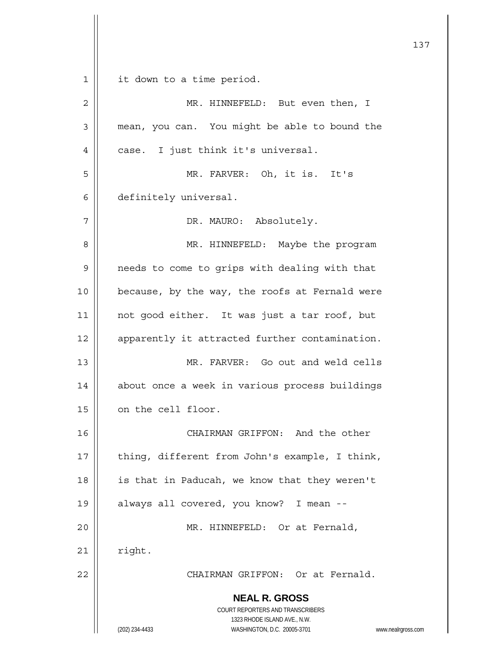$1$ it down to a time period.

| $\overline{c}$ | MR. HINNEFELD: But even then, I                                                                                                                                 |
|----------------|-----------------------------------------------------------------------------------------------------------------------------------------------------------------|
| 3              | mean, you can. You might be able to bound the                                                                                                                   |
| 4              | case. I just think it's universal.                                                                                                                              |
| 5              | MR. FARVER: Oh, it is. It's                                                                                                                                     |
| 6              | definitely universal.                                                                                                                                           |
| 7              | DR. MAURO: Absolutely.                                                                                                                                          |
| 8              | MR. HINNEFELD: Maybe the program                                                                                                                                |
| 9              | needs to come to grips with dealing with that                                                                                                                   |
| 10             | because, by the way, the roofs at Fernald were                                                                                                                  |
| 11             | not good either. It was just a tar roof, but                                                                                                                    |
| 12             | apparently it attracted further contamination.                                                                                                                  |
| 13             | MR. FARVER: Go out and weld cells                                                                                                                               |
| 14             | about once a week in various process buildings                                                                                                                  |
| 15             | on the cell floor.                                                                                                                                              |
| 16             | CHAIRMAN GRIFFON: And the other                                                                                                                                 |
| 17             | thing, different from John's example, I think,                                                                                                                  |
| 18             | is that in Paducah, we know that they weren't                                                                                                                   |
| 19             | always all covered, you know? I mean --                                                                                                                         |
| 20             | MR. HINNEFELD: Or at Fernald,                                                                                                                                   |
| 21             | right.                                                                                                                                                          |
| 22             | CHAIRMAN GRIFFON: Or at Fernald.                                                                                                                                |
|                | <b>NEAL R. GROSS</b><br>COURT REPORTERS AND TRANSCRIBERS<br>1323 RHODE ISLAND AVE., N.W.<br>WASHINGTON, D.C. 20005-3701<br>(202) 234-4433<br>www.nealrgross.com |
|                |                                                                                                                                                                 |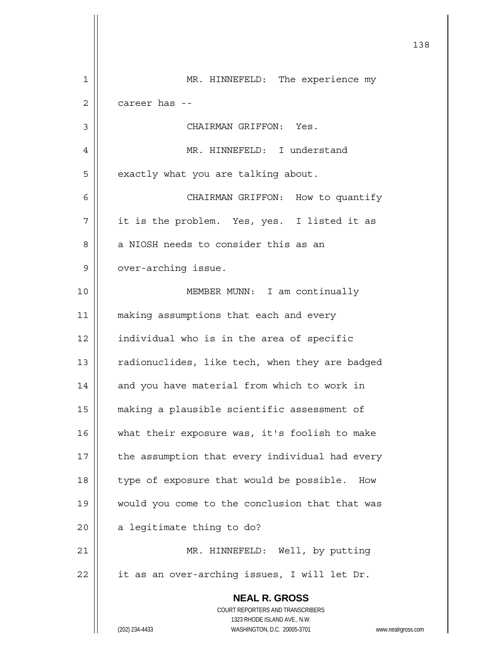|    |                                                                  | 138                |
|----|------------------------------------------------------------------|--------------------|
| 1  | MR. HINNEFELD: The experience my                                 |                    |
| 2  | career has --                                                    |                    |
| 3  | CHAIRMAN GRIFFON: Yes.                                           |                    |
| 4  | MR. HINNEFELD: I understand                                      |                    |
| 5  | exactly what you are talking about.                              |                    |
| 6  | CHAIRMAN GRIFFON: How to quantify                                |                    |
| 7  | it is the problem. Yes, yes. I listed it as                      |                    |
| 8  | a NIOSH needs to consider this as an                             |                    |
| 9  | over-arching issue.                                              |                    |
| 10 | MEMBER MUNN: I am continually                                    |                    |
| 11 | making assumptions that each and every                           |                    |
| 12 | individual who is in the area of specific                        |                    |
| 13 | radionuclides, like tech, when they are badged                   |                    |
| 14 | and you have material from which to work in                      |                    |
| 15 | making a plausible scientific assessment of                      |                    |
| 16 | what their exposure was, it's foolish to make                    |                    |
| 17 | the assumption that every individual had every                   |                    |
| 18 | type of exposure that would be possible.<br>How                  |                    |
| 19 | would you come to the conclusion that that was                   |                    |
| 20 | a legitimate thing to do?                                        |                    |
| 21 | MR. HINNEFELD: Well, by putting                                  |                    |
| 22 | it as an over-arching issues, I will let Dr.                     |                    |
|    | <b>NEAL R. GROSS</b>                                             |                    |
|    | COURT REPORTERS AND TRANSCRIBERS<br>1323 RHODE ISLAND AVE., N.W. |                    |
|    | (202) 234-4433<br>WASHINGTON, D.C. 20005-3701                    | www.nealrgross.com |

 $\overline{\phantom{a}}$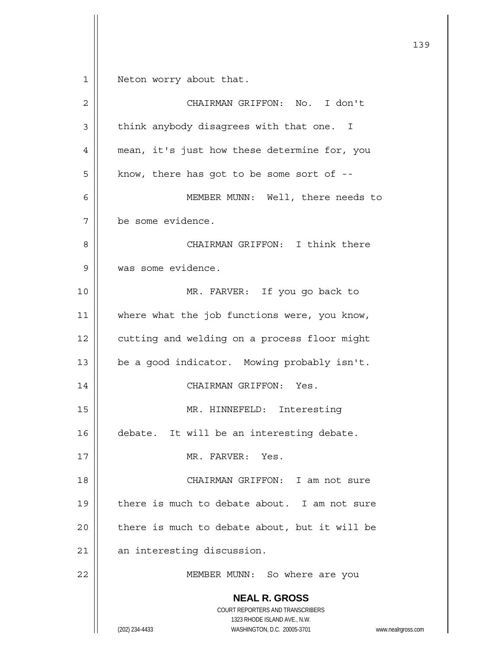$1$ Neton worry about that.

| 2  | CHAIRMAN GRIFFON: No. I don't                                                                                                                                   |
|----|-----------------------------------------------------------------------------------------------------------------------------------------------------------------|
| 3  | think anybody disagrees with that one. I                                                                                                                        |
| 4  | mean, it's just how these determine for, you                                                                                                                    |
| 5  | know, there has got to be some sort of $-$ -                                                                                                                    |
| 6  | MEMBER MUNN: Well, there needs to                                                                                                                               |
| 7  | be some evidence.                                                                                                                                               |
| 8  | CHAIRMAN GRIFFON: I think there                                                                                                                                 |
| 9  | was some evidence.                                                                                                                                              |
| 10 | MR. FARVER: If you go back to                                                                                                                                   |
| 11 | where what the job functions were, you know,                                                                                                                    |
| 12 | cutting and welding on a process floor might                                                                                                                    |
| 13 | be a good indicator. Mowing probably isn't.                                                                                                                     |
| 14 | CHAIRMAN GRIFFON: Yes.                                                                                                                                          |
| 15 | MR. HINNEFELD: Interesting                                                                                                                                      |
| 16 | debate. It will be an interesting debate.                                                                                                                       |
| 17 | MR. FARVER:<br>Yes.                                                                                                                                             |
| 18 | CHAIRMAN GRIFFON: I am not sure                                                                                                                                 |
| 19 | there is much to debate about. I am not sure                                                                                                                    |
| 20 | there is much to debate about, but it will be                                                                                                                   |
| 21 | an interesting discussion.                                                                                                                                      |
| 22 | MEMBER MUNN: So where are you                                                                                                                                   |
|    | <b>NEAL R. GROSS</b><br>COURT REPORTERS AND TRANSCRIBERS<br>1323 RHODE ISLAND AVE., N.W.<br>WASHINGTON, D.C. 20005-3701<br>(202) 234-4433<br>www.nealrgross.com |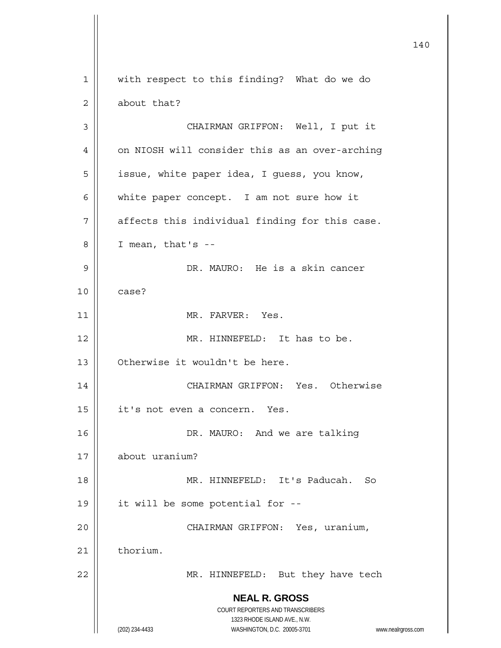**NEAL R. GROSS** COURT REPORTERS AND TRANSCRIBERS 1323 RHODE ISLAND AVE., N.W. (202) 234-4433 WASHINGTON, D.C. 20005-3701 www.nealrgross.com 140 1 2 3 4 5 6 7 8 9 10 11 12 13 14 15 16 17 18 19 20 21 22 with respect to this finding? What do we do about that? CHAIRMAN GRIFFON: Well, I put it on NIOSH will consider this as an over-arching issue, white paper idea, I guess, you know, white paper concept. I am not sure how it affects this individual finding for this case. I mean, that's -- DR. MAURO: He is a skin cancer case? MR. FARVER: Yes. MR. HINNEFELD: It has to be. Otherwise it wouldn't be here. CHAIRMAN GRIFFON: Yes. Otherwise it's not even a concern. Yes. DR. MAURO: And we are talking about uranium? MR. HINNEFELD: It's Paducah. So it will be some potential for -- CHAIRMAN GRIFFON: Yes, uranium, thorium. MR. HINNEFELD: But they have tech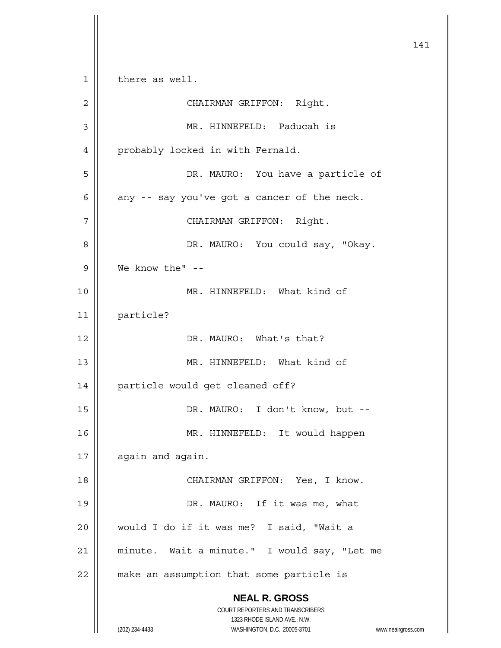**NEAL R. GROSS** COURT REPORTERS AND TRANSCRIBERS 1323 RHODE ISLAND AVE., N.W. (202) 234-4433 WASHINGTON, D.C. 20005-3701 www.nealrgross.com 1 2 3 4 5 6 7 8 9 10 11 12 13 14 15 16 17 18 19 20 21 22 there as well. CHAIRMAN GRIFFON: Right. MR. HINNEFELD: Paducah is probably locked in with Fernald. DR. MAURO: You have a particle of any -- say you've got a cancer of the neck. CHAIRMAN GRIFFON: Right. DR. MAURO: You could say, "Okay. We know the" -- MR. HINNEFELD: What kind of particle? DR. MAURO: What's that? MR. HINNEFELD: What kind of particle would get cleaned off? DR. MAURO: I don't know, but -- MR. HINNEFELD: It would happen again and again. CHAIRMAN GRIFFON: Yes, I know. DR. MAURO: If it was me, what would I do if it was me? I said, "Wait a minute. Wait a minute." I would say, "Let me make an assumption that some particle is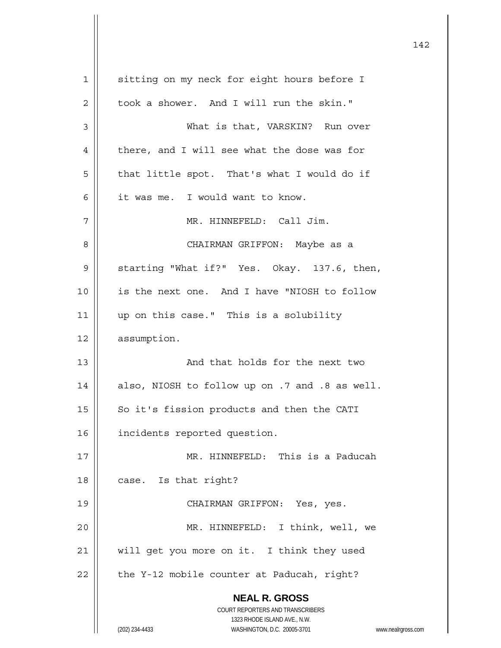**NEAL R. GROSS** COURT REPORTERS AND TRANSCRIBERS 1323 RHODE ISLAND AVE., N.W. (202) 234-4433 WASHINGTON, D.C. 20005-3701 www.nealrgross.com 1 2 3 4 5 6 7 8 9 10 11 12 13 14 15 16 17 18 19 20 21 22 sitting on my neck for eight hours before I took a shower. And I will run the skin." What is that, VARSKIN? Run over there, and I will see what the dose was for that little spot. That's what I would do if it was me. I would want to know. MR. HINNEFELD: Call Jim. CHAIRMAN GRIFFON: Maybe as a starting "What if?" Yes. Okay. 137.6, then, is the next one. And I have "NIOSH to follow up on this case." This is a solubility assumption. And that holds for the next two also, NIOSH to follow up on .7 and .8 as well. So it's fission products and then the CATI incidents reported question. MR. HINNEFELD: This is a Paducah case. Is that right? CHAIRMAN GRIFFON: Yes, yes. MR. HINNEFELD: I think, well, we will get you more on it. I think they used the Y-12 mobile counter at Paducah, right?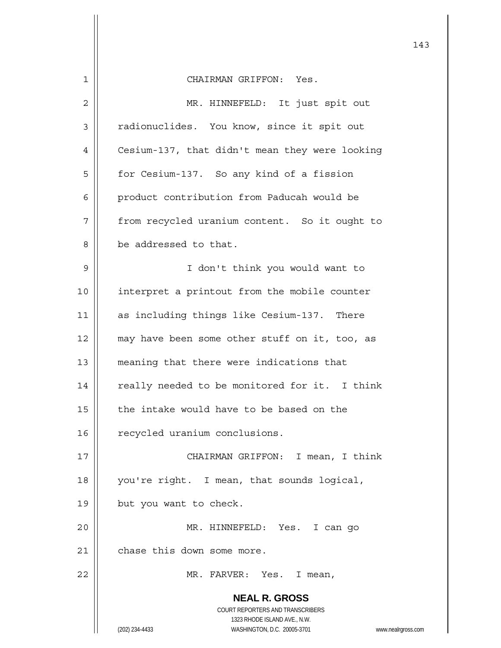|    |                                                                     | 143 |
|----|---------------------------------------------------------------------|-----|
| 1  | CHAIRMAN GRIFFON: Yes.                                              |     |
| 2  | MR. HINNEFELD: It just spit out                                     |     |
| 3  | radionuclides. You know, since it spit out                          |     |
| 4  | Cesium-137, that didn't mean they were looking                      |     |
| 5  | for Cesium-137. So any kind of a fission                            |     |
| 6  | product contribution from Paducah would be                          |     |
| 7  | from recycled uranium content. So it ought to                       |     |
| 8  | be addressed to that.                                               |     |
| 9  | I don't think you would want to                                     |     |
| 10 | interpret a printout from the mobile counter                        |     |
| 11 | as including things like Cesium-137. There                          |     |
| 12 | may have been some other stuff on it, too, as                       |     |
| 13 | meaning that there were indications that                            |     |
| 14 | really needed to be monitored for it. I think                       |     |
| 15 | the intake would have to be based on the                            |     |
| 16 | recycled uranium conclusions.                                       |     |
| 17 | CHAIRMAN GRIFFON: I mean, I think                                   |     |
| 18 | you're right. I mean, that sounds logical,                          |     |
| 19 | but you want to check.                                              |     |
| 20 | MR. HINNEFELD: Yes. I can go                                        |     |
| 21 | chase this down some more.                                          |     |
| 22 | MR. FARVER: Yes. I mean,                                            |     |
|    | <b>NEAL R. GROSS</b>                                                |     |
|    | COURT REPORTERS AND TRANSCRIBERS<br>1323 RHODE ISLAND AVE., N.W.    |     |
|    | (202) 234-4433<br>WASHINGTON, D.C. 20005-3701<br>www.nealrgross.com |     |

 $\mathsf{I}$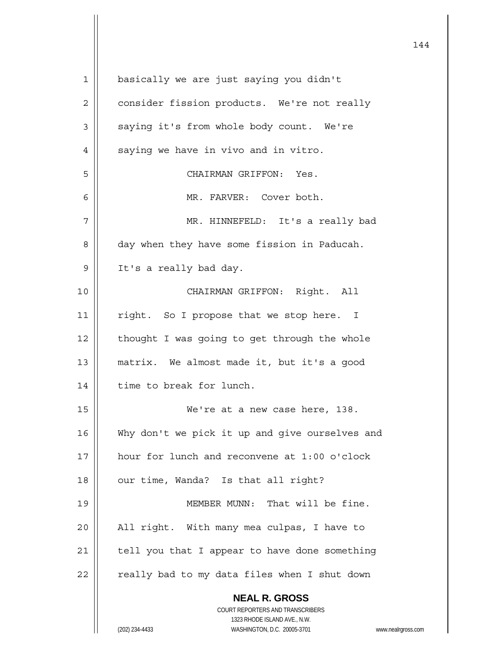| $\mathbf 1$ | basically we are just saying you didn't                                                             |
|-------------|-----------------------------------------------------------------------------------------------------|
| 2           | consider fission products. We're not really                                                         |
| 3           | saying it's from whole body count. We're                                                            |
| 4           | saying we have in vivo and in vitro.                                                                |
| 5           | CHAIRMAN GRIFFON: Yes.                                                                              |
| 6           | MR. FARVER: Cover both.                                                                             |
| 7           | MR. HINNEFELD: It's a really bad                                                                    |
| 8           | day when they have some fission in Paducah.                                                         |
| 9           | It's a really bad day.                                                                              |
| 10          | CHAIRMAN GRIFFON: Right. All                                                                        |
| 11          | right. So I propose that we stop here. I                                                            |
| 12          | thought I was going to get through the whole                                                        |
| 13          | matrix. We almost made it, but it's a good                                                          |
| 14          | time to break for lunch.                                                                            |
| 15          | We're at a new case here, 138.                                                                      |
| 16          | Why don't we pick it up and give ourselves and                                                      |
| 17          | hour for lunch and reconvene at 1:00 o'clock                                                        |
| 18          | our time, Wanda? Is that all right?                                                                 |
| 19          | MEMBER MUNN: That will be fine.                                                                     |
| 20          | All right. With many mea culpas, I have to                                                          |
| 21          | tell you that I appear to have done something                                                       |
| 22          | really bad to my data files when I shut down                                                        |
|             | <b>NEAL R. GROSS</b>                                                                                |
|             | COURT REPORTERS AND TRANSCRIBERS                                                                    |
|             | 1323 RHODE ISLAND AVE., N.W.<br>(202) 234-4433<br>WASHINGTON, D.C. 20005-3701<br>www.nealrgross.com |
|             |                                                                                                     |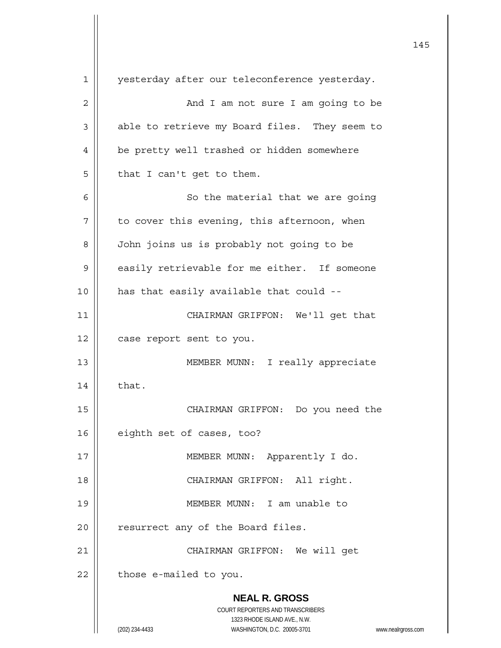| 1  | yesterday after our teleconference yesterday.                                                       |
|----|-----------------------------------------------------------------------------------------------------|
| 2  | And I am not sure I am going to be                                                                  |
| 3  | able to retrieve my Board files. They seem to                                                       |
| 4  | be pretty well trashed or hidden somewhere                                                          |
| 5  | that I can't get to them.                                                                           |
| 6  | So the material that we are going                                                                   |
| 7  | to cover this evening, this afternoon, when                                                         |
| 8  | John joins us is probably not going to be                                                           |
| 9  | easily retrievable for me either. If someone                                                        |
| 10 | has that easily available that could --                                                             |
| 11 | CHAIRMAN GRIFFON: We'll get that                                                                    |
| 12 | case report sent to you.                                                                            |
| 13 | MEMBER MUNN: I really appreciate                                                                    |
| 14 | that.                                                                                               |
| 15 | CHAIRMAN GRIFFON: Do you need the                                                                   |
| 16 | eighth set of cases, too?                                                                           |
| 17 | MEMBER MUNN: Apparently I do.                                                                       |
| 18 | CHAIRMAN GRIFFON: All right.                                                                        |
| 19 | MEMBER MUNN: I am unable to                                                                         |
| 20 | resurrect any of the Board files.                                                                   |
| 21 | CHAIRMAN GRIFFON: We will get                                                                       |
| 22 | those e-mailed to you.                                                                              |
|    | <b>NEAL R. GROSS</b>                                                                                |
|    | <b>COURT REPORTERS AND TRANSCRIBERS</b>                                                             |
|    | 1323 RHODE ISLAND AVE., N.W.<br>WASHINGTON, D.C. 20005-3701<br>(202) 234-4433<br>www.nealrgross.com |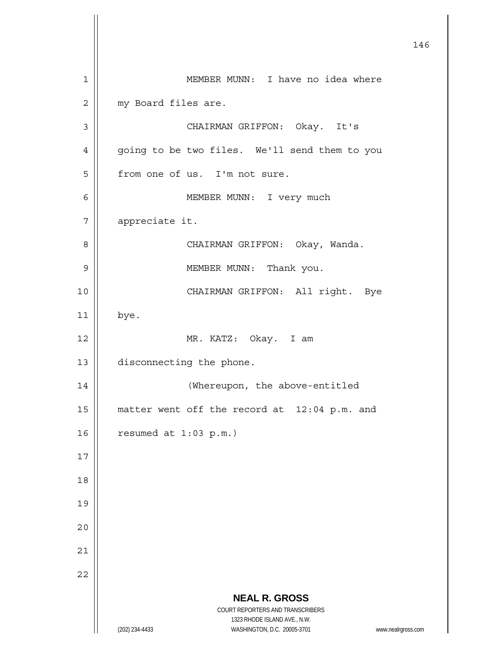**NEAL R. GROSS** COURT REPORTERS AND TRANSCRIBERS 1323 RHODE ISLAND AVE., N.W. (202) 234-4433 WASHINGTON, D.C. 20005-3701 www.nealrgross.com 146 1 2 3 4 5 6 7 8 9 10 11 12 13 14 15 16 17 18 19 20 21 22 MEMBER MUNN: I have no idea where my Board files are. CHAIRMAN GRIFFON: Okay. It's going to be two files. We'll send them to you from one of us. I'm not sure. MEMBER MUNN: I very much appreciate it. CHAIRMAN GRIFFON: Okay, Wanda. MEMBER MUNN: Thank you. CHAIRMAN GRIFFON: All right. Bye bye. MR. KATZ: Okay. I am disconnecting the phone. (Whereupon, the above-entitled matter went off the record at 12:04 p.m. and resumed at 1:03 p.m.)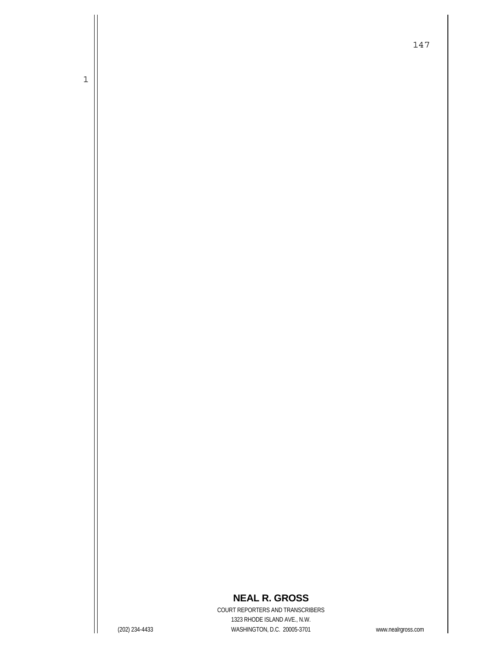## **NEAL R. GROSS**

147

COURT REPORTERS AND TRANSCRIBERS 1323 RHODE ISLAND AVE., N.W. (202) 234-4433 WASHINGTON, D.C. 20005-3701 www.nealrgross.com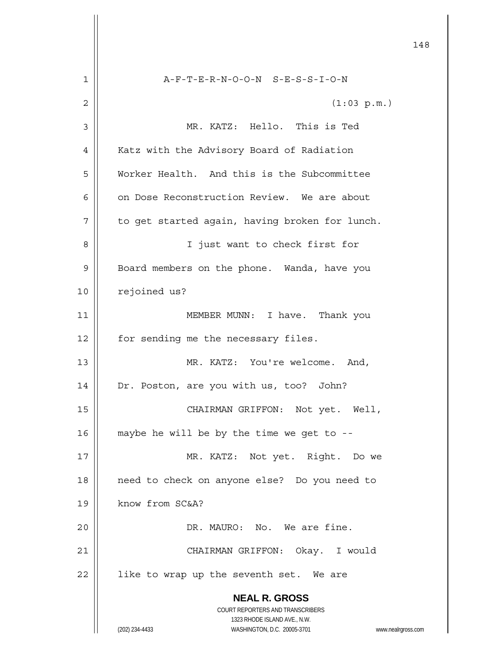**NEAL R. GROSS** COURT REPORTERS AND TRANSCRIBERS 1323 RHODE ISLAND AVE., N.W. (202) 234-4433 WASHINGTON, D.C. 20005-3701 www.nealrgross.com 148 1 2 3 4 5 6 7 8 9 10 11 12 13 14 15 16 17 18 19 20 21 22 A-F-T-E-R-N-O-O-N S-E-S-S-I-O-N (1:03 p.m.) MR. KATZ: Hello. This is Ted Katz with the Advisory Board of Radiation Worker Health. And this is the Subcommittee on Dose Reconstruction Review. We are about to get started again, having broken for lunch. I just want to check first for Board members on the phone. Wanda, have you rejoined us? MEMBER MUNN: I have. Thank you for sending me the necessary files. MR. KATZ: You're welcome. And, Dr. Poston, are you with us, too? John? CHAIRMAN GRIFFON: Not yet. Well, maybe he will be by the time we get to -- MR. KATZ: Not yet. Right. Do we need to check on anyone else? Do you need to know from SC&A? DR. MAURO: No. We are fine. CHAIRMAN GRIFFON: Okay. I would like to wrap up the seventh set. We are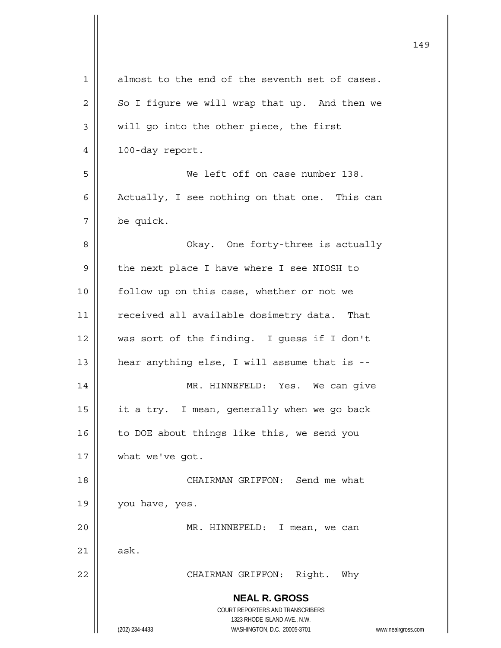| 1              | almost to the end of the seventh set of cases.                                          |
|----------------|-----------------------------------------------------------------------------------------|
| 2              | So I figure we will wrap that up. And then we                                           |
| $\mathfrak{Z}$ | will go into the other piece, the first                                                 |
| 4              | 100-day report.                                                                         |
| 5              | We left off on case number 138.                                                         |
| 6              | Actually, I see nothing on that one. This can                                           |
| 7              | be quick.                                                                               |
| 8              | Okay. One forty-three is actually                                                       |
| 9              | the next place I have where I see NIOSH to                                              |
| 10             | follow up on this case, whether or not we                                               |
| 11             | received all available dosimetry data. That                                             |
| 12             | was sort of the finding. I guess if I don't                                             |
| 13             | hear anything else, I will assume that is --                                            |
| 14             | MR. HINNEFELD: Yes. We can give                                                         |
| 15             | it a try. I mean, generally when we go back                                             |
| 16             | to DOE about things like this, we send you                                              |
| 17             | what we've got.                                                                         |
| 18             | CHAIRMAN GRIFFON: Send me what                                                          |
| 19             | you have, yes.                                                                          |
| 20             | MR. HINNEFELD: I mean, we can                                                           |
| 21             | ask.                                                                                    |
| 22             | CHAIRMAN GRIFFON: Right. Why                                                            |
|                | <b>NEAL R. GROSS</b>                                                                    |
|                | COURT REPORTERS AND TRANSCRIBERS                                                        |
|                | 1323 RHODE ISLAND AVE., N.W.<br>(202) 234-4433<br>WASHINGTON, D.C. 20005-3701<br>www.ne |

ealrgross.com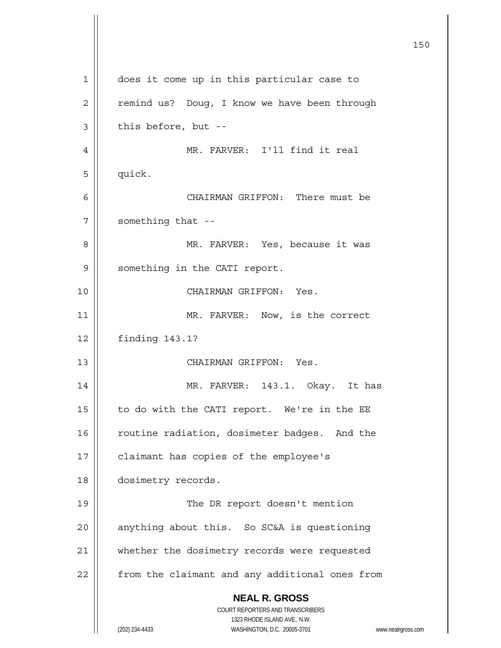|    |                                                                     | 150 |
|----|---------------------------------------------------------------------|-----|
| 1  | does it come up in this particular case to                          |     |
| 2  | remind us? Doug, I know we have been through                        |     |
| 3  | this before, but --                                                 |     |
| 4  | MR. FARVER: I'll find it real                                       |     |
| 5  | quick.                                                              |     |
| 6  | CHAIRMAN GRIFFON: There must be                                     |     |
| 7  | something that --                                                   |     |
| 8  | MR. FARVER: Yes, because it was                                     |     |
| 9  | something in the CATI report.                                       |     |
| 10 | CHAIRMAN GRIFFON: Yes.                                              |     |
| 11 | MR. FARVER: Now, is the correct                                     |     |
| 12 | finding 143.1?                                                      |     |
| 13 | CHAIRMAN GRIFFON: Yes.                                              |     |
| 14 | MR. FARVER: 143.1. Okay. It has                                     |     |
| 15 | to do with the CATI report. We're in the EE                         |     |
| 16 | routine radiation, dosimeter badges. And the                        |     |
| 17 | claimant has copies of the employee's                               |     |
| 18 | dosimetry records.                                                  |     |
| 19 | The DR report doesn't mention                                       |     |
| 20 | anything about this. So SC&A is questioning                         |     |
| 21 | whether the dosimetry records were requested                        |     |
| 22 | from the claimant and any additional ones from                      |     |
|    | <b>NEAL R. GROSS</b><br>COURT REPORTERS AND TRANSCRIBERS            |     |
|    | 1323 RHODE ISLAND AVE., N.W.                                        |     |
|    | (202) 234-4433<br>WASHINGTON, D.C. 20005-3701<br>www.nealrgross.com |     |

 $\overline{\phantom{a}}$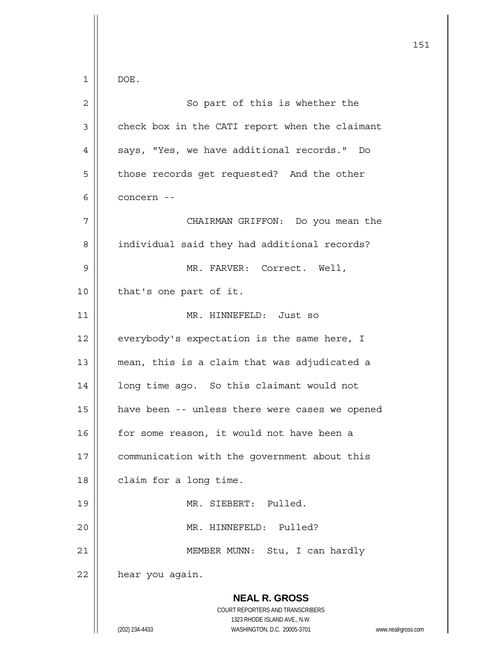$1$ DOE.

| 2  | So part of this is whether the                                      |
|----|---------------------------------------------------------------------|
| 3  | check box in the CATI report when the claimant                      |
| 4  | says, "Yes, we have additional records." Do                         |
| 5  | those records get requested? And the other                          |
| 6  | concern --                                                          |
| 7  | CHAIRMAN GRIFFON: Do you mean the                                   |
| 8  | individual said they had additional records?                        |
| 9  | MR. FARVER: Correct. Well,                                          |
| 10 | that's one part of it.                                              |
| 11 | MR. HINNEFELD: Just so                                              |
| 12 | everybody's expectation is the same here, I                         |
| 13 | mean, this is a claim that was adjudicated a                        |
| 14 | long time ago. So this claimant would not                           |
| 15 | have been -- unless there were cases we opened                      |
| 16 | for some reason, it would not have been a                           |
| 17 | communication with the government about this                        |
| 18 | claim for a long time.                                              |
| 19 | MR. SIEBERT: Pulled.                                                |
| 20 | MR. HINNEFELD: Pulled?                                              |
| 21 | MEMBER MUNN: Stu, I can hardly                                      |
| 22 | hear you again.                                                     |
|    | <b>NEAL R. GROSS</b><br>COURT REPORTERS AND TRANSCRIBERS            |
|    | 1323 RHODE ISLAND AVE., N.W.                                        |
|    | (202) 234-4433<br>WASHINGTON, D.C. 20005-3701<br>www.nealrgross.com |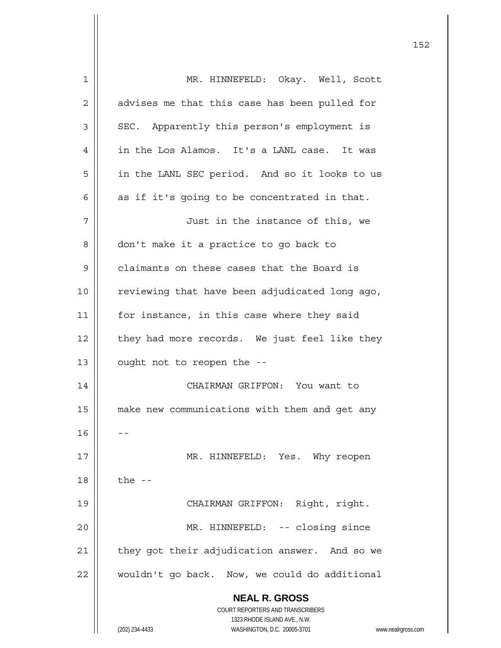| 1              | MR. HINNEFELD: Okay. Well, Scott                                    |
|----------------|---------------------------------------------------------------------|
| $\overline{2}$ | advises me that this case has been pulled for                       |
| 3              | SEC. Apparently this person's employment is                         |
| 4              | in the Los Alamos. It's a LANL case. It was                         |
| 5              | in the LANL SEC period. And so it looks to us                       |
| 6              | as if it's going to be concentrated in that.                        |
| 7              | Just in the instance of this, we                                    |
| 8              | don't make it a practice to go back to                              |
| 9              | claimants on these cases that the Board is                          |
| 10             | reviewing that have been adjudicated long ago,                      |
| 11             | for instance, in this case where they said                          |
| 12             | they had more records. We just feel like they                       |
| 13             | ought not to reopen the --                                          |
| 14             | CHAIRMAN GRIFFON: You want to                                       |
| 15             | make new communications with them and get any                       |
| 16             | - -                                                                 |
| 17             | MR. HINNEFELD: Yes. Why reopen                                      |
| 18             | the $-$                                                             |
| 19             | CHAIRMAN GRIFFON: Right, right.                                     |
| 20             | MR. HINNEFELD: -- closing since                                     |
| 21             | they got their adjudication answer. And so we                       |
| 22             | wouldn't go back. Now, we could do additional                       |
|                | <b>NEAL R. GROSS</b>                                                |
|                | <b>COURT REPORTERS AND TRANSCRIBERS</b>                             |
|                | 1323 RHODE ISLAND AVE., N.W.                                        |
|                | WASHINGTON, D.C. 20005-3701<br>(202) 234-4433<br>www.nealrgross.com |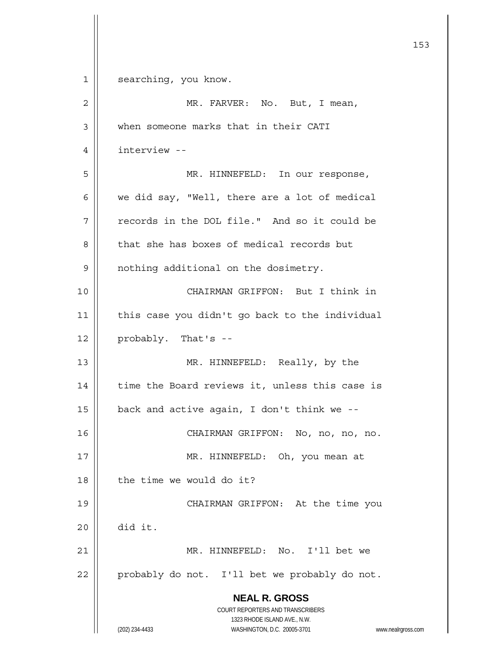**NEAL R. GROSS** COURT REPORTERS AND TRANSCRIBERS 1323 RHODE ISLAND AVE., N.W. (202) 234-4433 WASHINGTON, D.C. 20005-3701 www.nealrgross.com 153 1 2 3 4 5 6 7 8 9 10 11 12 13 14 15 16 17 18 19 20 21 22 searching, you know. MR. FARVER: No. But, I mean, when someone marks that in their CATI interview -- MR. HINNEFELD: In our response, we did say, "Well, there are a lot of medical records in the DOL file." And so it could be that she has boxes of medical records but nothing additional on the dosimetry. CHAIRMAN GRIFFON: But I think in this case you didn't go back to the individual probably. That's -- MR. HINNEFELD: Really, by the time the Board reviews it, unless this case is back and active again, I don't think we -- CHAIRMAN GRIFFON: No, no, no, no. MR. HINNEFELD: Oh, you mean at the time we would do it? CHAIRMAN GRIFFON: At the time you did it. MR. HINNEFELD: No. I'll bet we probably do not. I'll bet we probably do not.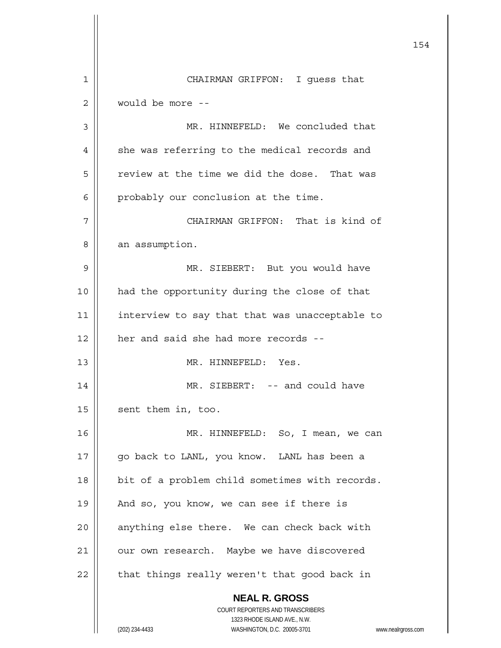|    |                                                                  | 154                |
|----|------------------------------------------------------------------|--------------------|
| 1  | CHAIRMAN GRIFFON: I guess that                                   |                    |
| 2  | would be more --                                                 |                    |
| 3  | MR. HINNEFELD: We concluded that                                 |                    |
| 4  | she was referring to the medical records and                     |                    |
| 5  | review at the time we did the dose. That was                     |                    |
| 6  | probably our conclusion at the time.                             |                    |
| 7  | CHAIRMAN GRIFFON: That is kind of                                |                    |
| 8  | an assumption.                                                   |                    |
| 9  | MR. SIEBERT: But you would have                                  |                    |
| 10 | had the opportunity during the close of that                     |                    |
| 11 | interview to say that that was unacceptable to                   |                    |
| 12 | her and said she had more records --                             |                    |
| 13 | MR. HINNEFELD: Yes.                                              |                    |
| 14 | MR. SIEBERT: -- and could have                                   |                    |
| 15 | sent them in, too.                                               |                    |
| 16 | MR. HINNEFELD: So, I mean, we can                                |                    |
| 17 | go back to LANL, you know. LANL has been a                       |                    |
| 18 | bit of a problem child sometimes with records.                   |                    |
| 19 | And so, you know, we can see if there is                         |                    |
| 20 | anything else there. We can check back with                      |                    |
| 21 | our own research. Maybe we have discovered                       |                    |
| 22 | that things really weren't that good back in                     |                    |
|    | <b>NEAL R. GROSS</b>                                             |                    |
|    | COURT REPORTERS AND TRANSCRIBERS<br>1323 RHODE ISLAND AVE., N.W. |                    |
|    | (202) 234-4433<br>WASHINGTON, D.C. 20005-3701                    | www.nealrgross.com |

 $\mathsf{I}$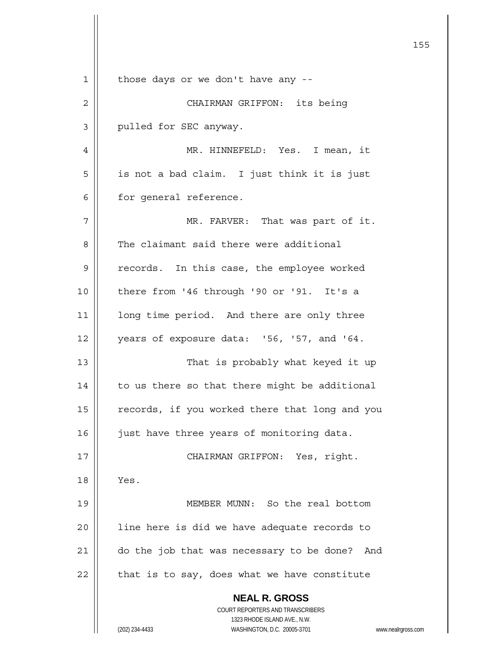|    | 155                                                                                                 |
|----|-----------------------------------------------------------------------------------------------------|
| 1  | those days or we don't have any --                                                                  |
| 2  | CHAIRMAN GRIFFON: its being                                                                         |
| 3  | pulled for SEC anyway.                                                                              |
| 4  | MR. HINNEFELD: Yes. I mean, it                                                                      |
| 5  | is not a bad claim. I just think it is just                                                         |
| 6  | for general reference.                                                                              |
| 7  | MR. FARVER: That was part of it.                                                                    |
| 8  | The claimant said there were additional                                                             |
| 9  | records. In this case, the employee worked                                                          |
| 10 | there from '46 through '90 or '91. It's a                                                           |
| 11 | long time period. And there are only three                                                          |
| 12 | years of exposure data: '56, '57, and '64.                                                          |
| 13 | That is probably what keyed it up                                                                   |
| 14 | to us there so that there might be additional                                                       |
| 15 | records, if you worked there that long and you                                                      |
| 16 | just have three years of monitoring data.                                                           |
| 17 | CHAIRMAN GRIFFON: Yes, right.                                                                       |
| 18 | Yes.                                                                                                |
| 19 | MEMBER MUNN: So the real bottom                                                                     |
| 20 | line here is did we have adequate records to                                                        |
| 21 | do the job that was necessary to be done?<br>And                                                    |
| 22 | that is to say, does what we have constitute                                                        |
|    | <b>NEAL R. GROSS</b><br>COURT REPORTERS AND TRANSCRIBERS                                            |
|    | 1323 RHODE ISLAND AVE., N.W.<br>(202) 234-4433<br>WASHINGTON, D.C. 20005-3701<br>www.nealrgross.com |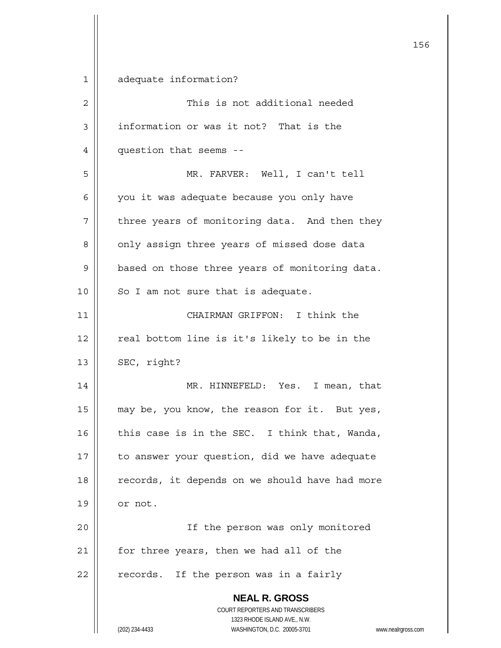**NEAL R. GROSS** COURT REPORTERS AND TRANSCRIBERS 1323 RHODE ISLAND AVE., N.W. 156 1 2 3 4 5 6 7 8 9 10 11 12 13 14 15 16 17 18 19 20 21 22 adequate information? This is not additional needed information or was it not? That is the question that seems -- MR. FARVER: Well, I can't tell you it was adequate because you only have three years of monitoring data. And then they only assign three years of missed dose data based on those three years of monitoring data. So I am not sure that is adequate. CHAIRMAN GRIFFON: I think the real bottom line is it's likely to be in the SEC, right? MR. HINNEFELD: Yes. I mean, that may be, you know, the reason for it. But yes, this case is in the SEC. I think that, Wanda, to answer your question, did we have adequate records, it depends on we should have had more or not. If the person was only monitored for three years, then we had all of the records. If the person was in a fairly

(202) 234-4433 WASHINGTON, D.C. 20005-3701 www.nealrgross.com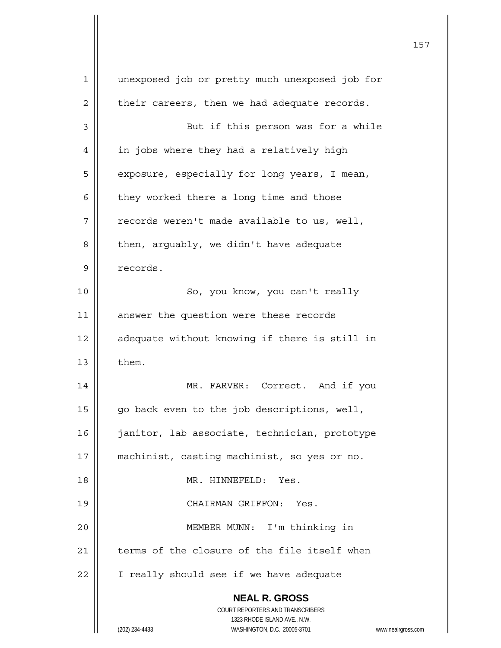**NEAL R. GROSS** COURT REPORTERS AND TRANSCRIBERS 1323 RHODE ISLAND AVE., N.W. (202) 234-4433 WASHINGTON, D.C. 20005-3701 www.nealrgross.com 1 2 3 4 5 6 7 8 9 10 11 12 13 14 15 16 17 18 19 20 21 22 unexposed job or pretty much unexposed job for their careers, then we had adequate records. But if this person was for a while in jobs where they had a relatively high exposure, especially for long years, I mean, they worked there a long time and those records weren't made available to us, well, then, arguably, we didn't have adequate records. So, you know, you can't really answer the question were these records adequate without knowing if there is still in them. MR. FARVER: Correct. And if you go back even to the job descriptions, well, janitor, lab associate, technician, prototype machinist, casting machinist, so yes or no. MR. HINNEFELD: Yes. CHAIRMAN GRIFFON: Yes. MEMBER MUNN: I'm thinking in terms of the closure of the file itself when I really should see if we have adequate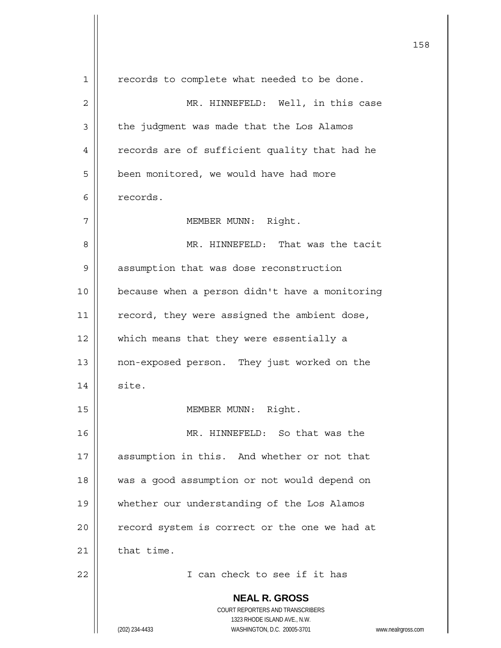|             | 158                                                                 |
|-------------|---------------------------------------------------------------------|
| $\mathbf 1$ | records to complete what needed to be done.                         |
| 2           | MR. HINNEFELD: Well, in this case                                   |
| 3           | the judgment was made that the Los Alamos                           |
| 4           | records are of sufficient quality that had he                       |
| 5           | been monitored, we would have had more                              |
| 6           | records.                                                            |
| 7           | MEMBER MUNN: Right.                                                 |
| 8           | MR. HINNEFELD: That was the tacit                                   |
| $\mathsf 9$ | assumption that was dose reconstruction                             |
| 10          | because when a person didn't have a monitoring                      |
| 11          | record, they were assigned the ambient dose,                        |
| 12          | which means that they were essentially a                            |
| 13          | non-exposed person. They just worked on the                         |
| 14          | site.                                                               |
| 15          | MEMBER MUNN: Right.                                                 |
| 16          | MR. HINNEFELD: So that was the                                      |
| 17          | assumption in this. And whether or not that                         |
| 18          | was a good assumption or not would depend on                        |
| 19          | whether our understanding of the Los Alamos                         |
| 20          | record system is correct or the one we had at                       |
| 21          | that time.                                                          |
| 22          | I can check to see if it has                                        |
|             | <b>NEAL R. GROSS</b>                                                |
|             | COURT REPORTERS AND TRANSCRIBERS<br>1323 RHODE ISLAND AVE., N.W.    |
|             | (202) 234-4433<br>WASHINGTON, D.C. 20005-3701<br>www.nealrgross.com |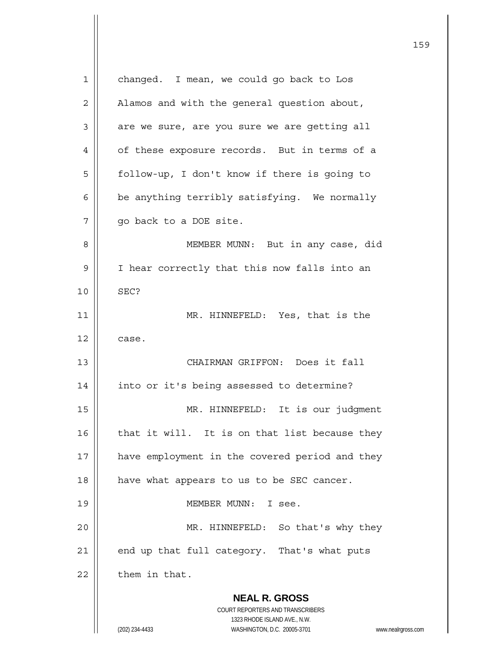| $\mathbf 1$    | changed. I mean, we could go back to Los                                                 |
|----------------|------------------------------------------------------------------------------------------|
| 2              | Alamos and with the general question about,                                              |
| $\mathfrak{Z}$ | are we sure, are you sure we are getting all                                             |
| 4              | of these exposure records. But in terms of a                                             |
| 5              | follow-up, I don't know if there is going to                                             |
| 6              | be anything terribly satisfying. We normally                                             |
| 7              | go back to a DOE site.                                                                   |
| 8              | MEMBER MUNN: But in any case, did                                                        |
| 9              | I hear correctly that this now falls into an                                             |
| 10             | SEC?                                                                                     |
| 11             | MR. HINNEFELD: Yes, that is the                                                          |
| 12             | case.                                                                                    |
| 13             | CHAIRMAN GRIFFON: Does it fall                                                           |
| 14             | into or it's being assessed to determine?                                                |
| 15             | MR. HINNEFELD: It is our judgment                                                        |
| 16             | that it will. It is on that list because they                                            |
| 17             | have employment in the covered period and they                                           |
| 18             | have what appears to us to be SEC cancer.                                                |
| 19             | MEMBER MUNN: I see.                                                                      |
| 20             | MR. HINNEFELD: So that's why they                                                        |
| 21             | end up that full category. That's what puts                                              |
| 22             | them in that.                                                                            |
|                | <b>NEAL R. GROSS</b><br>COURT REPORTERS AND TRANSCRIBERS<br>1323 RHODE ISLAND AVE., N.W. |
|                | (202) 234-4433<br>WASHINGTON, D.C. 20005-3701<br>www.nealrgross.com                      |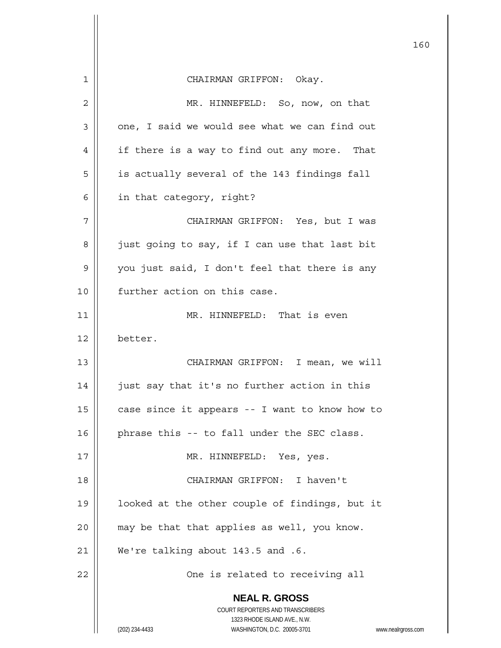|             |                                                                     | 160 |
|-------------|---------------------------------------------------------------------|-----|
| $\mathbf 1$ | CHAIRMAN GRIFFON: Okay.                                             |     |
| 2           | MR. HINNEFELD: So, now, on that                                     |     |
| 3           | one, I said we would see what we can find out                       |     |
| 4           | if there is a way to find out any more. That                        |     |
| 5           | is actually several of the 143 findings fall                        |     |
| 6           | in that category, right?                                            |     |
| 7           | CHAIRMAN GRIFFON: Yes, but I was                                    |     |
| 8           | just going to say, if I can use that last bit                       |     |
| 9           | you just said, I don't feel that there is any                       |     |
| 10          | further action on this case.                                        |     |
| 11          | MR. HINNEFELD: That is even                                         |     |
| 12          | better.                                                             |     |
| 13          | CHAIRMAN GRIFFON: I mean, we will                                   |     |
| 14          | just say that it's no further action in this                        |     |
| 15          | case since it appears -- I want to know how to                      |     |
| 16          | phrase this -- to fall under the SEC class.                         |     |
| 17          | MR. HINNEFELD: Yes, yes.                                            |     |
| 18          | CHAIRMAN GRIFFON: I haven't                                         |     |
| 19          | looked at the other couple of findings, but it                      |     |
| 20          | may be that that applies as well, you know.                         |     |
| 21          | We're talking about 143.5 and .6.                                   |     |
| 22          | One is related to receiving all                                     |     |
|             | <b>NEAL R. GROSS</b>                                                |     |
|             | COURT REPORTERS AND TRANSCRIBERS<br>1323 RHODE ISLAND AVE., N.W.    |     |
|             | (202) 234-4433<br>WASHINGTON, D.C. 20005-3701<br>www.nealrgross.com |     |

 $\mathsf{I}$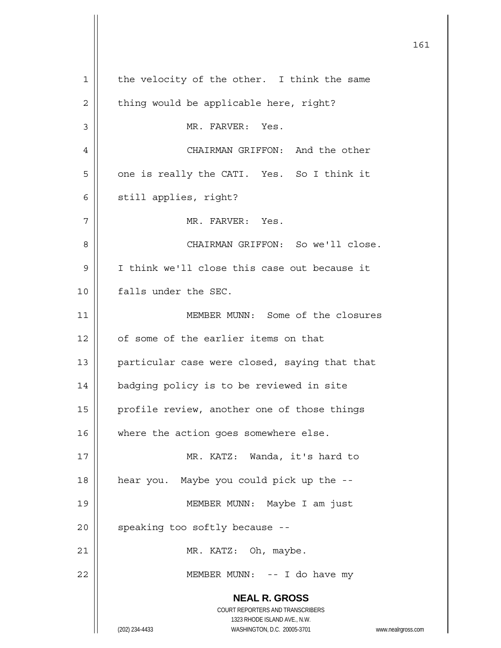**NEAL R. GROSS** COURT REPORTERS AND TRANSCRIBERS 1323 RHODE ISLAND AVE., N.W. (202) 234-4433 WASHINGTON, D.C. 20005-3701 www.nealrgross.com 1 2 3 4 5 6 7 8 9 10 11 12 13 14 15 16 17 18 19 20 21 22 the velocity of the other. I think the same thing would be applicable here, right? MR. FARVER: Yes. CHAIRMAN GRIFFON: And the other one is really the CATI. Yes. So I think it still applies, right? MR. FARVER: Yes. CHAIRMAN GRIFFON: So we'll close. I think we'll close this case out because it falls under the SEC. MEMBER MUNN: Some of the closures of some of the earlier items on that particular case were closed, saying that that badging policy is to be reviewed in site profile review, another one of those things where the action goes somewhere else. MR. KATZ: Wanda, it's hard to hear you. Maybe you could pick up the -- MEMBER MUNN: Maybe I am just speaking too softly because -- MR. KATZ: Oh, maybe. MEMBER MUNN: -- I do have my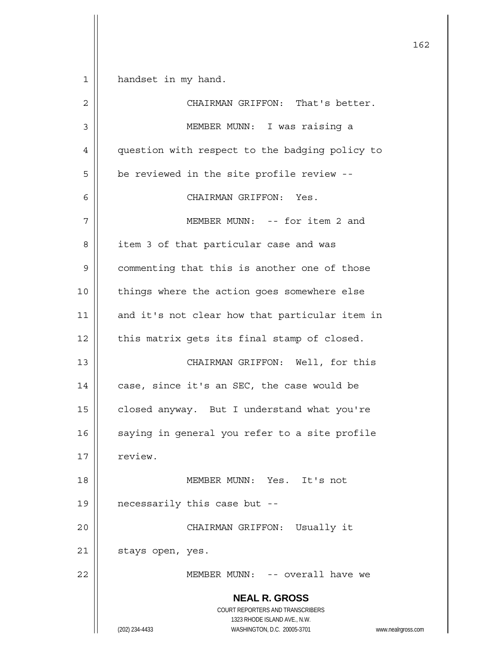$1$ handset in my hand.

| 2  | CHAIRMAN GRIFFON: That's better.                                                                                                                                |
|----|-----------------------------------------------------------------------------------------------------------------------------------------------------------------|
| 3  | MEMBER MUNN: I was raising a                                                                                                                                    |
| 4  | question with respect to the badging policy to                                                                                                                  |
| 5  | be reviewed in the site profile review --                                                                                                                       |
| 6  | CHAIRMAN GRIFFON: Yes.                                                                                                                                          |
| 7  | MEMBER MUNN: -- for item 2 and                                                                                                                                  |
| 8  | item 3 of that particular case and was                                                                                                                          |
| 9  | commenting that this is another one of those                                                                                                                    |
| 10 | things where the action goes somewhere else                                                                                                                     |
| 11 | and it's not clear how that particular item in                                                                                                                  |
| 12 | this matrix gets its final stamp of closed.                                                                                                                     |
| 13 | CHAIRMAN GRIFFON: Well, for this                                                                                                                                |
| 14 | case, since it's an SEC, the case would be                                                                                                                      |
| 15 | closed anyway. But I understand what you're                                                                                                                     |
| 16 | saying in general you refer to a site profile                                                                                                                   |
| 17 | review.                                                                                                                                                         |
| 18 | MEMBER MUNN: Yes. It's not                                                                                                                                      |
| 19 | necessarily this case but --                                                                                                                                    |
| 20 | CHAIRMAN GRIFFON: Usually it                                                                                                                                    |
| 21 | stays open, yes.                                                                                                                                                |
| 22 | MEMBER MUNN: -- overall have we                                                                                                                                 |
|    | <b>NEAL R. GROSS</b><br>COURT REPORTERS AND TRANSCRIBERS<br>1323 RHODE ISLAND AVE., N.W.<br>(202) 234-4433<br>WASHINGTON, D.C. 20005-3701<br>www.nealrgross.com |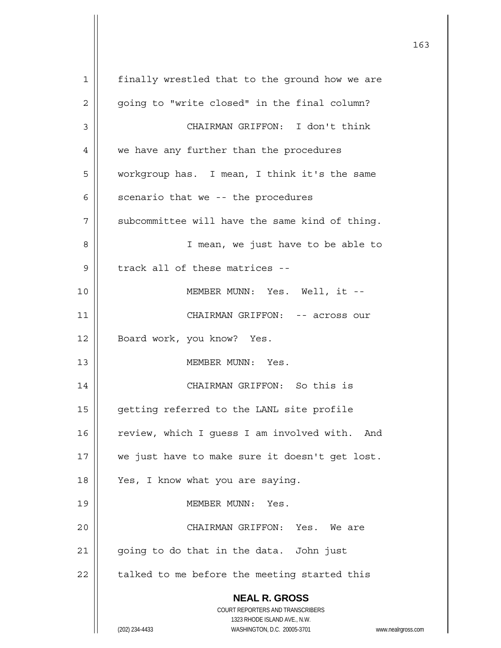**NEAL R. GROSS** COURT REPORTERS AND TRANSCRIBERS 1323 RHODE ISLAND AVE., N.W. (202) 234-4433 WASHINGTON, D.C. 20005-3701 www.nealrgross.com 1 2 3 4 5 6 7 8 9 10 11 12 13 14 15 16 17 18 19 20 21 22 finally wrestled that to the ground how we are going to "write closed" in the final column? CHAIRMAN GRIFFON: I don't think we have any further than the procedures workgroup has. I mean, I think it's the same scenario that we -- the procedures subcommittee will have the same kind of thing. I mean, we just have to be able to track all of these matrices -- MEMBER MUNN: Yes. Well, it -- CHAIRMAN GRIFFON: -- across our Board work, you know? Yes. MEMBER MUNN: Yes. CHAIRMAN GRIFFON: So this is getting referred to the LANL site profile review, which I guess I am involved with. And we just have to make sure it doesn't get lost. Yes, I know what you are saying. MEMBER MUNN: Yes. CHAIRMAN GRIFFON: Yes. We are going to do that in the data. John just talked to me before the meeting started this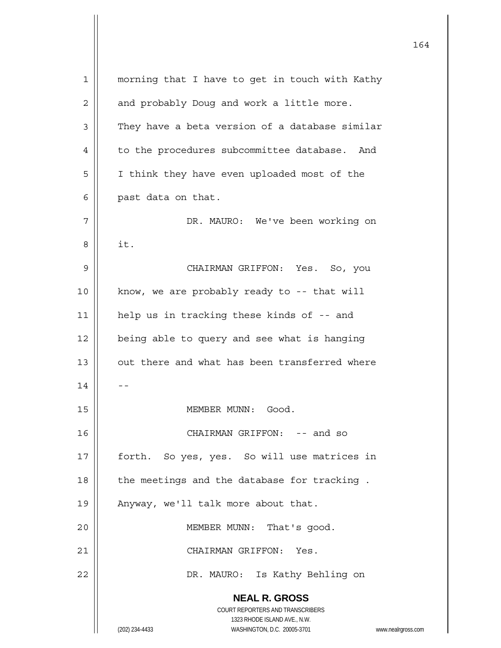| $1\,$          | morning that I have to get in touch with Kathy                                                      |
|----------------|-----------------------------------------------------------------------------------------------------|
| $\overline{2}$ | and probably Doug and work a little more.                                                           |
| $\mathfrak{Z}$ | They have a beta version of a database similar                                                      |
| 4              | to the procedures subcommittee database. And                                                        |
| 5              | I think they have even uploaded most of the                                                         |
| 6              | past data on that.                                                                                  |
| 7              | DR. MAURO: We've been working on                                                                    |
| 8              | it.                                                                                                 |
| $\mathsf 9$    | CHAIRMAN GRIFFON: Yes. So, you                                                                      |
| 10             | know, we are probably ready to -- that will                                                         |
| 11             | help us in tracking these kinds of -- and                                                           |
| 12             | being able to query and see what is hanging                                                         |
| 13             | out there and what has been transferred where                                                       |
| 14             |                                                                                                     |
| 15             | MEMBER MUNN:<br>Good.                                                                               |
| 16             | CHAIRMAN GRIFFON: -- and so                                                                         |
| 17             | forth. So yes, yes. So will use matrices in                                                         |
| 18             | the meetings and the database for tracking.                                                         |
| 19             | Anyway, we'll talk more about that.                                                                 |
| 20             | MEMBER MUNN: That's good.                                                                           |
| 21             | CHAIRMAN GRIFFON: Yes.                                                                              |
| 22             | DR. MAURO: Is Kathy Behling on                                                                      |
|                | <b>NEAL R. GROSS</b>                                                                                |
|                | <b>COURT REPORTERS AND TRANSCRIBERS</b>                                                             |
|                | 1323 RHODE ISLAND AVE., N.W.<br>(202) 234-4433<br>WASHINGTON, D.C. 20005-3701<br>www.nealrgross.com |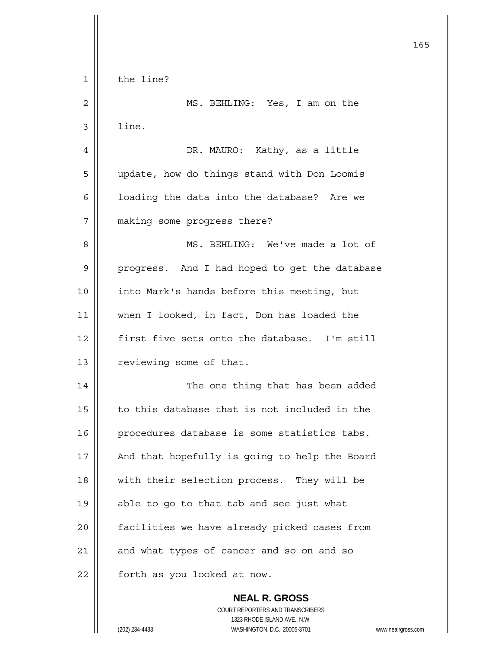|    |                                               | 165 |
|----|-----------------------------------------------|-----|
| 1  | the line?                                     |     |
| 2  | MS. BEHLING: Yes, I am on the                 |     |
| 3  | line.                                         |     |
| 4  | DR. MAURO: Kathy, as a little                 |     |
| 5  | update, how do things stand with Don Loomis   |     |
| 6  | loading the data into the database? Are we    |     |
| 7  | making some progress there?                   |     |
| 8  | MS. BEHLING: We've made a lot of              |     |
| 9  | progress. And I had hoped to get the database |     |
| 10 | into Mark's hands before this meeting, but    |     |
| 11 | when I looked, in fact, Don has loaded the    |     |
| 12 | first five sets onto the database. I'm still  |     |
| 13 | reviewing some of that.                       |     |
| 14 | The one thing that has been added             |     |
| 15 | to this database that is not included in the  |     |
| 16 | procedures database is some statistics tabs.  |     |
| 17 | And that hopefully is going to help the Board |     |
| 18 | with their selection process. They will be    |     |
| 19 | able to go to that tab and see just what      |     |
| 20 | facilities we have already picked cases from  |     |
| 21 | and what types of cancer and so on and so     |     |
| 22 | forth as you looked at now.                   |     |
|    | <b>NEAL R. GROSS</b>                          |     |

COURT REPORTERS AND TRANSCRIBERS 1323 RHODE ISLAND AVE., N.W. (202) 234-4433 WASHINGTON, D.C. 20005-3701 www.nealrgross.com

 $\prod$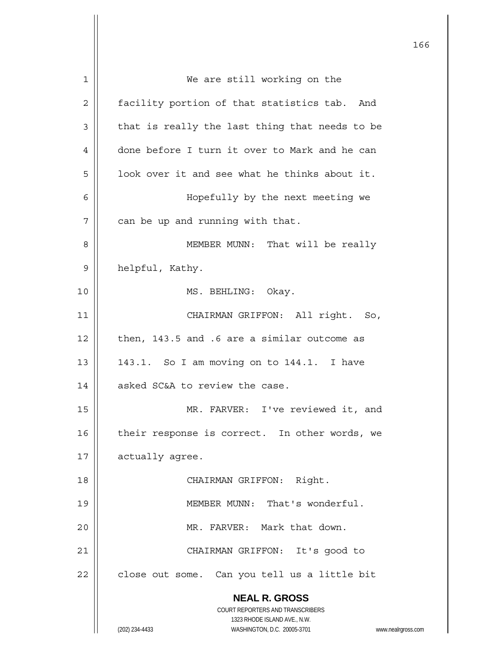| 1              | We are still working on the                                             |
|----------------|-------------------------------------------------------------------------|
| $\overline{2}$ | facility portion of that statistics tab. And                            |
| 3              | that is really the last thing that needs to be                          |
| 4              | done before I turn it over to Mark and he can                           |
| 5              | look over it and see what he thinks about it.                           |
| 6              | Hopefully by the next meeting we                                        |
| 7              | can be up and running with that.                                        |
| 8              | MEMBER MUNN: That will be really                                        |
| 9              | helpful, Kathy.                                                         |
| 10             | MS. BEHLING: Okay.                                                      |
| 11             | CHAIRMAN GRIFFON: All right. So,                                        |
| 12             | then, 143.5 and .6 are a similar outcome as                             |
| 13             | 143.1. So I am moving on to 144.1. I have                               |
| 14             | asked SC&A to review the case.                                          |
| 15             | MR. FARVER: I've reviewed it, and                                       |
| 16             | their response is correct. In other words, we                           |
| 17             | actually agree.                                                         |
| 18             | CHAIRMAN GRIFFON: Right.                                                |
| 19             | MEMBER MUNN: That's wonderful.                                          |
| 20             | MR. FARVER: Mark that down.                                             |
| 21             | CHAIRMAN GRIFFON: It's good to                                          |
| 22             | close out some. Can you tell us a little bit                            |
|                | <b>NEAL R. GROSS</b>                                                    |
|                | <b>COURT REPORTERS AND TRANSCRIBERS</b><br>1323 RHODE ISLAND AVE., N.W. |
|                | WASHINGTON, D.C. 20005-3701<br>(202) 234-4433<br>www.nealrgross.com     |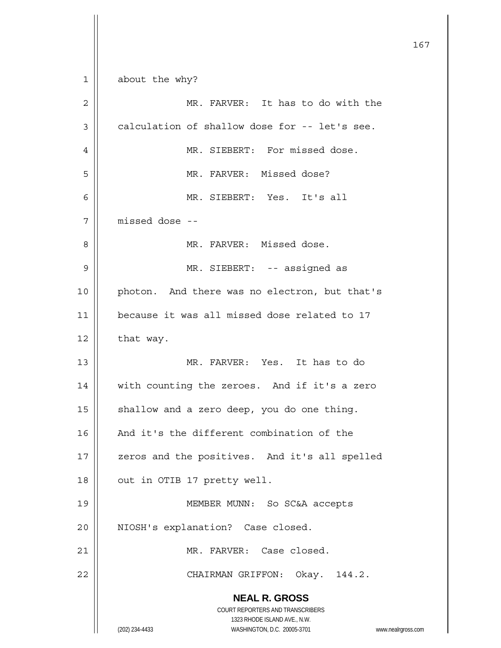|    |                                                                     | 167 |
|----|---------------------------------------------------------------------|-----|
| 1  | about the why?                                                      |     |
| 2  | MR. FARVER: It has to do with the                                   |     |
| 3  | calculation of shallow dose for -- let's see.                       |     |
| 4  | MR. SIEBERT: For missed dose.                                       |     |
| 5  | MR. FARVER: Missed dose?                                            |     |
| 6  | MR. SIEBERT: Yes. It's all                                          |     |
| 7  | missed dose --                                                      |     |
| 8  | MR. FARVER: Missed dose.                                            |     |
| 9  | MR. SIEBERT: -- assigned as                                         |     |
| 10 | photon. And there was no electron, but that's                       |     |
| 11 | because it was all missed dose related to 17                        |     |
| 12 | that way.                                                           |     |
| 13 | MR. FARVER: Yes. It has to do                                       |     |
| 14 | with counting the zeroes. And if it's a zero                        |     |
| 15 | shallow and a zero deep, you do one thing.                          |     |
| 16 | And it's the different combination of the                           |     |
| 17 | zeros and the positives. And it's all spelled                       |     |
| 18 | out in OTIB 17 pretty well.                                         |     |
| 19 | MEMBER MUNN: So SC&A accepts                                        |     |
| 20 | NIOSH's explanation? Case closed.                                   |     |
| 21 | MR. FARVER: Case closed.                                            |     |
| 22 | CHAIRMAN GRIFFON: Okay. 144.2.                                      |     |
|    | <b>NEAL R. GROSS</b>                                                |     |
|    | COURT REPORTERS AND TRANSCRIBERS<br>1323 RHODE ISLAND AVE., N.W.    |     |
|    | (202) 234-4433<br>WASHINGTON, D.C. 20005-3701<br>www.nealrgross.com |     |

 $\mathsf{I}$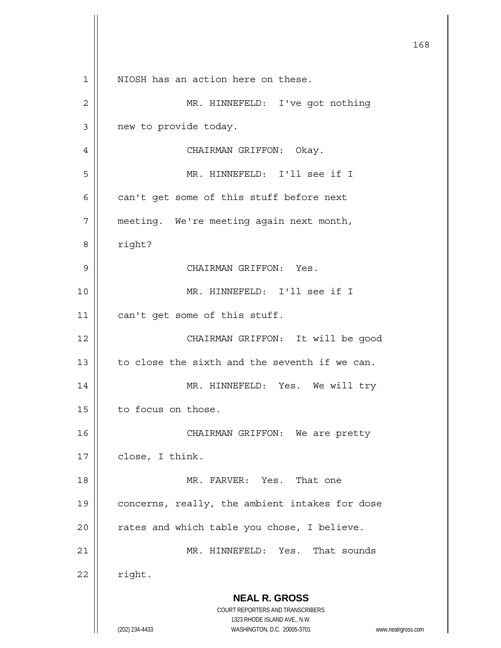|    | 168                                                                                                 |  |
|----|-----------------------------------------------------------------------------------------------------|--|
| 1  | NIOSH has an action here on these.                                                                  |  |
| 2  | MR. HINNEFELD: I've got nothing                                                                     |  |
| 3  | new to provide today.                                                                               |  |
| 4  | CHAIRMAN GRIFFON: Okay.                                                                             |  |
| 5  | MR. HINNEFELD: I'll see if I                                                                        |  |
| 6  | can't get some of this stuff before next                                                            |  |
| 7  | meeting. We're meeting again next month,                                                            |  |
| 8  | right?                                                                                              |  |
| 9  | CHAIRMAN GRIFFON: Yes.                                                                              |  |
| 10 | MR. HINNEFELD: I'll see if I                                                                        |  |
| 11 | can't get some of this stuff.                                                                       |  |
| 12 | CHAIRMAN GRIFFON: It will be good                                                                   |  |
| 13 | to close the sixth and the seventh if we can.                                                       |  |
| 14 | MR. HINNEFELD: Yes. We will try                                                                     |  |
| 15 | to focus on those.                                                                                  |  |
| 16 | CHAIRMAN GRIFFON: We are pretty                                                                     |  |
| 17 | close, I think.                                                                                     |  |
| 18 | MR. FARVER: Yes. That one                                                                           |  |
| 19 | concerns, really, the ambient intakes for dose                                                      |  |
| 20 | rates and which table you chose, I believe.                                                         |  |
| 21 | MR. HINNEFELD: Yes. That sounds                                                                     |  |
| 22 | right.                                                                                              |  |
|    | <b>NEAL R. GROSS</b>                                                                                |  |
|    | COURT REPORTERS AND TRANSCRIBERS                                                                    |  |
|    | 1323 RHODE ISLAND AVE., N.W.<br>(202) 234-4433<br>WASHINGTON, D.C. 20005-3701<br>www.nealrgross.com |  |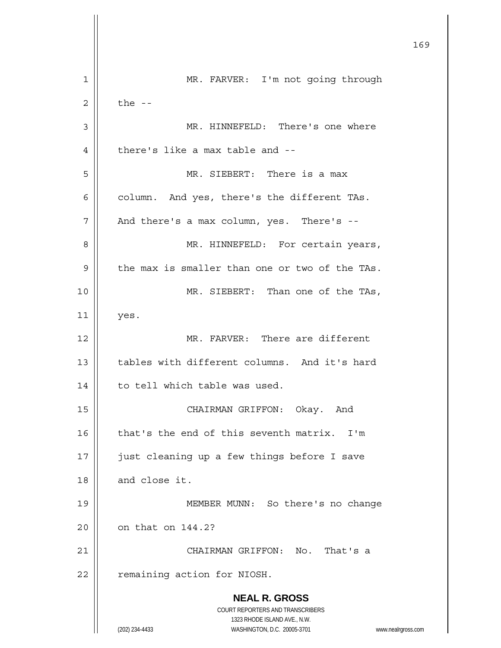**NEAL R. GROSS** COURT REPORTERS AND TRANSCRIBERS 1323 RHODE ISLAND AVE., N.W. (202) 234-4433 WASHINGTON, D.C. 20005-3701 www.nealrgross.com 169 1 2 3 4 5 6 7 8 9 10 11 12 13 14 15 16 17 18 19 20 21 22 MR. FARVER: I'm not going through the  $-$  MR. HINNEFELD: There's one where there's like a max table and -- MR. SIEBERT: There is a max column. And yes, there's the different TAs. And there's a max column, yes. There's -- MR. HINNEFELD: For certain years, the max is smaller than one or two of the TAs. MR. SIEBERT: Than one of the TAs, yes. MR. FARVER: There are different tables with different columns. And it's hard to tell which table was used. CHAIRMAN GRIFFON: Okay. And that's the end of this seventh matrix. I'm just cleaning up a few things before I save and close it. MEMBER MUNN: So there's no change on that on 144.2? CHAIRMAN GRIFFON: No. That's a remaining action for NIOSH.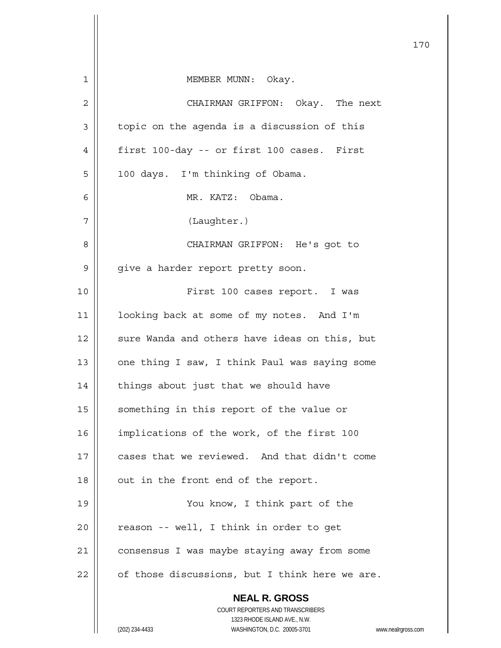|    |                                                                                                                                           | 170                |
|----|-------------------------------------------------------------------------------------------------------------------------------------------|--------------------|
| 1  | MEMBER MUNN: Okay.                                                                                                                        |                    |
| 2  | CHAIRMAN GRIFFON: Okay. The next                                                                                                          |                    |
| 3  | topic on the agenda is a discussion of this                                                                                               |                    |
| 4  | first 100-day -- or first 100 cases. First                                                                                                |                    |
| 5  | 100 days. I'm thinking of Obama.                                                                                                          |                    |
| 6  | MR. KATZ: Obama.                                                                                                                          |                    |
| 7  | (Laughter.)                                                                                                                               |                    |
| 8  | CHAIRMAN GRIFFON: He's got to                                                                                                             |                    |
| 9  | give a harder report pretty soon.                                                                                                         |                    |
| 10 | First 100 cases report. I was                                                                                                             |                    |
| 11 | looking back at some of my notes. And I'm                                                                                                 |                    |
| 12 | sure Wanda and others have ideas on this, but                                                                                             |                    |
| 13 | one thing I saw, I think Paul was saying some                                                                                             |                    |
| 14 | things about just that we should have                                                                                                     |                    |
| 15 | something in this report of the value or                                                                                                  |                    |
| 16 | implications of the work, of the first 100                                                                                                |                    |
| 17 | cases that we reviewed. And that didn't come                                                                                              |                    |
| 18 | out in the front end of the report.                                                                                                       |                    |
| 19 | You know, I think part of the                                                                                                             |                    |
| 20 | reason -- well, I think in order to get                                                                                                   |                    |
| 21 | consensus I was maybe staying away from some                                                                                              |                    |
| 22 | of those discussions, but I think here we are.                                                                                            |                    |
|    | <b>NEAL R. GROSS</b><br>COURT REPORTERS AND TRANSCRIBERS<br>1323 RHODE ISLAND AVE., N.W.<br>(202) 234-4433<br>WASHINGTON, D.C. 20005-3701 | www.nealrgross.com |

 $\mathsf{I}$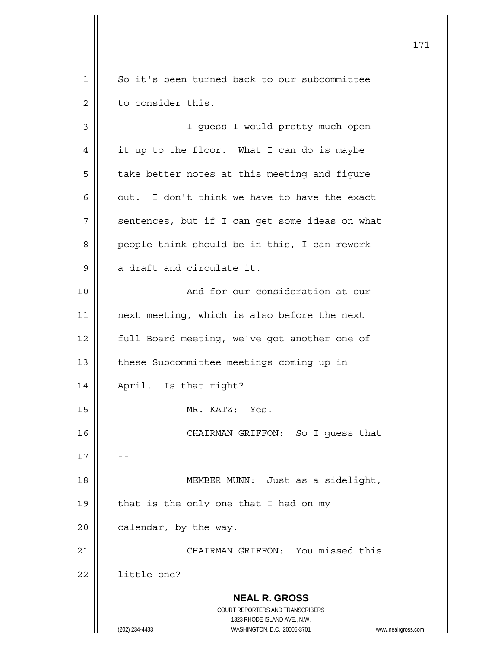1 2 So it's been turned back to our subcommittee to consider this.

**NEAL R. GROSS** COURT REPORTERS AND TRANSCRIBERS 1323 RHODE ISLAND AVE., N.W. 3 4 5 6 7 8 9 10 11 12 13 14 15 16 17 18 19 20 21 22 I guess I would pretty much open it up to the floor. What I can do is maybe take better notes at this meeting and figure out. I don't think we have to have the exact sentences, but if I can get some ideas on what people think should be in this, I can rework a draft and circulate it. And for our consideration at our next meeting, which is also before the next full Board meeting, we've got another one of these Subcommittee meetings coming up in April. Is that right? MR. KATZ: Yes. CHAIRMAN GRIFFON: So I guess that -- MEMBER MUNN: Just as a sidelight, that is the only one that I had on my calendar, by the way. CHAIRMAN GRIFFON: You missed this little one?

171

(202) 234-4433 WASHINGTON, D.C. 20005-3701 www.nealrgross.com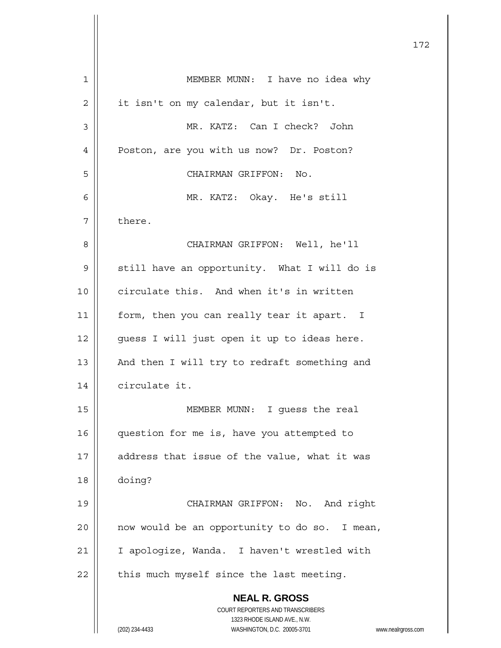|    | 172                                                                 |  |
|----|---------------------------------------------------------------------|--|
| 1  | MEMBER MUNN: I have no idea why                                     |  |
| 2  | it isn't on my calendar, but it isn't.                              |  |
| 3  | MR. KATZ: Can I check? John                                         |  |
| 4  | Poston, are you with us now? Dr. Poston?                            |  |
| 5  | CHAIRMAN GRIFFON: No.                                               |  |
| 6  | MR. KATZ: Okay. He's still                                          |  |
| 7  | there.                                                              |  |
| 8  | CHAIRMAN GRIFFON: Well, he'll                                       |  |
| 9  | still have an opportunity. What I will do is                        |  |
| 10 | circulate this. And when it's in written                            |  |
| 11 | form, then you can really tear it apart. I                          |  |
| 12 | guess I will just open it up to ideas here.                         |  |
| 13 | And then I will try to redraft something and                        |  |
| 14 | circulate it.                                                       |  |
| 15 | MEMBER MUNN: I guess the real                                       |  |
| 16 | question for me is, have you attempted to                           |  |
| 17 | address that issue of the value, what it was                        |  |
| 18 | doing?                                                              |  |
| 19 | CHAIRMAN GRIFFON: No. And right                                     |  |
| 20 | now would be an opportunity to do so. I mean,                       |  |
| 21 | I apologize, Wanda. I haven't wrestled with                         |  |
| 22 | this much myself since the last meeting.                            |  |
|    | <b>NEAL R. GROSS</b><br>COURT REPORTERS AND TRANSCRIBERS            |  |
|    | 1323 RHODE ISLAND AVE., N.W.                                        |  |
|    | (202) 234-4433<br>WASHINGTON, D.C. 20005-3701<br>www.nealrgross.com |  |

 $\mathsf{I}$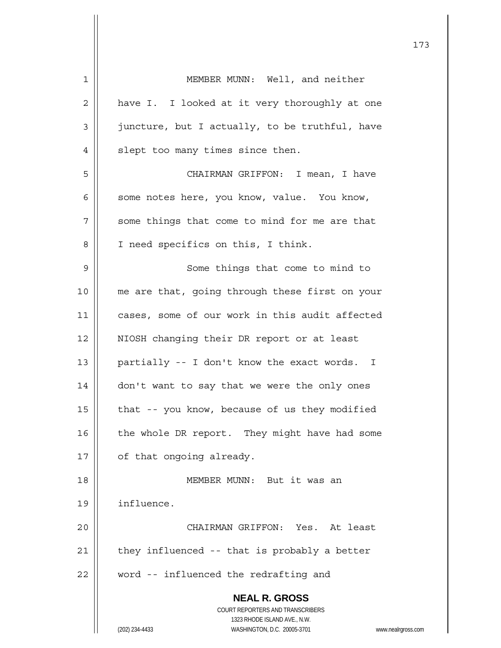| 1  | MEMBER MUNN: Well, and neither                                                           |
|----|------------------------------------------------------------------------------------------|
| 2  | have I. I looked at it very thoroughly at one                                            |
| 3  | juncture, but I actually, to be truthful, have                                           |
| 4  | slept too many times since then.                                                         |
| 5  | CHAIRMAN GRIFFON: I mean, I have                                                         |
| 6  | some notes here, you know, value. You know,                                              |
| 7  | some things that come to mind for me are that                                            |
| 8  | I need specifics on this, I think.                                                       |
| 9  | Some things that come to mind to                                                         |
| 10 | me are that, going through these first on your                                           |
| 11 | cases, some of our work in this audit affected                                           |
| 12 | NIOSH changing their DR report or at least                                               |
| 13 | partially -- I don't know the exact words. I                                             |
| 14 | don't want to say that we were the only ones                                             |
| 15 | that -- you know, because of us they modified                                            |
| 16 | the whole DR report. They might have had some                                            |
| 17 | of that ongoing already.                                                                 |
| 18 | MEMBER MUNN: But it was an                                                               |
| 19 | influence.                                                                               |
| 20 | CHAIRMAN GRIFFON: Yes. At least                                                          |
| 21 | they influenced -- that is probably a better                                             |
| 22 | word -- influenced the redrafting and                                                    |
|    | <b>NEAL R. GROSS</b><br>COURT REPORTERS AND TRANSCRIBERS<br>1323 RHODE ISLAND AVE., N.W. |
|    | (202) 234-4433<br>WASHINGTON, D.C. 20005-3701<br>www.nealrgross.com                      |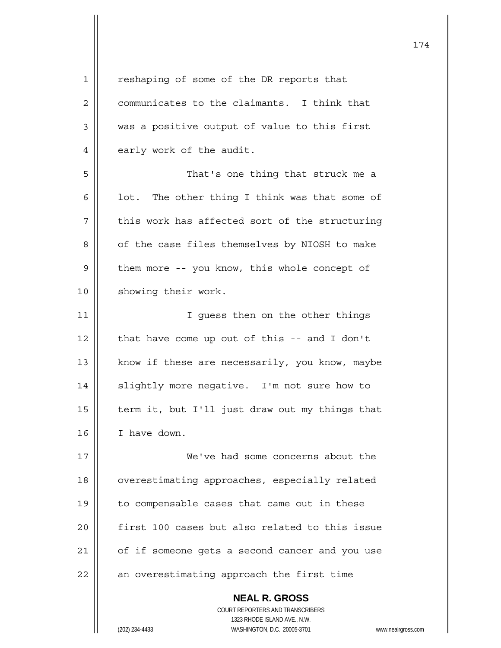| $\mathbf 1$    | reshaping of some of the DR reports that                                                 |
|----------------|------------------------------------------------------------------------------------------|
| $\overline{a}$ | communicates to the claimants. I think that                                              |
| $\mathfrak{Z}$ | was a positive output of value to this first                                             |
| $\overline{4}$ | early work of the audit.                                                                 |
| 5              | That's one thing that struck me a                                                        |
| 6              | lot. The other thing I think was that some of                                            |
| 7              | this work has affected sort of the structuring                                           |
| 8              | of the case files themselves by NIOSH to make                                            |
| 9              | them more -- you know, this whole concept of                                             |
| 10             | showing their work.                                                                      |
| 11             | I guess then on the other things                                                         |
| 12             | that have come up out of this -- and I don't                                             |
| 13             | know if these are necessarily, you know, maybe                                           |
| 14             | slightly more negative. I'm not sure how to                                              |
| 15             | term it, but I'll just draw out my things that                                           |
| 16             | I have down                                                                              |
| 17             | We've had some concerns about the                                                        |
| 18             | overestimating approaches, especially related                                            |
| 19             | to compensable cases that came out in these                                              |
| 20             | first 100 cases but also related to this issue                                           |
| 21             | of if someone gets a second cancer and you use                                           |
| 22             | an overestimating approach the first time                                                |
|                | <b>NEAL R. GROSS</b><br>COURT REPORTERS AND TRANSCRIBERS<br>1323 RHODE ISLAND AVE., N.W. |
|                | (202) 234-4433<br>WASHINGTON, D.C. 20005-3701<br>www.n                                   |

(202) 234-4433 WASHINGTON, D.C. 20005-3701 www.nealrgross.com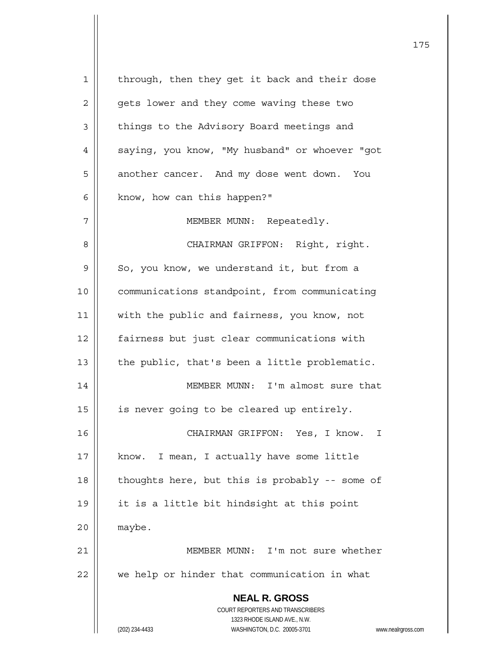| $\mathbf 1$    | through, then they get it back and their dose                       |
|----------------|---------------------------------------------------------------------|
| $\overline{c}$ | gets lower and they come waving these two                           |
| 3              | things to the Advisory Board meetings and                           |
| 4              | saying, you know, "My husband" or whoever "got                      |
| 5              | another cancer. And my dose went down. You                          |
| 6              | know, how can this happen?"                                         |
| 7              | MEMBER MUNN: Repeatedly.                                            |
| 8              | CHAIRMAN GRIFFON: Right, right.                                     |
| $\mathsf 9$    | So, you know, we understand it, but from a                          |
| 10             | communications standpoint, from communicating                       |
| 11             | with the public and fairness, you know, not                         |
| 12             | fairness but just clear communications with                         |
| 13             | the public, that's been a little problematic.                       |
| 14             | MEMBER MUNN: I'm almost sure that                                   |
| 15             | is never going to be cleared up entirely.                           |
| 16             | CHAIRMAN GRIFFON: Yes, I know.<br>I                                 |
| 17             | I mean, I actually have some little<br>know.                        |
| 18             | thoughts here, but this is probably -- some of                      |
| 19             | it is a little bit hindsight at this point                          |
| 20             | maybe.                                                              |
| 21             | MEMBER MUNN: I'm not sure whether                                   |
| 22             | we help or hinder that communication in what                        |
|                | <b>NEAL R. GROSS</b>                                                |
|                | <b>COURT REPORTERS AND TRANSCRIBERS</b>                             |
|                | 1323 RHODE ISLAND AVE., N.W.                                        |
|                | (202) 234-4433<br>WASHINGTON, D.C. 20005-3701<br>www.nealrgross.com |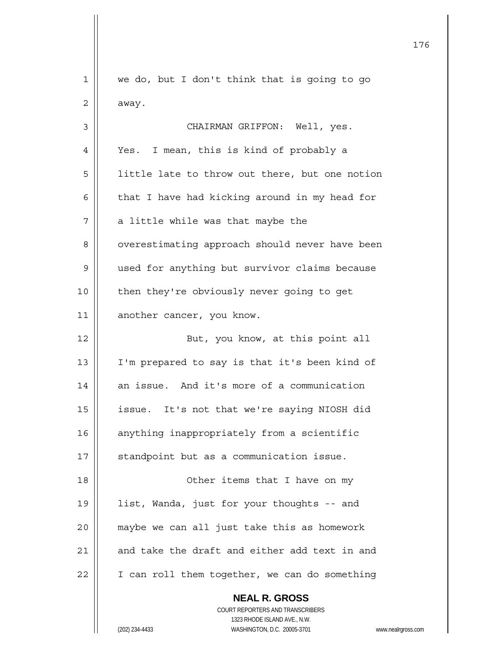| 1  | we do, but I don't think that is going to go                                                        |
|----|-----------------------------------------------------------------------------------------------------|
| 2  | away.                                                                                               |
| 3  | CHAIRMAN GRIFFON: Well, yes.                                                                        |
| 4  | Yes. I mean, this is kind of probably a                                                             |
| 5  | little late to throw out there, but one notion                                                      |
| 6  | that I have had kicking around in my head for                                                       |
| 7  | a little while was that maybe the                                                                   |
| 8  | overestimating approach should never have been                                                      |
| 9  | used for anything but survivor claims because                                                       |
| 10 | then they're obviously never going to get                                                           |
| 11 | another cancer, you know.                                                                           |
| 12 | But, you know, at this point all                                                                    |
| 13 | I'm prepared to say is that it's been kind of                                                       |
| 14 | an issue. And it's more of a communication                                                          |
| 15 | issue. It's not that we're saying NIOSH did                                                         |
| 16 | anything inappropriately from a scientific                                                          |
| 17 | standpoint but as a communication issue.                                                            |
| 18 | Other items that I have on my                                                                       |
| 19 | list, Wanda, just for your thoughts -- and                                                          |
| 20 | maybe we can all just take this as homework                                                         |
| 21 | and take the draft and either add text in and                                                       |
| 22 | I can roll them together, we can do something                                                       |
|    | <b>NEAL R. GROSS</b>                                                                                |
|    | <b>COURT REPORTERS AND TRANSCRIBERS</b>                                                             |
|    | 1323 RHODE ISLAND AVE., N.W.<br>WASHINGTON, D.C. 20005-3701<br>(202) 234-4433<br>www.nealrgross.com |
|    |                                                                                                     |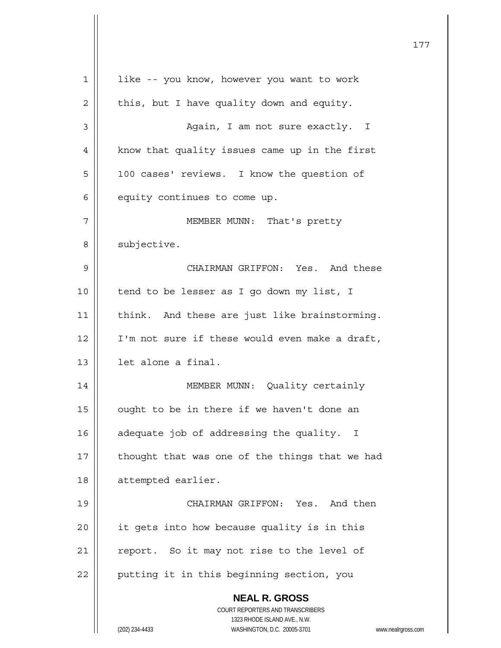| 1  | like -- you know, however you want to work                          |
|----|---------------------------------------------------------------------|
| 2  | this, but I have quality down and equity.                           |
| 3  | Again, I am not sure exactly. I                                     |
| 4  | know that quality issues came up in the first                       |
| 5  | 100 cases' reviews. I know the question of                          |
| 6  | equity continues to come up.                                        |
| 7  | MEMBER MUNN: That's pretty                                          |
| 8  | subjective.                                                         |
| 9  | CHAIRMAN GRIFFON: Yes. And these                                    |
| 10 | tend to be lesser as I go down my list, I                           |
| 11 | think. And these are just like brainstorming.                       |
| 12 | I'm not sure if these would even make a draft,                      |
| 13 | let alone a final.                                                  |
| 14 | MEMBER MUNN: Quality certainly                                      |
| 15 | ought to be in there if we haven't done an                          |
| 16 | adequate job of addressing the quality. I                           |
| 17 | thought that was one of the things that we had                      |
| 18 | attempted earlier.                                                  |
| 19 | CHAIRMAN GRIFFON: Yes. And then                                     |
| 20 | it gets into how because quality is in this                         |
| 21 | report. So it may not rise to the level of                          |
| 22 | putting it in this beginning section, you                           |
|    | <b>NEAL R. GROSS</b>                                                |
|    | COURT REPORTERS AND TRANSCRIBERS                                    |
|    | 1323 RHODE ISLAND AVE., N.W.                                        |
|    | WASHINGTON, D.C. 20005-3701<br>(202) 234-4433<br>www.nealrgross.com |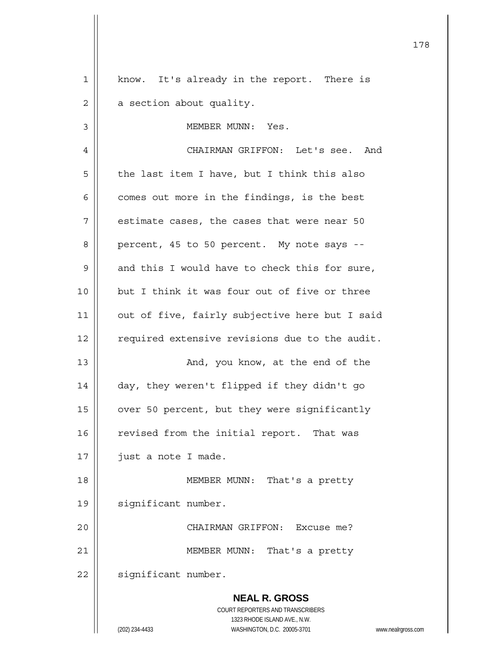| $\mathbf 1$ | know. It's already in the report. There is                                             |
|-------------|----------------------------------------------------------------------------------------|
| 2           | a section about quality.                                                               |
| 3           | MEMBER MUNN: Yes.                                                                      |
| 4           | CHAIRMAN GRIFFON: Let's see. And                                                       |
| 5           | the last item I have, but I think this also                                            |
| 6           | comes out more in the findings, is the best                                            |
| 7           | estimate cases, the cases that were near 50                                            |
| 8           | percent, 45 to 50 percent. My note says --                                             |
| $\mathsf 9$ | and this I would have to check this for sure,                                          |
| 10          | but I think it was four out of five or three                                           |
| 11          | out of five, fairly subjective here but I said                                         |
| 12          | required extensive revisions due to the audit.                                         |
| 13          | And, you know, at the end of the                                                       |
| 14          | day, they weren't flipped if they didn't go                                            |
| 15          | over 50 percent, but they were significantly                                           |
| 16          | revised from the initial report. That was                                              |
| 17          | just a note I made.                                                                    |
| 18          | MEMBER MUNN: That's a pretty                                                           |
| 19          | significant number.                                                                    |
| 20          | CHAIRMAN GRIFFON:<br>Excuse me?                                                        |
| 21          | MEMBER MUNN: That's a pretty                                                           |
| 22          | significant number.                                                                    |
|             | <b>NEAL R. GROSS</b><br>COURT REPORTERS AND TRANSCRIBERS                               |
|             | 1323 RHODE ISLAND AVE., N.W.<br>(202) 234-4433<br>WASHINGTON, D.C. 20005-3701<br>www.n |

(202) 234-4433 WASHINGTON, D.C. 20005-3701 www.nealrgross.com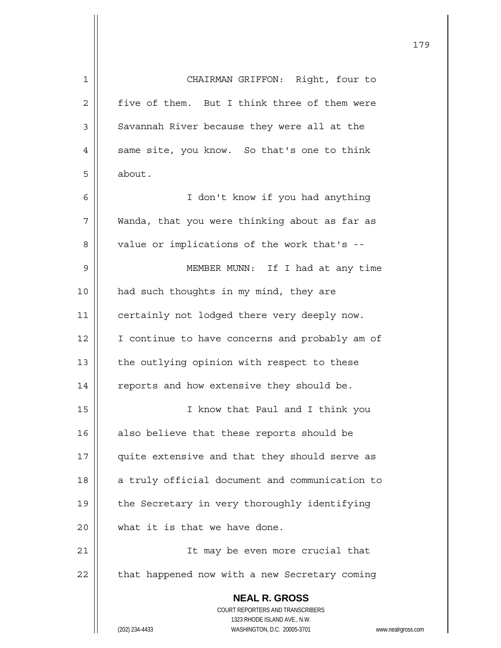| CHAIRMAN GRIFFON: Right, four to<br>1<br>five of them. But I think three of them were<br>2<br>Savannah River because they were all at the<br>3<br>same site, you know. So that's one to think<br>4<br>about.<br>5<br>6<br>I don't know if you had anything<br>7<br>Wanda, that you were thinking about as far as<br>8<br>value or implications of the work that's --<br>9<br>MEMBER MUNN: If I had at any time<br>10<br>had such thoughts in my mind, they are<br>11<br>certainly not lodged there very deeply now.<br>12<br>I continue to have concerns and probably am of<br>13<br>the outlying opinion with respect to these<br>14<br>reports and how extensive they should be.<br>15<br>I know that Paul and I think you<br>16<br>also believe that these reports should be<br>17<br>quite extensive and that they should serve as<br>a truly official document and communication to<br>18<br>19<br>the Secretary in very thoroughly identifying<br>what it is that we have done.<br>20<br>21<br>It may be even more crucial that |                                               |                                                                               |
|---------------------------------------------------------------------------------------------------------------------------------------------------------------------------------------------------------------------------------------------------------------------------------------------------------------------------------------------------------------------------------------------------------------------------------------------------------------------------------------------------------------------------------------------------------------------------------------------------------------------------------------------------------------------------------------------------------------------------------------------------------------------------------------------------------------------------------------------------------------------------------------------------------------------------------------------------------------------------------------------------------------------------------------|-----------------------------------------------|-------------------------------------------------------------------------------|
|                                                                                                                                                                                                                                                                                                                                                                                                                                                                                                                                                                                                                                                                                                                                                                                                                                                                                                                                                                                                                                       |                                               |                                                                               |
|                                                                                                                                                                                                                                                                                                                                                                                                                                                                                                                                                                                                                                                                                                                                                                                                                                                                                                                                                                                                                                       |                                               |                                                                               |
|                                                                                                                                                                                                                                                                                                                                                                                                                                                                                                                                                                                                                                                                                                                                                                                                                                                                                                                                                                                                                                       |                                               |                                                                               |
|                                                                                                                                                                                                                                                                                                                                                                                                                                                                                                                                                                                                                                                                                                                                                                                                                                                                                                                                                                                                                                       |                                               |                                                                               |
|                                                                                                                                                                                                                                                                                                                                                                                                                                                                                                                                                                                                                                                                                                                                                                                                                                                                                                                                                                                                                                       |                                               |                                                                               |
|                                                                                                                                                                                                                                                                                                                                                                                                                                                                                                                                                                                                                                                                                                                                                                                                                                                                                                                                                                                                                                       |                                               |                                                                               |
|                                                                                                                                                                                                                                                                                                                                                                                                                                                                                                                                                                                                                                                                                                                                                                                                                                                                                                                                                                                                                                       |                                               |                                                                               |
|                                                                                                                                                                                                                                                                                                                                                                                                                                                                                                                                                                                                                                                                                                                                                                                                                                                                                                                                                                                                                                       |                                               |                                                                               |
|                                                                                                                                                                                                                                                                                                                                                                                                                                                                                                                                                                                                                                                                                                                                                                                                                                                                                                                                                                                                                                       |                                               |                                                                               |
|                                                                                                                                                                                                                                                                                                                                                                                                                                                                                                                                                                                                                                                                                                                                                                                                                                                                                                                                                                                                                                       |                                               |                                                                               |
|                                                                                                                                                                                                                                                                                                                                                                                                                                                                                                                                                                                                                                                                                                                                                                                                                                                                                                                                                                                                                                       |                                               |                                                                               |
|                                                                                                                                                                                                                                                                                                                                                                                                                                                                                                                                                                                                                                                                                                                                                                                                                                                                                                                                                                                                                                       |                                               |                                                                               |
|                                                                                                                                                                                                                                                                                                                                                                                                                                                                                                                                                                                                                                                                                                                                                                                                                                                                                                                                                                                                                                       |                                               |                                                                               |
|                                                                                                                                                                                                                                                                                                                                                                                                                                                                                                                                                                                                                                                                                                                                                                                                                                                                                                                                                                                                                                       |                                               |                                                                               |
|                                                                                                                                                                                                                                                                                                                                                                                                                                                                                                                                                                                                                                                                                                                                                                                                                                                                                                                                                                                                                                       |                                               |                                                                               |
|                                                                                                                                                                                                                                                                                                                                                                                                                                                                                                                                                                                                                                                                                                                                                                                                                                                                                                                                                                                                                                       |                                               |                                                                               |
|                                                                                                                                                                                                                                                                                                                                                                                                                                                                                                                                                                                                                                                                                                                                                                                                                                                                                                                                                                                                                                       |                                               |                                                                               |
|                                                                                                                                                                                                                                                                                                                                                                                                                                                                                                                                                                                                                                                                                                                                                                                                                                                                                                                                                                                                                                       |                                               |                                                                               |
|                                                                                                                                                                                                                                                                                                                                                                                                                                                                                                                                                                                                                                                                                                                                                                                                                                                                                                                                                                                                                                       |                                               |                                                                               |
|                                                                                                                                                                                                                                                                                                                                                                                                                                                                                                                                                                                                                                                                                                                                                                                                                                                                                                                                                                                                                                       |                                               |                                                                               |
|                                                                                                                                                                                                                                                                                                                                                                                                                                                                                                                                                                                                                                                                                                                                                                                                                                                                                                                                                                                                                                       |                                               |                                                                               |
| 22                                                                                                                                                                                                                                                                                                                                                                                                                                                                                                                                                                                                                                                                                                                                                                                                                                                                                                                                                                                                                                    |                                               |                                                                               |
| <b>NEAL R. GROSS</b>                                                                                                                                                                                                                                                                                                                                                                                                                                                                                                                                                                                                                                                                                                                                                                                                                                                                                                                                                                                                                  |                                               |                                                                               |
|                                                                                                                                                                                                                                                                                                                                                                                                                                                                                                                                                                                                                                                                                                                                                                                                                                                                                                                                                                                                                                       |                                               |                                                                               |
|                                                                                                                                                                                                                                                                                                                                                                                                                                                                                                                                                                                                                                                                                                                                                                                                                                                                                                                                                                                                                                       |                                               | www.nealrgross.com                                                            |
|                                                                                                                                                                                                                                                                                                                                                                                                                                                                                                                                                                                                                                                                                                                                                                                                                                                                                                                                                                                                                                       |                                               |                                                                               |
|                                                                                                                                                                                                                                                                                                                                                                                                                                                                                                                                                                                                                                                                                                                                                                                                                                                                                                                                                                                                                                       |                                               |                                                                               |
|                                                                                                                                                                                                                                                                                                                                                                                                                                                                                                                                                                                                                                                                                                                                                                                                                                                                                                                                                                                                                                       | WASHINGTON, D.C. 20005-3701<br>(202) 234-4433 |                                                                               |
| COURT REPORTERS AND TRANSCRIBERS                                                                                                                                                                                                                                                                                                                                                                                                                                                                                                                                                                                                                                                                                                                                                                                                                                                                                                                                                                                                      |                                               |                                                                               |
|                                                                                                                                                                                                                                                                                                                                                                                                                                                                                                                                                                                                                                                                                                                                                                                                                                                                                                                                                                                                                                       |                                               | that happened now with a new Secretary coming<br>1323 RHODE ISLAND AVE., N.W. |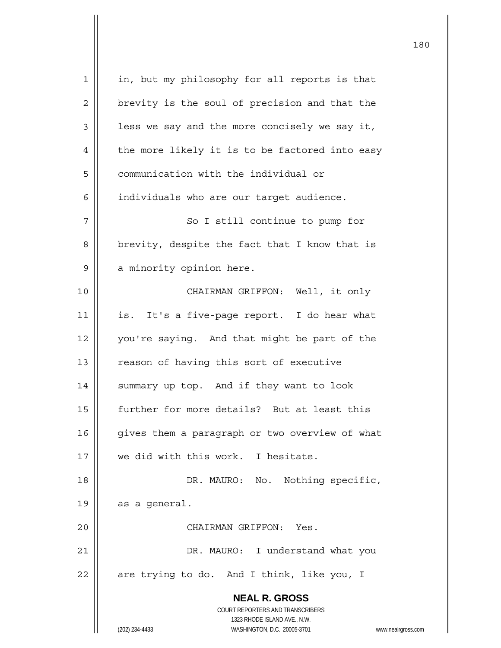| $\mathbf 1$ | in, but my philosophy for all reports is that                       |
|-------------|---------------------------------------------------------------------|
| 2           | brevity is the soul of precision and that the                       |
| 3           | less we say and the more concisely we say it,                       |
| 4           | the more likely it is to be factored into easy                      |
| 5           | communication with the individual or                                |
| 6           | individuals who are our target audience.                            |
| 7           | So I still continue to pump for                                     |
| 8           | brevity, despite the fact that I know that is                       |
| 9           | a minority opinion here.                                            |
| 10          | CHAIRMAN GRIFFON: Well, it only                                     |
| 11          | is. It's a five-page report. I do hear what                         |
| 12          | you're saying. And that might be part of the                        |
| 13          | reason of having this sort of executive                             |
| 14          | summary up top. And if they want to look                            |
| 15          | further for more details? But at least this                         |
| 16          | gives them a paragraph or two overview of what                      |
| 17          | we did with this work. I hesitate.                                  |
| 18          | DR. MAURO: No. Nothing specific,                                    |
| 19          | as a general.                                                       |
| 20          | CHAIRMAN GRIFFON: Yes.                                              |
| 21          | DR. MAURO: I understand what you                                    |
| 22          | are trying to do. And I think, like you, I                          |
|             | <b>NEAL R. GROSS</b>                                                |
|             | COURT REPORTERS AND TRANSCRIBERS                                    |
|             | 1323 RHODE ISLAND AVE., N.W.                                        |
|             | (202) 234-4433<br>WASHINGTON, D.C. 20005-3701<br>www.nealrgross.com |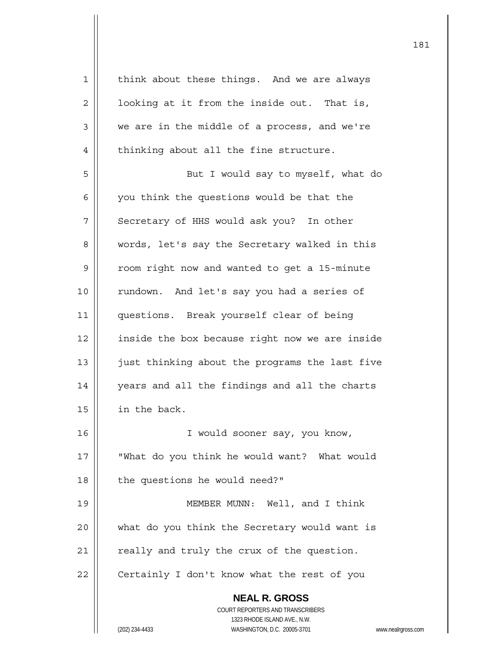| $\mathbf 1$    | think about these things. And we are always                 |
|----------------|-------------------------------------------------------------|
| $\overline{2}$ | looking at it from the inside out. That is,                 |
| 3              | we are in the middle of a process, and we're                |
| 4              | thinking about all the fine structure.                      |
| 5              | But I would say to myself, what do                          |
| 6              | you think the questions would be that the                   |
| 7              | Secretary of HHS would ask you? In other                    |
| 8              | words, let's say the Secretary walked in this               |
| $\mathsf 9$    | room right now and wanted to get a 15-minute                |
| 10             | rundown. And let's say you had a series of                  |
| 11             | questions. Break yourself clear of being                    |
| 12             | inside the box because right now we are inside              |
| 13             | just thinking about the programs the last five              |
| 14             | years and all the findings and all the charts               |
| 15             | in the back.                                                |
| 16             | I would sooner say, you know,                               |
| 17             | "What do you think he would want? What would                |
| 18             | the questions he would need?"                               |
| 19             | MEMBER MUNN: Well, and I think                              |
| 20             | what do you think the Secretary would want is               |
| 21             | really and truly the crux of the question.                  |
| 22             | Certainly I don't know what the rest of you                 |
|                | <b>NEAL R. GROSS</b><br>COURT REPORTERS AND TRANSCRIBERS    |
|                | 1323 RHODE ISLAND AVE., N.W.                                |
|                | (202) 234-4433<br>WASHINGTON, D.C. 20005-3701<br><b>WWW</b> |

(202) 234-4433 WASHINGTON, D.C. 20005-3701 www.nealrgross.com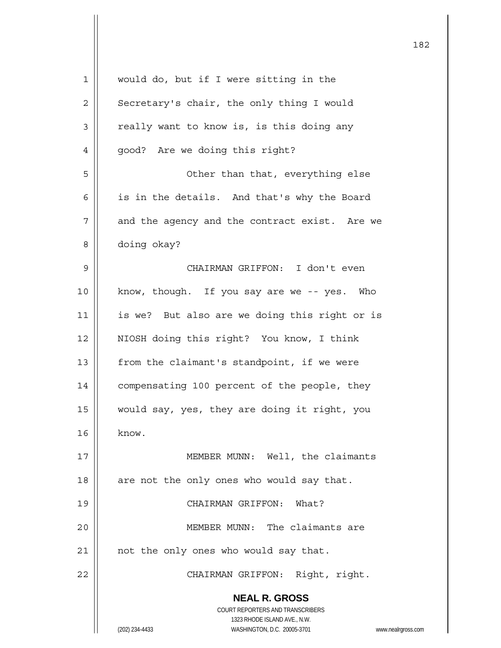| 1              | would do, but if I were sitting in the                              |
|----------------|---------------------------------------------------------------------|
| $\overline{2}$ | Secretary's chair, the only thing I would                           |
| 3              | really want to know is, is this doing any                           |
| 4              | good? Are we doing this right?                                      |
| 5              | Other than that, everything else                                    |
| 6              | is in the details. And that's why the Board                         |
| 7              | and the agency and the contract exist. Are we                       |
| 8              | doing okay?                                                         |
| 9              | CHAIRMAN GRIFFON: I don't even                                      |
| 10             | know, though. If you say are we -- yes. Who                         |
| 11             | is we? But also are we doing this right or is                       |
| 12             | NIOSH doing this right? You know, I think                           |
| 13             | from the claimant's standpoint, if we were                          |
| 14             | compensating 100 percent of the people, they                        |
| 15             | would say, yes, they are doing it right, you                        |
| 16             | know.                                                               |
| 17             | MEMBER MUNN: Well, the claimants                                    |
| 18             | are not the only ones who would say that.                           |
| 19             | CHAIRMAN GRIFFON:<br>What?                                          |
| 20             | MEMBER MUNN: The claimants are                                      |
| 21             | not the only ones who would say that.                               |
| 22             | CHAIRMAN GRIFFON: Right, right.                                     |
|                | <b>NEAL R. GROSS</b>                                                |
|                | COURT REPORTERS AND TRANSCRIBERS                                    |
|                | 1323 RHODE ISLAND AVE., N.W.                                        |
|                | WASHINGTON, D.C. 20005-3701<br>(202) 234-4433<br>www.nealrgross.com |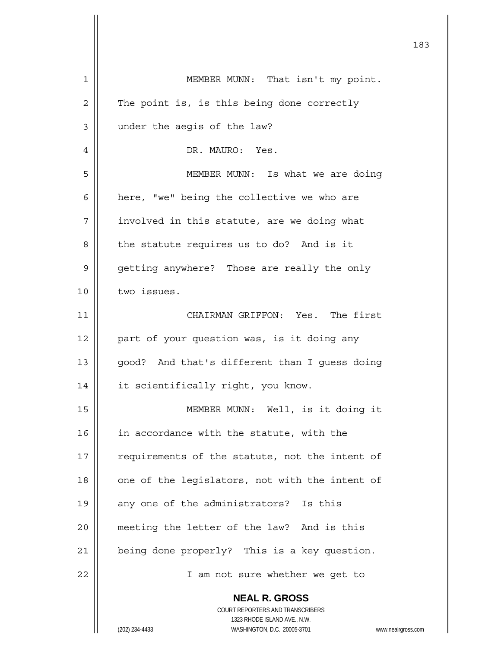| $\mathbf 1$ | MEMBER MUNN: That isn't my point.                           |
|-------------|-------------------------------------------------------------|
| 2           | The point is, is this being done correctly                  |
| 3           | under the aegis of the law?                                 |
| 4           | DR. MAURO: Yes.                                             |
| 5           | MEMBER MUNN: Is what we are doing                           |
| 6           | here, "we" being the collective we who are                  |
| 7           | involved in this statute, are we doing what                 |
| 8           | the statute requires us to do? And is it                    |
| 9           | getting anywhere? Those are really the only                 |
| 10          | two issues.                                                 |
| 11          | CHAIRMAN GRIFFON: Yes. The first                            |
| 12          | part of your question was, is it doing any                  |
| 13          | good? And that's different than I guess doing               |
| 14          | it scientifically right, you know.                          |
| 15          | MEMBER MUNN: Well, is it doing it                           |
| 16          | in accordance with the statute, with the                    |
| 17          | requirements of the statute, not the intent of              |
| 18          | one of the legislators, not with the intent of              |
| 19          | any one of the administrators? Is this                      |
| 20          | meeting the letter of the law? And is this                  |
| 21          | being done properly? This is a key question.                |
| 22          | I am not sure whether we get to                             |
|             |                                                             |
|             | <b>NEAL R. GROSS</b><br>COURT REPORTERS AND TRANSCRIBERS    |
|             | 1323 RHODE ISLAND AVE., N.W.                                |
|             | (202) 234-4433<br>WASHINGTON, D.C. 20005-3701<br>www.nealrg |

 $\mathsf{I}$ 

(202) 234-4433 WASHINGTON, D.C. 20005-3701 www.nealrgross.com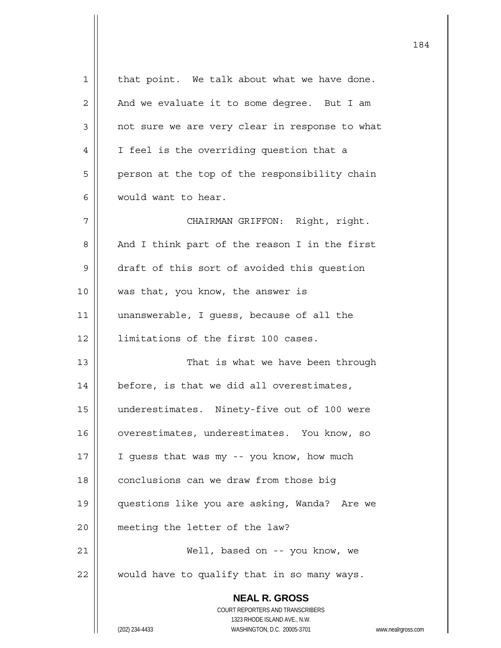| $\mathbf 1$ | that point. We talk about what we have done.                        |
|-------------|---------------------------------------------------------------------|
| 2           | And we evaluate it to some degree. But I am                         |
| 3           | not sure we are very clear in response to what                      |
| 4           | I feel is the overriding question that a                            |
| 5           | person at the top of the responsibility chain                       |
| 6           | would want to hear.                                                 |
| 7           | CHAIRMAN GRIFFON: Right, right.                                     |
| 8           | And I think part of the reason I in the first                       |
| 9           | draft of this sort of avoided this question                         |
| 10          | was that, you know, the answer is                                   |
| 11          | unanswerable, I guess, because of all the                           |
| 12          | limitations of the first 100 cases.                                 |
| 13          | That is what we have been through                                   |
| 14          | before, is that we did all overestimates,                           |
| 15          | underestimates. Ninety-five out of 100 were                         |
| 16          | overestimates, underestimates. You know, so                         |
| 17          | I guess that was my -- you know, how much                           |
| 18          | conclusions can we draw from those big                              |
| 19          | questions like you are asking, Wanda? Are we                        |
| 20          | meeting the letter of the law?                                      |
| 21          | Well, based on -- you know, we                                      |
| 22          | would have to qualify that in so many ways.                         |
|             | <b>NEAL R. GROSS</b>                                                |
|             | COURT REPORTERS AND TRANSCRIBERS                                    |
|             | 1323 RHODE ISLAND AVE., N.W.                                        |
|             | (202) 234-4433<br>WASHINGTON, D.C. 20005-3701<br>www.nealrgross.com |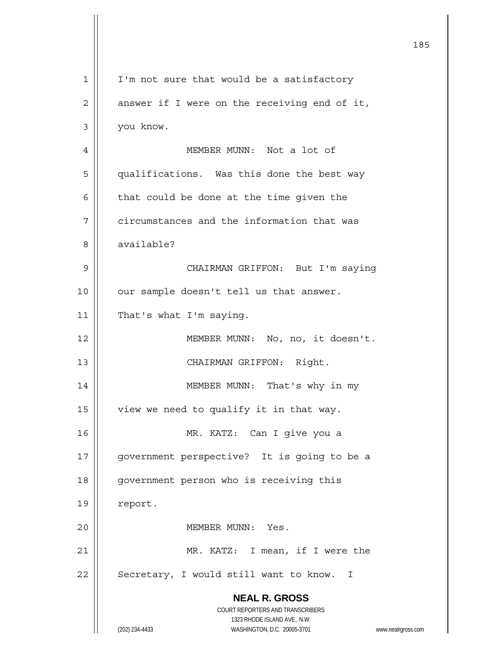|    |                                                                  | 185                |
|----|------------------------------------------------------------------|--------------------|
| 1  | I'm not sure that would be a satisfactory                        |                    |
| 2  | answer if I were on the receiving end of it,                     |                    |
| 3  | you know.                                                        |                    |
| 4  | MEMBER MUNN: Not a lot of                                        |                    |
| 5  | qualifications. Was this done the best way                       |                    |
| 6  | that could be done at the time given the                         |                    |
| 7  | circumstances and the information that was                       |                    |
| 8  | available?                                                       |                    |
| 9  | CHAIRMAN GRIFFON: But I'm saying                                 |                    |
| 10 | our sample doesn't tell us that answer.                          |                    |
| 11 | That's what I'm saying.                                          |                    |
| 12 | MEMBER MUNN: No, no, it doesn't.                                 |                    |
| 13 | CHAIRMAN GRIFFON: Right.                                         |                    |
| 14 | MEMBER MUNN: That's why in my                                    |                    |
| 15 | view we need to qualify it in that way.                          |                    |
| 16 | MR. KATZ: Can I give you a                                       |                    |
| 17 | government perspective? It is going to be a                      |                    |
| 18 | government person who is receiving this                          |                    |
| 19 | report.                                                          |                    |
| 20 | MEMBER MUNN: Yes.                                                |                    |
| 21 | MR. KATZ: I mean, if I were the                                  |                    |
| 22 | Secretary, I would still want to know. I                         |                    |
|    | <b>NEAL R. GROSS</b>                                             |                    |
|    | COURT REPORTERS AND TRANSCRIBERS<br>1323 RHODE ISLAND AVE., N.W. |                    |
|    | (202) 234-4433<br>WASHINGTON, D.C. 20005-3701                    | www.nealrgross.com |

 $\overline{\phantom{a}}$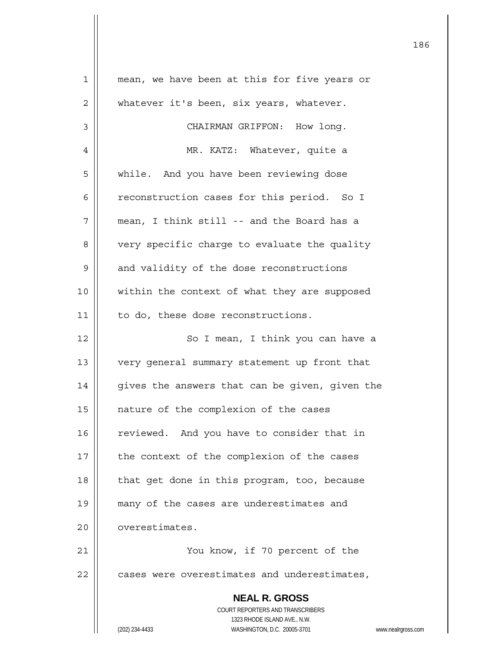| $\mathbf 1$ | mean, we have been at this for five years or                        |
|-------------|---------------------------------------------------------------------|
| 2           | whatever it's been, six years, whatever.                            |
| 3           | CHAIRMAN GRIFFON: How long.                                         |
| 4           | MR. KATZ: Whatever, quite a                                         |
| 5           | while. And you have been reviewing dose                             |
| 6           | reconstruction cases for this period. So I                          |
| 7           | mean, I think still -- and the Board has a                          |
| 8           | very specific charge to evaluate the quality                        |
| $\mathsf 9$ | and validity of the dose reconstructions                            |
| 10          | within the context of what they are supposed                        |
| 11          | to do, these dose reconstructions.                                  |
| 12          | So I mean, I think you can have a                                   |
| 13          | very general summary statement up front that                        |
| 14          | gives the answers that can be given, given the                      |
| 15          | nature of the complexion of the cases                               |
| 16          | reviewed. And you have to consider that in                          |
| 17          | the context of the complexion of the cases                          |
| 18          | that get done in this program, too, because                         |
|             |                                                                     |
| 19          | many of the cases are underestimates and                            |
| 20          | overestimates.                                                      |
| 21          | You know, if 70 percent of the                                      |
| 22          | cases were overestimates and underestimates,                        |
|             | <b>NEAL R. GROSS</b>                                                |
|             | COURT REPORTERS AND TRANSCRIBERS                                    |
|             | 1323 RHODE ISLAND AVE., N.W.                                        |
|             | (202) 234-4433<br>WASHINGTON, D.C. 20005-3701<br>www.nealrgross.com |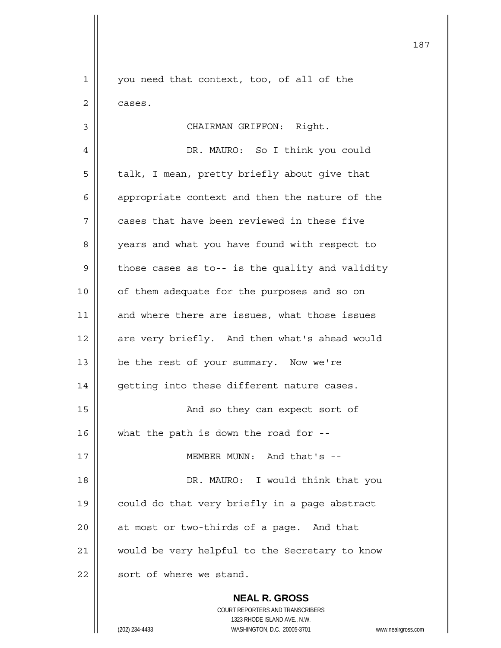**NEAL R. GROSS** 1 2 3 4 5 6 7 8 9 10 11 12 13 14 15 16 17 18 19 20 21 22 you need that context, too, of all of the cases. CHAIRMAN GRIFFON: Right. DR. MAURO: So I think you could talk, I mean, pretty briefly about give that appropriate context and then the nature of the cases that have been reviewed in these five years and what you have found with respect to those cases as to-- is the quality and validity of them adequate for the purposes and so on and where there are issues, what those issues are very briefly. And then what's ahead would be the rest of your summary. Now we're getting into these different nature cases. And so they can expect sort of what the path is down the road for -- MEMBER MUNN: And that's -- DR. MAURO: I would think that you could do that very briefly in a page abstract at most or two-thirds of a page. And that would be very helpful to the Secretary to know sort of where we stand.

187

COURT REPORTERS AND TRANSCRIBERS 1323 RHODE ISLAND AVE., N.W. (202) 234-4433 WASHINGTON, D.C. 20005-3701 www.nealrgross.com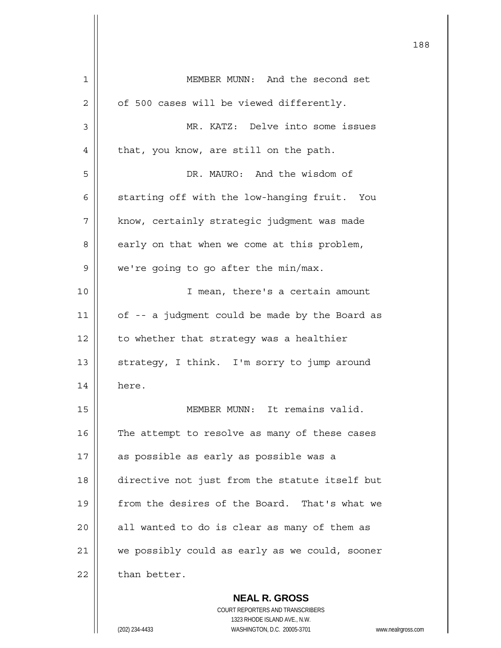|    |                                                | 188 |
|----|------------------------------------------------|-----|
| 1  | MEMBER MUNN: And the second set                |     |
| 2  | of 500 cases will be viewed differently.       |     |
| 3  | MR. KATZ: Delve into some issues               |     |
| 4  | that, you know, are still on the path.         |     |
| 5  | DR. MAURO: And the wisdom of                   |     |
| 6  | starting off with the low-hanging fruit. You   |     |
| 7  | know, certainly strategic judgment was made    |     |
| 8  | early on that when we come at this problem,    |     |
| 9  | we're going to go after the min/max.           |     |
| 10 | I mean, there's a certain amount               |     |
| 11 | of -- a judgment could be made by the Board as |     |
| 12 | to whether that strategy was a healthier       |     |
| 13 | strategy, I think. I'm sorry to jump around    |     |
| 14 | here.                                          |     |
| 15 | MEMBER MUNN: It remains valid.                 |     |
| 16 | The attempt to resolve as many of these cases  |     |
| 17 | as possible as early as possible was a         |     |
| 18 | directive not just from the statute itself but |     |
| 19 | from the desires of the Board. That's what we  |     |
| 20 | all wanted to do is clear as many of them as   |     |
| 21 | we possibly could as early as we could, sooner |     |
| 22 | than better.                                   |     |
|    | <b>NEAL R. GROSS</b>                           |     |

COURT REPORTERS AND TRANSCRIBERS 1323 RHODE ISLAND AVE., N.W. (202) 234-4433 WASHINGTON, D.C. 20005-3701 www.nealrgross.com

 $\mathsf{II}$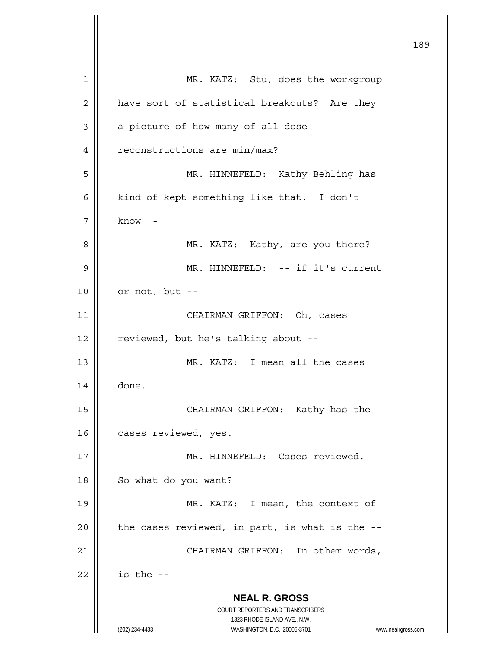**NEAL R. GROSS** COURT REPORTERS AND TRANSCRIBERS 1323 RHODE ISLAND AVE., N.W. (202) 234-4433 WASHINGTON, D.C. 20005-3701 www.nealrgross.com 1 2 3 4 5 6 7 8 9 10 11 12 13 14 15 16 17 18 19 20 21 22 MR. KATZ: Stu, does the workgroup have sort of statistical breakouts? Are they a picture of how many of all dose reconstructions are min/max? MR. HINNEFELD: Kathy Behling has kind of kept something like that. I don't know - MR. KATZ: Kathy, are you there? MR. HINNEFELD: -- if it's current or not, but -- CHAIRMAN GRIFFON: Oh, cases reviewed, but he's talking about -- MR. KATZ: I mean all the cases done. CHAIRMAN GRIFFON: Kathy has the cases reviewed, yes. MR. HINNEFELD: Cases reviewed. So what do you want? MR. KATZ: I mean, the context of the cases reviewed, in part, is what is the -- CHAIRMAN GRIFFON: In other words, is the --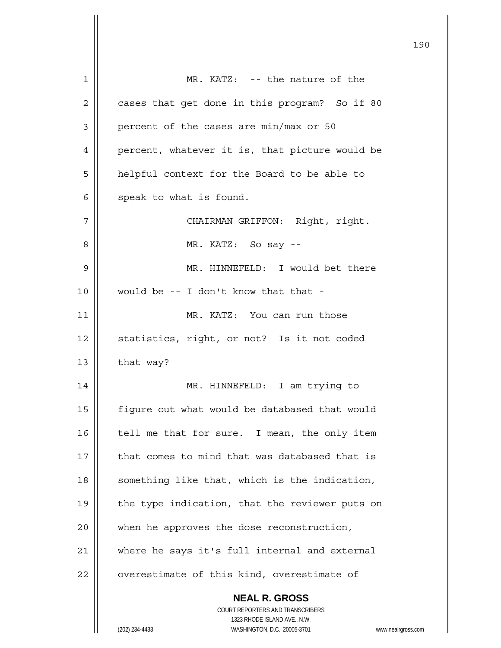| 1              | MR. KATZ: -- the nature of the                                      |
|----------------|---------------------------------------------------------------------|
| $\overline{2}$ | cases that get done in this program? So if 80                       |
| 3              | percent of the cases are min/max or 50                              |
| 4              | percent, whatever it is, that picture would be                      |
| 5              | helpful context for the Board to be able to                         |
| 6              | speak to what is found.                                             |
| 7              | CHAIRMAN GRIFFON: Right, right.                                     |
| 8              | MR. KATZ: So say --                                                 |
| 9              | MR. HINNEFELD: I would bet there                                    |
| 10             | would be -- I don't know that that -                                |
| 11             | MR. KATZ: You can run those                                         |
| 12             | statistics, right, or not? Is it not coded                          |
| 13             | that way?                                                           |
| 14             | MR. HINNEFELD: I am trying to                                       |
| 15             | figure out what would be databased that would                       |
| 16             | tell me that for sure. I mean, the only item                        |
| 17             | that comes to mind that was databased that is                       |
| 18             | something like that, which is the indication,                       |
| 19             | the type indication, that the reviewer puts on                      |
| 20             | when he approves the dose reconstruction,                           |
| 21             | where he says it's full internal and external                       |
| 22             | overestimate of this kind, overestimate of                          |
|                | <b>NEAL R. GROSS</b>                                                |
|                | COURT REPORTERS AND TRANSCRIBERS                                    |
|                | 1323 RHODE ISLAND AVE., N.W.                                        |
|                | WASHINGTON, D.C. 20005-3701<br>(202) 234-4433<br>www.nealrgross.com |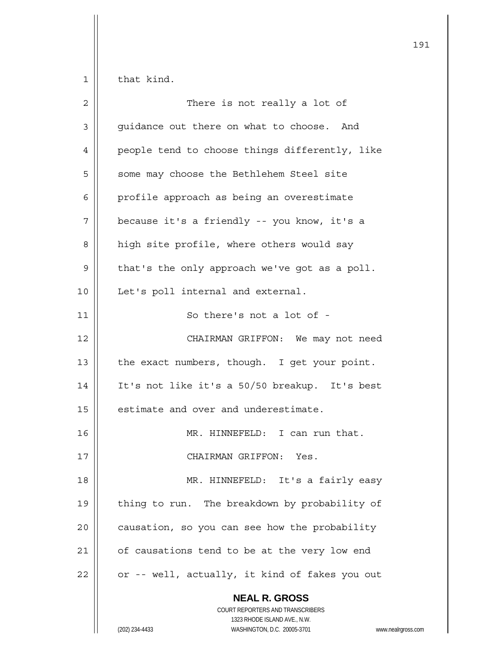| 2  | There is not really a lot of                                                                                                                       |
|----|----------------------------------------------------------------------------------------------------------------------------------------------------|
| 3  | guidance out there on what to choose. And                                                                                                          |
| 4  | people tend to choose things differently, like                                                                                                     |
| 5  | some may choose the Bethlehem Steel site                                                                                                           |
| 6  | profile approach as being an overestimate                                                                                                          |
| 7  | because it's a friendly -- you know, it's a                                                                                                        |
| 8  | high site profile, where others would say                                                                                                          |
| 9  | that's the only approach we've got as a poll.                                                                                                      |
| 10 | Let's poll internal and external.                                                                                                                  |
| 11 | So there's not a lot of -                                                                                                                          |
| 12 | CHAIRMAN GRIFFON: We may not need                                                                                                                  |
| 13 | the exact numbers, though. I get your point.                                                                                                       |
| 14 | It's not like it's a 50/50 breakup. It's best                                                                                                      |
| 15 | estimate and over and underestimate.                                                                                                               |
| 16 | MR. HINNEFELD: I can run that.                                                                                                                     |
| 17 | CHAIRMAN GRIFFON: Yes.                                                                                                                             |
| 18 | MR. HINNEFELD: It's a fairly easy                                                                                                                  |
| 19 | thing to run. The breakdown by probability of                                                                                                      |
| 20 | causation, so you can see how the probability                                                                                                      |
| 21 | of causations tend to be at the very low end                                                                                                       |
| 22 | or -- well, actually, it kind of fakes you out                                                                                                     |
|    | <b>NEAL R. GROSS</b><br>COURT REPORTERS AND TRANSCRIBERS<br>1323 RHODE ISLAND AVE., N.W.<br>WASHINGTON, D.C. 20005-3701<br>(202) 234-4433<br>www.n |

(202) 234-4433 WASHINGTON, D.C. 20005-3701 www.nealrgross.com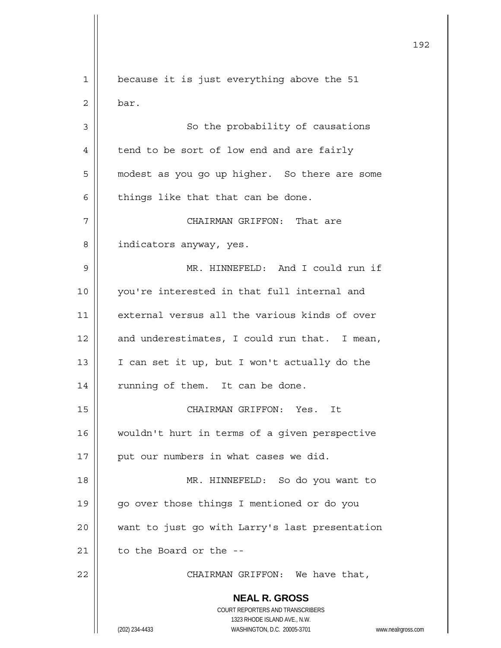**NEAL R. GROSS** COURT REPORTERS AND TRANSCRIBERS 1323 RHODE ISLAND AVE., N.W. (202) 234-4433 WASHINGTON, D.C. 20005-3701 www.nealrgross.com 192 1 2 3 4 5 6 7 8 9 10 11 12 13 14 15 16 17 18 19 20 21 22 because it is just everything above the 51 bar. So the probability of causations tend to be sort of low end and are fairly modest as you go up higher. So there are some things like that that can be done. CHAIRMAN GRIFFON: That are indicators anyway, yes. MR. HINNEFELD: And I could run if you're interested in that full internal and external versus all the various kinds of over and underestimates, I could run that. I mean, I can set it up, but I won't actually do the running of them. It can be done. CHAIRMAN GRIFFON: Yes. It wouldn't hurt in terms of a given perspective put our numbers in what cases we did. MR. HINNEFELD: So do you want to go over those things I mentioned or do you want to just go with Larry's last presentation to the Board or the -- CHAIRMAN GRIFFON: We have that,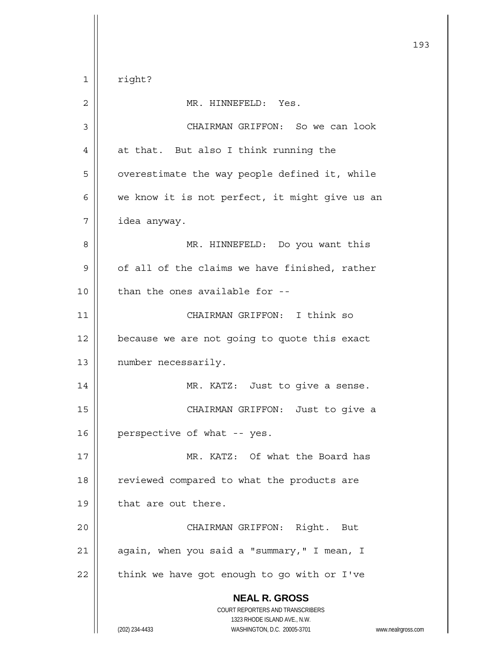$1$ right?

| 2  | MR. HINNEFELD: Yes.                                                                                                                                             |
|----|-----------------------------------------------------------------------------------------------------------------------------------------------------------------|
| 3  | CHAIRMAN GRIFFON: So we can look                                                                                                                                |
| 4  | at that. But also I think running the                                                                                                                           |
| 5  | overestimate the way people defined it, while                                                                                                                   |
| 6  | we know it is not perfect, it might give us an                                                                                                                  |
| 7  | idea anyway.                                                                                                                                                    |
| 8  | MR. HINNEFELD: Do you want this                                                                                                                                 |
| 9  | of all of the claims we have finished, rather                                                                                                                   |
| 10 | than the ones available for --                                                                                                                                  |
| 11 | CHAIRMAN GRIFFON: I think so                                                                                                                                    |
| 12 | because we are not going to quote this exact                                                                                                                    |
| 13 | number necessarily.                                                                                                                                             |
| 14 | MR. KATZ: Just to give a sense.                                                                                                                                 |
| 15 | CHAIRMAN GRIFFON: Just to give a                                                                                                                                |
| 16 | perspective of what -- yes.                                                                                                                                     |
| 17 | MR. KATZ: Of what the Board has                                                                                                                                 |
| 18 | reviewed compared to what the products are                                                                                                                      |
| 19 | that are out there.                                                                                                                                             |
| 20 | CHAIRMAN GRIFFON: Right. But                                                                                                                                    |
| 21 | again, when you said a "summary," I mean, I                                                                                                                     |
| 22 | think we have got enough to go with or I've                                                                                                                     |
|    | <b>NEAL R. GROSS</b><br>COURT REPORTERS AND TRANSCRIBERS<br>1323 RHODE ISLAND AVE., N.W.<br>(202) 234-4433<br>WASHINGTON, D.C. 20005-3701<br>www.nealrgross.com |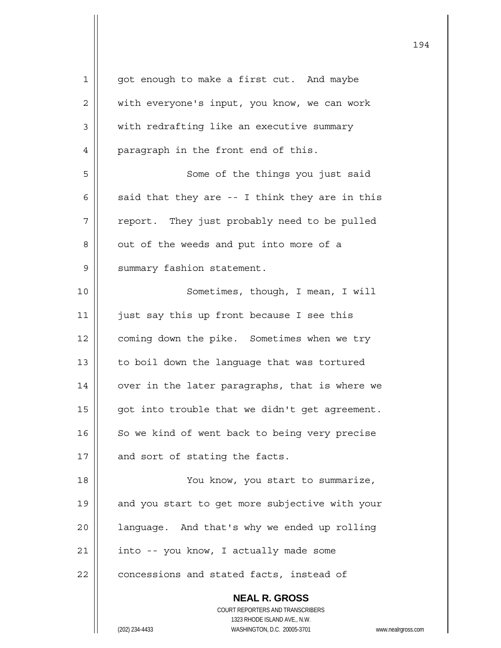| $\mathbf 1$ | got enough to make a first cut. And maybe                                                |
|-------------|------------------------------------------------------------------------------------------|
| 2           | with everyone's input, you know, we can work                                             |
| 3           | with redrafting like an executive summary                                                |
| 4           | paragraph in the front end of this.                                                      |
| 5           | Some of the things you just said                                                         |
| 6           | said that they are -- I think they are in this                                           |
| 7           | report. They just probably need to be pulled                                             |
| 8           | out of the weeds and put into more of a                                                  |
| 9           | summary fashion statement.                                                               |
| 10          | Sometimes, though, I mean, I will                                                        |
| 11          | just say this up front because I see this                                                |
| 12          | coming down the pike. Sometimes when we try                                              |
| 13          | to boil down the language that was tortured                                              |
| 14          | over in the later paragraphs, that is where we                                           |
| 15          | got into trouble that we didn't get agreement.                                           |
| 16          | So we kind of went back to being very precise                                            |
| 17          | and sort of stating the facts.                                                           |
| 18          | You know, you start to summarize,                                                        |
| 19          | and you start to get more subjective with your                                           |
| 20          | language. And that's why we ended up rolling                                             |
| 21          | into -- you know, I actually made some                                                   |
| 22          | concessions and stated facts, instead of                                                 |
|             | <b>NEAL R. GROSS</b><br>COURT REPORTERS AND TRANSCRIBERS<br>1323 RHODE ISLAND AVE., N.W. |
|             | (202) 234-4433<br>WASHINGTON, D.C. 20005-3701<br>www.nea                                 |

(202) 234-4433 WASHINGTON, D.C. 20005-3701 www.nealrgross.com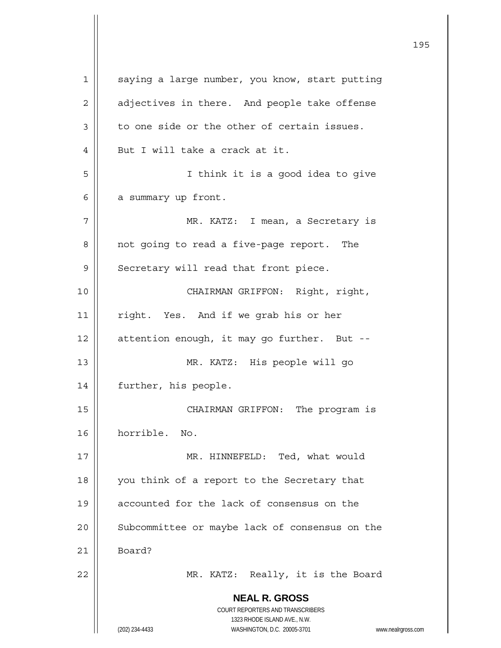| $1\,$          | saying a large number, you know, start putting                                                      |
|----------------|-----------------------------------------------------------------------------------------------------|
| $\overline{2}$ | adjectives in there. And people take offense                                                        |
| 3              | to one side or the other of certain issues.                                                         |
| 4              | But I will take a crack at it.                                                                      |
| 5              | I think it is a good idea to give                                                                   |
| 6              | a summary up front.                                                                                 |
| 7              | MR. KATZ: I mean, a Secretary is                                                                    |
| 8              | not going to read a five-page report. The                                                           |
| $\mathsf 9$    | Secretary will read that front piece.                                                               |
| 10             | CHAIRMAN GRIFFON: Right, right,                                                                     |
| 11             | right. Yes. And if we grab his or her                                                               |
| 12             | attention enough, it may go further. But --                                                         |
| 13             | MR. KATZ: His people will go                                                                        |
| 14             | further, his people.                                                                                |
| 15             | CHAIRMAN GRIFFON: The program is                                                                    |
| 16             | horrible. No.                                                                                       |
| 17             | MR. HINNEFELD: Ted, what would                                                                      |
| 18             | you think of a report to the Secretary that                                                         |
| 19             | accounted for the lack of consensus on the                                                          |
| 20             | Subcommittee or maybe lack of consensus on the                                                      |
| 21             | Board?                                                                                              |
| 22             | MR. KATZ: Really, it is the Board                                                                   |
|                | <b>NEAL R. GROSS</b>                                                                                |
|                | COURT REPORTERS AND TRANSCRIBERS                                                                    |
|                | 1323 RHODE ISLAND AVE., N.W.<br>(202) 234-4433<br>WASHINGTON, D.C. 20005-3701<br>www.nealrgross.com |
|                |                                                                                                     |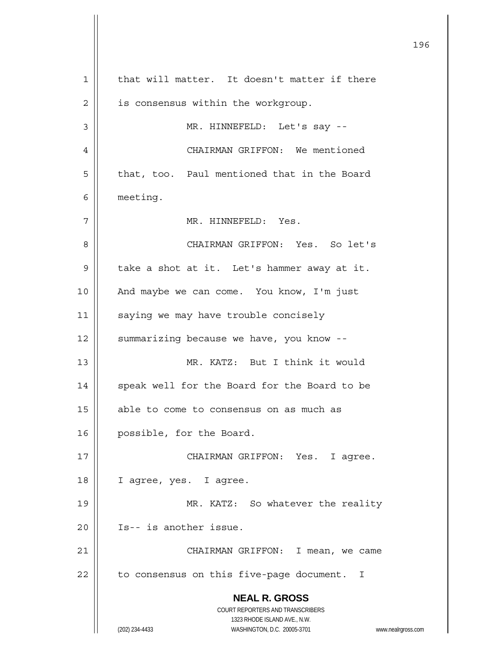**NEAL R. GROSS** COURT REPORTERS AND TRANSCRIBERS 1323 RHODE ISLAND AVE., N.W. (202) 234-4433 WASHINGTON, D.C. 20005-3701 www.nealrgross.com 196 1 2 3 4 5 6 7 8 9 10 11 12 13 14 15 16 17 18 19 20 21 22 that will matter. It doesn't matter if there is consensus within the workgroup. MR. HINNEFELD: Let's say -- CHAIRMAN GRIFFON: We mentioned that, too. Paul mentioned that in the Board meeting. MR. HINNEFELD: Yes. CHAIRMAN GRIFFON: Yes. So let's take a shot at it. Let's hammer away at it. And maybe we can come. You know, I'm just saying we may have trouble concisely summarizing because we have, you know -- MR. KATZ: But I think it would speak well for the Board for the Board to be able to come to consensus on as much as possible, for the Board. CHAIRMAN GRIFFON: Yes. I agree. I agree, yes. I agree. MR. KATZ: So whatever the reality Is-- is another issue. CHAIRMAN GRIFFON: I mean, we came to consensus on this five-page document. I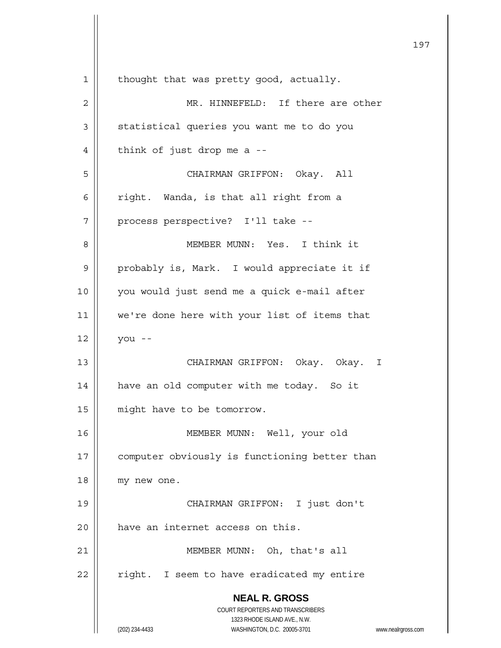| $\mathbf 1$ | thought that was pretty good, actually.                                                             |
|-------------|-----------------------------------------------------------------------------------------------------|
| 2           | MR. HINNEFELD: If there are other                                                                   |
| 3           | statistical queries you want me to do you                                                           |
| 4           | think of just drop me a --                                                                          |
| 5           | CHAIRMAN GRIFFON: Okay. All                                                                         |
| 6           | right. Wanda, is that all right from a                                                              |
| 7           | process perspective? I'll take --                                                                   |
| 8           | MEMBER MUNN: Yes. I think it                                                                        |
| 9           | probably is, Mark. I would appreciate it if                                                         |
| 10          | you would just send me a quick e-mail after                                                         |
| 11          | we're done here with your list of items that                                                        |
| 12          | you --                                                                                              |
| 13          | CHAIRMAN GRIFFON: Okay. Okay. I                                                                     |
| 14          | have an old computer with me today. So it                                                           |
| 15          | might have to be tomorrow.                                                                          |
| 16          | MEMBER MUNN: Well, your old                                                                         |
| 17          | computer obviously is functioning better than                                                       |
| 18          | my new one.                                                                                         |
| 19          | CHAIRMAN GRIFFON: I just don't                                                                      |
| 20          | have an internet access on this.                                                                    |
| 21          | MEMBER MUNN: Oh, that's all                                                                         |
| 22          | right. I seem to have eradicated my entire                                                          |
|             | <b>NEAL R. GROSS</b>                                                                                |
|             | <b>COURT REPORTERS AND TRANSCRIBERS</b>                                                             |
|             | 1323 RHODE ISLAND AVE., N.W.<br>(202) 234-4433<br>WASHINGTON, D.C. 20005-3701<br>www.nealrgross.com |
|             |                                                                                                     |

 $\mathsf{I}$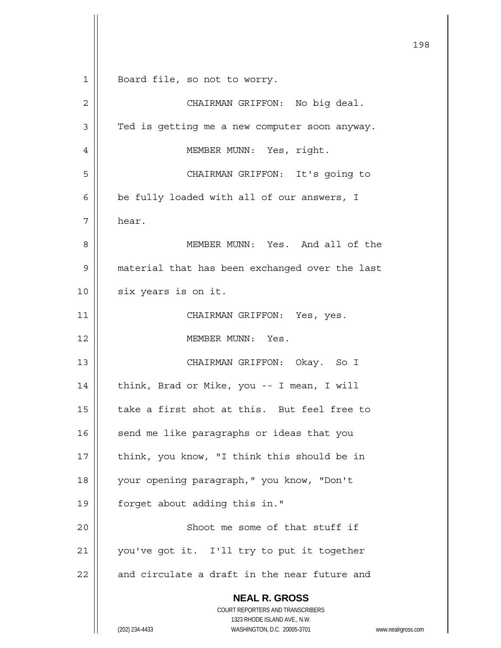**NEAL R. GROSS** COURT REPORTERS AND TRANSCRIBERS 1323 RHODE ISLAND AVE., N.W. (202) 234-4433 WASHINGTON, D.C. 20005-3701 www.nealrgross.com 198 1 2 3 4 5 6 7 8 9 10 11 12 13 14 15 16 17 18 19 20 21 22 Board file, so not to worry. CHAIRMAN GRIFFON: No big deal. Ted is getting me a new computer soon anyway. MEMBER MUNN: Yes, right. CHAIRMAN GRIFFON: It's going to be fully loaded with all of our answers, I hear. MEMBER MUNN: Yes. And all of the material that has been exchanged over the last six years is on it. CHAIRMAN GRIFFON: Yes, yes. MEMBER MUNN: Yes. CHAIRMAN GRIFFON: Okay. So I think, Brad or Mike, you -- I mean, I will take a first shot at this. But feel free to send me like paragraphs or ideas that you think, you know, "I think this should be in your opening paragraph," you know, "Don't forget about adding this in." Shoot me some of that stuff if you've got it. I'll try to put it together and circulate a draft in the near future and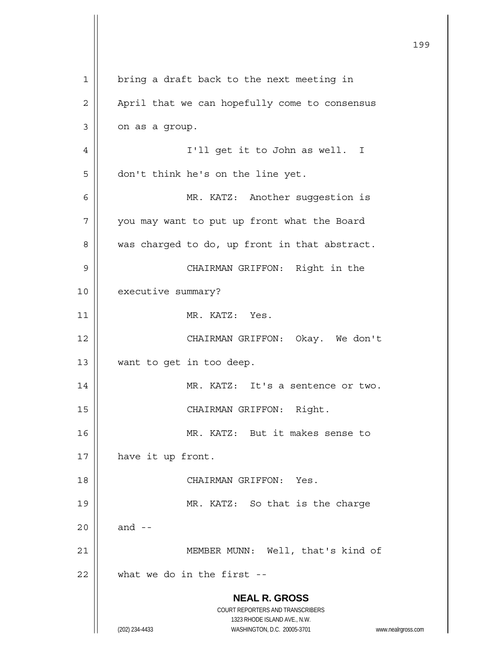|    |                                                                     | 199 |
|----|---------------------------------------------------------------------|-----|
| 1  | bring a draft back to the next meeting in                           |     |
| 2  | April that we can hopefully come to consensus                       |     |
| 3  | on as a group.                                                      |     |
| 4  | I'll get it to John as well. I                                      |     |
| 5  | don't think he's on the line yet.                                   |     |
| 6  | MR. KATZ: Another suggestion is                                     |     |
| 7  | you may want to put up front what the Board                         |     |
| 8  | was charged to do, up front in that abstract.                       |     |
| 9  | CHAIRMAN GRIFFON: Right in the                                      |     |
| 10 | executive summary?                                                  |     |
| 11 | MR. KATZ: Yes.                                                      |     |
| 12 | CHAIRMAN GRIFFON: Okay. We don't                                    |     |
| 13 | want to get in too deep.                                            |     |
| 14 | MR. KATZ: It's a sentence or two.                                   |     |
| 15 | CHAIRMAN GRIFFON: Right.                                            |     |
| 16 | MR. KATZ: But it makes sense to                                     |     |
| 17 | have it up front.                                                   |     |
| 18 | CHAIRMAN GRIFFON: Yes.                                              |     |
| 19 | MR. KATZ: So that is the charge                                     |     |
| 20 | and $-$                                                             |     |
| 21 | MEMBER MUNN: Well, that's kind of                                   |     |
| 22 | what we do in the first --                                          |     |
|    | <b>NEAL R. GROSS</b>                                                |     |
|    | COURT REPORTERS AND TRANSCRIBERS<br>1323 RHODE ISLAND AVE., N.W.    |     |
|    | (202) 234-4433<br>WASHINGTON, D.C. 20005-3701<br>www.nealrgross.com |     |

 $\mathsf{I}$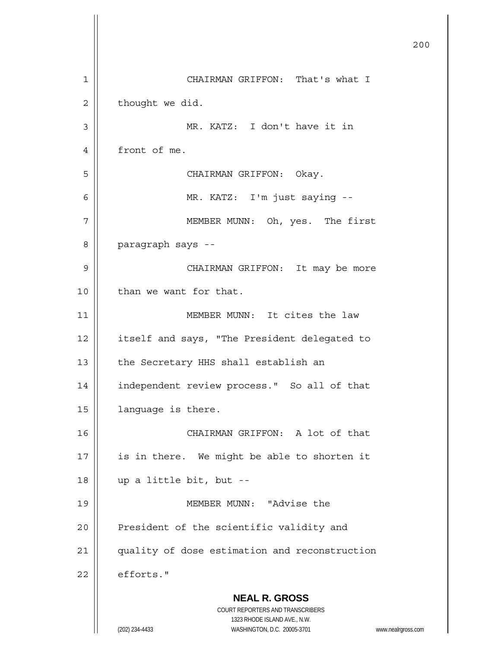**NEAL R. GROSS** COURT REPORTERS AND TRANSCRIBERS 1323 RHODE ISLAND AVE., N.W. (202) 234-4433 WASHINGTON, D.C. 20005-3701 www.nealrgross.com 200 1 2 3 4 5 6 7 8 9 10 11 12 13 14 15 16 17 18 19 20 21 22 CHAIRMAN GRIFFON: That's what I thought we did. MR. KATZ: I don't have it in front of me. CHAIRMAN GRIFFON: Okay. MR. KATZ: I'm just saying -- MEMBER MUNN: Oh, yes. The first paragraph says -- CHAIRMAN GRIFFON: It may be more than we want for that. MEMBER MUNN: It cites the law itself and says, "The President delegated to the Secretary HHS shall establish an independent review process." So all of that language is there. CHAIRMAN GRIFFON: A lot of that is in there. We might be able to shorten it up a little bit, but -- MEMBER MUNN: "Advise the President of the scientific validity and quality of dose estimation and reconstruction efforts."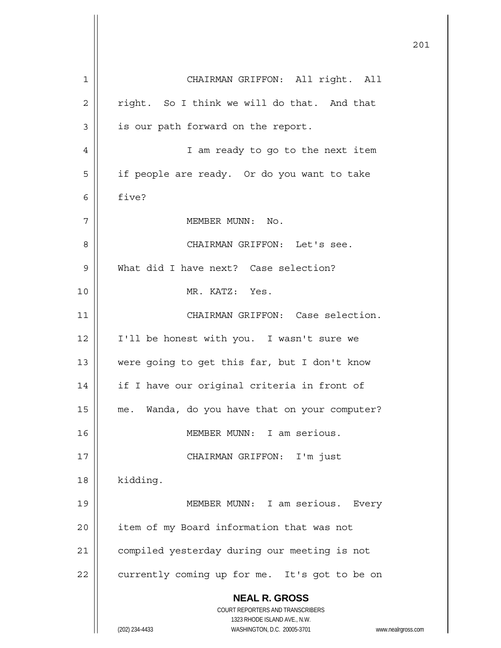**NEAL R. GROSS** COURT REPORTERS AND TRANSCRIBERS 1323 RHODE ISLAND AVE., N.W. (202) 234-4433 WASHINGTON, D.C. 20005-3701 www.nealrgross.com 201 1 2 3 4 5 6 7 8 9 10 11 12 13 14 15 16 17 18 19 20 21 22 CHAIRMAN GRIFFON: All right. All right. So I think we will do that. And that is our path forward on the report. I am ready to go to the next item if people are ready. Or do you want to take five? MEMBER MUNN: No. CHAIRMAN GRIFFON: Let's see. What did I have next? Case selection? MR. KATZ: Yes. CHAIRMAN GRIFFON: Case selection. I'll be honest with you. I wasn't sure we were going to get this far, but I don't know if I have our original criteria in front of me. Wanda, do you have that on your computer? MEMBER MUNN: I am serious. CHAIRMAN GRIFFON: I'm just kidding. MEMBER MUNN: I am serious. Every item of my Board information that was not compiled yesterday during our meeting is not currently coming up for me. It's got to be on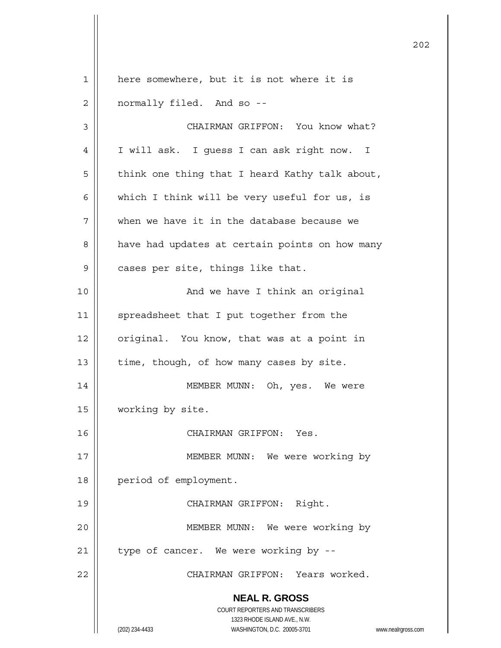**NEAL R. GROSS** COURT REPORTERS AND TRANSCRIBERS 1323 RHODE ISLAND AVE., N.W. (202) 234-4433 WASHINGTON, D.C. 20005-3701 www.nealrgross.com 1 2 3 4 5 6 7 8 9 10 11 12 13 14 15 16 17 18 19 20 21 22 here somewhere, but it is not where it is normally filed. And so -- CHAIRMAN GRIFFON: You know what? I will ask. I guess I can ask right now. I think one thing that I heard Kathy talk about, which I think will be very useful for us, is when we have it in the database because we have had updates at certain points on how many cases per site, things like that. And we have I think an original spreadsheet that I put together from the original. You know, that was at a point in time, though, of how many cases by site. MEMBER MUNN: Oh, yes. We were working by site. CHAIRMAN GRIFFON: Yes. MEMBER MUNN: We were working by period of employment. CHAIRMAN GRIFFON: Right. MEMBER MUNN: We were working by type of cancer. We were working by -- CHAIRMAN GRIFFON: Years worked.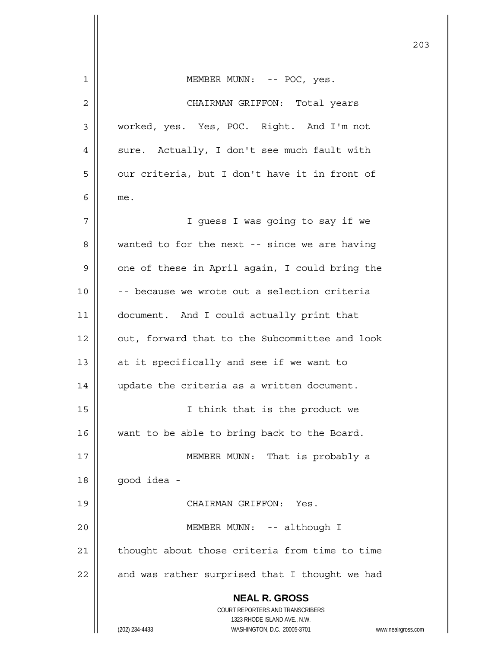|    | 203                                                                 |
|----|---------------------------------------------------------------------|
| 1  | MEMBER MUNN: -- POC, yes.                                           |
| 2  | CHAIRMAN GRIFFON: Total years                                       |
| 3  | worked, yes. Yes, POC. Right. And I'm not                           |
| 4  | sure. Actually, I don't see much fault with                         |
| 5  | our criteria, but I don't have it in front of                       |
| 6  | me.                                                                 |
| 7  | I guess I was going to say if we                                    |
| 8  | wanted to for the next -- since we are having                       |
| 9  | one of these in April again, I could bring the                      |
| 10 | -- because we wrote out a selection criteria                        |
| 11 | document. And I could actually print that                           |
| 12 | out, forward that to the Subcommittee and look                      |
| 13 | at it specifically and see if we want to                            |
| 14 | update the criteria as a written document.                          |
| 15 | I think that is the product we                                      |
| 16 | want to be able to bring back to the Board.                         |
| 17 | That is probably a<br>MEMBER MUNN:                                  |
| 18 | good idea -                                                         |
| 19 | CHAIRMAN GRIFFON: Yes.                                              |
| 20 | MEMBER MUNN: -- although I                                          |
| 21 | thought about those criteria from time to time                      |
| 22 | and was rather surprised that I thought we had                      |
|    | <b>NEAL R. GROSS</b>                                                |
|    | COURT REPORTERS AND TRANSCRIBERS<br>1323 RHODE ISLAND AVE., N.W.    |
|    | (202) 234-4433<br>WASHINGTON, D.C. 20005-3701<br>www.nealrgross.com |

 $\mathsf{l}$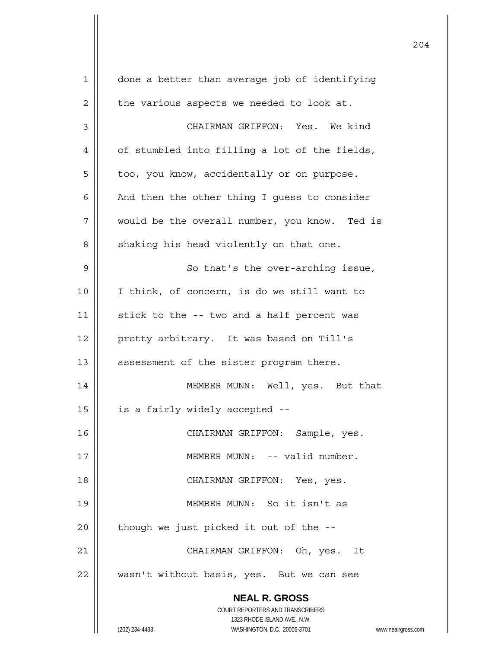| $\mathbf 1$ | done a better than average job of identifying                       |
|-------------|---------------------------------------------------------------------|
| 2           | the various aspects we needed to look at.                           |
| 3           | CHAIRMAN GRIFFON: Yes. We kind                                      |
| 4           | of stumbled into filling a lot of the fields,                       |
| 5           | too, you know, accidentally or on purpose.                          |
| 6           | And then the other thing I guess to consider                        |
| 7           | would be the overall number, you know. Ted is                       |
| 8           | shaking his head violently on that one.                             |
| 9           | So that's the over-arching issue,                                   |
| 10          | I think, of concern, is do we still want to                         |
| 11          | stick to the -- two and a half percent was                          |
| 12          | pretty arbitrary. It was based on Till's                            |
| 13          | assessment of the sister program there.                             |
| 14          | MEMBER MUNN: Well, yes. But that                                    |
| 15          | is a fairly widely accepted --                                      |
| 16          | CHAIRMAN GRIFFON: Sample, yes.                                      |
| 17          | MEMBER MUNN: -- valid number.                                       |
| 18          | CHAIRMAN GRIFFON: Yes, yes.                                         |
| 19          | MEMBER MUNN: So it isn't as                                         |
| 20          | though we just picked it out of the --                              |
| 21          | CHAIRMAN GRIFFON: Oh, yes. It                                       |
| 22          | wasn't without basis, yes. But we can see                           |
|             | <b>NEAL R. GROSS</b>                                                |
|             | COURT REPORTERS AND TRANSCRIBERS                                    |
|             | 1323 RHODE ISLAND AVE., N.W.                                        |
|             | (202) 234-4433<br>WASHINGTON, D.C. 20005-3701<br>www.nealrgross.com |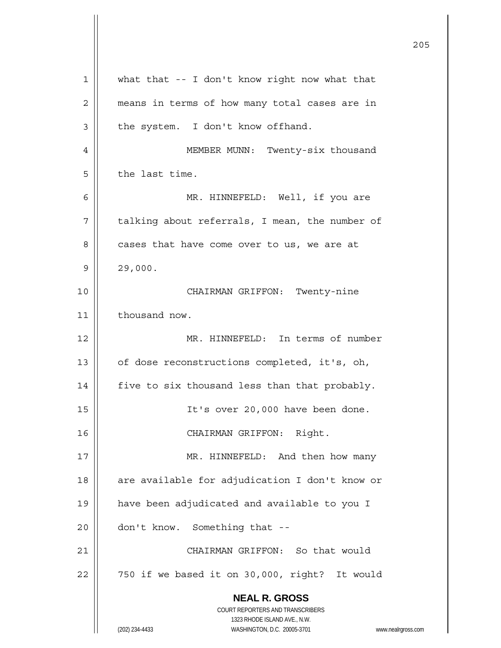**NEAL R. GROSS** COURT REPORTERS AND TRANSCRIBERS 1323 RHODE ISLAND AVE., N.W. (202) 234-4433 WASHINGTON, D.C. 20005-3701 www.nealrgross.com <u>205</u> 1 2 3 4 5 6 7 8 9 10 11 12 13 14 15 16 17 18 19 20 21 22 what that -- I don't know right now what that means in terms of how many total cases are in the system. I don't know offhand. MEMBER MUNN: Twenty-six thousand the last time. MR. HINNEFELD: Well, if you are talking about referrals, I mean, the number of cases that have come over to us, we are at 29,000. CHAIRMAN GRIFFON: Twenty-nine thousand now. MR. HINNEFELD: In terms of number of dose reconstructions completed, it's, oh, five to six thousand less than that probably. It's over 20,000 have been done. CHAIRMAN GRIFFON: Right. MR. HINNEFELD: And then how many are available for adjudication I don't know or have been adjudicated and available to you I don't know. Something that -- CHAIRMAN GRIFFON: So that would 750 if we based it on 30,000, right? It would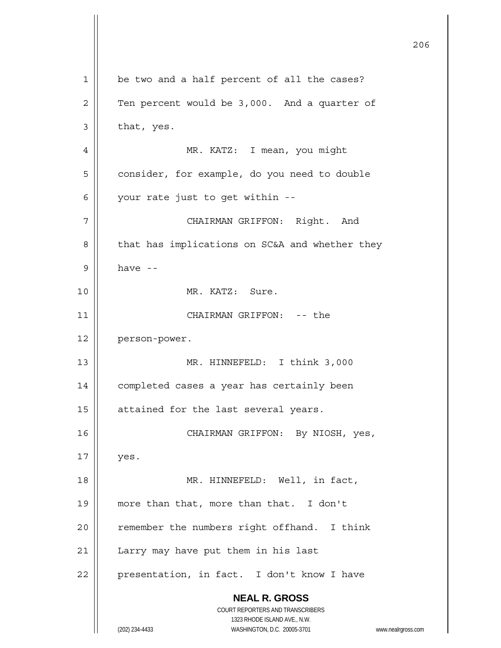**NEAL R. GROSS** COURT REPORTERS AND TRANSCRIBERS 1323 RHODE ISLAND AVE., N.W. (202) 234-4433 WASHINGTON, D.C. 20005-3701 www.nealrgross.com 1 2 3 4 5 6 7 8 9 10 11 12 13 14 15 16 17 18 19 20 21 22 be two and a half percent of all the cases? Ten percent would be 3,000. And a quarter of that, yes. MR. KATZ: I mean, you might consider, for example, do you need to double your rate just to get within -- CHAIRMAN GRIFFON: Right. And that has implications on SC&A and whether they have -- MR. KATZ: Sure. CHAIRMAN GRIFFON: -- the person-power. MR. HINNEFELD: I think 3,000 completed cases a year has certainly been attained for the last several years. CHAIRMAN GRIFFON: By NIOSH, yes, yes. MR. HINNEFELD: Well, in fact, more than that, more than that. I don't remember the numbers right offhand. I think Larry may have put them in his last presentation, in fact. I don't know I have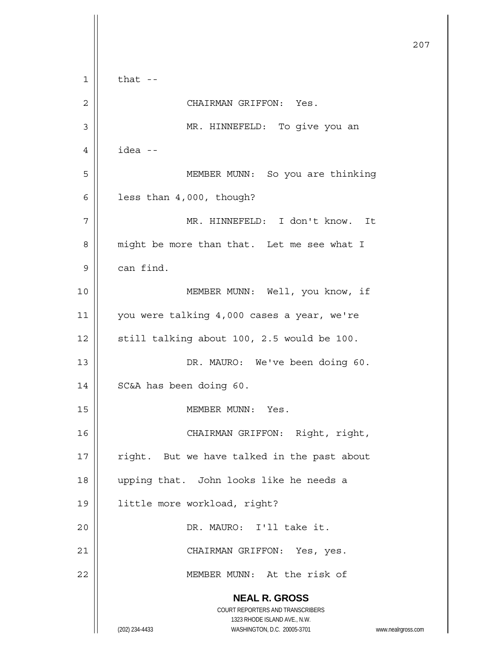**NEAL R. GROSS** COURT REPORTERS AND TRANSCRIBERS 1323 RHODE ISLAND AVE., N.W. (202) 234-4433 WASHINGTON, D.C. 20005-3701 www.nealrgross.com 207 1 2 3 4 5 6 7 8 9 10 11 12 13 14 15 16 17 18 19 20 21 22 that -- CHAIRMAN GRIFFON: Yes. MR. HINNEFELD: To give you an idea -- MEMBER MUNN: So you are thinking less than 4,000, though? MR. HINNEFELD: I don't know. It might be more than that. Let me see what I can find. MEMBER MUNN: Well, you know, if you were talking 4,000 cases a year, we're still talking about 100, 2.5 would be 100. DR. MAURO: We've been doing 60. SC&A has been doing 60. MEMBER MUNN: Yes. CHAIRMAN GRIFFON: Right, right, right. But we have talked in the past about upping that. John looks like he needs a little more workload, right? DR. MAURO: I'll take it. CHAIRMAN GRIFFON: Yes, yes. MEMBER MUNN: At the risk of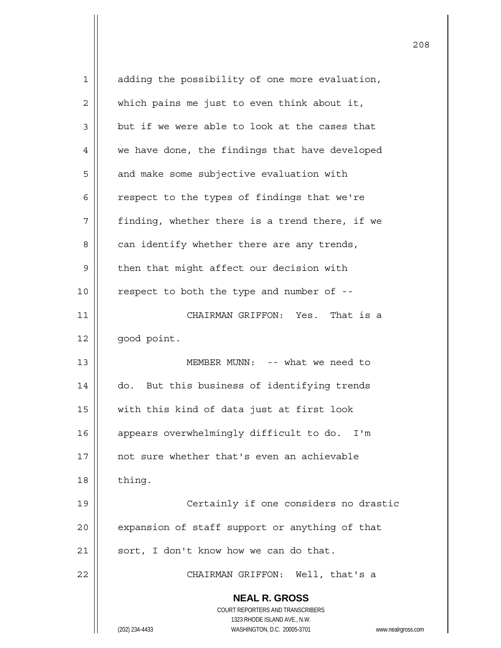| 1  | adding the possibility of one more evaluation,                      |
|----|---------------------------------------------------------------------|
| 2  | which pains me just to even think about it,                         |
| 3  | but if we were able to look at the cases that                       |
| 4  | we have done, the findings that have developed                      |
| 5  | and make some subjective evaluation with                            |
| 6  | respect to the types of findings that we're                         |
| 7  | finding, whether there is a trend there, if we                      |
| 8  | can identify whether there are any trends,                          |
| 9  | then that might affect our decision with                            |
| 10 | respect to both the type and number of --                           |
| 11 | CHAIRMAN GRIFFON: Yes. That is a                                    |
| 12 | good point.                                                         |
| 13 | MEMBER MUNN: -- what we need to                                     |
| 14 | do. But this business of identifying trends                         |
| 15 | with this kind of data just at first look                           |
| 16 | appears overwhelmingly difficult to do. I'm                         |
| 17 | not sure whether that's even an achievable                          |
| 18 | thing.                                                              |
| 19 | Certainly if one considers no drastic                               |
| 20 | expansion of staff support or anything of that                      |
| 21 | sort, I don't know how we can do that.                              |
| 22 | CHAIRMAN GRIFFON: Well, that's a                                    |
|    | <b>NEAL R. GROSS</b>                                                |
|    | COURT REPORTERS AND TRANSCRIBERS                                    |
|    | 1323 RHODE ISLAND AVE., N.W.                                        |
|    | (202) 234-4433<br>WASHINGTON, D.C. 20005-3701<br>www.nealrgross.com |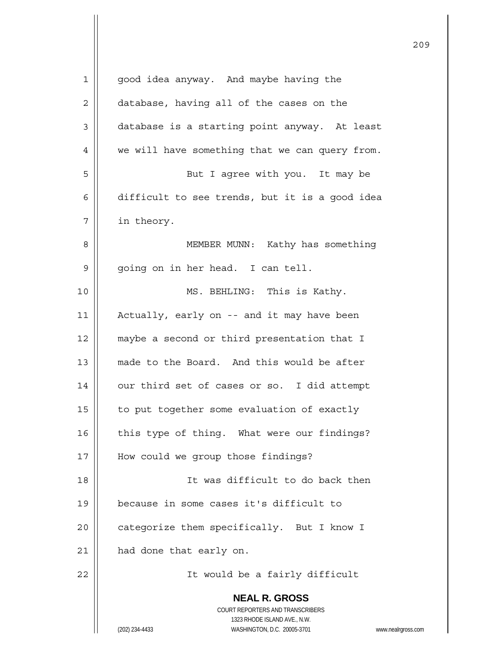| $\mathbf 1$    | good idea anyway. And maybe having the                              |
|----------------|---------------------------------------------------------------------|
| 2              | database, having all of the cases on the                            |
| 3              | database is a starting point anyway. At least                       |
| $\overline{4}$ | we will have something that we can query from.                      |
| 5              | But I agree with you. It may be                                     |
| 6              | difficult to see trends, but it is a good idea                      |
| 7              | in theory.                                                          |
| 8              | MEMBER MUNN: Kathy has something                                    |
| 9              | going on in her head. I can tell.                                   |
| 10             | MS. BEHLING: This is Kathy.                                         |
| 11             | Actually, early on -- and it may have been                          |
| 12             | maybe a second or third presentation that I                         |
| 13             | made to the Board. And this would be after                          |
| 14             | our third set of cases or so. I did attempt                         |
| 15             | to put together some evaluation of exactly                          |
| 16             | this type of thing. What were our findings?                         |
| 17             | How could we group those findings?                                  |
| 18             | It was difficult to do back then                                    |
| 19             | because in some cases it's difficult to                             |
| 20             | categorize them specifically. But I know I                          |
| 21             | had done that early on.                                             |
| 22             | It would be a fairly difficult                                      |
|                | <b>NEAL R. GROSS</b>                                                |
|                | COURT REPORTERS AND TRANSCRIBERS                                    |
|                | 1323 RHODE ISLAND AVE., N.W.                                        |
|                | (202) 234-4433<br>WASHINGTON, D.C. 20005-3701<br>www.nealrgross.com |

<u>209</u>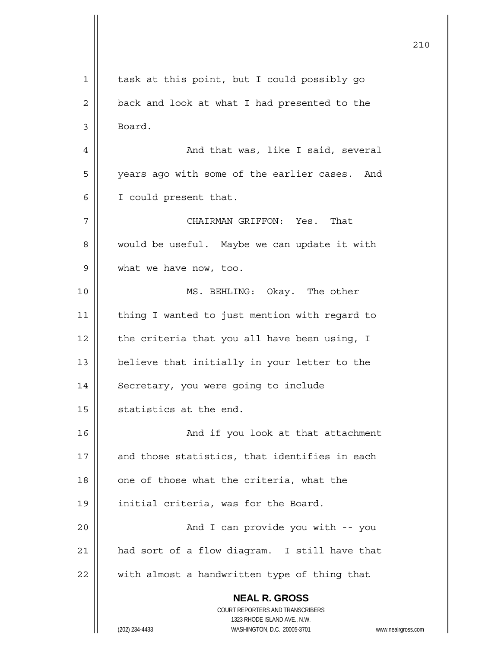|             |                                                                     | 210 |
|-------------|---------------------------------------------------------------------|-----|
| $\mathbf 1$ | task at this point, but I could possibly go                         |     |
| 2           | back and look at what I had presented to the                        |     |
| 3           | Board.                                                              |     |
| 4           | And that was, like I said, several                                  |     |
| 5           | years ago with some of the earlier cases. And                       |     |
| 6           | I could present that.                                               |     |
| 7           | CHAIRMAN GRIFFON: Yes.<br>That                                      |     |
| 8           | would be useful. Maybe we can update it with                        |     |
| 9           | what we have now, too.                                              |     |
| 10          | MS. BEHLING: Okay. The other                                        |     |
| 11          | thing I wanted to just mention with regard to                       |     |
| 12          | the criteria that you all have been using, I                        |     |
| 13          | believe that initially in your letter to the                        |     |
| 14          | Secretary, you were going to include                                |     |
| 15          | statistics at the end.                                              |     |
| 16          | And if you look at that attachment                                  |     |
| 17          | and those statistics, that identifies in each                       |     |
| 18          | one of those what the criteria, what the                            |     |
| 19          | initial criteria, was for the Board.                                |     |
| 20          | And I can provide you with -- you                                   |     |
| 21          | had sort of a flow diagram. I still have that                       |     |
| 22          | with almost a handwritten type of thing that                        |     |
|             | <b>NEAL R. GROSS</b>                                                |     |
|             | COURT REPORTERS AND TRANSCRIBERS<br>1323 RHODE ISLAND AVE., N.W.    |     |
|             | (202) 234-4433<br>WASHINGTON, D.C. 20005-3701<br>www.nealrgross.com |     |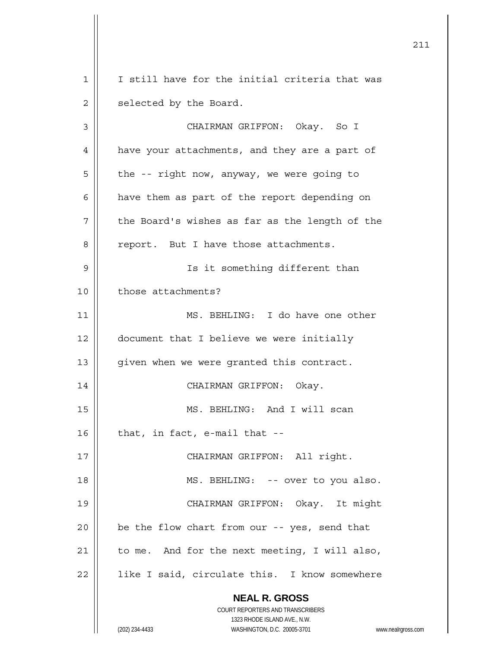1 2 3 4 5 6 7 8 9 10 11 12 13 I still have for the initial criteria that was selected by the Board. CHAIRMAN GRIFFON: Okay. So I have your attachments, and they are a part of the -- right now, anyway, we were going to have them as part of the report depending on the Board's wishes as far as the length of the report. But I have those attachments. Is it something different than those attachments? MS. BEHLING: I do have one other document that I believe we were initially given when we were granted this contract.

CHAIRMAN GRIFFON: Okay.

15 16 MS. BEHLING: And I will scan that, in fact, e-mail that --

17 18 19 20 21 22 CHAIRMAN GRIFFON: All right. MS. BEHLING: -- over to you also. CHAIRMAN GRIFFON: Okay. It might be the flow chart from our -- yes, send that to me. And for the next meeting, I will also, like I said, circulate this. I know somewhere

## **NEAL R. GROSS**

COURT REPORTERS AND TRANSCRIBERS 1323 RHODE ISLAND AVE., N.W. (202) 234-4433 WASHINGTON, D.C. 20005-3701 www.nealrgross.com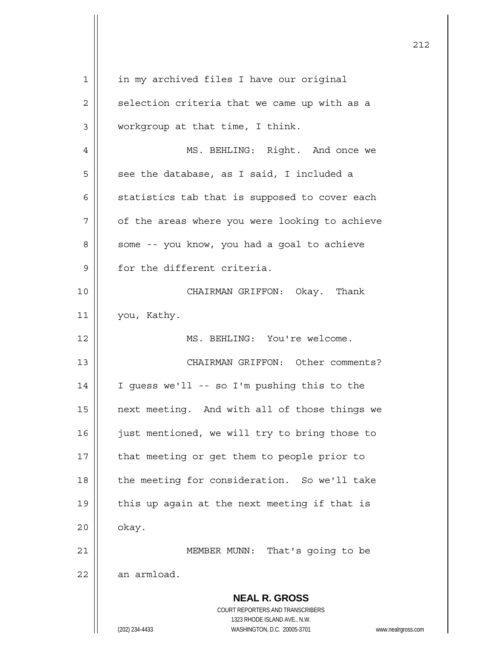| $1\,$          | in my archived files I have our original                                                            |
|----------------|-----------------------------------------------------------------------------------------------------|
| $\overline{2}$ | selection criteria that we came up with as a                                                        |
| 3              | workgroup at that time, I think.                                                                    |
| $\overline{4}$ | MS. BEHLING: Right. And once we                                                                     |
| 5              | see the database, as I said, I included a                                                           |
| 6              | statistics tab that is supposed to cover each                                                       |
| 7              | of the areas where you were looking to achieve                                                      |
| 8              | some -- you know, you had a goal to achieve                                                         |
| 9              | for the different criteria.                                                                         |
| 10             | CHAIRMAN GRIFFON: Okay. Thank                                                                       |
| 11             | you, Kathy.                                                                                         |
| 12             | MS. BEHLING: You're welcome.                                                                        |
| 13             | CHAIRMAN GRIFFON: Other comments?                                                                   |
| 14             | I guess we'll -- so I'm pushing this to the                                                         |
| 15             | next meeting. And with all of those things we                                                       |
| 16             | just mentioned, we will try to bring those to                                                       |
| 17             | that meeting or get them to people prior to                                                         |
| 18             | the meeting for consideration. So we'll take                                                        |
| 19             | this up again at the next meeting if that is                                                        |
| 20             | okay.                                                                                               |
| 21             | MEMBER MUNN: That's going to be                                                                     |
| 22             | an armload.                                                                                         |
|                | <b>NEAL R. GROSS</b>                                                                                |
|                | COURT REPORTERS AND TRANSCRIBERS                                                                    |
|                | 1323 RHODE ISLAND AVE., N.W.<br>WASHINGTON, D.C. 20005-3701<br>(202) 234-4433<br>www.nealrgross.com |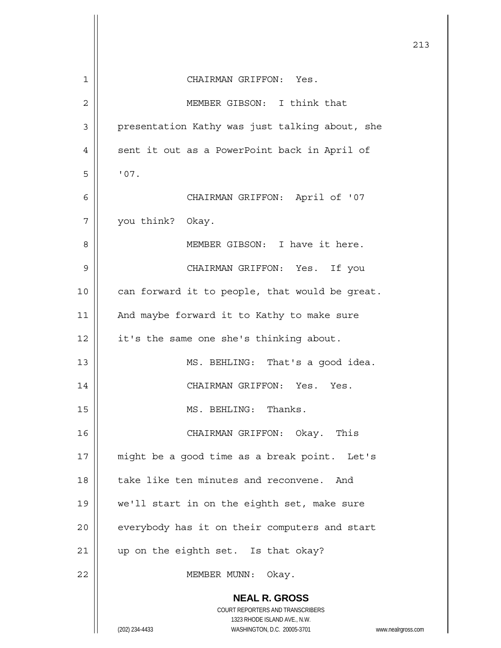|                                                | 213                                                |
|------------------------------------------------|----------------------------------------------------|
| CHAIRMAN GRIFFON: Yes.                         |                                                    |
| MEMBER GIBSON: I think that                    |                                                    |
| presentation Kathy was just talking about, she |                                                    |
| sent it out as a PowerPoint back in April of   |                                                    |
| '07.                                           |                                                    |
| CHAIRMAN GRIFFON: April of '07                 |                                                    |
| you think? Okay.                               |                                                    |
| MEMBER GIBSON: I have it here.                 |                                                    |
| CHAIRMAN GRIFFON: Yes. If you                  |                                                    |
| can forward it to people, that would be great. |                                                    |
| And maybe forward it to Kathy to make sure     |                                                    |
| it's the same one she's thinking about.        |                                                    |
| MS. BEHLING: That's a good idea.               |                                                    |
| CHAIRMAN GRIFFON: Yes. Yes.                    |                                                    |
| MS. BEHLING: Thanks.                           |                                                    |
| CHAIRMAN GRIFFON: Okay. This                   |                                                    |
| might be a good time as a break point. Let's   |                                                    |
| take like ten minutes and reconvene. And       |                                                    |
| we'll start in on the eighth set, make sure    |                                                    |
| everybody has it on their computers and start  |                                                    |
| up on the eighth set. Is that okay?            |                                                    |
| MEMBER MUNN: Okay.                             |                                                    |
| <b>NEAL R. GROSS</b>                           |                                                    |
| COURT REPORTERS AND TRANSCRIBERS               |                                                    |
| (202) 234-4433<br>WASHINGTON, D.C. 20005-3701  |                                                    |
|                                                | 1323 RHODE ISLAND AVE., N.W.<br>www.nealrgross.com |

 $\mathbf{\mathbf{\mathsf{I}}}\mathbf{\mathsf{I}}$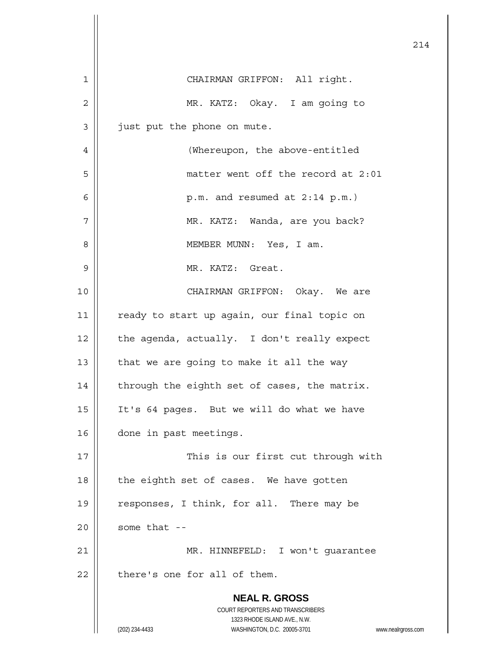|    |                                                                     | 214 |
|----|---------------------------------------------------------------------|-----|
|    |                                                                     |     |
| 1  | CHAIRMAN GRIFFON: All right.                                        |     |
| 2  | MR. KATZ: Okay. I am going to                                       |     |
| 3  | just put the phone on mute.                                         |     |
| 4  | (Whereupon, the above-entitled                                      |     |
| 5  | matter went off the record at 2:01                                  |     |
| 6  | $p.m.$ and resumed at $2:14$ $p.m.$ )                               |     |
| 7  | MR. KATZ: Wanda, are you back?                                      |     |
| 8  | MEMBER MUNN: Yes, I am.                                             |     |
| 9  | MR. KATZ: Great.                                                    |     |
| 10 | CHAIRMAN GRIFFON: Okay. We are                                      |     |
| 11 | ready to start up again, our final topic on                         |     |
| 12 | the agenda, actually. I don't really expect                         |     |
| 13 | that we are going to make it all the way                            |     |
| 14 | through the eighth set of cases, the matrix.                        |     |
| 15 | It's 64 pages. But we will do what we have                          |     |
| 16 | done in past meetings.                                              |     |
| 17 | This is our first cut through with                                  |     |
| 18 | the eighth set of cases. We have gotten                             |     |
| 19 | responses, I think, for all. There may be                           |     |
| 20 | some that --                                                        |     |
| 21 | MR. HINNEFELD: I won't guarantee                                    |     |
| 22 | there's one for all of them.                                        |     |
|    | <b>NEAL R. GROSS</b>                                                |     |
|    | COURT REPORTERS AND TRANSCRIBERS<br>1323 RHODE ISLAND AVE., N.W.    |     |
|    | WASHINGTON, D.C. 20005-3701<br>(202) 234-4433<br>www.nealrgross.com |     |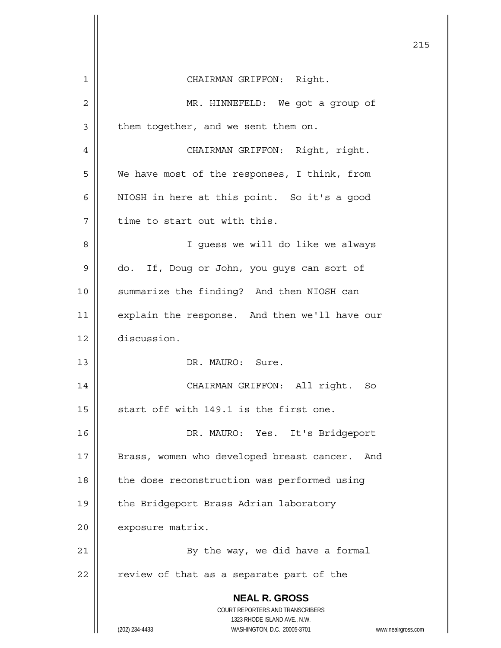|    | 215                                                                 |  |
|----|---------------------------------------------------------------------|--|
| 1  | CHAIRMAN GRIFFON: Right.                                            |  |
| 2  | MR. HINNEFELD: We got a group of                                    |  |
| 3  | them together, and we sent them on.                                 |  |
| 4  | CHAIRMAN GRIFFON: Right, right.                                     |  |
| 5  | We have most of the responses, I think, from                        |  |
| 6  | NIOSH in here at this point. So it's a good                         |  |
| 7  | time to start out with this.                                        |  |
| 8  | I guess we will do like we always                                   |  |
| 9  | do. If, Doug or John, you guys can sort of                          |  |
| 10 | summarize the finding? And then NIOSH can                           |  |
| 11 | explain the response. And then we'll have our                       |  |
| 12 | discussion.                                                         |  |
| 13 | DR. MAURO: Sure.                                                    |  |
| 14 | CHAIRMAN GRIFFON: All right. So                                     |  |
| 15 | start off with 149.1 is the first one.                              |  |
| 16 | DR. MAURO: Yes. It's Bridgeport                                     |  |
| 17 | Brass, women who developed breast cancer.<br>And                    |  |
| 18 | the dose reconstruction was performed using                         |  |
| 19 | the Bridgeport Brass Adrian laboratory                              |  |
| 20 | exposure matrix.                                                    |  |
| 21 | By the way, we did have a formal                                    |  |
| 22 | review of that as a separate part of the                            |  |
|    | <b>NEAL R. GROSS</b><br>COURT REPORTERS AND TRANSCRIBERS            |  |
|    | 1323 RHODE ISLAND AVE., N.W.                                        |  |
|    | (202) 234-4433<br>WASHINGTON, D.C. 20005-3701<br>www.nealrgross.com |  |

 $\mathbf{\mathcal{L}}$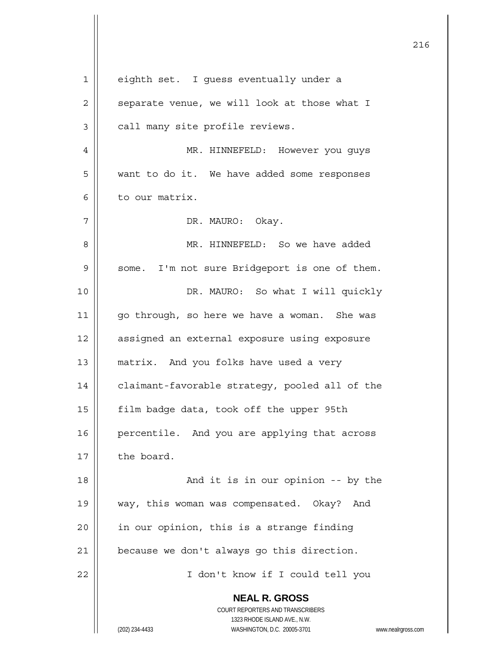| 1  | eighth set. I guess eventually under a                              |
|----|---------------------------------------------------------------------|
| 2  | separate venue, we will look at those what I                        |
| 3  | call many site profile reviews.                                     |
| 4  | MR. HINNEFELD: However you quys                                     |
| 5  | want to do it. We have added some responses                         |
| 6  | to our matrix.                                                      |
| 7  | DR. MAURO: Okay.                                                    |
| 8  | MR. HINNEFELD: So we have added                                     |
| 9  | some. I'm not sure Bridgeport is one of them.                       |
| 10 | DR. MAURO: So what I will quickly                                   |
| 11 | go through, so here we have a woman. She was                        |
| 12 | assigned an external exposure using exposure                        |
| 13 | matrix. And you folks have used a very                              |
| 14 | claimant-favorable strategy, pooled all of the                      |
| 15 | film badge data, took off the upper 95th                            |
| 16 | percentile. And you are applying that across                        |
| 17 | the board.                                                          |
| 18 | And it is in our opinion -- by the                                  |
| 19 | way, this woman was compensated. Okay? And                          |
| 20 | in our opinion, this is a strange finding                           |
| 21 | because we don't always go this direction.                          |
| 22 | I don't know if I could tell you                                    |
|    | <b>NEAL R. GROSS</b>                                                |
|    | COURT REPORTERS AND TRANSCRIBERS                                    |
|    | 1323 RHODE ISLAND AVE., N.W.                                        |
|    | (202) 234-4433<br>WASHINGTON, D.C. 20005-3701<br>www.nealrgross.com |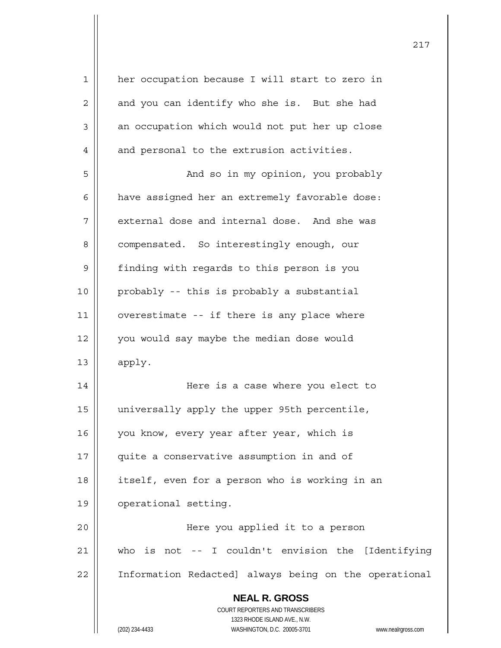**NEAL R. GROSS** COURT REPORTERS AND TRANSCRIBERS 1323 RHODE ISLAND AVE., N.W. 1 2 3 4 5 6 7 8 9 10 11 12 13 14 15 16 17 18 19 20 21 22 her occupation because I will start to zero in and you can identify who she is. But she had an occupation which would not put her up close and personal to the extrusion activities. And so in my opinion, you probably have assigned her an extremely favorable dose: external dose and internal dose. And she was compensated. So interestingly enough, our finding with regards to this person is you probably -- this is probably a substantial overestimate -- if there is any place where you would say maybe the median dose would apply. Here is a case where you elect to universally apply the upper 95th percentile, you know, every year after year, which is quite a conservative assumption in and of itself, even for a person who is working in an operational setting. Here you applied it to a person who is not -- I couldn't envision the [Identifying Information Redacted] always being on the operational

217

(202) 234-4433 WASHINGTON, D.C. 20005-3701 www.nealrgross.com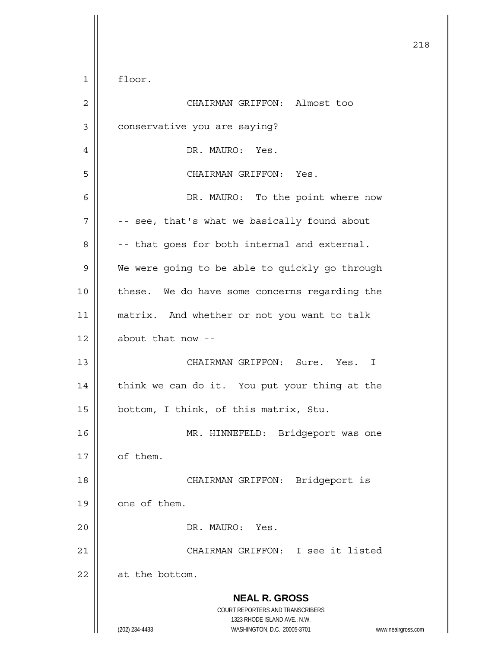**NEAL R. GROSS** COURT REPORTERS AND TRANSCRIBERS 1323 RHODE ISLAND AVE., N.W. (202) 234-4433 WASHINGTON, D.C. 20005-3701 www.nealrgross.com 218 1 2 3 4 5 6 7 8 9 10 11 12 13 14 15 16 17 18 19 20 21 22 floor. CHAIRMAN GRIFFON: Almost too conservative you are saying? DR. MAURO: Yes. CHAIRMAN GRIFFON: Yes. DR. MAURO: To the point where now -- see, that's what we basically found about -- that goes for both internal and external. We were going to be able to quickly go through these. We do have some concerns regarding the matrix. And whether or not you want to talk about that now -- CHAIRMAN GRIFFON: Sure. Yes. I think we can do it. You put your thing at the bottom, I think, of this matrix, Stu. MR. HINNEFELD: Bridgeport was one of them. CHAIRMAN GRIFFON: Bridgeport is one of them. DR. MAURO: Yes. CHAIRMAN GRIFFON: I see it listed at the bottom.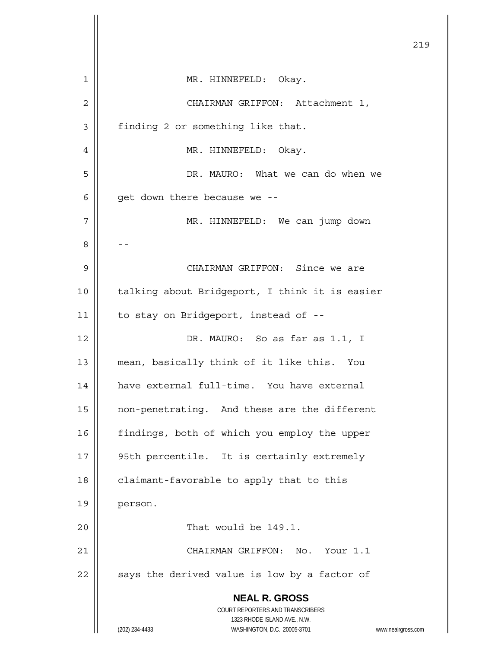|    |                                                                     | 219 |
|----|---------------------------------------------------------------------|-----|
| 1  | MR. HINNEFELD: Okay.                                                |     |
| 2  | CHAIRMAN GRIFFON: Attachment 1,                                     |     |
| 3  | finding 2 or something like that.                                   |     |
| 4  | MR. HINNEFELD: Okay.                                                |     |
| 5  | DR. MAURO: What we can do when we                                   |     |
| 6  | get down there because we --                                        |     |
| 7  | MR. HINNEFELD: We can jump down                                     |     |
| 8  |                                                                     |     |
| 9  | CHAIRMAN GRIFFON: Since we are                                      |     |
| 10 | talking about Bridgeport, I think it is easier                      |     |
| 11 | to stay on Bridgeport, instead of --                                |     |
| 12 | DR. MAURO: So as far as 1.1, I                                      |     |
| 13 | mean, basically think of it like this. You                          |     |
| 14 | have external full-time. You have external                          |     |
| 15 | non-penetrating. And these are the different                        |     |
| 16 | findings, both of which you employ the upper                        |     |
| 17 | 95th percentile. It is certainly extremely                          |     |
| 18 | claimant-favorable to apply that to this                            |     |
| 19 | person.                                                             |     |
| 20 | That would be 149.1.                                                |     |
| 21 | CHAIRMAN GRIFFON: No. Your 1.1                                      |     |
| 22 | says the derived value is low by a factor of                        |     |
|    | <b>NEAL R. GROSS</b><br>COURT REPORTERS AND TRANSCRIBERS            |     |
|    | 1323 RHODE ISLAND AVE., N.W.                                        |     |
|    | (202) 234-4433<br>WASHINGTON, D.C. 20005-3701<br>www.nealrgross.com |     |

 $\mathbf{\mathcal{H}}$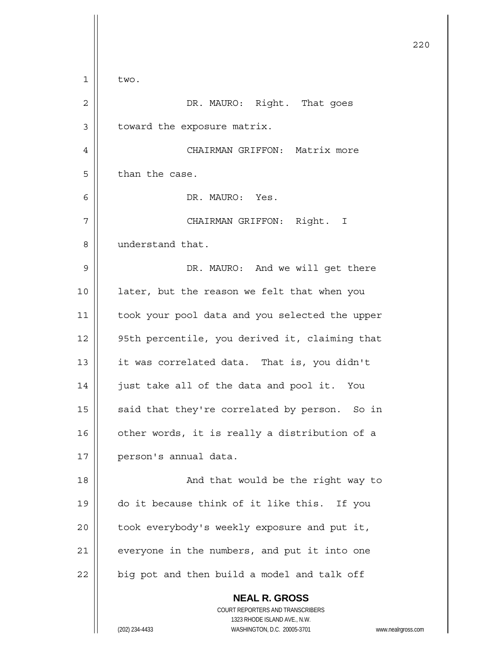**NEAL R. GROSS** COURT REPORTERS AND TRANSCRIBERS 1323 RHODE ISLAND AVE., N.W. (202) 234-4433 WASHINGTON, D.C. 20005-3701 www.nealrgross.com 220 1 2 3 4 5 6 7 8 9 10 11 12 13 14 15 16 17 18 19 20 21 22 two. DR. MAURO: Right. That goes toward the exposure matrix. CHAIRMAN GRIFFON: Matrix more than the case. DR. MAURO: Yes. CHAIRMAN GRIFFON: Right. I understand that. DR. MAURO: And we will get there later, but the reason we felt that when you took your pool data and you selected the upper 95th percentile, you derived it, claiming that it was correlated data. That is, you didn't just take all of the data and pool it. You said that they're correlated by person. So in other words, it is really a distribution of a person's annual data. And that would be the right way to do it because think of it like this. If you took everybody's weekly exposure and put it, everyone in the numbers, and put it into one big pot and then build a model and talk off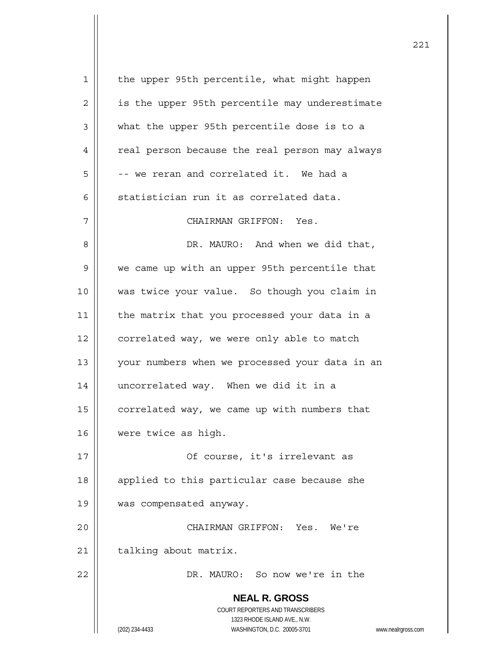**NEAL R. GROSS** COURT REPORTERS AND TRANSCRIBERS 1323 RHODE ISLAND AVE., N.W. (202) 234-4433 WASHINGTON, D.C. 20005-3701 www.nealrgross.com 1 2 3 4 5 6 7 8 9 10 11 12 13 14 15 16 17 18 19 20 21 22 the upper 95th percentile, what might happen is the upper 95th percentile may underestimate what the upper 95th percentile dose is to a real person because the real person may always -- we reran and correlated it. We had a statistician run it as correlated data. CHAIRMAN GRIFFON: Yes. DR. MAURO: And when we did that, we came up with an upper 95th percentile that was twice your value. So though you claim in the matrix that you processed your data in a correlated way, we were only able to match your numbers when we processed your data in an uncorrelated way. When we did it in a correlated way, we came up with numbers that were twice as high. Of course, it's irrelevant as applied to this particular case because she was compensated anyway. CHAIRMAN GRIFFON: Yes. We're talking about matrix. DR. MAURO: So now we're in the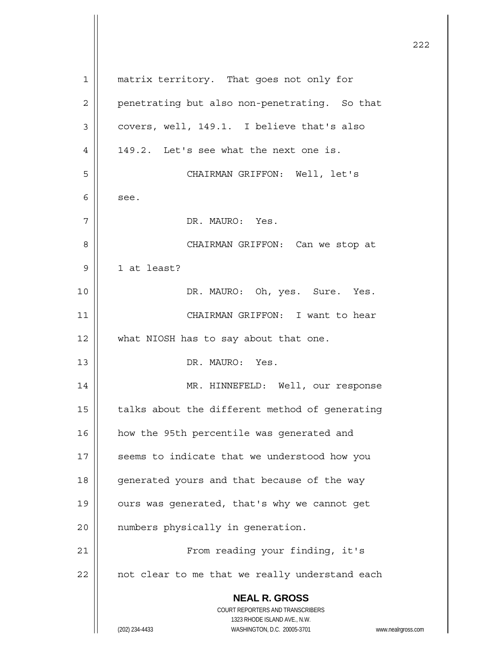|             | 222                                                                 |
|-------------|---------------------------------------------------------------------|
| $\mathbf 1$ | matrix territory. That goes not only for                            |
| 2           | penetrating but also non-penetrating. So that                       |
| 3           | covers, well, 149.1. I believe that's also                          |
| 4           | 149.2. Let's see what the next one is.                              |
| 5           | CHAIRMAN GRIFFON: Well, let's                                       |
| 6           | see.                                                                |
| 7           | DR. MAURO: Yes.                                                     |
| 8           | CHAIRMAN GRIFFON: Can we stop at                                    |
| 9           | 1 at least?                                                         |
| 10          | DR. MAURO: Oh, yes. Sure. Yes.                                      |
| 11          | CHAIRMAN GRIFFON: I want to hear                                    |
| 12          | what NIOSH has to say about that one.                               |
| 13          | DR. MAURO: Yes.                                                     |
| 14          | MR. HINNEFELD: Well, our response                                   |
| 15          | talks about the different method of generating                      |
| 16          | how the 95th percentile was generated and                           |
| 17          | seems to indicate that we understood how you                        |
| 18          | generated yours and that because of the way                         |
| 19          | ours was generated, that's why we cannot get                        |
| 20          | numbers physically in generation.                                   |
| 21          | From reading your finding, it's                                     |
| 22          | not clear to me that we really understand each                      |
|             | <b>NEAL R. GROSS</b>                                                |
|             | COURT REPORTERS AND TRANSCRIBERS<br>1323 RHODE ISLAND AVE., N.W.    |
|             | (202) 234-4433<br>WASHINGTON, D.C. 20005-3701<br>www.nealrgross.com |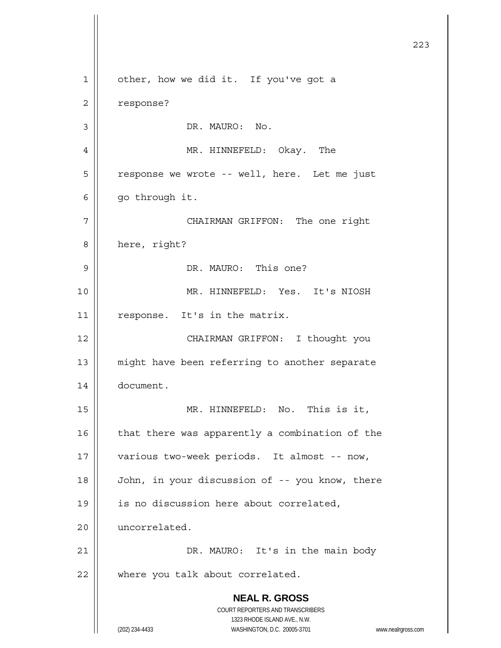**NEAL R. GROSS** COURT REPORTERS AND TRANSCRIBERS 1323 RHODE ISLAND AVE., N.W. (202) 234-4433 WASHINGTON, D.C. 20005-3701 www.nealrgross.com 223 1 2 3 4 5 6 7 8 9 10 11 12 13 14 15 16 17 18 19 20 21 22 other, how we did it. If you've got a response? DR. MAURO: No. MR. HINNEFELD: Okay. The response we wrote -- well, here. Let me just go through it. CHAIRMAN GRIFFON: The one right here, right? DR. MAURO: This one? MR. HINNEFELD: Yes. It's NIOSH response. It's in the matrix. CHAIRMAN GRIFFON: I thought you might have been referring to another separate document. MR. HINNEFELD: No. This is it, that there was apparently a combination of the various two-week periods. It almost -- now, John, in your discussion of -- you know, there is no discussion here about correlated, uncorrelated. DR. MAURO: It's in the main body where you talk about correlated.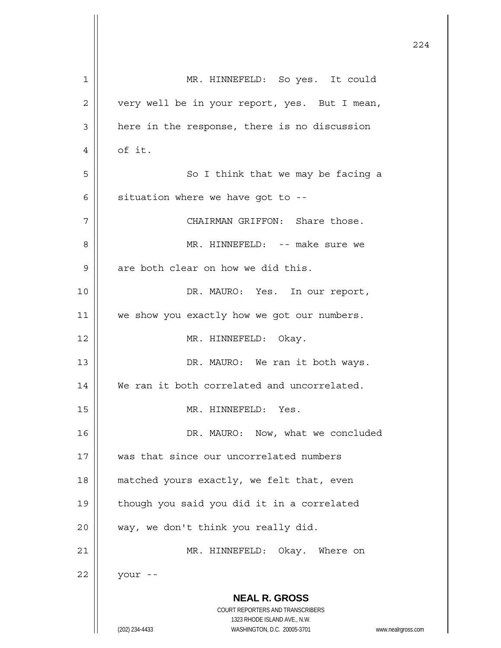|    |                                                                                                     | 224 |
|----|-----------------------------------------------------------------------------------------------------|-----|
| 1  | MR. HINNEFELD: So yes. It could                                                                     |     |
| 2  | very well be in your report, yes. But I mean,                                                       |     |
| 3  | here in the response, there is no discussion                                                        |     |
| 4  | of it.                                                                                              |     |
| 5  | So I think that we may be facing a                                                                  |     |
| 6  | situation where we have got to --                                                                   |     |
| 7  | CHAIRMAN GRIFFON: Share those.                                                                      |     |
| 8  | MR. HINNEFELD: -- make sure we                                                                      |     |
| 9  | are both clear on how we did this.                                                                  |     |
| 10 | DR. MAURO: Yes. In our report,                                                                      |     |
| 11 | we show you exactly how we got our numbers.                                                         |     |
| 12 | MR. HINNEFELD: Okay.                                                                                |     |
| 13 | DR. MAURO: We ran it both ways.                                                                     |     |
| 14 | We ran it both correlated and uncorrelated.                                                         |     |
| 15 | MR. HINNEFELD: Yes.                                                                                 |     |
| 16 | DR. MAURO: Now, what we concluded                                                                   |     |
| 17 | was that since our uncorrelated numbers                                                             |     |
| 18 | matched yours exactly, we felt that, even                                                           |     |
| 19 | though you said you did it in a correlated                                                          |     |
| 20 | way, we don't think you really did.                                                                 |     |
| 21 | MR. HINNEFELD: Okay. Where on                                                                       |     |
| 22 | your --                                                                                             |     |
|    | <b>NEAL R. GROSS</b>                                                                                |     |
|    | COURT REPORTERS AND TRANSCRIBERS                                                                    |     |
|    | 1323 RHODE ISLAND AVE., N.W.<br>(202) 234-4433<br>WASHINGTON, D.C. 20005-3701<br>www.nealrgross.com |     |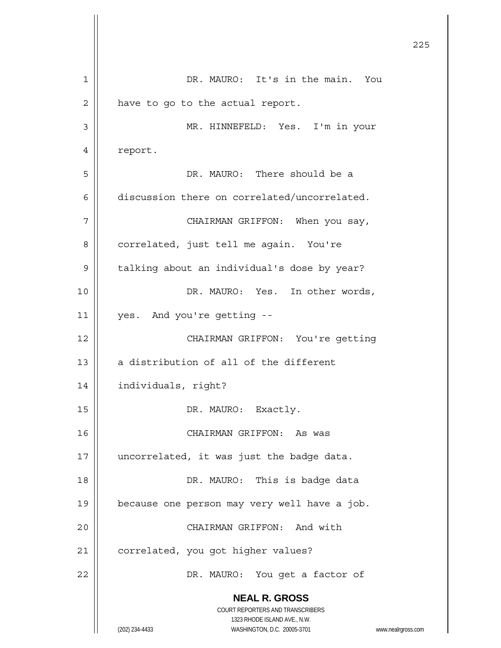**NEAL R. GROSS** COURT REPORTERS AND TRANSCRIBERS 1323 RHODE ISLAND AVE., N.W. (202) 234-4433 WASHINGTON, D.C. 20005-3701 www.nealrgross.com <u>225</u> 1 2 3 4 5 6 7 8 9 10 11 12 13 14 15 16 17 18 19 20 21 22 DR. MAURO: It's in the main. You have to go to the actual report. MR. HINNEFELD: Yes. I'm in your report. DR. MAURO: There should be a discussion there on correlated/uncorrelated. CHAIRMAN GRIFFON: When you say, correlated, just tell me again. You're talking about an individual's dose by year? DR. MAURO: Yes. In other words, yes. And you're getting -- CHAIRMAN GRIFFON: You're getting a distribution of all of the different individuals, right? DR. MAURO: Exactly. CHAIRMAN GRIFFON: As was uncorrelated, it was just the badge data. DR. MAURO: This is badge data because one person may very well have a job. CHAIRMAN GRIFFON: And with correlated, you got higher values? DR. MAURO: You get a factor of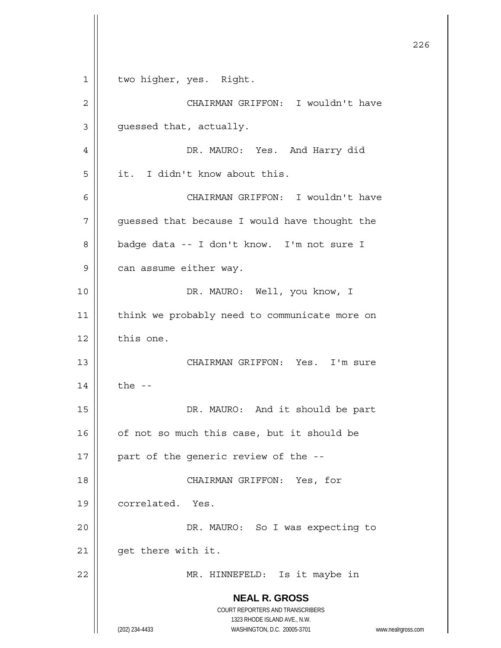**NEAL R. GROSS** COURT REPORTERS AND TRANSCRIBERS 1323 RHODE ISLAND AVE., N.W. (202) 234-4433 WASHINGTON, D.C. 20005-3701 www.nealrgross.com 226 1 2 3 4 5 6 7 8 9 10 11 12 13 14 15 16 17 18 19 20 21 22 two higher, yes. Right. CHAIRMAN GRIFFON: I wouldn't have guessed that, actually. DR. MAURO: Yes. And Harry did it. I didn't know about this. CHAIRMAN GRIFFON: I wouldn't have guessed that because I would have thought the badge data -- I don't know. I'm not sure I can assume either way. DR. MAURO: Well, you know, I think we probably need to communicate more on this one. CHAIRMAN GRIFFON: Yes. I'm sure the -- DR. MAURO: And it should be part of not so much this case, but it should be part of the generic review of the -- CHAIRMAN GRIFFON: Yes, for correlated. Yes. DR. MAURO: So I was expecting to get there with it. MR. HINNEFELD: Is it maybe in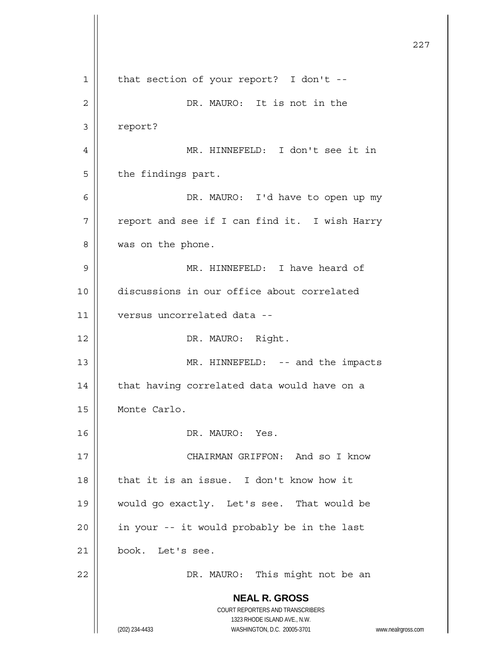**NEAL R. GROSS** COURT REPORTERS AND TRANSCRIBERS 1323 RHODE ISLAND AVE., N.W. (202) 234-4433 WASHINGTON, D.C. 20005-3701 www.nealrgross.com <u>227</u> 1 2 3 4 5 6 7 8 9 10 11 12 13 14 15 16 17 18 19 20 21 22 that section of your report? I don't -- DR. MAURO: It is not in the report? MR. HINNEFELD: I don't see it in the findings part. DR. MAURO: I'd have to open up my report and see if I can find it. I wish Harry was on the phone. MR. HINNEFELD: I have heard of discussions in our office about correlated versus uncorrelated data -- DR. MAURO: Right. MR. HINNEFELD: -- and the impacts that having correlated data would have on a Monte Carlo. DR. MAURO: Yes. CHAIRMAN GRIFFON: And so I know that it is an issue. I don't know how it would go exactly. Let's see. That would be in your -- it would probably be in the last book. Let's see. DR. MAURO: This might not be an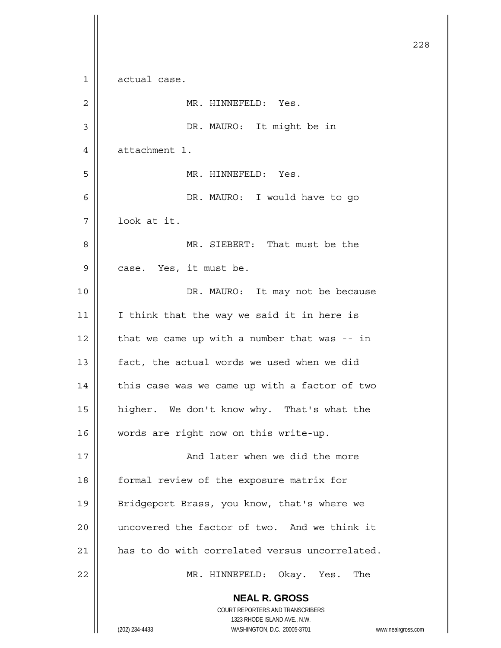**NEAL R. GROSS** COURT REPORTERS AND TRANSCRIBERS 1323 RHODE ISLAND AVE., N.W. <u>228</u> 1 2 3 4 5 6 7 8 9 10 11 12 13 14 15 16 17 18 19 20 21 22 actual case. MR. HINNEFELD: Yes. DR. MAURO: It might be in attachment 1. MR. HINNEFELD: Yes. DR. MAURO: I would have to go look at it. MR. SIEBERT: That must be the case. Yes, it must be. DR. MAURO: It may not be because I think that the way we said it in here is that we came up with a number that was -- in fact, the actual words we used when we did this case was we came up with a factor of two higher. We don't know why. That's what the words are right now on this write-up. And later when we did the more formal review of the exposure matrix for Bridgeport Brass, you know, that's where we uncovered the factor of two. And we think it has to do with correlated versus uncorrelated. MR. HINNEFELD: Okay. Yes. The

(202) 234-4433 WASHINGTON, D.C. 20005-3701 www.nealrgross.com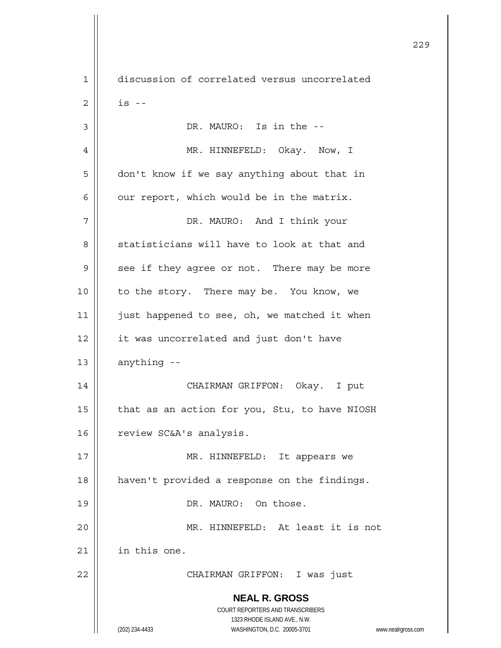**NEAL R. GROSS** COURT REPORTERS AND TRANSCRIBERS 1323 RHODE ISLAND AVE., N.W. (202) 234-4433 WASHINGTON, D.C. 20005-3701 www.nealrgross.com 1 2 3 4 5 6 7 8 9 10 11 12 13 14 15 16 17 18 19 20 21 22 discussion of correlated versus uncorrelated is -- DR. MAURO: Is in the -- MR. HINNEFELD: Okay. Now, I don't know if we say anything about that in our report, which would be in the matrix. DR. MAURO: And I think your statisticians will have to look at that and see if they agree or not. There may be more to the story. There may be. You know, we just happened to see, oh, we matched it when it was uncorrelated and just don't have anything -- CHAIRMAN GRIFFON: Okay. I put that as an action for you, Stu, to have NIOSH review SC&A's analysis. MR. HINNEFELD: It appears we haven't provided a response on the findings. DR. MAURO: On those. MR. HINNEFELD: At least it is not in this one. CHAIRMAN GRIFFON: I was just

<u>229</u>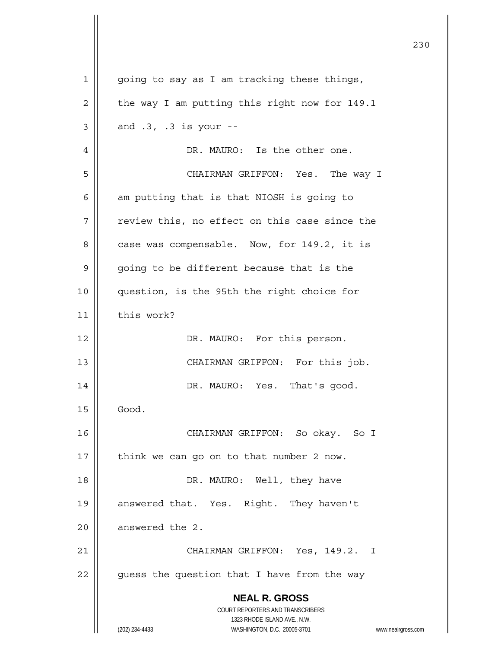| $\mathbf{1}$ | going to say as I am tracking these things,                             |
|--------------|-------------------------------------------------------------------------|
| 2            | the way I am putting this right now for 149.1                           |
| 3            | and .3, .3 is your --                                                   |
| 4            | DR. MAURO: Is the other one.                                            |
| 5            | CHAIRMAN GRIFFON: Yes. The way I                                        |
| 6            | am putting that is that NIOSH is going to                               |
| 7            | review this, no effect on this case since the                           |
| 8            | case was compensable. Now, for 149.2, it is                             |
| 9            | going to be different because that is the                               |
| 10           | question, is the 95th the right choice for                              |
| 11           | this work?                                                              |
| 12           | DR. MAURO: For this person.                                             |
| 13           | CHAIRMAN GRIFFON: For this job.                                         |
| 14           | DR. MAURO: Yes. That's good.                                            |
| 15           | Good.                                                                   |
| 16           | CHAIRMAN GRIFFON: So okay. So I                                         |
| 17           | think we can go on to that number 2 now.                                |
| 18           | DR. MAURO: Well, they have                                              |
| 19           | answered that. Yes. Right. They haven't                                 |
| 20           | answered the 2.                                                         |
| 21           | CHAIRMAN GRIFFON: Yes, 149.2. I                                         |
| 22           | guess the question that I have from the way                             |
|              | <b>NEAL R. GROSS</b>                                                    |
|              | <b>COURT REPORTERS AND TRANSCRIBERS</b><br>1323 RHODE ISLAND AVE., N.W. |
|              | (202) 234-4433<br>WASHINGTON, D.C. 20005-3701<br>www.nealrgross.com     |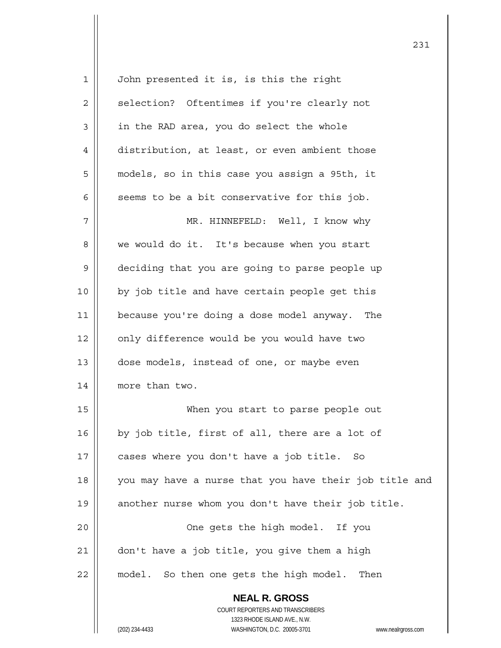| 1  | John presented it is, is this the right                             |
|----|---------------------------------------------------------------------|
| 2  | selection? Oftentimes if you're clearly not                         |
| 3  | in the RAD area, you do select the whole                            |
| 4  | distribution, at least, or even ambient those                       |
| 5  | models, so in this case you assign a 95th, it                       |
| 6  | seems to be a bit conservative for this job.                        |
| 7  | MR. HINNEFELD: Well, I know why                                     |
| 8  | we would do it. It's because when you start                         |
| 9  | deciding that you are going to parse people up                      |
| 10 | by job title and have certain people get this                       |
| 11 | because you're doing a dose model anyway. The                       |
| 12 | only difference would be you would have two                         |
| 13 | dose models, instead of one, or maybe even                          |
| 14 | more than two.                                                      |
| 15 | When you start to parse people out                                  |
| 16 | by job title, first of all, there are a lot of                      |
| 17 | cases where you don't have a job title.<br>– So                     |
| 18 | you may have a nurse that you have their job title and              |
| 19 | another nurse whom you don't have their job title.                  |
| 20 | One gets the high model. If you                                     |
| 21 | don't have a job title, you give them a high                        |
| 22 | model.<br>So then one gets the high model.<br>Then                  |
|    | <b>NEAL R. GROSS</b>                                                |
|    | COURT REPORTERS AND TRANSCRIBERS                                    |
|    | 1323 RHODE ISLAND AVE., N.W.                                        |
|    | (202) 234-4433<br>WASHINGTON, D.C. 20005-3701<br>www.nealrgross.com |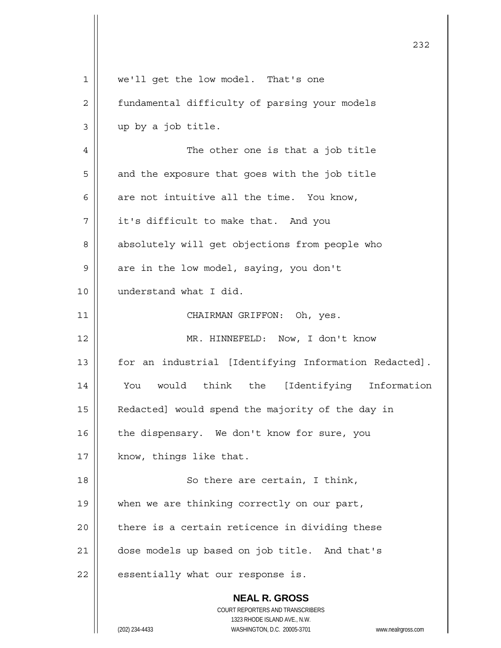|              | 232                                                                 |
|--------------|---------------------------------------------------------------------|
| $\mathbf{1}$ | we'll get the low model. That's one                                 |
| 2            | fundamental difficulty of parsing your models                       |
| 3            | up by a job title.                                                  |
| 4            | The other one is that a job title                                   |
| 5            | and the exposure that goes with the job title                       |
| 6            | are not intuitive all the time. You know,                           |
| 7            | it's difficult to make that. And you                                |
| 8            | absolutely will get objections from people who                      |
| 9            | are in the low model, saying, you don't                             |
| 10           | understand what I did.                                              |
| 11           | CHAIRMAN GRIFFON: Oh, yes.                                          |
| 12           | MR. HINNEFELD: Now, I don't know                                    |
| 13           | for an industrial [Identifying Information Redacted].               |
| 14           | You would think the [Identifying Information                        |
| 15           | Redacted] would spend the majority of the day in                    |
| 16           | the dispensary. We don't know for sure, you                         |
| 17           | know, things like that.                                             |
| 18           | So there are certain, I think,                                      |
| 19           | when we are thinking correctly on our part,                         |
| 20           | there is a certain reticence in dividing these                      |
| 21           | dose models up based on job title. And that's                       |
| 22           | essentially what our response is.                                   |
|              | <b>NEAL R. GROSS</b>                                                |
|              | COURT REPORTERS AND TRANSCRIBERS<br>1323 RHODE ISLAND AVE., N.W.    |
|              | (202) 234-4433<br>WASHINGTON, D.C. 20005-3701<br>www.nealrgross.com |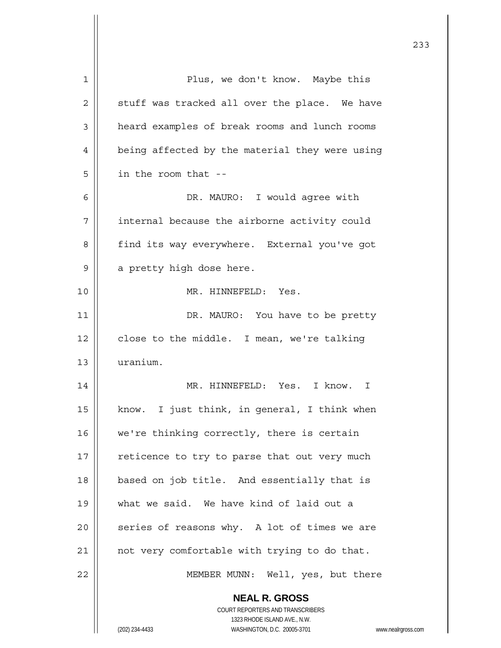| 1  | Plus, we don't know. Maybe this                                     |
|----|---------------------------------------------------------------------|
| 2  | stuff was tracked all over the place. We have                       |
| 3  | heard examples of break rooms and lunch rooms                       |
| 4  | being affected by the material they were using                      |
| 5  | in the room that --                                                 |
| 6  | DR. MAURO: I would agree with                                       |
| 7  | internal because the airborne activity could                        |
| 8  | find its way everywhere. External you've got                        |
| 9  | a pretty high dose here.                                            |
| 10 | MR. HINNEFELD: Yes.                                                 |
| 11 | DR. MAURO: You have to be pretty                                    |
| 12 | close to the middle. I mean, we're talking                          |
| 13 | uranium.                                                            |
| 14 | MR. HINNEFELD: Yes. I know. I                                       |
| 15 | know. I just think, in general, I think when                        |
| 16 | we're thinking correctly, there is certain                          |
| 17 | reticence to try to parse that out very much                        |
| 18 | based on job title. And essentially that is                         |
| 19 | what we said. We have kind of laid out a                            |
| 20 | series of reasons why. A lot of times we are                        |
| 21 | not very comfortable with trying to do that.                        |
| 22 | MEMBER MUNN: Well, yes, but there                                   |
|    | <b>NEAL R. GROSS</b>                                                |
|    | COURT REPORTERS AND TRANSCRIBERS                                    |
|    | 1323 RHODE ISLAND AVE., N.W.                                        |
|    | (202) 234-4433<br>WASHINGTON, D.C. 20005-3701<br>www.nealrgross.com |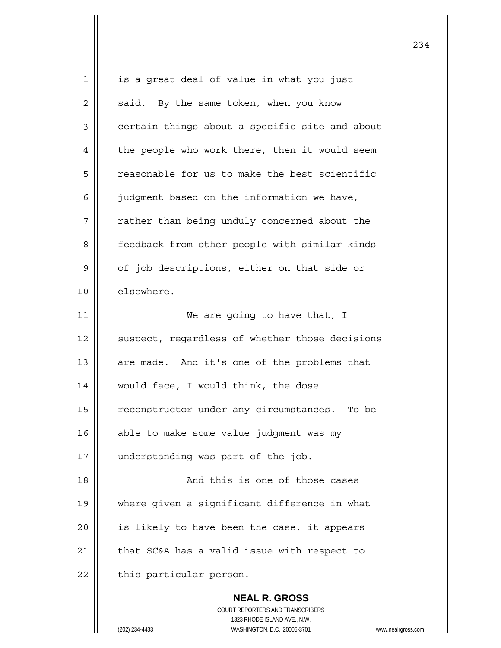| 1  | is a great deal of value in what you just                                                                                                           |
|----|-----------------------------------------------------------------------------------------------------------------------------------------------------|
| 2  | said. By the same token, when you know                                                                                                              |
| 3  | certain things about a specific site and about                                                                                                      |
| 4  | the people who work there, then it would seem                                                                                                       |
| 5  | reasonable for us to make the best scientific                                                                                                       |
| 6  | judgment based on the information we have,                                                                                                          |
| 7  | rather than being unduly concerned about the                                                                                                        |
| 8  | feedback from other people with similar kinds                                                                                                       |
| 9  | of job descriptions, either on that side or                                                                                                         |
| 10 | elsewhere.                                                                                                                                          |
| 11 | We are going to have that, I                                                                                                                        |
| 12 | suspect, regardless of whether those decisions                                                                                                      |
| 13 | are made. And it's one of the problems that                                                                                                         |
| 14 | would face, I would think, the dose                                                                                                                 |
| 15 | reconstructor under any circumstances. To be                                                                                                        |
| 16 | able to make some value judgment was my                                                                                                             |
| 17 | understanding was part of the job.                                                                                                                  |
| 18 | And this is one of those cases                                                                                                                      |
| 19 | where given a significant difference in what                                                                                                        |
| 20 | is likely to have been the case, it appears                                                                                                         |
| 21 | that SC&A has a valid issue with respect to                                                                                                         |
| 22 | this particular person.                                                                                                                             |
|    | <b>NEAL R. GROSS</b><br>COURT REPORTERS AND TRANSCRIBERS<br>1323 RHODE ISLAND AVE., N.W.<br>(202) 234-4433<br>WASHINGTON, D.C. 20005-3701<br>www.ne |

(202) 234-4433 WASHINGTON, D.C. 20005-3701 www.nealrgross.com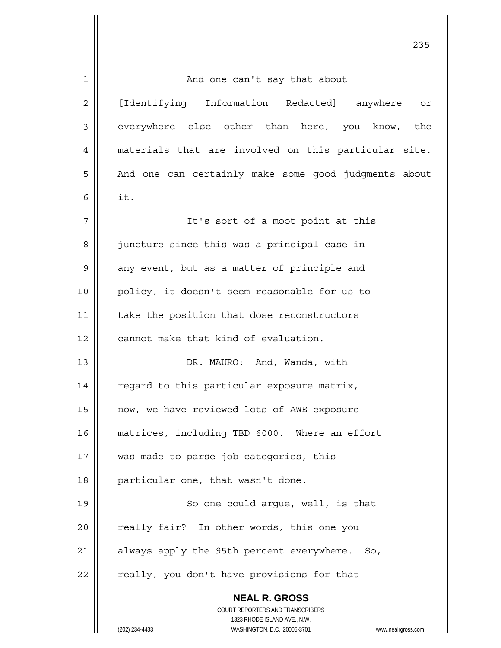| 1              | And one can't say that about                                                                        |
|----------------|-----------------------------------------------------------------------------------------------------|
| $\overline{2}$ | [Identifying Information Redacted] anywhere or                                                      |
| 3              | everywhere else other than here, you know,<br>the                                                   |
| 4              | materials that are involved on this particular site.                                                |
| 5              | And one can certainly make some good judgments about                                                |
| 6              | it.                                                                                                 |
| 7              | It's sort of a moot point at this                                                                   |
| 8              | juncture since this was a principal case in                                                         |
| 9              | any event, but as a matter of principle and                                                         |
| 10             | policy, it doesn't seem reasonable for us to                                                        |
| 11             | take the position that dose reconstructors                                                          |
| 12             | cannot make that kind of evaluation.                                                                |
| 13             | DR. MAURO: And, Wanda, with                                                                         |
| 14             | regard to this particular exposure matrix,                                                          |
| 15             | now, we have reviewed lots of AWE exposure                                                          |
| 16             | matrices, including TBD 6000. Where an effort                                                       |
| 17             | was made to parse job categories, this                                                              |
| 18             | particular one, that wasn't done.                                                                   |
| 19             | So one could arque, well, is that                                                                   |
| 20             | really fair? In other words, this one you                                                           |
| 21             | always apply the 95th percent everywhere. So,                                                       |
| 22             | really, you don't have provisions for that                                                          |
|                | <b>NEAL R. GROSS</b>                                                                                |
|                | COURT REPORTERS AND TRANSCRIBERS                                                                    |
|                | 1323 RHODE ISLAND AVE., N.W.<br>WASHINGTON, D.C. 20005-3701<br>(202) 234-4433<br>www.nealrgross.com |

<u>235</u>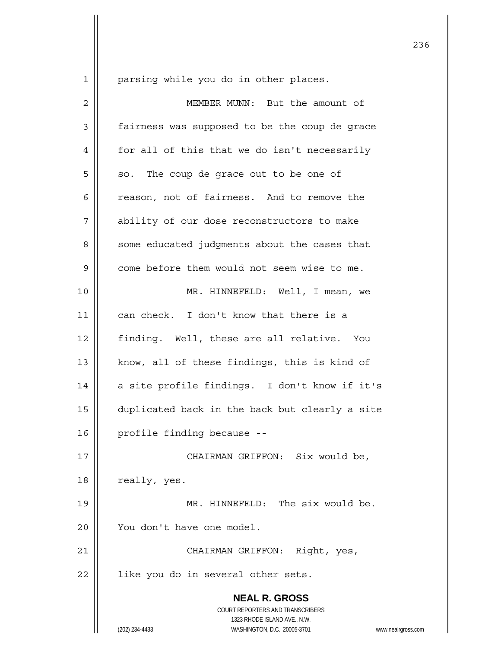parsing while you do in other places.

| $\overline{c}$ | MEMBER MUNN: But the amount of                                                                                                                                         |
|----------------|------------------------------------------------------------------------------------------------------------------------------------------------------------------------|
| 3              | fairness was supposed to be the coup de grace                                                                                                                          |
| 4              | for all of this that we do isn't necessarily                                                                                                                           |
| 5              | so. The coup de grace out to be one of                                                                                                                                 |
| 6              | reason, not of fairness. And to remove the                                                                                                                             |
| 7              | ability of our dose reconstructors to make                                                                                                                             |
| 8              | some educated judgments about the cases that                                                                                                                           |
| 9              | come before them would not seem wise to me.                                                                                                                            |
| 10             | MR. HINNEFELD: Well, I mean, we                                                                                                                                        |
| 11             | can check. I don't know that there is a                                                                                                                                |
| 12             | finding. Well, these are all relative. You                                                                                                                             |
| 13             | know, all of these findings, this is kind of                                                                                                                           |
| 14             | a site profile findings. I don't know if it's                                                                                                                          |
| 15             | duplicated back in the back but clearly a site                                                                                                                         |
| 16             | profile finding because --                                                                                                                                             |
| 17             | CHAIRMAN GRIFFON: Six would be                                                                                                                                         |
| 18             | really, yes.                                                                                                                                                           |
| 19             | MR. HINNEFELD: The six would be.                                                                                                                                       |
| 20             | You don't have one model.                                                                                                                                              |
| 21             | CHAIRMAN GRIFFON: Right, yes,                                                                                                                                          |
| 22             | like you do in several other sets.                                                                                                                                     |
|                | <b>NEAL R. GROSS</b><br><b>COURT REPORTERS AND TRANSCRIBERS</b><br>1323 RHODE ISLAND AVE., N.W.<br>(202) 234-4433<br>WASHINGTON, D.C. 20005-3701<br>www.nealrgross.com |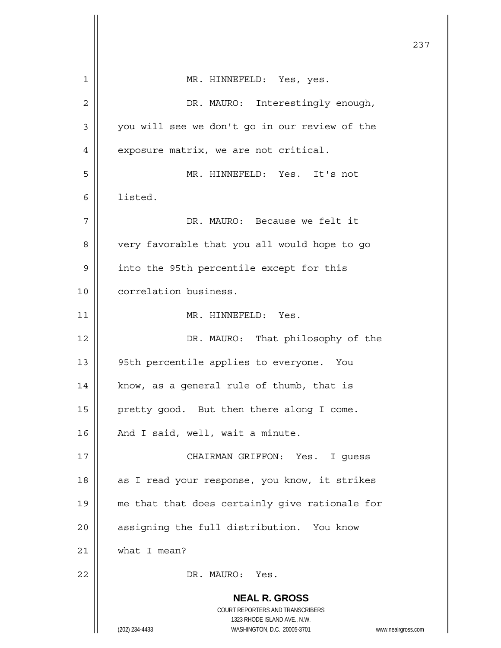|    | 237                                                                                                 |
|----|-----------------------------------------------------------------------------------------------------|
| 1  | MR. HINNEFELD: Yes, yes.                                                                            |
| 2  | DR. MAURO: Interestingly enough,                                                                    |
| 3  | you will see we don't go in our review of the                                                       |
| 4  | exposure matrix, we are not critical.                                                               |
| 5  | MR. HINNEFELD: Yes. It's not                                                                        |
| 6  | listed.                                                                                             |
| 7  | DR. MAURO: Because we felt it                                                                       |
| 8  | very favorable that you all would hope to go                                                        |
| 9  | into the 95th percentile except for this                                                            |
| 10 | correlation business.                                                                               |
| 11 | MR. HINNEFELD: Yes.                                                                                 |
| 12 | DR. MAURO: That philosophy of the                                                                   |
| 13 | 95th percentile applies to everyone. You                                                            |
| 14 | know, as a general rule of thumb, that is                                                           |
| 15 | pretty good. But then there along I come.                                                           |
| 16 | And I said, well, wait a minute.                                                                    |
| 17 | CHAIRMAN GRIFFON: Yes.<br>I guess                                                                   |
| 18 | as I read your response, you know, it strikes                                                       |
| 19 | me that that does certainly give rationale for                                                      |
| 20 | assigning the full distribution. You know                                                           |
| 21 | what I mean?                                                                                        |
| 22 | DR. MAURO: Yes.                                                                                     |
|    | <b>NEAL R. GROSS</b><br>COURT REPORTERS AND TRANSCRIBERS                                            |
|    | 1323 RHODE ISLAND AVE., N.W.<br>(202) 234-4433<br>WASHINGTON, D.C. 20005-3701<br>www.nealrgross.com |

 $\mathsf{I}$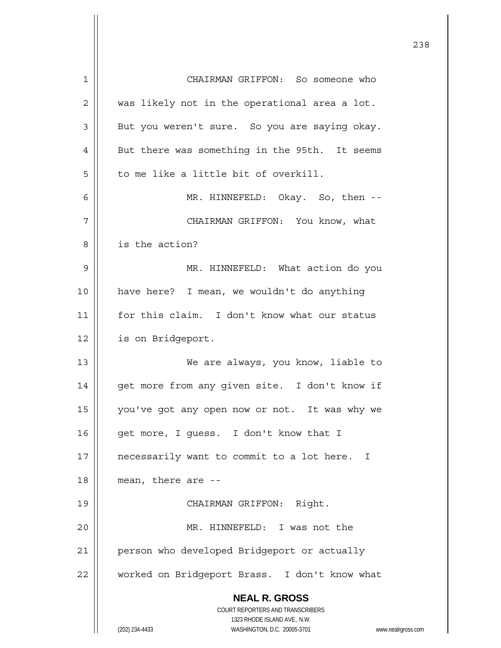| $\mathbf 1$ | CHAIRMAN GRIFFON: So someone who                                    |
|-------------|---------------------------------------------------------------------|
| 2           | was likely not in the operational area a lot.                       |
| 3           | But you weren't sure. So you are saying okay.                       |
| 4           | But there was something in the 95th. It seems                       |
| 5           | to me like a little bit of overkill.                                |
| 6           | MR. HINNEFELD: Okay. So, then --                                    |
| 7           | CHAIRMAN GRIFFON: You know, what                                    |
| 8           | is the action?                                                      |
| 9           | MR. HINNEFELD: What action do you                                   |
| 10          | have here? I mean, we wouldn't do anything                          |
| 11          | for this claim. I don't know what our status                        |
| 12          | is on Bridgeport.                                                   |
| 13          | We are always, you know, liable to                                  |
| 14          | get more from any given site. I don't know if                       |
| 15          | you've got any open now or not. It was why we                       |
| 16          | get more, I guess. I don't know that I                              |
| 17          | necessarily want to commit to a lot here. I                         |
| 18          | mean, there are --                                                  |
| 19          | CHAIRMAN GRIFFON: Right.                                            |
| 20          | MR. HINNEFELD: I was not the                                        |
| 21          | person who developed Bridgeport or actually                         |
| 22          | worked on Bridgeport Brass. I don't know what                       |
|             | <b>NEAL R. GROSS</b>                                                |
|             | COURT REPORTERS AND TRANSCRIBERS                                    |
|             | 1323 RHODE ISLAND AVE., N.W.                                        |
|             | (202) 234-4433<br>WASHINGTON, D.C. 20005-3701<br>www.nealrgross.com |

<u>238</u>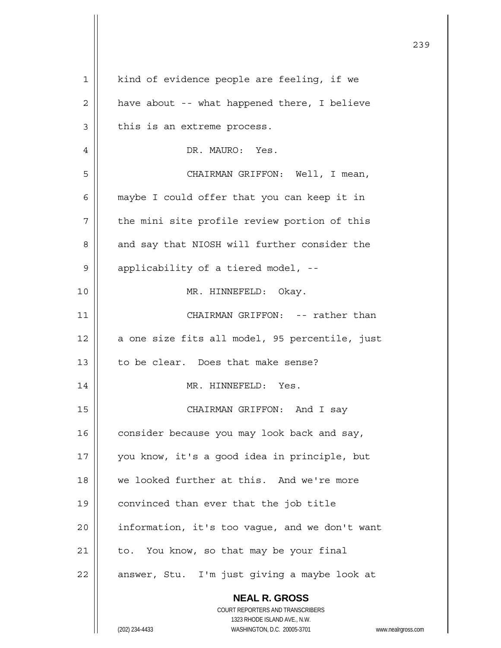| $\mathbf 1$ | kind of evidence people are feeling, if we                                                          |
|-------------|-----------------------------------------------------------------------------------------------------|
| 2           | have about -- what happened there, I believe                                                        |
| 3           | this is an extreme process.                                                                         |
| 4           | DR. MAURO: Yes.                                                                                     |
| 5           | CHAIRMAN GRIFFON: Well, I mean,                                                                     |
| 6           | maybe I could offer that you can keep it in                                                         |
| 7           | the mini site profile review portion of this                                                        |
| 8           | and say that NIOSH will further consider the                                                        |
| 9           | applicability of a tiered model, --                                                                 |
| 10          | MR. HINNEFELD: Okay.                                                                                |
| 11          | CHAIRMAN GRIFFON: -- rather than                                                                    |
| 12          | a one size fits all model, 95 percentile, just                                                      |
| 13          | to be clear. Does that make sense?                                                                  |
| 14          | MR. HINNEFELD: Yes.                                                                                 |
| 15          | CHAIRMAN GRIFFON: And I say                                                                         |
| 16          | consider because you may look back and say,                                                         |
| 17          | you know, it's a good idea in principle, but                                                        |
| 18          | we looked further at this. And we're more                                                           |
| 19          | convinced than ever that the job title                                                              |
| 20          | information, it's too vague, and we don't want                                                      |
| 21          | to. You know, so that may be your final                                                             |
| 22          | answer, Stu. I'm just giving a maybe look at                                                        |
|             | <b>NEAL R. GROSS</b>                                                                                |
|             | COURT REPORTERS AND TRANSCRIBERS                                                                    |
|             | 1323 RHODE ISLAND AVE., N.W.<br>(202) 234-4433<br>WASHINGTON, D.C. 20005-3701<br>www.nealrgross.com |

<u>239</u>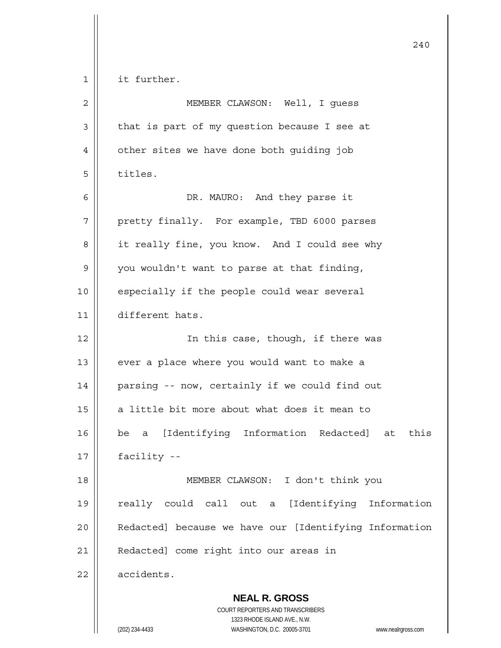| $\begin{array}{c} \begin{array}{c} \begin{array}{c} \end{array} \end{array}$ | it further. |
|------------------------------------------------------------------------------|-------------|
|                                                                              |             |

| 2           | MEMBER CLAWSON: Well, I quess                                                                       |
|-------------|-----------------------------------------------------------------------------------------------------|
| 3           | that is part of my question because I see at                                                        |
| 4           | other sites we have done both guiding job                                                           |
| 5           | titles.                                                                                             |
| 6           | DR. MAURO: And they parse it                                                                        |
| 7           | pretty finally. For example, TBD 6000 parses                                                        |
| 8           | it really fine, you know. And I could see why                                                       |
| $\mathsf 9$ | you wouldn't want to parse at that finding,                                                         |
| 10          | especially if the people could wear several                                                         |
| 11          | different hats.                                                                                     |
| 12          | In this case, though, if there was                                                                  |
| 13          | ever a place where you would want to make a                                                         |
| 14          | parsing -- now, certainly if we could find out                                                      |
| 15          | a little bit more about what does it mean to                                                        |
| 16          | [Identifying Information Redacted] at this<br>be<br>a                                               |
| 17          | facility --                                                                                         |
| 18          | MEMBER CLAWSON: I don't think you                                                                   |
| 19          | really could call out a<br>[Identifying Information                                                 |
| 20          | Redacted] because we have our [Identifying Information                                              |
| 21          | Redacted] come right into our areas in                                                              |
| 22          | accidents.                                                                                          |
|             | <b>NEAL R. GROSS</b><br>COURT REPORTERS AND TRANSCRIBERS                                            |
|             | 1323 RHODE ISLAND AVE., N.W.<br>(202) 234-4433<br>WASHINGTON, D.C. 20005-3701<br>www.nealrgross.com |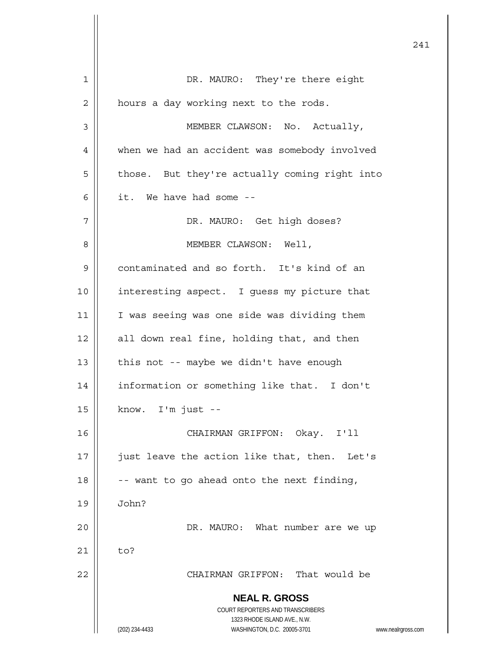**NEAL R. GROSS** COURT REPORTERS AND TRANSCRIBERS 1323 RHODE ISLAND AVE., N.W. (202) 234-4433 WASHINGTON, D.C. 20005-3701 www.nealrgross.com 1 2 3 4 5 6 7 8 9 10 11 12 13 14 15 16 17 18 19 20 21 22 DR. MAURO: They're there eight hours a day working next to the rods. MEMBER CLAWSON: No. Actually, when we had an accident was somebody involved those. But they're actually coming right into it. We have had some -- DR. MAURO: Get high doses? MEMBER CLAWSON: Well, contaminated and so forth. It's kind of an interesting aspect. I guess my picture that I was seeing was one side was dividing them all down real fine, holding that, and then this not -- maybe we didn't have enough information or something like that. I don't know. I'm just -- CHAIRMAN GRIFFON: Okay. I'll just leave the action like that, then. Let's -- want to go ahead onto the next finding, John? DR. MAURO: What number are we up to? CHAIRMAN GRIFFON: That would be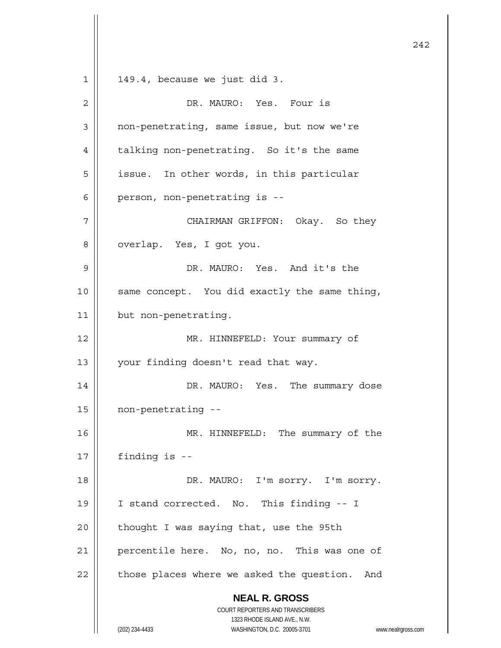**NEAL R. GROSS** COURT REPORTERS AND TRANSCRIBERS 1323 RHODE ISLAND AVE., N.W. (202) 234-4433 WASHINGTON, D.C. 20005-3701 www.nealrgross.com 1 2 3 4 5 6 7 8 9 10 11 12 13 14 15 16 17 18 19 20 21 22 149.4, because we just did 3. DR. MAURO: Yes. Four is non-penetrating, same issue, but now we're talking non-penetrating. So it's the same issue. In other words, in this particular person, non-penetrating is -- CHAIRMAN GRIFFON: Okay. So they overlap. Yes, I got you. DR. MAURO: Yes. And it's the same concept. You did exactly the same thing, but non-penetrating. MR. HINNEFELD: Your summary of your finding doesn't read that way. DR. MAURO: Yes. The summary dose non-penetrating -- MR. HINNEFELD: The summary of the finding is -- DR. MAURO: I'm sorry. I'm sorry. I stand corrected. No. This finding -- I thought I was saying that, use the 95th percentile here. No, no, no. This was one of those places where we asked the question. And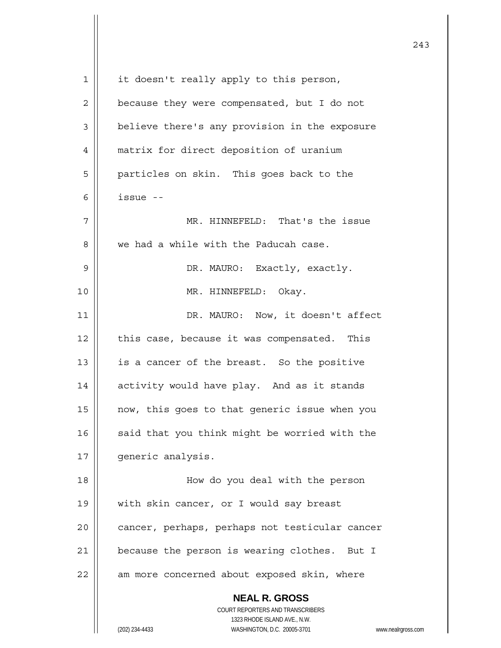| $\mathbf 1$ | it doesn't really apply to this person,                             |
|-------------|---------------------------------------------------------------------|
| 2           | because they were compensated, but I do not                         |
| 3           | believe there's any provision in the exposure                       |
| 4           | matrix for direct deposition of uranium                             |
| 5           | particles on skin. This goes back to the                            |
| 6           | issue --                                                            |
| 7           | MR. HINNEFELD: That's the issue                                     |
| 8           | we had a while with the Paducah case.                               |
| 9           | DR. MAURO: Exactly, exactly.                                        |
| 10          | MR. HINNEFELD: Okay.                                                |
| 11          | DR. MAURO: Now, it doesn't affect                                   |
| 12          | this case, because it was compensated.<br>This                      |
| 13          | is a cancer of the breast. So the positive                          |
| 14          | activity would have play. And as it stands                          |
| 15          | now, this goes to that generic issue when you                       |
| 16          | said that you think might be worried with the                       |
| 17          | generic analysis.                                                   |
| 18          | How do you deal with the person                                     |
| 19          | with skin cancer, or I would say breast                             |
| 20          | cancer, perhaps, perhaps not testicular cancer                      |
| 21          | because the person is wearing clothes.<br>But I                     |
| 22          | am more concerned about exposed skin, where                         |
|             | <b>NEAL R. GROSS</b>                                                |
|             | COURT REPORTERS AND TRANSCRIBERS                                    |
|             | 1323 RHODE ISLAND AVE., N.W.                                        |
|             | (202) 234-4433<br>WASHINGTON, D.C. 20005-3701<br>www.nealrgross.com |

 $\mathsf{I}$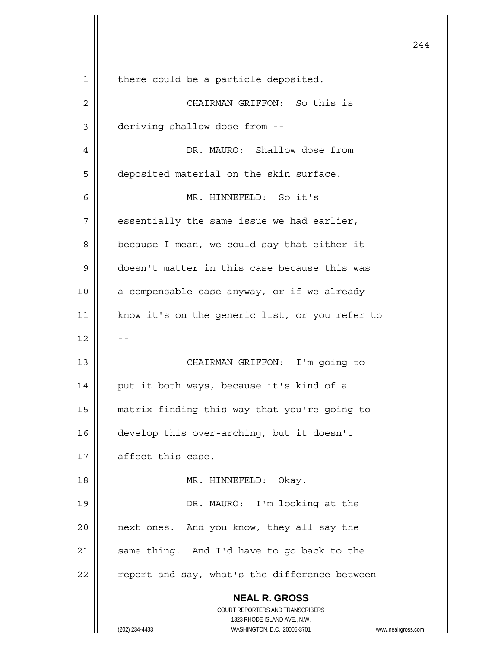|             | 244                                                                 |
|-------------|---------------------------------------------------------------------|
| $\mathbf 1$ | there could be a particle deposited.                                |
| 2           | CHAIRMAN GRIFFON: So this is                                        |
| 3           | deriving shallow dose from --                                       |
| 4           | DR. MAURO: Shallow dose from                                        |
| 5           | deposited material on the skin surface.                             |
| 6           | MR. HINNEFELD: So it's                                              |
| 7           | essentially the same issue we had earlier,                          |
| 8           | because I mean, we could say that either it                         |
| 9           | doesn't matter in this case because this was                        |
| 10          | a compensable case anyway, or if we already                         |
| 11          | know it's on the generic list, or you refer to                      |
| 12          |                                                                     |
| 13          | CHAIRMAN GRIFFON: I'm going to                                      |
| 14          | put it both ways, because it's kind of a                            |
| 15          | matrix finding this way that you're going to                        |
| 16          | develop this over-arching, but it doesn't                           |
| 17          | affect this case.                                                   |
| 18          | MR. HINNEFELD: Okay.                                                |
| 19          | DR. MAURO: I'm looking at the                                       |
| 20          | next ones. And you know, they all say the                           |
| 21          | same thing. And I'd have to go back to the                          |
| 22          | report and say, what's the difference between                       |
|             | <b>NEAL R. GROSS</b><br>COURT REPORTERS AND TRANSCRIBERS            |
|             | 1323 RHODE ISLAND AVE., N.W.                                        |
|             | (202) 234-4433<br>WASHINGTON, D.C. 20005-3701<br>www.nealrgross.com |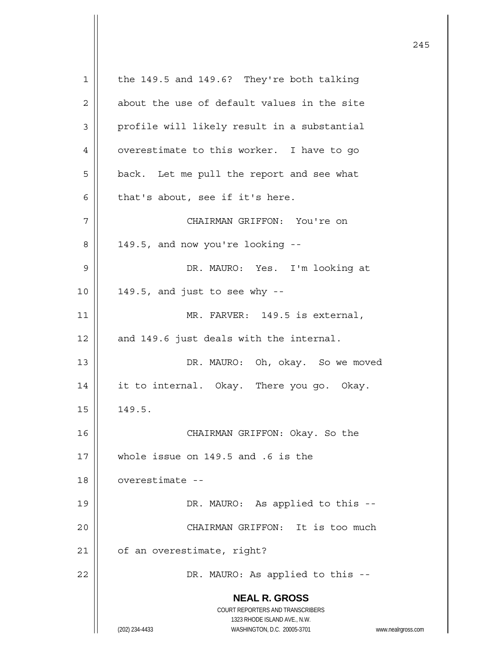**NEAL R. GROSS** COURT REPORTERS AND TRANSCRIBERS 1323 RHODE ISLAND AVE., N.W. (202) 234-4433 WASHINGTON, D.C. 20005-3701 www.nealrgross.com 1 2 3 4 5 6 7 8 9 10 11 12 13 14 15 16 17 18 19 20 21 22 the 149.5 and 149.6? They're both talking about the use of default values in the site profile will likely result in a substantial overestimate to this worker. I have to go back. Let me pull the report and see what that's about, see if it's here. CHAIRMAN GRIFFON: You're on 149.5, and now you're looking -- DR. MAURO: Yes. I'm looking at 149.5, and just to see why -- MR. FARVER: 149.5 is external, and 149.6 just deals with the internal. DR. MAURO: Oh, okay. So we moved it to internal. Okay. There you go. Okay. 149.5. CHAIRMAN GRIFFON: Okay. So the whole issue on 149.5 and .6 is the overestimate -- DR. MAURO: As applied to this -- CHAIRMAN GRIFFON: It is too much of an overestimate, right? DR. MAURO: As applied to this --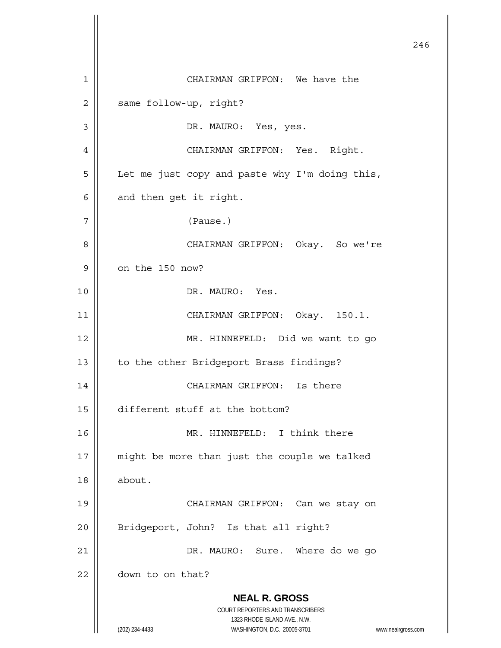**NEAL R. GROSS** COURT REPORTERS AND TRANSCRIBERS 1323 RHODE ISLAND AVE., N.W. (202) 234-4433 WASHINGTON, D.C. 20005-3701 www.nealrgross.com 246 1 2 3 4 5 6 7 8 9 10 11 12 13 14 15 16 17 18 19 20 21 22 CHAIRMAN GRIFFON: We have the same follow-up, right? DR. MAURO: Yes, yes. CHAIRMAN GRIFFON: Yes. Right. Let me just copy and paste why I'm doing this, and then get it right. (Pause.) CHAIRMAN GRIFFON: Okay. So we're on the 150 now? DR. MAURO: Yes. CHAIRMAN GRIFFON: Okay. 150.1. MR. HINNEFELD: Did we want to go to the other Bridgeport Brass findings? CHAIRMAN GRIFFON: Is there different stuff at the bottom? MR. HINNEFELD: I think there might be more than just the couple we talked about. CHAIRMAN GRIFFON: Can we stay on Bridgeport, John? Is that all right? DR. MAURO: Sure. Where do we go down to on that?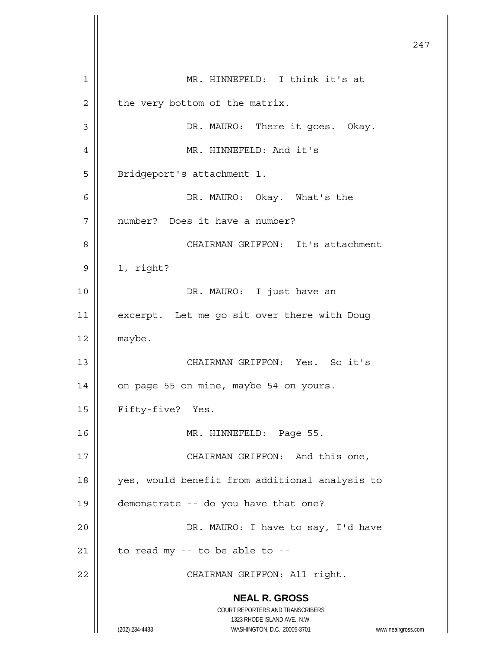**NEAL R. GROSS** COURT REPORTERS AND TRANSCRIBERS 1323 RHODE ISLAND AVE., N.W. (202) 234-4433 WASHINGTON, D.C. 20005-3701 www.nealrgross.com 247 1 2 3 4 5 6 7 8 9 10 11 12 13 14 15 16 17 18 19 20 21 22 MR. HINNEFELD: I think it's at the very bottom of the matrix. DR. MAURO: There it goes. Okay. MR. HINNEFELD: And it's Bridgeport's attachment 1. DR. MAURO: Okay. What's the number? Does it have a number? CHAIRMAN GRIFFON: It's attachment 1, right? DR. MAURO: I just have an excerpt. Let me go sit over there with Doug maybe. CHAIRMAN GRIFFON: Yes. So it's on page 55 on mine, maybe 54 on yours. Fifty-five? Yes. MR. HINNEFELD: Page 55. CHAIRMAN GRIFFON: And this one, yes, would benefit from additional analysis to demonstrate -- do you have that one? DR. MAURO: I have to say, I'd have to read my -- to be able to -- CHAIRMAN GRIFFON: All right.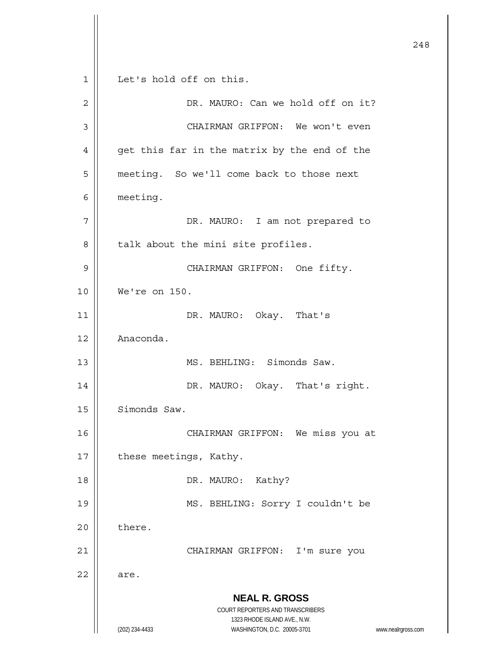**NEAL R. GROSS** COURT REPORTERS AND TRANSCRIBERS 1323 RHODE ISLAND AVE., N.W. (202) 234-4433 WASHINGTON, D.C. 20005-3701 www.nealrgross.com 248 1 2 3 4 5 6 7 8 9 10 11 12 13 14 15 16 17 18 19 20 21 22 Let's hold off on this. DR. MAURO: Can we hold off on it? CHAIRMAN GRIFFON: We won't even get this far in the matrix by the end of the meeting. So we'll come back to those next meeting. DR. MAURO: I am not prepared to talk about the mini site profiles. CHAIRMAN GRIFFON: One fifty. We're on 150. DR. MAURO: Okay. That's Anaconda. MS. BEHLING: Simonds Saw. DR. MAURO: Okay. That's right. Simonds Saw. CHAIRMAN GRIFFON: We miss you at these meetings, Kathy. DR. MAURO: Kathy? MS. BEHLING: Sorry I couldn't be there. CHAIRMAN GRIFFON: I'm sure you are.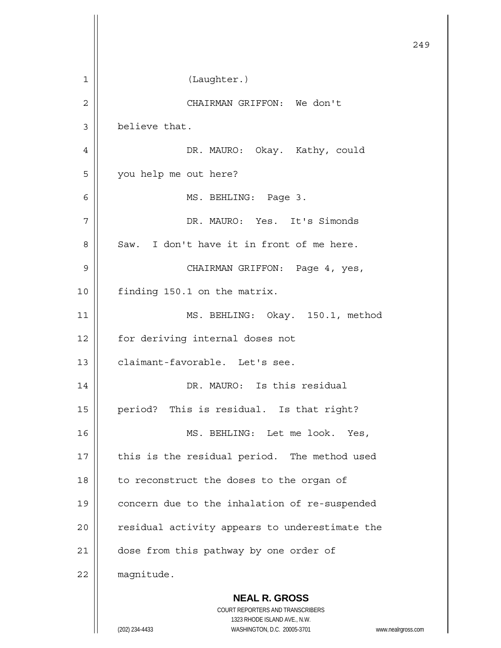|    |                                                                                                     | 249 |
|----|-----------------------------------------------------------------------------------------------------|-----|
| 1  | (Laughter.)                                                                                         |     |
| 2  | CHAIRMAN GRIFFON: We don't                                                                          |     |
| 3  | believe that.                                                                                       |     |
| 4  | DR. MAURO: Okay. Kathy, could                                                                       |     |
| 5  | you help me out here?                                                                               |     |
| 6  | MS. BEHLING: Page 3.                                                                                |     |
| 7  | DR. MAURO: Yes. It's Simonds                                                                        |     |
| 8  | Saw. I don't have it in front of me here.                                                           |     |
| 9  | CHAIRMAN GRIFFON: Page 4, yes,                                                                      |     |
| 10 | finding 150.1 on the matrix.                                                                        |     |
| 11 | MS. BEHLING: Okay. 150.1, method                                                                    |     |
| 12 | for deriving internal doses not                                                                     |     |
| 13 | claimant-favorable. Let's see.                                                                      |     |
| 14 | DR. MAURO: Is this residual                                                                         |     |
| 15 | This is residual. Is that right?<br>period?                                                         |     |
| 16 | MS. BEHLING: Let me look.<br>Yes,                                                                   |     |
| 17 | this is the residual period. The method used                                                        |     |
| 18 | to reconstruct the doses to the organ of                                                            |     |
| 19 | concern due to the inhalation of re-suspended                                                       |     |
| 20 | residual activity appears to underestimate the                                                      |     |
| 21 | dose from this pathway by one order of                                                              |     |
| 22 | magnitude.                                                                                          |     |
|    | <b>NEAL R. GROSS</b><br>COURT REPORTERS AND TRANSCRIBERS                                            |     |
|    | 1323 RHODE ISLAND AVE., N.W.<br>(202) 234-4433<br>WASHINGTON, D.C. 20005-3701<br>www.nealrgross.com |     |

Ħ  $\mathbf{\mathcal{L}}$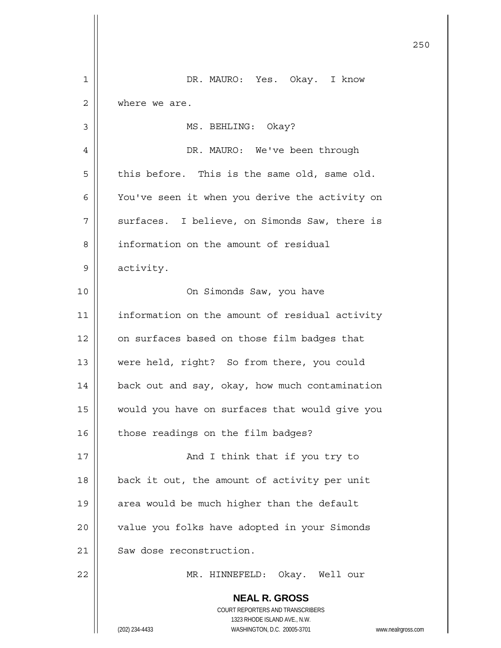|    | 250                                                                 |
|----|---------------------------------------------------------------------|
| 1  | DR. MAURO: Yes. Okay. I know                                        |
| 2  | where we are.                                                       |
| 3  | MS. BEHLING: Okay?                                                  |
| 4  | DR. MAURO: We've been through                                       |
| 5  | this before. This is the same old, same old.                        |
| 6  | You've seen it when you derive the activity on                      |
| 7  | surfaces. I believe, on Simonds Saw, there is                       |
| 8  | information on the amount of residual                               |
| 9  | activity.                                                           |
| 10 | On Simonds Saw, you have                                            |
| 11 | information on the amount of residual activity                      |
| 12 | on surfaces based on those film badges that                         |
| 13 | were held, right? So from there, you could                          |
| 14 | back out and say, okay, how much contamination                      |
| 15 | would you have on surfaces that would give you                      |
| 16 | those readings on the film badges?                                  |
| 17 | And I think that if you try to                                      |
| 18 | back it out, the amount of activity per unit                        |
| 19 | area would be much higher than the default                          |
| 20 | value you folks have adopted in your Simonds                        |
| 21 | Saw dose reconstruction.                                            |
| 22 | Okay. Well our<br>MR. HINNEFELD:                                    |
|    | <b>NEAL R. GROSS</b>                                                |
|    | COURT REPORTERS AND TRANSCRIBERS<br>1323 RHODE ISLAND AVE., N.W.    |
|    | (202) 234-4433<br>WASHINGTON, D.C. 20005-3701<br>www.nealrgross.com |

 $\mathsf{l}$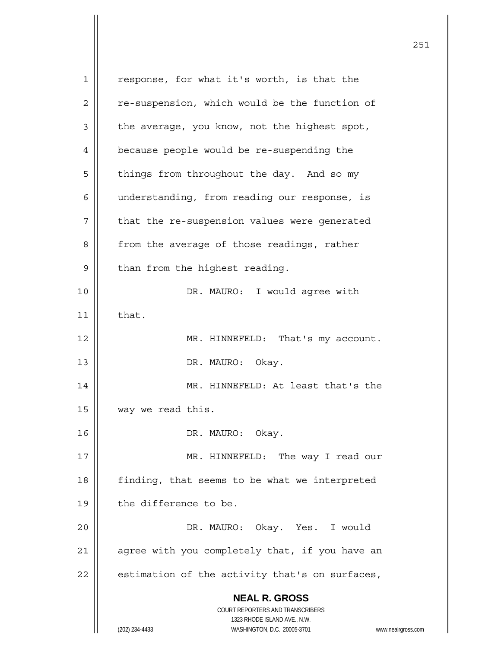**NEAL R. GROSS** COURT REPORTERS AND TRANSCRIBERS 1323 RHODE ISLAND AVE., N.W. (202) 234-4433 WASHINGTON, D.C. 20005-3701 www.nealrgross.com 1 2 3 4 5 6 7 8 9 10 11 12 13 14 15 16 17 18 19 20 21 22 response, for what it's worth, is that the re-suspension, which would be the function of the average, you know, not the highest spot, because people would be re-suspending the things from throughout the day. And so my understanding, from reading our response, is that the re-suspension values were generated from the average of those readings, rather than from the highest reading. DR. MAURO: I would agree with that. MR. HINNEFELD: That's my account. DR. MAURO: Okay. MR. HINNEFELD: At least that's the way we read this. DR. MAURO: Okay. MR. HINNEFELD: The way I read our finding, that seems to be what we interpreted the difference to be. DR. MAURO: Okay. Yes. I would agree with you completely that, if you have an estimation of the activity that's on surfaces,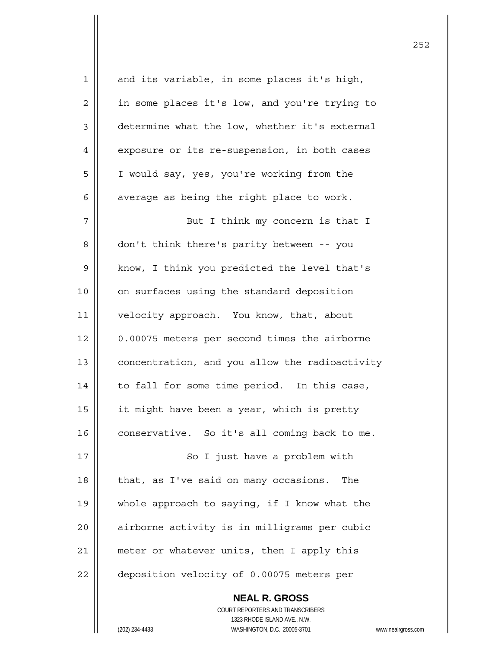| 1           | and its variable, in some places it's high,    |
|-------------|------------------------------------------------|
| 2           | in some places it's low, and you're trying to  |
| $\mathsf 3$ | determine what the low, whether it's external  |
| 4           | exposure or its re-suspension, in both cases   |
| 5           | I would say, yes, you're working from the      |
| 6           | average as being the right place to work.      |
| 7           | But I think my concern is that I               |
| 8           | don't think there's parity between -- you      |
| 9           | know, I think you predicted the level that's   |
| 10          | on surfaces using the standard deposition      |
| 11          | velocity approach. You know, that, about       |
| 12          | 0.00075 meters per second times the airborne   |
| 13          | concentration, and you allow the radioactivity |
| 14          | to fall for some time period. In this case,    |
| 15          | it might have been a year, which is pretty     |
| 16          | conservative. So it's all coming back to me.   |
| 17          | So I just have a problem with                  |
| 18          | that, as I've said on many occasions.<br>The   |
| 19          | whole approach to saying, if I know what the   |
| 20          | airborne activity is in milligrams per cubic   |
| 21          | meter or whatever units, then I apply this     |
| 22          | deposition velocity of 0.00075 meters per      |
|             | <b>NEAL R. GROSS</b>                           |

COURT REPORTERS AND TRANSCRIBERS 1323 RHODE ISLAND AVE., N.W. (202) 234-4433 WASHINGTON, D.C. 20005-3701 www.nealrgross.com

 $\mathsf{II}$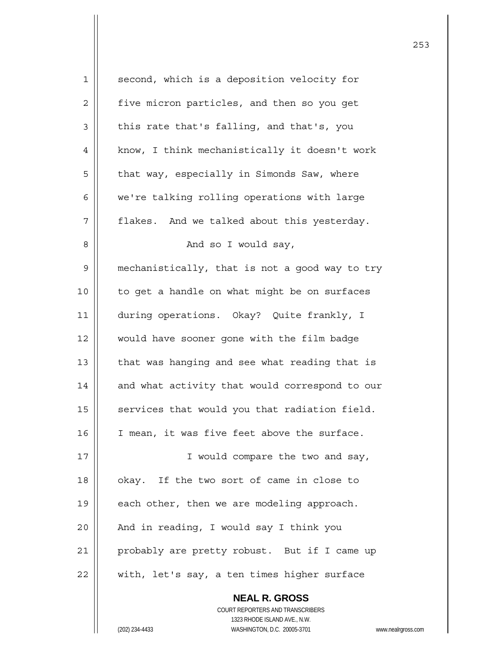| $\mathbf 1$    | second, which is a deposition velocity for                |
|----------------|-----------------------------------------------------------|
| 2              | five micron particles, and then so you get                |
| $\mathsf 3$    | this rate that's falling, and that's, you                 |
| $\overline{4}$ | know, I think mechanistically it doesn't work             |
| 5              | that way, especially in Simonds Saw, where                |
| 6              | we're talking rolling operations with large               |
| 7              | flakes. And we talked about this yesterday.               |
| 8              | And so I would say,                                       |
| 9              | mechanistically, that is not a good way to try            |
| 10             | to get a handle on what might be on surfaces              |
| 11             | during operations. Okay? Quite frankly, I                 |
| 12             | would have sooner gone with the film badge                |
| 13             | that was hanging and see what reading that is             |
| 14             | and what activity that would correspond to our            |
| 15             | services that would you that radiation field.             |
| 16             | I mean, it was five feet above the surface.               |
| 17             | I would compare the two and say,                          |
| 18             | okay. If the two sort of came in close to                 |
| 19             | each other, then we are modeling approach.                |
| 20             | And in reading, I would say I think you                   |
| 21             | probably are pretty robust. But if I came up              |
| 22             | with, let's say, a ten times higher surface               |
|                | <b>NEAL R. GROSS</b>                                      |
|                | COURT REPORTERS AND TRANSCRIBERS                          |
|                | 1323 RHODE ISLAND AVE., N.W.                              |
|                | (202) 234-4433<br>WASHINGTON, D.C. 20005-3701<br>www.neal |

<u>253</u>

(202) 234-4433 WASHINGTON, D.C. 20005-3701 www.nealrgross.com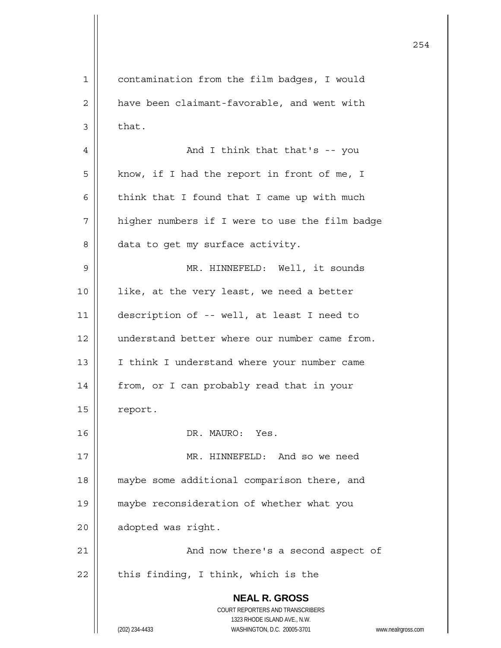**NEAL R. GROSS** COURT REPORTERS AND TRANSCRIBERS 1323 RHODE ISLAND AVE., N.W. (202) 234-4433 WASHINGTON, D.C. 20005-3701 www.nealrgross.com 254 1 2 3 4 5 6 7 8 9 10 11 12 13 14 15 16 17 18 19 20 21 22 contamination from the film badges, I would have been claimant-favorable, and went with that. And I think that that's -- you know, if I had the report in front of me, I think that I found that I came up with much higher numbers if I were to use the film badge data to get my surface activity. MR. HINNEFELD: Well, it sounds like, at the very least, we need a better description of -- well, at least I need to understand better where our number came from. I think I understand where your number came from, or I can probably read that in your report. DR. MAURO: Yes. MR. HINNEFELD: And so we need maybe some additional comparison there, and maybe reconsideration of whether what you adopted was right. And now there's a second aspect of this finding, I think, which is the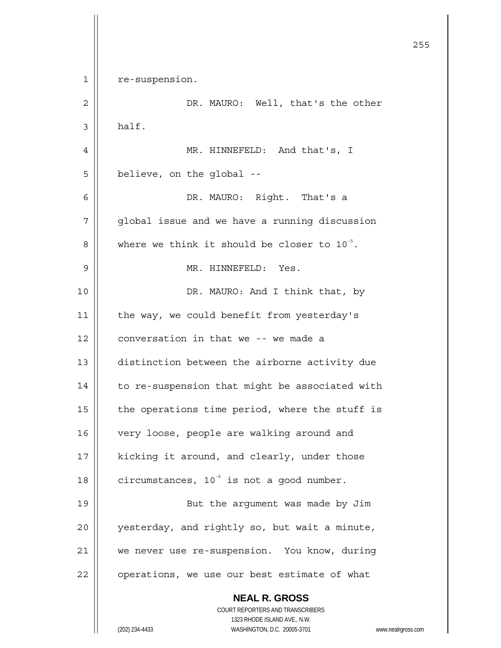**NEAL R. GROSS** COURT REPORTERS AND TRANSCRIBERS 1323 RHODE ISLAND AVE., N.W. 1 2 3 4 5 6 7 8 9 10 11 12 13 14 15 16 17 18 19 20 21 22 re-suspension. DR. MAURO: Well, that's the other half. MR. HINNEFELD: And that's, I believe, on the global -- DR. MAURO: Right. That's a global issue and we have a running discussion where we think it should be closer to  $10^{-5}$ . MR. HINNEFELD: Yes. DR. MAURO: And I think that, by the way, we could benefit from yesterday's conversation in that we -- we made a distinction between the airborne activity due to re-suspension that might be associated with the operations time period, where the stuff is very loose, people are walking around and kicking it around, and clearly, under those circumstances,  $10^{-6}$  is not a good number. But the argument was made by Jim yesterday, and rightly so, but wait a minute, we never use re-suspension. You know, during operations, we use our best estimate of what

<u>255</u>

(202) 234-4433 WASHINGTON, D.C. 20005-3701 www.nealrgross.com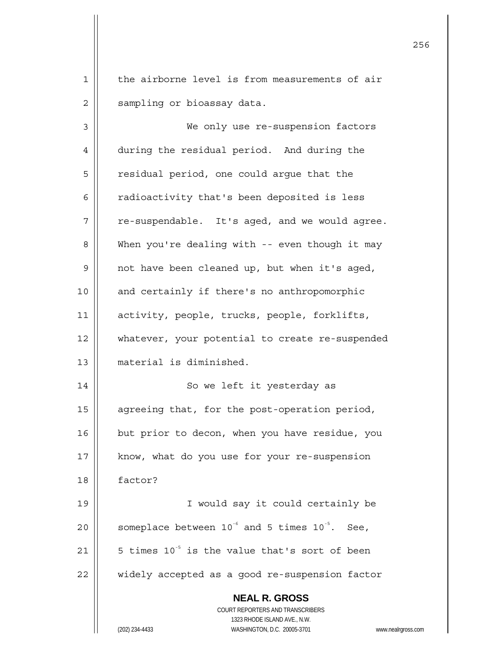1 2 the airborne level is from measurements of air sampling or bioassay data.

**NEAL R. GROSS** COURT REPORTERS AND TRANSCRIBERS 1323 RHODE ISLAND AVE., N.W. 3 4 5 6 7 8 9 10 11 12 13 14 15 16 17 18 19 20 21 22 We only use re-suspension factors during the residual period. And during the residual period, one could argue that the radioactivity that's been deposited is less re-suspendable. It's aged, and we would agree. When you're dealing with -- even though it may not have been cleaned up, but when it's aged, and certainly if there's no anthropomorphic activity, people, trucks, people, forklifts, whatever, your potential to create re-suspended material is diminished. So we left it yesterday as agreeing that, for the post-operation period, but prior to decon, when you have residue, you know, what do you use for your re-suspension factor? I would say it could certainly be someplace between  $10^{-6}$  and 5 times  $10^{-5}$ . See, 5 times 10<sup>-5</sup> is the value that's sort of been widely accepted as a good re-suspension factor

(202) 234-4433 WASHINGTON, D.C. 20005-3701 www.nealrgross.com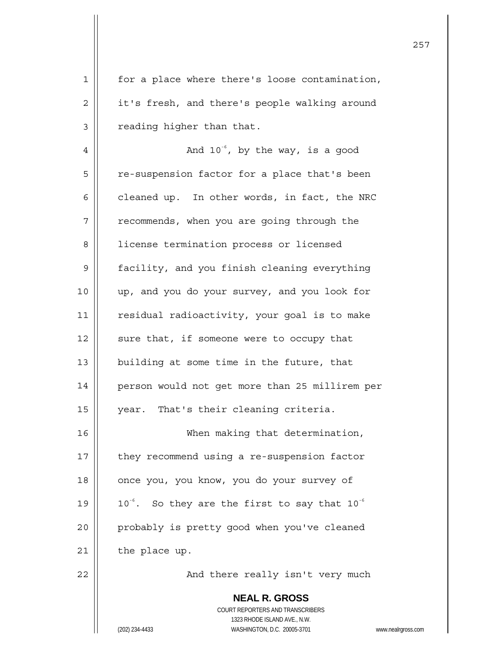| $\mathbf 1$    | for a place where there's loose contamination,              |
|----------------|-------------------------------------------------------------|
| $\mathbf{2}$   | it's fresh, and there's people walking around               |
| $\mathfrak{Z}$ | reading higher than that.                                   |
| $\overline{4}$ | And $10^{-6}$ , by the way, is a good                       |
| 5              | re-suspension factor for a place that's been                |
| 6              | cleaned up. In other words, in fact, the NRC                |
| 7              | recommends, when you are going through the                  |
| $\,8\,$        | license termination process or licensed                     |
| $\mathsf 9$    | facility, and you finish cleaning everything                |
| 10             | up, and you do your survey, and you look for                |
| 11             | residual radioactivity, your goal is to make                |
| 12             | sure that, if someone were to occupy that                   |
| 13             | building at some time in the future, that                   |
| 14             | person would not get more than 25 millirem per              |
| 15             | year. That's their cleaning criteria.                       |
| 16             | When making that determination,                             |
| 17             | they recommend using a re-suspension factor                 |
| 18             | once you, you know, you do your survey of                   |
| 19             | $10^{-6}$ . So they are the first to say that $10^{-6}$     |
| 20             | probably is pretty good when you've cleaned                 |
| 21             | the place up.                                               |
| 22             | And there really isn't very much                            |
|                | <b>NEAL R. GROSS</b>                                        |
|                | COURT REPORTERS AND TRANSCRIBERS                            |
|                | 1323 RHODE ISLAND AVE., N.W.                                |
|                | (202) 234-4433<br>WASHINGTON, D.C. 20005-3701<br><b>WWW</b> |

(202) 234-4433 WASHINGTON, D.C. 20005-3701 www.nealrgross.com

<u>257</u>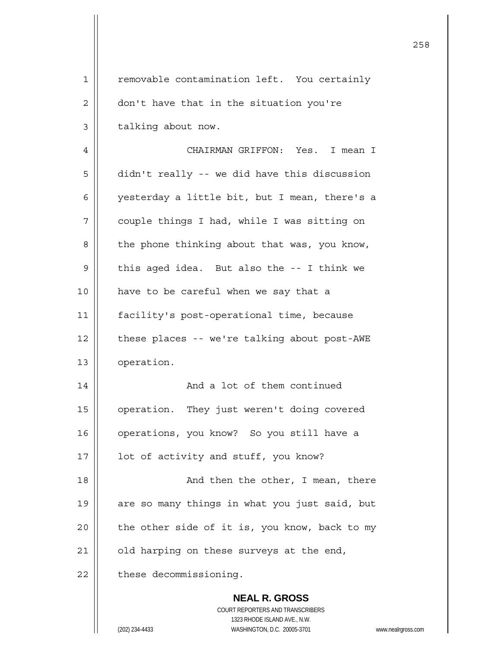| $\mathbf 1$    | removable contamination left. You certainly                                                                                                       |
|----------------|---------------------------------------------------------------------------------------------------------------------------------------------------|
| $\overline{c}$ | don't have that in the situation you're                                                                                                           |
| 3              | talking about now.                                                                                                                                |
| 4              | CHAIRMAN GRIFFON: Yes. I mean I                                                                                                                   |
| 5              | didn't really -- we did have this discussion                                                                                                      |
| 6              | yesterday a little bit, but I mean, there's a                                                                                                     |
| 7              | couple things I had, while I was sitting on                                                                                                       |
| 8              | the phone thinking about that was, you know,                                                                                                      |
| $\mathsf 9$    | this aged idea. But also the -- I think we                                                                                                        |
| 10             | have to be careful when we say that a                                                                                                             |
| 11             | facility's post-operational time, because                                                                                                         |
| 12             | these places -- we're talking about post-AWE                                                                                                      |
| 13             | operation.                                                                                                                                        |
| 14             | And a lot of them continued                                                                                                                       |
| 15             | operation. They just weren't doing covered                                                                                                        |
| 16             | operations, you know? So you still have a                                                                                                         |
| 17             | lot of activity and stuff, you know?                                                                                                              |
| 18             | And then the other, I mean, there                                                                                                                 |
| 19             | are so many things in what you just said, but                                                                                                     |
| 20             | the other side of it is, you know, back to my                                                                                                     |
| 21             | old harping on these surveys at the end,                                                                                                          |
| 22             | these decommissioning.                                                                                                                            |
|                | <b>NEAL R. GROSS</b><br>COURT REPORTERS AND TRANSCRIBERS<br>1323 RHODE ISLAND AVE., N.W.<br>(202) 234-4433<br>WASHINGTON, D.C. 20005-3701<br>WWW. |

<u>258</u>

(202) 234-4433 WASHINGTON, D.C. 20005-3701 www.nealrgross.com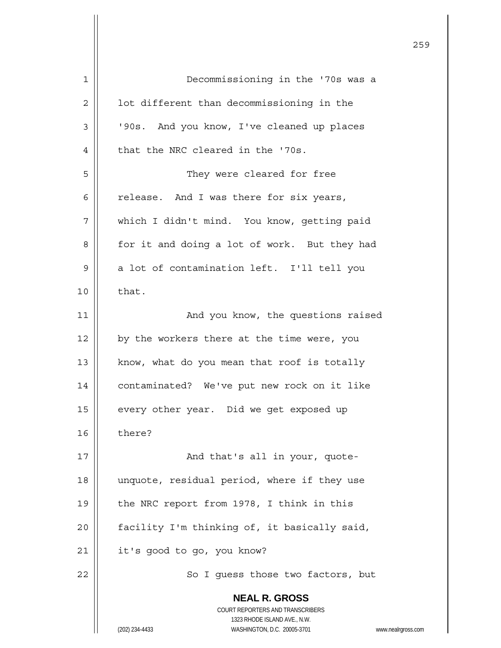| $\mathbf 1$ | Decommissioning in the '70s was a                                                                                                                                      |
|-------------|------------------------------------------------------------------------------------------------------------------------------------------------------------------------|
| 2           | lot different than decommissioning in the                                                                                                                              |
| 3           | '90s. And you know, I've cleaned up places                                                                                                                             |
| 4           | that the NRC cleared in the '70s.                                                                                                                                      |
| 5           | They were cleared for free                                                                                                                                             |
| 6           | release. And I was there for six years,                                                                                                                                |
| 7           | which I didn't mind. You know, getting paid                                                                                                                            |
| 8           | for it and doing a lot of work. But they had                                                                                                                           |
| 9           | a lot of contamination left. I'll tell you                                                                                                                             |
| 10          | that.                                                                                                                                                                  |
| 11          | And you know, the questions raised                                                                                                                                     |
| 12          | by the workers there at the time were, you                                                                                                                             |
| 13          | know, what do you mean that roof is totally                                                                                                                            |
| 14          | contaminated? We've put new rock on it like                                                                                                                            |
| 15          | every other year. Did we get exposed up                                                                                                                                |
| 16          | there?                                                                                                                                                                 |
| 17          | And that's all in your, quote-                                                                                                                                         |
| 18          | unquote, residual period, where if they use                                                                                                                            |
| 19          | the NRC report from 1978, I think in this                                                                                                                              |
| 20          | facility I'm thinking of, it basically said,                                                                                                                           |
| 21          | it's good to go, you know?                                                                                                                                             |
| 22          | So I guess those two factors, but                                                                                                                                      |
|             | <b>NEAL R. GROSS</b><br><b>COURT REPORTERS AND TRANSCRIBERS</b><br>1323 RHODE ISLAND AVE., N.W.<br>(202) 234-4433<br>WASHINGTON, D.C. 20005-3701<br>www.nealrgross.com |

<u>259</u>

 $\mathbf{I}$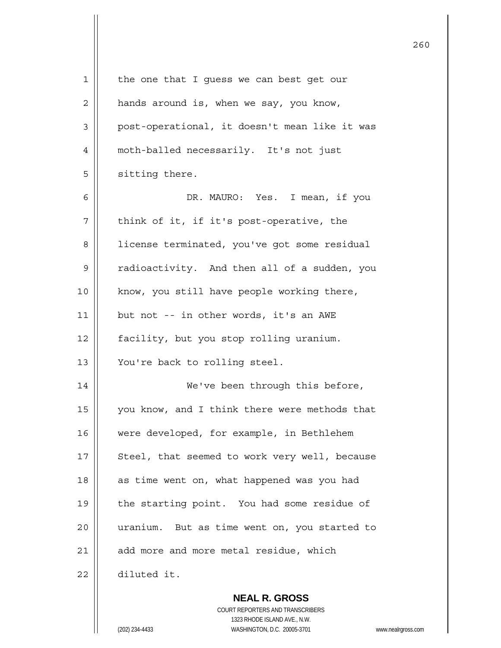| 1            | the one that I guess we can best get our      |
|--------------|-----------------------------------------------|
| $\mathbf{2}$ | hands around is, when we say, you know,       |
| 3            | post-operational, it doesn't mean like it was |
| 4            | moth-balled necessarily. It's not just        |
| 5            | sitting there.                                |
| 6            | DR. MAURO: Yes. I mean, if you                |
| 7            | think of it, if it's post-operative, the      |
| 8            | license terminated, you've got some residual  |
| 9            | radioactivity. And then all of a sudden, you  |
| 10           | know, you still have people working there,    |
| 11           | but not -- in other words, it's an AWE        |
| 12           | facility, but you stop rolling uranium.       |
| 13           | You're back to rolling steel.                 |
| 14           | We've been through this before,               |
| 15           | you know, and I think there were methods that |
| 16           | were developed, for example, in Bethlehem     |
| 17           | Steel, that seemed to work very well, because |
| 18           | as time went on, what happened was you had    |
| 19           | the starting point. You had some residue of   |
| 20           | uranium. But as time went on, you started to  |
| 21           | add more and more metal residue, which        |
| 22           | diluted it.                                   |
|              | <b>NEAL R. GROSS</b>                          |

последница в област 1960 година в 1960 године в 1960 године в 1960 године в 1960 године в 1960 године в 1960 го<br>В 1960 године в 1960 године в 1960 године в 1960 године в 1960 године в 1960 године в 1960 године в 1960 годи

COURT REPORTERS AND TRANSCRIBERS 1323 RHODE ISLAND AVE., N.W. (202) 234-4433 WASHINGTON, D.C. 20005-3701 www.nealrgross.com

 $\mathbf{I}$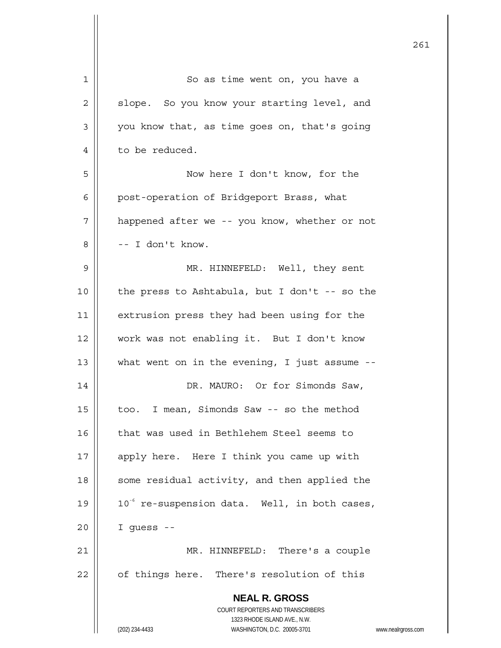| 1  | So as time went on, you have a                                      |
|----|---------------------------------------------------------------------|
| 2  | slope. So you know your starting level, and                         |
| 3  | you know that, as time goes on, that's going                        |
| 4  | to be reduced.                                                      |
| 5  | Now here I don't know, for the                                      |
| 6  | post-operation of Bridgeport Brass, what                            |
| 7  | happened after we -- you know, whether or not                       |
| 8  | -- I don't know.                                                    |
| 9  | MR. HINNEFELD: Well, they sent                                      |
| 10 | the press to Ashtabula, but I don't -- so the                       |
| 11 | extrusion press they had been using for the                         |
| 12 | work was not enabling it. But I don't know                          |
| 13 | what went on in the evening, I just assume $-$                      |
| 14 | DR. MAURO: Or for Simonds Saw,                                      |
| 15 | I mean, Simonds Saw -- so the method<br>too.                        |
| 16 | that was used in Bethlehem Steel seems to                           |
| 17 | apply here. Here I think you came up with                           |
| 18 | some residual activity, and then applied the                        |
| 19 | 10 <sup>-6</sup> re-suspension data. Well, in both cases,           |
| 20 | I quess --                                                          |
| 21 | MR. HINNEFELD: There's a couple                                     |
| 22 | of things here. There's resolution of this                          |
|    | <b>NEAL R. GROSS</b>                                                |
|    | COURT REPORTERS AND TRANSCRIBERS<br>1323 RHODE ISLAND AVE., N.W.    |
|    | (202) 234-4433<br>WASHINGTON, D.C. 20005-3701<br>www.nealrgross.com |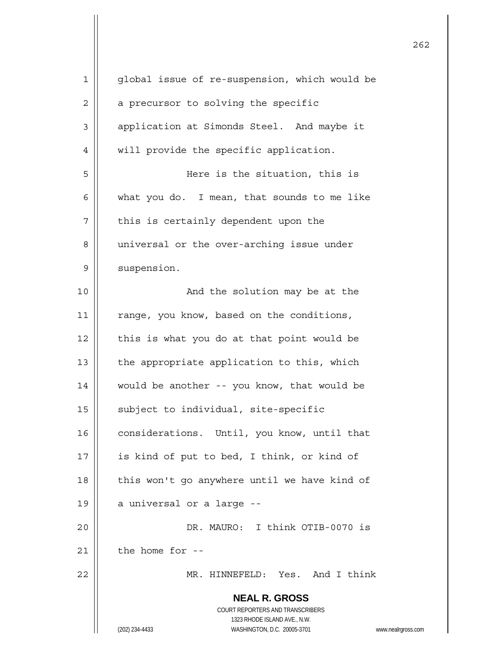| $\mathbf 1$ | global issue of re-suspension, which would be                       |
|-------------|---------------------------------------------------------------------|
| 2           | a precursor to solving the specific                                 |
| 3           | application at Simonds Steel. And maybe it                          |
| 4           | will provide the specific application.                              |
| 5           | Here is the situation, this is                                      |
| 6           | what you do. I mean, that sounds to me like                         |
| 7           | this is certainly dependent upon the                                |
| 8           | universal or the over-arching issue under                           |
| 9           | suspension.                                                         |
| 10          | And the solution may be at the                                      |
| 11          | range, you know, based on the conditions,                           |
| 12          | this is what you do at that point would be                          |
| 13          | the appropriate application to this, which                          |
| 14          | would be another -- you know, that would be                         |
| 15          | subject to individual, site-specific                                |
| 16          | considerations. Until, you know, until that                         |
| 17          | is kind of put to bed, I think, or kind of                          |
| 18          | this won't go anywhere until we have kind of                        |
| 19          | a universal or a large --                                           |
|             |                                                                     |
| 20          | DR. MAURO: I think OTIB-0070 is                                     |
| 21          | the home for --                                                     |
| 22          | MR. HINNEFELD: Yes. And I think                                     |
|             | <b>NEAL R. GROSS</b>                                                |
|             | COURT REPORTERS AND TRANSCRIBERS<br>1323 RHODE ISLAND AVE., N.W.    |
|             | (202) 234-4433<br>WASHINGTON, D.C. 20005-3701<br>www.nealrgross.com |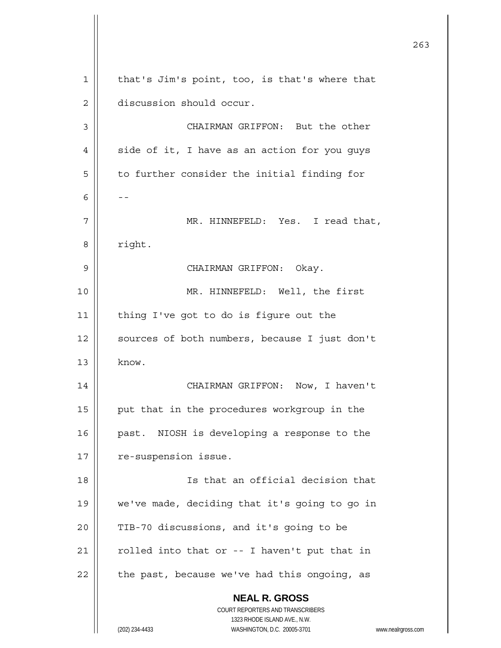**NEAL R. GROSS** COURT REPORTERS AND TRANSCRIBERS 1323 RHODE ISLAND AVE., N.W. (202) 234-4433 WASHINGTON, D.C. 20005-3701 www.nealrgross.com <u>263</u> 1 2 3 4 5 6 7 8 9 10 11 12 13 14 15 16 17 18 19 20 21 22 that's Jim's point, too, is that's where that discussion should occur. CHAIRMAN GRIFFON: But the other side of it, I have as an action for you guys to further consider the initial finding for -- MR. HINNEFELD: Yes. I read that, right. CHAIRMAN GRIFFON: Okay. MR. HINNEFELD: Well, the first thing I've got to do is figure out the sources of both numbers, because I just don't know. CHAIRMAN GRIFFON: Now, I haven't put that in the procedures workgroup in the past. NIOSH is developing a response to the re-suspension issue. Is that an official decision that we've made, deciding that it's going to go in TIB-70 discussions, and it's going to be rolled into that or -- I haven't put that in the past, because we've had this ongoing, as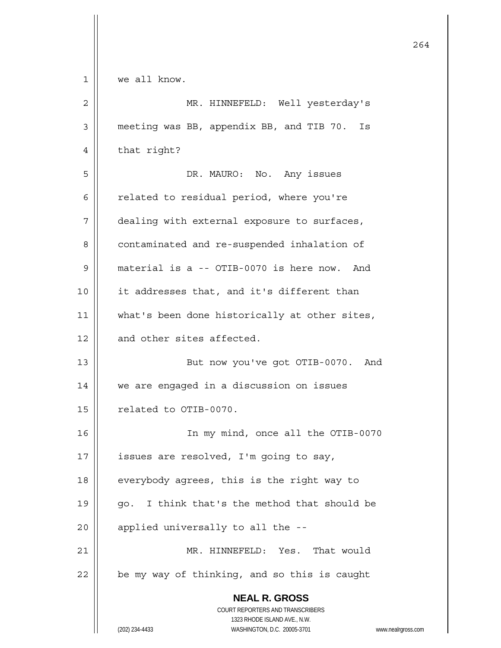1

| $\overline{c}$ | MR. HINNEFELD: Well yesterday's                                                                                                                                 |
|----------------|-----------------------------------------------------------------------------------------------------------------------------------------------------------------|
| 3              | meeting was BB, appendix BB, and TIB 70. Is                                                                                                                     |
| 4              | that right?                                                                                                                                                     |
| 5              | DR. MAURO: No. Any issues                                                                                                                                       |
| 6              | related to residual period, where you're                                                                                                                        |
| 7              | dealing with external exposure to surfaces,                                                                                                                     |
| 8              | contaminated and re-suspended inhalation of                                                                                                                     |
| 9              | material is a -- OTIB-0070 is here now. And                                                                                                                     |
| 10             | it addresses that, and it's different than                                                                                                                      |
| 11             | what's been done historically at other sites,                                                                                                                   |
| 12             | and other sites affected.                                                                                                                                       |
| 13             | But now you've got OTIB-0070.<br>And                                                                                                                            |
| 14             | we are engaged in a discussion on issues                                                                                                                        |
| 15             | related to OTIB-0070.                                                                                                                                           |
| 16             | In my mind, once all the OTIB-0070                                                                                                                              |
| $17$           | issues are resolved, I'm going to say,                                                                                                                          |
| 18             | everybody agrees, this is the right way to                                                                                                                      |
| 19             | I think that's the method that should be<br>qo.                                                                                                                 |
| 20             | applied universally to all the --                                                                                                                               |
| 21             | MR. HINNEFELD: Yes. That would                                                                                                                                  |
| 22             | be my way of thinking, and so this is caught                                                                                                                    |
|                | <b>NEAL R. GROSS</b><br>COURT REPORTERS AND TRANSCRIBERS<br>1323 RHODE ISLAND AVE., N.W.<br>(202) 234-4433<br>WASHINGTON, D.C. 20005-3701<br>www.nealrgross.com |
|                |                                                                                                                                                                 |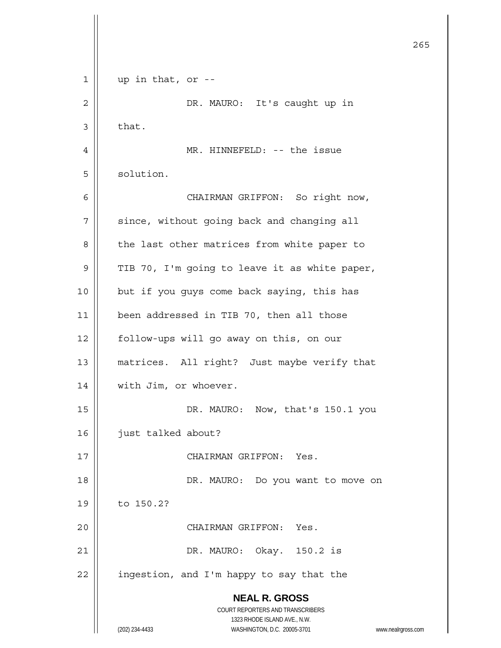**NEAL R. GROSS** COURT REPORTERS AND TRANSCRIBERS 1323 RHODE ISLAND AVE., N.W. (202) 234-4433 WASHINGTON, D.C. 20005-3701 www.nealrgross.com <u>265</u> 1 2 3 4 5 6 7 8 9 10 11 12 13 14 15 16 17 18 19 20 21 22 up in that, or -- DR. MAURO: It's caught up in that. MR. HINNEFELD: -- the issue solution. CHAIRMAN GRIFFON: So right now, since, without going back and changing all the last other matrices from white paper to TIB 70, I'm going to leave it as white paper, but if you guys come back saying, this has been addressed in TIB 70, then all those follow-ups will go away on this, on our matrices. All right? Just maybe verify that with Jim, or whoever. DR. MAURO: Now, that's 150.1 you just talked about? CHAIRMAN GRIFFON: Yes. DR. MAURO: Do you want to move on to 150.2? CHAIRMAN GRIFFON: Yes. DR. MAURO: Okay. 150.2 is ingestion, and I'm happy to say that the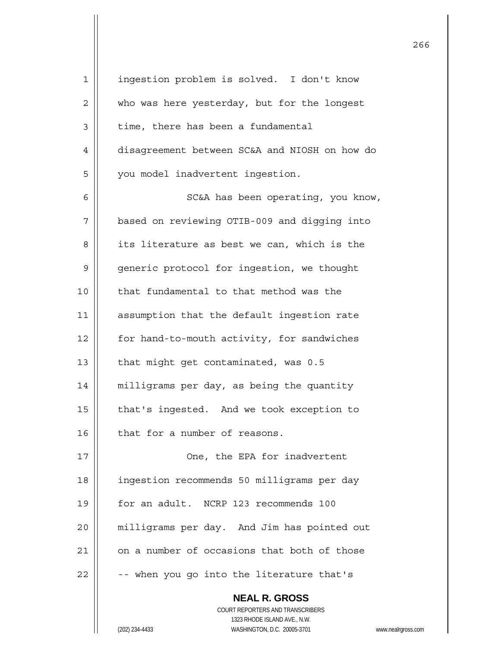| $\mathbf{1}$ | ingestion problem is solved. I don't know                                                |
|--------------|------------------------------------------------------------------------------------------|
| 2            | who was here yesterday, but for the longest                                              |
| 3            | time, there has been a fundamental                                                       |
| 4            | disagreement between SC&A and NIOSH on how do                                            |
| 5            | you model inadvertent ingestion.                                                         |
| 6            | SC&A has been operating, you know,                                                       |
| 7            | based on reviewing OTIB-009 and digging into                                             |
| 8            | its literature as best we can, which is the                                              |
| 9            | generic protocol for ingestion, we thought                                               |
| 10           | that fundamental to that method was the                                                  |
| 11           | assumption that the default ingestion rate                                               |
| 12           | for hand-to-mouth activity, for sandwiches                                               |
| 13           | that might get contaminated, was 0.5                                                     |
| 14           | milligrams per day, as being the quantity                                                |
| 15           | that's ingested. And we took exception to                                                |
| 16           | that for a number of reasons.                                                            |
| 17           | One, the EPA for inadvertent                                                             |
| 18           | ingestion recommends 50 milligrams per day                                               |
| 19           | for an adult. NCRP 123 recommends 100                                                    |
| 20           | milligrams per day. And Jim has pointed out                                              |
| 21           | on a number of occasions that both of those                                              |
| 22           | -- when you go into the literature that's                                                |
|              | <b>NEAL R. GROSS</b><br>COURT REPORTERS AND TRANSCRIBERS<br>1323 RHODE ISLAND AVE., N.W. |
|              | (202) 234-4433<br>WASHINGTON, D.C. 20005-3701<br><b>WWW</b>                              |

(202) 234-4433 WASHINGTON, D.C. 20005-3701 www.nealrgross.com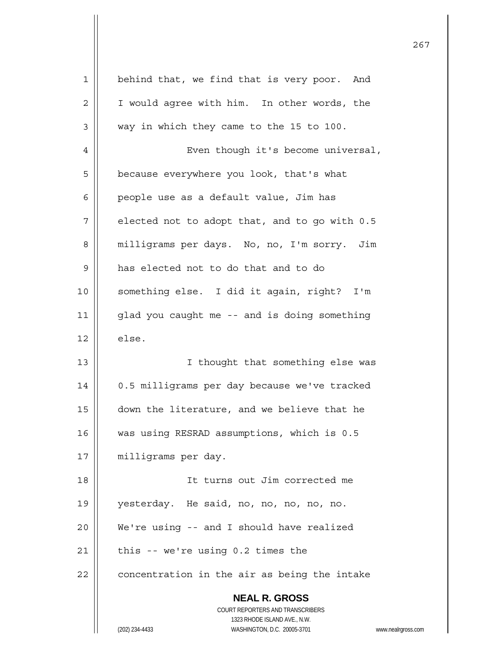| 1              | behind that, we find that is very poor. And                         |
|----------------|---------------------------------------------------------------------|
| 2              | I would agree with him. In other words, the                         |
| $\mathfrak{Z}$ | way in which they came to the 15 to 100.                            |
| 4              | Even though it's become universal,                                  |
| 5              | because everywhere you look, that's what                            |
| 6              | people use as a default value, Jim has                              |
| 7              | elected not to adopt that, and to go with 0.5                       |
| 8              | milligrams per days. No, no, I'm sorry. Jim                         |
| 9              | has elected not to do that and to do                                |
| 10             | something else. I did it again, right? I'm                          |
| 11             | glad you caught me -- and is doing something                        |
|                |                                                                     |
| 12             | else.                                                               |
| 13             | I thought that something else was                                   |
| 14             | 0.5 milligrams per day because we've tracked                        |
| 15             | down the literature, and we believe that he                         |
| 16             | was using RESRAD assumptions, which is 0.5                          |
| 17             | milligrams per day.                                                 |
| 18             | It turns out Jim corrected me                                       |
| 19             | yesterday. He said, no, no, no, no, no.                             |
| 20             | We're using -- and I should have realized                           |
| 21             | this -- we're using 0.2 times the                                   |
| 22             | concentration in the air as being the intake                        |
|                |                                                                     |
|                | <b>NEAL R. GROSS</b><br>COURT REPORTERS AND TRANSCRIBERS            |
|                | 1323 RHODE ISLAND AVE., N.W.                                        |
|                | (202) 234-4433<br>WASHINGTON, D.C. 20005-3701<br>www.nealrgross.com |
|                |                                                                     |

267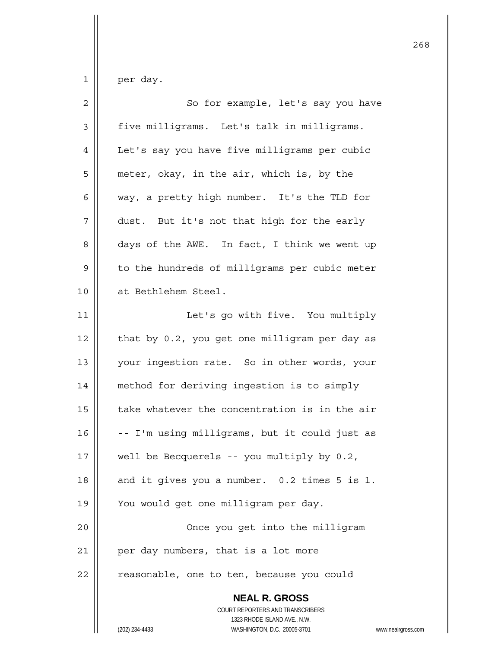| 2              | So for example, let's say you have                                                                                                                              |
|----------------|-----------------------------------------------------------------------------------------------------------------------------------------------------------------|
| 3              | five milligrams. Let's talk in milligrams.                                                                                                                      |
| $\overline{4}$ | Let's say you have five milligrams per cubic                                                                                                                    |
| 5              | meter, okay, in the air, which is, by the                                                                                                                       |
| 6              | way, a pretty high number. It's the TLD for                                                                                                                     |
| 7              | dust. But it's not that high for the early                                                                                                                      |
| 8              | days of the AWE. In fact, I think we went up                                                                                                                    |
| 9              | to the hundreds of milligrams per cubic meter                                                                                                                   |
| 10             | at Bethlehem Steel.                                                                                                                                             |
| 11             | Let's go with five. You multiply                                                                                                                                |
| 12             | that by 0.2, you get one milligram per day as                                                                                                                   |
| 13             | your ingestion rate. So in other words, your                                                                                                                    |
| 14             | method for deriving ingestion is to simply                                                                                                                      |
| 15             | take whatever the concentration is in the air                                                                                                                   |
| 16             | -- I'm using milligrams, but it could just as                                                                                                                   |
| 17             | well be Becquerels -- you multiply by 0.2,                                                                                                                      |
| 18             | and it gives you a number. 0.2 times 5 is 1.                                                                                                                    |
| 19             | You would get one milligram per day.                                                                                                                            |
| 20             | Once you get into the milligram                                                                                                                                 |
| 21             | per day numbers, that is a lot more                                                                                                                             |
| 22             | reasonable, one to ten, because you could                                                                                                                       |
|                | <b>NEAL R. GROSS</b><br>COURT REPORTERS AND TRANSCRIBERS<br>1323 RHODE ISLAND AVE., N.W.<br>(202) 234-4433<br>WASHINGTON, D.C. 20005-3701<br>www.nealrgross.com |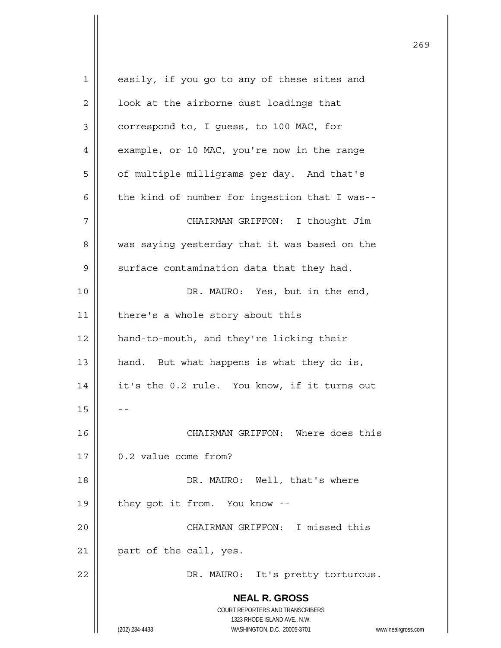**NEAL R. GROSS** COURT REPORTERS AND TRANSCRIBERS 1323 RHODE ISLAND AVE., N.W. (202) 234-4433 WASHINGTON, D.C. 20005-3701 www.nealrgross.com 1 2 3 4 5 6 7 8 9 10 11 12 13 14 15 16 17 18 19 20 21 22 easily, if you go to any of these sites and look at the airborne dust loadings that correspond to, I guess, to 100 MAC, for example, or 10 MAC, you're now in the range of multiple milligrams per day. And that's the kind of number for ingestion that I was-- CHAIRMAN GRIFFON: I thought Jim was saying yesterday that it was based on the surface contamination data that they had. DR. MAURO: Yes, but in the end, there's a whole story about this hand-to-mouth, and they're licking their hand. But what happens is what they do is, it's the 0.2 rule. You know, if it turns out -- CHAIRMAN GRIFFON: Where does this 0.2 value come from? DR. MAURO: Well, that's where they got it from. You know -- CHAIRMAN GRIFFON: I missed this part of the call, yes. DR. MAURO: It's pretty torturous.

<u>269</u>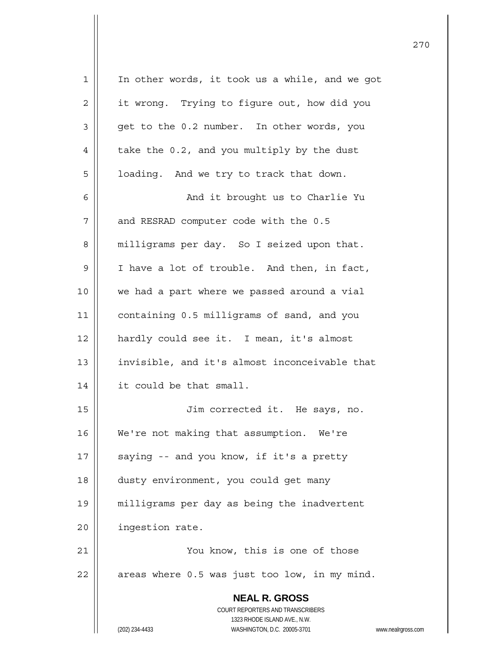| $\mathbf 1$ | In other words, it took us a while, and we got                                              |
|-------------|---------------------------------------------------------------------------------------------|
| 2           | it wrong. Trying to figure out, how did you                                                 |
| 3           | get to the 0.2 number. In other words, you                                                  |
| 4           | take the 0.2, and you multiply by the dust                                                  |
| 5           | loading. And we try to track that down.                                                     |
| 6           | And it brought us to Charlie Yu                                                             |
| 7           | and RESRAD computer code with the 0.5                                                       |
| 8           | milligrams per day. So I seized upon that.                                                  |
| 9           | I have a lot of trouble. And then, in fact,                                                 |
| 10          | we had a part where we passed around a vial                                                 |
| 11          | containing 0.5 milligrams of sand, and you                                                  |
| 12          | hardly could see it. I mean, it's almost                                                    |
| 13          | invisible, and it's almost inconceivable that                                               |
| 14          | it could be that small.                                                                     |
| 15          | Jim corrected it. He says, no.                                                              |
| 16          | We're not making that assumption. We're                                                     |
| 17          | saying -- and you know, if it's a pretty                                                    |
| 18          | dusty environment, you could get many                                                       |
| 19          | milligrams per day as being the inadvertent                                                 |
| 20          | ingestion rate.                                                                             |
| 21          | You know, this is one of those                                                              |
| 22          | areas where 0.5 was just too low, in my mind.                                               |
|             | <b>NEAL R. GROSS</b>                                                                        |
|             | COURT REPORTERS AND TRANSCRIBERS                                                            |
|             | 1323 RHODE ISLAND AVE., N.W.<br>WASHINGTON, D.C. 20005-3701<br>(202) 234-4433<br><b>WWW</b> |
|             |                                                                                             |

270

(202) 234-4433 WASHINGTON, D.C. 20005-3701 www.nealrgross.com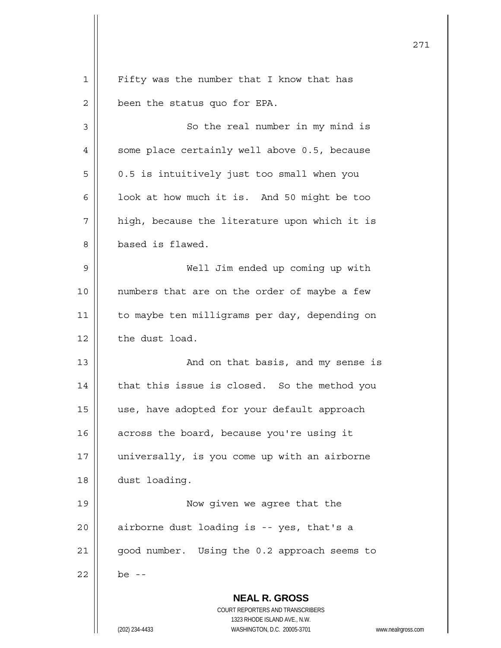| $\mathbf 1$ | Fifty was the number that I know that has                                                       |
|-------------|-------------------------------------------------------------------------------------------------|
| 2           | been the status quo for EPA.                                                                    |
| 3           | So the real number in my mind is                                                                |
| 4           | some place certainly well above 0.5, because                                                    |
| 5           | 0.5 is intuitively just too small when you                                                      |
| 6           | look at how much it is. And 50 might be too                                                     |
| 7           | high, because the literature upon which it is                                                   |
| 8           | based is flawed.                                                                                |
| 9           | Well Jim ended up coming up with                                                                |
| 10          | numbers that are on the order of maybe a few                                                    |
| 11          | to maybe ten milligrams per day, depending on                                                   |
| 12          | the dust load.                                                                                  |
| 13          | And on that basis, and my sense is                                                              |
| 14          | that this issue is closed. So the method you                                                    |
| 15          | use, have adopted for your default approach                                                     |
| 16          | across the board, because you're using it                                                       |
| 17          | universally, is you come up with an airborne                                                    |
| 18          | dust loading.                                                                                   |
| 19          | Now given we agree that the                                                                     |
| 20          | airborne dust loading is -- yes, that's a                                                       |
| 21          | good number. Using the 0.2 approach seems to                                                    |
| 22          | be $-$                                                                                          |
|             | <b>NEAL R. GROSS</b><br><b>COURT REPORTERS AND TRANSCRIBERS</b><br>1323 RHODE ISLAND AVE., N.W. |
|             | WASHINGTON, D.C. 20005-3701<br>(202) 234-4433<br>www.nealrgross.com                             |

271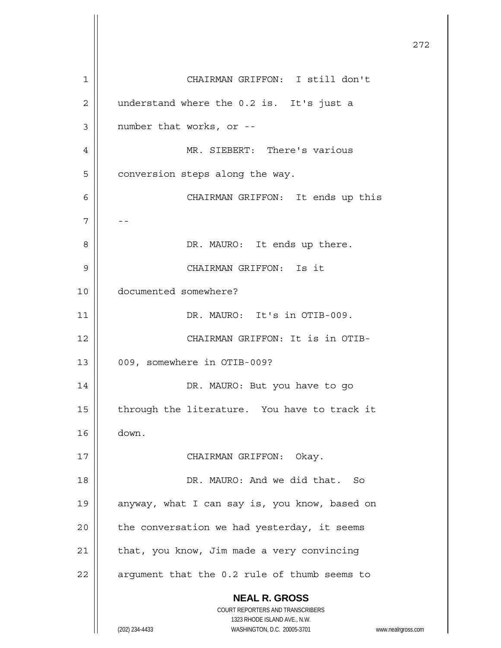**NEAL R. GROSS** COURT REPORTERS AND TRANSCRIBERS 1323 RHODE ISLAND AVE., N.W. (202) 234-4433 WASHINGTON, D.C. 20005-3701 www.nealrgross.com 272 1 2 3 4 5 6 7 8 9 10 11 12 13 14 15 16 17 18 19 20 21 22 CHAIRMAN GRIFFON: I still don't understand where the 0.2 is. It's just a number that works, or -- MR. SIEBERT: There's various conversion steps along the way. CHAIRMAN GRIFFON: It ends up this -- DR. MAURO: It ends up there. CHAIRMAN GRIFFON: Is it documented somewhere? DR. MAURO: It's in OTIB-009. CHAIRMAN GRIFFON: It is in OTIB-009, somewhere in OTIB-009? DR. MAURO: But you have to go through the literature. You have to track it down. CHAIRMAN GRIFFON: Okay. DR. MAURO: And we did that. So anyway, what I can say is, you know, based on the conversation we had yesterday, it seems that, you know, Jim made a very convincing argument that the 0.2 rule of thumb seems to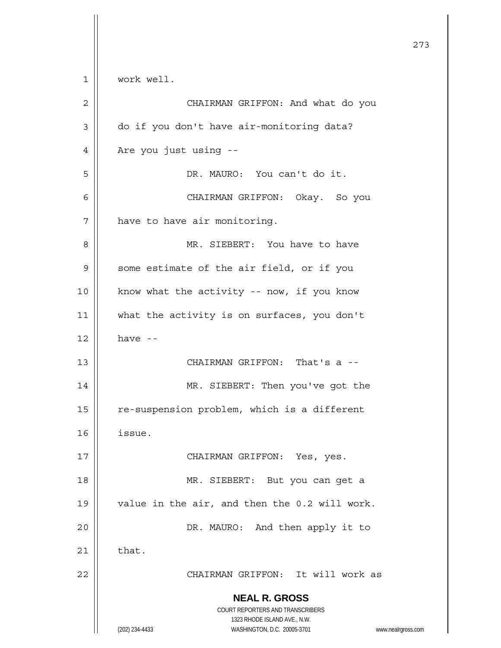**NEAL R. GROSS** COURT REPORTERS AND TRANSCRIBERS 1323 RHODE ISLAND AVE., N.W. (202) 234-4433 WASHINGTON, D.C. 20005-3701 www.nealrgross.com 273 1 2 3 4 5 6 7 8 9 10 11 12 13 14 15 16 17 18 19 20 21 22 work well. CHAIRMAN GRIFFON: And what do you do if you don't have air-monitoring data? Are you just using -- DR. MAURO: You can't do it. CHAIRMAN GRIFFON: Okay. So you have to have air monitoring. MR. SIEBERT: You have to have some estimate of the air field, or if you know what the activity -- now, if you know what the activity is on surfaces, you don't have -- CHAIRMAN GRIFFON: That's a -- MR. SIEBERT: Then you've got the re-suspension problem, which is a different issue. CHAIRMAN GRIFFON: Yes, yes. MR. SIEBERT: But you can get a value in the air, and then the 0.2 will work. DR. MAURO: And then apply it to that. CHAIRMAN GRIFFON: It will work as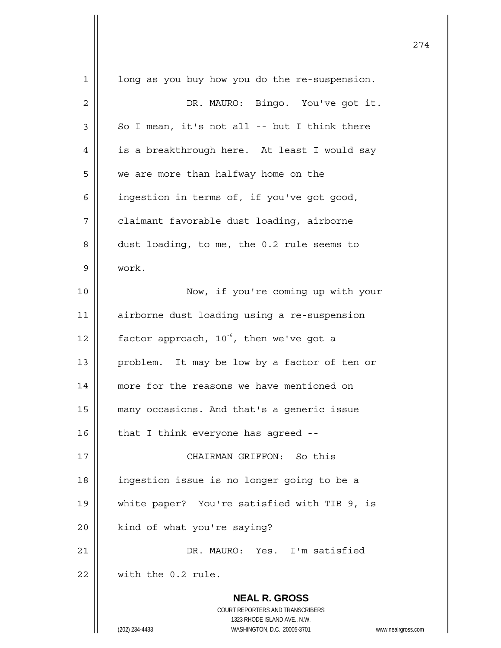| $\mathbf 1$ | long as you buy how you do the re-suspension.                           |
|-------------|-------------------------------------------------------------------------|
| 2           | DR. MAURO: Bingo. You've got it.                                        |
| 3           | So I mean, it's not all -- but I think there                            |
| 4           | is a breakthrough here. At least I would say                            |
| 5           | we are more than halfway home on the                                    |
| 6           | ingestion in terms of, if you've got good,                              |
| 7           | claimant favorable dust loading, airborne                               |
| 8           | dust loading, to me, the 0.2 rule seems to                              |
| 9           | work.                                                                   |
| 10          | Now, if you're coming up with your                                      |
| 11          | airborne dust loading using a re-suspension                             |
| 12          | factor approach, $10^{-6}$ , then we've got a                           |
| 13          | problem. It may be low by a factor of ten or                            |
| 14          | more for the reasons we have mentioned on                               |
| 15          | many occasions. And that's a generic issue                              |
| 16          | that I think everyone has agreed --                                     |
| 17          | CHAIRMAN GRIFFON: So this                                               |
| 18          | ingestion issue is no longer going to be a                              |
| 19          | white paper? You're satisfied with TIB 9, is                            |
| 20          | kind of what you're saying?                                             |
| 21          | DR. MAURO: Yes. I'm satisfied                                           |
| 22          | with the 0.2 rule.                                                      |
|             | <b>NEAL R. GROSS</b>                                                    |
|             | <b>COURT REPORTERS AND TRANSCRIBERS</b><br>1323 RHODE ISLAND AVE., N.W. |
|             | (202) 234-4433<br>WASHINGTON, D.C. 20005-3701<br>www.nealrgross.com     |

274

 $\mathsf{I}$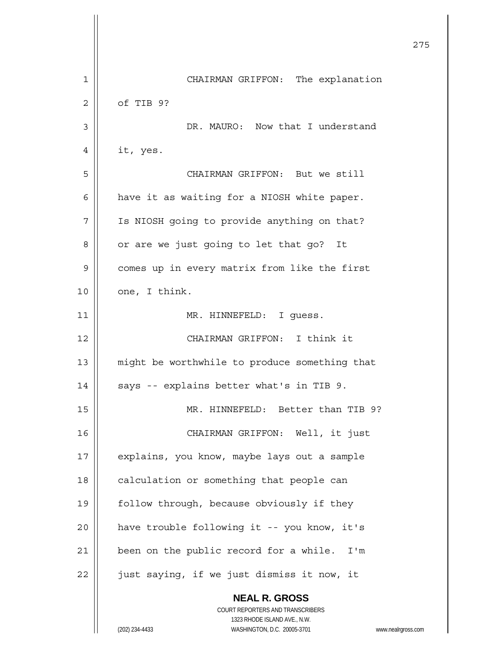|    | 275                                                                 |
|----|---------------------------------------------------------------------|
| 1  | CHAIRMAN GRIFFON: The explanation                                   |
| 2  | of TIB 9?                                                           |
| 3  | DR. MAURO: Now that I understand                                    |
| 4  | it, yes.                                                            |
| 5  | CHAIRMAN GRIFFON: But we still                                      |
| 6  | have it as waiting for a NIOSH white paper.                         |
| 7  | Is NIOSH going to provide anything on that?                         |
| 8  | or are we just going to let that go? It                             |
| 9  | comes up in every matrix from like the first                        |
| 10 | one, I think.                                                       |
| 11 | MR. HINNEFELD: I guess.                                             |
| 12 | CHAIRMAN GRIFFON: I think it                                        |
| 13 | might be worthwhile to produce something that                       |
| 14 | says -- explains better what's in TIB 9.                            |
| 15 | MR. HINNEFELD: Better than TIB 9?                                   |
| 16 | CHAIRMAN GRIFFON: Well, it just                                     |
| 17 | explains, you know, maybe lays out a sample                         |
| 18 | calculation or something that people can                            |
| 19 | follow through, because obviously if they                           |
| 20 | have trouble following it -- you know, it's                         |
| 21 | been on the public record for a while.<br>I'm                       |
| 22 | just saying, if we just dismiss it now, it                          |
|    | <b>NEAL R. GROSS</b>                                                |
|    | COURT REPORTERS AND TRANSCRIBERS<br>1323 RHODE ISLAND AVE., N.W.    |
|    | (202) 234-4433<br>WASHINGTON, D.C. 20005-3701<br>www.nealrgross.com |

 $\overline{\phantom{a}}$  $\mathbf{\mathcal{L}}$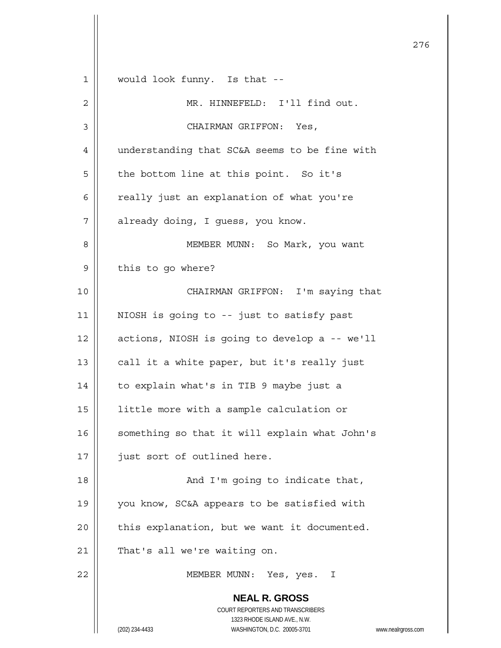**NEAL R. GROSS** COURT REPORTERS AND TRANSCRIBERS 1323 RHODE ISLAND AVE., N.W. (202) 234-4433 WASHINGTON, D.C. 20005-3701 www.nealrgross.com 276 1 2 3 4 5 6 7 8 9 10 11 12 13 14 15 16 17 18 19 20 21 22 would look funny. Is that -- MR. HINNEFELD: I'll find out. CHAIRMAN GRIFFON: Yes, understanding that SC&A seems to be fine with the bottom line at this point. So it's really just an explanation of what you're already doing, I guess, you know. MEMBER MUNN: So Mark, you want this to go where? CHAIRMAN GRIFFON: I'm saying that NIOSH is going to -- just to satisfy past actions, NIOSH is going to develop a -- we'll call it a white paper, but it's really just to explain what's in TIB 9 maybe just a little more with a sample calculation or something so that it will explain what John's just sort of outlined here. And I'm going to indicate that, you know, SC&A appears to be satisfied with this explanation, but we want it documented. That's all we're waiting on. MEMBER MUNN: Yes, yes. I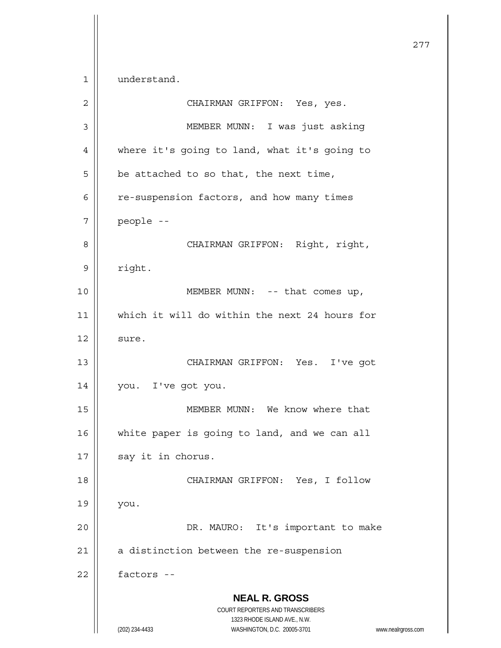1 understand.

| 2  | CHAIRMAN GRIFFON: Yes, yes.                                                                                                                                     |
|----|-----------------------------------------------------------------------------------------------------------------------------------------------------------------|
| 3  | MEMBER MUNN: I was just asking                                                                                                                                  |
| 4  | where it's going to land, what it's going to                                                                                                                    |
| 5  | be attached to so that, the next time,                                                                                                                          |
| 6  | re-suspension factors, and how many times                                                                                                                       |
| 7  | people --                                                                                                                                                       |
| 8  | CHAIRMAN GRIFFON: Right, right,                                                                                                                                 |
| 9  | right.                                                                                                                                                          |
| 10 | MEMBER MUNN: -- that comes up,                                                                                                                                  |
| 11 | which it will do within the next 24 hours for                                                                                                                   |
| 12 | sure.                                                                                                                                                           |
| 13 | CHAIRMAN GRIFFON: Yes. I've got                                                                                                                                 |
| 14 | you. I've got you.                                                                                                                                              |
| 15 | MEMBER MUNN: We know where that                                                                                                                                 |
| 16 | white paper is going to land, and we can all                                                                                                                    |
| 17 | say it in chorus.                                                                                                                                               |
| 18 | CHAIRMAN GRIFFON: Yes, I follow                                                                                                                                 |
| 19 | you.                                                                                                                                                            |
| 20 | DR. MAURO: It's important to make                                                                                                                               |
| 21 | a distinction between the re-suspension                                                                                                                         |
| 22 | factors --                                                                                                                                                      |
|    | <b>NEAL R. GROSS</b><br>COURT REPORTERS AND TRANSCRIBERS<br>1323 RHODE ISLAND AVE., N.W.<br>(202) 234-4433<br>WASHINGTON, D.C. 20005-3701<br>www.nealrgross.com |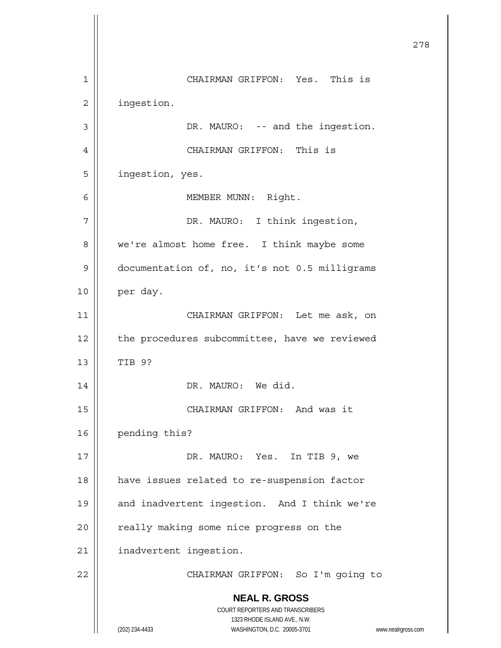**NEAL R. GROSS** COURT REPORTERS AND TRANSCRIBERS 1323 RHODE ISLAND AVE., N.W. (202) 234-4433 WASHINGTON, D.C. 20005-3701 www.nealrgross.com 278 1 2 3 4 5 6 7 8 9 10 11 12 13 14 15 16 17 18 19 20 21 22 CHAIRMAN GRIFFON: Yes. This is ingestion. DR. MAURO: -- and the ingestion. CHAIRMAN GRIFFON: This is ingestion, yes. MEMBER MUNN: Right. DR. MAURO: I think ingestion, we're almost home free. I think maybe some documentation of, no, it's not 0.5 milligrams per day. CHAIRMAN GRIFFON: Let me ask, on the procedures subcommittee, have we reviewed TIB 9? DR. MAURO: We did. CHAIRMAN GRIFFON: And was it pending this? DR. MAURO: Yes. In TIB 9, we have issues related to re-suspension factor and inadvertent ingestion. And I think we're really making some nice progress on the inadvertent ingestion. CHAIRMAN GRIFFON: So I'm going to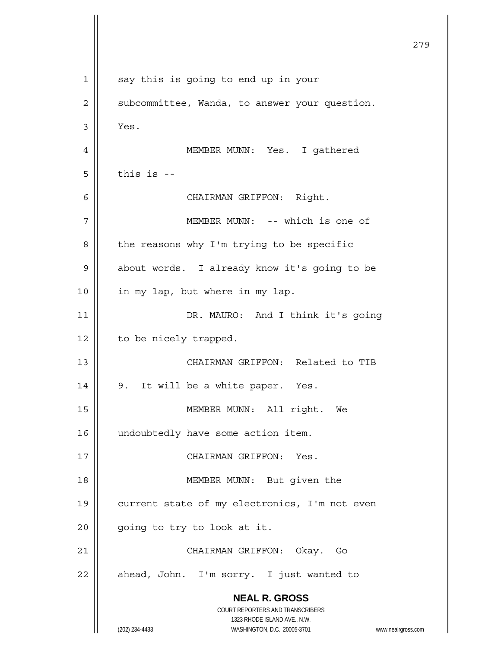|             |                                                                     | 279 |
|-------------|---------------------------------------------------------------------|-----|
| $\mathbf 1$ | say this is going to end up in your                                 |     |
| 2           | subcommittee, Wanda, to answer your question.                       |     |
| 3           | Yes.                                                                |     |
| 4           | MEMBER MUNN: Yes. I gathered                                        |     |
| 5           | this is --                                                          |     |
| 6           | CHAIRMAN GRIFFON: Right.                                            |     |
| 7           | MEMBER MUNN: -- which is one of                                     |     |
| 8           | the reasons why I'm trying to be specific                           |     |
| 9           | about words. I already know it's going to be                        |     |
| 10          | in my lap, but where in my lap.                                     |     |
| 11          | DR. MAURO: And I think it's going                                   |     |
| 12          | to be nicely trapped.                                               |     |
| 13          | CHAIRMAN GRIFFON: Related to TIB                                    |     |
| 14          | It will be a white paper. Yes.<br>9.                                |     |
| 15          | MEMBER MUNN: All right. We                                          |     |
| 16          | undoubtedly have some action item.                                  |     |
| 17          | CHAIRMAN GRIFFON: Yes.                                              |     |
| 18          | MEMBER MUNN: But given the                                          |     |
| 19          | current state of my electronics, I'm not even                       |     |
| 20          | going to try to look at it.                                         |     |
| 21          | CHAIRMAN GRIFFON: Okay. Go                                          |     |
| 22          | ahead, John. I'm sorry. I just wanted to                            |     |
|             | <b>NEAL R. GROSS</b>                                                |     |
|             | COURT REPORTERS AND TRANSCRIBERS<br>1323 RHODE ISLAND AVE., N.W.    |     |
|             | (202) 234-4433<br>WASHINGTON, D.C. 20005-3701<br>www.nealrgross.com |     |

 $\overline{\phantom{a}}$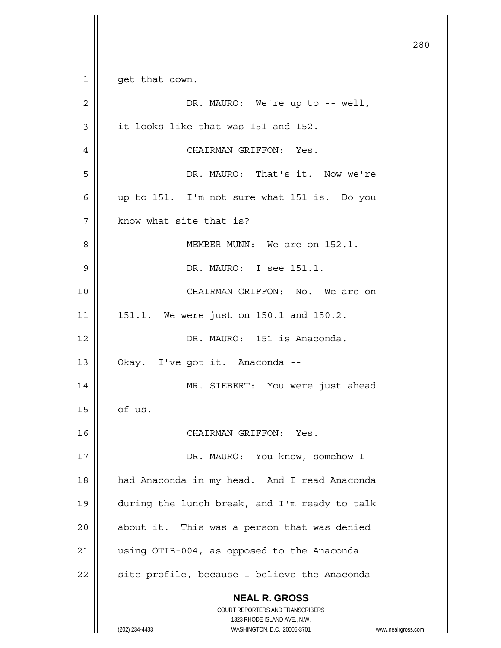|    |                                                                     | 280 |
|----|---------------------------------------------------------------------|-----|
| 1  | get that down.                                                      |     |
| 2  | DR. MAURO: We're up to -- well,                                     |     |
| 3  | it looks like that was 151 and 152.                                 |     |
| 4  | CHAIRMAN GRIFFON: Yes.                                              |     |
| 5  | DR. MAURO: That's it. Now we're                                     |     |
| 6  | up to 151. I'm not sure what 151 is. Do you                         |     |
| 7  | know what site that is?                                             |     |
| 8  | MEMBER MUNN: We are on 152.1.                                       |     |
| 9  | DR. MAURO: I see 151.1.                                             |     |
| 10 | CHAIRMAN GRIFFON: No. We are on                                     |     |
| 11 | 151.1. We were just on 150.1 and 150.2.                             |     |
| 12 | DR. MAURO: 151 is Anaconda.                                         |     |
| 13 | Okay. I've got it. Anaconda --                                      |     |
| 14 | MR. SIEBERT: You were just ahead                                    |     |
| 15 | of us.                                                              |     |
| 16 | CHAIRMAN GRIFFON: Yes.                                              |     |
| 17 | DR. MAURO: You know, somehow I                                      |     |
| 18 | had Anaconda in my head. And I read Anaconda                        |     |
| 19 | during the lunch break, and I'm ready to talk                       |     |
| 20 | about it. This was a person that was denied                         |     |
| 21 | using OTIB-004, as opposed to the Anaconda                          |     |
| 22 | site profile, because I believe the Anaconda                        |     |
|    | <b>NEAL R. GROSS</b>                                                |     |
|    | COURT REPORTERS AND TRANSCRIBERS<br>1323 RHODE ISLAND AVE., N.W.    |     |
|    | (202) 234-4433<br>WASHINGTON, D.C. 20005-3701<br>www.nealrgross.com |     |

 $\mathsf{I}$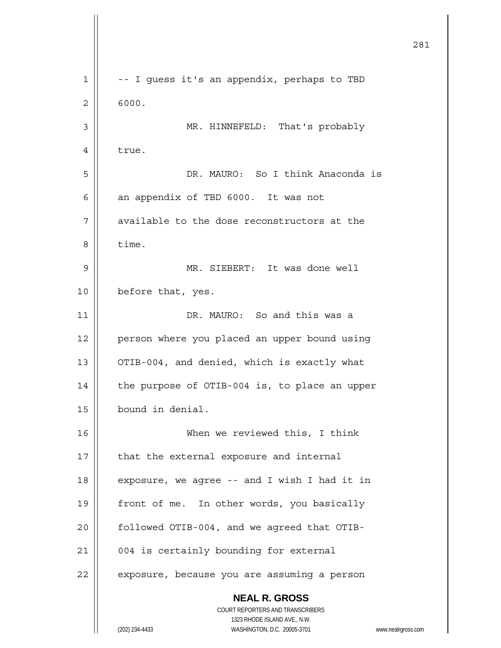**NEAL R. GROSS** COURT REPORTERS AND TRANSCRIBERS 1323 RHODE ISLAND AVE., N.W. (202) 234-4433 WASHINGTON, D.C. 20005-3701 www.nealrgross.com 281 1 2 3 4 5 6 7 8 9 10 11 12 13 14 15 16 17 18 19 20 21 22 -- I guess it's an appendix, perhaps to TBD 6000. MR. HINNEFELD: That's probably true. DR. MAURO: So I think Anaconda is an appendix of TBD 6000. It was not available to the dose reconstructors at the time. MR. SIEBERT: It was done well before that, yes. DR. MAURO: So and this was a person where you placed an upper bound using OTIB-004, and denied, which is exactly what the purpose of OTIB-004 is, to place an upper bound in denial. When we reviewed this, I think that the external exposure and internal exposure, we agree -- and I wish I had it in front of me. In other words, you basically followed OTIB-004, and we agreed that OTIB-004 is certainly bounding for external exposure, because you are assuming a person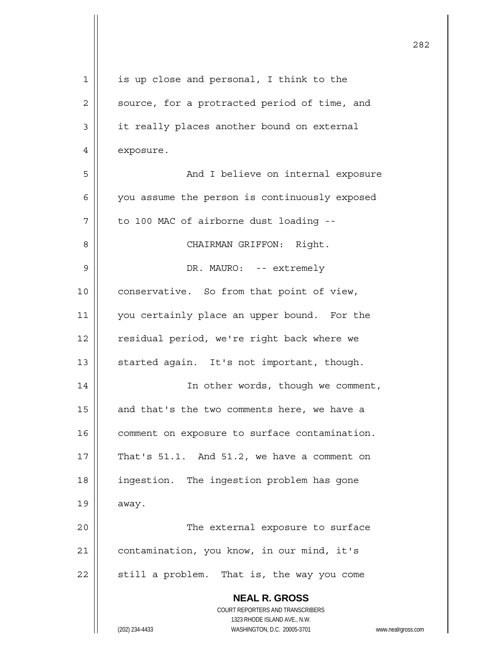| $\mathbf 1$  | is up close and personal, I think to the                                                            |
|--------------|-----------------------------------------------------------------------------------------------------|
| $\mathbf{2}$ | source, for a protracted period of time, and                                                        |
| 3            | it really places another bound on external                                                          |
| 4            | exposure.                                                                                           |
| 5            | And I believe on internal exposure                                                                  |
| 6            | you assume the person is continuously exposed                                                       |
| 7            | to 100 MAC of airborne dust loading --                                                              |
| 8            | CHAIRMAN GRIFFON: Right.                                                                            |
| 9            | DR. MAURO: -- extremely                                                                             |
| 10           | conservative. So from that point of view,                                                           |
| 11           | you certainly place an upper bound. For the                                                         |
| 12           | residual period, we're right back where we                                                          |
| 13           | started again. It's not important, though.                                                          |
| 14           | In other words, though we comment,                                                                  |
| 15           | and that's the two comments here, we have a                                                         |
| 16           | comment on exposure to surface contamination.                                                       |
| 17           | That's 51.1. And 51.2, we have a comment on                                                         |
| 18           | ingestion. The ingestion problem has gone                                                           |
| 19           | away.                                                                                               |
| 20           | The external exposure to surface                                                                    |
| 21           | contamination, you know, in our mind, it's                                                          |
| 22           | still a problem. That is, the way you come                                                          |
|              | <b>NEAL R. GROSS</b>                                                                                |
|              | <b>COURT REPORTERS AND TRANSCRIBERS</b>                                                             |
|              | 1323 RHODE ISLAND AVE., N.W.<br>(202) 234-4433<br>WASHINGTON, D.C. 20005-3701<br>www.nealrgross.com |
|              |                                                                                                     |

282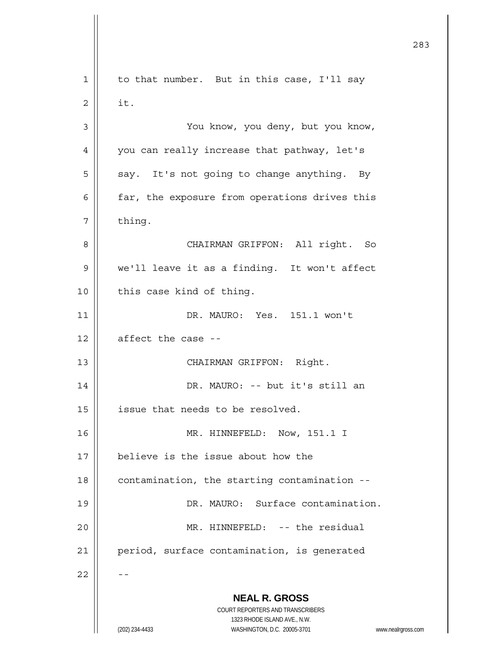**NEAL R. GROSS** COURT REPORTERS AND TRANSCRIBERS 1323 RHODE ISLAND AVE., N.W. (202) 234-4433 WASHINGTON, D.C. 20005-3701 www.nealrgross.com 1 2 3 4 5 6 7 8 9 10 11 12 13 14 15 16 17 18 19 20 21 22 to that number. But in this case, I'll say it. You know, you deny, but you know, you can really increase that pathway, let's say. It's not going to change anything. By far, the exposure from operations drives this thing. CHAIRMAN GRIFFON: All right. So we'll leave it as a finding. It won't affect this case kind of thing. DR. MAURO: Yes. 151.1 won't affect the case -- CHAIRMAN GRIFFON: Right. DR. MAURO: -- but it's still an issue that needs to be resolved. MR. HINNEFELD: Now, 151.1 I believe is the issue about how the contamination, the starting contamination -- DR. MAURO: Surface contamination. MR. HINNEFELD: -- the residual period, surface contamination, is generated --

<u>283</u>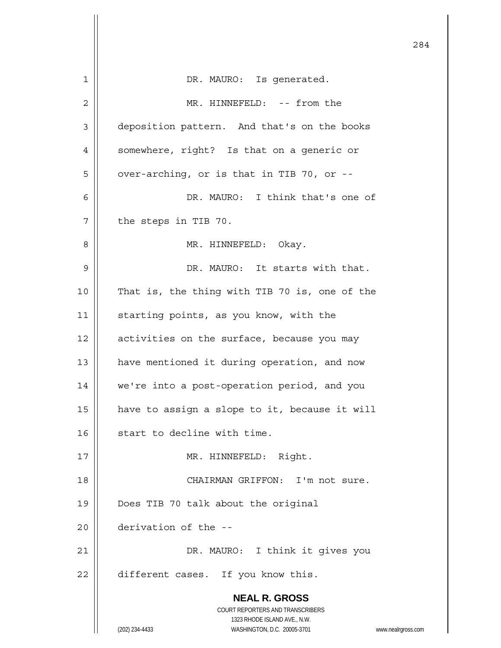|    |                                                                                                     | 284 |
|----|-----------------------------------------------------------------------------------------------------|-----|
| 1  | DR. MAURO: Is generated.                                                                            |     |
| 2  | MR. HINNEFELD: -- from the                                                                          |     |
| 3  | deposition pattern. And that's on the books                                                         |     |
| 4  | somewhere, right? Is that on a generic or                                                           |     |
| 5  | over-arching, or is that in TIB 70, or --                                                           |     |
| 6  | DR. MAURO: I think that's one of                                                                    |     |
| 7  | the steps in TIB 70.                                                                                |     |
| 8  | MR. HINNEFELD: Okay.                                                                                |     |
| 9  | DR. MAURO: It starts with that.                                                                     |     |
| 10 | That is, the thing with TIB 70 is, one of the                                                       |     |
| 11 | starting points, as you know, with the                                                              |     |
| 12 | activities on the surface, because you may                                                          |     |
| 13 | have mentioned it during operation, and now                                                         |     |
| 14 | we're into a post-operation period, and you                                                         |     |
| 15 | have to assign a slope to it, because it will                                                       |     |
| 16 | start to decline with time.                                                                         |     |
| 17 | MR. HINNEFELD: Right.                                                                               |     |
| 18 | CHAIRMAN GRIFFON: I'm not sure.                                                                     |     |
| 19 | Does TIB 70 talk about the original                                                                 |     |
| 20 | derivation of the --                                                                                |     |
| 21 | DR. MAURO: I think it gives you                                                                     |     |
| 22 | different cases. If you know this.                                                                  |     |
|    | <b>NEAL R. GROSS</b><br>COURT REPORTERS AND TRANSCRIBERS                                            |     |
|    | 1323 RHODE ISLAND AVE., N.W.<br>(202) 234-4433<br>WASHINGTON, D.C. 20005-3701<br>www.nealrgross.com |     |
|    |                                                                                                     |     |

 $\mathsf{I}$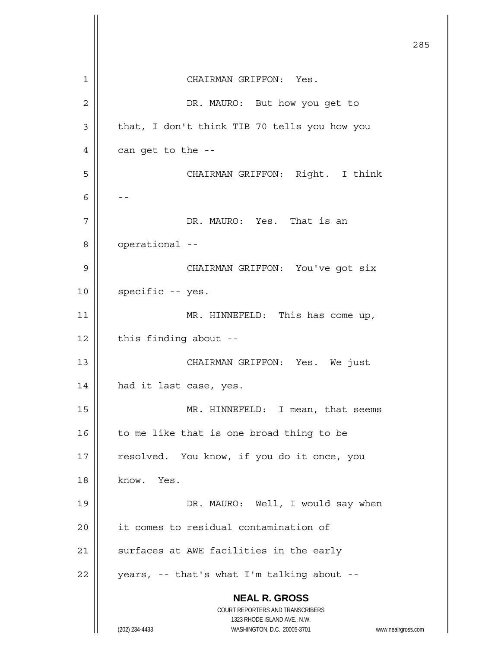**NEAL R. GROSS** COURT REPORTERS AND TRANSCRIBERS 1323 RHODE ISLAND AVE., N.W. (202) 234-4433 WASHINGTON, D.C. 20005-3701 www.nealrgross.com <u>285</u> 1 2 3 4 5 6 7 8 9 10 11 12 13 14 15 16 17 18 19 20 21 22 CHAIRMAN GRIFFON: Yes. DR. MAURO: But how you get to that, I don't think TIB 70 tells you how you can get to the -- CHAIRMAN GRIFFON: Right. I think -- DR. MAURO: Yes. That is an operational -- CHAIRMAN GRIFFON: You've got six specific -- yes. MR. HINNEFELD: This has come up, this finding about -- CHAIRMAN GRIFFON: Yes. We just had it last case, yes. MR. HINNEFELD: I mean, that seems to me like that is one broad thing to be resolved. You know, if you do it once, you know. Yes. DR. MAURO: Well, I would say when it comes to residual contamination of surfaces at AWE facilities in the early years, -- that's what I'm talking about --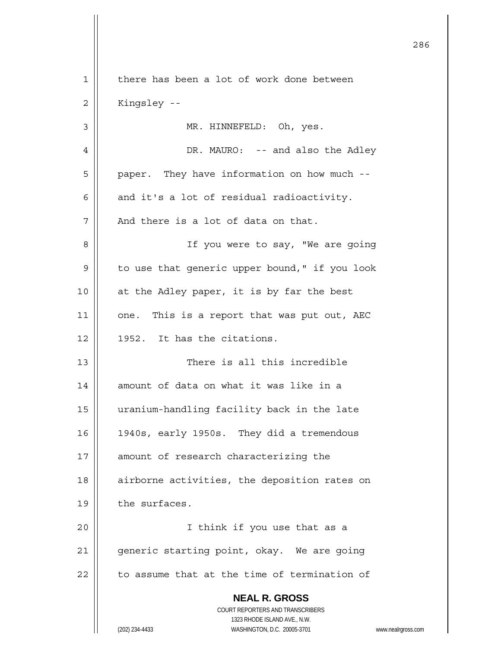**NEAL R. GROSS** COURT REPORTERS AND TRANSCRIBERS 1323 RHODE ISLAND AVE., N.W. (202) 234-4433 WASHINGTON, D.C. 20005-3701 www.nealrgross.com <u>286</u> 1 2 3 4 5 6 7 8 9 10 11 12 13 14 15 16 17 18 19 20 21 22 there has been a lot of work done between Kingsley -- MR. HINNEFELD: Oh, yes. DR. MAURO: -- and also the Adley paper. They have information on how much - and it's a lot of residual radioactivity. And there is a lot of data on that. If you were to say, "We are going to use that generic upper bound," if you look at the Adley paper, it is by far the best one. This is a report that was put out, AEC 1952. It has the citations. There is all this incredible amount of data on what it was like in a uranium-handling facility back in the late 1940s, early 1950s. They did a tremendous amount of research characterizing the airborne activities, the deposition rates on the surfaces. I think if you use that as a generic starting point, okay. We are going to assume that at the time of termination of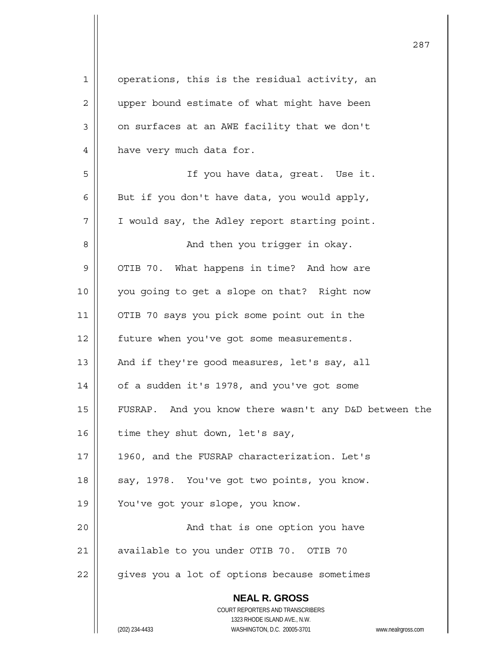| 1            | operations, this is the residual activity, an                       |
|--------------|---------------------------------------------------------------------|
| $\mathbf{2}$ | upper bound estimate of what might have been                        |
| 3            | on surfaces at an AWE facility that we don't                        |
| 4            | have very much data for.                                            |
| 5            | If you have data, great. Use it.                                    |
| 6            | But if you don't have data, you would apply,                        |
| 7            | I would say, the Adley report starting point.                       |
| 8            | And then you trigger in okay.                                       |
| 9            | OTIB 70. What happens in time? And how are                          |
| 10           | you going to get a slope on that? Right now                         |
| 11           | OTIB 70 says you pick some point out in the                         |
| 12           | future when you've got some measurements.                           |
| 13           | And if they're good measures, let's say, all                        |
| 14           | of a sudden it's 1978, and you've got some                          |
| 15           | FUSRAP. And you know there wasn't any D&D between the               |
| 16           | time they shut down, let's say,                                     |
| 17           | 1960, and the FUSRAP characterization. Let's                        |
| 18           | say, 1978. You've got two points, you know.                         |
| 19           | You've got your slope, you know.                                    |
| 20           | And that is one option you have                                     |
| 21           | available to you under OTIB 70. OTIB 70                             |
| 22           | gives you a lot of options because sometimes                        |
|              | <b>NEAL R. GROSS</b>                                                |
|              | COURT REPORTERS AND TRANSCRIBERS                                    |
|              | 1323 RHODE ISLAND AVE., N.W.                                        |
|              | (202) 234-4433<br>WASHINGTON, D.C. 20005-3701<br>www.nealrgross.com |

<u>287</u>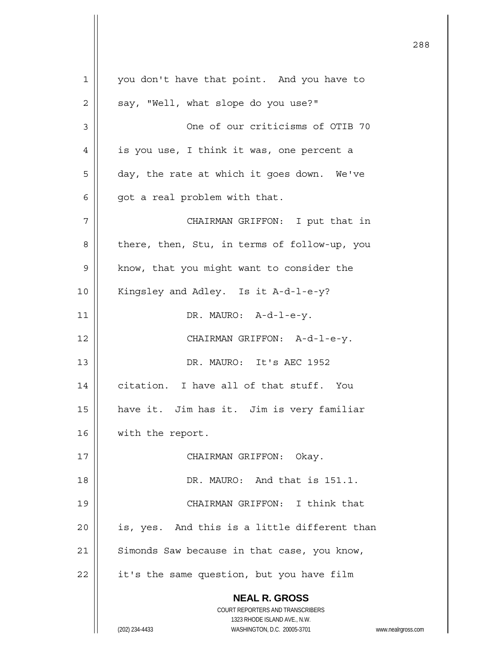**NEAL R. GROSS** COURT REPORTERS AND TRANSCRIBERS 1323 RHODE ISLAND AVE., N.W. (202) 234-4433 WASHINGTON, D.C. 20005-3701 www.nealrgross.com 1 2 3 4 5 6 7 8 9 10 11 12 13 14 15 16 17 18 19 20 21 22 you don't have that point. And you have to say, "Well, what slope do you use?" One of our criticisms of OTIB 70 is you use, I think it was, one percent a day, the rate at which it goes down. We've got a real problem with that. CHAIRMAN GRIFFON: I put that in there, then, Stu, in terms of follow-up, you know, that you might want to consider the Kingsley and Adley. Is it A-d-l-e-y? DR. MAURO: A-d-l-e-y. CHAIRMAN GRIFFON: A-d-l-e-y. DR. MAURO: It's AEC 1952 citation. I have all of that stuff. You have it. Jim has it. Jim is very familiar with the report. CHAIRMAN GRIFFON: Okay. DR. MAURO: And that is 151.1. CHAIRMAN GRIFFON: I think that is, yes. And this is a little different than Simonds Saw because in that case, you know, it's the same question, but you have film

<u>288</u>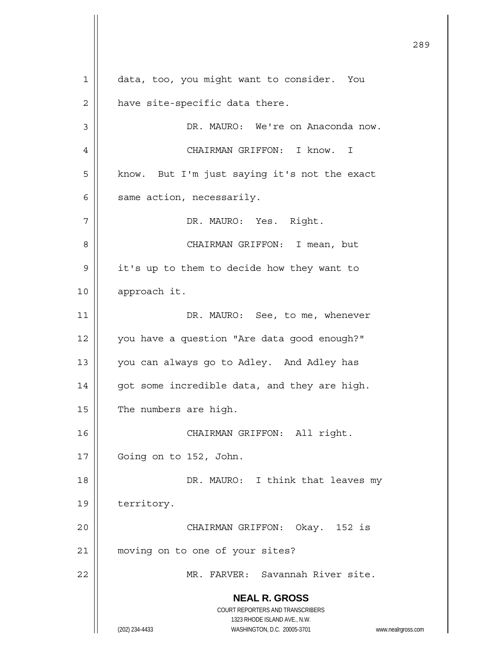**NEAL R. GROSS** COURT REPORTERS AND TRANSCRIBERS 1323 RHODE ISLAND AVE., N.W. (202) 234-4433 WASHINGTON, D.C. 20005-3701 www.nealrgross.com 1 2 3 4 5 6 7 8 9 10 11 12 13 14 15 16 17 18 19 20 21 22 data, too, you might want to consider. You have site-specific data there. DR. MAURO: We're on Anaconda now. CHAIRMAN GRIFFON: I know. I know. But I'm just saying it's not the exact same action, necessarily. DR. MAURO: Yes. Right. CHAIRMAN GRIFFON: I mean, but it's up to them to decide how they want to approach it. DR. MAURO: See, to me, whenever you have a question "Are data good enough?" you can always go to Adley. And Adley has got some incredible data, and they are high. The numbers are high. CHAIRMAN GRIFFON: All right. Going on to 152, John. DR. MAURO: I think that leaves my territory. CHAIRMAN GRIFFON: Okay. 152 is moving on to one of your sites? MR. FARVER: Savannah River site.

<u>289 and 289 and 289 and 289 and 289 and 289 and 289 and 289 and 289 and 289 and 289 and 289 and 289 and 289 and 289 and 289 and 289 and 289 and 289 and 289 and 289 and 289 and 289 and 289 and 289 and 289 and 289 and 289 a</u>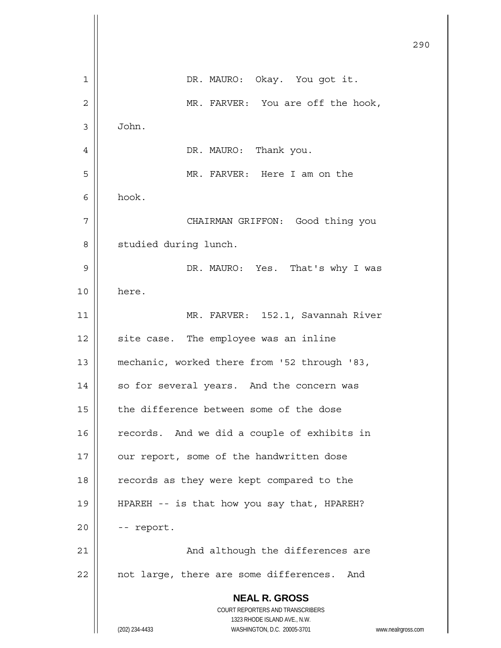|    |                                                                                                                                                                 | 290 |
|----|-----------------------------------------------------------------------------------------------------------------------------------------------------------------|-----|
| 1  | DR. MAURO: Okay. You got it.                                                                                                                                    |     |
| 2  | MR. FARVER: You are off the hook,                                                                                                                               |     |
| 3  | John.                                                                                                                                                           |     |
| 4  | DR. MAURO: Thank you.                                                                                                                                           |     |
| 5  | MR. FARVER: Here I am on the                                                                                                                                    |     |
| 6  | hook.                                                                                                                                                           |     |
| 7  | CHAIRMAN GRIFFON: Good thing you                                                                                                                                |     |
| 8  | studied during lunch.                                                                                                                                           |     |
| 9  | DR. MAURO: Yes. That's why I was                                                                                                                                |     |
| 10 | here.                                                                                                                                                           |     |
| 11 | MR. FARVER: 152.1, Savannah River                                                                                                                               |     |
| 12 | site case. The employee was an inline                                                                                                                           |     |
| 13 | mechanic, worked there from '52 through '83,                                                                                                                    |     |
| 14 | so for several years. And the concern was                                                                                                                       |     |
| 15 | the difference between some of the dose                                                                                                                         |     |
| 16 | records. And we did a couple of exhibits in                                                                                                                     |     |
| 17 | our report, some of the handwritten dose                                                                                                                        |     |
| 18 | records as they were kept compared to the                                                                                                                       |     |
| 19 | HPAREH -- is that how you say that, HPAREH?                                                                                                                     |     |
| 20 | -- report.                                                                                                                                                      |     |
| 21 | And although the differences are                                                                                                                                |     |
| 22 | not large, there are some differences. And                                                                                                                      |     |
|    | <b>NEAL R. GROSS</b><br>COURT REPORTERS AND TRANSCRIBERS<br>1323 RHODE ISLAND AVE., N.W.<br>(202) 234-4433<br>WASHINGTON, D.C. 20005-3701<br>www.nealrgross.com |     |

Ħ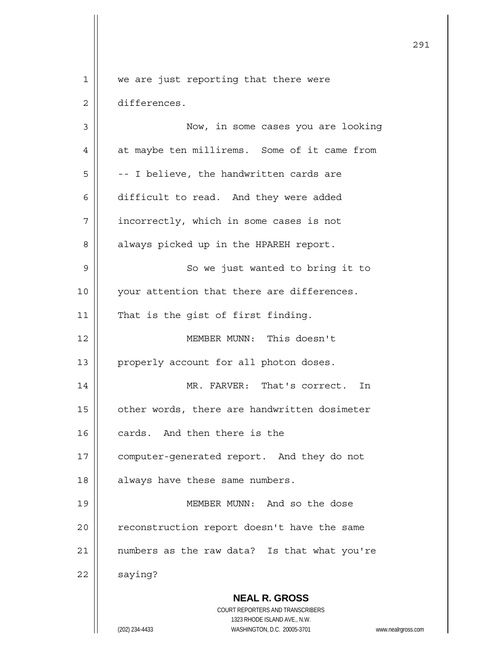**NEAL R. GROSS** COURT REPORTERS AND TRANSCRIBERS 1323 RHODE ISLAND AVE., N.W. 1 2 3 4 5 6 7 8 9 10 11 12 13 14 15 16 17 18 19 20 21 22 we are just reporting that there were differences. Now, in some cases you are looking at maybe ten millirems. Some of it came from -- I believe, the handwritten cards are difficult to read. And they were added incorrectly, which in some cases is not always picked up in the HPAREH report. So we just wanted to bring it to your attention that there are differences. That is the gist of first finding. MEMBER MUNN: This doesn't properly account for all photon doses. MR. FARVER: That's correct. In other words, there are handwritten dosimeter cards. And then there is the computer-generated report. And they do not always have these same numbers. MEMBER MUNN: And so the dose reconstruction report doesn't have the same numbers as the raw data? Is that what you're saying?

291

(202) 234-4433 WASHINGTON, D.C. 20005-3701 www.nealrgross.com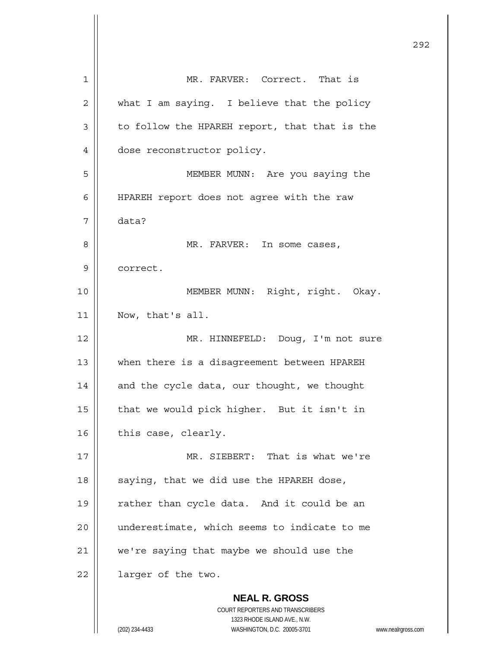**NEAL R. GROSS** COURT REPORTERS AND TRANSCRIBERS 1 2 3 4 5 6 7 8 9 10 11 12 13 14 15 16 17 18 19 20 21 22 MR. FARVER: Correct. That is what I am saying. I believe that the policy to follow the HPAREH report, that that is the dose reconstructor policy. MEMBER MUNN: Are you saying the HPAREH report does not agree with the raw data? MR. FARVER: In some cases, correct. MEMBER MUNN: Right, right. Okay. Now, that's all. MR. HINNEFELD: Doug, I'm not sure when there is a disagreement between HPAREH and the cycle data, our thought, we thought that we would pick higher. But it isn't in this case, clearly. MR. SIEBERT: That is what we're saying, that we did use the HPAREH dose, rather than cycle data. And it could be an underestimate, which seems to indicate to me we're saying that maybe we should use the larger of the two.

<u>292</u>

1323 RHODE ISLAND AVE., N.W.

(202) 234-4433 WASHINGTON, D.C. 20005-3701 www.nealrgross.com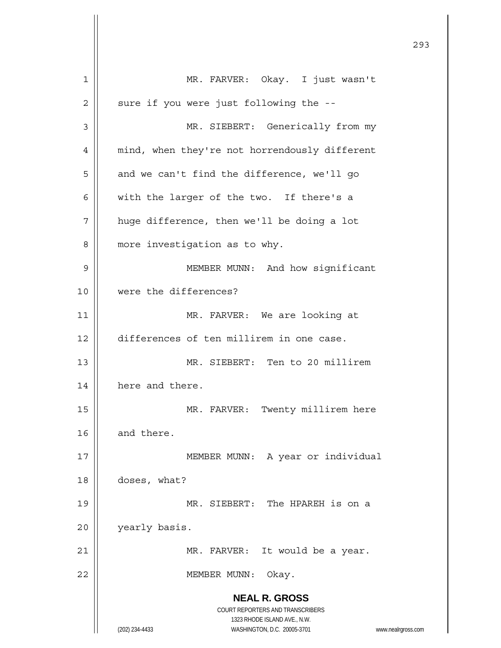| 1              | MR. FARVER: Okay. I just wasn't                                                                                                                                        |
|----------------|------------------------------------------------------------------------------------------------------------------------------------------------------------------------|
| $\overline{2}$ | sure if you were just following the --                                                                                                                                 |
| 3              | MR. SIEBERT: Generically from my                                                                                                                                       |
| 4              | mind, when they're not horrendously different                                                                                                                          |
| 5              | and we can't find the difference, we'll go                                                                                                                             |
| 6              | with the larger of the two. If there's a                                                                                                                               |
| 7              | huge difference, then we'll be doing a lot                                                                                                                             |
| 8              | more investigation as to why.                                                                                                                                          |
| 9              | MEMBER MUNN: And how significant                                                                                                                                       |
| 10             | were the differences?                                                                                                                                                  |
| 11             | MR. FARVER: We are looking at                                                                                                                                          |
| 12             | differences of ten millirem in one case.                                                                                                                               |
| 13             | MR. SIEBERT: Ten to 20 millirem                                                                                                                                        |
| 14             | here and there.                                                                                                                                                        |
| 15             | MR. FARVER: Twenty millirem here                                                                                                                                       |
| 16             | and there.                                                                                                                                                             |
| 17             | MEMBER MUNN: A year or individual                                                                                                                                      |
| 18             | doses, what?                                                                                                                                                           |
| 19             | MR. SIEBERT: The HPAREH is on a                                                                                                                                        |
| 20             | yearly basis.                                                                                                                                                          |
| 21             | MR. FARVER: It would be a year.                                                                                                                                        |
| 22             | MEMBER MUNN:<br>Okay.                                                                                                                                                  |
|                | <b>NEAL R. GROSS</b><br><b>COURT REPORTERS AND TRANSCRIBERS</b><br>1323 RHODE ISLAND AVE., N.W.<br>WASHINGTON, D.C. 20005-3701<br>(202) 234-4433<br>www.nealrgross.com |

<u>293</u>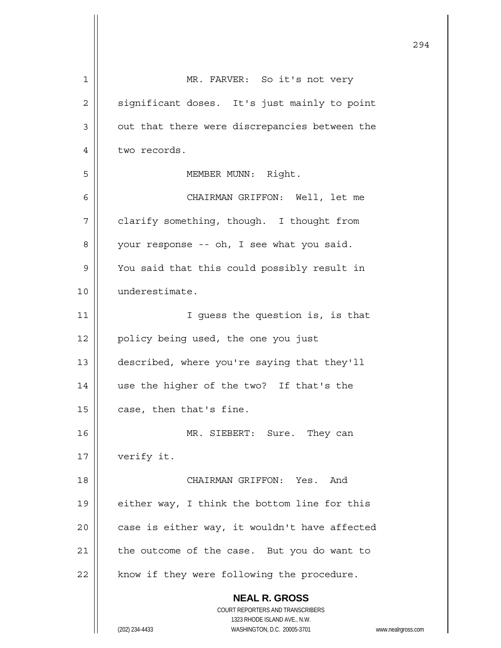| 1  | MR. FARVER: So it's not very                                                                        |
|----|-----------------------------------------------------------------------------------------------------|
| 2  | significant doses. It's just mainly to point                                                        |
| 3  | out that there were discrepancies between the                                                       |
| 4  | two records.                                                                                        |
| 5  | MEMBER MUNN: Right.                                                                                 |
| 6  | CHAIRMAN GRIFFON: Well, let me                                                                      |
| 7  | clarify something, though. I thought from                                                           |
| 8  | your response -- oh, I see what you said.                                                           |
| 9  | You said that this could possibly result in                                                         |
| 10 | underestimate.                                                                                      |
| 11 | I guess the question is, is that                                                                    |
| 12 | policy being used, the one you just                                                                 |
| 13 | described, where you're saying that they'll                                                         |
| 14 | use the higher of the two? If that's the                                                            |
| 15 | case, then that's fine.                                                                             |
| 16 | MR. SIEBERT: Sure. They can                                                                         |
| 17 | verify it.                                                                                          |
| 18 | CHAIRMAN GRIFFON: Yes. And                                                                          |
| 19 | either way, I think the bottom line for this                                                        |
| 20 | case is either way, it wouldn't have affected                                                       |
| 21 | the outcome of the case. But you do want to                                                         |
| 22 | know if they were following the procedure.                                                          |
|    | <b>NEAL R. GROSS</b>                                                                                |
|    | COURT REPORTERS AND TRANSCRIBERS                                                                    |
|    | 1323 RHODE ISLAND AVE., N.W.<br>(202) 234-4433<br>WASHINGTON, D.C. 20005-3701<br>www.nealrgross.com |
|    |                                                                                                     |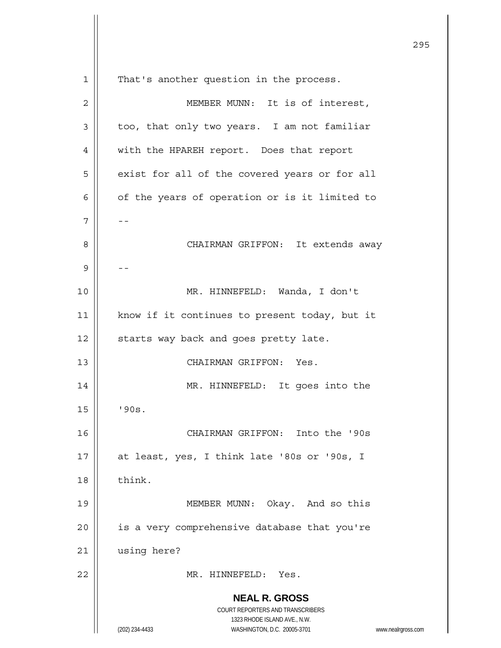|              |                                                                                                                                                                 | 295 |
|--------------|-----------------------------------------------------------------------------------------------------------------------------------------------------------------|-----|
| $\mathbf{1}$ | That's another question in the process.                                                                                                                         |     |
| 2            | MEMBER MUNN: It is of interest,                                                                                                                                 |     |
| 3            | too, that only two years. I am not familiar                                                                                                                     |     |
| 4            | with the HPAREH report. Does that report                                                                                                                        |     |
| 5            | exist for all of the covered years or for all                                                                                                                   |     |
| 6            | of the years of operation or is it limited to                                                                                                                   |     |
| 7            |                                                                                                                                                                 |     |
| 8            | CHAIRMAN GRIFFON: It extends away                                                                                                                               |     |
| 9            |                                                                                                                                                                 |     |
| 10           | MR. HINNEFELD: Wanda, I don't                                                                                                                                   |     |
| 11           | know if it continues to present today, but it                                                                                                                   |     |
| 12           | starts way back and goes pretty late.                                                                                                                           |     |
| 13           | CHAIRMAN GRIFFON: Yes.                                                                                                                                          |     |
| 14           | MR. HINNEFELD: It goes into the                                                                                                                                 |     |
| 15           | 190s.                                                                                                                                                           |     |
| 16           | CHAIRMAN GRIFFON: Into the '90s                                                                                                                                 |     |
| 17           | at least, yes, I think late '80s or '90s, I                                                                                                                     |     |
| 18           | think.                                                                                                                                                          |     |
| 19           | MEMBER MUNN: Okay. And so this                                                                                                                                  |     |
| 20           | is a very comprehensive database that you're                                                                                                                    |     |
| 21           | using here?                                                                                                                                                     |     |
| 22           | MR. HINNEFELD: Yes.                                                                                                                                             |     |
|              | <b>NEAL R. GROSS</b><br>COURT REPORTERS AND TRANSCRIBERS<br>1323 RHODE ISLAND AVE., N.W.<br>(202) 234-4433<br>WASHINGTON, D.C. 20005-3701<br>www.nealrgross.com |     |

 $\mathop{\text{||}}$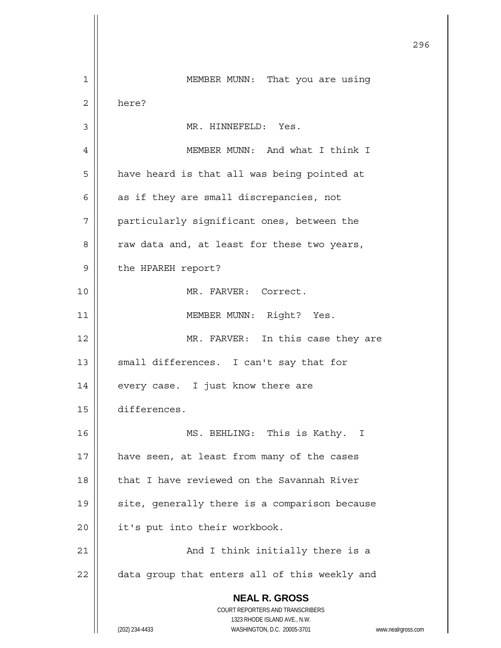**NEAL R. GROSS** COURT REPORTERS AND TRANSCRIBERS 1323 RHODE ISLAND AVE., N.W. (202) 234-4433 WASHINGTON, D.C. 20005-3701 www.nealrgross.com <u>296 - Andrea Santa Alexandria (h. 1882).</u><br>296 - Andrea Santa Alexandria (h. 1882). 1 2 3 4 5 6 7 8 9 10 11 12 13 14 15 16 17 18 19 20 21 22 MEMBER MUNN: That you are using here? MR. HINNEFELD: Yes. MEMBER MUNN: And what I think I have heard is that all was being pointed at as if they are small discrepancies, not particularly significant ones, between the raw data and, at least for these two years, the HPAREH report? MR. FARVER: Correct. MEMBER MUNN: Right? Yes. MR. FARVER: In this case they are small differences. I can't say that for every case. I just know there are differences. MS. BEHLING: This is Kathy. I have seen, at least from many of the cases that I have reviewed on the Savannah River site, generally there is a comparison because it's put into their workbook. And I think initially there is a data group that enters all of this weekly and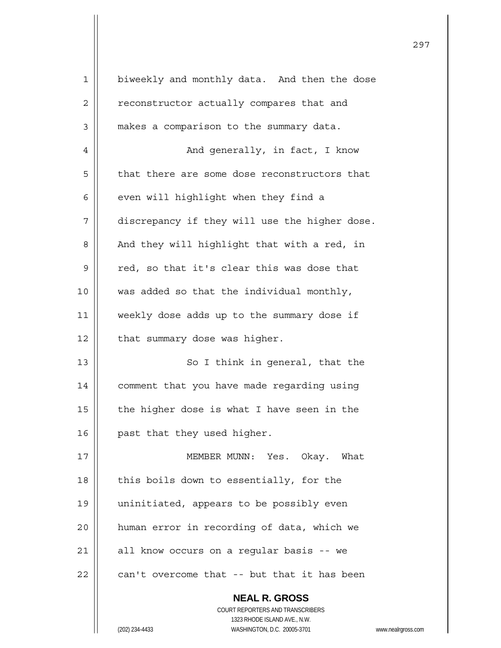| $\mathbf 1$    | biweekly and monthly data. And then the dose                                               |
|----------------|--------------------------------------------------------------------------------------------|
| $\overline{c}$ | reconstructor actually compares that and                                                   |
| 3              | makes a comparison to the summary data.                                                    |
| 4              | And generally, in fact, I know                                                             |
| 5              | that there are some dose reconstructors that                                               |
| 6              | even will highlight when they find a                                                       |
| 7              | discrepancy if they will use the higher dose.                                              |
| 8              | And they will highlight that with a red, in                                                |
| 9              | red, so that it's clear this was dose that                                                 |
| 10             | was added so that the individual monthly,                                                  |
| 11             | weekly dose adds up to the summary dose if                                                 |
| 12             | that summary dose was higher.                                                              |
| 13             | So I think in general, that the                                                            |
| 14             | comment that you have made regarding using                                                 |
| 15             | the higher dose is what I have seen in the                                                 |
| 16             | past that they used higher.                                                                |
| 17             | MEMBER MUNN: Yes. Okay. What                                                               |
| 18             | this boils down to essentially, for the                                                    |
| 19             | uninitiated, appears to be possibly even                                                   |
| 20             | human error in recording of data, which we                                                 |
| 21             | all know occurs on a regular basis -- we                                                   |
| 22             | can't overcome that -- but that it has been                                                |
|                |                                                                                            |
|                | <b>NEAL R. GROSS</b>                                                                       |
|                | COURT REPORTERS AND TRANSCRIBERS                                                           |
|                | 1323 RHODE ISLAND AVE., N.W.<br>(202) 234-4433<br>WASHINGTON, D.C. 20005-3701<br><b>WW</b> |
|                |                                                                                            |

297

(202) 234-4433 WASHINGTON, D.C. 20005-3701 www.nealrgross.com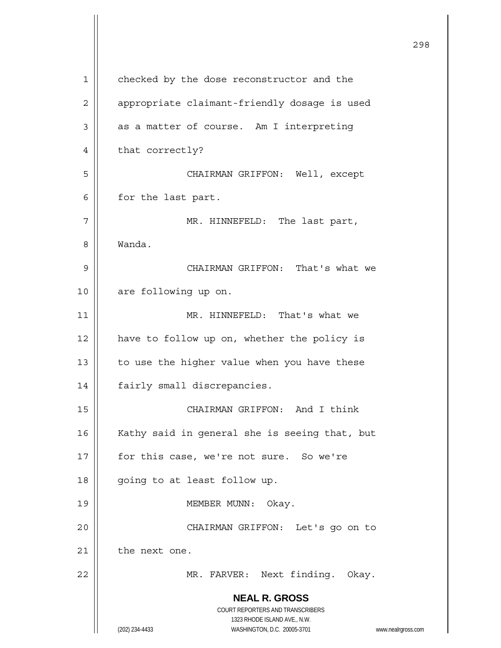|             | 298                                                                                                 |  |
|-------------|-----------------------------------------------------------------------------------------------------|--|
| $\mathbf 1$ | checked by the dose reconstructor and the                                                           |  |
| 2           | appropriate claimant-friendly dosage is used                                                        |  |
| 3           | as a matter of course. Am I interpreting                                                            |  |
| 4           | that correctly?                                                                                     |  |
| 5           | CHAIRMAN GRIFFON: Well, except                                                                      |  |
| 6           | for the last part.                                                                                  |  |
| 7           | MR. HINNEFELD: The last part,                                                                       |  |
| 8           | Wanda.                                                                                              |  |
| 9           | CHAIRMAN GRIFFON: That's what we                                                                    |  |
| 10          | are following up on.                                                                                |  |
| 11          | MR. HINNEFELD: That's what we                                                                       |  |
| 12          | have to follow up on, whether the policy is                                                         |  |
| 13          | to use the higher value when you have these                                                         |  |
| 14          | fairly small discrepancies.                                                                         |  |
| 15          | CHAIRMAN GRIFFON: And I think                                                                       |  |
| 16          | Kathy said in general she is seeing that, but                                                       |  |
| 17          | for this case, we're not sure. So we're                                                             |  |
| 18          | going to at least follow up.                                                                        |  |
| 19          | MEMBER MUNN: Okay.                                                                                  |  |
| 20          | CHAIRMAN GRIFFON: Let's go on to                                                                    |  |
| 21          | the next one.                                                                                       |  |
| 22          | MR. FARVER: Next finding. Okay.                                                                     |  |
|             | <b>NEAL R. GROSS</b>                                                                                |  |
|             | COURT REPORTERS AND TRANSCRIBERS                                                                    |  |
|             | 1323 RHODE ISLAND AVE., N.W.<br>(202) 234-4433<br>WASHINGTON, D.C. 20005-3701<br>www.nealrgross.com |  |

 $\mathbb{I}$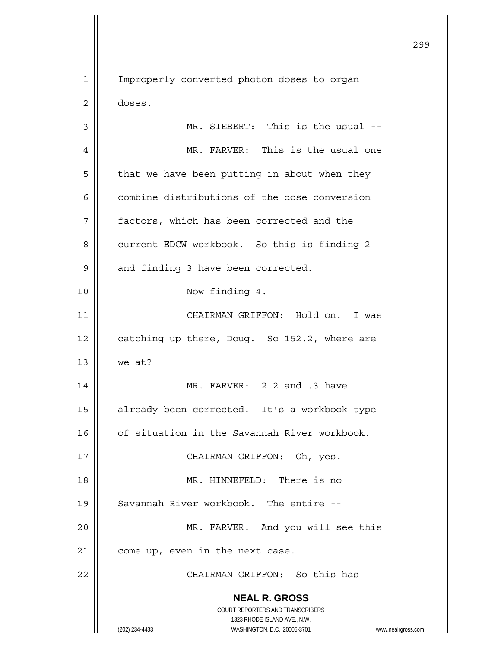1 2 3 4 5 6 7 8 9 Improperly converted photon doses to organ doses. MR. SIEBERT: This is the usual -- MR. FARVER: This is the usual one that we have been putting in about when they combine distributions of the dose conversion factors, which has been corrected and the current EDCW workbook. So this is finding 2 and finding 3 have been corrected.

Now finding 4.

11 12 13 14 15 16 CHAIRMAN GRIFFON: Hold on. I was catching up there, Doug. So 152.2, where are we at? MR. FARVER: 2.2 and .3 have already been corrected. It's a workbook type of situation in the Savannah River workbook.

CHAIRMAN GRIFFON: Oh, yes.

18 19 20 21 MR. HINNEFELD: There is no Savannah River workbook. The entire -- MR. FARVER: And you will see this come up, even in the next case.

CHAIRMAN GRIFFON: So this has

**NEAL R. GROSS** COURT REPORTERS AND TRANSCRIBERS 1323 RHODE ISLAND AVE., N.W. (202) 234-4433 WASHINGTON, D.C. 20005-3701 www.nealrgross.com

10

17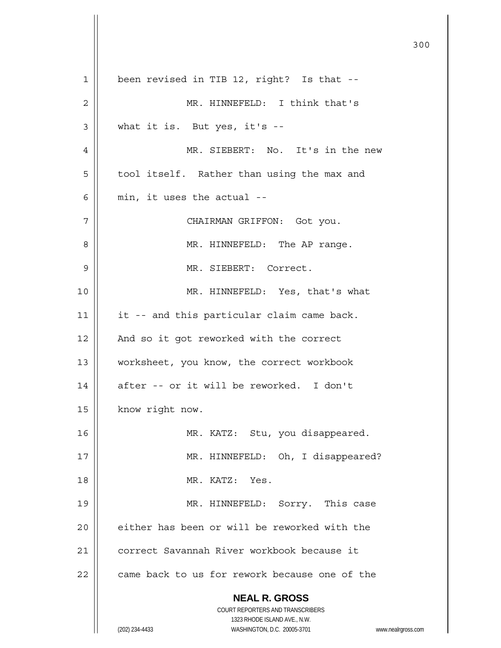|    | 300                                                                 |
|----|---------------------------------------------------------------------|
| 1  | been revised in TIB 12, right? Is that --                           |
| 2  | MR. HINNEFELD: I think that's                                       |
| 3  | what it is. But yes, it's $-$                                       |
| 4  | MR. SIEBERT: No. It's in the new                                    |
| 5  | tool itself. Rather than using the max and                          |
| 6  | min, it uses the actual --                                          |
| 7  | CHAIRMAN GRIFFON: Got you.                                          |
| 8  | MR. HINNEFELD: The AP range.                                        |
| 9  | MR. SIEBERT: Correct.                                               |
| 10 | MR. HINNEFELD: Yes, that's what                                     |
| 11 | it -- and this particular claim came back.                          |
| 12 | And so it got reworked with the correct                             |
| 13 | worksheet, you know, the correct workbook                           |
| 14 | after -- or it will be reworked. I don't                            |
| 15 | know right now.                                                     |
| 16 | MR. KATZ: Stu, you disappeared.                                     |
| 17 | MR. HINNEFELD: Oh, I disappeared?                                   |
| 18 | MR. KATZ: Yes.                                                      |
| 19 | MR. HINNEFELD: Sorry. This case                                     |
| 20 | either has been or will be reworked with the                        |
| 21 | correct Savannah River workbook because it                          |
| 22 | came back to us for rework because one of the                       |
|    | <b>NEAL R. GROSS</b><br>COURT REPORTERS AND TRANSCRIBERS            |
|    | 1323 RHODE ISLAND AVE., N.W.                                        |
|    | (202) 234-4433<br>WASHINGTON, D.C. 20005-3701<br>www.nealrgross.com |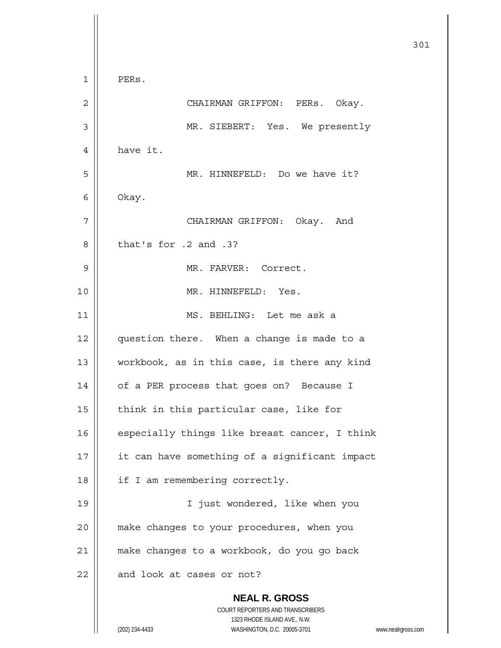**NEAL R. GROSS** COURT REPORTERS AND TRANSCRIBERS 1323 RHODE ISLAND AVE., N.W. (202) 234-4433 WASHINGTON, D.C. 20005-3701 www.nealrgross.com 301 1 2 3 4 5 6 7 8 9 10 11 12 13 14 15 16 17 18 19 20 21 22 PERs. CHAIRMAN GRIFFON: PERs. Okay. MR. SIEBERT: Yes. We presently have it. MR. HINNEFELD: Do we have it? Okay. CHAIRMAN GRIFFON: Okay. And that's for .2 and .3? MR. FARVER: Correct. MR. HINNEFELD: Yes. MS. BEHLING: Let me ask a question there. When a change is made to a workbook, as in this case, is there any kind of a PER process that goes on? Because I think in this particular case, like for especially things like breast cancer, I think it can have something of a significant impact if I am remembering correctly. I just wondered, like when you make changes to your procedures, when you make changes to a workbook, do you go back and look at cases or not?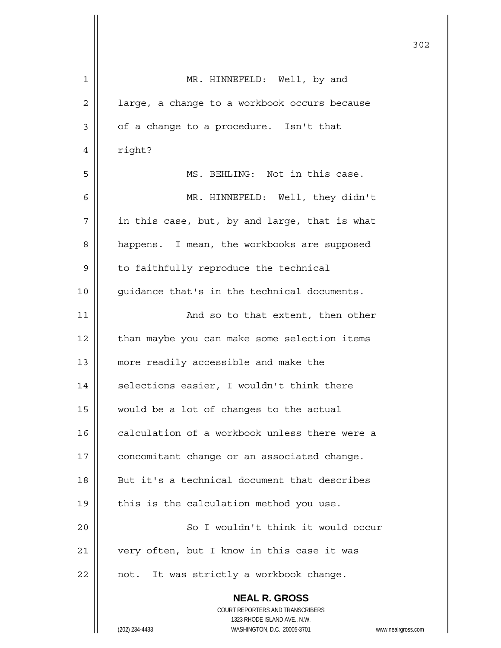| $\mathbf{1}$ | MR. HINNEFELD: Well, by and                                             |
|--------------|-------------------------------------------------------------------------|
| $\mathbf{2}$ | large, a change to a workbook occurs because                            |
| 3            | of a change to a procedure. Isn't that                                  |
| 4            | right?                                                                  |
| 5            | MS. BEHLING: Not in this case.                                          |
| 6            | MR. HINNEFELD: Well, they didn't                                        |
| 7            | in this case, but, by and large, that is what                           |
| 8            | happens. I mean, the workbooks are supposed                             |
| 9            | to faithfully reproduce the technical                                   |
| 10           | guidance that's in the technical documents.                             |
| 11           | And so to that extent, then other                                       |
| 12           | than maybe you can make some selection items                            |
| 13           | more readily accessible and make the                                    |
| 14           | selections easier, I wouldn't think there                               |
| 15           | would be a lot of changes to the actual                                 |
| 16           | calculation of a workbook unless there were a                           |
| 17           | concomitant change or an associated change.                             |
| 18           | But it's a technical document that describes                            |
| 19           | this is the calculation method you use.                                 |
| 20           | So I wouldn't think it would occur                                      |
| 21           | very often, but I know in this case it was                              |
| 22           | not. It was strictly a workbook change.                                 |
|              | <b>NEAL R. GROSS</b>                                                    |
|              | <b>COURT REPORTERS AND TRANSCRIBERS</b><br>1323 RHODE ISLAND AVE., N.W. |
|              | (202) 234-4433<br>WASHINGTON, D.C. 20005-3701<br>www.nealrgross.com     |

302

 $\mathsf{I}$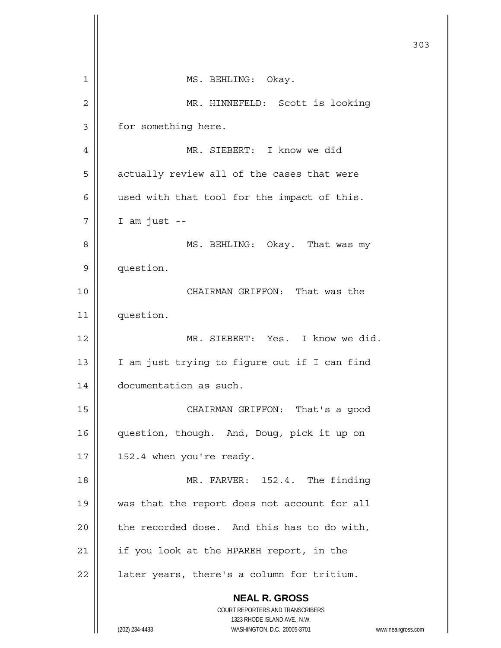|    |                                                                     | 303 |
|----|---------------------------------------------------------------------|-----|
|    |                                                                     |     |
| 1  | MS. BEHLING: Okay.                                                  |     |
| 2  | MR. HINNEFELD: Scott is looking                                     |     |
| 3  | for something here.                                                 |     |
| 4  | MR. SIEBERT: I know we did                                          |     |
| 5  | actually review all of the cases that were                          |     |
| 6  | used with that tool for the impact of this.                         |     |
| 7  | I am just $-$                                                       |     |
| 8  | MS. BEHLING: Okay. That was my                                      |     |
| 9  | question.                                                           |     |
| 10 | CHAIRMAN GRIFFON: That was the                                      |     |
| 11 | question.                                                           |     |
| 12 | MR. SIEBERT: Yes. I know we did.                                    |     |
| 13 | I am just trying to figure out if I can find                        |     |
| 14 | documentation as such.                                              |     |
| 15 | CHAIRMAN GRIFFON: That's a good                                     |     |
| 16 | question, though. And, Doug, pick it up on                          |     |
| 17 | 152.4 when you're ready.                                            |     |
| 18 | MR. FARVER: 152.4. The finding                                      |     |
| 19 | was that the report does not account for all                        |     |
| 20 | the recorded dose. And this has to do with,                         |     |
| 21 | if you look at the HPAREH report, in the                            |     |
| 22 | later years, there's a column for tritium.                          |     |
|    | <b>NEAL R. GROSS</b>                                                |     |
|    | COURT REPORTERS AND TRANSCRIBERS<br>1323 RHODE ISLAND AVE., N.W.    |     |
|    | (202) 234-4433<br>WASHINGTON, D.C. 20005-3701<br>www.nealrgross.com |     |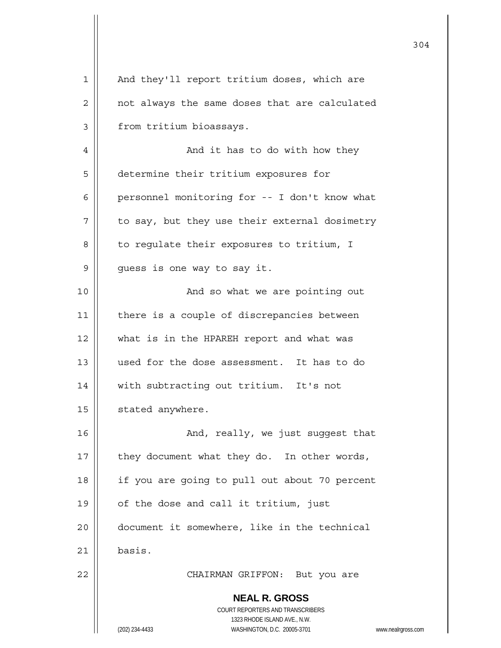|             | 304                                                                 |
|-------------|---------------------------------------------------------------------|
| $\mathbf 1$ | And they'll report tritium doses, which are                         |
| 2           | not always the same doses that are calculated                       |
| 3           | from tritium bioassays.                                             |
| 4           | And it has to do with how they                                      |
| 5           | determine their tritium exposures for                               |
| 6           | personnel monitoring for -- I don't know what                       |
| 7           | to say, but they use their external dosimetry                       |
| 8           | to regulate their exposures to tritium, I                           |
| 9           | quess is one way to say it.                                         |
| 10          | And so what we are pointing out                                     |
| 11          | there is a couple of discrepancies between                          |
| 12          | what is in the HPAREH report and what was                           |
| 13          | used for the dose assessment. It has to do                          |
| 14          | with subtracting out tritium. It's not                              |
| 15          | stated anywhere.                                                    |
| 16          | And, really, we just suggest that                                   |
| 17          | they document what they do. In other words,                         |
| 18          | if you are going to pull out about 70 percent                       |
| 19          | of the dose and call it tritium, just                               |
| 20          | document it somewhere, like in the technical                        |
| 21          | basis.                                                              |
| 22          | CHAIRMAN GRIFFON: But you are                                       |
|             | <b>NEAL R. GROSS</b>                                                |
|             | COURT REPORTERS AND TRANSCRIBERS<br>1323 RHODE ISLAND AVE., N.W.    |
|             | (202) 234-4433<br>WASHINGTON, D.C. 20005-3701<br>www.nealrgross.com |

 $\mathsf{I}$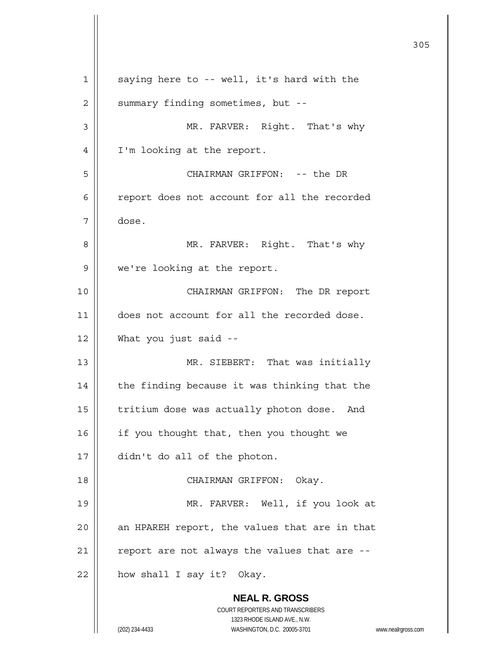**NEAL R. GROSS** COURT REPORTERS AND TRANSCRIBERS 1323 RHODE ISLAND AVE., N.W. (202) 234-4433 WASHINGTON, D.C. 20005-3701 www.nealrgross.com 305 1 2 3 4 5 6 7 8 9 10 11 12 13 14 15 16 17 18 19 20 21 22 saying here to -- well, it's hard with the summary finding sometimes, but -- MR. FARVER: Right. That's why I'm looking at the report. CHAIRMAN GRIFFON: -- the DR report does not account for all the recorded dose. MR. FARVER: Right. That's why we're looking at the report. CHAIRMAN GRIFFON: The DR report does not account for all the recorded dose. What you just said -- MR. SIEBERT: That was initially the finding because it was thinking that the tritium dose was actually photon dose. And if you thought that, then you thought we didn't do all of the photon. CHAIRMAN GRIFFON: Okay. MR. FARVER: Well, if you look at an HPAREH report, the values that are in that report are not always the values that are - how shall I say it? Okay.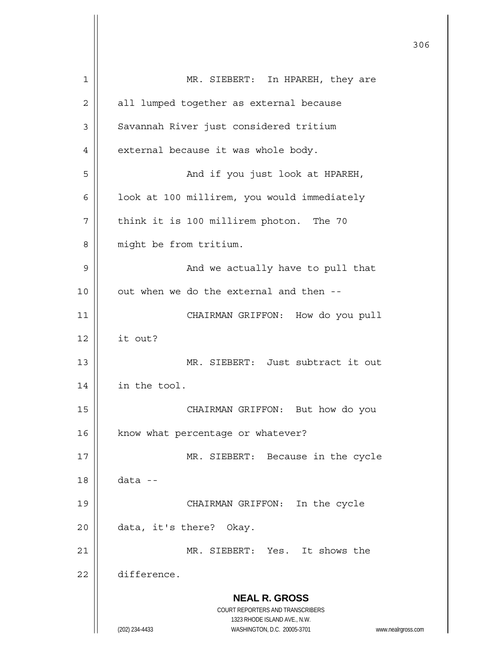| 1  | MR. SIEBERT: In HPAREH, they are                                                                    |
|----|-----------------------------------------------------------------------------------------------------|
| 2  | all lumped together as external because                                                             |
| 3  | Savannah River just considered tritium                                                              |
| 4  | external because it was whole body.                                                                 |
| 5  | And if you just look at HPAREH,                                                                     |
| 6  | look at 100 millirem, you would immediately                                                         |
| 7  | think it is 100 millirem photon. The 70                                                             |
| 8  | might be from tritium.                                                                              |
| 9  | And we actually have to pull that                                                                   |
| 10 | out when we do the external and then --                                                             |
| 11 | CHAIRMAN GRIFFON: How do you pull                                                                   |
| 12 | it out?                                                                                             |
| 13 | MR. SIEBERT: Just subtract it out                                                                   |
| 14 | in the tool.                                                                                        |
| 15 | CHAIRMAN GRIFFON: But how do you                                                                    |
| 16 | know what percentage or whatever?                                                                   |
| 17 | MR. SIEBERT: Because in the cycle                                                                   |
| 18 | data --                                                                                             |
| 19 | CHAIRMAN GRIFFON: In the cycle                                                                      |
| 20 | data, it's there? Okay.                                                                             |
| 21 | MR. SIEBERT: Yes. It shows the                                                                      |
| 22 | difference.                                                                                         |
|    | <b>NEAL R. GROSS</b>                                                                                |
|    | COURT REPORTERS AND TRANSCRIBERS                                                                    |
|    | 1323 RHODE ISLAND AVE., N.W.<br>(202) 234-4433<br>WASHINGTON, D.C. 20005-3701<br>www.nealrgross.com |

<u>306</u>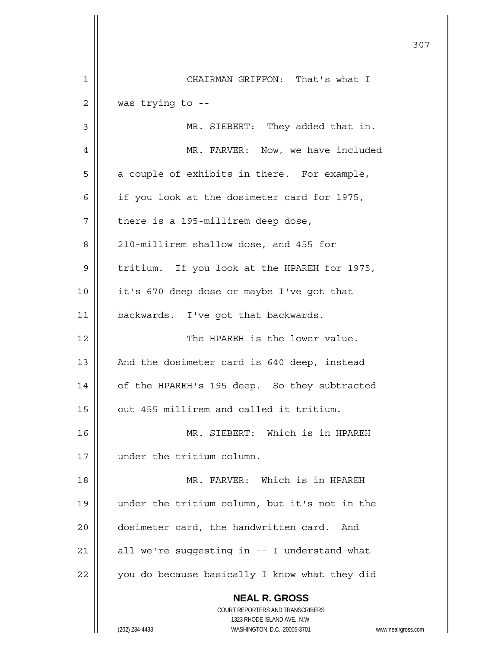**NEAL R. GROSS** COURT REPORTERS AND TRANSCRIBERS 1323 RHODE ISLAND AVE., N.W. (202) 234-4433 WASHINGTON, D.C. 20005-3701 www.nealrgross.com 307 1 2 3 4 5 6 7 8 9 10 11 12 13 14 15 16 17 18 19 20 21 22 CHAIRMAN GRIFFON: That's what I was trying to -- MR. SIEBERT: They added that in. MR. FARVER: Now, we have included a couple of exhibits in there. For example, if you look at the dosimeter card for 1975, there is a 195-millirem deep dose, 210-millirem shallow dose, and 455 for tritium. If you look at the HPAREH for 1975, it's 670 deep dose or maybe I've got that backwards. I've got that backwards. The HPAREH is the lower value. And the dosimeter card is 640 deep, instead of the HPAREH's 195 deep. So they subtracted out 455 millirem and called it tritium. MR. SIEBERT: Which is in HPAREH under the tritium column. MR. FARVER: Which is in HPAREH under the tritium column, but it's not in the dosimeter card, the handwritten card. And all we're suggesting in -- I understand what you do because basically I know what they did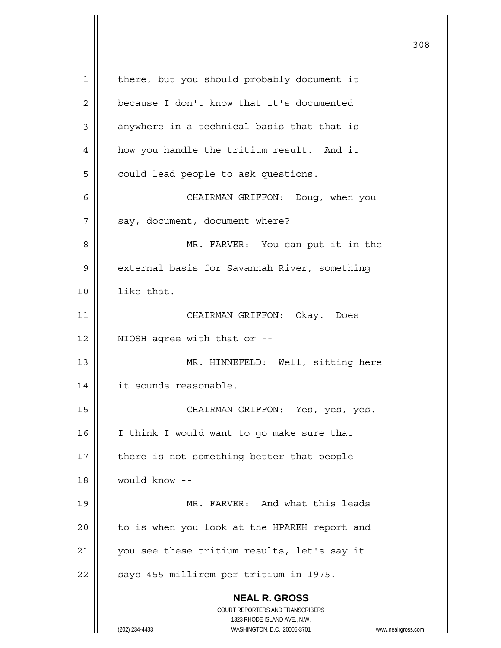| $\mathbf 1$ | there, but you should probably document it                                                          |
|-------------|-----------------------------------------------------------------------------------------------------|
| 2           | because I don't know that it's documented                                                           |
| 3           | anywhere in a technical basis that that is                                                          |
| 4           | how you handle the tritium result. And it                                                           |
| 5           | could lead people to ask questions.                                                                 |
| 6           | CHAIRMAN GRIFFON: Doug, when you                                                                    |
| 7           | say, document, document where?                                                                      |
| 8           | MR. FARVER: You can put it in the                                                                   |
| 9           | external basis for Savannah River, something                                                        |
| 10          | like that.                                                                                          |
| 11          | CHAIRMAN GRIFFON: Okay. Does                                                                        |
| 12          | NIOSH agree with that or --                                                                         |
| 13          | MR. HINNEFELD: Well, sitting here                                                                   |
| 14          | it sounds reasonable.                                                                               |
| 15          | CHAIRMAN GRIFFON: Yes, yes, yes.                                                                    |
| 16          | I think I would want to go make sure that                                                           |
| 17          | there is not something better that people                                                           |
| 18          | would know --                                                                                       |
| 19          | MR. FARVER: And what this leads                                                                     |
| 20          | to is when you look at the HPAREH report and                                                        |
| 21          | you see these tritium results, let's say it                                                         |
| 22          | says 455 millirem per tritium in 1975.                                                              |
|             | <b>NEAL R. GROSS</b><br>COURT REPORTERS AND TRANSCRIBERS                                            |
|             | 1323 RHODE ISLAND AVE., N.W.<br>(202) 234-4433<br>WASHINGTON, D.C. 20005-3701<br>www.nealrgross.com |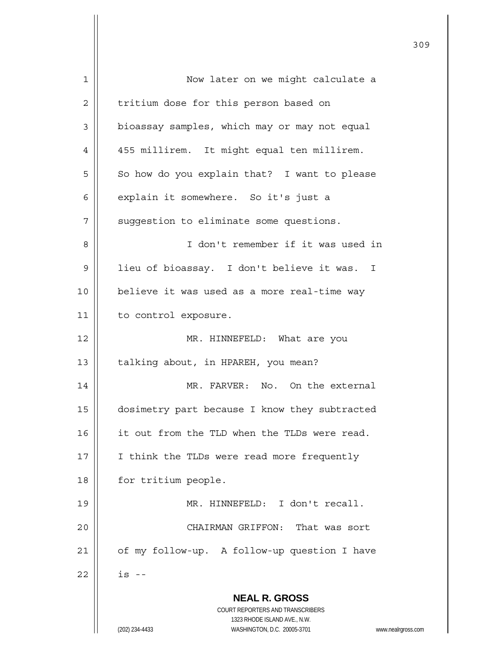| 1  | Now later on we might calculate a                                                                   |
|----|-----------------------------------------------------------------------------------------------------|
| 2  | tritium dose for this person based on                                                               |
| 3  | bioassay samples, which may or may not equal                                                        |
| 4  | 455 millirem. It might equal ten millirem.                                                          |
| 5  | So how do you explain that? I want to please                                                        |
| 6  | explain it somewhere. So it's just a                                                                |
| 7  | suggestion to eliminate some questions.                                                             |
| 8  | I don't remember if it was used in                                                                  |
| 9  | lieu of bioassay. I don't believe it was. I                                                         |
| 10 | believe it was used as a more real-time way                                                         |
| 11 | to control exposure.                                                                                |
| 12 | MR. HINNEFELD: What are you                                                                         |
| 13 | talking about, in HPAREH, you mean?                                                                 |
| 14 | MR. FARVER: No. On the external                                                                     |
| 15 | dosimetry part because I know they subtracted                                                       |
| 16 | it out from the TLD when the TLDs were read.                                                        |
| 17 | I think the TLDs were read more frequently                                                          |
| 18 | for tritium people.                                                                                 |
| 19 | MR. HINNEFELD: I don't recall.                                                                      |
| 20 | CHAIRMAN GRIFFON: That was sort                                                                     |
| 21 | of my follow-up. A follow-up question I have                                                        |
| 22 | $is$ --                                                                                             |
|    | <b>NEAL R. GROSS</b>                                                                                |
|    | COURT REPORTERS AND TRANSCRIBERS                                                                    |
|    | 1323 RHODE ISLAND AVE., N.W.<br>WASHINGTON, D.C. 20005-3701<br>(202) 234-4433<br>www.nealrgross.com |
|    |                                                                                                     |

<u>309</u>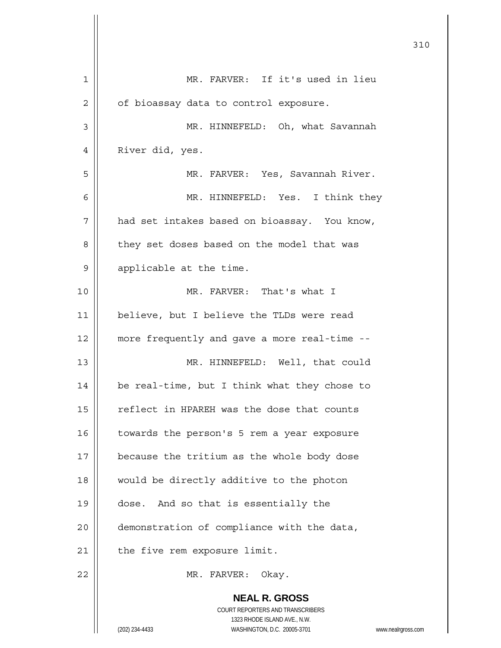|             | 310                                                                                                                                                             |
|-------------|-----------------------------------------------------------------------------------------------------------------------------------------------------------------|
| $\mathbf 1$ | MR. FARVER: If it's used in lieu                                                                                                                                |
| 2           | of bioassay data to control exposure.                                                                                                                           |
| 3           | MR. HINNEFELD: Oh, what Savannah                                                                                                                                |
| 4           | River did, yes.                                                                                                                                                 |
| 5           | MR. FARVER: Yes, Savannah River.                                                                                                                                |
| 6           | MR. HINNEFELD: Yes. I think they                                                                                                                                |
| 7           | had set intakes based on bioassay. You know,                                                                                                                    |
| 8           | they set doses based on the model that was                                                                                                                      |
| 9           | applicable at the time.                                                                                                                                         |
| 10          | MR. FARVER: That's what I                                                                                                                                       |
| 11          | believe, but I believe the TLDs were read                                                                                                                       |
| 12          | more frequently and gave a more real-time --                                                                                                                    |
| 13          | MR. HINNEFELD: Well, that could                                                                                                                                 |
| 14          | be real-time, but I think what they chose to                                                                                                                    |
| 15          | reflect in HPAREH was the dose that counts                                                                                                                      |
| 16          | towards the person's 5 rem a year exposure                                                                                                                      |
| 17          | because the tritium as the whole body dose                                                                                                                      |
| 18          | would be directly additive to the photon                                                                                                                        |
| 19          | dose. And so that is essentially the                                                                                                                            |
| 20          | demonstration of compliance with the data,                                                                                                                      |
| 21          | the five rem exposure limit.                                                                                                                                    |
| 22          | MR. FARVER: Okay.                                                                                                                                               |
|             | <b>NEAL R. GROSS</b><br>COURT REPORTERS AND TRANSCRIBERS<br>1323 RHODE ISLAND AVE., N.W.<br>(202) 234-4433<br>WASHINGTON, D.C. 20005-3701<br>www.nealrgross.com |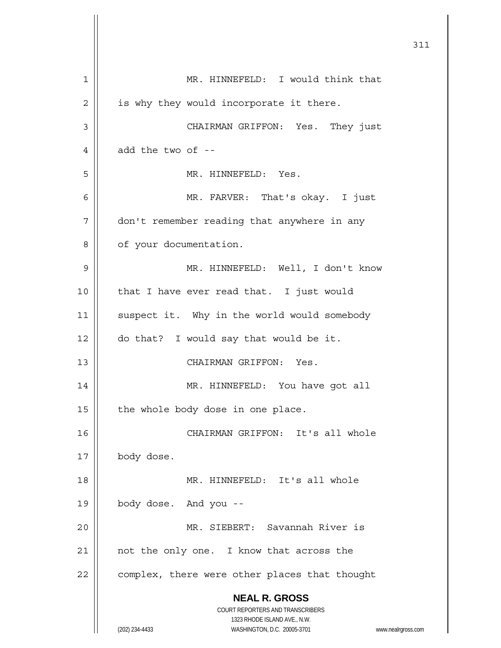**NEAL R. GROSS** COURT REPORTERS AND TRANSCRIBERS 1323 RHODE ISLAND AVE., N.W. (202) 234-4433 WASHINGTON, D.C. 20005-3701 www.nealrgross.com 1 2 3 4 5 6 7 8 9 10 11 12 13 14 15 16 17 18 19 20 21 22 MR. HINNEFELD: I would think that is why they would incorporate it there. CHAIRMAN GRIFFON: Yes. They just add the two of -- MR. HINNEFELD: Yes. MR. FARVER: That's okay. I just don't remember reading that anywhere in any of your documentation. MR. HINNEFELD: Well, I don't know that I have ever read that. I just would suspect it. Why in the world would somebody do that? I would say that would be it. CHAIRMAN GRIFFON: Yes. MR. HINNEFELD: You have got all the whole body dose in one place. CHAIRMAN GRIFFON: It's all whole body dose. MR. HINNEFELD: It's all whole body dose. And you -- MR. SIEBERT: Savannah River is not the only one. I know that across the complex, there were other places that thought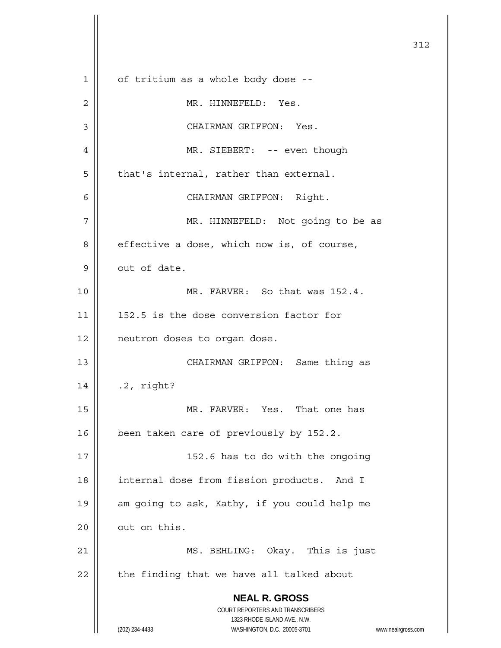**NEAL R. GROSS** COURT REPORTERS AND TRANSCRIBERS 1323 RHODE ISLAND AVE., N.W. (202) 234-4433 WASHINGTON, D.C. 20005-3701 www.nealrgross.com 312 1 2 3 4 5 6 7 8 9 10 11 12 13 14 15 16 17 18 19 20 21 22 of tritium as a whole body dose -- MR. HINNEFELD: Yes. CHAIRMAN GRIFFON: Yes. MR. SIEBERT: -- even though that's internal, rather than external. CHAIRMAN GRIFFON: Right. MR. HINNEFELD: Not going to be as effective a dose, which now is, of course, out of date. MR. FARVER: So that was 152.4. 152.5 is the dose conversion factor for neutron doses to organ dose. CHAIRMAN GRIFFON: Same thing as .2, right? MR. FARVER: Yes. That one has been taken care of previously by 152.2. 152.6 has to do with the ongoing internal dose from fission products. And I am going to ask, Kathy, if you could help me out on this. MS. BEHLING: Okay. This is just the finding that we have all talked about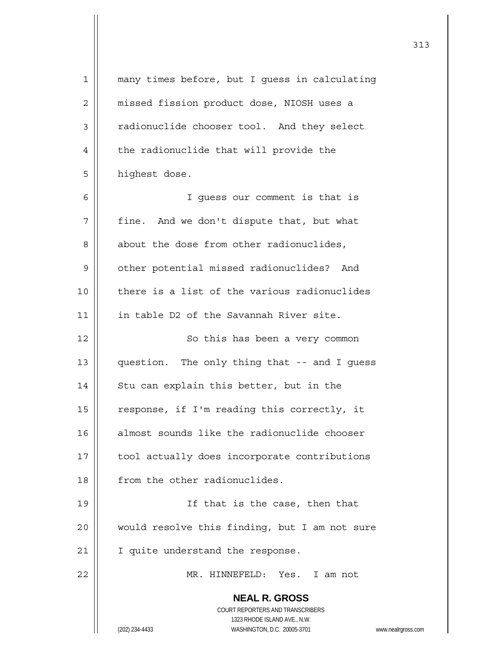| $\mathbf{1}$ | many times before, but I quess in calculating                       |
|--------------|---------------------------------------------------------------------|
| 2            | missed fission product dose, NIOSH uses a                           |
| 3            | radionuclide chooser tool. And they select                          |
| 4            | the radionuclide that will provide the                              |
| 5            | highest dose.                                                       |
| 6            | I guess our comment is that is                                      |
| 7            | fine. And we don't dispute that, but what                           |
| 8            | about the dose from other radionuclides,                            |
| 9            | other potential missed radionuclides? And                           |
| 10           | there is a list of the various radionuclides                        |
| 11           | in table D2 of the Savannah River site.                             |
| 12           | So this has been a very common                                      |
| 13           | question. The only thing that -- and I guess                        |
| 14           | Stu can explain this better, but in the                             |
| 15           | response, if I'm reading this correctly, it                         |
| 16           | almost sounds like the radionuclide chooser                         |
| 17           | tool actually does incorporate contributions                        |
| 18           | from the other radionuclides.                                       |
| 19           | If that is the case, then that                                      |
| 20           | would resolve this finding, but I am not sure                       |
| 21           | I quite understand the response.                                    |
| 22           | MR. HINNEFELD: Yes. I am not                                        |
|              | <b>NEAL R. GROSS</b>                                                |
|              | COURT REPORTERS AND TRANSCRIBERS                                    |
|              | 1323 RHODE ISLAND AVE., N.W.                                        |
|              | (202) 234-4433<br>WASHINGTON, D.C. 20005-3701<br>www.nealrgross.com |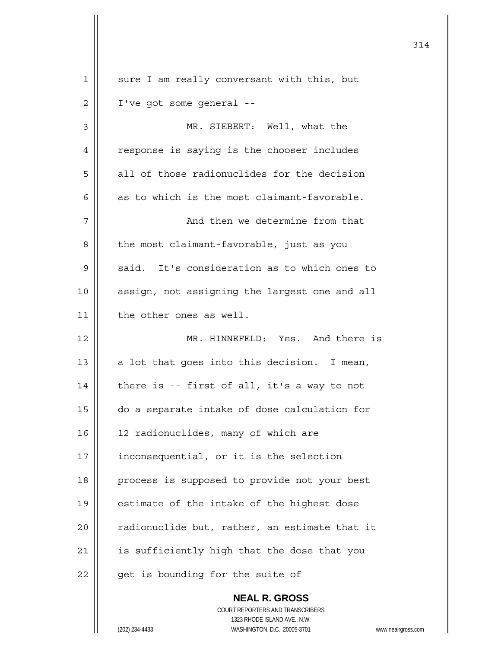| $\mathbf 1$ | sure I am really conversant with this, but                                             |
|-------------|----------------------------------------------------------------------------------------|
| 2           | I've got some general --                                                               |
| 3           | MR. SIEBERT: Well, what the                                                            |
| 4           | response is saying is the chooser includes                                             |
| 5           | all of those radionuclides for the decision                                            |
| 6           | as to which is the most claimant-favorable.                                            |
| 7           | And then we determine from that                                                        |
| 8           | the most claimant-favorable, just as you                                               |
| 9           | said. It's consideration as to which ones to                                           |
| 10          | assign, not assigning the largest one and all                                          |
| 11          | the other ones as well.                                                                |
| 12          | MR. HINNEFELD: Yes. And there is                                                       |
| 13          | a lot that goes into this decision. I mean,                                            |
| 14          | there is -- first of all, it's a way to not                                            |
| 15          | do a separate intake of dose calculation for                                           |
| 16          | 12 radionuclides, many of which are                                                    |
| 17          | inconsequential, or it is the selection                                                |
| 18          | process is supposed to provide not your best                                           |
| 19          | estimate of the intake of the highest dose                                             |
| 20          | radionuclide but, rather, an estimate that it                                          |
| 21          | is sufficiently high that the dose that you                                            |
| 22          | get is bounding for the suite of                                                       |
|             | <b>NEAL R. GROSS</b>                                                                   |
|             | COURT REPORTERS AND TRANSCRIBERS                                                       |
|             | 1323 RHODE ISLAND AVE., N.W.<br>(202) 234-4433<br>WASHINGTON, D.C. 20005-3701<br>www.n |
|             |                                                                                        |

314

(202) 234-4433 WASHINGTON, D.C. 20005-3701 www.nealrgross.com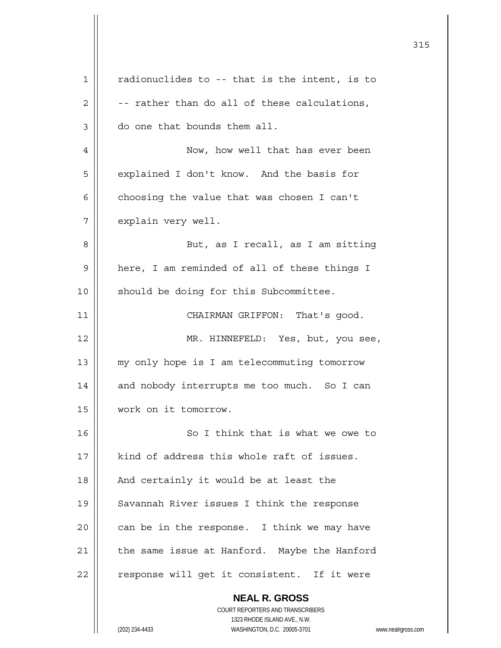|             |                                                                     | 315 |
|-------------|---------------------------------------------------------------------|-----|
| $\mathbf 1$ | radionuclides to -- that is the intent, is to                       |     |
| 2           | -- rather than do all of these calculations,                        |     |
| 3           | do one that bounds them all.                                        |     |
| 4           | Now, how well that has ever been                                    |     |
| 5           | explained I don't know. And the basis for                           |     |
| 6           | choosing the value that was chosen I can't                          |     |
| 7           | explain very well.                                                  |     |
| 8           | But, as I recall, as I am sitting                                   |     |
| 9           | here, I am reminded of all of these things I                        |     |
| 10          | should be doing for this Subcommittee.                              |     |
| 11          | CHAIRMAN GRIFFON: That's good.                                      |     |
| 12          | MR. HINNEFELD: Yes, but, you see,                                   |     |
| 13          | my only hope is I am telecommuting tomorrow                         |     |
| 14          | and nobody interrupts me too much. So I can                         |     |
| 15          | work on it tomorrow.                                                |     |
| 16          | So I think that is what we owe to                                   |     |
| 17          | kind of address this whole raft of issues.                          |     |
| 18          | And certainly it would be at least the                              |     |
| 19          | Savannah River issues I think the response                          |     |
| 20          | can be in the response. I think we may have                         |     |
| 21          | the same issue at Hanford. Maybe the Hanford                        |     |
| 22          | response will get it consistent. If it were                         |     |
|             | <b>NEAL R. GROSS</b>                                                |     |
|             | COURT REPORTERS AND TRANSCRIBERS<br>1323 RHODE ISLAND AVE., N.W.    |     |
|             | (202) 234-4433<br>WASHINGTON, D.C. 20005-3701<br>www.nealrgross.com |     |

 $\mathsf{l}$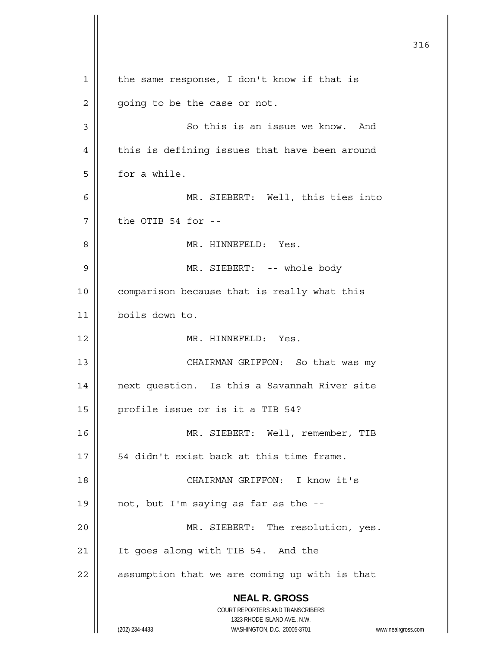**NEAL R. GROSS** COURT REPORTERS AND TRANSCRIBERS 1323 RHODE ISLAND AVE., N.W. (202) 234-4433 WASHINGTON, D.C. 20005-3701 www.nealrgross.com 316 1 2 3 4 5 6 7 8 9 10 11 12 13 14 15 16 17 18 19 20 21 22 the same response, I don't know if that is going to be the case or not. So this is an issue we know. And this is defining issues that have been around for a while. MR. SIEBERT: Well, this ties into the OTIB 54 for -- MR. HINNEFELD: Yes. MR. SIEBERT: -- whole body comparison because that is really what this boils down to. MR. HINNEFELD: Yes. CHAIRMAN GRIFFON: So that was my next question. Is this a Savannah River site profile issue or is it a TIB 54? MR. SIEBERT: Well, remember, TIB 54 didn't exist back at this time frame. CHAIRMAN GRIFFON: I know it's not, but I'm saying as far as the -- MR. SIEBERT: The resolution, yes. It goes along with TIB 54. And the assumption that we are coming up with is that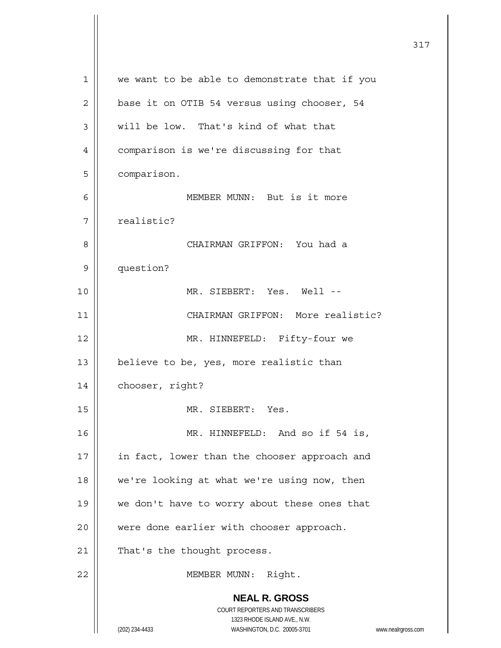**NEAL R. GROSS** COURT REPORTERS AND TRANSCRIBERS 1323 RHODE ISLAND AVE., N.W. (202) 234-4433 WASHINGTON, D.C. 20005-3701 www.nealrgross.com 317 1 2 3 4 5 6 7 8 9 10 11 12 13 14 15 16 17 18 19 20 21 22 we want to be able to demonstrate that if you base it on OTIB 54 versus using chooser, 54 will be low. That's kind of what that comparison is we're discussing for that comparison. MEMBER MUNN: But is it more realistic? CHAIRMAN GRIFFON: You had a question? MR. SIEBERT: Yes. Well -- CHAIRMAN GRIFFON: More realistic? MR. HINNEFELD: Fifty-four we believe to be, yes, more realistic than chooser, right? MR. SIEBERT: Yes. MR. HINNEFELD: And so if 54 is, in fact, lower than the chooser approach and we're looking at what we're using now, then we don't have to worry about these ones that were done earlier with chooser approach. That's the thought process. MEMBER MUNN: Right.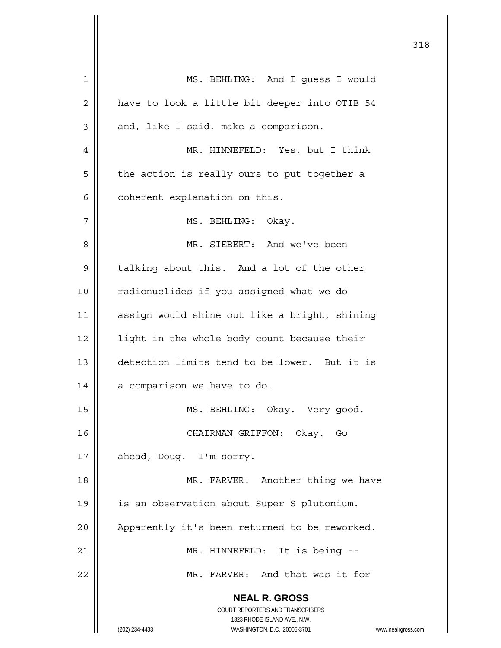**NEAL R. GROSS** COURT REPORTERS AND TRANSCRIBERS 1323 RHODE ISLAND AVE., N.W. (202) 234-4433 WASHINGTON, D.C. 20005-3701 www.nealrgross.com 1 2 3 4 5 6 7 8 9 10 11 12 13 14 15 16 17 18 19 20 21 22 MS. BEHLING: And I guess I would have to look a little bit deeper into OTIB 54 and, like I said, make a comparison. MR. HINNEFELD: Yes, but I think the action is really ours to put together a coherent explanation on this. MS. BEHLING: Okay. MR. SIEBERT: And we've been talking about this. And a lot of the other radionuclides if you assigned what we do assign would shine out like a bright, shining light in the whole body count because their detection limits tend to be lower. But it is a comparison we have to do. MS. BEHLING: Okay. Very good. CHAIRMAN GRIFFON: Okay. Go ahead, Doug. I'm sorry. MR. FARVER: Another thing we have is an observation about Super S plutonium. Apparently it's been returned to be reworked. MR. HINNEFELD: It is being -- MR. FARVER: And that was it for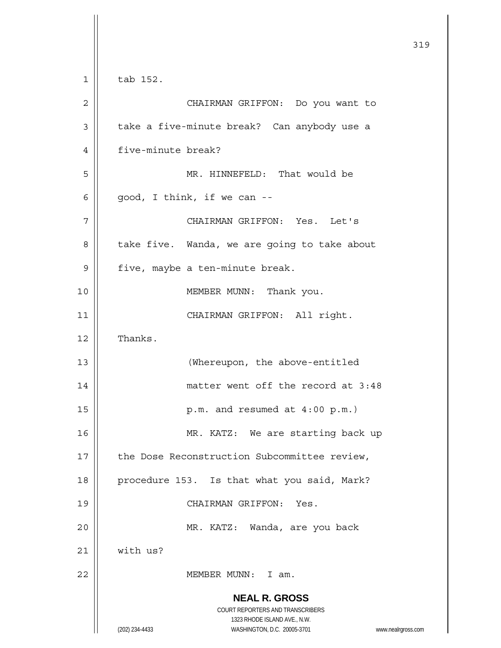**NEAL R. GROSS** COURT REPORTERS AND TRANSCRIBERS 1323 RHODE ISLAND AVE., N.W. (202) 234-4433 WASHINGTON, D.C. 20005-3701 www.nealrgross.com 319 1 2 3 4 5 6 7 8 9 10 11 12 13 14 15 16 17 18 19 20 21 22 tab 152. CHAIRMAN GRIFFON: Do you want to take a five-minute break? Can anybody use a five-minute break? MR. HINNEFELD: That would be good, I think, if we can -- CHAIRMAN GRIFFON: Yes. Let's take five. Wanda, we are going to take about five, maybe a ten-minute break. MEMBER MUNN: Thank you. CHAIRMAN GRIFFON: All right. Thanks. (Whereupon, the above-entitled matter went off the record at 3:48 p.m. and resumed at 4:00 p.m.) MR. KATZ: We are starting back up the Dose Reconstruction Subcommittee review, procedure 153. Is that what you said, Mark? CHAIRMAN GRIFFON: Yes. MR. KATZ: Wanda, are you back with us? MEMBER MUNN: I am.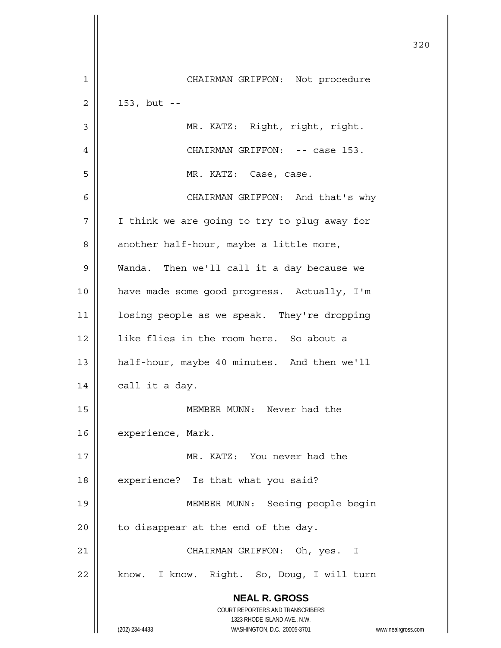**NEAL R. GROSS** COURT REPORTERS AND TRANSCRIBERS 1323 RHODE ISLAND AVE., N.W. (202) 234-4433 WASHINGTON, D.C. 20005-3701 www.nealrgross.com 320 1 2 3 4 5 6 7 8 9 10 11 12 13 14 15 16 17 18 19 20 21 22 CHAIRMAN GRIFFON: Not procedure 153, but -- MR. KATZ: Right, right, right. CHAIRMAN GRIFFON: -- case 153. MR. KATZ: Case, case. CHAIRMAN GRIFFON: And that's why I think we are going to try to plug away for another half-hour, maybe a little more, Wanda. Then we'll call it a day because we have made some good progress. Actually, I'm losing people as we speak. They're dropping like flies in the room here. So about a half-hour, maybe 40 minutes. And then we'll call it a day. MEMBER MUNN: Never had the experience, Mark. MR. KATZ: You never had the experience? Is that what you said? MEMBER MUNN: Seeing people begin to disappear at the end of the day. CHAIRMAN GRIFFON: Oh, yes. I know. I know. Right. So, Doug, I will turn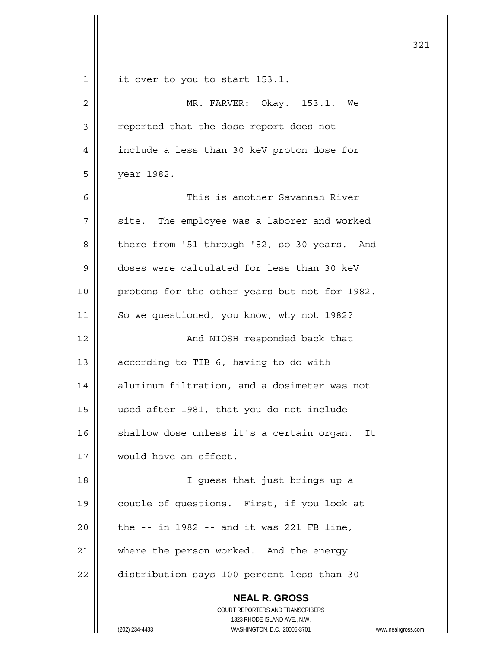|             |                                                                  | 321                |
|-------------|------------------------------------------------------------------|--------------------|
| $\mathbf 1$ | it over to you to start 153.1.                                   |                    |
| 2           | MR. FARVER: Okay. 153.1. We                                      |                    |
| 3           | reported that the dose report does not                           |                    |
| 4           | include a less than 30 keV proton dose for                       |                    |
| 5           | year 1982.                                                       |                    |
| 6           | This is another Savannah River                                   |                    |
| 7           | site. The employee was a laborer and worked                      |                    |
| 8           | there from '51 through '82, so 30 years. And                     |                    |
| 9           | doses were calculated for less than 30 keV                       |                    |
| 10          | protons for the other years but not for 1982.                    |                    |
| 11          | So we questioned, you know, why not 1982?                        |                    |
| 12          | And NIOSH responded back that                                    |                    |
| 13          | according to TIB 6, having to do with                            |                    |
| 14          | aluminum filtration, and a dosimeter was not                     |                    |
| 15          | used after 1981, that you do not include                         |                    |
| 16          | shallow dose unless it's a certain organ. It                     |                    |
| 17          | would have an effect.                                            |                    |
| 18          | I guess that just brings up a                                    |                    |
| 19          | couple of questions. First, if you look at                       |                    |
| 20          | the $-$ in 1982 $-$ and it was 221 FB line,                      |                    |
| 21          | where the person worked. And the energy                          |                    |
| 22          | distribution says 100 percent less than 30                       |                    |
|             | <b>NEAL R. GROSS</b>                                             |                    |
|             | COURT REPORTERS AND TRANSCRIBERS<br>1323 RHODE ISLAND AVE., N.W. |                    |
|             | (202) 234-4433<br>WASHINGTON, D.C. 20005-3701                    | www.nealrgross.com |

 $\overline{\phantom{a}}$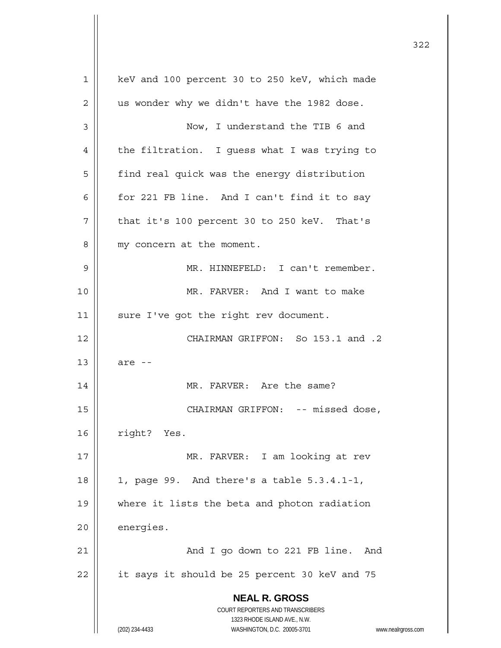| $\mathbf 1$ | keV and 100 percent 30 to 250 keV, which made                                                       |
|-------------|-----------------------------------------------------------------------------------------------------|
| 2           | us wonder why we didn't have the 1982 dose.                                                         |
| 3           | Now, I understand the TIB 6 and                                                                     |
| 4           | the filtration. I guess what I was trying to                                                        |
| 5           | find real quick was the energy distribution                                                         |
| 6           | for 221 FB line. And I can't find it to say                                                         |
| 7           | that it's 100 percent 30 to 250 keV. That's                                                         |
| 8           | my concern at the moment.                                                                           |
| 9           | MR. HINNEFELD: I can't remember.                                                                    |
| 10          | MR. FARVER: And I want to make                                                                      |
| 11          | sure I've got the right rev document.                                                               |
| 12          | CHAIRMAN GRIFFON: So 153.1 and .2                                                                   |
| 13          | are --                                                                                              |
| 14          | MR. FARVER: Are the same?                                                                           |
| 15          | CHAIRMAN GRIFFON: -- missed dose,                                                                   |
| 16          | right? Yes.                                                                                         |
| 17          | MR. FARVER: I am looking at rev                                                                     |
| 18          | 1, page 99. And there's a table $5.3.4.1-1$ ,                                                       |
| 19          | where it lists the beta and photon radiation                                                        |
| 20          | energies.                                                                                           |
| 21          | And I go down to 221 FB line. And                                                                   |
| 22          | it says it should be 25 percent 30 keV and 75                                                       |
|             | <b>NEAL R. GROSS</b>                                                                                |
|             | <b>COURT REPORTERS AND TRANSCRIBERS</b>                                                             |
|             | 1323 RHODE ISLAND AVE., N.W.<br>WASHINGTON, D.C. 20005-3701<br>(202) 234-4433<br>www.nealrgross.com |
|             |                                                                                                     |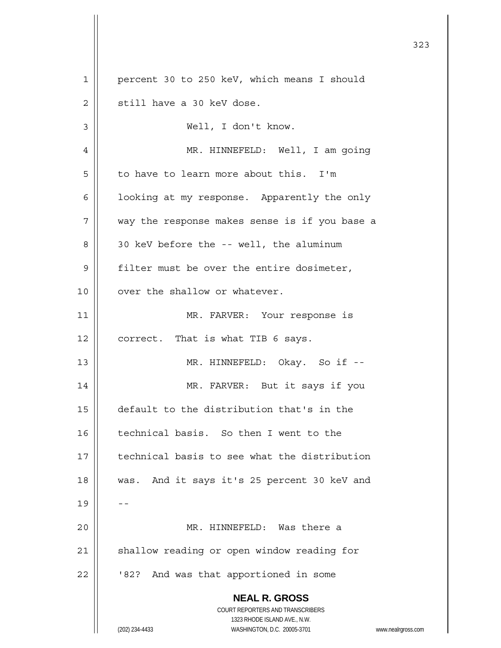**NEAL R. GROSS** COURT REPORTERS AND TRANSCRIBERS 1323 RHODE ISLAND AVE., N.W. (202) 234-4433 WASHINGTON, D.C. 20005-3701 www.nealrgross.com 1 2 3 4 5 6 7 8 9 10 11 12 13 14 15 16 17 18 19 20 21 22 percent 30 to 250 keV, which means I should still have a 30 keV dose. Well, I don't know. MR. HINNEFELD: Well, I am going to have to learn more about this. I'm looking at my response. Apparently the only way the response makes sense is if you base a 30 keV before the -- well, the aluminum filter must be over the entire dosimeter, over the shallow or whatever. MR. FARVER: Your response is correct. That is what TIB 6 says. MR. HINNEFELD: Okay. So if -- MR. FARVER: But it says if you default to the distribution that's in the technical basis. So then I went to the technical basis to see what the distribution was. And it says it's 25 percent 30 keV and -- MR. HINNEFELD: Was there a shallow reading or open window reading for '82? And was that apportioned in some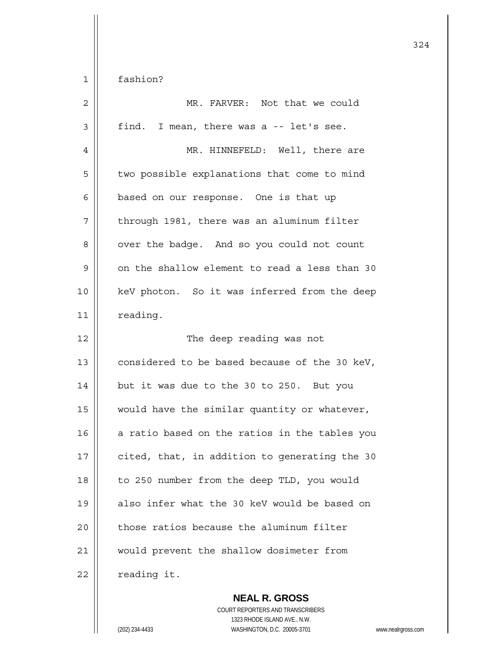1 fashion?

| $\overline{2}$ | MR. FARVER: Not that we could                 |
|----------------|-----------------------------------------------|
| 3              | find. I mean, there was a -- let's see.       |
| 4              | MR. HINNEFELD: Well, there are                |
| 5              | two possible explanations that come to mind   |
| 6              | based on our response. One is that up         |
| 7              | through 1981, there was an aluminum filter    |
| 8              | over the badge. And so you could not count    |
| $\mathsf 9$    | on the shallow element to read a less than 30 |
| 10             | keV photon. So it was inferred from the deep  |
| 11             | reading.                                      |
| 12             | The deep reading was not                      |
| 13             | considered to be based because of the 30 keV, |
| 14             | but it was due to the 30 to 250. But you      |
| 15             | would have the similar quantity or whatever,  |
| 16             | a ratio based on the ratios in the tables you |
| 17             | cited, that, in addition to generating the 30 |
| 18             | to 250 number from the deep TLD, you would    |
| 19             | also infer what the 30 keV would be based on  |
| 20             | those ratios because the aluminum filter      |
| 21             | would prevent the shallow dosimeter from      |
| 22             | reading it.                                   |

**NEAL R. GROSS** COURT REPORTERS AND TRANSCRIBERS 1323 RHODE ISLAND AVE., N.W. (202) 234-4433 WASHINGTON, D.C. 20005-3701 www.nealrgross.com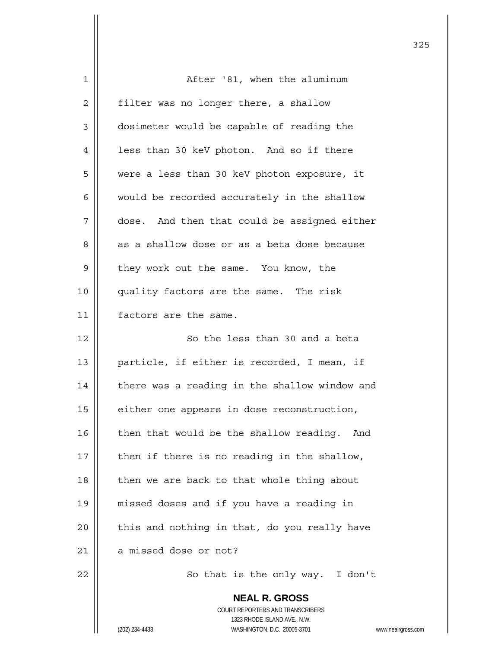| $\mathbf 1$    | After '81, when the aluminum                                                                                                                                    |
|----------------|-----------------------------------------------------------------------------------------------------------------------------------------------------------------|
| $\overline{2}$ | filter was no longer there, a shallow                                                                                                                           |
| $\mathfrak{Z}$ | dosimeter would be capable of reading the                                                                                                                       |
| $\overline{4}$ | less than 30 keV photon. And so if there                                                                                                                        |
| 5              | were a less than 30 keV photon exposure, it                                                                                                                     |
| 6              | would be recorded accurately in the shallow                                                                                                                     |
| 7              | dose. And then that could be assigned either                                                                                                                    |
| 8              | as a shallow dose or as a beta dose because                                                                                                                     |
| $\mathsf 9$    | they work out the same. You know, the                                                                                                                           |
| 10             | quality factors are the same. The risk                                                                                                                          |
| 11             | factors are the same.                                                                                                                                           |
| 12             | So the less than 30 and a beta                                                                                                                                  |
| 13             | particle, if either is recorded, I mean, if                                                                                                                     |
| 14             | there was a reading in the shallow window and                                                                                                                   |
| 15             | either one appears in dose reconstruction,                                                                                                                      |
| 16             | then that would be the shallow reading.<br>And                                                                                                                  |
| 17             | then if there is no reading in the shallow,                                                                                                                     |
| 18             | then we are back to that whole thing about                                                                                                                      |
| 19             | missed doses and if you have a reading in                                                                                                                       |
| 20             | this and nothing in that, do you really have                                                                                                                    |
| 21             | a missed dose or not?                                                                                                                                           |
| 22             | So that is the only way. I don't                                                                                                                                |
|                | <b>NEAL R. GROSS</b><br>COURT REPORTERS AND TRANSCRIBERS<br>1323 RHODE ISLAND AVE., N.W.<br>(202) 234-4433<br>WASHINGTON, D.C. 20005-3701<br>www.nealrgross.com |

<u>325</u>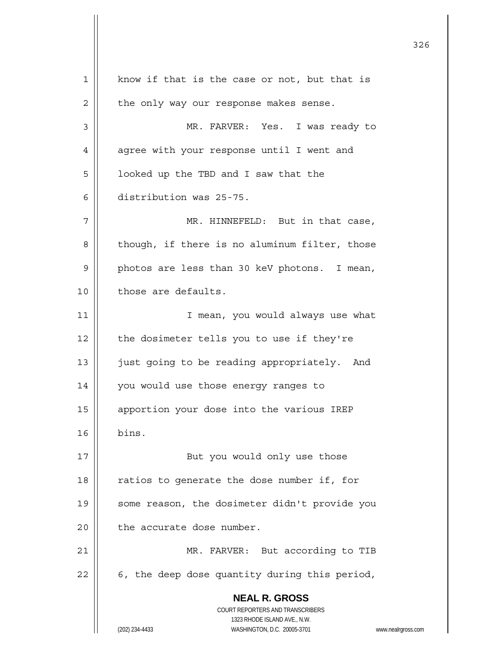**NEAL R. GROSS** COURT REPORTERS AND TRANSCRIBERS 1323 RHODE ISLAND AVE., N.W. (202) 234-4433 WASHINGTON, D.C. 20005-3701 www.nealrgross.com 1 2 3 4 5 6 7 8 9 10 11 12 13 14 15 16 17 18 19 20 21 22 know if that is the case or not, but that is the only way our response makes sense. MR. FARVER: Yes. I was ready to agree with your response until I went and looked up the TBD and I saw that the distribution was 25-75. MR. HINNEFELD: But in that case, though, if there is no aluminum filter, those photos are less than 30 keV photons. I mean, those are defaults. I mean, you would always use what the dosimeter tells you to use if they're just going to be reading appropriately. And you would use those energy ranges to apportion your dose into the various IREP bins. But you would only use those ratios to generate the dose number if, for some reason, the dosimeter didn't provide you the accurate dose number. MR. FARVER: But according to TIB 6, the deep dose quantity during this period,

<u>326</u>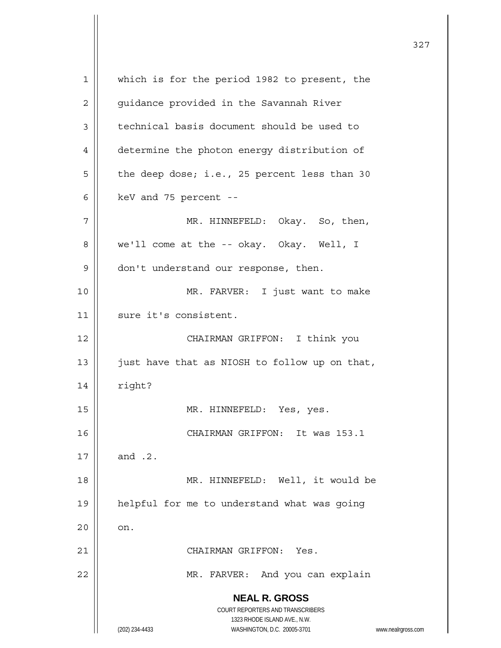**NEAL R. GROSS** COURT REPORTERS AND TRANSCRIBERS 1323 RHODE ISLAND AVE., N.W. (202) 234-4433 WASHINGTON, D.C. 20005-3701 www.nealrgross.com 1 2 3 4 5 6 7 8 9 10 11 12 13 14 15 16 17 18 19 20 21 22 which is for the period 1982 to present, the guidance provided in the Savannah River technical basis document should be used to determine the photon energy distribution of the deep dose; i.e., 25 percent less than 30 keV and 75 percent -- MR. HINNEFELD: Okay. So, then, we'll come at the -- okay. Okay. Well, I don't understand our response, then. MR. FARVER: I just want to make sure it's consistent. CHAIRMAN GRIFFON: I think you just have that as NIOSH to follow up on that, right? MR. HINNEFELD: Yes, yes. CHAIRMAN GRIFFON: It was 153.1 and .2. MR. HINNEFELD: Well, it would be helpful for me to understand what was going on. CHAIRMAN GRIFFON: Yes. MR. FARVER: And you can explain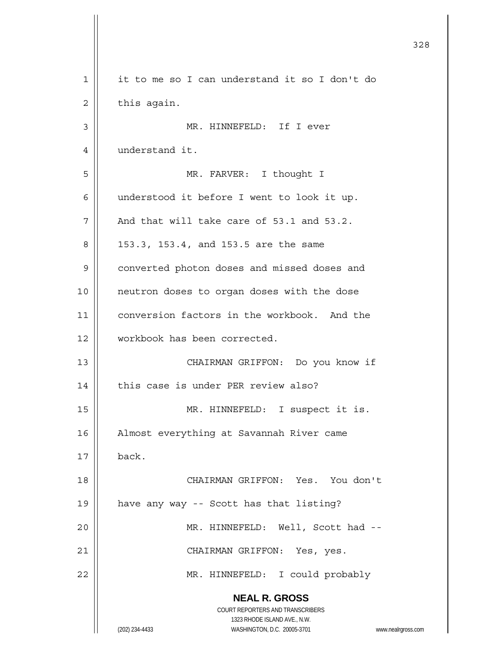|             | 328                                                                                                 |
|-------------|-----------------------------------------------------------------------------------------------------|
| $\mathbf 1$ | it to me so I can understand it so I don't do                                                       |
| 2           | this again.                                                                                         |
| 3           | MR. HINNEFELD: If I ever                                                                            |
| 4           | understand it.                                                                                      |
| 5           | MR. FARVER: I thought I                                                                             |
| 6           | understood it before I went to look it up.                                                          |
| 7           | And that will take care of 53.1 and 53.2.                                                           |
| 8           | 153.3, 153.4, and 153.5 are the same                                                                |
| 9           | converted photon doses and missed doses and                                                         |
| 10          | neutron doses to organ doses with the dose                                                          |
| 11          | conversion factors in the workbook. And the                                                         |
| 12          | workbook has been corrected.                                                                        |
| 13          | CHAIRMAN GRIFFON: Do you know if                                                                    |
| 14          | this case is under PER review also?                                                                 |
| 15          | MR. HINNEFELD: I suspect it is.                                                                     |
| 16          | Almost everything at Savannah River came                                                            |
| 17          | back.                                                                                               |
| 18          | CHAIRMAN GRIFFON: Yes. You don't                                                                    |
| 19          | have any way -- Scott has that listing?                                                             |
| 20          | MR. HINNEFELD: Well, Scott had --                                                                   |
| 21          | CHAIRMAN GRIFFON: Yes, yes.                                                                         |
| 22          | MR. HINNEFELD: I could probably                                                                     |
|             | <b>NEAL R. GROSS</b>                                                                                |
|             | COURT REPORTERS AND TRANSCRIBERS                                                                    |
|             | 1323 RHODE ISLAND AVE., N.W.<br>(202) 234-4433<br>WASHINGTON, D.C. 20005-3701<br>www.nealrgross.com |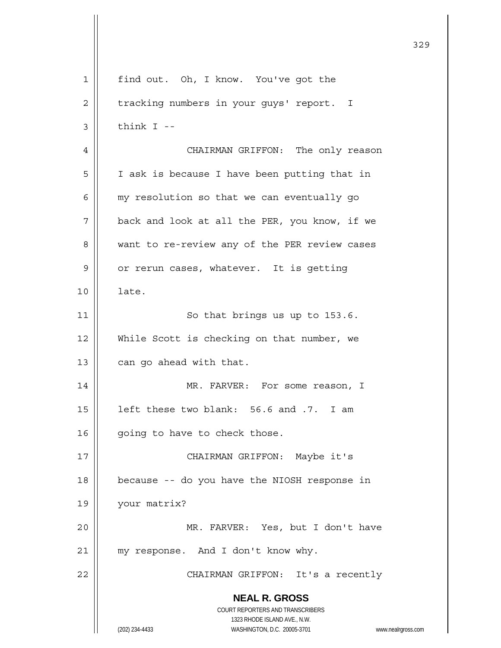| $\mathbf 1$ | find out. Oh, I know. You've got the                                                                |
|-------------|-----------------------------------------------------------------------------------------------------|
| 2           | tracking numbers in your guys' report. I                                                            |
| $\mathsf 3$ | think $I -$                                                                                         |
| 4           | CHAIRMAN GRIFFON: The only reason                                                                   |
| 5           | I ask is because I have been putting that in                                                        |
| 6           | my resolution so that we can eventually go                                                          |
| 7           | back and look at all the PER, you know, if we                                                       |
| 8           | want to re-review any of the PER review cases                                                       |
| 9           | or rerun cases, whatever. It is getting                                                             |
| 10          | late.                                                                                               |
| 11          | So that brings us up to 153.6.                                                                      |
| 12          | While Scott is checking on that number, we                                                          |
| 13          | can go ahead with that.                                                                             |
| 14          | MR. FARVER: For some reason, I                                                                      |
| 15          | left these two blank: 56.6 and .7. I am                                                             |
| 16          | going to have to check those.                                                                       |
| 17          | CHAIRMAN GRIFFON: Maybe it's                                                                        |
| 18          | because -- do you have the NIOSH response in                                                        |
| 19          | your matrix?                                                                                        |
| 20          | MR. FARVER: Yes, but I don't have                                                                   |
| 21          | my response. And I don't know why.                                                                  |
| 22          | CHAIRMAN GRIFFON: It's a recently                                                                   |
|             | <b>NEAL R. GROSS</b>                                                                                |
|             | COURT REPORTERS AND TRANSCRIBERS                                                                    |
|             | 1323 RHODE ISLAND AVE., N.W.<br>(202) 234-4433<br>WASHINGTON, D.C. 20005-3701<br>www.nealrgross.com |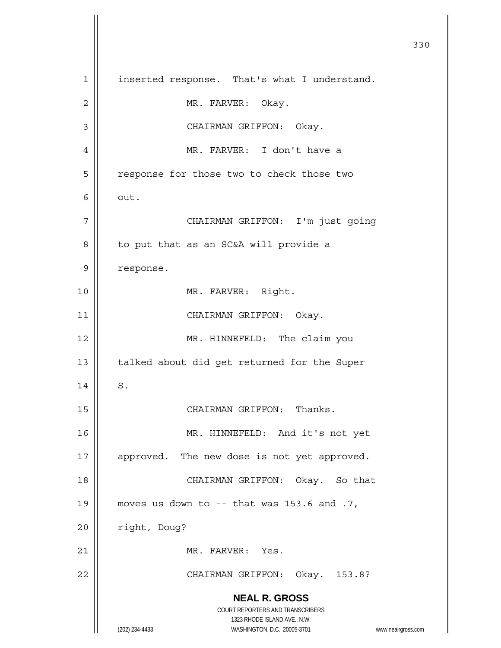**NEAL R. GROSS** COURT REPORTERS AND TRANSCRIBERS 1323 RHODE ISLAND AVE., N.W. (202) 234-4433 WASHINGTON, D.C. 20005-3701 www.nealrgross.com 330 1 2 3 4 5 6 7 8 9 10 11 12 13 14 15 16 17 18 19 20 21 22 inserted response. That's what I understand. MR. FARVER: Okay. CHAIRMAN GRIFFON: Okay. MR. FARVER: I don't have a response for those two to check those two out. CHAIRMAN GRIFFON: I'm just going to put that as an SC&A will provide a response. MR. FARVER: Right. CHAIRMAN GRIFFON: Okay. MR. HINNEFELD: The claim you talked about did get returned for the Super S. CHAIRMAN GRIFFON: Thanks. MR. HINNEFELD: And it's not yet approved. The new dose is not yet approved. CHAIRMAN GRIFFON: Okay. So that moves us down to -- that was 153.6 and .7, right, Doug? MR. FARVER: Yes. CHAIRMAN GRIFFON: Okay. 153.8?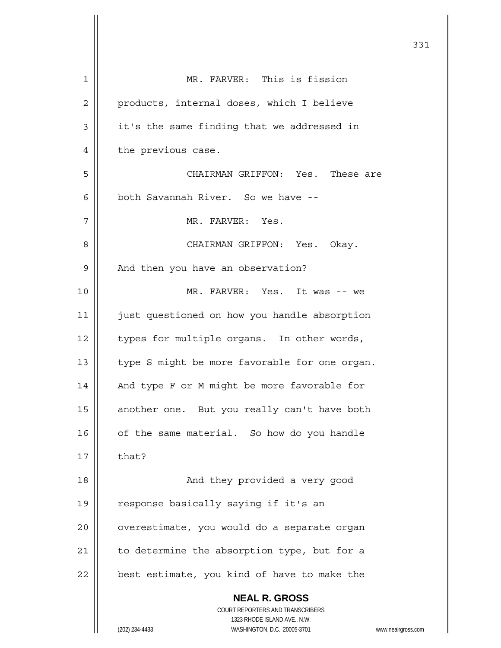|    | 331                                                                 |  |
|----|---------------------------------------------------------------------|--|
| 1  | MR. FARVER: This is fission                                         |  |
| 2  | products, internal doses, which I believe                           |  |
| 3  | it's the same finding that we addressed in                          |  |
| 4  | the previous case.                                                  |  |
| 5  | CHAIRMAN GRIFFON: Yes. These are                                    |  |
| 6  | both Savannah River. So we have --                                  |  |
| 7  | MR. FARVER: Yes.                                                    |  |
| 8  | CHAIRMAN GRIFFON: Yes. Okay.                                        |  |
| 9  | And then you have an observation?                                   |  |
| 10 | MR. FARVER: Yes. It was -- we                                       |  |
| 11 | just questioned on how you handle absorption                        |  |
| 12 | types for multiple organs. In other words,                          |  |
| 13 | type S might be more favorable for one organ.                       |  |
| 14 | And type F or M might be more favorable for                         |  |
| 15 | another one. But you really can't have both                         |  |
| 16 | of the same material. So how do you handle                          |  |
| 17 | that?                                                               |  |
| 18 | And they provided a very good                                       |  |
| 19 | response basically saying if it's an                                |  |
| 20 | overestimate, you would do a separate organ                         |  |
| 21 | to determine the absorption type, but for a                         |  |
| 22 | best estimate, you kind of have to make the                         |  |
|    | <b>NEAL R. GROSS</b><br>COURT REPORTERS AND TRANSCRIBERS            |  |
|    | 1323 RHODE ISLAND AVE., N.W.                                        |  |
|    | (202) 234-4433<br>WASHINGTON, D.C. 20005-3701<br>www.nealrgross.com |  |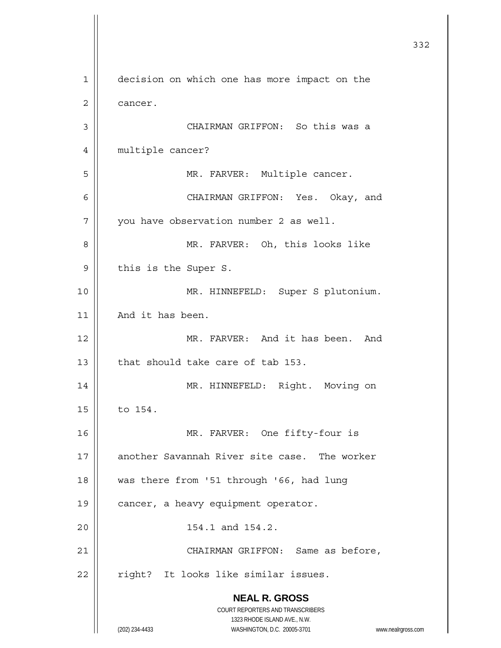**NEAL R. GROSS** COURT REPORTERS AND TRANSCRIBERS 1323 RHODE ISLAND AVE., N.W. (202) 234-4433 WASHINGTON, D.C. 20005-3701 www.nealrgross.com 332 1 2 3 4 5 6 7 8 9 10 11 12 13 14 15 16 17 18 19 20 21 22 decision on which one has more impact on the cancer. CHAIRMAN GRIFFON: So this was a multiple cancer? MR. FARVER: Multiple cancer. CHAIRMAN GRIFFON: Yes. Okay, and you have observation number 2 as well. MR. FARVER: Oh, this looks like this is the Super S. MR. HINNEFELD: Super S plutonium. And it has been. MR. FARVER: And it has been. And that should take care of tab 153. MR. HINNEFELD: Right. Moving on to 154. MR. FARVER: One fifty-four is another Savannah River site case. The worker was there from '51 through '66, had lung cancer, a heavy equipment operator. 154.1 and 154.2. CHAIRMAN GRIFFON: Same as before, right? It looks like similar issues.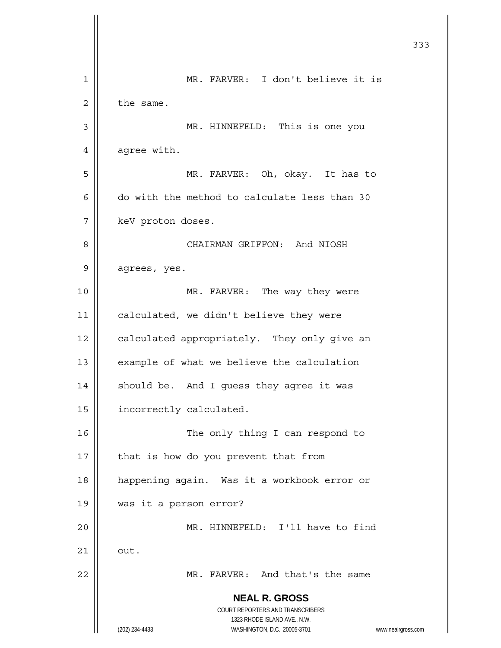|    |                                                                     | 333 |
|----|---------------------------------------------------------------------|-----|
| 1  | MR. FARVER: I don't believe it is                                   |     |
| 2  | the same.                                                           |     |
| 3  | MR. HINNEFELD: This is one you                                      |     |
| 4  | agree with.                                                         |     |
| 5  | MR. FARVER: Oh, okay. It has to                                     |     |
| 6  | do with the method to calculate less than 30                        |     |
| 7  | keV proton doses.                                                   |     |
| 8  | CHAIRMAN GRIFFON: And NIOSH                                         |     |
| 9  | agrees, yes.                                                        |     |
| 10 | MR. FARVER: The way they were                                       |     |
| 11 | calculated, we didn't believe they were                             |     |
| 12 | calculated appropriately. They only give an                         |     |
| 13 | example of what we believe the calculation                          |     |
| 14 | should be. And I guess they agree it was                            |     |
| 15 | incorrectly calculated.                                             |     |
| 16 | The only thing I can respond to                                     |     |
| 17 | that is how do you prevent that from                                |     |
| 18 | happening again. Was it a workbook error or                         |     |
| 19 | was it a person error?                                              |     |
| 20 | MR. HINNEFELD: I'll have to find                                    |     |
| 21 | out.                                                                |     |
| 22 | MR. FARVER: And that's the same                                     |     |
|    | <b>NEAL R. GROSS</b>                                                |     |
|    | COURT REPORTERS AND TRANSCRIBERS<br>1323 RHODE ISLAND AVE., N.W.    |     |
|    | (202) 234-4433<br>WASHINGTON, D.C. 20005-3701<br>www.nealrgross.com |     |

Ħ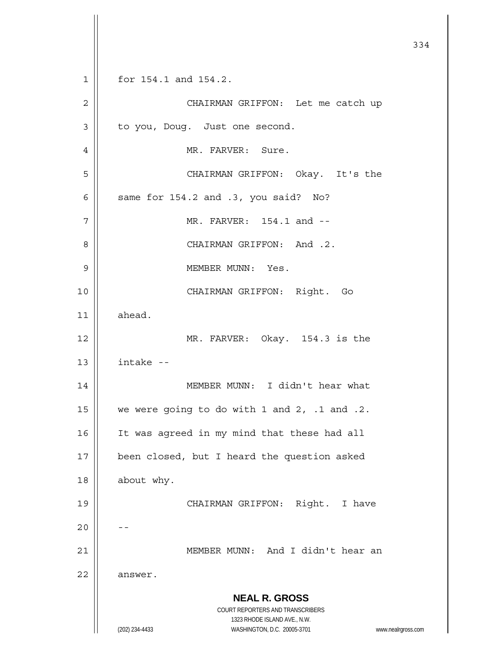**NEAL R. GROSS** COURT REPORTERS AND TRANSCRIBERS 1323 RHODE ISLAND AVE., N.W. (202) 234-4433 WASHINGTON, D.C. 20005-3701 www.nealrgross.com 334 1 2 3 4 5 6 7 8 9 10 11 12 13 14 15 16 17 18 19 20 21 22 for 154.1 and 154.2. CHAIRMAN GRIFFON: Let me catch up to you, Doug. Just one second. MR. FARVER: Sure. CHAIRMAN GRIFFON: Okay. It's the same for 154.2 and .3, you said? No? MR. FARVER: 154.1 and -- CHAIRMAN GRIFFON: And .2. MEMBER MUNN: Yes. CHAIRMAN GRIFFON: Right. Go ahead. MR. FARVER: Okay. 154.3 is the intake -- MEMBER MUNN: I didn't hear what we were going to do with 1 and 2, .1 and .2. It was agreed in my mind that these had all been closed, but I heard the question asked about why. CHAIRMAN GRIFFON: Right. I have -- MEMBER MUNN: And I didn't hear an answer.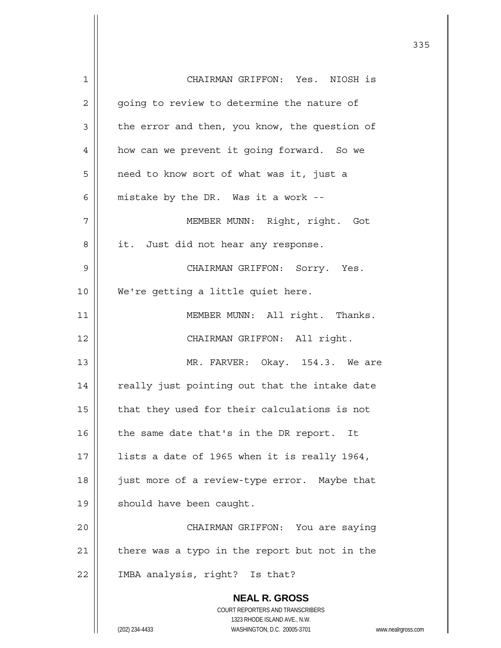<u>335</u>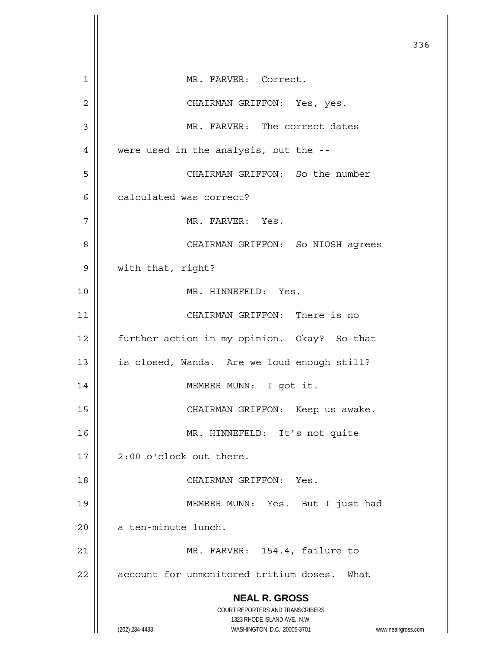**NEAL R. GROSS** COURT REPORTERS AND TRANSCRIBERS 1323 RHODE ISLAND AVE., N.W. (202) 234-4433 WASHINGTON, D.C. 20005-3701 www.nealrgross.com <u>336</u> 1 2 3 4 5 6 7 8 9 10 11 12 13 14 15 16 17 18 19 20 21 22 MR. FARVER: Correct. CHAIRMAN GRIFFON: Yes, yes. MR. FARVER: The correct dates were used in the analysis, but the -- CHAIRMAN GRIFFON: So the number calculated was correct? MR. FARVER: Yes. CHAIRMAN GRIFFON: So NIOSH agrees with that, right? MR. HINNEFELD: Yes. CHAIRMAN GRIFFON: There is no further action in my opinion. Okay? So that is closed, Wanda. Are we loud enough still? MEMBER MUNN: I got it. CHAIRMAN GRIFFON: Keep us awake. MR. HINNEFELD: It's not quite 2:00 o'clock out there. CHAIRMAN GRIFFON: Yes. MEMBER MUNN: Yes. But I just had a ten-minute lunch. MR. FARVER: 154.4, failure to account for unmonitored tritium doses. What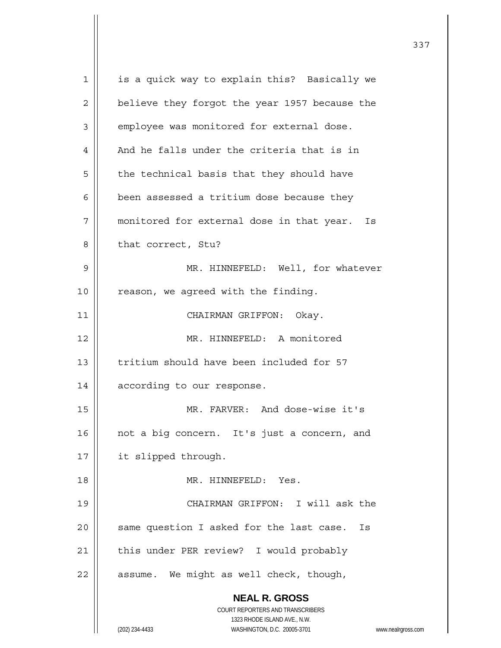| 1  | is a quick way to explain this? Basically we                        |
|----|---------------------------------------------------------------------|
| 2  | believe they forgot the year 1957 because the                       |
| 3  | employee was monitored for external dose.                           |
| 4  | And he falls under the criteria that is in                          |
| 5  | the technical basis that they should have                           |
| 6  | been assessed a tritium dose because they                           |
| 7  | monitored for external dose in that year.<br>Is                     |
| 8  | that correct, Stu?                                                  |
| 9  | MR. HINNEFELD: Well, for whatever                                   |
| 10 | reason, we agreed with the finding.                                 |
| 11 | CHAIRMAN GRIFFON: Okay.                                             |
| 12 | MR. HINNEFELD: A monitored                                          |
| 13 | tritium should have been included for 57                            |
| 14 | according to our response.                                          |
| 15 | MR. FARVER: And dose-wise it's                                      |
| 16 | not a big concern. It's just a concern, and                         |
| 17 | it slipped through.                                                 |
| 18 | MR. HINNEFELD: Yes.                                                 |
| 19 | CHAIRMAN GRIFFON: I will ask the                                    |
| 20 | same question I asked for the last case.<br>Is                      |
| 21 | this under PER review? I would probably                             |
| 22 | assume. We might as well check, though,                             |
|    | <b>NEAL R. GROSS</b>                                                |
|    | COURT REPORTERS AND TRANSCRIBERS                                    |
|    | 1323 RHODE ISLAND AVE., N.W.                                        |
|    | (202) 234-4433<br>WASHINGTON, D.C. 20005-3701<br>www.nealrgross.com |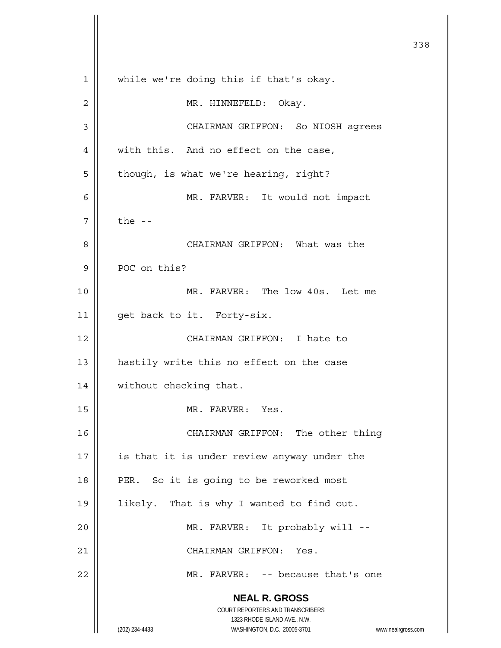**NEAL R. GROSS** COURT REPORTERS AND TRANSCRIBERS 1323 RHODE ISLAND AVE., N.W. (202) 234-4433 WASHINGTON, D.C. 20005-3701 www.nealrgross.com 338 1 2 3 4 5 6 7 8 9 10 11 12 13 14 15 16 17 18 19 20 21 22 while we're doing this if that's okay. MR. HINNEFELD: Okay. CHAIRMAN GRIFFON: So NIOSH agrees with this. And no effect on the case, though, is what we're hearing, right? MR. FARVER: It would not impact the  $-$  CHAIRMAN GRIFFON: What was the POC on this? MR. FARVER: The low 40s. Let me get back to it. Forty-six. CHAIRMAN GRIFFON: I hate to hastily write this no effect on the case without checking that. MR. FARVER: Yes. CHAIRMAN GRIFFON: The other thing is that it is under review anyway under the PER. So it is going to be reworked most likely. That is why I wanted to find out. MR. FARVER: It probably will -- CHAIRMAN GRIFFON: Yes. MR. FARVER: -- because that's one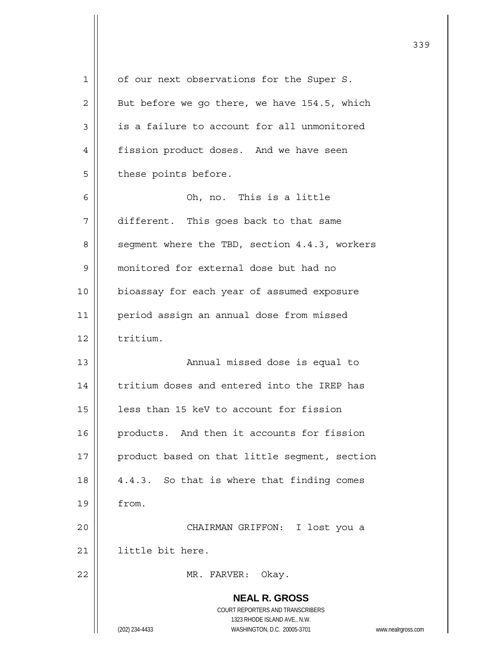| 1  | of our next observations for the Super S.                                                           |
|----|-----------------------------------------------------------------------------------------------------|
| 2  | But before we go there, we have 154.5, which                                                        |
| 3  | is a failure to account for all unmonitored                                                         |
| 4  | fission product doses. And we have seen                                                             |
| 5  | these points before.                                                                                |
| 6  | Oh, no. This is a little                                                                            |
| 7  | different. This goes back to that same                                                              |
| 8  | segment where the TBD, section 4.4.3, workers                                                       |
| 9  | monitored for external dose but had no                                                              |
| 10 | bioassay for each year of assumed exposure                                                          |
| 11 | period assign an annual dose from missed                                                            |
| 12 | tritium.                                                                                            |
| 13 | Annual missed dose is equal to                                                                      |
| 14 | tritium doses and entered into the IREP has                                                         |
| 15 | less than 15 keV to account for fission                                                             |
| 16 | products. And then it accounts for fission                                                          |
| 17 | product based on that little segment, section                                                       |
| 18 | 4.4.3. So that is where that finding comes                                                          |
| 19 | from.                                                                                               |
| 20 | CHAIRMAN GRIFFON: I lost you a                                                                      |
| 21 | little bit here.                                                                                    |
| 22 | MR. FARVER: Okay.                                                                                   |
|    | <b>NEAL R. GROSS</b>                                                                                |
|    | COURT REPORTERS AND TRANSCRIBERS                                                                    |
|    | 1323 RHODE ISLAND AVE., N.W.<br>(202) 234-4433<br>WASHINGTON, D.C. 20005-3701<br>www.nealrgross.com |
|    |                                                                                                     |

339

 $\mathsf{I}$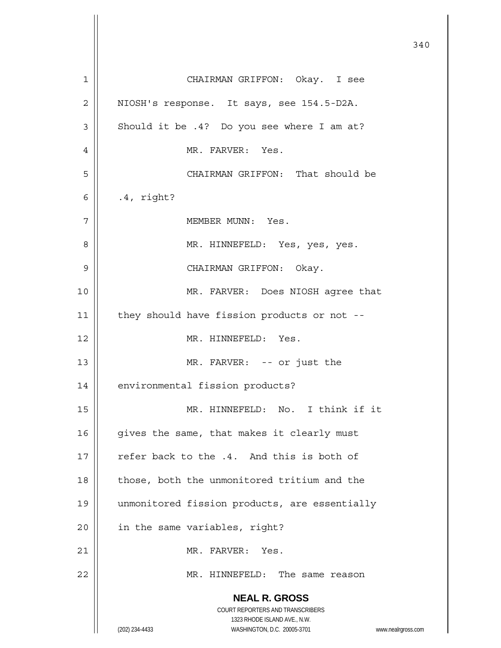**NEAL R. GROSS** COURT REPORTERS AND TRANSCRIBERS 1323 RHODE ISLAND AVE., N.W. (202) 234-4433 WASHINGTON, D.C. 20005-3701 www.nealrgross.com 340 1 2 3 4 5 6 7 8 9 10 11 12 13 14 15 16 17 18 19 20 21 22 CHAIRMAN GRIFFON: Okay. I see NIOSH's response. It says, see 154.5-D2A. Should it be .4? Do you see where I am at? MR. FARVER: Yes. CHAIRMAN GRIFFON: That should be .4, right? MEMBER MUNN: Yes. MR. HINNEFELD: Yes, yes, yes. CHAIRMAN GRIFFON: Okay. MR. FARVER: Does NIOSH agree that they should have fission products or not -- MR. HINNEFELD: Yes. MR. FARVER: -- or just the environmental fission products? MR. HINNEFELD: No. I think if it gives the same, that makes it clearly must refer back to the .4. And this is both of those, both the unmonitored tritium and the unmonitored fission products, are essentially in the same variables, right? MR. FARVER: Yes. MR. HINNEFELD: The same reason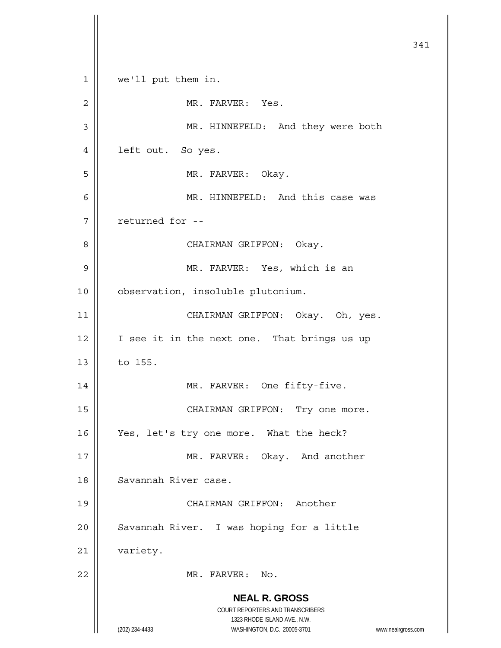```
NEAL R. GROSS
                          COURT REPORTERS AND TRANSCRIBERS 
                            1323 RHODE ISLAND AVE., N.W. 
       (202) 234-4433 WASHINGTON, D.C. 20005-3701 www.nealrgross.com 
         341
 1 
 2 
 3 
 4 
 5 
 6 
 7 
 8 
 9 
10 
11 
12 
13 
14 
15 
16 
17 
18 
19 
20 
21 
22 
       we'll put them in. 
                     MR. FARVER: Yes. 
                     MR. HINNEFELD: And they were both 
       left out. So yes. 
                     MR. FARVER: Okay. 
                     MR. HINNEFELD: And this case was 
       returned for -- 
                     CHAIRMAN GRIFFON: Okay. 
                     MR. FARVER: Yes, which is an 
       observation, insoluble plutonium. 
                     CHAIRMAN GRIFFON: Okay. Oh, yes. 
       I see it in the next one. That brings us up 
       to 155. 
                     MR. FARVER: One fifty-five. 
                     CHAIRMAN GRIFFON: Try one more. 
       Yes, let's try one more. What the heck? 
                     MR. FARVER: Okay. And another 
       Savannah River case. 
                     CHAIRMAN GRIFFON: Another 
       Savannah River. I was hoping for a little 
       variety. 
                     MR. FARVER: No.
```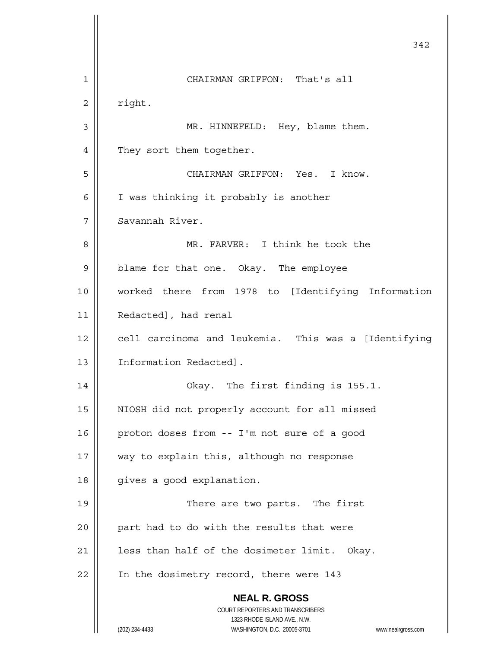**NEAL R. GROSS** COURT REPORTERS AND TRANSCRIBERS 1323 RHODE ISLAND AVE., N.W. (202) 234-4433 WASHINGTON, D.C. 20005-3701 www.nealrgross.com 342 1 2 3 4 5 6 7 8 9 10 11 12 13 14 15 16 17 18 19 20 21 22 CHAIRMAN GRIFFON: That's all right. MR. HINNEFELD: Hey, blame them. They sort them together. CHAIRMAN GRIFFON: Yes. I know. I was thinking it probably is another Savannah River. MR. FARVER: I think he took the blame for that one. Okay. The employee worked there from 1978 to [Identifying Information Redacted], had renal cell carcinoma and leukemia. This was a [Identifying Information Redacted]. Okay. The first finding is 155.1. NIOSH did not properly account for all missed proton doses from -- I'm not sure of a good way to explain this, although no response gives a good explanation. There are two parts. The first part had to do with the results that were less than half of the dosimeter limit. Okay. In the dosimetry record, there were 143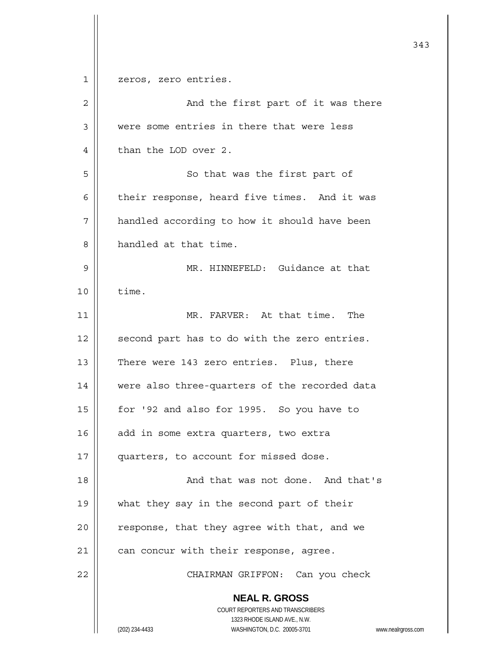**NEAL R. GROSS** COURT REPORTERS AND TRANSCRIBERS 1323 RHODE ISLAND AVE., N.W. (202) 234-4433 WASHINGTON, D.C. 20005-3701 www.nealrgross.com 343 1 2 3 4 5 6 7 8 9 10 11 12 13 14 15 16 17 18 19 20 21 22 zeros, zero entries. And the first part of it was there were some entries in there that were less than the LOD over 2. So that was the first part of their response, heard five times. And it was handled according to how it should have been handled at that time. MR. HINNEFELD: Guidance at that time. MR. FARVER: At that time. The second part has to do with the zero entries. There were 143 zero entries. Plus, there were also three-quarters of the recorded data for '92 and also for 1995. So you have to add in some extra quarters, two extra quarters, to account for missed dose. And that was not done. And that's what they say in the second part of their response, that they agree with that, and we can concur with their response, agree. CHAIRMAN GRIFFON: Can you check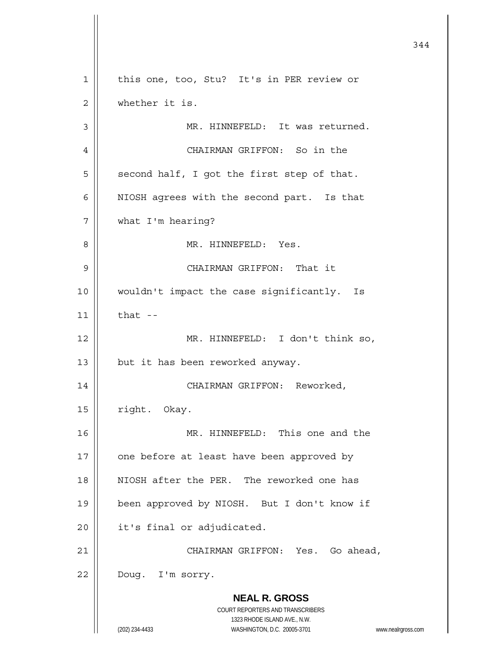**NEAL R. GROSS** COURT REPORTERS AND TRANSCRIBERS 1323 RHODE ISLAND AVE., N.W. (202) 234-4433 WASHINGTON, D.C. 20005-3701 www.nealrgross.com 344 1 2 3 4 5 6 7 8 9 10 11 12 13 14 15 16 17 18 19 20 21 22 this one, too, Stu? It's in PER review or whether it is. MR. HINNEFELD: It was returned. CHAIRMAN GRIFFON: So in the second half, I got the first step of that. NIOSH agrees with the second part. Is that what I'm hearing? MR. HINNEFELD: Yes. CHAIRMAN GRIFFON: That it wouldn't impact the case significantly. Is that -- MR. HINNEFELD: I don't think so, but it has been reworked anyway. CHAIRMAN GRIFFON: Reworked, right. Okay. MR. HINNEFELD: This one and the one before at least have been approved by NIOSH after the PER. The reworked one has been approved by NIOSH. But I don't know if it's final or adjudicated. CHAIRMAN GRIFFON: Yes. Go ahead, Doug. I'm sorry.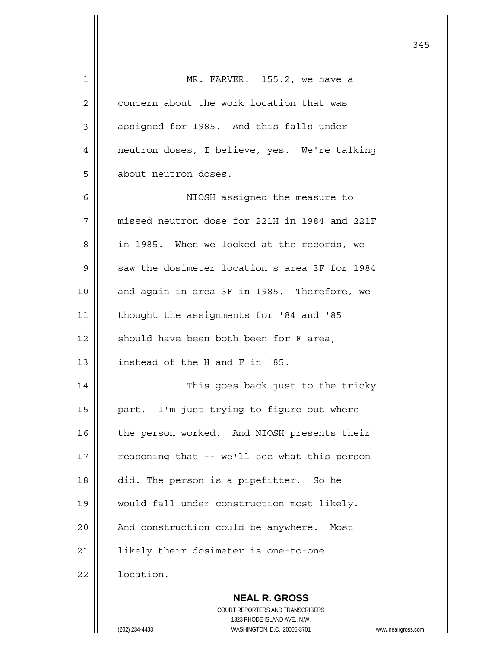| 1  | MR. FARVER: 155.2, we have a                             |
|----|----------------------------------------------------------|
| 2  | concern about the work location that was                 |
| 3  | assigned for 1985. And this falls under                  |
| 4  | neutron doses, I believe, yes. We're talking             |
| 5  | about neutron doses.                                     |
| 6  | NIOSH assigned the measure to                            |
| 7  | missed neutron dose for 221H in 1984 and 221F            |
| 8  | in 1985. When we looked at the records, we               |
| 9  | saw the dosimeter location's area 3F for 1984            |
| 10 | and again in area 3F in 1985. Therefore, we              |
| 11 | thought the assignments for '84 and '85                  |
| 12 | should have been both been for F area,                   |
| 13 | instead of the H and F in '85.                           |
| 14 | This goes back just to the tricky                        |
| 15 | part. I'm just trying to figure out where                |
| 16 | the person worked. And NIOSH presents their              |
| 17 | reasoning that -- we'll see what this person             |
| 18 | did. The person is a pipefitter. So he                   |
| 19 | would fall under construction most likely.               |
| 20 | And construction could be anywhere. Most                 |
| 21 | likely their dosimeter is one-to-one                     |
| 22 | location.                                                |
|    | <b>NEAL R. GROSS</b><br>COURT REPORTERS AND TRANSCRIBERS |

345

1323 RHODE ISLAND AVE., N.W.

(202) 234-4433 WASHINGTON, D.C. 20005-3701 www.nealrgross.com

 $\mathsf{II}$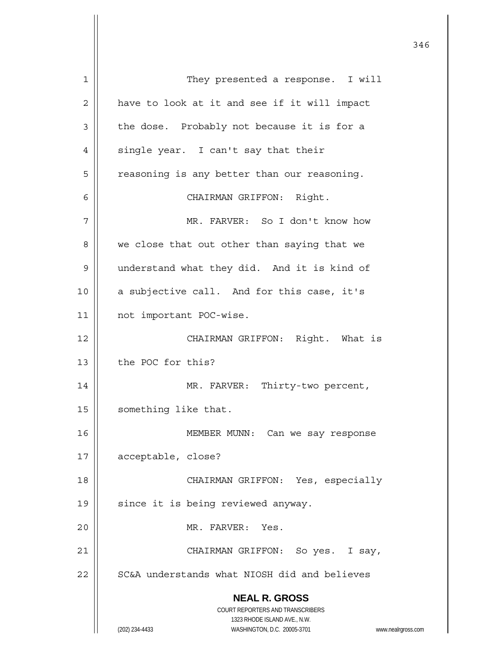**NEAL R. GROSS** COURT REPORTERS AND TRANSCRIBERS 1323 RHODE ISLAND AVE., N.W. (202) 234-4433 WASHINGTON, D.C. 20005-3701 www.nealrgross.com 1 2 3 4 5 6 7 8 9 10 11 12 13 14 15 16 17 18 19 20 21 22 They presented a response. I will have to look at it and see if it will impact the dose. Probably not because it is for a single year. I can't say that their reasoning is any better than our reasoning. CHAIRMAN GRIFFON: Right. MR. FARVER: So I don't know how we close that out other than saying that we understand what they did. And it is kind of a subjective call. And for this case, it's not important POC-wise. CHAIRMAN GRIFFON: Right. What is the POC for this? MR. FARVER: Thirty-two percent, something like that. MEMBER MUNN: Can we say response acceptable, close? CHAIRMAN GRIFFON: Yes, especially since it is being reviewed anyway. MR. FARVER: Yes. CHAIRMAN GRIFFON: So yes. I say, SC&A understands what NIOSH did and believes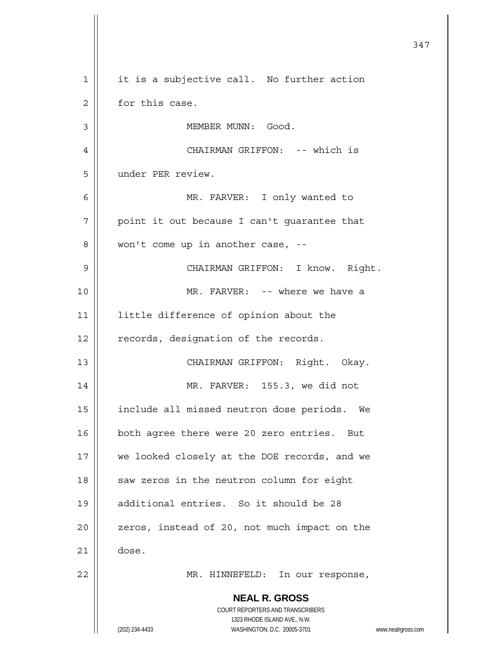|              | 347                                                                 |
|--------------|---------------------------------------------------------------------|
| $\mathbf{1}$ | it is a subjective call. No further action                          |
| 2            | for this case.                                                      |
| 3            | MEMBER MUNN: Good.                                                  |
| 4            | CHAIRMAN GRIFFON: -- which is                                       |
| 5            | under PER review.                                                   |
| 6            | MR. FARVER: I only wanted to                                        |
| 7            | point it out because I can't guarantee that                         |
| 8            | won't come up in another case, --                                   |
| 9            | CHAIRMAN GRIFFON: I know. Right.                                    |
| 10           | MR. FARVER: -- where we have a                                      |
| 11           | little difference of opinion about the                              |
| 12           | records, designation of the records.                                |
| 13           | CHAIRMAN GRIFFON: Right. Okay.                                      |
| 14           | MR. FARVER: 155.3, we did not                                       |
| 15           | include all missed neutron dose periods. We                         |
| 16           | both agree there were 20 zero entries. But                          |
| 17           | we looked closely at the DOE records, and we                        |
| 18           | saw zeros in the neutron column for eight                           |
| 19           | additional entries. So it should be 28                              |
| 20           | zeros, instead of 20, not much impact on the                        |
| 21           | dose.                                                               |
| 22           | MR. HINNEFELD: In our response,                                     |
|              | <b>NEAL R. GROSS</b>                                                |
|              | COURT REPORTERS AND TRANSCRIBERS<br>1323 RHODE ISLAND AVE., N.W.    |
|              | (202) 234-4433<br>WASHINGTON, D.C. 20005-3701<br>www.nealrgross.com |

 $\mathsf{I}$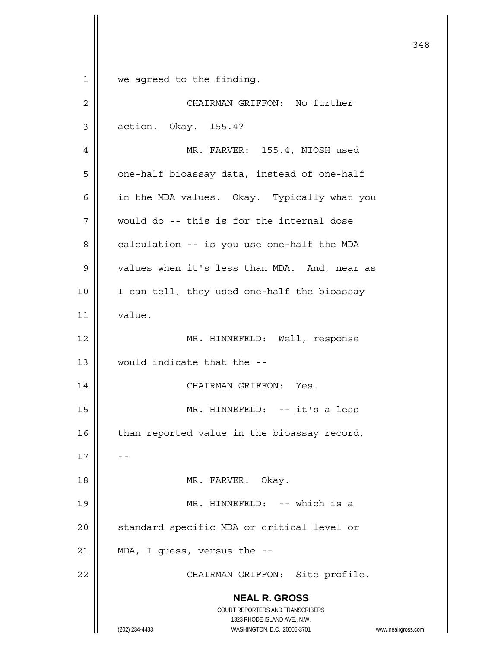**NEAL R. GROSS** COURT REPORTERS AND TRANSCRIBERS 1323 RHODE ISLAND AVE., N.W. 348 1 2 3 4 5 6 7 8 9 10 11 12 13 14 15 16 17 18 19 20 21 22 we agreed to the finding. CHAIRMAN GRIFFON: No further action. Okay. 155.4? MR. FARVER: 155.4, NIOSH used one-half bioassay data, instead of one-half in the MDA values. Okay. Typically what you would do -- this is for the internal dose calculation -- is you use one-half the MDA values when it's less than MDA. And, near as I can tell, they used one-half the bioassay value. MR. HINNEFELD: Well, response would indicate that the -- CHAIRMAN GRIFFON: Yes. MR. HINNEFELD: -- it's a less than reported value in the bioassay record, -- MR. FARVER: Okay. MR. HINNEFELD: -- which is a standard specific MDA or critical level or MDA, I guess, versus the -- CHAIRMAN GRIFFON: Site profile.

(202) 234-4433 WASHINGTON, D.C. 20005-3701 www.nealrgross.com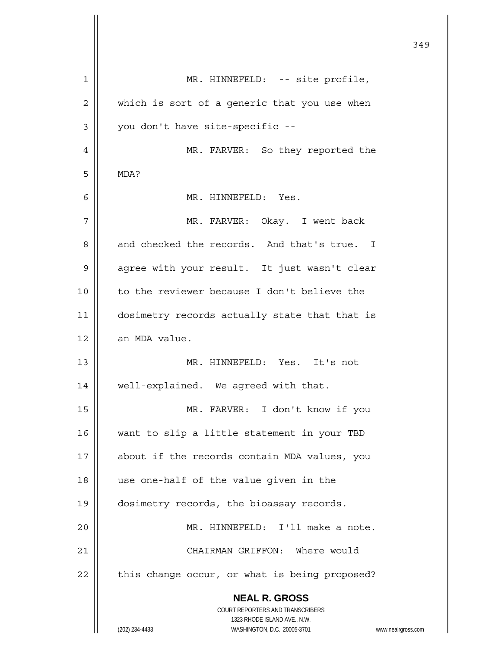| 1  | MR. HINNEFELD: -- site profile,                                     |
|----|---------------------------------------------------------------------|
| 2  | which is sort of a generic that you use when                        |
| 3  | you don't have site-specific --                                     |
| 4  | MR. FARVER: So they reported the                                    |
| 5  | MDA?                                                                |
| 6  | MR. HINNEFELD: Yes.                                                 |
| 7  | MR. FARVER: Okay. I went back                                       |
| 8  | and checked the records. And that's true. I                         |
| 9  | agree with your result. It just wasn't clear                        |
| 10 | to the reviewer because I don't believe the                         |
| 11 | dosimetry records actually state that that is                       |
| 12 | an MDA value.                                                       |
| 13 | MR. HINNEFELD: Yes. It's not                                        |
| 14 | well-explained. We agreed with that.                                |
| 15 | MR. FARVER: I don't know if you                                     |
| 16 | want to slip a little statement in your TBD                         |
| 17 | about if the records contain MDA values, you                        |
| 18 | use one-half of the value given in the                              |
| 19 | dosimetry records, the bioassay records.                            |
| 20 | MR. HINNEFELD: I'll make a note.                                    |
| 21 | CHAIRMAN GRIFFON: Where would                                       |
| 22 | this change occur, or what is being proposed?                       |
|    | <b>NEAL R. GROSS</b>                                                |
|    | COURT REPORTERS AND TRANSCRIBERS<br>1323 RHODE ISLAND AVE., N.W.    |
|    | (202) 234-4433<br>WASHINGTON, D.C. 20005-3701<br>www.nealrgross.com |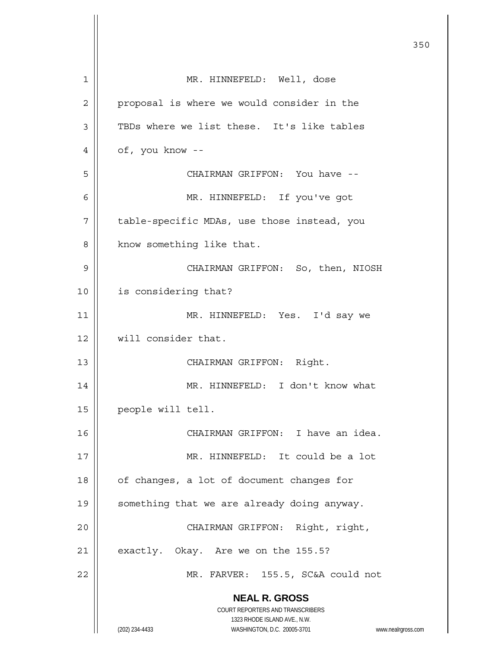|    |                                                                     | 350 |
|----|---------------------------------------------------------------------|-----|
| 1  | MR. HINNEFELD: Well, dose                                           |     |
| 2  | proposal is where we would consider in the                          |     |
| 3  | TBDs where we list these. It's like tables                          |     |
| 4  | of, you know --                                                     |     |
| 5  | CHAIRMAN GRIFFON: You have --                                       |     |
| 6  | MR. HINNEFELD: If you've got                                        |     |
| 7  | table-specific MDAs, use those instead, you                         |     |
| 8  | know something like that.                                           |     |
| 9  | CHAIRMAN GRIFFON: So, then, NIOSH                                   |     |
| 10 | is considering that?                                                |     |
| 11 | MR. HINNEFELD: Yes. I'd say we                                      |     |
| 12 | will consider that.                                                 |     |
| 13 | CHAIRMAN GRIFFON: Right.                                            |     |
| 14 | MR. HINNEFELD: I don't know what                                    |     |
| 15 | people will tell.                                                   |     |
| 16 | CHAIRMAN GRIFFON: I have an idea.                                   |     |
| 17 | MR. HINNEFELD: It could be a lot                                    |     |
| 18 | of changes, a lot of document changes for                           |     |
| 19 | something that we are already doing anyway.                         |     |
| 20 | CHAIRMAN GRIFFON: Right, right,                                     |     |
| 21 | exactly. Okay. Are we on the 155.5?                                 |     |
| 22 | MR. FARVER: 155.5, SC&A could not                                   |     |
|    | <b>NEAL R. GROSS</b><br>COURT REPORTERS AND TRANSCRIBERS            |     |
|    | 1323 RHODE ISLAND AVE., N.W.                                        |     |
|    | (202) 234-4433<br>WASHINGTON, D.C. 20005-3701<br>www.nealrgross.com |     |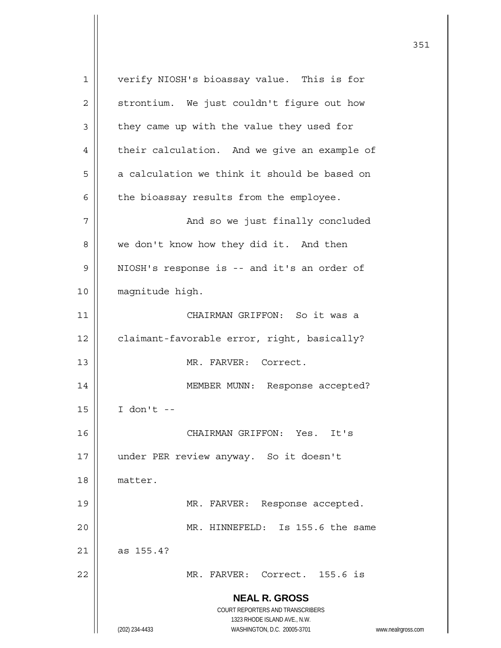**NEAL R. GROSS** COURT REPORTERS AND TRANSCRIBERS 1323 RHODE ISLAND AVE., N.W. (202) 234-4433 WASHINGTON, D.C. 20005-3701 www.nealrgross.com 1 2 3 4 5 6 7 8 9 10 11 12 13 14 15 16 17 18 19 20 21 22 verify NIOSH's bioassay value. This is for strontium. We just couldn't figure out how they came up with the value they used for their calculation. And we give an example of a calculation we think it should be based on the bioassay results from the employee. And so we just finally concluded we don't know how they did it. And then NIOSH's response is -- and it's an order of magnitude high. CHAIRMAN GRIFFON: So it was a claimant-favorable error, right, basically? MR. FARVER: Correct. MEMBER MUNN: Response accepted? I don't -- CHAIRMAN GRIFFON: Yes. It's under PER review anyway. So it doesn't matter. MR. FARVER: Response accepted. MR. HINNEFELD: Is 155.6 the same as 155.4? MR. FARVER: Correct. 155.6 is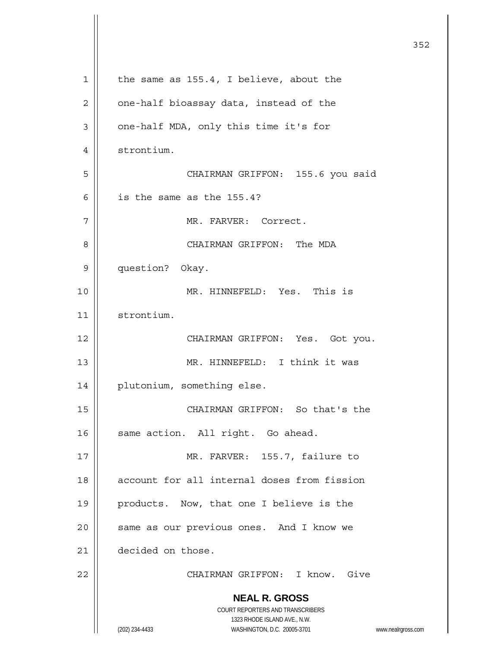|             |                                                                     | 352 |
|-------------|---------------------------------------------------------------------|-----|
| $\mathbf 1$ | the same as 155.4, I believe, about the                             |     |
| 2           | one-half bioassay data, instead of the                              |     |
| 3           | one-half MDA, only this time it's for                               |     |
| 4           | strontium.                                                          |     |
| 5           | CHAIRMAN GRIFFON: 155.6 you said                                    |     |
| 6           | is the same as the 155.4?                                           |     |
| 7           | MR. FARVER: Correct.                                                |     |
| 8           | CHAIRMAN GRIFFON: The MDA                                           |     |
| 9           | question? Okay.                                                     |     |
| 10          | MR. HINNEFELD: Yes. This is                                         |     |
| 11          | strontium.                                                          |     |
| 12          | CHAIRMAN GRIFFON: Yes. Got you.                                     |     |
| 13          | MR. HINNEFELD: I think it was                                       |     |
| 14          | plutonium, something else.                                          |     |
| 15          | CHAIRMAN GRIFFON: So that's the                                     |     |
| 16          | same action. All right. Go ahead.                                   |     |
| 17          | MR. FARVER: 155.7, failure to                                       |     |
| 18          | account for all internal doses from fission                         |     |
| 19          | products. Now, that one I believe is the                            |     |
| 20          | same as our previous ones. And I know we                            |     |
| 21          | decided on those.                                                   |     |
| 22          | CHAIRMAN GRIFFON: I know. Give                                      |     |
|             | <b>NEAL R. GROSS</b>                                                |     |
|             | COURT REPORTERS AND TRANSCRIBERS<br>1323 RHODE ISLAND AVE., N.W.    |     |
|             | (202) 234-4433<br>WASHINGTON, D.C. 20005-3701<br>www.nealrgross.com |     |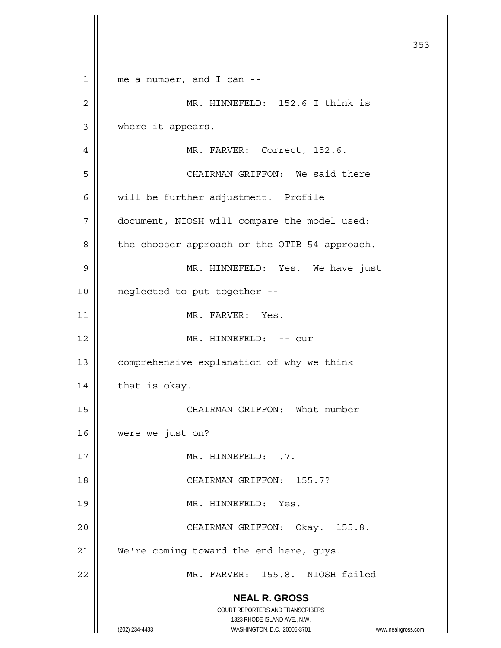**NEAL R. GROSS** COURT REPORTERS AND TRANSCRIBERS 1323 RHODE ISLAND AVE., N.W. (202) 234-4433 WASHINGTON, D.C. 20005-3701 www.nealrgross.com 353 1 2 3 4 5 6 7 8 9 10 11 12 13 14 15 16 17 18 19 20 21 22 me a number, and I can -- MR. HINNEFELD: 152.6 I think is where it appears. MR. FARVER: Correct, 152.6. CHAIRMAN GRIFFON: We said there will be further adjustment. Profile document, NIOSH will compare the model used: the chooser approach or the OTIB 54 approach. MR. HINNEFELD: Yes. We have just neglected to put together -- MR. FARVER: Yes. MR. HINNEFELD: -- our comprehensive explanation of why we think that is okay. CHAIRMAN GRIFFON: What number were we just on? MR. HINNEFELD: .7. CHAIRMAN GRIFFON: 155.7? MR. HINNEFELD: Yes. CHAIRMAN GRIFFON: Okay. 155.8. We're coming toward the end here, guys. MR. FARVER: 155.8. NIOSH failed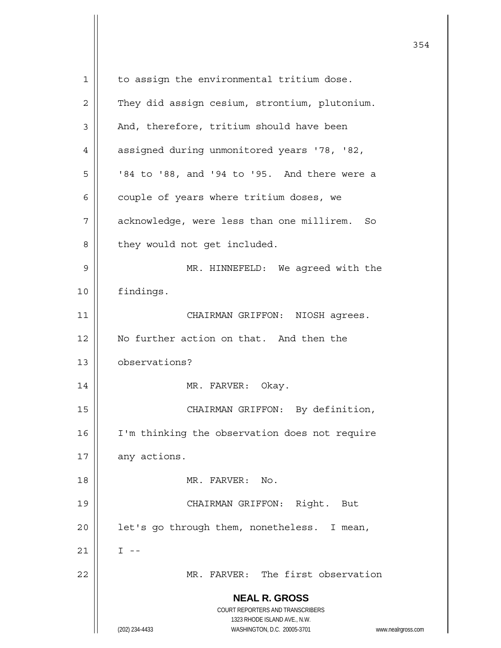| to assign the environmental tritium dose.                                                           |
|-----------------------------------------------------------------------------------------------------|
| They did assign cesium, strontium, plutonium.                                                       |
| And, therefore, tritium should have been                                                            |
| assigned during unmonitored years '78, '82,                                                         |
| '84 to '88, and '94 to '95. And there were a                                                        |
| couple of years where tritium doses, we                                                             |
| acknowledge, were less than one millirem. So                                                        |
| they would not get included.                                                                        |
| MR. HINNEFELD: We agreed with the                                                                   |
| findings.                                                                                           |
| CHAIRMAN GRIFFON: NIOSH agrees.                                                                     |
| No further action on that. And then the                                                             |
| observations?                                                                                       |
| MR. FARVER: Okay.                                                                                   |
| CHAIRMAN GRIFFON: By definition,                                                                    |
| I'm thinking the observation does not require                                                       |
| any actions.                                                                                        |
| MR. FARVER: No.                                                                                     |
| CHAIRMAN GRIFFON: Right. But                                                                        |
| let's go through them, nonetheless. I mean,                                                         |
| $T - -$                                                                                             |
| MR. FARVER: The first observation                                                                   |
| <b>NEAL R. GROSS</b><br>COURT REPORTERS AND TRANSCRIBERS                                            |
| 1323 RHODE ISLAND AVE., N.W.<br>WASHINGTON, D.C. 20005-3701<br>(202) 234-4433<br>www.nealrgross.com |
|                                                                                                     |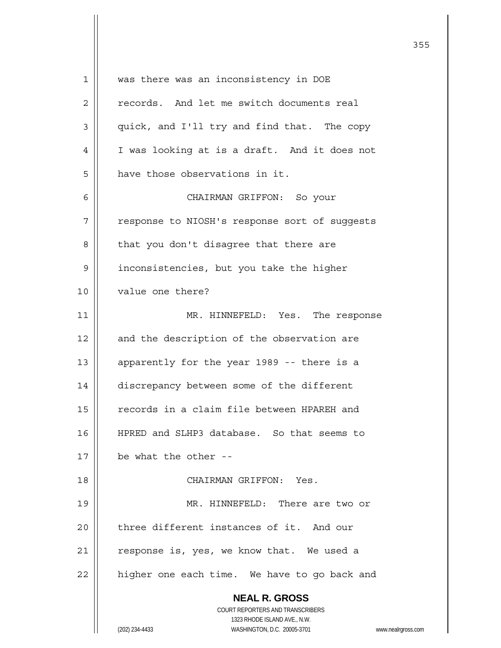| 1  | was there was an inconsistency in DOE                               |
|----|---------------------------------------------------------------------|
| 2  | records. And let me switch documents real                           |
| 3  | quick, and I'll try and find that. The copy                         |
| 4  | I was looking at is a draft. And it does not                        |
| 5  | have those observations in it.                                      |
| 6  | CHAIRMAN GRIFFON: So your                                           |
| 7  | response to NIOSH's response sort of suggests                       |
| 8  | that you don't disagree that there are                              |
| 9  | inconsistencies, but you take the higher                            |
| 10 | value one there?                                                    |
|    |                                                                     |
| 11 | MR. HINNEFELD: Yes. The response                                    |
| 12 | and the description of the observation are                          |
| 13 | apparently for the year 1989 -- there is a                          |
| 14 | discrepancy between some of the different                           |
| 15 | records in a claim file between HPAREH and                          |
| 16 | HPRED and SLHP3 database. So that seems to                          |
| 17 | be what the other --                                                |
| 18 | CHAIRMAN GRIFFON: Yes.                                              |
| 19 | MR. HINNEFELD: There are two or                                     |
| 20 | three different instances of it. And our                            |
| 21 | response is, yes, we know that. We used a                           |
| 22 | higher one each time. We have to go back and                        |
|    |                                                                     |
|    | <b>NEAL R. GROSS</b><br>COURT REPORTERS AND TRANSCRIBERS            |
|    | 1323 RHODE ISLAND AVE., N.W.                                        |
|    | (202) 234-4433<br>WASHINGTON, D.C. 20005-3701<br>www.nealrgross.com |

<u>355</u>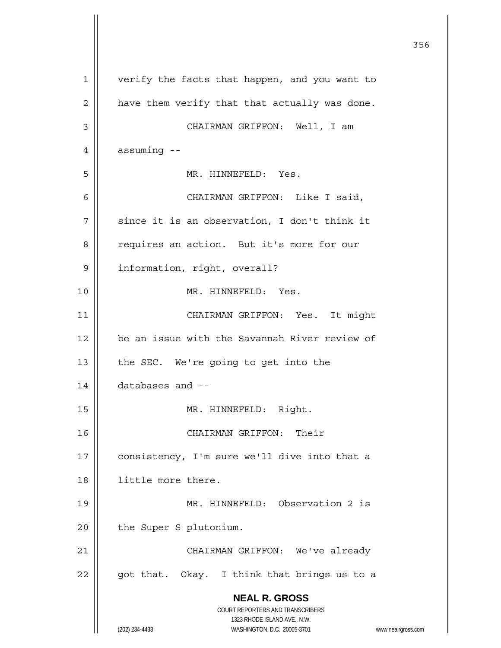**NEAL R. GROSS** COURT REPORTERS AND TRANSCRIBERS 1323 RHODE ISLAND AVE., N.W. (202) 234-4433 WASHINGTON, D.C. 20005-3701 www.nealrgross.com 1 2 3 4 5 6 7 8 9 10 11 12 13 14 15 16 17 18 19 20 21 22 verify the facts that happen, and you want to have them verify that that actually was done. CHAIRMAN GRIFFON: Well, I am assuming -- MR. HINNEFELD: Yes. CHAIRMAN GRIFFON: Like I said, since it is an observation, I don't think it requires an action. But it's more for our information, right, overall? MR. HINNEFELD: Yes. CHAIRMAN GRIFFON: Yes. It might be an issue with the Savannah River review of the SEC. We're going to get into the databases and -- MR. HINNEFELD: Right. CHAIRMAN GRIFFON: Their consistency, I'm sure we'll dive into that a little more there. MR. HINNEFELD: Observation 2 is the Super S plutonium. CHAIRMAN GRIFFON: We've already got that. Okay. I think that brings us to a

<u>356 and 2001 and 2002 and 2003 and 2003 and 2004 and 2004 and 2004 and 2004 and 2004 and 2004 and 2004 and 20</u>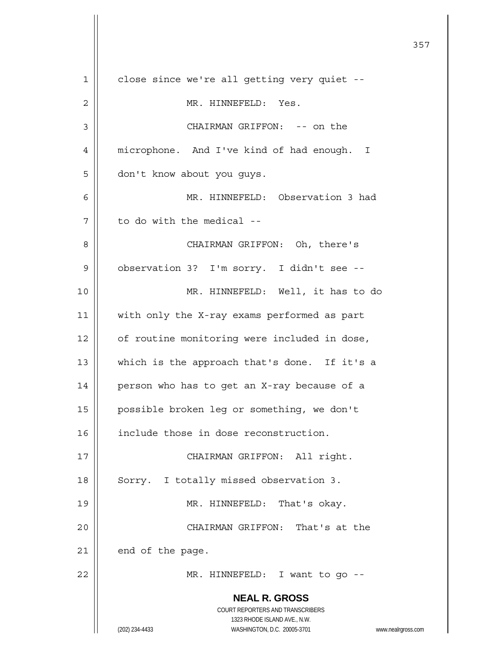**NEAL R. GROSS** COURT REPORTERS AND TRANSCRIBERS 1323 RHODE ISLAND AVE., N.W. (202) 234-4433 WASHINGTON, D.C. 20005-3701 www.nealrgross.com 1 2 3 4 5 6 7 8 9 10 11 12 13 14 15 16 17 18 19 20 21 22 close since we're all getting very quiet -- MR. HINNEFELD: Yes. CHAIRMAN GRIFFON: -- on the microphone. And I've kind of had enough. I don't know about you guys. MR. HINNEFELD: Observation 3 had to do with the medical -- CHAIRMAN GRIFFON: Oh, there's observation 3? I'm sorry. I didn't see -- MR. HINNEFELD: Well, it has to do with only the X-ray exams performed as part of routine monitoring were included in dose, which is the approach that's done. If it's a person who has to get an X-ray because of a possible broken leg or something, we don't include those in dose reconstruction. CHAIRMAN GRIFFON: All right. Sorry. I totally missed observation 3. MR. HINNEFELD: That's okay. CHAIRMAN GRIFFON: That's at the end of the page. MR. HINNEFELD: I want to go --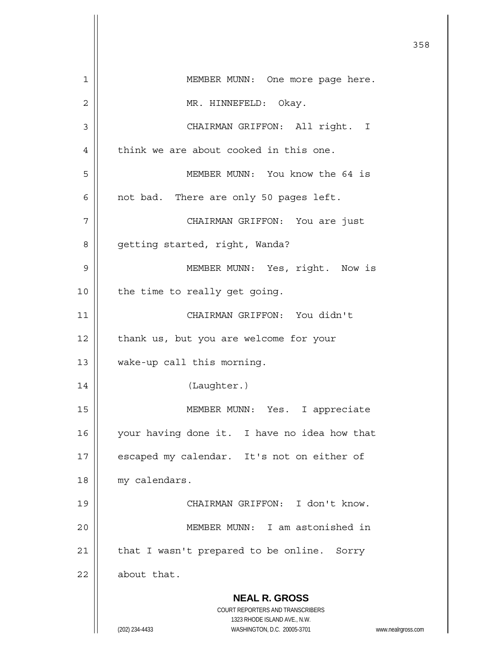|    | 358                                                                 |
|----|---------------------------------------------------------------------|
| 1  | MEMBER MUNN: One more page here.                                    |
| 2  | MR. HINNEFELD: Okay.                                                |
| 3  | CHAIRMAN GRIFFON: All right. I                                      |
| 4  | think we are about cooked in this one.                              |
| 5  | MEMBER MUNN: You know the 64 is                                     |
| 6  | not bad. There are only 50 pages left.                              |
| 7  | CHAIRMAN GRIFFON: You are just                                      |
| 8  | getting started, right, Wanda?                                      |
| 9  | MEMBER MUNN: Yes, right. Now is                                     |
| 10 | the time to really get going.                                       |
| 11 | CHAIRMAN GRIFFON: You didn't                                        |
| 12 | thank us, but you are welcome for your                              |
| 13 | wake-up call this morning.                                          |
| 14 | (Laughter.)                                                         |
| 15 | MEMBER MUNN: Yes.<br>I appreciate                                   |
| 16 | your having done it. I have no idea how that                        |
| 17 | escaped my calendar. It's not on either of                          |
| 18 | my calendars.                                                       |
| 19 | CHAIRMAN GRIFFON: I don't know.                                     |
| 20 | MEMBER MUNN: I am astonished in                                     |
| 21 | that I wasn't prepared to be online. Sorry                          |
| 22 | about that.                                                         |
|    | <b>NEAL R. GROSS</b>                                                |
|    | COURT REPORTERS AND TRANSCRIBERS<br>1323 RHODE ISLAND AVE., N.W.    |
|    | (202) 234-4433<br>WASHINGTON, D.C. 20005-3701<br>www.nealrgross.com |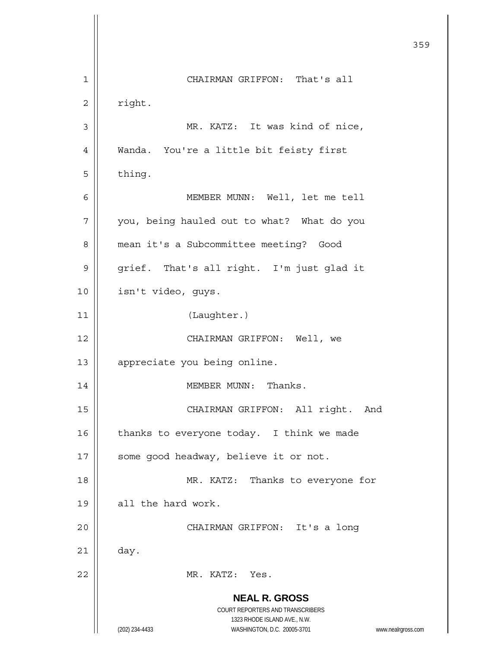**NEAL R. GROSS** COURT REPORTERS AND TRANSCRIBERS 1323 RHODE ISLAND AVE., N.W. (202) 234-4433 WASHINGTON, D.C. 20005-3701 www.nealrgross.com <u>359</u> 1 2 3 4 5 6 7 8 9 10 11 12 13 14 15 16 17 18 19 20 21 22 CHAIRMAN GRIFFON: That's all right. MR. KATZ: It was kind of nice, Wanda. You're a little bit feisty first thing. MEMBER MUNN: Well, let me tell you, being hauled out to what? What do you mean it's a Subcommittee meeting? Good grief. That's all right. I'm just glad it isn't video, guys. (Laughter.) CHAIRMAN GRIFFON: Well, we appreciate you being online. MEMBER MUNN: Thanks. CHAIRMAN GRIFFON: All right. And thanks to everyone today. I think we made some good headway, believe it or not. MR. KATZ: Thanks to everyone for all the hard work. CHAIRMAN GRIFFON: It's a long day. MR. KATZ: Yes.